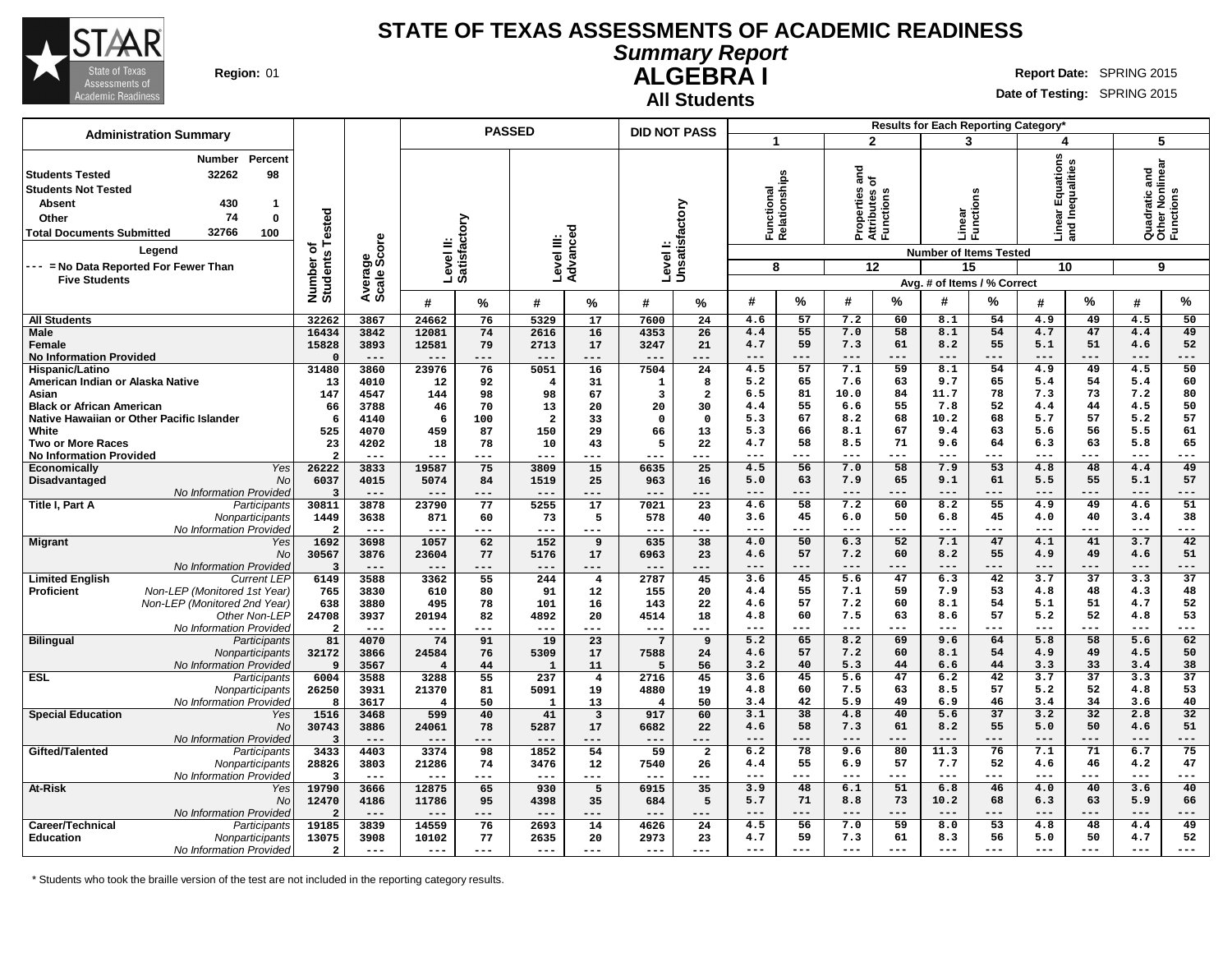

**All Students**

**Summary Report**

**ALGEBRA I Region:** 01 **Report** Date: SPRING 2015

**Date of Testing:** SPRING 2015

|                                                                                                                                                                                                                                                                          |                                     |                        |                           | <b>PASSED</b> |                      |                               | <b>DID NOT PASS</b>       |                |                                  |               |                                                                                  |               | Results for Each Reporting Category*                                                      |                 |                                                            |                       |                                                    |                 |
|--------------------------------------------------------------------------------------------------------------------------------------------------------------------------------------------------------------------------------------------------------------------------|-------------------------------------|------------------------|---------------------------|---------------|----------------------|-------------------------------|---------------------------|----------------|----------------------------------|---------------|----------------------------------------------------------------------------------|---------------|-------------------------------------------------------------------------------------------|-----------------|------------------------------------------------------------|-----------------------|----------------------------------------------------|-----------------|
| <b>Administration Summary</b>                                                                                                                                                                                                                                            |                                     |                        |                           |               |                      |                               |                           |                | 1                                |               | $\overline{2}$                                                                   |               | 3                                                                                         |                 | 4                                                          |                       | 5                                                  |                 |
| Percent<br><b>Number</b><br>32262<br>98<br><b>Students Tested</b><br><b>Students Not Tested</b><br>430<br>Absent<br>1<br>74<br>Other<br>0<br>32766<br>100<br><b>Total Documents Submitted</b><br>Legend<br>--- = No Data Reported For Fewer Than<br><b>Five Students</b> | Tested<br>৳<br>Number o<br>Students | Average<br>Scale Score | Level II:<br>Satisfactory |               | Level III:           | Advanced                      | Levell:<br>Unsatisfactory |                | Functional<br>Relationships<br>8 |               | and<br>of<br>perties<br>fbutes<br>Properties<br>Attributes of<br>Functions<br>12 |               | Linear<br>Functions<br><b>Number of Items Tested</b><br>15<br>Avg. # of Items / % Correct |                 | tions<br>ear Equations<br>I Inequalities<br>g 같<br>스<br>10 |                       | Quadratic and<br>Other Nonlinear<br>Functions<br>9 |                 |
|                                                                                                                                                                                                                                                                          |                                     |                        | #                         | %             | #                    | %                             | #                         | %              | #                                | $\frac{0}{2}$ | #                                                                                | $\frac{0}{2}$ | #                                                                                         | $\%$            | #                                                          | $\%$                  | #                                                  | %               |
| <b>All Students</b>                                                                                                                                                                                                                                                      | 32262                               | 3867                   | 24662                     | 76            | 5329                 | 17                            | 7600                      | 24             | 4.6                              | 57            | 7.2                                                                              | 60            | 8.1                                                                                       | 54              | 4.9                                                        | 49                    | 4.5                                                | 50              |
| Male                                                                                                                                                                                                                                                                     | 16434                               | 3842                   | 12081                     | 74            | 2616                 | 16                            | 4353                      | 26             | 4.4                              | 55            | 7.0                                                                              | 58            | 8.1                                                                                       | 54              | 4.7                                                        | 47                    | 4.4                                                | 49              |
| Female                                                                                                                                                                                                                                                                   | 15828                               | 3893                   | 12581                     | 79            | 2713                 | 17                            | 3247                      | 21             | 4.7                              | 59            | 7.3                                                                              | 61            | 8.2                                                                                       | 55              | 5.1                                                        | 51                    | 4.6                                                | 52              |
| <b>No Information Provided</b>                                                                                                                                                                                                                                           | $\Omega$                            | $---$                  | $---$                     | ---           | $---$                | ---                           | $---$                     | ---            | $---$                            | ---           | $---$                                                                            | ---           | $---$                                                                                     | ---             | $---$                                                      | ---                   | $---$                                              | ---             |
| Hispanic/Latino                                                                                                                                                                                                                                                          | 31480                               | 3860                   | 23976                     | 76            | 5051                 | 16                            | 7504                      | 24             | 4.5                              | 57            | 7.1                                                                              | 59            | 8.1                                                                                       | 54              | 4.9                                                        | 49                    | 4.5                                                | 50              |
| American Indian or Alaska Native                                                                                                                                                                                                                                         | 13                                  | 4010                   | 12                        | 92            | -4                   | 31                            | 1                         | 8              | 5.2                              | 65            | 7.6                                                                              | 63            | 9.7                                                                                       | 65              | 5.4                                                        | 54                    | 5.4                                                | 60              |
| Asian                                                                                                                                                                                                                                                                    | 147                                 | 4547                   | 144                       | 98            | 98                   | 67                            | 3                         | $\mathbf{2}$   | 6.5                              | 81            | 10.0                                                                             | 84            | 11.7                                                                                      | 78              | 7.3                                                        | 73                    | 7.2                                                | 80              |
| <b>Black or African American</b>                                                                                                                                                                                                                                         | 66                                  | 3788                   | 46                        | 70            | 13                   | 20                            | 20                        | 30             | 4.4                              | 55            | 6.6                                                                              | 55            | 7.8                                                                                       | 52              | 4.4                                                        | 44                    | 4.5                                                | 50              |
| Native Hawaiian or Other Pacific Islander                                                                                                                                                                                                                                | -6                                  | 4140                   | 6                         | 100           | $\overline{a}$       | 33                            | $\Omega$                  | $\mathbf 0$    | 5.3                              | 67            | 8.2                                                                              | 68            | 10.2                                                                                      | 68              | 5.7                                                        | 57                    | 5.2                                                | 57              |
| White                                                                                                                                                                                                                                                                    | 525                                 | 4070                   | 459                       | 87            | 150                  | 29                            | 66                        | 13             | 5.3                              | 66            | 8.1                                                                              | 67            | 9.4                                                                                       | 63              | 5.6                                                        | 56                    | 5.5                                                | 61              |
| <b>Two or More Races</b>                                                                                                                                                                                                                                                 | 23                                  | 4202                   | 18                        | 78            | 10                   | 43                            | 5                         | 22             | 4.7                              | 58            | 8.5                                                                              | 71            | 9.6                                                                                       | 64              | 6.3                                                        | 63                    | 5.8                                                | 65              |
| <b>No Information Provided</b>                                                                                                                                                                                                                                           | $\mathcal{P}$<br>26222              | $---$                  | ---<br>19587              | ---<br>75     | $--$<br>3809         | ---                           | ---                       | ---<br>25      | $---$<br>4.5                     | ---<br>56     | $- - -$<br>7.0                                                                   | ---<br>58     | $- - -$<br>7.9                                                                            | ---<br>53       | $---$<br>4.8                                               | ---<br>48             | $- - -$<br>4.4                                     | ---<br>49       |
| Yes<br>Economically<br>No<br>Disadvantaged                                                                                                                                                                                                                               | 6037                                | 3833<br>4015           | 5074                      | 84            | 1519                 | 15<br>25                      | 6635<br>963               | 16             | 5.0                              | 63            | 7.9                                                                              | 65            | 9.1                                                                                       | 61              | 5.5                                                        | 55                    | 5.1                                                | 57              |
| No Information Provided                                                                                                                                                                                                                                                  | 3                                   | $---$                  | ---                       | ---           | ---                  |                               | ---                       | ---            |                                  |               | $- -$                                                                            |               | $- - -$                                                                                   | ---             |                                                            | ---                   | $- - -$                                            | ---             |
| Title I, Part A<br>Participants                                                                                                                                                                                                                                          | 30811                               | 3878                   | 23790                     | 77            | 5255                 | 17                            | 7021                      | 23             | 4.6                              | 58            | 7.2                                                                              | 60            | 8.2                                                                                       | 55              | 4.9                                                        | 49                    | 4.6                                                | 51              |
| Nonparticipants                                                                                                                                                                                                                                                          | 1449                                | 3638                   | 871                       | 60            | 73                   | 5                             | 578                       | 40             | 3.6                              | 45            | 6.0                                                                              | 50            | 6.8                                                                                       | 45              | 4.0                                                        | 40                    | 3.4                                                | 38              |
| No Information Provided                                                                                                                                                                                                                                                  | $\overline{2}$                      | $---$                  | ---                       | ---           | $---$                | ---                           | $---$                     | ---            | $---$                            | $---$         | $---$                                                                            | ---           | $---$                                                                                     | ---             | $---$                                                      | ---                   | $---$                                              | ---             |
| <b>Migrant</b><br>Yes                                                                                                                                                                                                                                                    | 1692                                | 3698                   | 1057                      | 62            | 152                  | 9                             | 635                       | 38             | 4.0                              | 50            | 6.3                                                                              | 52            | 7.1                                                                                       | 47              | 4.1                                                        | 41                    | 3.7                                                | 42              |
| No                                                                                                                                                                                                                                                                       | 30567                               | 3876                   | 23604                     | 77            | 5176                 | 17                            | 6963                      | 23             | 4.6                              | 57            | 7.2                                                                              | 60            | 8.2                                                                                       | 55              | 4.9                                                        | 49                    | 4.6                                                | 51              |
| No Information Provided                                                                                                                                                                                                                                                  | 3                                   | $- - -$                | $- - -$                   | $- - -$       | $---$                | ---                           | $- - -$                   | ---            | $- - -$                          | ---           | $- - -$                                                                          | ---           | $- - -$                                                                                   | ---             | $- - -$                                                    | ---                   | $- - -$                                            | ---             |
| <b>Limited English</b><br><b>Current LEF</b>                                                                                                                                                                                                                             | 6149                                | 3588                   | 3362                      | 55            | 244                  | $\overline{\mathbf{4}}$       | 2787                      | 45             | 3.6                              | 45            | 5.6                                                                              | 47            | 6.3                                                                                       | 42              | 3.7                                                        | $\overline{37}$       | 3.3                                                | $\overline{37}$ |
| Non-LEP (Monitored 1st Year)<br><b>Proficient</b>                                                                                                                                                                                                                        | 765                                 | 3830                   | 610                       | 80            | 91                   | 12                            | 155                       | 20             | 4.4                              | 55            | 7.1                                                                              | 59            | 7.9                                                                                       | 53              | 4.8                                                        | 48                    | 4.3                                                | 48              |
| Non-LEP (Monitored 2nd Year)                                                                                                                                                                                                                                             | 638                                 | 3880                   | 495                       | 78            | 101                  | 16                            | 143                       | 22             | 4.6                              | 57            | 7.2                                                                              | 60            | 8.1                                                                                       | 54              | 5.1                                                        | 51                    | 4.7                                                | 52              |
| Other Non-LEP                                                                                                                                                                                                                                                            | 24708                               | 3937                   | 20194                     | 82            | 4892                 | 20                            | 4514                      | 18             | 4.8                              | 60            | 7.5                                                                              | 63            | 8.6                                                                                       | 57              | 5.2                                                        | 52                    | 4.8                                                | 53              |
| No Information Provided                                                                                                                                                                                                                                                  | $\overline{a}$                      | $---$                  | ---                       | ---           | $---$                | ---                           | $---$                     | ---            | $---$                            | $---$         | $---$                                                                            | $---$         | $- - -$                                                                                   | $---$           | $- - -$                                                    | $---$                 | $\frac{1}{2}$                                      | ---             |
| <b>Bilingual</b><br>Participants                                                                                                                                                                                                                                         | 81                                  | 4070                   | 74                        | 91            | 19                   | 23                            | $7\overline{ }$           | 9              | 5.2                              | 65            | 8.2                                                                              | 69            | 9.6                                                                                       | 64              | 5.8                                                        | 58                    | 5.6                                                | 62              |
| Nonparticipants                                                                                                                                                                                                                                                          | 32172                               | 3866                   | 24584                     | 76            | 5309                 | 17                            | 7588                      | 24             | 4.6                              | 57            | 7.2                                                                              | 60            | 8.1                                                                                       | 54              | 4.9                                                        | 49                    | 4.5                                                | 50              |
| No Information Provided                                                                                                                                                                                                                                                  | 9                                   | 3567                   | $\overline{4}$            | 44            | $\mathbf{1}$         | 11                            | 5                         | 56             | 3.2                              | 40            | 5.3                                                                              | 44            | 6.6                                                                                       | 44              | 3.3                                                        | 33                    | 3.4                                                | 38              |
| <b>ESL</b><br>Participants                                                                                                                                                                                                                                               | 6004                                | 3588<br>3931           | 3288                      | 55            | 237                  | $\overline{\mathbf{4}}$<br>19 | 2716                      | 45             | 3.6<br>4.8                       | 45<br>60      | 5.6<br>7.5                                                                       | 47<br>63      | 6.2<br>8.5                                                                                | 42<br>57        | 3.7<br>5.2                                                 | $\overline{37}$<br>52 | 3.3<br>4.8                                         | 37<br>53        |
| Nonparticipants<br>No Information Provided                                                                                                                                                                                                                               | 26250<br>8                          |                        | 21370<br>$\overline{4}$   | 81<br>50      | 5091<br>$\mathbf{1}$ | 13                            | 4880                      | 19             | 3.4                              | 42            | 5.9                                                                              | 49            | 6.9                                                                                       | 46              | 3.4                                                        | 34                    | 3.6                                                | 40              |
| <b>Special Education</b><br>Yes                                                                                                                                                                                                                                          | 1516                                | 3617<br>3468           | 599                       | 40            | 41                   | 3                             | $\overline{4}$<br>917     | 50<br>60       | 3.1                              | 38            | 4.8                                                                              | 40            | 5.6                                                                                       | $\overline{37}$ | 3.2                                                        | 32                    | 2.8                                                | 32              |
| No                                                                                                                                                                                                                                                                       | 30743                               | 3886                   | 24061                     | 78            | 5287                 | 17                            | 6682                      | 22             | 4.6                              | 58            | 7.3                                                                              | 61            | 8.2                                                                                       | 55              | 5.0                                                        | 50                    | 4.6                                                | 51              |
| No Information Provided                                                                                                                                                                                                                                                  | $\overline{3}$                      | $---$                  | $---$                     | ---           | $---$                | ---                           | $---$                     | ---            | $---$                            | ---           | $--$                                                                             | ---           | $--$                                                                                      | ---             | $---$                                                      | ---                   | $---$                                              | ---             |
| Gifted/Talented<br>Participants                                                                                                                                                                                                                                          | 3433                                | 4403                   | 3374                      | 98            | 1852                 | 54                            | 59                        | $\overline{a}$ | 6.2                              | 78            | 9.6                                                                              | 80            | 11.3                                                                                      | 76              | 7.1                                                        | 71                    | 6.7                                                | 75              |
| Nonparticipants                                                                                                                                                                                                                                                          | 28826                               | 3803                   | 21286                     | 74            | 3476                 | 12                            | 7540                      | 26             | 4.4                              | 55            | 6.9                                                                              | 57            | 7.7                                                                                       | 52              | 4.6                                                        | 46                    | 4.2                                                | 47              |
| No Information Provided                                                                                                                                                                                                                                                  | 3                                   | $---$                  | $---$                     | ---           | $---$                | ---                           | $---$                     | ---            | $---$                            | ---           | $- - -$                                                                          | $---$         | $---$                                                                                     | ---             | $---$                                                      | ---                   | $---$                                              | ---             |
| At-Risk<br>Yes                                                                                                                                                                                                                                                           | 19790                               | 3666                   | 12875                     | 65            | 930                  | 5                             | 6915                      | 35             | 3.9                              | 48            | 6.1                                                                              | 51            | 6.8                                                                                       | 46              | 4.0                                                        | 40                    | 3.6                                                | 40              |
| No                                                                                                                                                                                                                                                                       | 12470                               | 4186                   | 11786                     | 95            | 4398                 | 35                            | 684                       | 5              | 5.7                              | 71            | 8.8                                                                              | 73            | 10.2                                                                                      | 68              | 6.3                                                        | 63                    | 5.9                                                | 66              |
| No Information Provided                                                                                                                                                                                                                                                  | $\overline{2}$                      | $---$                  | $---$                     | ---           | $- -$                | ---                           | $---$                     | ---            | $---$                            | ---           | $---$                                                                            | ---           | $---$                                                                                     | ---             | $---$                                                      | ---                   | $---$                                              | ---             |
| Career/Technical<br>Participants                                                                                                                                                                                                                                         | 19185                               | 3839                   | 14559                     | 76            | 2693                 | 14                            | 4626                      | 24             | 4.5                              | 56            | 7.0                                                                              | 59            | 8.0                                                                                       | 53              | 4.8                                                        | 48                    | 4.4                                                | 49              |
| <b>Education</b><br>Nonparticipants                                                                                                                                                                                                                                      | 13075                               | 3908                   | 10102                     | 77            | 2635                 | 20                            | 2973                      | 23             | 4.7                              | 59            | 7.3                                                                              | 61            | 8.3                                                                                       | 56              | 5.0                                                        | 50                    | 4.7                                                | 52              |
| No Information Provided                                                                                                                                                                                                                                                  | $\overline{a}$                      | $---$                  | $---$                     | ---           | $---$                | ---                           | $---$                     | ---            | $---$                            | $---$         | $---$                                                                            | $---$         | $- - -$                                                                                   | $---$           | $---$                                                      | $---$                 | $---$                                              | ---             |

\* Students who took the braille version of the test are not included in the reporting category results.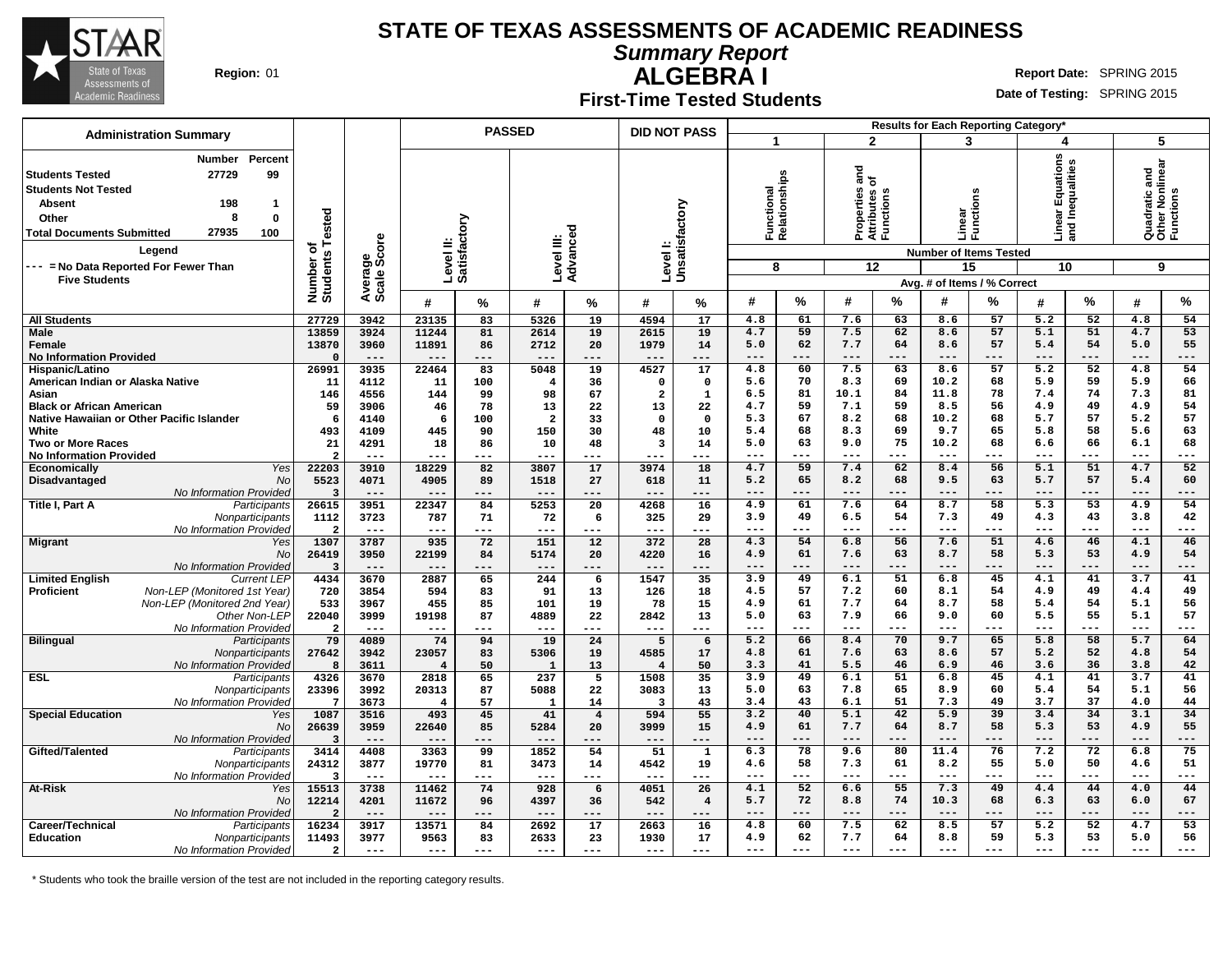

**Summary Report**

**ALGEBRA I Region:** 01 **Report** Date: SPRING 2015

### **First-Time Tested Students**

**Date of Testing:** SPRING 2015

| <b>Administration Summary</b>                                                                                                                                                                                                                                  |                              | <b>PASSED</b>          |                         |                           |                         |                | <b>DID NOT PASS</b>       |                |                             |             |              |                                         | Results for Each Reporting Category*              |             |                                     |             |                                               |           |
|----------------------------------------------------------------------------------------------------------------------------------------------------------------------------------------------------------------------------------------------------------------|------------------------------|------------------------|-------------------------|---------------------------|-------------------------|----------------|---------------------------|----------------|-----------------------------|-------------|--------------|-----------------------------------------|---------------------------------------------------|-------------|-------------------------------------|-------------|-----------------------------------------------|-----------|
|                                                                                                                                                                                                                                                                |                              |                        |                         |                           |                         |                |                           |                | 1                           |             |              | $\mathbf{2}$                            | 3                                                 |             | 4                                   |             | 5                                             |           |
| Percent<br><b>Number</b><br>99<br>27729<br><b>Students Tested</b><br><b>Students Not Tested</b><br><b>Absent</b><br>198<br>-1<br>8<br>$\bf{0}$<br>Other<br>27935<br>100<br><b>Total Documents Submitted</b><br>Legend<br>--- = No Data Reported For Fewer Than | Number of<br>Students Tested | Average<br>Scale Score |                         | Level II:<br>Satisfactory | Level III:              | Advanced       | Levell:<br>Unsatisfactory |                | Functional<br>Relationships |             | ᇰ<br>를 온     | Properties<br>Attributes c<br>Functions | Linear<br>Functi<br><b>Number of Items Tested</b> | ctions      | ar Equations<br>Inequalities<br>름 몸 |             | Quadratic and<br>Other Nonlinear<br>Functions |           |
| <b>Five Students</b>                                                                                                                                                                                                                                           |                              |                        |                         |                           |                         |                |                           |                | 8                           |             |              | 12                                      | 15                                                |             | 10                                  |             | 9                                             |           |
|                                                                                                                                                                                                                                                                |                              |                        |                         |                           |                         |                |                           |                |                             |             |              |                                         | Avg. # of Items / % Correct                       |             |                                     |             |                                               |           |
|                                                                                                                                                                                                                                                                |                              |                        | #                       | %                         | #                       | ℅              | #                         | %              | #                           | %           | #            | ℅                                       | #                                                 | %           | #                                   | %           | #                                             | %         |
| <b>All Students</b>                                                                                                                                                                                                                                            | 27729                        | 3942                   | 23135                   | 83                        | 5326                    | 19             | 4594                      | 17             | 4.8                         | 61          | 7.6          | 63                                      | 8.6                                               | 57          | 5.2                                 | 52          | 4.8                                           | 54        |
| <b>Male</b><br>Female                                                                                                                                                                                                                                          | 13859<br>13870               | 3924<br>3960           | 11244<br>11891          | 81<br>86                  | 2614<br>2712            | 19<br>20       | 2615<br>1979              | 19<br>14       | 4.7<br>5.0                  | 59<br>62    | 7.5<br>7.7   | 62<br>64                                | 8.6<br>8.6                                        | 57<br>57    | 5.1<br>5.4                          | 51<br>54    | 4.7<br>5.0                                    | 53<br>55  |
| <b>No Information Provided</b>                                                                                                                                                                                                                                 | $\Omega$                     | $---$                  | ---                     | ---                       | $---$                   | ---            | ---                       | ---            | ---                         | ---         | ---          | ---                                     |                                                   | $---$       | $---$                               | $---$       | $---$                                         | ---       |
| Hispanic/Latino                                                                                                                                                                                                                                                | 26991                        | 3935                   | 22464                   | 83                        | 5048                    | 19             | 4527                      | 17             | 4.8                         | 60          | 7.5          | 63                                      | 8.6                                               | 57          | $\overline{5.2}$                    | 52          | 4.8                                           | 54        |
| American Indian or Alaska Native                                                                                                                                                                                                                               | 11                           | 4112                   | 11                      | 100                       | $\overline{4}$          | 36             | $\Omega$                  | $\mathbf 0$    | 5.6                         | 70          | 8.3          | 69                                      | 10.2                                              | 68          | 5.9                                 | 59          | 5.9                                           | 66        |
| Asian                                                                                                                                                                                                                                                          | 146                          | 4556                   | 144                     | 99                        | 98                      | 67             | 2                         | $\mathbf{1}$   | 6.5                         | 81          | 10.1         | 84                                      | 11.8                                              | 78          | 7.4                                 | 74          | 7.3                                           | 81        |
| <b>Black or African American</b>                                                                                                                                                                                                                               | 59                           | 3906                   | 46                      | 78                        | 13                      | 22             | 13                        | 22             | 4.7                         | 59          | 7.1          | 59                                      | 8.5                                               | 56          | 4.9                                 | 49          | 4.9                                           | 54        |
| Native Hawaiian or Other Pacific Islander                                                                                                                                                                                                                      | 6                            | 4140                   | 6                       | 100                       | $\overline{\mathbf{2}}$ | 33             | $\Omega$                  | $\Omega$       | 5.3                         | 67          | 8.2          | 68                                      | 10.2                                              | 68          | 5.7                                 | 57          | 5.2                                           | 57        |
| White<br><b>Two or More Races</b>                                                                                                                                                                                                                              | 493<br>21                    | 4109<br>4291           | 445<br>18               | 90<br>86                  | 150<br>10               | 30<br>48       | 48<br>3                   | 10<br>14       | 5.4<br>5.0                  | 68<br>63    | 8.3<br>9.0   | 69<br>75                                | 9.7<br>10.2                                       | 65<br>68    | 5.8<br>6.6                          | 58<br>66    | 5.6<br>6.1                                    | 63<br>68  |
| <b>No Information Provided</b>                                                                                                                                                                                                                                 | $\overline{2}$               | $---$                  | ---                     | ---                       | ---                     | ---            | ---                       | $---$          |                             | ---         |              | $- - -$                                 | $- - -$                                           | $- - -$     | $- - -$                             | $---$       | $- - -$                                       | ---       |
| Yes<br><b>Economically</b>                                                                                                                                                                                                                                     | 22203                        | 3910                   | 18229                   | 82                        | 3807                    | 17             | 3974                      | 18             | 4.7                         | 59          | 7.4          | 62                                      | 8.4                                               | 56          | $\overline{5.1}$                    | 51          | 4.7                                           | 52        |
| Disadvantaged<br>No                                                                                                                                                                                                                                            | 5523                         | 4071                   | 4905                    | 89                        | 1518                    | 27             | 618                       | 11             | 5.2                         | 65          | 8.2          | 68                                      | 9.5                                               | 63          | 5.7                                 | 57          | 5.4                                           | 60        |
| No Information Provided                                                                                                                                                                                                                                        | 3                            | $---$                  | $---$                   | ---                       | $---$                   | ---            | ---                       | ---            | $---$                       | $---$       | $---$        | $---$                                   | $---$                                             | $---$       | $---$                               | $---$       | $---$                                         | ---       |
| Title I, Part A<br>Participants                                                                                                                                                                                                                                | 26615                        | 3951                   | 22347                   | 84                        | 5253                    | 20             | 4268                      | 16             | 4.9                         | 61          | 7.6          | 64                                      | 8.7                                               | 58          | 5.3                                 | 53          | 4.9                                           | 54        |
| Nonparticipants                                                                                                                                                                                                                                                | 1112                         | 3723                   | 787                     | 71                        | 72                      | 6              | 325                       | 29             | 3.9                         | 49          | 6.5          | 54                                      | 7.3                                               | 49          | 4.3                                 | 43          | 3.8                                           | 42        |
| No Information Provided                                                                                                                                                                                                                                        | $\overline{a}$               | $\qquad \qquad - -$    | ---                     | ---                       | $---$                   | ---            | ---                       | ---            | ---                         | $---$       | $---$        | $---$                                   | $---$                                             | $---$       | $---$                               | $---$       | $---$                                         | ---       |
| <b>Migrant</b><br>Yes<br>No                                                                                                                                                                                                                                    | 1307<br>26419                | 3787<br>3950           | 935<br>22199            | 72<br>84                  | 151<br>5174             | 12<br>20       | 372<br>4220               | 28<br>16       | 4.3<br>4.9                  | 54<br>61    | 6.8<br>7.6   | 56<br>63                                | 7.6<br>8.7                                        | 51<br>58    | 4.6<br>5.3                          | 46<br>53    | 4.1<br>4.9                                    | 46<br>54  |
| No Information Provideo                                                                                                                                                                                                                                        | $\overline{3}$               | $---$                  | $---$                   | ---                       | $---$                   | $---$          | ---                       | $-- -$         | $---$                       | ---         | $---$        | ---                                     | $---$                                             | $--$        | $---$                               | $---$       | $---$                                         | ---       |
| <b>Limited English</b><br><b>Current LEP</b>                                                                                                                                                                                                                   | 4434                         | 3670                   | 2887                    | 65                        | 244                     | 6              | 1547                      | 35             | 3.9                         | 49          | 6.1          | 51                                      | 6.8                                               | 45          | 4.1                                 | 41          | 3.7                                           | 41        |
| Non-LEP (Monitored 1st Year)<br><b>Proficient</b>                                                                                                                                                                                                              | 720                          | 3854                   | 594                     | 83                        | 91                      | 13             | 126                       | 18             | 4.5                         | 57          | 7.2          | 60                                      | 8.1                                               | 54          | 4.9                                 | 49          | 4.4                                           | 49        |
| Non-LEP (Monitored 2nd Year)                                                                                                                                                                                                                                   | 533                          | 3967                   | 455                     | 85                        | 101                     | 19             | 78                        | 15             | 4.9                         | 61          | 7.7          | 64                                      | 8.7                                               | 58          | 5.4                                 | 54          | 5.1                                           | 56        |
| Other Non-LEP                                                                                                                                                                                                                                                  | 22040                        | 3999                   | 19198                   | 87                        | 4889                    | 22             | 2842                      | 13             | 5.0                         | 63          | 7.9          | 66                                      | 9.0                                               | 60          | 5.5                                 | 55          | 5.1                                           | 57        |
| No Information Provided                                                                                                                                                                                                                                        | $\overline{a}$               | $---$                  | ---                     | ---                       | $---$                   | ---            | ---                       | ---            | ---                         | $---$       | $---$        | $---$                                   | $- - -$                                           | $---$       | $---$                               | $---$       | $---$                                         | ---       |
| <b>Bilingual</b><br>Participants                                                                                                                                                                                                                               | 79                           | 4089<br>3942           | 74                      | 94<br>83                  | 19                      | 24<br>19       | 5                         | 6              | 5.2<br>4.8                  | 66<br>61    | 8.4<br>7.6   | 70<br>63                                | 9.7<br>8.6                                        | 65<br>57    | 5.8<br>5.2                          | 58<br>52    | 5.7<br>4.8                                    | 64<br>54  |
| Nonparticipants<br>No Information Provideo                                                                                                                                                                                                                     | 27642<br>8                   | 3611                   | 23057<br>$\overline{4}$ | 50                        | 5306<br>$\mathbf{1}$    | 13             | 4585<br>4                 | 17<br>50       | 3.3                         | 41          | 5.5          | 46                                      | 6.9                                               | 46          | 3.6                                 | 36          | 3.8                                           | 42        |
| <b>ESL</b><br>Participants                                                                                                                                                                                                                                     | 4326                         | 3670                   | 2818                    | 65                        | 237                     | 5              | 1508                      | 35             | 3.9                         | 49          | 6.1          | 51                                      | 6.8                                               | 45          | 4.1                                 | 41          | 3.7                                           | 41        |
| Nonparticipants                                                                                                                                                                                                                                                | 23396                        | 3992                   | 20313                   | 87                        | 5088                    | 22             | 3083                      | 13             | 5.0                         | 63          | 7.8          | 65                                      | 8.9                                               | 60          | 5.4                                 | 54          | 5.1                                           | 56        |
| No Information Provided                                                                                                                                                                                                                                        | $7\phantom{.0}$              | 3673                   | $\overline{4}$          | 57                        | $\mathbf{1}$            | 14             | $\overline{\mathbf{3}}$   | 43             | 3.4                         | 43          | 6.1          | 51                                      | 7.3                                               | 49          | 3.7                                 | 37          | 4.0                                           | 44        |
| <b>Special Education</b><br>Yes                                                                                                                                                                                                                                | 1087                         | 3516                   | 493                     | 45                        | 41                      | $\overline{4}$ | 594                       | 55             | 3.2                         | 40          | 5.1          | 42                                      | 5.9                                               | 39          | 3.4                                 | 34          | 3.1                                           | 34        |
| No                                                                                                                                                                                                                                                             | 26639                        | 3959                   | 22640                   | 85                        | 5284                    | 20             | 3999                      | 15             | 4.9                         | 61          | 7.7          | 64                                      | 8.7                                               | 58          | 5.3                                 | 53          | 4.9                                           | 55        |
| No Information Provided<br>Gifted/Talented                                                                                                                                                                                                                     | $\overline{3}$<br>3414       | $---$<br>4408          | $---$<br>3363           | ---<br>99                 | $---$<br>1852           | ---<br>54      | ---<br>51                 | ---<br>1       | $---$<br>6.3                | $---$<br>78 | $---$<br>9.6 | $---$<br>80                             | $---$<br>11.4                                     | $---$<br>76 | $---$<br>7.2                        | $---$<br>72 | $---$<br>6.8                                  | ---<br>75 |
| Participants<br>Nonparticipants                                                                                                                                                                                                                                | 24312                        | 3877                   | 19770                   | 81                        | 3473                    | 14             | 4542                      | 19             | 4.6                         | 58          | 7.3          | 61                                      | 8.2                                               | 55          | 5.0                                 | 50          | 4.6                                           | 51        |
| No Information Provided                                                                                                                                                                                                                                        | $\overline{\mathbf{3}}$      | $---$                  | $---$                   | $---$                     | $---$                   | $---$          | ---                       | $---$          | ---                         | $- - -$     | $---$        | $- - -$                                 | $---$                                             | $---$       | $---$                               | $---$       | $---$                                         | ---       |
| At-Risk<br>Yes                                                                                                                                                                                                                                                 | 15513                        | 3738                   | 11462                   | 74                        | 928                     | 6              | 4051                      | 26             | 4.1                         | 52          | 6.6          | 55                                      | 7.3                                               | 49          | 4.4                                 | 44          | 4.0                                           | 44        |
| No                                                                                                                                                                                                                                                             | 12214                        | 4201                   | 11672                   | 96                        | 4397                    | 36             | 542                       | $\overline{4}$ | 5.7                         | 72          | 8.8          | 74                                      | 10.3                                              | 68          | 6.3                                 | 63          | 6.0                                           | 67        |
| <b>No Information Provided</b>                                                                                                                                                                                                                                 | $\overline{2}$               | $---$                  | $---$                   | ---                       | $---$                   | $---$          | ---                       | ---            | $---$                       | $---$       | $---$        | $---$                                   | $\qquad \qquad - -$                               | $---$       | $---$                               | $---$       | $---$                                         | ---       |
| Career/Technical<br>Participants                                                                                                                                                                                                                               | 16234                        | 3917                   | 13571                   | 84                        | 2692                    | 17             | 2663                      | 16             | 4.8                         | 60          | 7.5          | 62                                      | 8.5                                               | 57          | 5.2                                 | 52          | 4.7                                           | 53        |
| <b>Education</b><br>Nonparticipants                                                                                                                                                                                                                            | 11493                        | 3977                   | 9563                    | 83                        | 2633                    | 23             | 1930                      | 17             | 4.9<br>---                  | 62<br>$---$ | 7.7<br>$---$ | 64<br>$---$                             | 8.8<br>$---$                                      | 59<br>$---$ | 5.3<br>$---$                        | 53<br>$---$ | 5.0<br>$---$                                  | 56<br>--- |
| No Information Provided                                                                                                                                                                                                                                        | $\overline{a}$               | $- - -$                | $---$                   | ---                       | $---$                   | $---$          | $---$                     | $---$          |                             |             |              |                                         |                                                   |             |                                     |             |                                               |           |

\* Students who took the braille version of the test are not included in the reporting category results.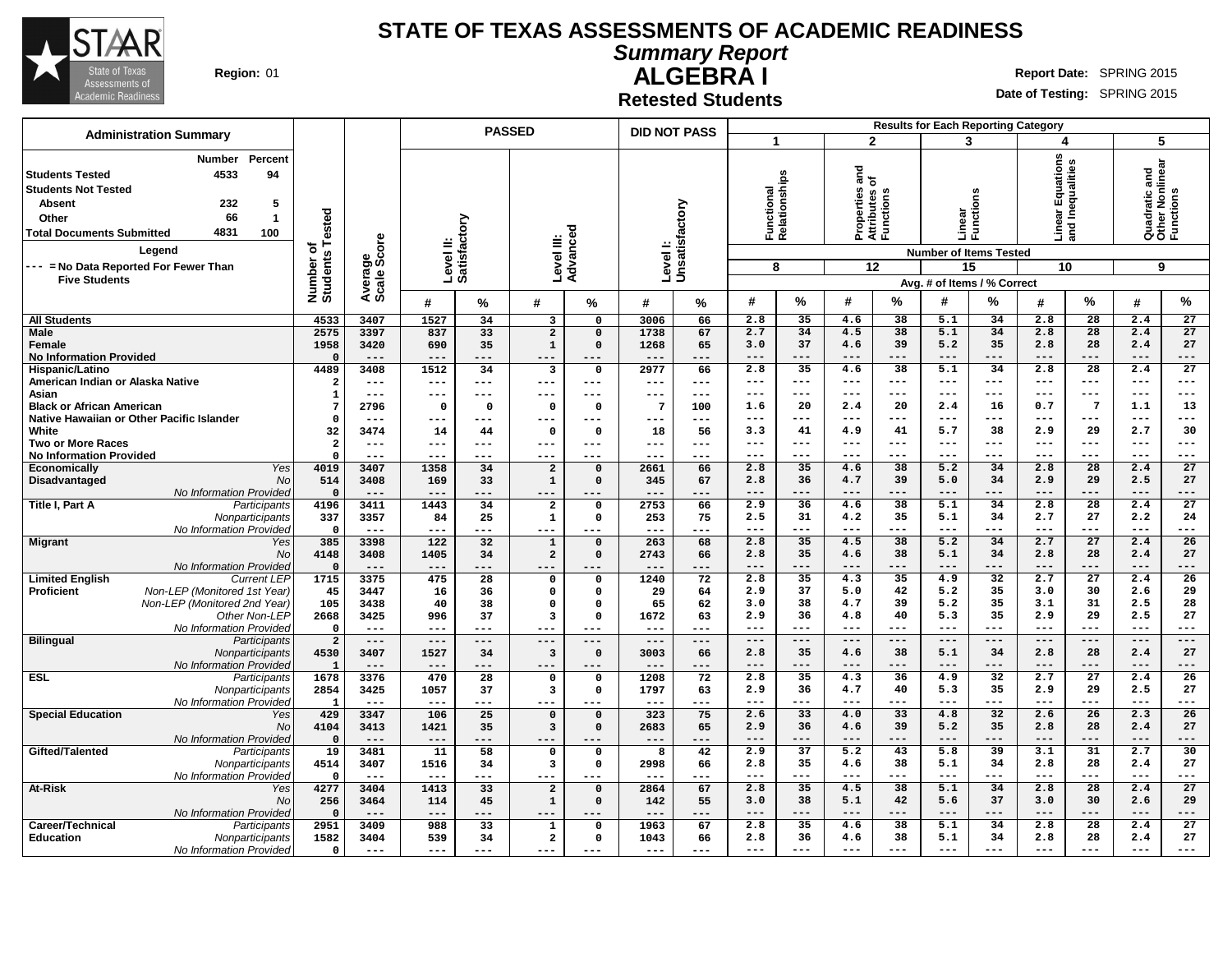

**Summary Report**

**Region:** 01 **Report Date:** SPRING 2015

# **ALGEBRA I Retested Students**

|                                                                                                                                            |                                                                                                                                            |                              |                         |                  |                           | <b>PASSED</b>                           |                            | <b>DID NOT PASS</b> |                  |                                  |                |                                                                     |                    | <b>Results for Each Reporting Category</b>                         |                            |                   |                              |                                                    |                       |
|--------------------------------------------------------------------------------------------------------------------------------------------|--------------------------------------------------------------------------------------------------------------------------------------------|------------------------------|-------------------------|------------------|---------------------------|-----------------------------------------|----------------------------|---------------------|------------------|----------------------------------|----------------|---------------------------------------------------------------------|--------------------|--------------------------------------------------------------------|----------------------------|-------------------|------------------------------|----------------------------------------------------|-----------------------|
|                                                                                                                                            | <b>Administration Summary</b>                                                                                                              |                              |                         |                  |                           |                                         |                            |                     |                  |                                  |                |                                                                     | $\overline{2}$     |                                                                    | 3                          |                   | 4                            | 5                                                  |                       |
| <b>Students Tested</b><br><b>Students Not Tested</b><br><b>Absent</b><br>Other<br><b>Total Documents Submitted</b><br><b>Five Students</b> | Percent<br><b>Number</b><br>4533<br>94<br>232<br>5<br>66<br>$\mathbf{1}$<br>4831<br>100<br>Legend<br>--- = No Data Reported For Fewer Than | Number of<br>Students Tested | ge<br>Score<br>Average: |                  | Level II:<br>Satisfactory | Level III:<br>Advanceo                  | ъ                          | Levell:             | Unsatisfactory   | Functional<br>Relationships<br>8 |                | $\frac{1}{6}$<br>Properties<br>Attributes c<br>Functions<br>$12 \,$ |                    | <b>Number of Items Tested</b><br>15<br>Avg. # of Items / % Correct | w<br>ä<br>Linear<br>Functi | Line<br>and<br>10 | ar Equations<br>Inequalities | Quadratic and<br>Other Nonlinear<br>Functions<br>9 |                       |
|                                                                                                                                            |                                                                                                                                            |                              |                         | #                | %                         | #                                       | %                          | #                   | %                | #                                | %              | #                                                                   | %                  | #                                                                  | ℅                          | #                 | %                            | #                                                  | $\%$                  |
| <b>All Students</b>                                                                                                                        |                                                                                                                                            | 4533                         | 3407                    | 1527             | 34                        | 3                                       | $\mathbf{o}$               | 3006                | 66               | 2.8                              | 35             | 4.6                                                                 | 38                 | 5.1                                                                | 34                         | 2.8               | 28                           | 2.4                                                | 27                    |
| Male                                                                                                                                       |                                                                                                                                            | 2575                         | 3397                    | 837              | 33                        | $\overline{a}$                          | $\mathbf 0$                | 1738                | 67               | 2.7                              | 34             | 4.5                                                                 | 38                 | 5.1                                                                | 34                         | 2.8               | 28                           | 2.4                                                | 27                    |
| Female                                                                                                                                     |                                                                                                                                            | 1958                         | 3420                    | 690              | 35                        | $\mathbf 1$                             | $\mathbf 0$                | 1268                | 65               | 3.0                              | 37             | 4.6                                                                 | 39                 | 5.2                                                                | 35                         | 2.8               | 28                           | 2.4                                                | 27                    |
| <b>No Information Provided</b>                                                                                                             |                                                                                                                                            | $\Omega$<br>4489             | $- - -$<br>3408         | $- - -$<br>1512  | ---<br>34                 | $---$                                   | ---<br>$\mathbf 0$         | $- - -$<br>2977     | ---<br>66        | $- - -$<br>2.8                   | $---$<br>35    | $- - -$<br>4.6                                                      | $- - -$<br>38      | $- - -$<br>5.1                                                     | $- - -$<br>34              | $- - -$<br>2.8    | $---$<br>$\overline{28}$     | $---$<br>2.4                                       | ---<br>27             |
| Hispanic/Latino<br>American Indian or Alaska Native                                                                                        |                                                                                                                                            | $\overline{2}$               | ---                     | $---$            | ---                       | 3<br>$---$                              | ---                        | $- - -$             | $---$            | $---$                            | $- - -$        | $---$                                                               | $---$              | $--$                                                               | $- - -$                    | $\frac{1}{2}$     | $---$                        | $---$                                              | ---                   |
| Asian                                                                                                                                      |                                                                                                                                            | $\mathbf{1}$                 | ---                     | $---$            | ---                       | $---$                                   | ---                        | $---$               | ---              | $---$                            | $- - -$        | $---$                                                               | $---$              | ---                                                                | $- - -$                    | $---$             | $---$                        | $- - -$                                            | ---                   |
| <b>Black or African American</b>                                                                                                           |                                                                                                                                            | 7                            | 2796                    | $\Omega$         | $\mathbf 0$               | $\Omega$                                | $\mathbf 0$                | $7\phantom{.0}$     | 100              | 1.6                              | 20             | 2.4                                                                 | 20                 | 2.4                                                                | 16                         | 0.7               | $\overline{7}$               | 1.1                                                | 13                    |
|                                                                                                                                            | Native Hawaiian or Other Pacific Islander                                                                                                  | $\Omega$                     | ---                     | $-- -$           | ---                       | $---$                                   | ---                        | $--$                | $--$             | $---$                            | $---$          | $---$                                                               | $- - -$            | $---$                                                              | $---$                      | $---$             | $---$                        | $\frac{1}{2}$                                      | ---                   |
| White                                                                                                                                      |                                                                                                                                            | 32                           | 3474                    | 14               | 44                        | $\mathbf 0$                             | $\mathbf 0$                | 18                  | 56               | 3.3                              | 41             | 4.9                                                                 | 41                 | 5.7                                                                | 38                         | 2.9               | 29                           | 2.7                                                | 30                    |
| <b>Two or More Races</b>                                                                                                                   |                                                                                                                                            | $\overline{a}$<br>$\Omega$   | ---<br>$- - -$          | $---$<br>$- - -$ | $- - -$<br>$= -$          | $---$<br>$- - -$                        | ---<br>---                 | $- - -$<br>$- - -$  | $---$<br>$- - -$ | $--$<br>$--$                     | $---$<br>$---$ | ---<br>---                                                          | $- - -$<br>$- - -$ | ---<br>---                                                         | $---$<br>$---$             | $---$<br>---      | $---$<br>---                 | $---$<br>$---$                                     | ---<br>---            |
| <b>No Information Provided</b><br><b>Economically</b>                                                                                      | Yes                                                                                                                                        | 4019                         | 3407                    | 1358             | 34                        | $\overline{\mathbf{2}}$                 | $\mathbf 0$                | 2661                | 66               | 2.8                              | 35             | 4.6                                                                 | 38                 | 5.2                                                                | 34                         | 2.8               | $\overline{28}$              | 2.4                                                | $\overline{27}$       |
| Disadvantaged                                                                                                                              | No                                                                                                                                         | 514                          | 3408                    | 169              | 33                        | $\mathbf 1$                             | $\mathbf 0$                | 345                 | 67               | 2.8                              | 36             | 4.7                                                                 | 39                 | 5.0                                                                | 34                         | 2.9               | 29                           | 2.5                                                | 27                    |
|                                                                                                                                            | No Information Provided                                                                                                                    | $\mathbf 0$                  | $---$                   | $---$            | ---                       | $---$                                   | ---                        | $---$               | ---              | $---$                            | $---$          | $---$                                                               | $---$              | $---$                                                              | $---$                      | $---$             | $---$                        | $---$                                              | ---                   |
| <b>Title I, Part A</b>                                                                                                                     | Participants                                                                                                                               | 4196                         | 3411                    | 1443             | 34                        | $\overline{\mathbf{2}}$                 | $\Omega$                   | 2753                | 66               | 2.9                              | 36             | 4.6                                                                 | 38                 | 5.1                                                                | 34                         | 2.8               | 28                           | 2.4                                                | 27                    |
|                                                                                                                                            | Nonparticipants                                                                                                                            | 337                          | 3357                    | 84               | 25                        | $\mathbf 1$                             | $\mathbf 0$                | 253                 | 75               | 2.5                              | 31             | 4.2                                                                 | 35                 | 5.1                                                                | 34                         | 2.7               | 27                           | 2.2                                                | 24                    |
|                                                                                                                                            | No Information Provideo                                                                                                                    | $\Omega$<br>385              | $- - -$<br>3398         | $---$<br>122     | ---<br>32                 | $---$                                   | ---<br>$\mathbf 0$         | $- - -$<br>263      | ---<br>68        | $- - -$<br>2.8                   | $---$<br>35    | $- - -$<br>4.5                                                      | $- - -$<br>38      | $---$<br>5.2                                                       | $---$<br>34                | $- - -$<br>2.7    | $---$<br>27                  | $---$<br>2.4                                       | ---<br>26             |
| <b>Migrant</b>                                                                                                                             | Yes<br>No                                                                                                                                  | 4148                         | 3408                    | 1405             | 34                        | $\mathbf{1}$<br>$\overline{\mathbf{2}}$ | $\mathbf 0$                | 2743                | 66               | 2.8                              | 35             | 4.6                                                                 | 38                 | 5.1                                                                | 34                         | 2.8               | 28                           | 2.4                                                | 27                    |
|                                                                                                                                            | No Information Provideo                                                                                                                    | $\mathbf 0$                  | $---$                   | $- - -$          | ---                       | $---$                                   | ---                        | $---$               | ---              | $---$                            | $---$          | $---$                                                               | $---$              | $---$                                                              | $---$                      | $---$             | $---$                        | $---$                                              | ---                   |
| <b>Limited English</b>                                                                                                                     | <b>Current LEP</b>                                                                                                                         | 1715                         | 3375                    | 475              | $\overline{28}$           | $\mathbf 0$                             | $\mathbf{o}$               | 1240                | 72               | 2.8                              | 35             | 4.3                                                                 | 35                 | 4.9                                                                | 32                         | 2.7               | $\overline{27}$              | 2.4                                                | 26                    |
| Proficient                                                                                                                                 | Non-LEP (Monitored 1st Year)                                                                                                               | 45                           | 3447                    | 16               | 36                        | $\mathbf 0$                             | $\Omega$                   | 29                  | 64               | 2.9                              | 37             | 5.0                                                                 | 42                 | 5.2                                                                | 35                         | 3.0               | 30                           | 2.6                                                | 29                    |
|                                                                                                                                            | Non-LEP (Monitored 2nd Year)                                                                                                               | 105                          | 3438                    | 40               | 38                        | $\Omega$                                | $\Omega$                   | 65                  | 62               | 3.0                              | 38             | 4.7                                                                 | 39                 | 5.2                                                                | 35                         | 3.1               | 31                           | 2.5                                                | 28                    |
|                                                                                                                                            | Other Non-LEP<br>No Information Provideo                                                                                                   | 2668<br>$\mathbf 0$          | 3425<br>$---$           | 996<br>$- - -$   | 37<br>---                 | $\overline{3}$<br>$- - -$               | $\Omega$                   | 1672<br>$- - -$     | 63<br>$- - -$    | 2.9<br>$---$                     | 36<br>$---$    | 4.8<br>$---$                                                        | 40<br>$- - -$      | 5.3<br>$---$                                                       | 35<br>$---$                | 2.9<br>$---$      | 29<br>$---$                  | 2.5<br>$---$                                       | 27<br>---             |
| <b>Bilingual</b>                                                                                                                           | Participants                                                                                                                               | $\overline{2}$               | $---$                   | $---$            | ---                       | $---$                                   | ---                        | $---$               | ---              | $---$                            | $---$          | $---$                                                               | $---$              | $---$                                                              | $---$                      | $---$             | $---$                        | $---$                                              | ---                   |
|                                                                                                                                            | Nonparticipants                                                                                                                            | 4530                         | 3407                    | 1527             | 34                        | $\mathbf{3}$                            | $\mathbf 0$                | 3003                | 66               | 2.8                              | 35             | 4.6                                                                 | 38                 | 5.1                                                                | 34                         | 2.8               | 28                           | 2.4                                                | 27                    |
|                                                                                                                                            | No Information Provideo                                                                                                                    | $\mathbf{1}$                 | $---$                   | $---$            | ---                       | $---$                                   | ---                        | $---$               | ---              | $---$                            | $---$          | $---$                                                               | $---$              | $---$                                                              | $---$                      | $---$             | $---$                        | $---$                                              | ---                   |
| <b>ESL</b>                                                                                                                                 | Participants                                                                                                                               | 1678                         | 3376                    | 470              | 28                        | $\mathbf 0$                             | $\mathbf 0$                | 1208                | 72               | 2.8                              | 35             | 4.3                                                                 | 36                 | 4.9                                                                | $\overline{32}$            | 2.7               | 27                           | 2.4                                                | 26                    |
|                                                                                                                                            | Nonparticipants                                                                                                                            | 2854                         | 3425                    | 1057             | 37                        | $\overline{\mathbf{3}}$                 | $\mathbf{o}$               | 1797                | 63               | 2.9                              | 36             | 4.7                                                                 | 40                 | 5.3                                                                | 35                         | 2.9               | 29                           | 2.5<br>$---$                                       | 27                    |
| <b>Special Education</b>                                                                                                                   | No Information Provideo<br>Yes                                                                                                             | $\mathbf{1}$<br>429          | $---$<br>3347           | $---$<br>106     | ---<br>25                 | $---$<br>$\mathbf 0$                    | ---<br>$\mathbf 0$         | $- - -$<br>323      | ---<br>75        | $---$<br>2.6                     | $---$<br>33    | $---$<br>4.0                                                        | $---$<br>33        | $---$<br>4.8                                                       | $---$<br>32                | $---$<br>2.6      | $---$<br>26                  | 2.3                                                | ---<br>26             |
|                                                                                                                                            | No                                                                                                                                         | 4104                         | 3413                    | 1421             | 35                        | $\overline{\mathbf{3}}$                 | $\Omega$                   | 2683                | 65               | 2.9                              | 36             | 4.6                                                                 | 39                 | 5.2                                                                | 35                         | 2.8               | 28                           | 2.4                                                | 27                    |
|                                                                                                                                            | No Information Provideo                                                                                                                    | $\mathbf 0$                  | $---$                   | $---$            | ---                       | $---$                                   | ---                        | $---$               | ---              | $---$                            | $---$          | $---$                                                               | $---$              | $---$                                                              | $---$                      | $---$             | $--$                         | $---$                                              | ---                   |
| Gifted/Talented                                                                                                                            | Participants                                                                                                                               | 19                           | 3481                    | 11               | 58                        | $\Omega$                                | $\Omega$                   | 8                   | 42               | 2.9                              | 37             | 5.2                                                                 | 43                 | 5.8                                                                | 39                         | 3.1               | 31                           | 2.7                                                | 30                    |
|                                                                                                                                            | Nonparticipants                                                                                                                            | 4514                         | 3407                    | 1516             | 34                        | 3                                       | $\Omega$                   | 2998                | 66               | 2.8                              | 35             | 4.6                                                                 | 38                 | 5.1                                                                | 34                         | 2.8               | 28                           | 2.4                                                | 27                    |
|                                                                                                                                            | No Information Provided                                                                                                                    | $\Omega$                     | $- - -$                 | $- - -$          | ---                       | $- - -$                                 | $- - -$                    |                     | ---              | $- - -$                          | $---$          | $---$                                                               | $---$              | $---$                                                              | $---$                      | $- - -$           | $---$                        | $---$                                              | ---                   |
| At-Risk                                                                                                                                    | Yes<br>No                                                                                                                                  | 4277<br>256                  | 3404<br>3464            | 1413<br>114      | 33<br>45                  | $\overline{\mathbf{2}}$<br>$\mathbf 1$  | $\mathbf 0$<br>$\mathbf 0$ | 2864<br>142         | 67<br>55         | 2.8<br>3.0                       | 35<br>38       | 4.5<br>5.1                                                          | 38<br>42           | 5.1<br>5.6                                                         | 34<br>37                   | 2.8<br>3.0        | $\overline{28}$<br>30        | 2.4<br>2.6                                         | $\overline{27}$<br>29 |
|                                                                                                                                            | No Information Provided                                                                                                                    | $\mathbf 0$                  | $---$                   | $---$            | ---                       | $---$                                   | ---                        | $---$               | ---              | $---$                            | $---$          | $---$                                                               | $---$              | $---$                                                              | $---$                      | $---$             | $---$                        | $---$                                              | $---$                 |
| Career/Technical                                                                                                                           | Participants                                                                                                                               | 2951                         | 3409                    | 988              | 33                        | 1                                       | $\Omega$                   | 1963                | 67               | 2.8                              | 35             | 4.6                                                                 | 38                 | 5.1                                                                | 34                         | 2.8               | 28                           | 2.4                                                | 27                    |
| <b>Education</b>                                                                                                                           | Nonparticipants                                                                                                                            | 1582                         | 3404                    | 539              | 34                        | $\mathbf{2}$                            | $\mathbf 0$                | 1043                | 66               | 2.8                              | 36             | 4.6                                                                 | 38                 | 5.1                                                                | 34                         | 2.8               | 28                           | 2.4                                                | 27                    |
|                                                                                                                                            | No Information Provided                                                                                                                    | $\mathbf 0$                  | $---$                   | $---$            | ---                       | ---                                     | ---                        | $--$                | ---              | $- - -$                          | $- - -$        | $---$                                                               | $- - -$            | $---$                                                              | $- - -$                    | $- - -$           | $- - -$                      | $---$                                              | ---                   |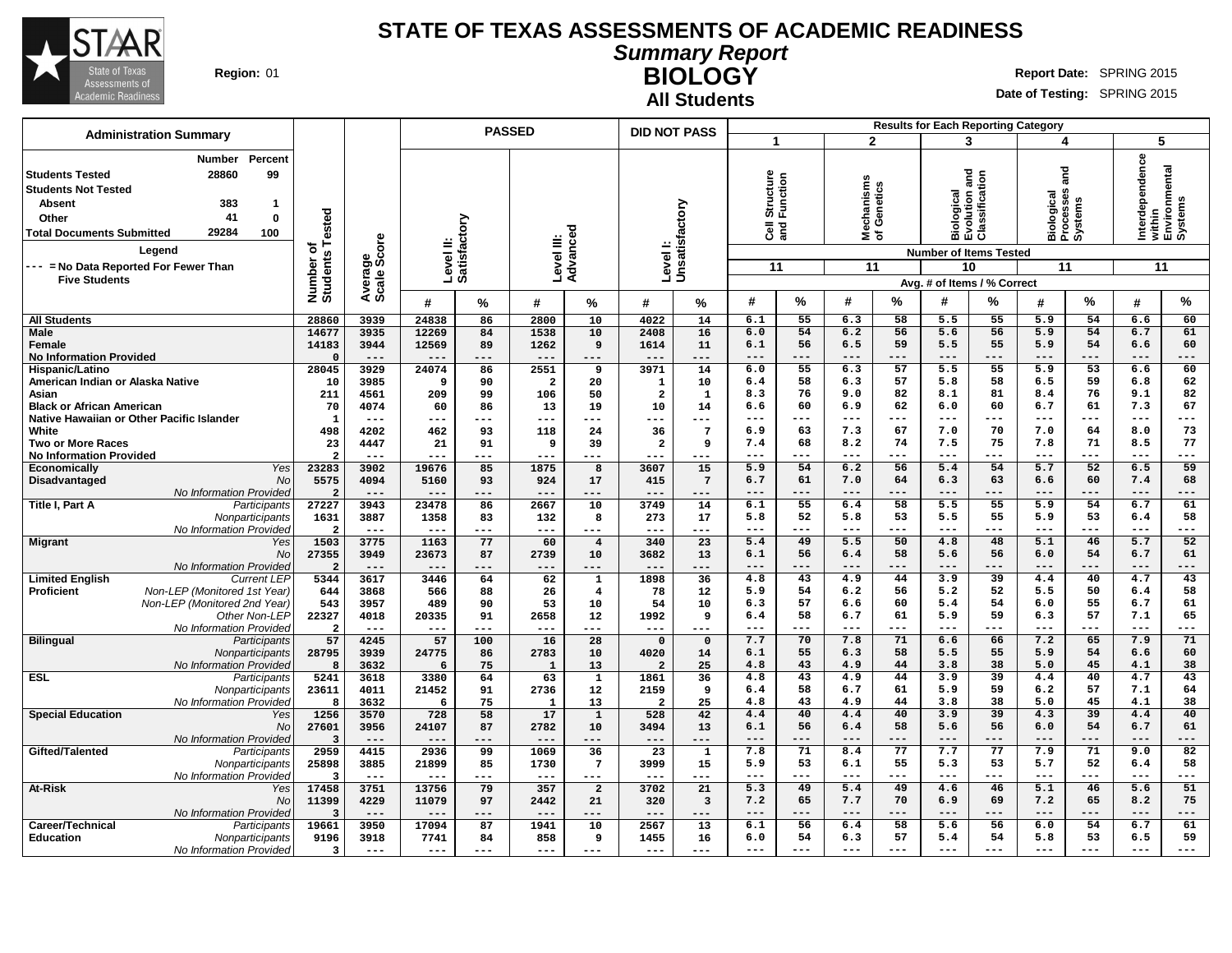

**All Students**

#### **Summary Report BIOLOGY Region:** 01 **RIGHT REPORT IN REPORT IN REPORT OF A REPORT OF REPORT OF REPORT OF REPORT OF REPORT OF REPORT OF REPORT OF REPORT OF REPORT OF REPORT OF REPORT OF REPORT OF REPORT OF REPORT OF REPORT OF REPORT OF REPORT OF**

|                                                                                                                                                                                                                                                                                                |                                      |                                |                           | <b>PASSED</b> |                |                      | <b>DID NOT PASS</b>   |                            |                                                    |             |                            | <b>Results for Each Reporting Category</b> |                                                            |                                                              |                                                 |                          |                                                             |                 |
|------------------------------------------------------------------------------------------------------------------------------------------------------------------------------------------------------------------------------------------------------------------------------------------------|--------------------------------------|--------------------------------|---------------------------|---------------|----------------|----------------------|-----------------------|----------------------------|----------------------------------------------------|-------------|----------------------------|--------------------------------------------|------------------------------------------------------------|--------------------------------------------------------------|-------------------------------------------------|--------------------------|-------------------------------------------------------------|-----------------|
| <b>Administration Summary</b>                                                                                                                                                                                                                                                                  |                                      |                                |                           |               |                |                      |                       |                            | 1                                                  |             | $\overline{2}$             |                                            | 3                                                          |                                                              | 4                                               |                          | 5                                                           |                 |
| Percent<br>Number<br>28860<br>99<br><b>Students Tested</b><br><b>Students Not Tested</b><br><b>Absent</b><br>383<br>$\mathbf{1}$<br>41<br>$\mathbf{0}$<br>Other<br>29284<br>100<br><b>Total Documents Submitted</b><br>Legend<br>--- = No Data Reported For Fewer Than<br><b>Five Students</b> | Tested<br>৳<br>Number of<br>Students | ige<br>Score<br>Avera<br>Scale | Level II:<br>Satisfactory |               | Level III:     | Advanced             |                       | Level I:<br>Unsatisfactory | tructure<br>Structure<br>Function<br>ិច ខ្ពុ<br>11 |             | hanisms<br>မွ<br>≊ঁਠ<br>11 | Genetics                                   | and<br>Biological<br>Evolution ano<br>Classificatior<br>10 | <b>Number of Items Tested</b><br>Avg. # of Items / % Correct | and<br>Biological<br>Processes<br>Systems<br>11 |                          | Interdependence<br>within<br>Environmental<br>Systems<br>11 |                 |
|                                                                                                                                                                                                                                                                                                |                                      |                                | #                         | %             | #              | %                    | #                     | %                          | #                                                  | %           | #                          | %                                          | #                                                          | %                                                            | #                                               | %                        | #                                                           | %               |
| <b>All Students</b>                                                                                                                                                                                                                                                                            | 28860                                | 3939                           | 24838                     | 86            | 2800           | 10                   | 4022                  | 14                         | 6.1                                                | 55          | 6.3                        | 58                                         | 5.5                                                        | 55                                                           | 5.9                                             | 54                       | 6.6                                                         | 60              |
| <b>Male</b>                                                                                                                                                                                                                                                                                    | 14677                                | 3935                           | 12269                     | 84            | 1538           | 10                   | 2408                  | 16                         | 6.0                                                | 54          | 6.2                        | 56                                         | 5.6                                                        | 56                                                           | 5.9                                             | 54                       | 6.7                                                         | 61              |
| Female                                                                                                                                                                                                                                                                                         | 14183                                | 3944                           | 12569                     | 89            | 1262           | 9                    | 1614                  | 11                         | 6.1                                                | 56          | 6.5                        | 59                                         | 5.5                                                        | 55                                                           | 5.9                                             | 54                       | 6.6                                                         | 60              |
| <b>No Information Provided</b>                                                                                                                                                                                                                                                                 | $\Omega$<br>28045                    | $---$<br>3929                  | $---$<br>24074            | ---<br>86     | $---$<br>2551  | ---<br>9             | $---$<br>3971         | $---$<br>14                | $---$<br>6.0                                       | $---$<br>55 | $---$<br>6.3               | $---$<br>57                                | $-- -$<br>5.5                                              | $---$<br>55                                                  | $---$<br>5.9                                    | $---$<br>$\overline{53}$ | $---$<br>6.6                                                | ---<br>60       |
| Hispanic/Latino<br>American Indian or Alaska Native                                                                                                                                                                                                                                            | 10                                   | 3985                           | 9                         | 90            | $\overline{2}$ | 20                   | 1                     | 10                         | 6.4                                                | 58          | 6.3                        | 57                                         | 5.8                                                        | 58                                                           | 6.5                                             | 59                       | 6.8                                                         | 62              |
| Asian                                                                                                                                                                                                                                                                                          | 211                                  | 4561                           | 209                       | 99            | 106            | 50                   | $\overline{2}$        | 1                          | 8.3                                                | 76          | 9.0                        | 82                                         | 8.1                                                        | 81                                                           | 8.4                                             | 76                       | 9.1                                                         | 82              |
| <b>Black or African American</b>                                                                                                                                                                                                                                                               | 70                                   | 4074                           | 60                        | 86            | 13             | 19                   | 10                    | 14                         | 6.6                                                | 60          | 6.9                        | 62                                         | 6.0                                                        | 60                                                           | 6.7                                             | 61                       | 7.3                                                         | 67              |
| Native Hawaiian or Other Pacific Islander                                                                                                                                                                                                                                                      | 1                                    | $---$                          | ---                       | $---$         | ---            | ---                  | ---                   | $---$                      | $- - -$                                            | $---$       | $- - -$                    | $---$                                      | $\frac{1}{2}$                                              | $---$                                                        | $---$                                           | $---$                    | $---$                                                       | ---             |
| White                                                                                                                                                                                                                                                                                          | 498                                  | 4202                           | 462                       | 93            | 118            | 24                   | 36                    | $7\phantom{.0}$            | 6.9                                                | 63          | 7.3                        | 67                                         | 7.0                                                        | 70                                                           | 7.0                                             | 64                       | 8.0                                                         | 73              |
| <b>Two or More Races</b>                                                                                                                                                                                                                                                                       | 23<br>-2                             | 4447<br>$- - -$                | 21<br>---                 | 91<br>---     | 9<br>$- - -$   | 39<br>---            | $\overline{2}$<br>--- | 9<br>$---$                 | 7.4<br>$---$                                       | 68<br>$---$ | 8.2<br>$---$               | 74<br>$- - -$                              | 7.5<br>$---$                                               | 75<br>$---$                                                  | 7.8<br>$---$                                    | 71<br>$---$              | 8.5<br>$---$                                                | 77<br>---       |
| <b>No Information Provided</b><br>Yes<br>Economically                                                                                                                                                                                                                                          | 23283                                | 3902                           | 19676                     | 85            | 1875           | 8                    | 3607                  | 15                         | 5.9                                                | 54          | 6.2                        | 56                                         | 5.4                                                        | 54                                                           | 5.7                                             | 52                       | 6.5                                                         | 59              |
| Disadvantaged<br><b>No</b>                                                                                                                                                                                                                                                                     | 5575                                 | 4094                           | 5160                      | 93            | 924            | 17                   | 415                   | $7\phantom{.0}$            | 6.7                                                | 61          | 7.0                        | 64                                         | 6.3                                                        | 63                                                           | 6.6                                             | 60                       | 7.4                                                         | 68              |
| No Information Provided                                                                                                                                                                                                                                                                        | $\overline{2}$                       |                                |                           | ---           |                |                      | ---                   | $---$                      |                                                    | $---$       | $---$                      | $--$                                       | $- - -$                                                    | $---$                                                        | $---$                                           | $---$                    | $---$                                                       | ---             |
| Title I, Part A<br>Participants                                                                                                                                                                                                                                                                | 27227                                | 3943                           | 23478                     | 86            | 2667           | 10                   | 3749                  | 14                         | 6.1                                                | 55          | 6.4                        | 58                                         | 5.5                                                        | 55                                                           | 5.9                                             | 54                       | 6.7                                                         | 61              |
| Nonparticipants                                                                                                                                                                                                                                                                                | 1631                                 | 3887                           | 1358                      | 83            | 132            | 8                    | 273                   | 17                         | 5.8                                                | 52          | 5.8                        | 53                                         | 5.5                                                        | 55                                                           | 5.9                                             | 53                       | 6.4                                                         | 58              |
| No Information Provided                                                                                                                                                                                                                                                                        | $\overline{2}$<br>1503               | $---$<br>3775                  | $  -$<br>1163             | $---$<br>77   | $---$<br>60    | $---$                | $---$<br>340          | $---$<br>23                | $---$<br>5.4                                       | $---$<br>49 | $---$<br>5.5               | $---$<br>50                                | $- - -$<br>4.8                                             | $---$<br>48                                                  | $- - -$<br>5.1                                  | $---$<br>46              | $---$<br>5.7                                                | ---<br>52       |
| <b>Migrant</b><br>Yes<br>No                                                                                                                                                                                                                                                                    | 27355                                | 3949                           | 23673                     | 87            | 2739           | $\overline{4}$<br>10 | 3682                  | 13                         | 6.1                                                | 56          | 6.4                        | 58                                         | 5.6                                                        | 56                                                           | 6.0                                             | 54                       | 6.7                                                         | 61              |
| No Information Provided                                                                                                                                                                                                                                                                        | $\overline{2}$                       | $---$                          | $---$                     | ---           | $---$          | ---                  | $---$                 | $---$                      | $---$                                              | ---         | $---$                      | $---$                                      | $---$                                                      | $---$                                                        | $---$                                           | $---$                    | $---$                                                       | ---             |
| <b>Limited English</b><br><b>Current LEP</b>                                                                                                                                                                                                                                                   | 5344                                 | 3617                           | 3446                      | 64            | 62             | $\mathbf 1$          | 1898                  | 36                         | 4.8                                                | 43          | 4.9                        | 44                                         | 3.9                                                        | $\overline{39}$                                              | 4.4                                             | 40                       | 4.7                                                         | 43              |
| Non-LEP (Monitored 1st Year)<br><b>Proficient</b>                                                                                                                                                                                                                                              | 644                                  | 3868                           | 566                       | 88            | 26             | 4                    | 78                    | 12                         | 5.9                                                | 54          | 6.2                        | 56                                         | 5.2                                                        | 52                                                           | 5.5                                             | 50                       | 6.4                                                         | 58              |
| Non-LEP (Monitored 2nd Year)                                                                                                                                                                                                                                                                   | 543                                  | 3957                           | 489                       | 90            | 53             | 10                   | 54                    | 10                         | 6.3                                                | 57          | 6.6                        | 60                                         | 5.4                                                        | 54                                                           | 6.0                                             | 55                       | 6.7                                                         | 61              |
| Other Non-LEP<br>No Information Provided                                                                                                                                                                                                                                                       | 22327<br>$\overline{2}$              | 4018<br>$---$                  | 20335<br>---              | 91<br>---     | 2658<br>$---$  | 12<br>---            | 1992<br>$---$         | 9<br>$---$                 | 6.4                                                | 58          | 6.7                        | 61<br>$- - -$                              | 5.9<br>$- - -$                                             | 59<br>$---$                                                  | 6.3<br>$---$                                    | 57<br>$---$              | 7.1<br>$---$                                                | 65<br>---       |
| <b>Bilingual</b><br>Participants                                                                                                                                                                                                                                                               | 57                                   | 4245                           | 57                        | 100           | 16             | 28                   | $\Omega$              | $\mathbf 0$                | 7.7                                                | 70          | 7.8                        | 71                                         | 6.6                                                        | 66                                                           | 7.2                                             | 65                       | 7.9                                                         | $\overline{71}$ |
| Nonparticipants                                                                                                                                                                                                                                                                                | 28795                                | 3939                           | 24775                     | 86            | 2783           | 10                   | 4020                  | 14                         | 6.1                                                | 55          | 6.3                        | 58                                         | 5.5                                                        | 55                                                           | 5.9                                             | 54                       | 6.6                                                         | 60              |
| No Information Provided                                                                                                                                                                                                                                                                        | 8                                    | 3632                           | 6                         | 75            | $\mathbf{1}$   | 13                   | $\overline{2}$        | 25                         | 4.8                                                | 43          | 4.9                        | 44                                         | 3.8                                                        | 38                                                           | 5.0                                             | 45                       | 4.1                                                         | 38              |
| <b>ESL</b><br>Participants                                                                                                                                                                                                                                                                     | 5241                                 | 3618                           | 3380                      | 64            | 63             | $\overline{1}$       | 1861                  | 36                         | 4.8                                                | 43          | 4.9                        | 44                                         | 3.9                                                        | $\overline{39}$                                              | 4.4                                             | 40                       | 4.7                                                         | 43              |
| Nonparticipants                                                                                                                                                                                                                                                                                | 23611                                | 4011                           | 21452                     | 91            | 2736           | 12                   | 2159                  | 9                          | 6.4                                                | 58          | 6.7                        | 61                                         | 5.9                                                        | 59                                                           | 6.2                                             | 57                       | 7.1                                                         | 64              |
| No Information Provided<br><b>Special Education</b><br>Yes                                                                                                                                                                                                                                     | 8<br>1256                            | 3632<br>3570                   | 6<br>728                  | 75<br>58      | 1<br>17        | 13<br>$\mathbf{1}$   | $\overline{2}$<br>528 | 25<br>42                   | 4.8<br>4.4                                         | 43<br>40    | 4.9<br>4.4                 | 44<br>40                                   | 3.8<br>3.9                                                 | 38<br>39                                                     | 5.0<br>4.3                                      | 45<br>39                 | 4.1<br>4.4                                                  | 38<br>40        |
| <b>No</b>                                                                                                                                                                                                                                                                                      | 27601                                | 3956                           | 24107                     | 87            | 2782           | 10                   | 3494                  | 13                         | 6.1                                                | 56          | 6.4                        | 58                                         | 5.6                                                        | 56                                                           | 6.0                                             | 54                       | 6.7                                                         | 61              |
| No Information Provided                                                                                                                                                                                                                                                                        | 3                                    | $---$                          | ---                       |               | $---$          | ---                  | ---                   | $---$                      | $---$                                              | $---$       | $---$                      | $---$                                      | $---$                                                      | $---$                                                        | $---$                                           | $---$                    | $---$                                                       | ---             |
| Gifted/Talented<br>Participants                                                                                                                                                                                                                                                                | 2959                                 | 4415                           | 2936                      | 99            | 1069           | 36                   | 23                    | $\mathbf{1}$               | 7.8                                                | 71          | 8.4                        | 77                                         | 7.7                                                        | 77                                                           | 7.9                                             | 71                       | 9.0                                                         | 82              |
| Nonparticipants                                                                                                                                                                                                                                                                                | 25898                                | 3885                           | 21899                     | 85            | 1730           | $7\phantom{.0}$      | 3999                  | 15                         | 5.9                                                | 53          | 6.1                        | 55                                         | 5.3                                                        | 53                                                           | 5.7                                             | 52                       | 6.4                                                         | 58              |
| No Information Provided                                                                                                                                                                                                                                                                        | $\overline{\mathbf{3}}$              | $---$                          | $---$                     | $---$         | $---$          | ---                  | ---                   | $---$                      | $- - -$                                            | $---$       | $- - -$                    | $---$                                      | $- - -$                                                    | $---$                                                        | $---$                                           | $---$                    | $---$                                                       | ---             |
| <b>At-Risk</b><br>Yes<br>No                                                                                                                                                                                                                                                                    | 17458<br>11399                       | 3751<br>4229                   | 13756                     | 79            | 357            | $\overline{a}$       | 3702                  | 21                         | 5.3<br>7.2                                         | 49<br>65    | 5.4<br>7.7                 | 49<br>70                                   | 4.6<br>6.9                                                 | 46<br>69                                                     | 5.1<br>7.2                                      | 46<br>65                 | 5.6<br>8.2                                                  | 51<br>75        |
| No Information Provided                                                                                                                                                                                                                                                                        | 3                                    | $---$                          | 11079<br>$---$            | 97<br>---     | 2442<br>$---$  | 21<br>---            | 320<br>---            | 3<br>$---$                 | $---$                                              | $---$       | $---$                      | $---$                                      | $---$                                                      | $---$                                                        | $---$                                           | $---$                    | $---$                                                       | ---             |
| Career/Technical<br>Participants                                                                                                                                                                                                                                                               | 19661                                | 3950                           | 17094                     | 87            | 1941           | 10                   | 2567                  | 13                         | 6.1                                                | 56          | 6.4                        | 58                                         | 5.6                                                        | 56                                                           | 6.0                                             | 54                       | 6.7                                                         | 61              |
| <b>Education</b><br>Nonparticipants                                                                                                                                                                                                                                                            | 9196                                 | 3918                           | 7741                      | 84            | 858            | 9                    | 1455                  | 16                         | 6.0                                                | 54          | 6.3                        | 57                                         | 5.4                                                        | 54                                                           | 5.8                                             | 53                       | 6.5                                                         | 59              |
| No Information Provided                                                                                                                                                                                                                                                                        | 3                                    | $- - -$                        | $---$                     | ---           | $---$          |                      | $---$                 | $---$                      | $- - -$                                            | $- - -$     | $- - -$                    | $- - -$                                    | $- - -$                                                    | $- - -$                                                      | $- - -$                                         | $- - -$                  | $- - -$                                                     | ---             |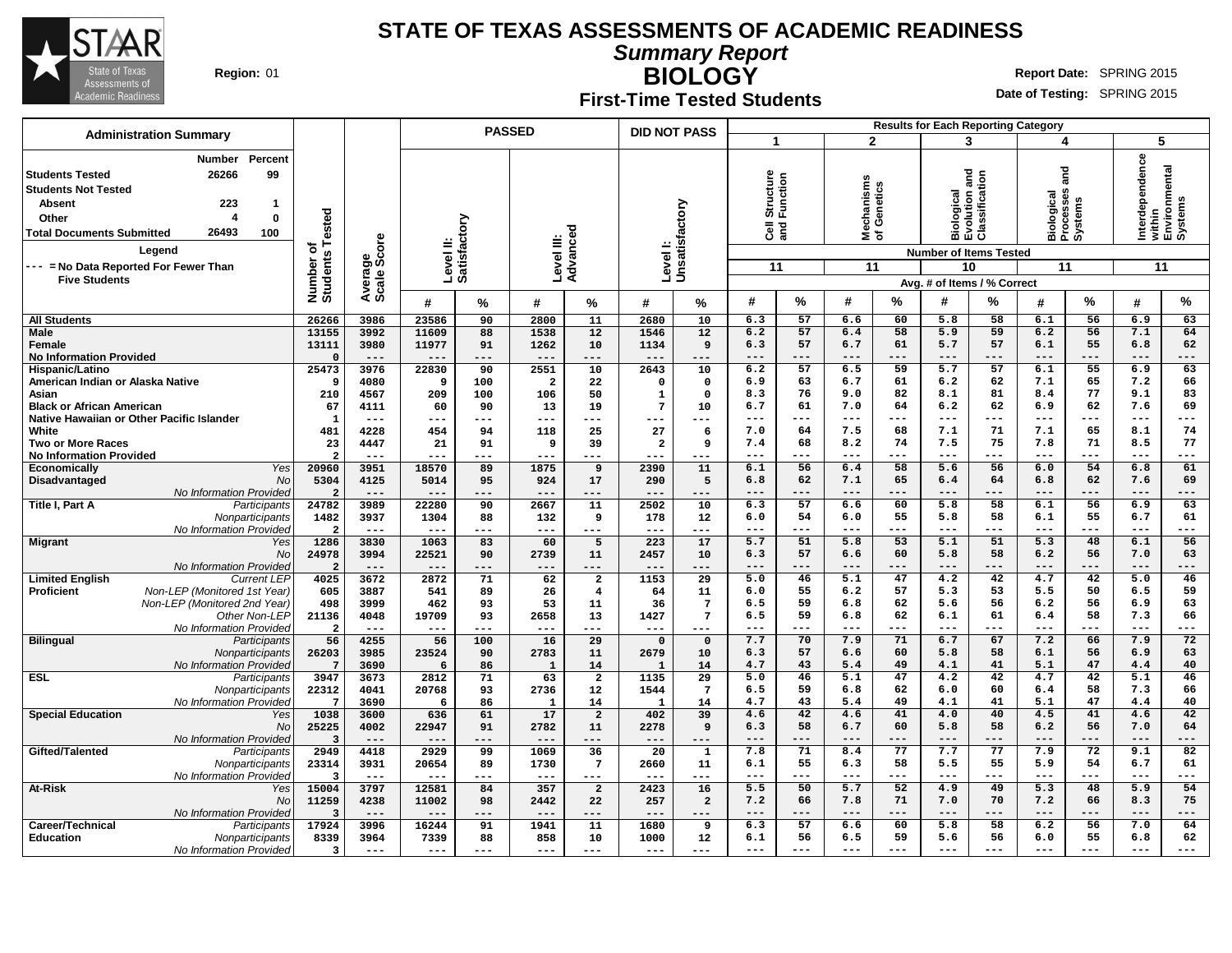

**Summary Report**

**Region:** 01 **RIGHT REPORT IN REPORT IN REPORT OF A REPORT OF REPORT OF REPORT OF REPORT OF REPORT OF REPORT OF REPORT OF REPORT OF REPORT OF REPORT OF REPORT OF REPORT OF REPORT OF REPORT OF REPORT OF REPORT OF REPORT OF** 

# **BIOLOGY First-Time Tested Students**

|                                                                                                                                                                                                                                                                         |                                      |                        |               |                           | <b>PASSED</b>          |                 | <b>DID NOT PASS</b> |                        |                                               |           |                                        |                          |                         | <b>Results for Each Reporting Category</b>                                                                                                    |                                                               |             |                       |                                    |
|-------------------------------------------------------------------------------------------------------------------------------------------------------------------------------------------------------------------------------------------------------------------------|--------------------------------------|------------------------|---------------|---------------------------|------------------------|-----------------|---------------------|------------------------|-----------------------------------------------|-----------|----------------------------------------|--------------------------|-------------------------|-----------------------------------------------------------------------------------------------------------------------------------------------|---------------------------------------------------------------|-------------|-----------------------|------------------------------------|
| <b>Administration Summary</b>                                                                                                                                                                                                                                           |                                      |                        |               |                           |                        |                 |                     |                        | -1                                            |           |                                        | $\overline{2}$           |                         | 3                                                                                                                                             | 4                                                             |             | 5                     |                                    |
| Percent<br><b>Number</b><br><b>Students Tested</b><br>26266<br>99<br>Students Not Tested<br>223<br><b>Absent</b><br>1<br>Other<br>4<br>0<br>26493<br>100<br><b>Total Documents Submitted</b><br>Legend<br>--- = No Data Reported For Fewer Than<br><b>Five Students</b> | Tested<br>৳<br>Number of<br>Students | Average<br>Scale Score |               | Level II:<br>Satisfactory | Level III:             | Advance         | Level I:            | Unsatisfactory         | Structure<br>Function<br>$\overline{3}$<br>11 |           | lechanisms<br>f Genetics<br>Σँ Շ<br>11 |                          |                         | na<br>an<br>$\epsilon$<br>Biological<br>Evolution anc<br>Classification<br><b>Number of Items Tested</b><br>10<br>Avg. # of Items / % Correct | and<br><b>Ses</b><br>Biological<br>Processes<br>Systems<br>11 |             | Interdependence<br>11 | within<br>Environmental<br>Systems |
|                                                                                                                                                                                                                                                                         |                                      |                        | #             | %                         | #                      | %               | #                   | %                      | #                                             | $\%$      | #                                      | %                        | #                       | $\%$                                                                                                                                          | #                                                             | %           | #                     | $\frac{9}{6}$                      |
| <b>All Students</b>                                                                                                                                                                                                                                                     | 26266                                | 3986                   | 23586         | 90                        | 2800                   | 11              | 2680                | 10                     | 6.3                                           | 57        | 6.6                                    | 60                       | 5.8                     | 58                                                                                                                                            | 6.1                                                           | 56          | 6.9                   | 63                                 |
| Male                                                                                                                                                                                                                                                                    | 13155                                | 3992                   | 11609         | 88                        | 1538                   | 12              | 1546                | 12                     | 6.2                                           | 57        | 6.4                                    | 58                       | 5.9                     | 59                                                                                                                                            | 6.2                                                           | 56          | 7.1                   | 64                                 |
| Female                                                                                                                                                                                                                                                                  | 13111                                | 3980                   | 11977         | 91                        | 1262                   | 10              | 1134                | 9                      | 6.3                                           | 57        | 6.7                                    | 61                       | 5.7                     | 57                                                                                                                                            | 6.1                                                           | 55          | 6.8                   | 62                                 |
| <b>No Information Provided</b>                                                                                                                                                                                                                                          | $\Omega$                             | $---$                  | $---$         | ---                       | $---$                  | ---             | $---$               | ---                    | $---$                                         | ---       | $--$                                   | ---                      | ---                     | $---$                                                                                                                                         | ---                                                           | $---$       | $--$                  | ---                                |
| Hispanic/Latino<br>American Indian or Alaska Native                                                                                                                                                                                                                     | 25473<br>- 9                         | 3976<br>4080           | 22830<br>9    | 90<br>100                 | 2551<br>$\overline{2}$ | 10<br>22        | 2643<br>$\Omega$    | 10<br>$\mathbf 0$      | 6.2<br>6.9                                    | 57<br>63  | 6.5<br>6.7                             | 59<br>61                 | $\overline{5.7}$<br>6.2 | 57<br>62                                                                                                                                      | 6.1<br>7.1                                                    | 55<br>65    | 6.9<br>7.2            | 63<br>66                           |
| Asian                                                                                                                                                                                                                                                                   | 210                                  | 4567                   | 209           | 100                       | 106                    | 50              | $\mathbf{1}$        | $\mathbf 0$            | 8.3                                           | 76        | 9.0                                    | 82                       | 8.1                     | 81                                                                                                                                            | 8.4                                                           | 77          | 9.1                   | 83                                 |
| <b>Black or African American</b>                                                                                                                                                                                                                                        | 67                                   | 4111                   | 60            | 90                        | 13                     | 19              | $7\phantom{.0}$     | 10                     | 6.7                                           | 61        | 7.0                                    | 64                       | 6.2                     | 62                                                                                                                                            | 6.9                                                           | 62          | 7.6                   | 69                                 |
| Native Hawaiian or Other Pacific Islander                                                                                                                                                                                                                               | $\mathbf{1}$                         | $---$                  | $---$         | ---                       | $\qquad \qquad - -$    | ---             | ---                 | ---                    | $---$                                         | $---$     | $---$                                  | $---$                    | ---                     | $\frac{1}{2}$                                                                                                                                 | $---$                                                         | $---$       | $\frac{1}{2}$         | ---                                |
| White                                                                                                                                                                                                                                                                   | 481                                  | 4228                   | 454           | 94                        | 118                    | 25              | 27                  | 6                      | 7.0                                           | 64        | 7.5                                    | 68                       | 7.1                     | 71                                                                                                                                            | 7.1                                                           | 65          | 8.1                   | 74                                 |
| <b>Two or More Races</b>                                                                                                                                                                                                                                                | 23                                   | 4447                   | 21            | 91                        | 9                      | 39              | $\overline{a}$      | ٩                      | 7.4                                           | 68        | 8.2                                    | 74                       | 7.5                     | 75                                                                                                                                            | 7.8                                                           | 71          | 8.5                   | 77                                 |
| <b>No Information Provided</b>                                                                                                                                                                                                                                          | -2                                   | $---$                  | $---$         | ---                       | $---$                  | ---             | $- - -$             | ---                    | $- - -$                                       | ---       | $- - -$                                | $---$                    | $---$                   | ---                                                                                                                                           | $- - -$                                                       | $- - -$     | $---$                 | ---                                |
| Economically<br>Yes                                                                                                                                                                                                                                                     | 20960                                | 3951                   | 18570         | 89                        | 1875                   | 9               | 2390                | 11                     | 6.1                                           | 56        | 6.4                                    | 58                       | 5.6                     | 56                                                                                                                                            | 6.0                                                           | 54          | 6.8                   | 61                                 |
| Disadvantaged<br><b>No</b>                                                                                                                                                                                                                                              | 5304                                 | 4125                   | 5014          | 95                        | 924                    | 17              | 290                 | 5                      | 6.8                                           | 62        | 7.1                                    | 65                       | 6.4                     | 64                                                                                                                                            | 6.8                                                           | 62          | 7.6                   | 69                                 |
| No Information Provided                                                                                                                                                                                                                                                 | $\overline{2}$                       | $---$                  | $---$         | ---                       | ---                    | ---             | $---$               | ---                    |                                               | ---       | $---$                                  | $---$                    |                         |                                                                                                                                               |                                                               | ---         | $---$                 | ---                                |
| Title I, Part A<br>Participants                                                                                                                                                                                                                                         | 24782                                | 3989                   | 22280         | 90                        | 2667                   | ${\bf 11}$      | 2502                | 10                     | 6.3                                           | 57        | 6.6                                    | 60                       | 5.8                     | 58                                                                                                                                            | 6.1                                                           | 56          | 6.9                   | 63                                 |
| Nonparticipants                                                                                                                                                                                                                                                         | 1482                                 | 3937                   | 1304          | 88                        | 132                    | 9               | 178                 | $12 \overline{ }$      | 6.0<br>$\frac{1}{2}$                          | 54<br>--- | 6.0<br>$---$                           | 55                       | 5.8                     | 58                                                                                                                                            | 6.1<br>$---$                                                  | 55<br>$---$ | 6.7<br>$\frac{1}{2}$  | 61                                 |
| No Information Provideo<br><b>Migrant</b>                                                                                                                                                                                                                               | $\overline{2}$<br>1286               | $---$<br>3830          | $---$<br>1063 | ---<br>83                 | ---<br>60              | ---<br>5        | $--$<br>223         | ---<br>$\overline{17}$ | 5.7                                           | 51        | 5.8                                    | $---$<br>$\overline{53}$ | ---<br>5.1              | $---$<br>51                                                                                                                                   | 5.3                                                           | 48          | 6.1                   | ---<br>56                          |
| Yes<br><b>No</b>                                                                                                                                                                                                                                                        | 24978                                | 3994                   | 22521         | 90                        | 2739                   | 11              | 2457                | 10                     | 6.3                                           | 57        | 6.6                                    | 60                       | 5.8                     | 58                                                                                                                                            | 6.2                                                           | 56          | 7.0                   | 63                                 |
| No Information Provideo                                                                                                                                                                                                                                                 | $\overline{2}$                       | $---$                  | ---           | ---                       |                        | ---             | $---$               | ---                    | $- - -$                                       | ---       | $- - -$                                | $- - -$                  | ---                     | $- - -$                                                                                                                                       | $- - -$                                                       | $- - -$     | $- - -$               | ---                                |
| <b>Limited English</b><br><b>Current LEP</b>                                                                                                                                                                                                                            | 4025                                 | 3672                   | 2872          | 71                        | 62                     | $\overline{2}$  | 1153                | $\overline{29}$        | 5.0                                           | 46        | 5.1                                    | 47                       | 4.2                     | 42                                                                                                                                            | 4.7                                                           | 42          | 5.0                   | 46                                 |
| Non-LEP (Monitored 1st Year)<br><b>Proficient</b>                                                                                                                                                                                                                       | 605                                  | 3887                   | 541           | 89                        | 26                     | $\overline{4}$  | 64                  | 11                     | 6.0                                           | 55        | 6.2                                    | 57                       | 5.3                     | 53                                                                                                                                            | 5.5                                                           | 50          | 6.5                   | 59                                 |
| Non-LEP (Monitored 2nd Year)                                                                                                                                                                                                                                            | 498                                  | 3999                   | 462           | 93                        | 53                     | 11              | 36                  | $\overline{7}$         | 6.5                                           | 59        | 6.8                                    | 62                       | 5.6                     | 56                                                                                                                                            | 6.2                                                           | 56          | 6.9                   | 63                                 |
| Other Non-LEP                                                                                                                                                                                                                                                           | 21136                                | 4048                   | 19709         | 93                        | 2658                   | 13              | 1427                | $7\phantom{.0}$        | 6.5                                           | 59        | 6.8                                    | 62                       | 6.1                     | 61                                                                                                                                            | 6.4                                                           | 58          | 7.3                   | 66                                 |
| No Information Provided                                                                                                                                                                                                                                                 | $\overline{2}$                       | $---$                  | ---           | ---                       | $---$                  | ---             | $---$               | ---                    | $---$                                         | $---$     | $---$                                  | $---$                    | $---$                   | $---$                                                                                                                                         | $---$                                                         | $- - -$     | $---$                 | ---                                |
| <b>Bilingual</b><br>Participants                                                                                                                                                                                                                                        | 56                                   | 4255                   | 56            | 100                       | 16                     | 29              | $\Omega$            | $\mathbf 0$            | 7.7                                           | 70        | 7.9                                    | 71                       | 6.7                     | 67                                                                                                                                            | 7.2                                                           | 66          | 7.9                   | 72                                 |
| Nonparticipants                                                                                                                                                                                                                                                         | 26203                                | 3985                   | 23524         | 90                        | 2783                   | 11              | 2679                | 10                     | 6.3                                           | 57        | 6.6                                    | 60                       | 5.8                     | 58                                                                                                                                            | 6.1                                                           | 56          | 6.9                   | 63                                 |
| No Information Provideo                                                                                                                                                                                                                                                 | 7                                    | 3690                   | 6             | 86                        | $\mathbf{1}$           | 14              | $\mathbf{1}$        | 14                     | 4.7                                           | 43        | 5.4                                    | 49                       | 4.1                     | 41                                                                                                                                            | 5.1                                                           | 47          | 4.4                   | 40                                 |
| ESL<br>Participants                                                                                                                                                                                                                                                     | 3947                                 | 3673                   | 2812          | 71                        | 63                     | $\overline{a}$  | 1135                | 29                     | 5.0                                           | 46<br>59  | 5.1                                    | 47                       | 4.2                     | 42                                                                                                                                            | 4.7                                                           | 42<br>58    | 5.1                   | 46                                 |
| Nonparticipants<br>No Information Provideo                                                                                                                                                                                                                              | 22312<br>-7                          | 4041<br>3690           | 20768<br>6    | 93<br>86                  | 2736<br>$\mathbf{1}$   | 12<br>14        | 1544<br>- 1         | $7\phantom{.0}$<br>14  | 6.5<br>4.7                                    | 43        | 6.8<br>5.4                             | 62<br>49                 | 6.0<br>4.1              | 60<br>41                                                                                                                                      | 6.4<br>5.1                                                    | 47          | 7.3<br>4.4            | 66<br>40                           |
| <b>Special Education</b><br>Yes                                                                                                                                                                                                                                         | 1038                                 | 3600                   | 636           | 61                        | 17                     | $\overline{a}$  | 402                 | 39                     | 4.6                                           | 42        | 4.6                                    | 41                       | 4.0                     | 40                                                                                                                                            | 4.5                                                           | 41          | 4.6                   | 42                                 |
| No                                                                                                                                                                                                                                                                      | 25225                                | 4002                   | 22947         | 91                        | 2782                   | 11              | 2278                | 9                      | 6.3                                           | 58        | 6.7                                    | 60                       | 5.8                     | 58                                                                                                                                            | 6.2                                                           | 56          | 7.0                   | 64                                 |
| No Information Provided                                                                                                                                                                                                                                                 | $\overline{3}$                       | $---$                  |               | ---                       | $---$                  | ---             | $---$               | ---                    | $---$                                         | ---       | $---$                                  | $---$                    | ---                     | $---$                                                                                                                                         | $---$                                                         | $---$       | $---$                 | ---                                |
| Gifted/Talented<br>Participants                                                                                                                                                                                                                                         | 2949                                 | 4418                   | 2929          | 99                        | 1069                   | 36              | 20                  | $\mathbf{1}$           | 7.8                                           | 71        | 8.4                                    | 77                       | 7.7                     | 77                                                                                                                                            | 7.9                                                           | 72          | 9.1                   | 82                                 |
| Nonparticipants                                                                                                                                                                                                                                                         | 23314                                | 3931                   | 20654         | 89                        | 1730                   | $7\phantom{.0}$ | 2660                | 11                     | 6.1                                           | 55        | 6.3                                    | 58                       | 5.5                     | 55                                                                                                                                            | 5.9                                                           | 54          | 6.7                   | 61                                 |
| No Information Provided                                                                                                                                                                                                                                                 | -3                                   | $\frac{1}{2}$          | $---$         | ---                       | $---$                  | $---$           | $---$               | ---                    | $---$                                         | ---       | $---$                                  | $---$                    | ---                     | $---$                                                                                                                                         | $---$                                                         | $---$       | $---$                 | ---                                |
| <b>At-Risk</b><br>Yes                                                                                                                                                                                                                                                   | 15004                                | 3797                   | 12581         | 84                        | 357                    | $\overline{a}$  | 2423                | 16                     | 5.5                                           | 50        | 5.7                                    | 52                       | 4.9                     | 49                                                                                                                                            | $\overline{5.3}$                                              | 48          | 5.9                   | 54                                 |
| <b>No</b>                                                                                                                                                                                                                                                               | 11259                                | 4238                   | 11002         | 98                        | 2442                   | 22              | 257                 | $\overline{a}$         | 7.2                                           | 66        | 7.8                                    | 71                       | 7.0                     | 70                                                                                                                                            | 7.2                                                           | 66          | 8.3                   | 75                                 |
| No Information Provideo                                                                                                                                                                                                                                                 | $\overline{3}$                       | $---$                  | $---$         | ---                       | $---$                  | ---             | $- - -$             | ---                    | $---$                                         | ---       | ---                                    | ---                      | ---                     | ---                                                                                                                                           | $---$                                                         | ---         | $---$                 | ---                                |
| Career/Technical<br>Participants                                                                                                                                                                                                                                        | 17924                                | 3996                   | 16244         | 91                        | 1941                   | 11              | 1680                | 9                      | 6.3                                           | 57        | 6.6                                    | 60                       | 5.8                     | 58                                                                                                                                            | 6.2                                                           | 56          | 7.0                   | 64                                 |
| <b>Education</b><br>Nonparticipants                                                                                                                                                                                                                                     | 8339                                 | 3964                   | 7339          | 88                        | 858                    | 10              | 1000                | 12                     | 6.1                                           | 56        | 6.5                                    | 59                       | 5.6                     | 56                                                                                                                                            | 6.0                                                           | 55          | 6.8                   | 62                                 |
| No Information Provided                                                                                                                                                                                                                                                 | $\overline{\mathbf{3}}$              | $---$                  | $---$         | ---                       | $---$                  | ---             | $\frac{1}{2}$       | ---                    | $---$                                         | ---       | $- - -$                                | $---$                    | ---                     | $---$                                                                                                                                         | $---$                                                         | $---$       | $---$                 | ---                                |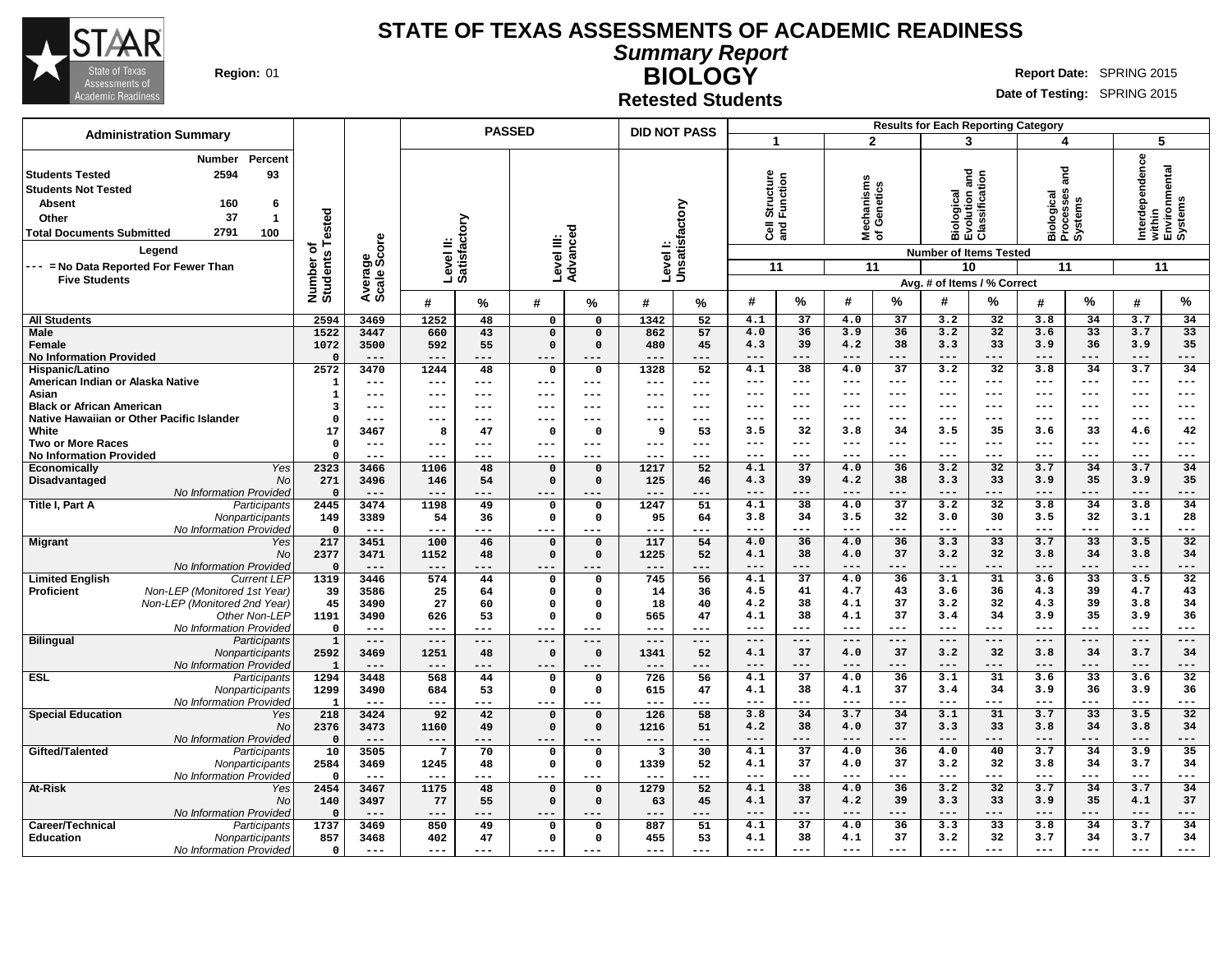

# **STATE OF TEXAS ASSESSMENTS OF ACADEMIC READINESS**

**Summary Report BIOLOGY**

**Region:** 01 **RIGHT REPORT IN REPORT IN REPORT OF A REPORT OF REPORT OF REPORT OF REPORT OF REPORT OF REPORT OF REPORT OF REPORT OF REPORT OF REPORT OF REPORT OF REPORT OF REPORT OF REPORT OF REPORT OF REPORT OF REPORT OF** 

**Date of Testing:** SPRING 2015

**Retested Students**

|                                                                                                                                                                                                                                                                                            |                                      |                                |                           | <b>PASSED</b> |                         |                         | <b>DID NOT PASS</b>     |                              |                                               |                 |                      | <b>Results for Each Reporting Category</b> |                                                              |                                                              |                                                      |                 |                       |                                    |
|--------------------------------------------------------------------------------------------------------------------------------------------------------------------------------------------------------------------------------------------------------------------------------------------|--------------------------------------|--------------------------------|---------------------------|---------------|-------------------------|-------------------------|-------------------------|------------------------------|-----------------------------------------------|-----------------|----------------------|--------------------------------------------|--------------------------------------------------------------|--------------------------------------------------------------|------------------------------------------------------|-----------------|-----------------------|------------------------------------|
| <b>Administration Summary</b>                                                                                                                                                                                                                                                              |                                      |                                |                           |               |                         |                         |                         |                              | 1                                             |                 | $\mathbf{2}$         |                                            | 3                                                            |                                                              | 4                                                    |                 | 5                     |                                    |
| Percent<br><b>Number</b><br>2594<br>93<br><b>Students Tested</b><br><b>Students Not Tested</b><br><b>Absent</b><br>160<br>6<br>37<br>$\overline{1}$<br>Other<br>2791<br><b>Total Documents Submitted</b><br>100<br>Legend<br>--- = No Data Reported For Fewer Than<br><b>Five Students</b> | Tested<br>৳<br>Number of<br>Students | ige<br>Score<br>Avera<br>Scale | Level II:<br>Satisfactory |               | Level III:              | Advanced                |                         | Level I:<br>Unsatisfactory   | Structure<br>Function<br>$\overline{3}$<br>11 |                 | hanisms<br>≊ঁਠ<br>11 | Genetics                                   | <b>Biological<br/>Evolution and<br/>Classification</b><br>10 | <b>Number of Items Tested</b><br>Avg. # of Items / % Correct | ក្ត<br>ត<br>Biological<br>Processes<br>Systems<br>11 |                 | Interdependence<br>11 | within<br>Environmental<br>Systems |
|                                                                                                                                                                                                                                                                                            |                                      |                                | #                         | %             | #                       | ℅                       | #                       | %                            | #                                             | %               | #                    | %                                          | #                                                            | %                                                            | #                                                    | %               | #                     | %                                  |
| <b>All Students</b>                                                                                                                                                                                                                                                                        | 2594                                 | 3469                           | 1252                      | 48            | 0                       | $\Omega$                | 1342                    | 52                           | 4.1                                           | 37              | 4.0                  | 37                                         | 3.2                                                          | 32                                                           | 3.8                                                  | 34              | 3.7                   | 34                                 |
| Male                                                                                                                                                                                                                                                                                       | 1522                                 | 3447                           | 660                       | 43            | $\mathsf{o}\,$          | $\Omega$                | 862                     | 57                           | 4.0                                           | 36              | 3.9                  | 36                                         | 3.2                                                          | 32                                                           | 3.6                                                  | 33              | 3.7                   | 33                                 |
| Female                                                                                                                                                                                                                                                                                     | 1072                                 | 3500                           | 592                       | 55            | $\mathbf 0$             | $\Omega$                | 480                     | 45                           | 4.3                                           | 39              | 4.2                  | 38                                         | 3.3                                                          | 33                                                           | 3.9                                                  | 36              | 3.9                   | 35                                 |
| <b>No Information Provided</b><br>Hispanic/Latino                                                                                                                                                                                                                                          | $\Omega$<br>2572                     | $---$<br>3470                  | $---$<br>1244             | ---<br>48     | $---$<br>$\mathbf 0$    | ---<br>0                | ---<br>1328             | ---<br>52                    | $---$<br>4.1                                  | $---$<br>38     | $---$<br>4.0         | $---$<br>$\overline{37}$                   | $---$<br>3.2                                                 | $---$<br>32                                                  | $---$<br>3.8                                         | ---<br>34       | $---$<br>3.7          | ---<br>34                          |
| American Indian or Alaska Native                                                                                                                                                                                                                                                           | 1                                    | $---$                          | $- - -$                   | ---           | $---$                   | $---$                   | $---$                   | $---$                        | $---$                                         | $---$           | $- - -$              | ---                                        | $- - -$                                                      | $---$                                                        | $---$                                                | ---             | $---$                 | ---                                |
| Asian                                                                                                                                                                                                                                                                                      | 1                                    | $---$                          | ---                       | ---           | $---$                   | $--$                    | ---                     | $\qquad \qquad - -$          | ---                                           | $---$           | $--$                 | ---                                        | $--$                                                         | $---$                                                        | $- - -$                                              | ---             | $\qquad \qquad - -$   | ---                                |
| <b>Black or African American</b>                                                                                                                                                                                                                                                           | $\overline{\mathbf{3}}$              | $---$                          | ---                       | ---           | ---                     | ---                     | ---                     | ---                          | $---$                                         | $---$           | $- - -$              | ---                                        | $- - -$                                                      | $---$                                                        | $---$                                                | $- - -$         | $---$                 | ---                                |
| Native Hawaiian or Other Pacific Islander                                                                                                                                                                                                                                                  | $\Omega$                             | $---$                          | ---                       | ---           | $---$                   | ---                     | ---                     | $---$                        | ---                                           | $--$            | $--$                 | ---                                        | ---                                                          | ---                                                          | $---$                                                | ---             | $---$                 | ---                                |
| White                                                                                                                                                                                                                                                                                      | 17                                   | 3467                           | 8                         | 47            | $\mathbf 0$             | $\Omega$                | 9                       | 53                           | 3.5<br>$---$                                  | 32<br>$---$     | 3.8<br>$- - -$       | 34<br>---                                  | 3.5<br>$---$                                                 | 35<br>$--$                                                   | 3.6<br>$---$                                         | 33<br>$---$     | 4.6<br>$---$          | 42<br>---                          |
| <b>Two or More Races</b><br>No Information Provided                                                                                                                                                                                                                                        | $\mathbf 0$<br>$\Omega$              | $---$<br>$---$                 | ---<br>---                | ---<br>---    | ---<br>$--$             | ---<br>---              | ---<br>---              | $\qquad \qquad - -$<br>$---$ | $- - -$                                       | $---$           | $- - -$              | $---$                                      | $---$                                                        | $---$                                                        | $---$                                                | ---             | $---$                 | ---                                |
| <b>Yes</b><br>Economically                                                                                                                                                                                                                                                                 | 2323                                 | 3466                           | 1106                      | 48            | $\mathbf 0$             | $\Omega$                | 1217                    | 52                           | 4.1                                           | 37              | 4.0                  | 36                                         | 3.2                                                          | 32                                                           | 3.7                                                  | 34              | 3.7                   | 34                                 |
| Disadvantaged<br>No                                                                                                                                                                                                                                                                        | 271                                  | 3496                           | 146                       | 54            | $\mathbf 0$             | $\mathbf 0$             | 125                     | 46                           | 4.3                                           | 39              | 4.2                  | 38                                         | 3.3                                                          | 33                                                           | 3.9                                                  | 35              | 3.9                   | 35                                 |
| No Information Provided                                                                                                                                                                                                                                                                    | $\mathbf{0}$                         | $---$                          |                           | ---           | ---                     |                         | ---                     | ---                          | $---$                                         | $---$           | $---$                | ---                                        | $- - -$                                                      | $---$                                                        | $---$                                                | ---             | $---$                 | ---                                |
| Title I, Part A<br>Participants                                                                                                                                                                                                                                                            | 2445                                 | 3474                           | 1198                      | 49            | $\mathsf{o}$            | 0                       | 1247                    | 51                           | 4.1                                           | 38              | 4.0                  | 37                                         | 3.2                                                          | 32                                                           | 3.8                                                  | 34              | 3.8                   | 34                                 |
| Nonparticipants                                                                                                                                                                                                                                                                            | 149                                  | 3389<br>$---$                  | 54<br>$---$               | 36<br>---     | $\mathsf{o}$<br>$- - -$ | 0<br>$- - -$            | 95<br>---               | 64                           | 3.8<br>$---$                                  | 34<br>$---$     | 3.5<br>$---$         | 32<br>$---$                                | 3.0<br>$---$                                                 | 30<br>$---$                                                  | 3.5<br>$---$                                         | 32<br>---       | 3.1<br>$---$          | 28<br>---                          |
| No Information Provided<br><b>Migrant</b><br>Yes                                                                                                                                                                                                                                           | $\mathbf 0$<br>217                   | 3451                           | 100                       | 46            | $\mathbf 0$             | $\Omega$                | 117                     | $---$<br>54                  | 4.0                                           | 36              | 4.0                  | 36                                         | 3.3                                                          | 33                                                           | 3.7                                                  | 33              | 3.5                   | 32                                 |
| <b>No</b>                                                                                                                                                                                                                                                                                  | 2377                                 | 3471                           | 1152                      | 48            | $\mathsf{o}\,$          | $\mathbf 0$             | 1225                    | 52                           | 4.1                                           | 38              | 4.0                  | 37                                         | 3.2                                                          | 32                                                           | 3.8                                                  | 34              | 3.8                   | 34                                 |
| No Information Provided                                                                                                                                                                                                                                                                    | $\mathbf{0}$                         | $---$                          | $---$                     | ---           | $---$                   | $- - -$                 | $---$                   | ---                          | $---$                                         | $---$           | $---$                | $---$                                      | $---$                                                        | $---$                                                        | $---$                                                | ---             | $---$                 | ---                                |
| <b>Limited English</b><br><b>Current LEP</b>                                                                                                                                                                                                                                               | 1319                                 | 3446                           | 574                       | 44            | $\mathbf 0$             | 0                       | 745                     | 56                           | 4.1                                           | $\overline{37}$ | 4.0                  | 36                                         | 3.1                                                          | 31                                                           | 3.6                                                  | $\overline{33}$ | 3.5                   | 32                                 |
| Proficient<br>Non-LEP (Monitored 1st Year)                                                                                                                                                                                                                                                 | 39                                   | 3586                           | 25                        | 64            | $\mathsf{o}\,$          | $\Omega$                | 14                      | 36                           | 4.5                                           | 41              | 4.7                  | 43                                         | 3.6                                                          | 36                                                           | 4.3                                                  | 39              | 4.7                   | 43                                 |
| Non-LEP (Monitored 2nd Year)<br>Other Non-LEP                                                                                                                                                                                                                                              | 45<br>1191                           | 3490<br>3490                   | 27<br>626                 | 60<br>53      | $\Omega$<br>$\mathbf 0$ | $\Omega$<br>$\mathbf 0$ | 18<br>565               | 40<br>47                     | 4.2<br>4.1                                    | 38<br>38        | 4.1<br>4.1           | 37<br>37                                   | 3.2<br>3.4                                                   | 32<br>34                                                     | 4.3<br>3.9                                           | 39<br>35        | 3.8<br>3.9            | 34<br>36                           |
| No Information Provided                                                                                                                                                                                                                                                                    | $\mathbf 0$                          | $- - -$                        | ---                       | ---           | $- - -$                 | $--$                    | $---$                   | $---$                        | ---                                           | $---$           | $---$                | $---$                                      | $---$                                                        | $---$                                                        | $---$                                                | ---             | $\qquad \qquad - -$   | ---                                |
| <b>Bilingual</b><br>Participants                                                                                                                                                                                                                                                           | $\mathbf{1}$                         | $---$                          | $---$                     | $-- -$        | $---$                   | $---$                   | $---$                   | $---$                        | $---$                                         | $---$           | $---$                | $---$                                      | $---$                                                        | $---$                                                        | $---$                                                | $---$           | $---$                 | $\qquad \qquad - -$                |
| Nonparticipants                                                                                                                                                                                                                                                                            | 2592                                 | 3469                           | 1251                      | 48            | $\mathbf 0$             | $\mathbf 0$             | 1341                    | 52                           | 4.1                                           | 37              | 4.0                  | 37                                         | 3.2                                                          | 32                                                           | 3.8                                                  | 34              | 3.7                   | 34                                 |
| No Information Provided                                                                                                                                                                                                                                                                    | $\mathbf{1}$                         | $---$                          | $---$                     | ---           | $---$                   | ---                     | ---                     | ---                          | ---                                           | ---             | $- -$                | $---$                                      | $---$                                                        | $---$                                                        | $---$                                                | ---             | $---$                 | ---                                |
| ESL<br>Participants                                                                                                                                                                                                                                                                        | 1294                                 | 3448                           | 568                       | 44            | $\Omega$                | $\Omega$                | 726                     | 56                           | 4.1                                           | $\overline{37}$ | 4.0                  | $\overline{36}$                            | 3.1                                                          | $\overline{31}$                                              | 3.6                                                  | $\overline{33}$ | 3.6                   | $\overline{32}$                    |
| Nonparticipants<br>No Information Provided                                                                                                                                                                                                                                                 | 1299<br>$\mathbf{1}$                 | 3490<br>$---$                  | 684<br>---                | 53<br>---     | 0<br>$\frac{1}{2}$      | $\Omega$<br>$---$       | 615<br>$---$            | 47<br>$---$                  | 4.1<br>$---$                                  | 38<br>$---$     | 4.1<br>$\frac{1}{2}$ | 37<br>$---$                                | 3.4<br>$---$                                                 | 34<br>$---$                                                  | 3.9<br>$\frac{1}{2}$                                 | 36<br>---       | 3.9<br>$---$          | 36<br>---                          |
| <b>Special Education</b><br>Yes                                                                                                                                                                                                                                                            | 218                                  | 3424                           | 92                        | 42            | $\mathbf 0$             | $\Omega$                | 126                     | 58                           | 3.8                                           | 34              | 3.7                  | 34                                         | 3.1                                                          | 31                                                           | 3.7                                                  | $\overline{33}$ | 3.5                   | 32                                 |
| No                                                                                                                                                                                                                                                                                         | 2376                                 | 3473                           | 1160                      | 49            | $\Omega$                | $\Omega$                | 1216                    | 51                           | 4.2                                           | 38              | 4.0                  | 37                                         | 3.3                                                          | 33                                                           | 3.8                                                  | 34              | 3.8                   | 34                                 |
| No Information Provided                                                                                                                                                                                                                                                                    | $\mathbf 0$                          | $---$                          | $---$                     | ---           | $---$                   | ---                     | $---$                   | ---                          | $---$                                         | $---$           | $---$                | $---$                                      | $---$                                                        | $---$                                                        | $---$                                                | ---             | $---$                 | ---                                |
| Gifted/Talented<br>Participants                                                                                                                                                                                                                                                            | 10                                   | 3505                           | $7\phantom{.0}$           | 70            | $\mathbf 0$             | 0                       | $\overline{\mathbf{3}}$ | 30                           | 4.1                                           | 37              | 4.0                  | 36                                         | 4.0                                                          | 40                                                           | 3.7                                                  | 34              | 3.9                   | 35                                 |
| Nonparticipants                                                                                                                                                                                                                                                                            | 2584                                 | 3469                           | 1245                      | 48            | $\mathsf{o}\,$          | $\Omega$                | 1339                    | 52                           | 4.1                                           | 37              | 4.0                  | 37                                         | 3.2                                                          | 32                                                           | 3.8                                                  | 34              | 3.7                   | 34                                 |
| No Information Provided<br><b>At-Risk</b><br>Yes                                                                                                                                                                                                                                           | $\mathbf 0$<br>2454                  | $\qquad \qquad - -$<br>3467    | $---$<br>1175             | ---<br>48     | ---<br>$\mathbf 0$      | $\mathbf 0$             | 1279                    | ---<br>52                    | $---$<br>4.1                                  | $--$<br>38      | $--$<br>4.0          | ---<br>36                                  | $--$<br>3.2                                                  | $---$<br>32                                                  | $---$<br>3.7                                         | ---<br>34       | $---$<br>3.7          | ---<br>34                          |
| No                                                                                                                                                                                                                                                                                         | 140                                  | 3497                           | 77                        | 55            | $\mathbf 0$             | $\Omega$                | 63                      | 45                           | 4.1                                           | 37              | 4.2                  | 39                                         | 3.3                                                          | 33                                                           | 3.9                                                  | 35              | 4.1                   | 37                                 |
| No Information Provided                                                                                                                                                                                                                                                                    | $\Omega$                             | $---$                          | $-$                       | ---           |                         |                         | ---                     | ---                          | $---$                                         | $---$           | $---$                | $---$                                      | $- - -$                                                      | $---$                                                        | $---$                                                | ---             | $---$                 | ---                                |
| Career/Technical<br>Participants                                                                                                                                                                                                                                                           | 1737                                 | 3469                           | 850                       | 49            | $\Omega$                | $\Omega$                | 887                     | 51                           | 4.1                                           | 37              | 4.0                  | 36                                         | 3.3                                                          | 33                                                           | 3.8                                                  | 34              | 3.7                   | 34                                 |
| <b>Education</b><br>Nonparticipants                                                                                                                                                                                                                                                        | 857                                  | 3468                           | 402                       | 47            | 0                       | $\Omega$                | 455                     | 53                           | 4.1                                           | 38              | 4.1                  | 37                                         | 3.2                                                          | 32                                                           | 3.7                                                  | 34              | 3.7                   | 34                                 |
| No Information Provided                                                                                                                                                                                                                                                                    | $\mathbf 0$                          | $---$                          | $---$                     | ---           | ---                     | ---                     | ---                     | ---                          | $---$                                         | $-- -$          | $---$                | $---$                                      | $---$                                                        | $---$                                                        | $---$                                                | ---             | $---$                 | ---                                |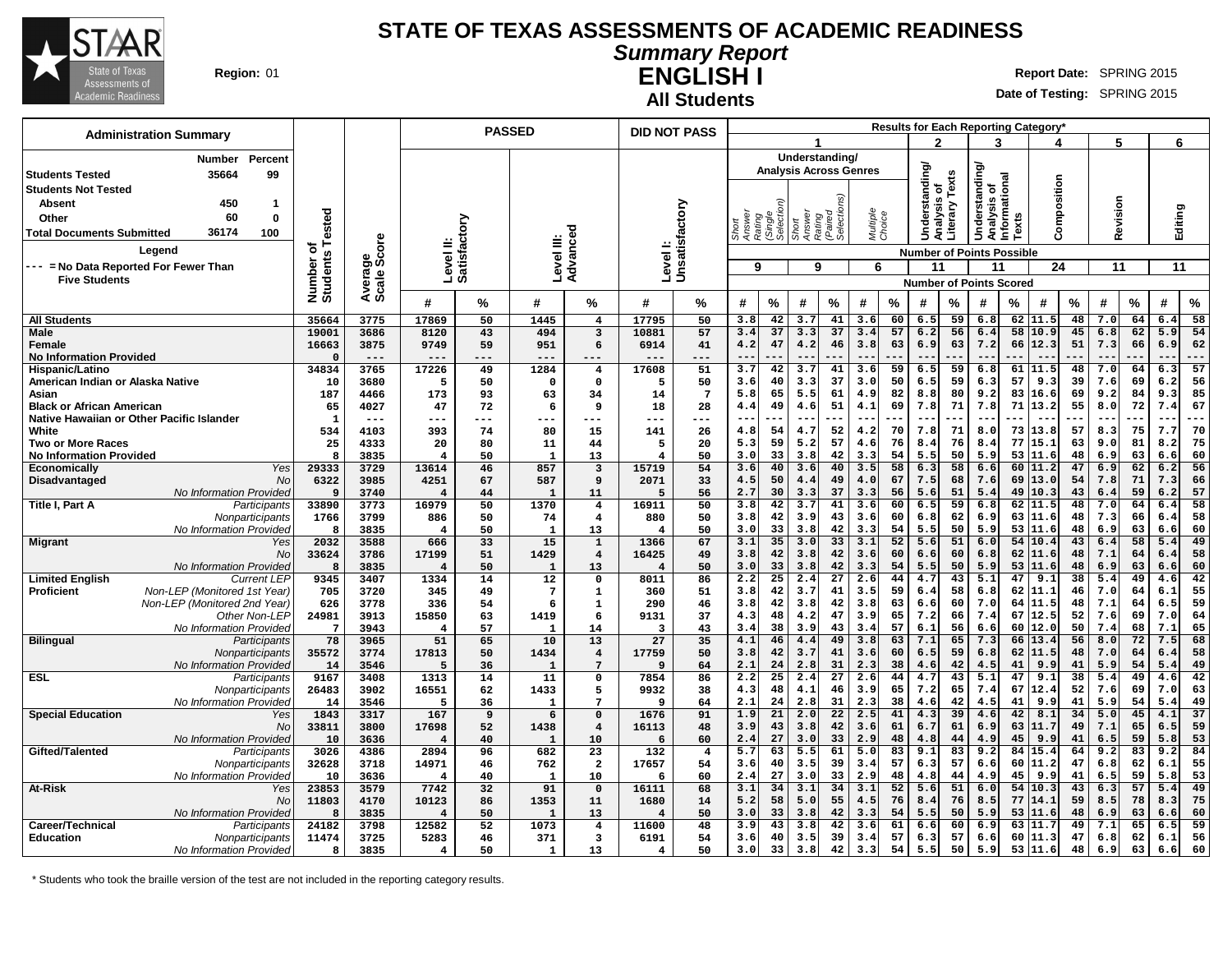

# **Summary Report ENGLISH I Region:** 01 **Report** Date: SPRING 2015

**All Students**

**Date of Testing:** SPRING 2015

| <b>Administration Summary</b>                                  |                      |                |                            |           | <b>PASSED</b>        |                               |                                 | <b>DID NOT PASS</b>       |                  |                     |                               |                     |                    |          |                |          |                                              |          | <b>Results for Each Reporting Category</b> |          |            |          |                                 |           |
|----------------------------------------------------------------|----------------------|----------------|----------------------------|-----------|----------------------|-------------------------------|---------------------------------|---------------------------|------------------|---------------------|-------------------------------|---------------------|--------------------|----------|----------------|----------|----------------------------------------------|----------|--------------------------------------------|----------|------------|----------|---------------------------------|-----------|
|                                                                |                      |                |                            |           |                      |                               |                                 |                           |                  |                     |                               |                     |                    |          | 2              |          | 3                                            |          |                                            |          | 5          |          | 6                               |           |
| Percent<br>Number                                              |                      |                |                            |           |                      |                               |                                 |                           |                  |                     | Understanding/                |                     |                    |          |                |          |                                              |          |                                            |          |            |          |                                 |           |
| 35664<br>99<br><b>Students Tested</b>                          |                      |                |                            |           |                      |                               |                                 |                           |                  |                     | <b>Analysis Across Genres</b> |                     |                    |          | Understanding/ |          | derstanding/<br>Analysis of<br>Informational |          |                                            |          |            |          |                                 |           |
| <b>Students Not Tested</b>                                     |                      |                |                            |           |                      |                               |                                 |                           |                  |                     |                               |                     |                    |          | ō              | Texts    |                                              |          | Composition                                |          |            |          |                                 |           |
| 450<br>Absent<br>$\mathbf 1$                                   |                      |                |                            |           |                      |                               |                                 |                           |                  |                     |                               |                     |                    |          |                |          |                                              |          |                                            |          |            |          |                                 |           |
| 60<br>$\mathbf 0$<br>Other                                     | ested                |                |                            |           |                      |                               |                                 |                           | Answer<br>Rating | (Single<br>Selectio | Answer                        | (Paired<br>Selectio | Multiple<br>Choice |          | alysis         | Literary |                                              |          |                                            |          | Revision   |          | Editing                         |           |
| 36174<br>100<br><b>Total Documents Submitted</b>               |                      |                |                            |           |                      | ъ                             |                                 |                           |                  |                     | Rating<br>Short               |                     |                    |          | ā              |          | Š                                            | Texts    |                                            |          |            |          |                                 |           |
| Legend                                                         | ৳                    |                |                            |           |                      |                               |                                 |                           |                  |                     |                               |                     |                    |          |                |          |                                              |          |                                            |          |            |          |                                 |           |
| --- = No Data Reported For Fewer Than                          | Number o<br>Students | ige<br>Score   | Level II:<br>Satisfactory  |           | Level III:           | Advance                       |                                 | Levell:<br>Unsatisfactory | 9                |                     | 9                             |                     |                    |          | 11             |          | <b>Number of Points Possible</b>             |          | 24                                         |          |            |          | 11                              |           |
| <b>Five Students</b>                                           |                      | Avera<br>Scale |                            |           |                      |                               |                                 |                           |                  |                     |                               |                     | 6                  |          |                |          | 11                                           |          |                                            |          | 11         |          |                                 |           |
|                                                                |                      |                |                            |           |                      |                               |                                 |                           |                  |                     |                               |                     |                    |          |                |          | <b>Number of Points Scored</b>               |          |                                            |          |            |          |                                 |           |
|                                                                |                      |                | #                          | %         | #                    | %                             | #                               | ℅                         | #                | $\%$                | #                             | $\%$                | #                  | $\%$     | #              | %        | #                                            | %        | #                                          | %        | #          | $\%$     | #                               | $\%$      |
| <b>All Students</b>                                            | 35664                | 3775           | 17869                      | 50        | 1445                 | $\overline{4}$                | 17795                           | 50                        | 3.8              | 42                  | 3.7                           | 41                  | 3.6                | 60       | 6.5            | 59       | 6.8                                          |          | $62$ 11.5                                  | 48       | 7.0        | 64       | 6.4                             | 58        |
| <b>Male</b>                                                    | 19001                | 3686           | 8120                       | 43        | 494                  | 3                             | 10881                           | 57                        | 3.4              | 37                  | 3.3                           | 37                  | 3.4                | 57       | 6.2            | 56       | 6.4                                          | 58       | 10.9                                       | 45       | 6.8        | 62       | 5.9                             | 54        |
| Female                                                         | 16663<br>$\Omega$    | 3875           | 9749                       | 59        | 951                  | 6                             | 6914                            | 41                        | 4.2              | 47                  | 4.2                           | 46                  | 3.8                | 63       | 6.9            | 63       | 7.2                                          | 66       | 12.3                                       | 51       | 7.3        | 66       | 6.9                             | 62        |
| <b>No Information Provided</b><br>Hispanic/Latino              | 34834                | $---$<br>3765  | ---<br>17226               | ---<br>49 | ---<br>1284          | $---$<br>$\overline{4}$       | 17608                           | ---<br>51                 | $ -$<br>3.7      | 42                  | $- -$<br>3.7                  | 41                  | 3.6                | 59       | 6.5            | 59       | 6.8                                          | 61       | 11.5                                       | 48       | 7.0        | 64       | $\overline{\phantom{a}}$<br>6.3 | ---<br>57 |
| American Indian or Alaska Native                               | 10                   | 3680           | 5                          | 50        | $\Omega$             | $\mathbf 0$                   | 5                               | 50                        | 3.6              | 40                  | 3.3                           | 37                  | 3.0                | 50       | 6.5            | 59       | 6.3                                          | 57       | 9.3                                        | 39       | 7.6        | 69       | 6.2                             | 56        |
| Asian                                                          | 187                  | 4466           | 173                        | 93        | 63                   | 34                            | 14                              | $7\phantom{.0}$           | 5.8              | 65                  | 5.5                           | 61                  | 4.9                | 82       | 8.8            | 80       | 9.2                                          | 83       | 16.6                                       | 69       | 9.2        | 84       | 9.3                             | 85        |
| <b>Black or African American</b>                               | 65                   | 4027           | 47                         | 72        | 6                    | 9                             | 18                              | 28                        | 4.4              | 49                  | 4.6                           | 51                  | 4.1                | 69       | 7.8            | 71       | 7.8                                          | 71       | 13.2                                       | 55       | 8.0        | 72       | 7.4                             | 67        |
| Native Hawaiian or Other Pacific Islander                      | $\mathbf{1}$         | $---$          | ---                        | ---       | ---                  | ---                           | ---                             | ---                       | $- -$            | ---                 | $--$                          | ---                 | $\qquad \qquad -$  |          | $- -$          | ---      | $-$                                          | ---      | $- -$                                      | .        | $ -$       |          | $ -$                            | ---       |
| White                                                          | 534                  | 4103           | 393                        | 74        | 80                   | 15                            | 141                             | 26                        | 4.8              | 54                  | 4.7                           | 52                  | 4.2                | 70       | 7.8            | 71       | 8.0                                          | 73       | 13.8                                       | 57       | 8.3        | 75       | 7.7                             | 70        |
| Two or More Races                                              | 25                   | 4333           | 20                         | 80        | 11                   | 44                            | 5                               | 20                        | 5.3              | 59                  | 5.2                           | 57                  | 4.6                | 76       | 8.4            | 76       | 8.4                                          | 77       | 15.1                                       | 63       | 9.0        | 81       | 8.2                             | 75        |
| <b>No Information Provided</b><br>Yes<br><b>Economically</b>   | 8<br>29333           | 3835<br>3729   | $\overline{4}$<br>13614    | 50<br>46  | $\mathbf{1}$<br>857  | 13<br>3                       | $\overline{4}$<br>15719         | 50<br>54                  | 3.0<br>3.6       | 33<br>40            | 3.8<br>3.6                    | 42<br>40            | 3.3<br>3.5         | 54<br>58 | 5.5<br>6.3     | 50<br>58 | 5.9<br>6.6                                   | 53<br>60 | 11.6<br>11.2                               | 48<br>47 | 6.9<br>6.9 | 63<br>62 | 6.6<br>6.2                      | 60<br>56  |
| Disadvantaged<br>No                                            | 6322                 | 3985           | 4251                       | 67        | 587                  | 9                             | 2071                            | 33                        | 4.5              | 50                  | 4.4                           | 49                  | 4.0                | 67       | 7.5            | 68       | 7.6                                          | 69       | 13.0                                       | 54       | 7.8        | 71       | 7.3                             | 66        |
| No Information Provided                                        | 9                    | 3740           | $\overline{\bf 4}$         | 44        | -1                   | 11                            | 5                               | 56                        | 2.7              | 30                  | 3.3                           | 37                  | 3.3                | 56       | 5.6            | 51       | 5.4                                          | 49       | 10.3                                       | 43       | 6.4        | 59       | 6.2                             | 57        |
| Title I, Part A<br>Participants                                | 33890                | 3773           | 16979                      | 50        | 1370                 | $\overline{\mathbf{4}}$       | 16911                           | 50                        | 3.8              | 42                  | 3.7                           | 41                  | 3.6                | 60       | 6.5            | 59       | 6.8                                          | 62       | 11.5                                       | 48       | 7.0        | 64       | 6.4                             | 58        |
| Nonparticipants                                                | 1766                 | 3799           | 886                        | 50        | 74                   | $\overline{\mathbf{4}}$       | 880                             | 50                        | 3.8              | 42                  | 3.9                           | 43                  | 3.6                | 60       | 6.8            | 62       | 6.9                                          | 63       | 11.6                                       | 48       | 7.3        | 66       | 6.4                             | 58        |
| No Information Provided                                        | 8                    | 3835           | $\overline{4}$             | 50        | $\mathbf{1}$         | 13                            | $\overline{4}$                  | 50                        | 3.0              | 33                  | 3.8                           | 42                  | 3.3                | 54       | 5.5            | 50       | 5.9                                          | 53       | 11.6                                       | 48       | 6.9        | 63       | 6.6                             | 60        |
| <b>Migrant</b><br>Yes                                          | 2032                 | 3588           | 666                        | 33        | 15                   | $\mathbf{1}$                  | 1366                            | 67                        | 3.1              | 35                  | 3.0                           | 33                  | 3.1                | 52       | 5.6            | 51       | 6.0                                          | 54       | 10.4                                       | 43       | 6.4        | 58       | 5.4                             | 49        |
| No<br>No Information Provided                                  | 33624<br>8           | 3786<br>3835   | 17199<br>4                 | 51<br>50  | 1429<br>$\mathbf{1}$ | $\overline{\mathbf{4}}$<br>13 | 16425<br>$\overline{4}$         | 49<br>50                  | 3.8<br>3.0       | 42<br>33            | 3.8<br>3.8                    | 42<br>42            | 3.6<br>3.3         | 60<br>54 | 6.6<br>5.5     | 60<br>50 | 6.8<br>5.9                                   | 62<br>53 | 11.6<br>11.6                               | 48<br>48 | 7.1<br>6.9 | 64<br>63 | 6.4<br>6.6                      | 58<br>60  |
| <b>Limited English</b><br><b>Current LEP</b>                   | 9345                 | 3407           | 1334                       | 14        | 12                   | 0                             | 8011                            | 86                        | 2.2              | $\overline{25}$     | 2.4                           | $\overline{27}$     | 2.6                | 44       | 4.7            | 43       | 5.1                                          | 47       | 9.1                                        | 38       | 5.4        | 49       | 4.6                             | 42        |
| Non-LEP (Monitored 1st Year)<br><b>Proficient</b>              | 705                  | 3720           | 345                        | 49        | $7\phantom{.0}$      | $\mathbf{1}$                  | 360                             | 51                        | 3.8              | 42                  | 3.7                           | 41                  | 3.5                | 59       | 6.4            | 58       | 6.8                                          | 62       | 11.1                                       | 46       | 7.0        | 64       | 6.1                             | 55        |
| Non-LEP (Monitored 2nd Year)                                   | 626                  | 3778           | 336                        | 54        | 6                    | $\mathbf{1}$                  | 290                             | 46                        | 3.8              | 42                  | 3.8                           | 42                  | 3.8                | 63       | 6.6            | 60       | 7.0                                          | 64       | 11.5                                       | 48       | 7.1        | 64       | 6.5                             | 59        |
| Other Non-LEP                                                  | 24981                | 3913           | 15850                      | 63        | 1419                 | 6                             | 9131                            | 37                        | 4.3              | 48                  | 4.2                           | 47                  | 3.9                | 65       | 7.2            | 66       | 7.4                                          | 67       | 12.5                                       | 52       | 7.6        | 69       | 7.0                             | 64        |
| No Information Provided                                        | $7\phantom{.0}$      | 3943           | $\overline{4}$             | 57        | $\mathbf{1}$         | 14                            | 3                               | 43                        | 3.4              | 38                  | 3.9                           | 43                  | 3.4                | 57       | 6.1            | 56       | 6.6                                          | 60       | 12.0                                       | 50       | 7.4        | 68       | 7.1                             | 65        |
| <b>Bilingual</b><br>Participants<br>Nonparticipants            | 78<br>35572          | 3965<br>3774   | 51<br>17813                | 65<br>50  | 10<br>1434           | 13<br>$\overline{\mathbf{4}}$ | 27<br>17759                     | 35<br>50                  | 4.1<br>3.8       | 46<br>42            | 4.4<br>3.7                    | 49<br>41            | 3.8<br>3.6         | 63<br>60 | 7.1<br>6.5     | 65<br>59 | 7.3<br>6.8                                   | 66<br>62 | 13.4<br>11.5                               | 56<br>48 | 8.0<br>7.0 | 72<br>64 | 7.5<br>6.4                      | 68<br>58  |
| No Information Provided                                        | 14                   | 3546           | 5                          | 36        | $\mathbf{1}$         | $7\overline{ }$               | 9                               | 64                        | 2.1              | 24                  | 2.8                           | 31                  | 2.3                | 38       | 4.6            | 42       | 4.5                                          | 41       | 9.9                                        | 41       | 5.9        | 54       | 5.4                             | 49        |
| <b>ESL</b><br>Participants                                     | 9167                 | 3408           | 1313                       | 14        | 11                   | $\mathbf 0$                   | 7854                            | 86                        | 2.2              | $\overline{25}$     | 2.4                           | $\overline{27}$     | 2.6                | 44       | 4.7            | 43       | 5.1                                          | 47       | 9.1                                        | 38       | 5.4        | 49       | 4.6                             | 42        |
| Nonparticipants                                                | 26483                | 3902           | 16551                      | 62        | 1433                 | 5                             | 9932                            | 38                        | 4.3              | 48                  | 4.1                           | 46                  | 3.9                | 65       | 7.2            | 65       | 7.4                                          | 67       | 12.4                                       | 52       | 7.6        | 69       | 7.0                             | 63        |
| No Information Provided                                        | 14                   | 3546           | 5                          | 36        | $\mathbf{1}$         | $\overline{7}$                | 9                               | 64                        | 2.1              | 24                  | 2.8                           | 31                  | 2.3                | 38       | 4.6            | 42       | 4.5                                          | 41       | 9.9                                        | 41       | 5.9        | 54       | 5.4                             | 49        |
| <b>Special Education</b><br>Yes                                | 1843                 | 3317           | 167                        | 9         | 6                    | $\mathsf{o}\,$                | 1676                            | 91                        | 1.9              | 21                  | 2.0                           | 22                  | 2.5                | 41       | 4.3            | 39       | 4.6                                          | 42       | 8.1                                        | 34       | 5.0        | 45       | 4.1                             | 37        |
| No                                                             | 33811                | 3800           | 17698                      | 52        | 1438                 | $\overline{\mathbf{4}}$       | 16113                           | 48                        | 3.9              | 43                  | 3.8                           | 42                  | 3.6                | 61       | 6.7            | 61       | 6.9                                          | 63       | 11.7                                       | 49       | 7.1        | 65       | 6.5                             | 59        |
| No Information Provided<br>Gifted/Talented<br>Participants     | 10<br>3026           | 3636<br>4386   | $\overline{4}$<br>2894     | 40<br>96  | $\mathbf{1}$<br>682  | 10<br>23                      | 6<br>132                        | 60<br>$\overline{4}$      | 2.4<br>5.7       | 27<br>63            | 3.0<br>5.5                    | 33<br>61            | 2.9<br>5.0         | 48<br>83 | 4.8<br>9.1     | 44<br>83 | 4.9<br>9.2                                   | 45<br>84 | 9.9<br>15.4                                | 41<br>64 | 6.5<br>9.2 | 59<br>83 | 5.8<br>9.2                      | 53<br>84  |
| Nonparticipants                                                | 32628                | 3718           | 14971                      | 46        | 762                  | $\overline{a}$                | 17657                           | 54                        | 3.6              | 40                  | 3.5                           | 39                  | 3.4                | 57       | 6.3            | 57       | 6.6                                          | 60       | 11.2                                       | 47       | 6.8        | 62       | 6.1                             | 55        |
| No Information Provided                                        | 10                   | 3636           | $\overline{4}$             | 40        | 1                    | 10                            | 6                               | 60                        | 2.4              | 27                  | 3.0                           | 33                  | 2.9                | 48       | 4.8            | 44       | 4.9                                          | 45       | 9.9                                        | 41       | 6.5        | 59       | 5.8                             | 53        |
| <b>At-Risk</b><br>Yes                                          | 23853                | 3579           | 7742                       | 32        | 91                   | $\mathbf{o}$                  | 16111                           | 68                        | 3.1              | 34                  | 3.1                           | 34                  | 3.1                | 52       | 5.6            | 51       | 6.0                                          | 54       | 10.3                                       | 43       | 6.3        | 57       | 5.4                             | 49        |
| <b>No</b>                                                      | 11803                | 4170           | 10123                      | 86        | 1353                 | 11                            | 1680                            | 14                        | 5.2              | 58                  | 5.0                           | 55                  | 4.5                | 76       | 8.4            | 76       | 8.5                                          | 77       | 14.1                                       | 59       | 8.5        | 78       | 8.3                             | 75        |
| No Information Provided                                        | 8                    | 3835           | $\overline{\bf 4}$         | 50        | -1                   | 13                            | $\overline{4}$                  | 50                        | 3.0              | 33                  | 3.8                           | 42                  | 3.3                | 54       | 5.5            | 50       | 5.9                                          | 53       | 11.6                                       | 48       | 6.9        | 63       | 6.6                             | 60        |
| Career/Technical<br>Participants                               | 24182                | 3798           | 12582                      | 52        | 1073                 | $\overline{\mathbf{4}}$       | 11600                           | 48                        | 3.9              | 43                  | 3.8                           | 42<br>39            | 3.6                | 61<br>57 | 6.6            | 60<br>57 | 6.9                                          | 63<br>60 | 11.7<br>11.3                               | 49       | 7.1        | 65<br>62 | 6.5                             | 59        |
| <b>Education</b><br>Nonparticipants<br>No Information Provided | 11474<br>8           | 3725<br>3835   | 5283<br>$\overline{\bf 4}$ | 46<br>50  | 371<br>1             | 3<br>13                       | 6191<br>$\overline{\mathbf{4}}$ | 54<br>50                  | 3.6<br>3.0       | 40<br>33            | 3.5<br>3.8                    | 42                  | 3.4<br>3.3         | 54       | 6.3<br>5.5     | 50       | 6.6<br>5.9                                   | 53       | 11.6                                       | 47<br>48 | 6.8<br>6.9 | 63       | 6.1<br>6.6                      | 56<br>60  |
|                                                                |                      |                |                            |           |                      |                               |                                 |                           |                  |                     |                               |                     |                    |          |                |          |                                              |          |                                            |          |            |          |                                 |           |

\* Students who took the braille version of the test are not included in the reporting category results.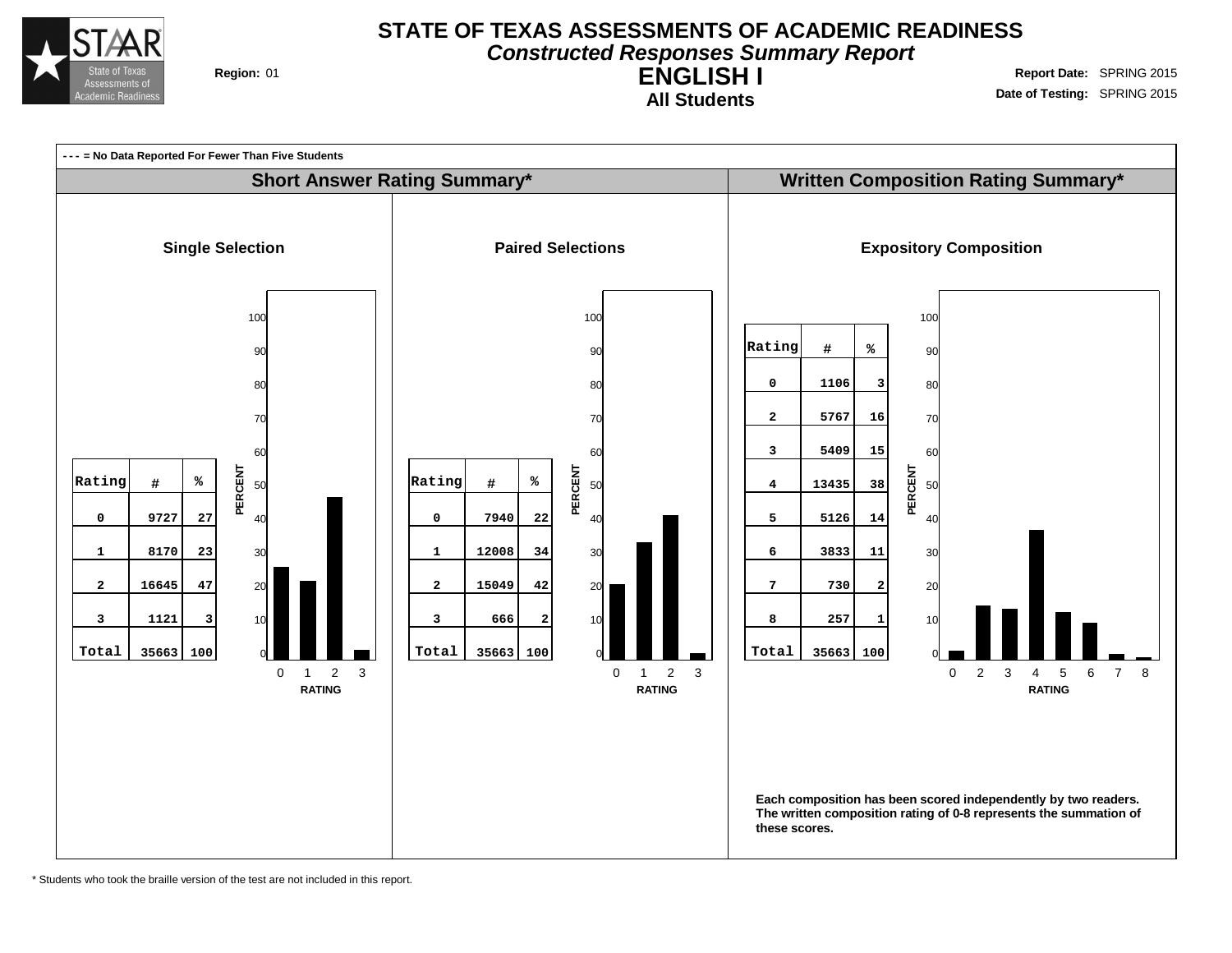

# **STATE OF TEXAS ASSESSMENTS OF ACADEMIC READINESS Constructed Responses Summary Report**

**ENGLISH I All Students**

**Region:** 01 **Region:** 01 **Report** Date: SPRING 2015 **Date of Testing:** SPRING 2015



\* Students who took the braille version of the test are not included in this report.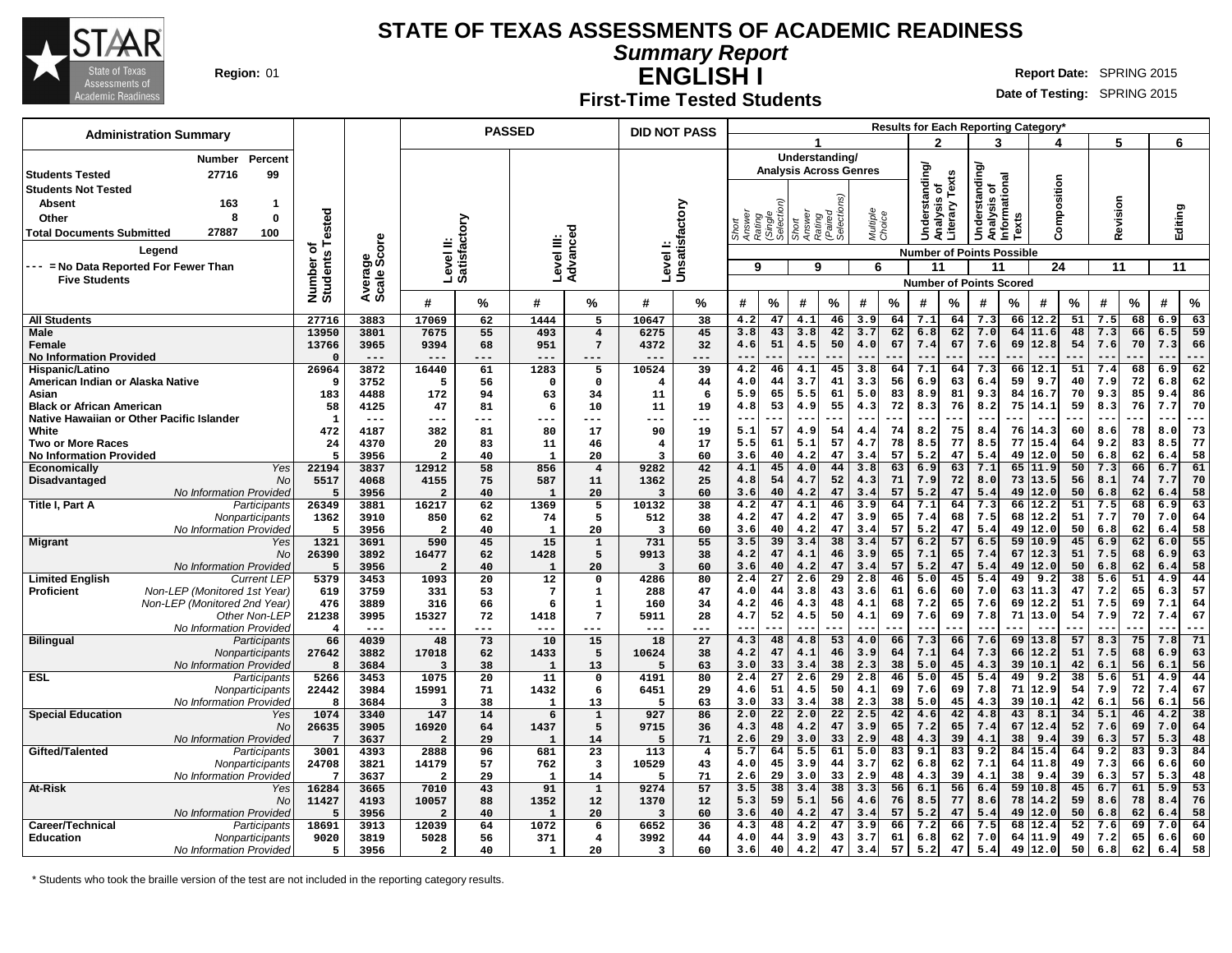

**Summary Report**

Τ

**ENGLISH I Region:** 01 **Report** Date: SPRING 2015

#### **Date of Testing:** SPRING 2015

**First-Time Tested Students**

 $\top$ 

| <b>Administration Summary</b>                                           |                          |                |                           |                       | <b>PASSED</b>                   |                   | <b>DID NOT PASS</b>       |                |                           |                       |                                                 |                                |                    |          |                                  |          |                                               |          | Results for Each Reporting Category' |          |            |          |                          |           |
|-------------------------------------------------------------------------|--------------------------|----------------|---------------------------|-----------------------|---------------------------------|-------------------|---------------------------|----------------|---------------------------|-----------------------|-------------------------------------------------|--------------------------------|--------------------|----------|----------------------------------|----------|-----------------------------------------------|----------|--------------------------------------|----------|------------|----------|--------------------------|-----------|
|                                                                         |                          |                |                           |                       |                                 |                   |                           |                |                           |                       |                                                 |                                |                    |          | າ                                |          | 2                                             |          |                                      |          | г,         |          | 6                        |           |
| Percent<br><b>Number</b>                                                |                          |                |                           |                       |                                 |                   |                           |                |                           |                       | Understanding/<br><b>Analysis Across Genres</b> |                                |                    |          |                                  |          |                                               |          |                                      |          |            |          |                          |           |
| 99<br><b>Students Tested</b><br>27716                                   |                          |                |                           |                       |                                 |                   |                           |                |                           |                       |                                                 |                                |                    |          | Understanding                    | Texts    | Understanding<br>Analysis of<br>Informational |          |                                      |          |            |          |                          |           |
| <b>Students Not Tested</b>                                              |                          |                |                           |                       |                                 |                   |                           |                |                           |                       |                                                 |                                |                    |          |                                  |          |                                               |          | Composition                          |          |            |          |                          |           |
| 163<br>Absent<br>$\mathbf{1}$                                           |                          |                |                           |                       |                                 |                   |                           |                |                           |                       |                                                 |                                |                    |          | alysis                           | terary   |                                               |          |                                      |          | Revision   |          | Editing                  |           |
| 8<br>$\mathbf 0$<br>Other                                               | ested                    |                |                           |                       |                                 |                   |                           |                | Short<br>Answer<br>Rating | (Single<br>Selectio   | Short<br>Answer                                 | Rating<br>(Paired<br>Selection | Multiple<br>Choice |          |                                  |          |                                               | Texts    |                                      |          |            |          |                          |           |
| 27887<br><b>Total Documents Submitted</b><br>100                        |                          |                |                           |                       |                                 |                   |                           |                |                           |                       |                                                 |                                |                    |          |                                  | ã        |                                               |          |                                      |          |            |          |                          |           |
| Legend                                                                  | Number of<br>Students Te | ige<br>Score   | Level II:<br>Satisfactory |                       | Level III:                      | Advanced          | Levell:<br>Unsatisfactory |                |                           |                       |                                                 |                                |                    |          | <b>Number of Points Possible</b> |          |                                               |          |                                      |          |            |          |                          |           |
| --- = No Data Reported For Fewer Than                                   |                          |                |                           |                       |                                 |                   |                           |                | 9                         |                       | 9                                               |                                | 6                  |          | 11                               |          | 11                                            |          | 24                                   |          | 11         |          | 11                       |           |
| <b>Five Students</b>                                                    |                          | Avera<br>Scale |                           |                       |                                 |                   |                           |                |                           |                       |                                                 |                                |                    |          | <b>Number of Points Scored</b>   |          |                                               |          |                                      |          |            |          |                          |           |
|                                                                         |                          |                | #                         | $\%$                  | #                               | %                 | #                         | %              | #                         | $\%$                  | #                                               | %                              | #                  | %        | #                                | %        | #                                             | %        | #                                    | %        | #          | $\%$     | #                        | $\%$      |
| <b>All Students</b>                                                     | 27716                    | 3883           | 17069                     | 62                    | 1444                            | 5                 | 10647                     | 38             | 4.2                       | 47                    | 4.1                                             | 46                             | 3.9                | 64       | 7.1                              | 64       | 7.3                                           | 66       | 12.2                                 | 51       | 7.5        | 68       | 6.9                      | 63        |
| Male                                                                    | 13950                    | 3801           | 7675                      | 55                    | 493                             | $\overline{4}$    | 6275                      | 45             | 3.8                       | 43                    | 3.8                                             | 42                             | 3.7                | 62       | 6.8                              | 62       | 7.0                                           | 64       | 11.6                                 | 48       | 7.3        | 66       | 6.5                      | 59        |
| Female                                                                  | 13766                    | 3965           | 9394                      | 68                    | 951                             | $7\phantom{.0}$   | 4372                      | 32             | 4.6                       | 51                    | 4.5                                             | 50                             | 4.0                | 67       | 7.4                              | 67       | 7.6                                           | 69       | 12.8                                 | 54       | 7.6        | 70       | 7.3                      | 66        |
| <b>No Information Provided</b><br>Hispanic/Latino                       | $\Omega$<br>26964        | $---$<br>3872  | $--$<br>16440             | ---<br>61             | ---<br>1283                     | $---$<br>5        | ---<br>10524              | ---<br>39      | $ -$<br>4.2               | 46                    | $-$<br>4.1                                      | 45                             | $- -$<br>3.8       | 64       | --<br>7.1                        | 64       | $ -$<br>7.3                                   | 66       | 12.1                                 | 51       | 7.4        | 68       | $ -$<br>6.9              | ---<br>62 |
| American Indian or Alaska Native                                        | 9                        | 3752           | 5                         | 56                    | $\mathbf 0$                     | $\mathbf 0$       | 4                         | 44             | 4.0                       | 44                    | 3.7                                             | 41                             | 3.3                | 56       | 6.9                              | 63       | 6.4                                           | 59       | 9.7                                  | 40       | 7.9        | 72       | 6.8                      | 62        |
| Asian                                                                   | 183                      | 4488           | 172                       | 94                    | 63                              | 34                | 11                        | 6              | 5.9                       | 65                    | 5.5                                             | 61                             | 5.0                | 83       | 8.9                              | 81       | 9.3                                           | 84       | 16.7                                 | 70       | 9.3        | 85       | 9.4                      | 86        |
| <b>Black or African American</b>                                        | 58                       | 4125           | 47                        | 81                    | 6                               | 10                | 11                        | 19             | 4.8                       | 53                    | 4.9                                             | 55                             | 4.3                | 72       | 8.3                              | 76       | 8.2                                           | 75       | 14.1                                 | 59       | 8.3        | 76       | 7.7                      | 70        |
| Native Hawaiian or Other Pacific Islander                               | $\mathbf{1}$             | $- - -$        | ---                       | $---$                 | ---                             | ---               | ---                       | ---            | $ -$                      |                       | --                                              |                                |                    |          |                                  |          | $-$                                           |          |                                      |          |            |          | $\overline{\phantom{a}}$ | ---       |
| White<br><b>Two or More Races</b>                                       | 472<br>24                | 4187<br>4370   | 382<br>20                 | 81<br>83              | 80<br>11                        | 17<br>46          | 90<br>4                   | 19<br>17       | 5.1<br>5.5                | 57<br>61              | 4.9<br>5.1                                      | 54<br>57                       | 4.4<br>4.7         | 74<br>78 | 8.2<br>8.5                       | 75<br>77 | 8.4<br>8.5                                    | 76<br>77 | 14.3<br>15.4                         | 60<br>64 | 8.6<br>9.2 | 78<br>83 | 8.0<br>8.5               | 73<br>77  |
| <b>No Information Provided</b>                                          | 5                        | 3956           | $\overline{2}$            | 40                    | $\mathbf{1}$                    | 20                | 3                         | 60             | 3.6                       | 40                    | 4.2                                             | 47                             | 3.4                | 57       | 5.2                              | 47       | 5.4                                           | 49       | 12.0                                 | 50       | 6.8        | 62       | 6.4                      | 58        |
| Yes<br>Economically                                                     | 22194                    | 3837           | 12912                     | 58                    | 856                             | $\overline{4}$    | 9282                      | 42             | 4.1                       | 45                    | 4.0                                             | 44                             | 3.8                | 63       | 6.9                              | 63       | 7.1                                           | 65       | 11.9                                 | 50       | 7.3        | 66       | 6.7                      | 61        |
| Disadvantaged<br>No                                                     | 5517                     | 4068           | 4155                      | 75                    | 587                             | 11                | 1362                      | 25             | 4.8                       | 54                    | 4.7                                             | 52                             | 4.3                | 71       | 7.9                              | 72       | 8.0                                           | 73       | 13.5                                 | 56       | 8.1        | 74       | 7.7                      | 70        |
| No Information Provided                                                 | 5                        | 3956           | $\overline{a}$            | 40                    | $\mathbf{1}$                    | 20                | $\overline{3}$            | 60             | 3.6                       | 40<br>47              | 4.2                                             | 47<br>46                       | 3.4<br>3.9         | 57<br>64 | 5.2<br>7.1                       | 47<br>64 | 5.4<br>7.3                                    | 49<br>66 | 12.0<br>12.2                         | 50<br>51 | 6.8<br>7.5 | 62<br>68 | 6.4<br>6.9               | 58<br>63  |
| Participants<br>Title I, Part A<br>Nonparticipants                      | 26349<br>1362            | 3881<br>3910   | 16217<br>850              | 62<br>62              | 1369<br>74                      | 5<br>5            | 10132<br>512              | 38<br>38       | 4.2<br>4.2                | 47                    | 4.1<br>4.2                                      | 47                             | 3.9                | 65       | 7.4                              | 68       | 7.5                                           | 68       | 12.2                                 | 51       | 7.7        | 70       | 7.0                      | 64        |
| No Information Provideo                                                 | 5                        | 3956           | $\overline{a}$            | 40                    | $\mathbf{1}$                    | 20                | 3                         | 60             | 3.6                       | 40                    | 4.2                                             | 47                             | 3.4                | 57       | 5.2                              | 47       | 5.4                                           | 49       | 12.0                                 | 50       | 6.8        | 62       | 6.4                      | 58        |
| <b>Migrant</b><br>Yes                                                   | 1321                     | 3691           | 590                       | 45                    | 15                              | $\mathbf 1$       | 731                       | 55             | 3.5                       | 39                    | 3.4                                             | $\overline{38}$                | 3.4                | 57       | 6.2                              | 57       | 6.5                                           | 59       | 10.9                                 | 45       | 6.9        | 62       | 6.0                      | 55        |
| No                                                                      | 26390                    | 3892           | 16477                     | 62                    | 1428                            | 5                 | 9913                      | 38             | 4.2                       | 47                    | 4.1                                             | 46                             | 3.9                | 65       | 7.1                              | 65       | 7.4                                           | 67       | 12.3                                 | 51       | 7.5        | 68       | 6.9                      | 63        |
| No Information Provided<br><b>Limited English</b><br><b>Current LEF</b> | 5379                     | 3956<br>3453   | $\overline{2}$<br>1093    | 40<br>$\overline{20}$ | $\mathbf{1}$<br>$\overline{12}$ | 20<br>$\mathbf 0$ | 3<br>4286                 | 60<br>80       | 3.6<br>2.4                | 40<br>$\overline{27}$ | 4.2<br>2.6                                      | 47<br>29                       | 3.4<br>2.8         | 57<br>46 | 5.2<br>5.0                       | 47<br>45 | 5.4<br>5.4                                    | 49<br>49 | 12.0<br>9.2                          | 50<br>38 | 6.8<br>5.6 | 62<br>51 | 6.4<br>4.9               | 58<br>44  |
| Non-LEP (Monitored 1st Year)<br><b>Proficient</b>                       | 619                      | 3759           | 331                       | 53                    | $7\phantom{.0}$                 | 1                 | 288                       | 47             | 4.0                       | 44                    | 3.8                                             | 43                             | 3.6                | 61       | 6.6                              | 60       | 7.0                                           | 63       | 11.3                                 | 47       | 7.2        | 65       | 6.3                      | 57        |
| Non-LEP (Monitored 2nd Year)                                            | 476                      | 3889           | 316                       | 66                    | 6                               | 1                 | 160                       | 34             | 4.2                       | 46                    | 4.3                                             | 48                             | 4.1                | 68       | 7.2                              | 65       | 7.6                                           | 69       | 12.2                                 | 51       | 7.5        | 69       | 7.1                      | 64        |
| Other Non-LEP                                                           | 21238                    | 3995           | 15327                     | 72                    | 1418                            | $7\phantom{.0}$   | 5911                      | 28             | 4.7                       | 52                    | 4.5                                             | 50                             | 4.1                | 69       | 7.6                              | 69       | 7.8                                           | 71       | 13.0                                 | 54       | 7.9        | 72       | 7.4                      | 67        |
| No Information Provideo                                                 | $\overline{4}$           | $---$          | $--$                      | ---                   | ---                             |                   | ---                       | ---            |                           |                       |                                                 |                                |                    |          |                                  |          |                                               |          |                                      |          |            |          | $ -$                     | ---       |
| <b>Bilingual</b><br>Participants<br>Nonparticipants                     | 66<br>27642              | 4039<br>3882   | 48<br>17018               | 73<br>62              | 10<br>1433                      | 15<br>5           | 18<br>10624               | 27<br>38       | 4.3<br>4.2                | 48<br>47              | 4.8<br>4.1                                      | 53<br>46                       | 4.0<br>3.9         | 66<br>64 | 7.3<br>7.1                       | 66<br>64 | 7.6<br>7.3                                    | 69<br>66 | 13.8<br>12.2                         | 57<br>51 | 8.3<br>7.5 | 75<br>68 | 7.8<br>6.9               | 71<br>63  |
| No Information Provided                                                 | 8                        | 3684           | $\overline{\mathbf{3}}$   | 38                    | $\mathbf{1}$                    | 13                | 5                         | 63             | 3.0                       | 33                    | 3.4                                             | 38                             | 2.3                | 38       | 5.0                              | 45       | 4.3                                           | 39       | 10.1                                 | 42       | 6.1        | 56       | 6.1                      | 56        |
| <b>ESL</b><br>Participants                                              | 5266                     | 3453           | 1075                      | 20                    | 11                              | $\mathbf 0$       | 4191                      | 80             | 2.4                       | 27                    | 2.6                                             | 29                             | 2.8                | 46       | 5.0                              | 45       | 5.4                                           | 49       | 9.2                                  | 38       | 5.6        | 51       | 4.9                      | 44        |
| Nonparticipants                                                         | 22442                    | 3984           | 15991                     | 71                    | 1432                            | 6                 | 6451                      | 29             | 4.6                       | 51                    | 4.5                                             | 50                             | 4.1                | 69       | 7.6                              | 69       | 7.8                                           | 71       | 12.9                                 | 54       | 7.9        | 72       | 7.4                      | 67        |
| No Information Provideo                                                 | 8                        | 3684           | 3                         | 38                    | 1                               | 13                | 5                         | 63             | 3.0                       | 33                    | 3.4                                             | 38                             | 2.3                | 38       | 5.0                              | 45       | 4.3                                           | 39       | 10.1                                 | 42       | 6.1        | 56       | 6.1                      | 56        |
| <b>Special Education</b><br>Yes<br><b>No</b>                            | 1074<br>26635            | 3340<br>3905   | 147<br>16920              | 14<br>64              | 6<br>1437                       | $\mathbf 1$<br>5  | 927<br>9715               | 86<br>36       | 2.0<br>4.3                | 22<br>48              | 2.0<br>4.2                                      | 22<br>47                       | 2.5<br>3.9         | 42<br>65 | 4.6<br>7.2                       | 42<br>65 | 4.8<br>7.4                                    | 43<br>67 | 8.1<br>12.4                          | 34<br>52 | 5.1<br>7.6 | 46<br>69 | 4.2<br>7.0               | 38<br>64  |
| <b>No Information Provided</b>                                          | 7                        | 3637           | $\overline{a}$            | 29                    | $\mathbf{1}$                    | 14                | 5                         | 71             | 2.6                       | 29                    | 3.0                                             | 33                             | 2.9                | 48       | 4.3                              | 39       | 4.1                                           | 38       | 9.4                                  | 39       | 6.3        | 57       | 5.3                      | 48        |
| Gifted/Talented<br>Participants                                         | 3001                     | 4393           | 2888                      | 96                    | 681                             | 23                | 113                       | $\overline{4}$ | 5.7                       | 64                    | 5.5                                             | 61                             | 5.0                | 83       | 9.1                              | 83       | 9.2                                           | 84       | 15.4                                 | 64       | 9.2        | 83       | 9.3                      | 84        |
| Nonparticipants                                                         | 24708                    | 3821           | 14179                     | 57                    | 762                             | 3                 | 10529                     | 43             | 4.0                       | 45                    | 3.9                                             | 44                             | 3.7                | 62       | 6.8                              | 62       | 7.1                                           | 64       | 11.8                                 | 49       | 7.3        | 66       | 6.6                      | 60        |
| No Information Provided                                                 | $7\phantom{.0}$          | 3637           | $\overline{a}$            | 29                    | $\mathbf{1}$                    | 14                | 5                         | 71             | 2.6                       | 29                    | 3.0                                             | 33                             | 2.9                | 48       | 4.3                              | 39       | 4.1                                           | 38       | 9.4                                  | 39       | 6.3        | 57       | 5.3                      | 48        |
| At-Risk<br>Yes<br>No                                                    | 16284                    | 3665           | 7010                      | 43                    | 91                              | 1<br>12           | 9274<br>1370              | 57<br>12       | 3.5<br>5.3                | 38<br>59              | 3.4<br>5.1                                      | 38<br>56                       | 3.3<br>4.6         | 56<br>76 | 6.1<br>8.5                       | 56<br>77 | 6.4<br>8.6                                    | 59<br>78 | 10.8<br>14.2                         | 45<br>59 | 6.7<br>8.6 | 61<br>78 | 5.9<br>8.4               | 53<br>76  |
| No Information Provideo                                                 | 11427<br>5               | 4193<br>3956   | 10057<br>$\overline{a}$   | 88<br>40              | 1352<br>$\mathbf{1}$            | 20                | $\overline{3}$            | 60             | 3.6                       | 40                    | 4.2                                             | 47                             | 3.4                | 57       | 5.2                              | 47       | 5.4                                           | 49       | 12.0                                 | 50       | 6.8        | 62       | 6.4                      | 58        |
| Career/Technical<br>Participants                                        | 18691                    | 3913           | 12039                     | 64                    | 1072                            | 6                 | 6652                      | 36             | 4.3                       | 48                    | 4.2                                             | 47                             | 3.9                | 66       | 7.2                              | 66       | 7.5                                           | 68       | 12.4                                 | 52       | 7.6        | 69       | 7.0                      | 64        |
| <b>Education</b><br>Nonparticipants                                     | 9020                     | 3819           | 5028                      | 56                    | 371                             | 4                 | 3992                      | 44             | 4.0                       | 44                    | 3.9                                             | 43                             | 3.7                | 61       | 6.8                              | 62       | 7.0                                           | 64       | 11.9                                 | 49       | 7.2        | 65       | 6.6                      | 60        |
| No Information Provideo                                                 | 5                        | 3956           | $\overline{\mathbf{2}}$   | 40                    | $\mathbf{1}$                    | 20                | 3                         | 60             | 3.6                       | 40                    | 4.2                                             | 47                             | 3.4                | 57       | 5.2                              | 47       | 5.4                                           | 49       | 12.0                                 | 50       | 6.8        | 62       | 6.4                      | 58        |

\* Students who took the braille version of the test are not included in the reporting category results.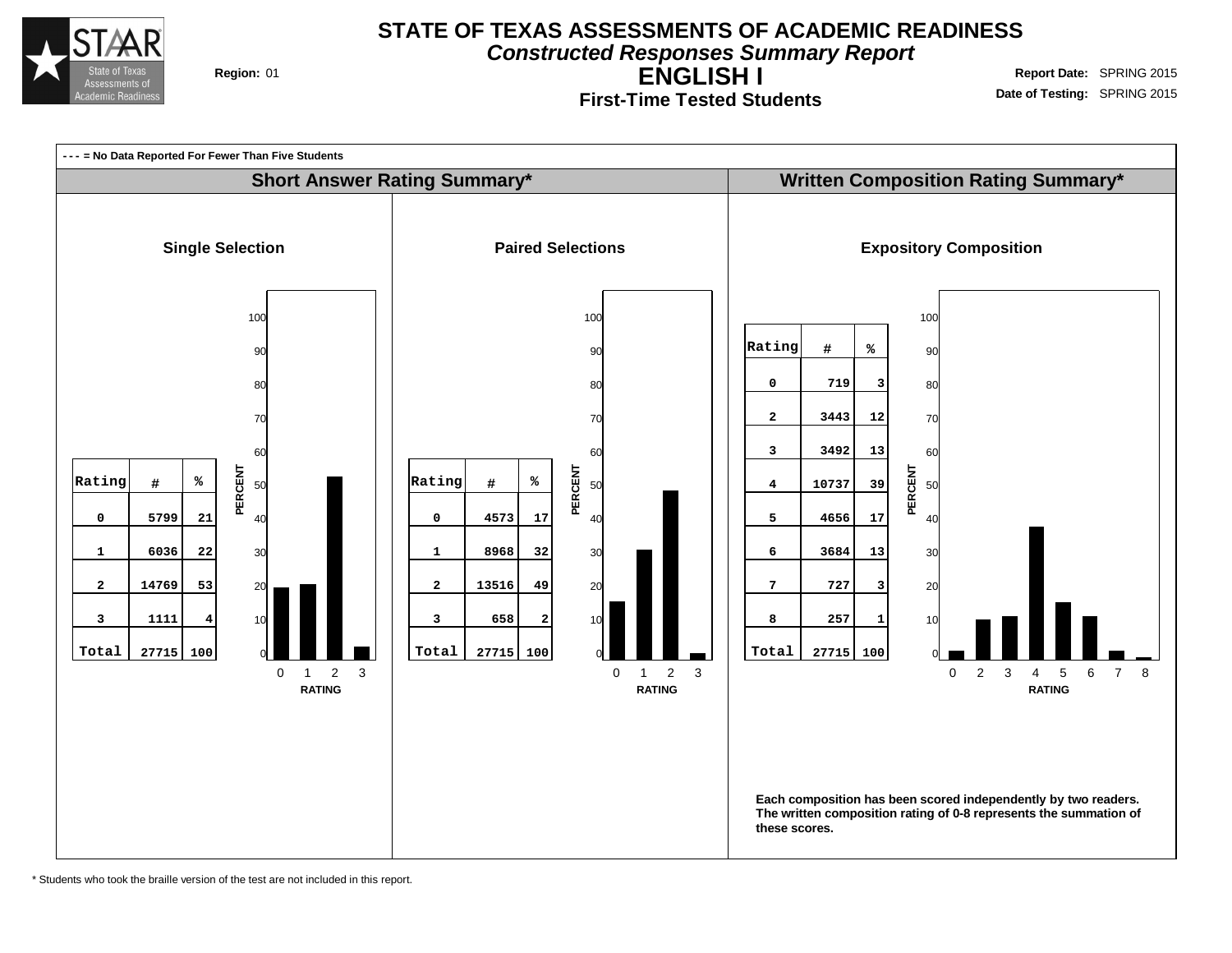

**Constructed Responses Summary Report**

**ENGLISH I First-Time Tested Students**

**Region:** 01 **Region:** 01 **Report** Date: SPRING 2015 **Date of Testing:** SPRING 2015



\* Students who took the braille version of the test are not included in this report.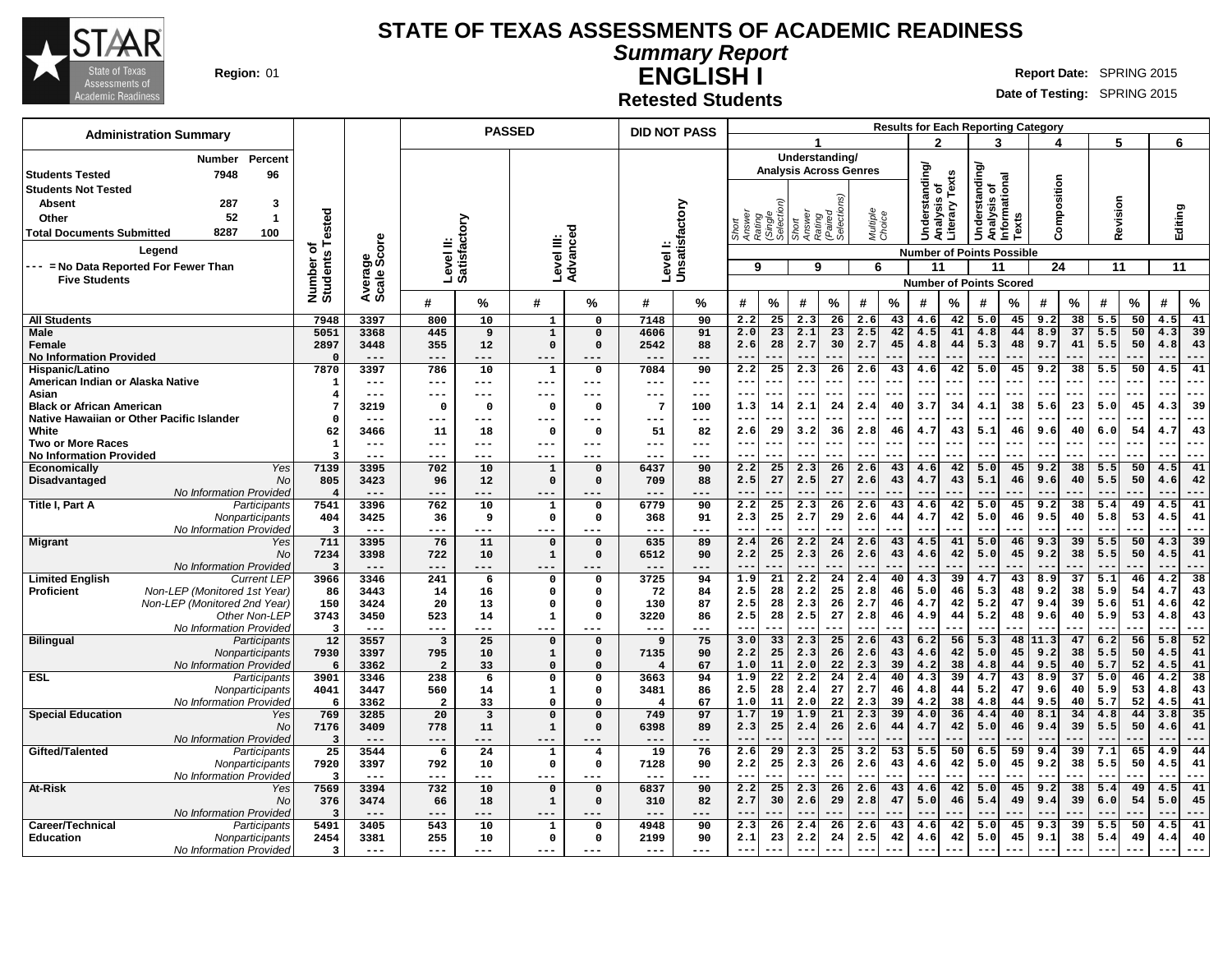

**Summary Report**

**ENGLISH I Region:** 01 **Report** Date: SPRING 2015

**Date of Testing:** SPRING 2015

**Retested Students**

| <b>Administration Summary</b>                                           |                                            |                        |                                  | <b>PASSED</b>           |                                 |                                | <b>DID NOT PASS</b>      |                |              |                     |                               |                     |                    |           |                      |           |                                                |               | <b>Results for Each Reporting Category</b> |                       |              |           |                   |           |
|-------------------------------------------------------------------------|--------------------------------------------|------------------------|----------------------------------|-------------------------|---------------------------------|--------------------------------|--------------------------|----------------|--------------|---------------------|-------------------------------|---------------------|--------------------|-----------|----------------------|-----------|------------------------------------------------|---------------|--------------------------------------------|-----------------------|--------------|-----------|-------------------|-----------|
|                                                                         |                                            |                        |                                  |                         |                                 |                                |                          |                |              |                     |                               |                     |                    |           | າ                    |           | 3                                              |               |                                            |                       | 5            |           | 6                 |           |
| Percent<br><b>Number</b>                                                |                                            |                        |                                  |                         |                                 |                                |                          |                |              |                     | Understanding/                |                     |                    |           |                      |           |                                                |               |                                            |                       |              |           |                   |           |
| 7948<br>96<br><b>Students Tested</b>                                    |                                            |                        |                                  |                         |                                 |                                |                          |                |              |                     | <b>Analysis Across Genres</b> |                     |                    |           | <b>Understanding</b> | Texts     | Understanding/<br>Analysis of<br>Informational |               |                                            |                       |              |           |                   |           |
| <b>Students Not Tested</b>                                              |                                            |                        |                                  |                         |                                 |                                |                          |                |              |                     |                               |                     |                    |           | ō                    |           |                                                |               | Composition                                |                       |              |           |                   |           |
| 287<br>3<br><b>Absent</b><br>52<br>$\overline{1}$                       |                                            |                        |                                  |                         |                                 |                                |                          |                |              |                     |                               |                     |                    |           | Analysis             | Literary  |                                                |               |                                            |                       | Revision     |           |                   |           |
| Other<br>8287<br>100                                                    | Tested                                     |                        |                                  |                         |                                 |                                |                          |                |              | (Single<br>Selectio | Rating<br>Short               | (Paired<br>Selectio | Multiple<br>Choice |           |                      |           |                                                | Texts         |                                            |                       |              |           | Editing           |           |
| <b>Total Documents Submitted</b>                                        | ৳                                          |                        |                                  |                         |                                 |                                |                          |                | g<br>Rai     |                     | ξ                             |                     |                    |           |                      |           |                                                |               |                                            |                       |              |           |                   |           |
| Legend                                                                  |                                            |                        | Level II:<br>Satisfactory        |                         | evel III:                       | Advance                        | Levell:                  | Unsatisfactory |              |                     |                               |                     |                    |           |                      |           | <b>Number of Points Possible</b>               |               |                                            |                       |              |           |                   |           |
| --- = No Data Reported For Fewer Than<br><b>Five Students</b>           |                                            |                        |                                  |                         |                                 |                                |                          |                | 9            |                     | 9                             |                     | 6                  |           | 11                   |           | 11                                             |               | 24                                         |                       | 11           |           | 11                |           |
|                                                                         | Number o<br>Students                       | Average<br>Scale Score |                                  |                         |                                 |                                |                          |                |              |                     |                               |                     |                    |           |                      |           | <b>Number of Points Scored</b>                 |               |                                            |                       |              |           |                   |           |
|                                                                         |                                            |                        | #                                | %                       | #                               | %                              | #                        | %              | #            | %                   | #                             | %                   | #                  | %         | #                    | %         | #                                              | %             | #                                          | $\%$                  | #            | %         | #                 | $\%$      |
| <b>All Students</b>                                                     | 7948                                       | 3397                   | 800                              | 10                      | $\mathbf{1}$                    | 0                              | 7148                     | 90             | 2.2          | 25                  | 2.3                           | 26                  | 2.6                | 43        | 4.6                  | 42        | 5.0                                            | 45            | 9.2                                        | 38                    | 5.5          | 50        | 4.5               | 41        |
| Male                                                                    | 5051                                       | 3368                   | 445                              | 9                       | $\mathbf{1}$<br>$\mathbf{o}$    | $\mathbf{o}$<br>$\Omega$       | 4606                     | 91             | 2.0<br>2.6   | 23<br>28            | 2.1<br>2.7                    | 23<br>30            | 2.5<br>2.7         | 42<br>45  | 4.5                  | 41<br>44  | 4.8<br>5.3                                     | 44<br>48      | 8.9<br>9.7                                 | $\overline{37}$<br>41 | 5.5<br>5.5   | 50<br>50  | 4.3<br>4.8        | 39<br>43  |
| Female<br><b>No Information Provided</b>                                | 2897                                       | 3448<br>$---$          | 355<br>$- -$                     | 12<br>---               | ---                             |                                | 2542                     | 88             |              |                     |                               |                     |                    |           | 4.8                  |           |                                                |               |                                            |                       |              |           |                   | ---       |
| Hispanic/Latino                                                         | 7870                                       | 3397                   | 786                              | 10                      | 1                               | $\Omega$                       | 7084                     | 90             | 2.2          | 25                  | 2.3                           | 26                  | 2.6                | 43        | 4.6                  | 42        | 5.0                                            | 45            | 9.2                                        | 38                    | 5.5          | 50        | 4.5               | 41        |
| American Indian or Alaska Native                                        | -1                                         | ---                    | ---                              | ---                     | ---                             |                                |                          | ---            |              |                     |                               |                     |                    |           |                      |           |                                                |               |                                            |                       |              |           |                   | ---       |
| Asian<br><b>Black or African American</b>                               | $\overline{4}$<br>-7                       | ---<br>3219            | ---<br>$\Omega$                  | ---<br>$\Omega$         | $\qquad \qquad - -$<br>$\Omega$ | ---<br>$\Omega$                | $---$<br>$7\phantom{.0}$ | ---<br>100     | $- -$<br>1.3 | ---<br>14           | --<br>2.1                     | 24                  | 2.4                | 40        | --<br>3.7            | <br>34    | $--$<br>4.1                                    | 38            | --<br>5.6                                  | 23                    | --<br>5.0    | 45        | $- -$<br>4.3      | ---<br>39 |
| Native Hawaiian or Other Pacific Islander                               |                                            | $---$                  | ---                              | ---                     | ---                             |                                | $---$                    | ---            | --           |                     | --                            |                     |                    |           | --                   |           | $- -$                                          |               |                                            |                       | --           |           | $- -$             | ---       |
| White                                                                   | 62                                         | 3466                   | 11                               | 18                      | $\Omega$                        | $\Omega$                       | 51                       | 82             | 2.6          | 29                  | 3.2                           | 36                  | 2.8                | 46        | 4.7                  | 43        | 5.1                                            | 46            | 9.6                                        | 40                    | 6.0          | 54        | 4.7               | 43        |
| Two or More Races                                                       | $\mathbf{1}$                               |                        | ---                              | ---                     | ---                             |                                | ---                      |                | --           | ---                 | --                            |                     | --                 |           | $- -$                |           | $- -$                                          | .             | $- -$                                      | ---                   | $- -$        | ---       | $\qquad \qquad -$ | ---       |
| <b>No Information Provided</b><br>Yes<br>Economically                   | 3<br>7139                                  | ---<br>3395            | ---<br>702                       | ---<br>10               | ---<br>$\mathbf{1}$             | $\mathbf 0$                    | 6437                     | 90             | --<br>2.2    | 25                  | 2.3                           | 26                  | 2.6                | 43        | --<br>4.6            | 42        | 5.0                                            | 45            | 9.2                                        | 38                    | 5.5          | 50        | --<br>4.5         | ---<br>41 |
| <b>No</b><br>Disadvantaged                                              | 805                                        | 3423                   | 96                               | 12                      | $\Omega$                        | $\Omega$                       | 709                      | 88             | 2.5          | 27                  | 2.5                           | 27                  | 2.6                | 43        | 4.7                  | 43        | 5.1                                            | 46            | 9.6                                        | 40                    | 5.5          | 50        | 4.6               | 42        |
| No Information Provideo                                                 |                                            |                        | ---                              | ---                     | ---                             |                                |                          |                |              |                     | --                            |                     |                    |           |                      |           | $\qquad \qquad -$                              |               |                                            |                       |              |           | $ -$              | ---       |
| Title I, Part A<br>Participants                                         | 7541                                       | 3396                   | 762                              | 10                      | $\mathbf{1}$                    | $\mathbf 0$                    | 6779                     | 90             | 2.2          | 25                  | 2.3                           | 26                  | 2.6                | 43        | 4.6                  | 42        | 5.0                                            | 45            | 9.2                                        | 38                    | 5.4          | 49        | 4.5               | 41        |
| Nonparticipants<br>No Information Provideo                              | 404<br>-3                                  | 3425<br>$---$          | 36<br>$---$                      | 9<br>---                | $\Omega$<br>---                 | 0<br>---                       | 368<br>$--$              | 91<br>---      | 2.3<br>$- -$ | 25<br>---           | 2.7<br>$- -$                  | 29                  | 2.6<br>$ -$        | 44        | 4.7<br>$- -$         | 42<br>.   | 5.0<br>$- -$                                   | 46<br>.       | 9.5<br>$- -$                               | 40<br>---             | 5.8<br>$- -$ | 53<br>--- | 4.5<br>$- -$      | 41<br>--- |
| <b>Migrant</b><br>Yes                                                   | 711                                        | 3395                   | 76                               | 11                      | $\Omega$                        | $\Omega$                       | 635                      | 89             | 2.4          | 26                  | 2.2                           | 24                  | 2.6                | 43        | 4.5                  | 41        | 5.0                                            | 46            | 9.3                                        | 39                    | 5.5          | 50        | 4.3               | 39        |
| No                                                                      | 7234                                       | 3398                   | 722                              | 10                      | $\mathbf{1}$                    | $\Omega$                       | 6512                     | 90             | 2.2          | 25                  | 2.3                           | 26                  | 2.6                | 43        | 4.6                  | 42        | 5.0                                            | 45            | 9.2                                        | 38                    | 5.5          | 50        | 4.5               | 41        |
| No Information Provideo<br><b>Limited English</b><br><b>Current LEP</b> | $\mathbf{3}$<br>3966                       | $- - -$<br>3346        | $- - -$<br>241                   | ---<br>6                | ---<br>$\mathbf 0$              | 0                              | 3725                     | $- - -$<br>94  | 1.9          | 21                  | 2.2                           | 24                  | 2.4                | 40        | 4.3                  | 39        | 4.7                                            | 43            | 8.9                                        | 37                    | 5.1          | 46        | 4.2               | ---<br>38 |
| Non-LEP (Monitored 1st Year)<br><b>Proficient</b>                       | 86                                         | 3443                   | 14                               | 16                      | $\Omega$                        | 0                              | 72                       | 84             | 2.5          | 28                  | 2.2                           | 25                  | 2.8                | 46        | 5.0                  | 46        | 5.3                                            | 48            | 9.2                                        | 38                    | 5.9          | 54        | 4.7               | 43        |
| Non-LEP (Monitored 2nd Year)                                            | 150                                        | 3424                   | 20                               | 13                      | $\Omega$                        | 0                              | 130                      | 87             | 2.5          | 28                  | 2.3                           | 26                  | 2.7                | 46        | 4.7                  | 42        | 5.2                                            | 47            | 9.4                                        | 39                    | 5.6          | 51        | 4.6               | 42        |
| Other Non-LEP                                                           | 3743                                       | 3450                   | 523                              | 14                      | 1                               | 0                              | 3220                     | 86             | 2.5          | 28                  | 2.5                           | 27                  | 2.8                | 46        | 4.9                  | 44        | 5.2                                            | 48            | 9.6                                        | 40                    | 5.9          | 53        | 4.8               | 43        |
| No Information Provideo<br><b>Bilingual</b><br>Participants             | -3<br>12                                   | $---$<br>3557          | $---$<br>$\overline{\mathbf{3}}$ | ---<br>25               | ---<br>$\mathbf{o}$             | ---<br>$\Omega$                | $---$<br>9               | ---<br>75      | $--$<br>3.0  | ---<br>33           | $---$<br>2.3                  | ---<br>25           | $- -$<br>2.6       | ---<br>43 | $--$<br>6.2          | ---<br>56 | $--$<br>5.3                                    | $- - -$<br>48 | $- -$<br>11.3                              | ---<br>47             | $- -$<br>6.2 | ---<br>56 | $- -$<br>5.8      | ---<br>52 |
| Nonparticipants                                                         | 7930                                       | 3397                   | 795                              | 10                      | $\mathbf 1$                     | $\Omega$                       | 7135                     | 90             | 2.2          | 25                  | 2.3                           | 26                  | 2.6                | 43        | 4.6                  | 42        | 5.0                                            | 45            | 9.2                                        | 38                    | 5.5          | 50        | 4.5               | 41        |
| No Information Provideo                                                 | 6                                          | 3362                   | $\overline{\mathbf{2}}$          | 33                      | $\mathbf{o}$                    | $\Omega$                       | $\overline{4}$           | 67             | 1.0          | 11                  | 2.0                           | 22                  | 2.3                | 39        | 4.2                  | 38        | 4.8                                            | 44            | 9.5                                        | 40                    | 5.7          | 52        | 4.5               | 41        |
| ESL<br>Participants                                                     | 3901                                       | 3346                   | 238                              | 6                       | $\mathbf 0$                     | 0<br>0                         | 3663                     | 94             | 1.9          | 22                  | 2.2                           | 24                  | 2.4                | 40        | 4.3                  | 39        | 4.7                                            | 43            | 8.9                                        | 37                    | 5.0          | 46        | 4.2               | 38        |
| Nonparticipants<br>No Information Provideo                              | 4041<br>6                                  | 3447<br>3362           | 560<br>$\overline{a}$            | 14<br>33                | $\mathbf{1}$<br>$\mathbf 0$     | $\Omega$                       | 3481<br>$\overline{4}$   | 86<br>67       | 2.5<br>1.0   | 28<br>11            | 2.4<br>2.0                    | 27<br>22            | 2.7<br>2.3         | 46<br>39  | 4.8<br>4.2           | 44<br>38  | 5.2<br>4.8                                     | 47<br>44      | 9.6<br>9.5                                 | 40<br>40              | 5.9<br>5.7   | 53<br>52  | 4.8<br>4.5        | 43<br>41  |
| <b>Special Education</b><br>Yes                                         | 769                                        | 3285                   | 20                               | $\overline{\mathbf{3}}$ | $\mathbf 0$                     | $\Omega$                       | 749                      | 97             | 1.7          | 19                  | 1.9                           | 21                  | 2.3                | 39        | 4.0                  | 36        | 4.4                                            | 40            | 8.1                                        | 34                    | 4.8          | 44        | 3.8               | 35        |
| No                                                                      | 7176                                       | 3409                   | 778                              | 11                      | $\mathbf{1}$                    | $\mathbf 0$                    | 6398                     | 89             | 2.3          | 25                  | 2.4                           | 26                  | 2.6                | 44        | 4.7                  | 42        | 5.0                                            | 46            | 9.4                                        | 39                    | 5.5          | 50        | 4.6               | 41        |
| No Information Provideo<br>Gifted/Talented                              | $\overline{\mathbf{3}}$<br>$\overline{25}$ | $---$<br>3544          | $---$<br>6                       | ---<br>24               | ---<br>$\mathbf{1}$             | ---<br>$\overline{\mathbf{4}}$ | $---$<br>19              | ---<br>76      | 2.6          | $\overline{29}$     | 2.3                           | 25                  | 3.2                | 53        | 5.5                  | 50        | 6.5                                            | 59            | 9.4                                        | 39                    | 7.1          | 65        | 4.9               | 44        |
| Participants<br>Nonparticipants                                         | 7920                                       | 3397                   | 792                              | 10                      | $\Omega$                        | $\mathbf{o}$                   | 7128                     | 90             | 2.2          | 25                  | 2.3                           | 26                  | 2.6                | 43        | 4.6                  | 42        | 5.0                                            | 45            | 9.2                                        | 38                    | 5.5          | 50        | 4.5               | 41        |
| No Information Provideo                                                 | 3                                          | $---$                  | ---                              | ---                     | ---                             | ---                            |                          | ---            |              |                     | $- -$                         |                     | $-$                |           | $ -$                 | ---       | $ -$                                           |               |                                            | ---                   | $- -$        | ---       | $- -$             | ---       |
| At-Risk<br>Yes                                                          | 7569                                       | 3394                   | 732                              | 10                      | $\mathbf 0$                     | $\mathbf 0$                    | 6837                     | 90             | 2.2          | 25                  | 2.3                           | 26                  | 2.6                | 43        | 4.6                  | 42        | 5.0                                            | 45            | 9.2                                        | 38                    | 5.4          | 49        | 4.5               | 41        |
| No<br>No Information Provideo                                           | 376<br>-3                                  | 3474<br>$---$          | 66<br>---                        | 18<br>---               | $\mathbf{1}$<br>---             | $\Omega$                       | 310                      | 82<br>---      | 2.7          | 30                  | 2.6                           | 29                  | 2.8                | 47        | 5.0                  | 46        | 5.4                                            | 49            | 9.4                                        | 39                    | 6.0          | 54        | 5.0               | 45<br>--- |
| Career/Technical<br>Participants                                        | 5491                                       | 3405                   | 543                              | 10                      | $\mathbf{1}$                    | 0                              | 4948                     | 90             | 2.3          | 26                  | 2.4                           | 26                  | 2.6                | 43        | 4.6                  | 42        | 5.0                                            | 45            | 9.3                                        | 39                    | 5.5          | 50        | 4.5               | 41        |
| <b>Education</b><br>Nonparticipants                                     | 2454                                       | 3381                   | 255                              | 10                      | $\mathbf 0$                     | 0                              | 2199                     | 90             | 2.1          | 23                  | 2.2                           | 24                  | 2.5                | 42        | 4.6                  | 42        | 5.0                                            | 45            | 9.1                                        | 38                    | 5.4          | 49        | 4.4               | 40        |
| No Information Provided                                                 | $\overline{\mathbf{3}}$                    | $\frac{1}{2}$          | $- - -$                          | ---                     | $- - -$                         | ---                            | $---$                    | ---            | $- -$        |                     | $- -$                         |                     | $\qquad \qquad -$  |           | $\sim$ $\sim$        | ---       | $- -$                                          |               | $- -$                                      | ---                   | $--$         |           | $- -$             | ---       |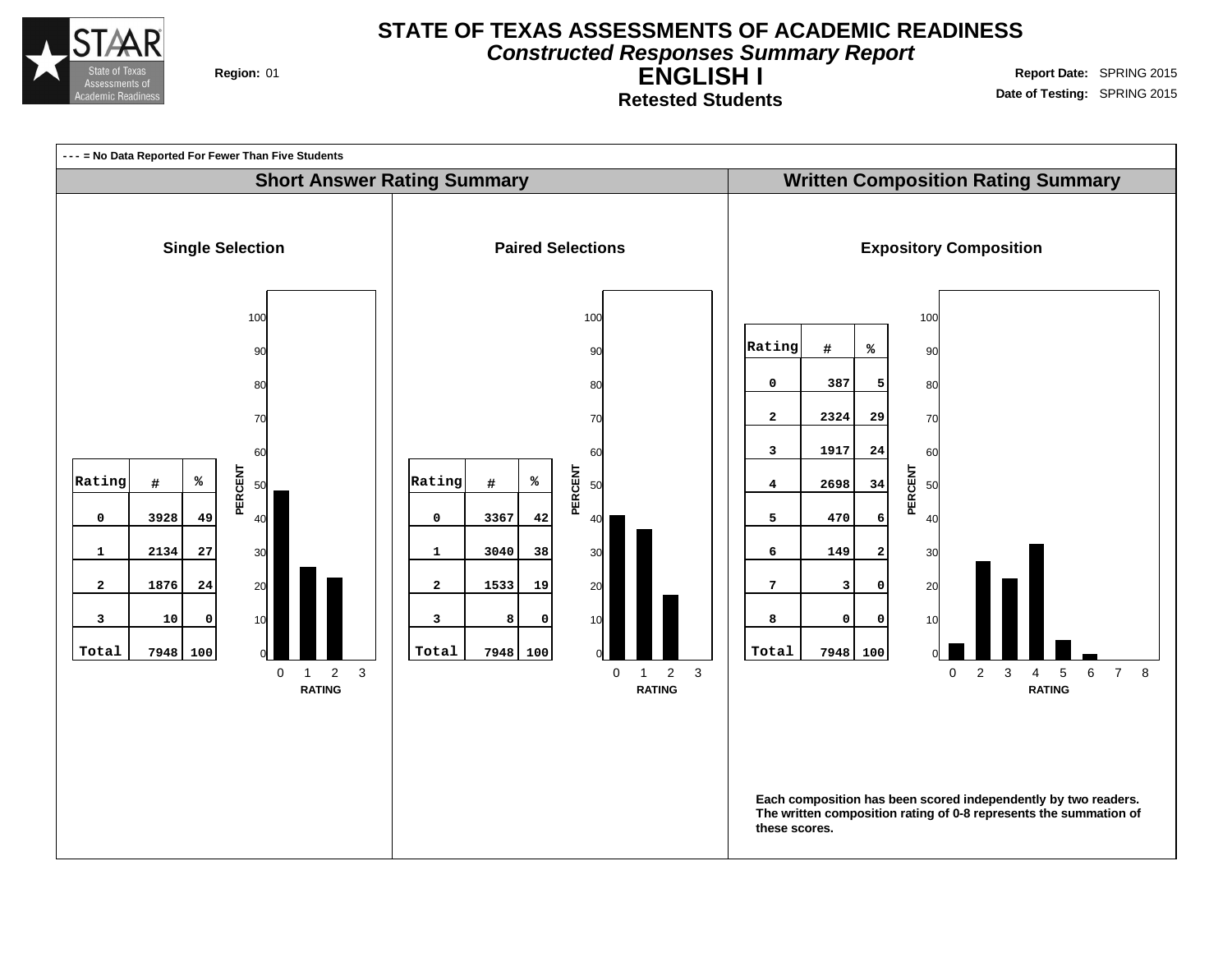

**Constructed Responses Summary Report**

**ENGLISH I Retested Students**

**Region:** 01 **Region:** 01 **Report** Date: SPRING 2015 **Date of Testing:** SPRING 2015

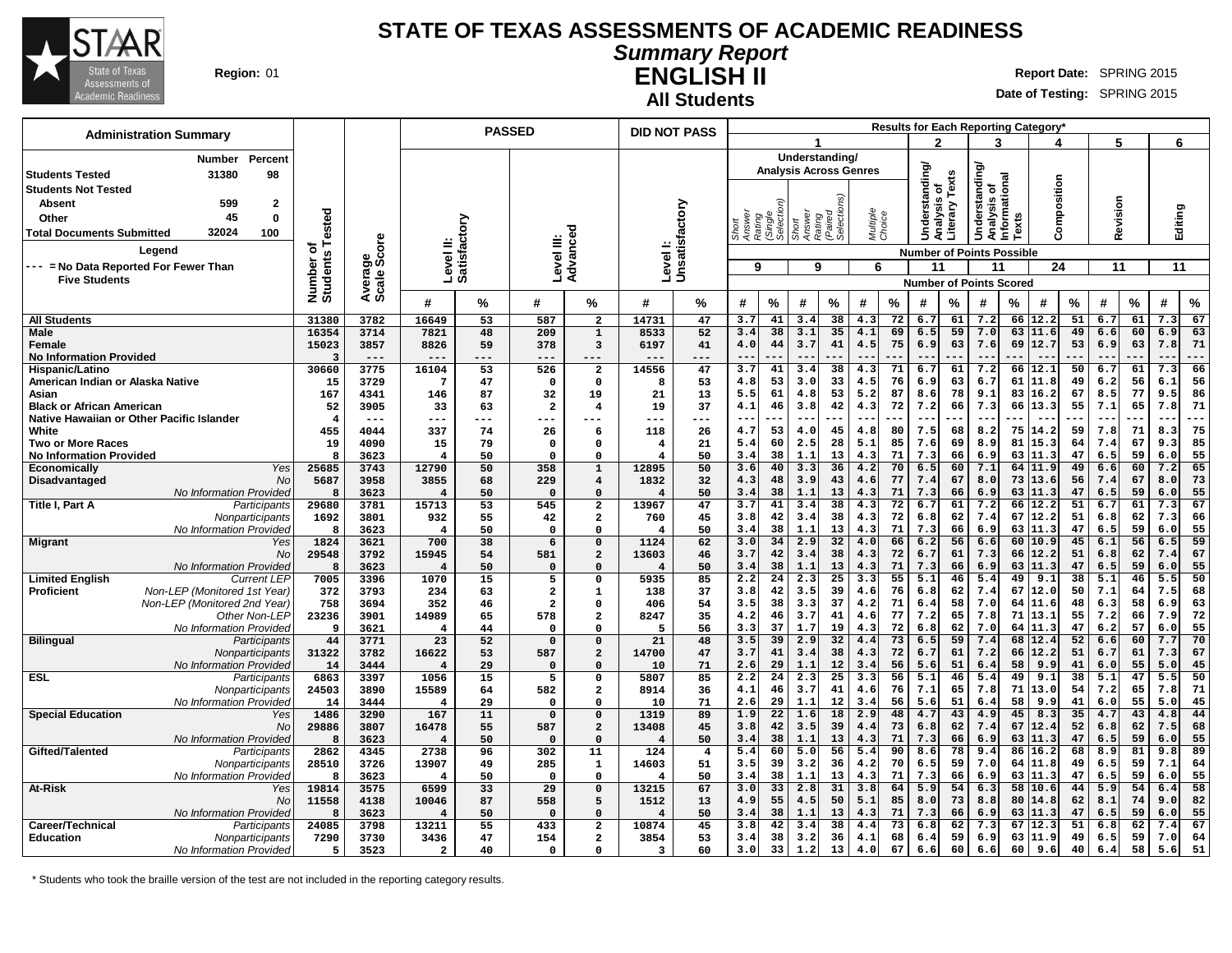

**Summary Report**

**ENGLISH II Region:** 01 **Report** Date: SPRING 2015

**All Students**

**Date of Testing:** SPRING 2015

| <b>Administration Summary</b>                                                 |                           |                        |                           | <b>PASSED</b> |                                |                                     | <b>DID NOT PASS</b>    |                               |                           |                     |                 |                               |                    |          |               |          |                                                |              | Results for Each Reporting Category* |          |              |          |             |             |
|-------------------------------------------------------------------------------|---------------------------|------------------------|---------------------------|---------------|--------------------------------|-------------------------------------|------------------------|-------------------------------|---------------------------|---------------------|-----------------|-------------------------------|--------------------|----------|---------------|----------|------------------------------------------------|--------------|--------------------------------------|----------|--------------|----------|-------------|-------------|
|                                                                               |                           |                        |                           |               |                                |                                     |                        |                               |                           |                     |                 |                               |                    |          | 2             |          | 3                                              |              |                                      |          | 5            |          | 6           |             |
| Percent<br>Number                                                             |                           |                        |                           |               |                                |                                     |                        |                               |                           |                     |                 | Understanding/                |                    |          |               |          |                                                |              |                                      |          |              |          |             |             |
| 31380<br>98<br><b>Students Tested</b>                                         |                           |                        |                           |               |                                |                                     |                        |                               |                           |                     |                 | <b>Analysis Across Genres</b> |                    |          | Understanding | Texts    | Understanding/<br>Analysis of<br>Informational |              |                                      |          |              |          |             |             |
| <b>Students Not Tested</b>                                                    |                           |                        |                           |               |                                |                                     |                        |                               |                           |                     |                 |                               |                    |          | ቴ             |          |                                                |              | Composition                          |          |              |          |             |             |
| 599<br>$\mathbf{2}$<br><b>Absent</b><br>45                                    |                           |                        |                           |               |                                |                                     |                        |                               |                           |                     |                 |                               |                    |          | alysis        | Literary |                                                |              |                                      |          | Revision     |          |             |             |
| $\mathbf{0}$<br>Other<br>32024<br>100                                         | ested                     |                        |                           |               |                                |                                     |                        |                               | Short<br>Answei<br>Rating | (Single<br>Selectio | Short<br>Answer | Rating<br>(Paired<br>Selectio | Multiple<br>Choice |          |               |          |                                                | <b>Texts</b> |                                      |          |              |          | Editing     |             |
| <b>Total Documents Submitted</b>                                              |                           |                        |                           |               |                                |                                     |                        |                               |                           |                     |                 |                               |                    |          |               |          |                                                |              |                                      |          |              |          |             |             |
| Legend                                                                        | ৳<br>Number o<br>Students | Average<br>Scale Score | Level II:<br>Satisfactory |               | Level III:                     | Advanced                            |                        | Levell:<br>Unsatisfactory     |                           |                     |                 |                               |                    |          |               |          | <b>Number of Points Possible</b>               |              |                                      |          |              |          |             |             |
| --- = No Data Reported For Fewer Than<br><b>Five Students</b>                 |                           |                        |                           |               |                                |                                     |                        |                               | 9                         |                     | 9               |                               | 6                  |          | 11            |          | 11                                             |              | 24                                   |          | 11           |          | 11          |             |
|                                                                               |                           |                        |                           |               |                                |                                     |                        |                               |                           |                     |                 |                               |                    |          |               |          | <b>Number of Points Scored</b>                 |              |                                      |          |              |          |             |             |
|                                                                               |                           |                        | #                         | %             | #                              | %                                   | #                      | %                             | #                         | $\%$                | #               | $\%$                          | #                  | %        | #             | %        | #                                              | %            | #                                    | %        | #            | %        | #           | $\%$        |
| <b>All Students</b>                                                           | 31380                     | 3782                   | 16649                     | 53            | 587                            | $\overline{2}$                      | 14731                  | 47                            | 3.7                       | 41                  | 3.4             | 38                            | 4.3                | 72       | 6.7           | 61       | 7.2                                            | 66           | 12.2                                 | 51       | 6.7          | 61       | 7.3         | 67          |
| Male                                                                          | 16354                     | 3714                   | 7821                      | 48            | 209                            | $\mathbf 1$                         | 8533                   | 52                            | 3.4                       | 38                  | 3.1             | 35                            | 4.1                | 69       | 6.5           | 59       | 7.0<br>7.6                                     | 63           | 11.6                                 | 49       | 6.6          | 60       | 6.9         | 63          |
| Female<br><b>No Information Provided</b>                                      | 15023                     | 3857<br>$---$          | 8826<br>$---$             | 59<br>---     | 378<br>---                     | 3<br>---                            | 6197                   | 41<br>---                     | 4.0<br>$- -$              | 44                  | 3.7<br>$-\,-$   | 41                            | 4.5                | 75       | 6.9           | 63       |                                                | 69           | 12.7                                 | 53       | 6.9          | 63       | 7.8         | 71<br>---   |
| Hispanic/Latino                                                               | 30660                     | 3775                   | 16104                     | 53            | 526                            | $\overline{\mathbf{2}}$             | 14556                  | 47                            | 3.7                       | 41                  | 3.4             | 38                            | 4.3                | 71       | 6.7           | 61       | 7.2                                            | 66           | 12.1                                 | 50       | 6.7          | 61       | 7.3         | 66          |
| American Indian or Alaska Native                                              | 15                        | 3729                   | -7                        | 47            | $\mathbf{0}$                   | $\mathbf 0$                         | 8                      | 53                            | 4.8                       | 53                  | 3.0             | 33                            | 4.5                | 76       | 6.9           | 63       | 6.7                                            | 61           | 11.8                                 | 49       | 6.2          | 56       | 6.1         | 56          |
| Asian                                                                         | 167                       | 4341                   | 146                       | 87            | 32                             | 19                                  | 21                     | 13                            | 5.5                       | 61                  | 4.8             | 53                            | 5.2                | 87       | 8.6           | 78       | 9.1                                            | 83           | 16.2                                 | 67       | 8.5          | 77       | 9.5         | 86          |
| <b>Black or African American</b><br>Native Hawaiian or Other Pacific Islander | 52                        | 3905<br>$---$          | 33<br>---                 | 63<br>$---$   | $\overline{\mathbf{2}}$<br>--- | 4                                   | 19<br>---              | 37<br>---                     | 4.1<br>$\sim$ $\sim$      | 46<br>---           | 3.8<br>$- -$    | 42<br>---                     | 4.3<br>$- -$       | 72       | 7.2<br>$- -$  | 66       | 7.3<br>$- -$                                   | 66           | 13.3                                 | 55       | 7.1<br>$- -$ | 65       | 7.8<br>$ -$ | 71<br>$---$ |
| White                                                                         | 455                       | 4044                   | 337                       | 74            | 26                             | 6                                   | 118                    | 26                            | 4.7                       | 53                  | 4.0             | 45                            | 4.8                | 80       | 7.5           | 68       | 8.2                                            | 75           | 14.2                                 | 59       | 7.8          | 71       | 8.3         | 75          |
| <b>Two or More Races</b>                                                      | 19                        | 4090                   | 15                        | 79            | 0                              | $\mathbf 0$                         | $\overline{4}$         | 21                            | 5.4                       | 60                  | 2.5             | 28                            | 5.1                | 85       | 7.6           | 69       | 8.9                                            | 81           | 15.3                                 | 64       | 7.4          | 67       | 9.3         | 85          |
| <b>No Information Provided</b>                                                |                           | 3623                   | 4                         | 50            | $\Omega$                       | $\Omega$                            | $\overline{4}$         | 50                            | 3.4                       | 38                  | 1.1             | 13                            | 4.3                | 71       | 7.3           | 66       | 6.9                                            | 63           | 11.3                                 | 47       | 6.5          | 59       | 6.0         | 55          |
| Yes<br><b>Economically</b>                                                    | 25685                     | 3743                   | 12790                     | 50            | 358                            | $\mathbf 1$                         | 12895                  | 50<br>32                      | 3.6                       | 40                  | 3.3             | 36                            | 4.2                | 70       | 6.5           | 60       | 7.1                                            | 64           | $\overline{11.9}$                    | 49       | 6.6          | 60       | 7.2         | 65          |
| Disadvantaged<br>No<br>No Information Provided                                | 5687                      | 3958<br>3623           | 3855<br>$\overline{4}$    | 68<br>50      | 229<br>$\Omega$                | $\overline{\mathbf{4}}$<br>$\Omega$ | 1832<br>$\overline{4}$ | 50                            | 4.3<br>3.4                | 48<br>38            | 3.9<br>1.1      | 43<br>13                      | 4.6<br>4.3         | 77<br>71 | 7.4<br>7.3    | 67<br>66 | 8.0<br>6.9                                     | 73<br>63     | 13.6<br>11.3                         | 56<br>47 | 7.4<br>6.5   | 67<br>59 | 8.0<br>6.0  | 73<br>55    |
| Title I, Part A<br>Participants                                               | 29680                     | 3781                   | 15713                     | 53            | 545                            | $\overline{\mathbf{2}}$             | 13967                  | 47                            | 3.7                       | 41                  | 3.4             | 38                            | 4.3                | 72       | 6.7           | 61       | 7.2                                            | 66           | 12.2                                 | 51       | 6.7          | 61       | 7.3         | 67          |
| Nonparticipants                                                               | 1692                      | 3801                   | 932                       | 55            | 42                             | $\overline{\mathbf{2}}$             | 760                    | 45                            | 3.8                       | 42                  | 3.4             | 38                            | 4.3                | 72       | 6.8           | 62       | 7.4                                            | 67           | 12.2                                 | 51       | 6.8          | 62       | 7.3         | 66          |
| No Information Provided                                                       | я                         | 3623                   | 4                         | 50            | $\Omega$                       | $\Omega$                            | 4                      | 50                            | 3.4                       | 38                  | 1.1             | 13<br>32                      | 4.3                | 71       | 7.3           | 66       | 6.9                                            | 63           | 11.3                                 | 47       | 6.5          | 59       | 6.0         | 55          |
| <b>Migrant</b><br>Yes<br><b>No</b>                                            | 1824<br>29548             | 3621<br>3792           | 700<br>15945              | 38<br>54      | 6<br>581                       | $\mathbf 0$<br>$\overline{a}$       | 1124<br>13603          | 62<br>46                      | 3.0<br>3.7                | 34<br>42            | 2.9<br>3.4      | 38                            | 4.0<br>4.3         | 66<br>72 | 6.2<br>6.7    | 56<br>61 | 6.6<br>7.3                                     | 60<br>66     | 10.9<br>12.2                         | 45<br>51 | 6.1<br>6.8   | 56<br>62 | 6.5<br>7.4  | 59<br>67    |
| No Information Provided                                                       | 8                         | 3623                   | $\overline{\mathbf{4}}$   | 50            | $\Omega$                       | $\Omega$                            | $\overline{4}$         | 50                            | 3.4                       | 38                  | 1.1             | 13                            | 4.3                | 71       | 7.3           | 66       | 6.9                                            | 63           | 11.3                                 | 47       | 6.5          | 59       | 6.0         | 55          |
| <b>Limited English</b><br><b>Current LEF</b>                                  | 7005                      | 3396                   | 1070                      | 15            | 5                              | 0                                   | 5935                   | 85                            | 2.2                       | 24                  | 2.3             | 25                            | 3.3                | 55       | 5.1           | 46       | 5.4                                            | 49           | 9.1                                  | 38       | 5.1          | 46       | 5.5         | 50          |
| Non-LEP (Monitored 1st Year)<br><b>Proficient</b>                             | 372                       | 3793                   | 234                       | 63            | $\mathbf{2}$                   | 1                                   | 138                    | 37                            | 3.8                       | 42                  | 3.5             | 39                            | 4.6                | 76       | 6.8           | 62       | 7.4                                            | 67           | 12.0                                 | 50       | 7.1          | 64       | 7.5         | 68          |
| Non-LEP (Monitored 2nd Year)<br>Other Non-LEP                                 | 758<br>23236              | 3694<br>3901           | 352<br>14989              | 46<br>65      | $\overline{a}$<br>578          | $\Omega$<br>$\overline{\mathbf{2}}$ | 406<br>8247            | 54<br>35                      | 3.5<br>4.2                | 38<br>46            | 3.3<br>3.7      | 37<br>41                      | 4.2<br>4.6         | 71<br>77 | 6.4<br>7.2    | 58<br>65 | 7.0<br>7.8                                     | 64<br>71     | 11.6<br>113.1                        | 48<br>55 | 6.3<br>7.2   | 58<br>66 | 6.9<br>7.9  | 63<br>72    |
| No Information Provided                                                       | 9                         | 3621                   | 4                         | 44            | $\Omega$                       | $\Omega$                            | 5                      | 56                            | 3.3                       | 37                  | 1.7             | 19                            | 4.3                | 72       | 6.8           | 62       | 7.0                                            | 64           | 11.3                                 | 47       | 6.2          | 57       | 6.0         | 55          |
| <b>Bilingual</b><br>Participants                                              | 44                        | 3771                   | 23                        | 52            | $\Omega$                       | $\Omega$                            | 21                     | 48                            | 3.5                       | 39                  | 2.9             | 32                            | 4.4                | 73       | 6.5           | 59       | 7.4                                            | 68           | 12.4                                 | 52       | 6.6          | 60       | 7.7         | 70          |
| Nonparticipants                                                               | 31322                     | 3782                   | 16622                     | 53            | 587                            | $\overline{a}$                      | 14700                  | 47                            | 3.7                       | 41                  | 3.4             | 38                            | 4.3                | 72       | 6.7           | 61       | 7.2                                            | 66           | 12.2                                 | 51       | 6.7          | 61       | 7.3         | 67          |
| No Information Provided<br><b>ESL</b>                                         | 14<br>6863                | 3444<br>3397           | $\overline{4}$<br>1056    | 29<br>15      | $\mathbf 0$<br>5               | $\mathbf 0$<br>$\mathbf 0$          | 10<br>5807             | 71<br>85                      | 2.6<br>2.2                | 29<br>24            | 1.1<br>2.3      | 12<br>25                      | 3.4<br>3.3         | 56<br>56 | 5.6<br>5.1    | 51<br>46 | 6.4<br>5.4                                     | 58<br>49     | 9.9<br>9.1                           | 41<br>38 | 6.0<br>5.1   | 55<br>47 | 5.0<br>5.5  | 45<br>50    |
| Participants<br>Nonparticipants                                               | 24503                     | 3890                   | 15589                     | 64            | 582                            | $\mathbf{2}$                        | 8914                   | 36                            | 4.1                       | 46                  | 3.7             | 41                            | 4.6                | 76       | 7.1           | 65       | 7.8                                            | 71           | 13.0                                 | 54       | 7.2          | 65       | 7.8         | 71          |
| No Information Provided                                                       | 14                        | 3444                   | 4                         | 29            | $\Omega$                       | $\Omega$                            | 10                     | 71                            | 2.6                       | 29                  | 1.1             | 12                            | 3.4                | 56       | 5.6           | 51       | 6.4                                            | 58           | 9.9                                  | 41       | 6.0          | 55       | 5.0         | 45          |
| <b>Special Education</b><br>Yes                                               | 1486                      | 3290                   | 167                       | ${\bf 11}$    | $\Omega$                       | $\mathbf 0$                         | 1319                   | 89                            | 1.9                       | 22                  | 1.6             | 18                            | 2.9                | 48       | 4.7           | 43       | 4.9                                            | 45           | 8.3                                  | 35       | 4.7          | 43       | 4.8         | 44          |
| No                                                                            | 29886                     | 3807                   | 16478                     | 55            | 587                            | $\overline{a}$                      | 13408                  | 45                            | 3.8                       | 42                  | 3.5             | 39                            | 4.4                | 73       | 6.8           | 62       | 7.4                                            | 67           | 12.4                                 | 52       | 6.8          | 62       | 7.5         | 68          |
| No Information Provided<br>Gifted/Talented<br>Participants                    | 2862                      | 3623<br>4345           | 4<br>2738                 | 50<br>96      | $\Omega$<br>302                | $\Omega$<br>11                      | 4<br>124               | 50<br>$\overline{\mathbf{4}}$ | 3.4<br>5.4                | 38<br>60            | 1.1<br>5.0      | 13<br>56                      | 4.3<br>5.4         | 71<br>90 | 7.3<br>8.6    | 66<br>78 | 6.9<br>9.4                                     | 63<br>86     | 11.3<br>16.2                         | 47<br>68 | 6.5<br>8.9   | 59<br>81 | 6.0<br>9.8  | 55<br>89    |
| Nonparticipants                                                               | 28510                     | 3726                   | 13907                     | 49            | 285                            | ${\bf 1}$                           | 14603                  | 51                            | 3.5                       | 39                  | 3.2             | 36                            | 4.2                | 70       | 6.5           | 59       | 7.0                                            | 64           | 11.8                                 | 49       | 6.5          | 59       | 7.1         | 64          |
| No Information Provided                                                       | 8                         | 3623                   | 4                         | 50            | $\mathbf 0$                    | $\Omega$                            | $\overline{4}$         | 50                            | 3.4                       | 38                  | 1.1             | 13                            | 4.3                | 71       | 7.3           | 66       | 6.9                                            | 63           | 11.3                                 | 47       | 6.5          | 59       | 6.0         | 55          |
| At-Risk<br>Yes                                                                | 19814                     | 3575                   | 6599                      | 33            | $\overline{29}$                | $\Omega$                            | 13215                  | 67                            | 3.0                       | 33                  | 2.8             | 31                            | 3.8                | 64       | 5.9           | 54       | 6.3                                            | 58           | 10.6                                 | 44       | 5.9          | 54       | 6.4         | 58          |
| No                                                                            | 11558                     | 4138                   | 10046                     | 87            | 558                            | 5                                   | 1512                   | 13                            | 4.9                       | 55                  | 4.5             | 50                            | 5.1                | 85       | 8.0           | 73       | 8.8                                            | 80           | 14.8                                 | 62       | 8.1          | 74       | 9.0         | 82          |
| No Information Provided<br>Career/Technical<br>Participants                   | 24085                     | 3623<br>3798           | 4<br>13211                | 50<br>55      | $\Omega$<br>433                | $\Omega$<br>$\overline{\mathbf{2}}$ | 4<br>10874             | 50<br>45                      | 3.4<br>3.8                | 38<br>42            | 1.1<br>3.4      | 13<br>38                      | 4.3<br>4.4         | 71<br>73 | 7.3<br>6.8    | 66<br>62 | 6.9<br>7.3                                     | 63<br>67     | 11.3<br>12.3                         | 47<br>51 | 6.5<br>6.8   | 59<br>62 | 6.0<br>7.4  | 55<br>67    |
| <b>Education</b><br>Nonparticipants                                           | 7290                      | 3730                   | 3436                      | 47            | 154                            | $\overline{a}$                      | 3854                   | 53                            | 3.4                       | 38                  | 3.2             | 36                            | 4.1                | 68       | 6.4           | 59       | 6.9                                            | 63           | 11.9                                 | 49       | 6.5          | 59       | 7.0         | 64          |
| No Information Provided                                                       | 5                         | 3523                   | $\mathbf{2}$              | 40            | 0                              | $\Omega$                            | 3                      | 60                            | 3.0                       | 33                  | 1.2             | 13                            | 4.0                | 67       | 6.6           | 60       | 6.6                                            | 60           | 9.6                                  | 40       | 6.4          | 58       | 5.6         | 51          |

\* Students who took the braille version of the test are not included in the reporting category results.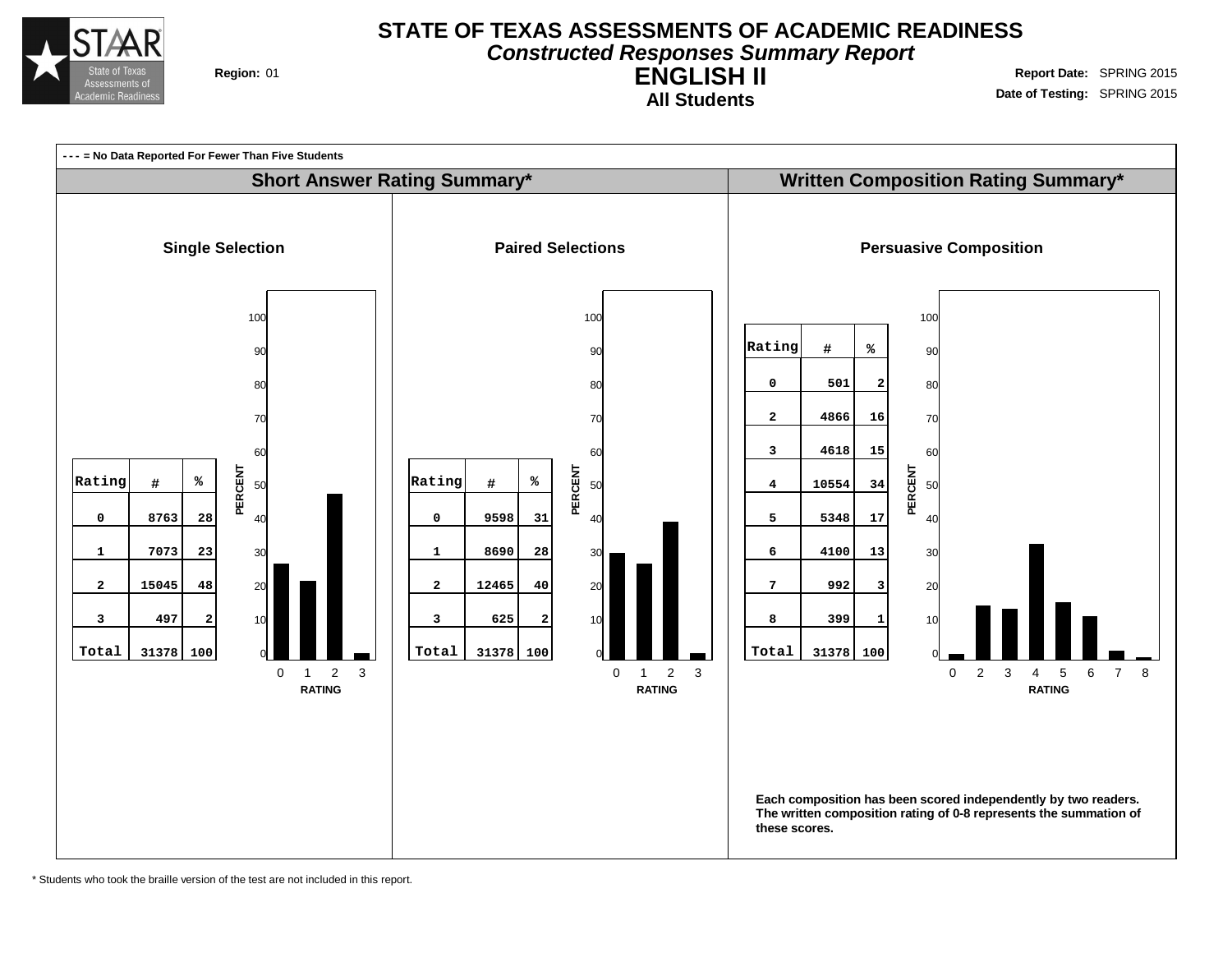

# **STATE OF TEXAS ASSESSMENTS OF ACADEMIC READINESS Constructed Responses Summary Report**

**All Students**

**ENGLISH II Region:** 01 **Report** Date: SPRING 2015 **Date of Testing:** SPRING 2015



\* Students who took the braille version of the test are not included in this report.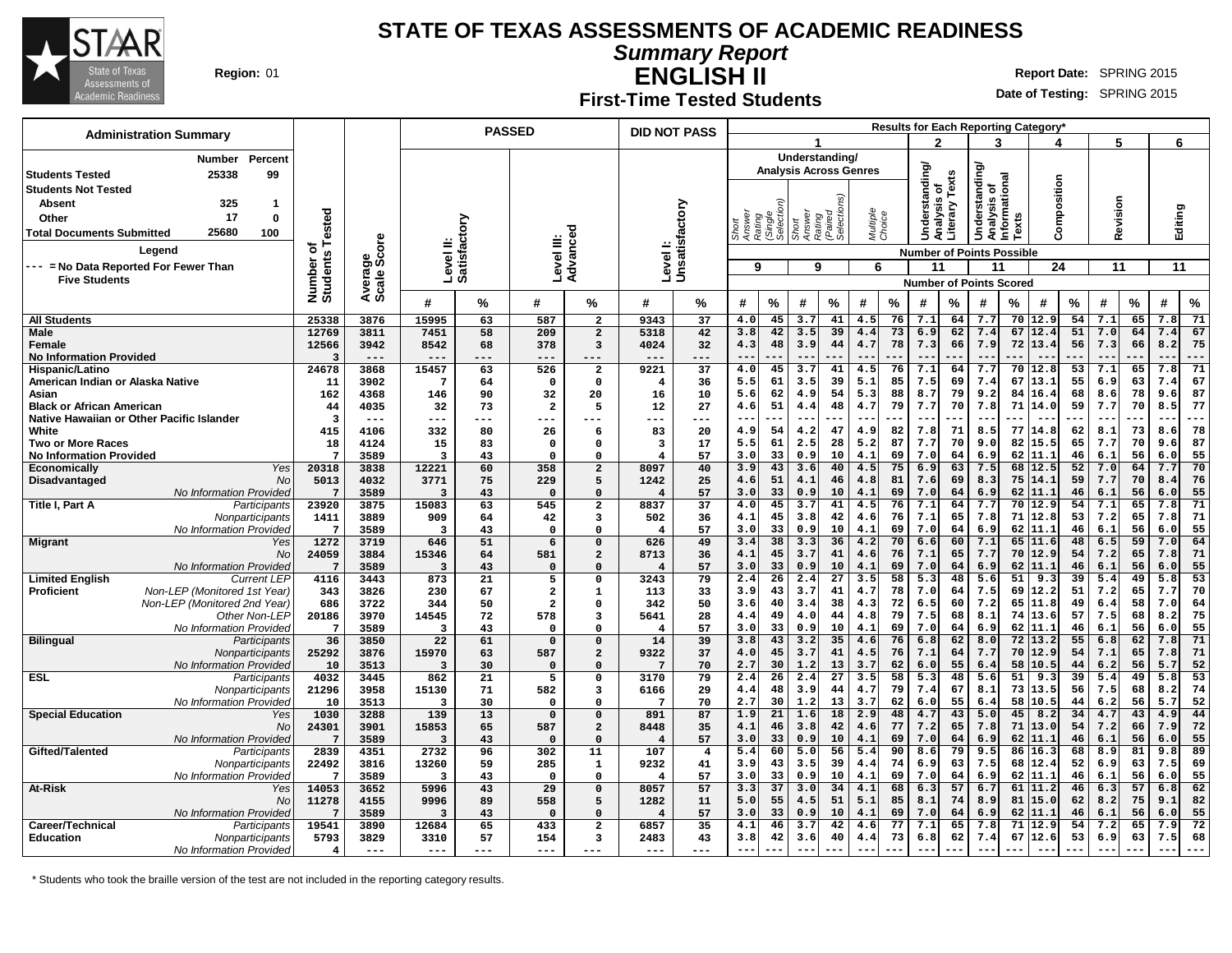

**Summary Report**

**ENGLISH II Region:** 01 **Report** Date: SPRING 2015

# **First-Time Tested Students**

**Date of Testing:** SPRING 2015

| <b>Administration Summary</b>                         |                          |                |                                  |                 | <b>PASSED</b>           |                         |                         | <b>DID NOT PASS</b>  |                  |                     |                 |                               |                    |          |                       |          |                                              |          | <b>Results for Each Reporting Category</b> |          |            |          |                    |          |
|-------------------------------------------------------|--------------------------|----------------|----------------------------------|-----------------|-------------------------|-------------------------|-------------------------|----------------------|------------------|---------------------|-----------------|-------------------------------|--------------------|----------|-----------------------|----------|----------------------------------------------|----------|--------------------------------------------|----------|------------|----------|--------------------|----------|
|                                                       |                          |                |                                  |                 |                         |                         |                         |                      |                  |                     |                 |                               |                    |          | 2                     |          | 3                                            |          |                                            |          | 5          |          | 6                  |          |
| Percent<br>Number                                     |                          |                |                                  |                 |                         |                         |                         |                      |                  |                     |                 | Understanding/                |                    |          |                       |          |                                              |          |                                            |          |            |          |                    |          |
| 25338<br>99<br><b>Students Tested</b>                 |                          |                |                                  |                 |                         |                         |                         |                      |                  |                     |                 | <b>Analysis Across Genres</b> |                    |          | <b>Understanding/</b> |          | derstanding/<br>Analysis of<br>Informational |          |                                            |          |            |          |                    |          |
| <b>Students Not Tested</b>                            |                          |                |                                  |                 |                         |                         |                         |                      |                  |                     |                 |                               |                    |          | ৳                     | Texts    |                                              |          | Composition                                |          |            |          |                    |          |
| 325<br>Absent<br>$\mathbf 1$                          |                          |                |                                  |                 |                         |                         |                         |                      |                  |                     |                 |                               |                    |          |                       |          |                                              |          |                                            |          |            |          |                    |          |
| 17<br>$\mathbf 0$<br>Other                            | ested                    |                |                                  |                 |                         |                         |                         |                      | Answer<br>Rating | (Single<br>Selectio | Short<br>Answer | (Paired<br>Selectio           | Multiple<br>Choice |          | alysis                | Literary |                                              |          |                                            |          | Revision   |          | Editing            |          |
| 25680<br>100<br><b>Total Documents Submitted</b>      |                          |                |                                  |                 |                         | ত                       |                         |                      |                  |                     | Rating          |                               |                    |          | ā                     |          | Š                                            | Texts    |                                            |          |            |          |                    |          |
| Legend                                                | ৳                        | ige<br>Score   | Level II:<br>Satisfactory        |                 | Level III:              | Advance                 |                         | Unsatisfactory       |                  |                     |                 |                               |                    |          |                       |          |                                              |          |                                            |          |            |          |                    |          |
| --- = No Data Reported For Fewer Than                 | Number o<br>Students     |                |                                  |                 |                         |                         | Level I:                |                      | 9                |                     | 9               |                               | 6                  |          | 11                    |          | <b>Number of Points Possible</b>             |          | 24                                         |          |            |          |                    |          |
| <b>Five Students</b>                                  |                          |                |                                  |                 |                         |                         |                         |                      |                  |                     |                 |                               |                    |          |                       |          | 11                                           |          |                                            |          | 11         |          | 11                 |          |
|                                                       |                          | Avera<br>Scale |                                  |                 |                         |                         |                         |                      |                  |                     |                 |                               |                    |          |                       |          | <b>Number of Points Scored</b>               |          |                                            |          |            |          |                    |          |
|                                                       |                          |                | #                                | ℅               | #                       | ℅                       | #                       | ℅                    | #                | %                   | #               | $\%$                          | #                  | %        | #                     | %        | #                                            | %        | #                                          | %        | #          | $\%$     | $\%$<br>#          |          |
| <b>All Students</b>                                   | 25338                    | 3876           | 15995                            | 63              | 587                     | $\overline{\mathbf{2}}$ | 9343                    | 37                   | 4.0              | 45                  | 3.7             | 41                            | 4.5                | 76       | 7.1                   | 64       | 7.7                                          |          | 70 12.9                                    | 54       | 7.1        | 65       | 7.8                | 71       |
| <b>Male</b>                                           | 12769                    | 3811           | 7451                             | 58              | 209                     | $\overline{a}$          | 5318                    | 42                   | 3.8              | 42                  | 3.5             | 39                            | 4.4                | 73       | 6.9                   | 62       | 7.4                                          | 67       | 12.4                                       | 51       | 7.0        | 64       | 7.4                | 67       |
| Female                                                | 12566<br>3               | 3942<br>$---$  | 8542<br>$---$                    | 68<br>---       | 378<br>---              | 3<br>$- - -$            | 4024                    | 32<br>---            | 4.3<br>$-$       | 48                  | 3.9             | 44                            | 4.7                | 78       | 7.3                   | 66       | 7.9                                          | 72       | 13.4                                       | 56       | 7.3        | 66       | 8.2<br>$ -$<br>--- | 75       |
| <b>No Information Provided</b><br>Hispanic/Latino     | 24678                    | 3868           | 15457                            | 63              | 526                     | $\overline{\mathbf{2}}$ | 9221                    | 37                   | 4.0              | 45                  | $-$<br>3.7      | 41                            | 4.5                | 76       | 7.1                   | 64       | 7.7                                          | 70       | 12.8                                       | 53       | 7.1        | 65       | 7.8                | 71       |
| American Indian or Alaska Native                      | 11                       | 3902           | 7                                | 64              | $\mathbf 0$             | 0                       | $\overline{4}$          | 36                   | 5.5              | 61                  | 3.5             | 39                            | 5.1                | 85       | 7.5                   | 69       | 7.4                                          | 67       | 13.1                                       | 55       | 6.9        | 63       | 7.4                | 67       |
| Asian                                                 | 162                      | 4368           | 146                              | 90              | 32                      | 20                      | 16                      | 10                   | 5.6              | 62                  | 4.9             | 54                            | 5.3                | 88       | 8.7                   | 79       | 9.2                                          | 84       | 16.4                                       | 68       | 8.6        | 78       | 9.6                | 87       |
| <b>Black or African American</b>                      | 44                       | 4035           | 32                               | 73              | $\overline{\mathbf{2}}$ | 5                       | 12                      | 27                   | 4.6              | 51                  | 4.4             | 48                            | 4.7                | 79       | 7.7                   | 70       | 7.8                                          | 71       | 14.0                                       | 59       | 7.7        | 70       | 8.5                | 77       |
| Native Hawaiian or Other Pacific Islander             | $\overline{\mathbf{3}}$  | $---$          | ---                              | ---             | ---                     |                         | ---                     | ---                  | $\sim$ $\sim$    | ---                 | ---             | ---                           | $- -$              |          | $- -$                 | ---      | $\sim$ $-$                                   | .        | $- -$                                      | .        | $- -$      |          | $- -$<br>---       |          |
| White                                                 | 415                      | 4106           | 332                              | 80              | 26                      | 6                       | 83                      | 20                   | 4.9              | 54                  | 4.2             | 47                            | 4.9                | 82       | 7.8                   | 71       | 8.5                                          | 77       | 14.8                                       | 62       | 8.1        | 73       | 8.6                | 78       |
| <b>Two or More Races</b>                              | 18                       | 4124           | 15                               | 83              | $\mathbf 0$             | $\Omega$                | 3                       | 17                   | 5.5              | 61                  | 2.5             | 28                            | 5.2                | 87       | 7.7                   | 70       | 9.0                                          | 82       | 15.5                                       | 65       | 7.7        | 70       | 9.6                | 87       |
| <b>No Information Provided</b><br>Yes<br>Economically | $7\phantom{.0}$<br>20318 | 3589<br>3838   | $\overline{\mathbf{3}}$<br>12221 | 43<br>60        | $\Omega$<br>358         | $\Omega$<br>$\mathbf 2$ | $\overline{4}$<br>8097  | 57<br>40             | 3.0<br>3.9       | 33<br>43            | 0.9<br>3.6      | 10<br>40                      | 4.1<br>4.5         | 69<br>75 | 7.0<br>6.9            | 64<br>63 | 6.9<br>7.5                                   | 62<br>68 | 11.1<br>12.5                               | 46<br>52 | 6.1<br>7.0 | 56<br>64 | 6.0<br>7.7         | 55<br>70 |
| Disadvantaged<br>No                                   | 5013                     | 4032           | 3771                             | 75              | 229                     | 5                       | 1242                    | 25                   | 4.6              | 51                  | 4.1             | 46                            | 4.8                | 81       | 7.6                   | 69       | 8.3                                          | 75       | 14.1                                       | 59       | 7.7        | 70       | 8.4                | 76       |
| No Information Provided                               | $7\phantom{.0}$          | 3589           | $\overline{3}$                   | 43              | $\Omega$                | $\Omega$                | $\overline{4}$          | 57                   | 3.0              | 33                  | 0.9             | 10                            | 4.1                | 69       | 7.0                   | 64       | 6.9                                          | 62       | 11.1                                       | 46       | 6.1        | 56       | 6.0                | 55       |
| Title I, Part A<br>Participants                       | 23920                    | 3875           | 15083                            | 63              | 545                     | $\overline{\mathbf{2}}$ | 8837                    | 37                   | 4.0              | 45                  | 3.7             | 41                            | 4.5                | 76       | 7.1                   | 64       | 7.7                                          | 70       | 12.9                                       | 54       | 7.1        | 65       | 7.8                | 71       |
| Nonparticipants                                       | 1411                     | 3889           | 909                              | 64              | 42                      | 3                       | 502                     | 36                   | 4.1              | 45                  | 3.8             | 42                            | 4.6                | 76       | 7.1                   | 65       | 7.8                                          | 71       | 12.8                                       | 53       | 7.2        | 65       | 7.8                | 71       |
| No Information Provided                               | $7\overline{ }$          | 3589           | 3                                | 43              | $\mathbf 0$             | $\Omega$                | $\overline{4}$          | 57                   | 3.0              | 33                  | 0.9             | 10                            | 4.1                | 69       | 7.0                   | 64       | 6.9                                          | 62       | 11.1                                       | 46       | 6.1        | 56       | 6.0                | 55       |
| <b>Migrant</b><br>Yes                                 | 1272                     | 3719           | 646                              | 51              | 6                       | $\Omega$                | 626                     | 49                   | 3.4              | 38                  | 3.3             | 36                            | 4.2                | 70       | 6.6                   | 60       | 7.1                                          | 65       | 11.6                                       | 48       | 6.5        | 59       | 7.0                | 64       |
| <b>No</b><br>No Information Provided                  | 24059<br>$7\phantom{.0}$ | 3884<br>3589   | 15346<br>$\overline{\mathbf{3}}$ | 64<br>43        | 581<br>$\mathbf 0$      | $\mathbf 2$<br>$\Omega$ | 8713<br>$\overline{4}$  | 36<br>57             | 4.1<br>3.0       | 45<br>33            | 3.7<br>0.9      | 41<br>10                      | 4.6<br>4.1         | 76<br>69 | 7.1<br>7.0            | 65<br>64 | 7.7<br>6.9                                   | 70<br>62 | 12.9<br>11.1                               | 54<br>46 | 7.2<br>6.1 | 65<br>56 | 7.8<br>6.0         | 71<br>55 |
| <b>Limited English</b><br><b>Current LEP</b>          | 4116                     | 3443           | 873                              | 21              | 5                       | $\mathbf 0$             | 3243                    | 79                   | 2.4              | 26                  | 2.4             | 27                            | 3.5                | 58       | 5.3                   | 48       | 5.6                                          | 51       | 9.3                                        | 39       | 5.4        | 49       | 5.8                | 53       |
| Proficient<br>Non-LEP (Monitored 1st Year)            | 343                      | 3826           | 230                              | 67              | $\overline{\mathbf{2}}$ | $\mathbf{1}$            | 113                     | 33                   | 3.9              | 43                  | 3.7             | 41                            | 4.7                | 78       | 7.0                   | 64       | 7.5                                          | 69       | 12.2                                       | 51       | 7.2        | 65       | 7.7                | 70       |
| Non-LEP (Monitored 2nd Year)                          | 686                      | 3722           | 344                              | 50              | $\overline{a}$          | $\mathbf 0$             | 342                     | 50                   | 3.6              | 40                  | 3.4             | 38                            | 4.3                | 72       | 6.5                   | 60       | 7.2                                          | 65       | 11.8                                       | 49       | 6.4        | 58       | 7.0                | 64       |
| Other Non-LEP                                         | 20186                    | 3970           | 14545                            | 72              | 578                     | $\overline{\mathbf{3}}$ | 5641                    | 28                   | 4.4              | 49                  | 4.0             | 44                            | 4.8                | 79       | 7.5                   | 68       | 8.1                                          | 74       | 13.6                                       | 57       | 7.5        | 68       | 8.2                | 75       |
| <b>No Information Provided</b>                        | $7\phantom{.0}$          | 3589           | 3                                | 43              | $\mathbf 0$             | $\Omega$                | $\overline{4}$          | 57                   | 3.0              | 33                  | 0.9             | 10                            | 4.1                | 69       | 7.0                   | 64       | 6.9                                          | 62       | 11.1                                       | 46       | 6.1        | 56       | 6.0                | 55       |
| <b>Bilingual</b><br>Participants                      | 36                       | 3850           | 22                               | 61              | $\Omega$                | $\Omega$                | 14                      | 39                   | 3.8              | 43                  | 3.2             | 35                            | 4.6                | 76       | 6.8                   | 62       | 8.0<br>7.7                                   |          | $72 \mid 13.2$                             | 55       | 6.8        | 62       | 7.8                | 71       |
| Nonparticipants<br>No Information Provided            | 25292<br>10              | 3876<br>3513   | 15970<br>3                       | 63<br>30        | 587<br>$\mathbf 0$      | $\mathbf 2$<br>$\Omega$ | 9322<br>$7\phantom{.0}$ | 37<br>70             | 4.0<br>2.7       | 45<br>30            | 3.7<br>1.2      | 41<br>13                      | 4.5<br>3.7         | 76<br>62 | 7.1<br>6.0            | 64<br>55 | 6.4                                          | 70<br>58 | 12.9<br>10.5                               | 54<br>44 | 7.1<br>6.2 | 65<br>56 | 7.8<br>5.7         | 71<br>52 |
| <b>ESL</b><br>Participants                            | 4032                     | 3445           | 862                              | $\overline{21}$ | 5                       | $\mathbf 0$             | 3170                    | 79                   | 2.4              | 26                  | 2.4             | 27                            | 3.5                | 58       | 5.3                   | 48       | 5.6                                          | 51       | 9.3                                        | 39       | 5.4        | 49       | 5.8                | 53       |
| Nonparticipants                                       | 21296                    | 3958           | 15130                            | 71              | 582                     | 3                       | 6166                    | 29                   | 4.4              | 48                  | 3.9             | 44                            | 4.7                | 79       | 7.4                   | 67       | 8.1                                          | 73       | 13.5                                       | 56       | 7.5        | 68       | 8.2                | 74       |
| No Information Provided                               | 10                       | 3513           | $\overline{\mathbf{3}}$          | 30              | $\mathbf 0$             | $\Omega$                | 7                       | 70                   | 2.7              | 30                  | 1.2             | 13                            | 3.7                | 62       | 6.0                   | 55       | 6.4                                          | 58       | 10.5                                       | 44       | 6.2        | 56       | 5.7                | 52       |
| <b>Special Education</b><br>Yes                       | 1030                     | 3288           | 139                              | 13              | $\Omega$                | $\mathbf 0$             | 891                     | 87                   | 1.9              | 21                  | 1.6             | 18                            | 2.9                | 48       | 4.7                   | 43       | 5.0                                          | 45       | 8.2                                        | 34       | 4.7        | 43       | 4.9                | 44       |
| <b>No</b>                                             | 24301                    | 3901           | 15853                            | 65              | 587                     | $\overline{a}$          | 8448                    | 35                   | 4.1              | 46                  | 3.8             | 42                            | 4.6                | 77       | 7.2                   | 65       | 7.8                                          | 71       | 13.0                                       | 54       | 7.2        | 66       | 7.9                | 72       |
| No Information Provided                               | $7\phantom{.0}$<br>2839  | 3589<br>4351   | $\overline{\mathbf{3}}$<br>2732  | 43<br>96        | $\mathbf 0$<br>302      | $\Omega$<br>11          | $\overline{4}$<br>107   | 57                   | 3.0<br>5.4       | 33<br>60            | 0.9<br>5.0      | 10<br>56                      | 4.1<br>5.4         | 69<br>90 | 7.0<br>8.6            | 64<br>79 | 6.9<br>9.5                                   | 62<br>86 | 11.1<br>16.3                               | 46<br>68 | 6.1<br>8.9 | 56<br>81 | 6.0<br>9.8         | 55<br>89 |
| Gifted/Talented<br>Participants<br>Nonparticipants    | 22492                    | 3816           | 13260                            | 59              | 285                     | $\mathbf{1}$            | 9232                    | $\overline{4}$<br>41 | 3.9              | 43                  | 3.5             | 39                            | 4.4                | 74       | 6.9                   | 63       | 7.5                                          | 68       | 12.4                                       | 52       | 6.9        | 63       | 7.5                | 69       |
| No Information Provided                               | $7\phantom{.0}$          | 3589           | 3                                | 43              | $\mathbf 0$             | $\Omega$                | $\overline{4}$          | 57                   | 3.0              | 33                  | 0.9             | 10                            | 4.1                | 69       | 7.0                   | 64       | 6.9                                          | 62       | 11.1                                       | 46       | 6.1        | 56       | 6.0                | 55       |
| At-Risk<br>Yes                                        | 14053                    | 3652           | 5996                             | 43              | $\overline{29}$         | $\mathbf 0$             | 8057                    | 57                   | 3.3              | 37                  | 3.0             | 34                            | 4.1                | 68       | 6.3                   | 57       | 6.7                                          |          | $61 \mid 11.2$                             | 46       | 6.3        | 57       | 6.8                | 62       |
| No                                                    | 11278                    | 4155           | 9996                             | 89              | 558                     | 5                       | 1282                    | 11                   | 5.0              | 55                  | 4.5             | 51                            | 5.1                | 85       | 8.1                   | 74       | 8.9                                          | 81       | 15.0                                       | 62       | 8.2        | 75       | 9.1                | 82       |
| No Information Provided                               | 7                        | 3589           | $\overline{3}$                   | 43              | $\Omega$                | $\Omega$                | $\overline{4}$          | 57                   | 3.0              | 33                  | 0.9             | 10                            | 4.1                | 69       | 7.0                   | 64       | 6.9                                          | 62       | 11.1                                       | 46       | 6.1        | 56       | 6.0                | 55       |
| Career/Technical<br>Participants                      | 19541                    | 3890           | 12684                            | 65              | 433                     | $\mathbf{2}$            | 6857                    | 35                   | 4.1              | 46                  | 3.7             | 42                            | 4.6                | 77       | 7.1                   | 65       | 7.8                                          | 71       | 12.9                                       | 54       | 7.2        | 65       | 7.9                | 72       |
| <b>Education</b><br>Nonparticipants                   | 5793                     | 3829           | 3310                             | 57              | 154                     | 3                       | 2483                    | 43                   | 3.8              | 42                  | 3.6             | 40                            | 4.4                | 73       | 6.8                   | 62       | 7.4                                          | 67       | 12.6                                       | 53       | 6.9        | 63       | 7.5                | 68       |
| No Information Provided                               | $\overline{\mathbf{4}}$  | $---$          | $---$                            | ---             | $---$                   | ---                     | $---$                   | $- - -$              |                  |                     |                 |                               |                    |          |                       |          |                                              |          |                                            |          |            |          |                    |          |

\* Students who took the braille version of the test are not included in the reporting category results.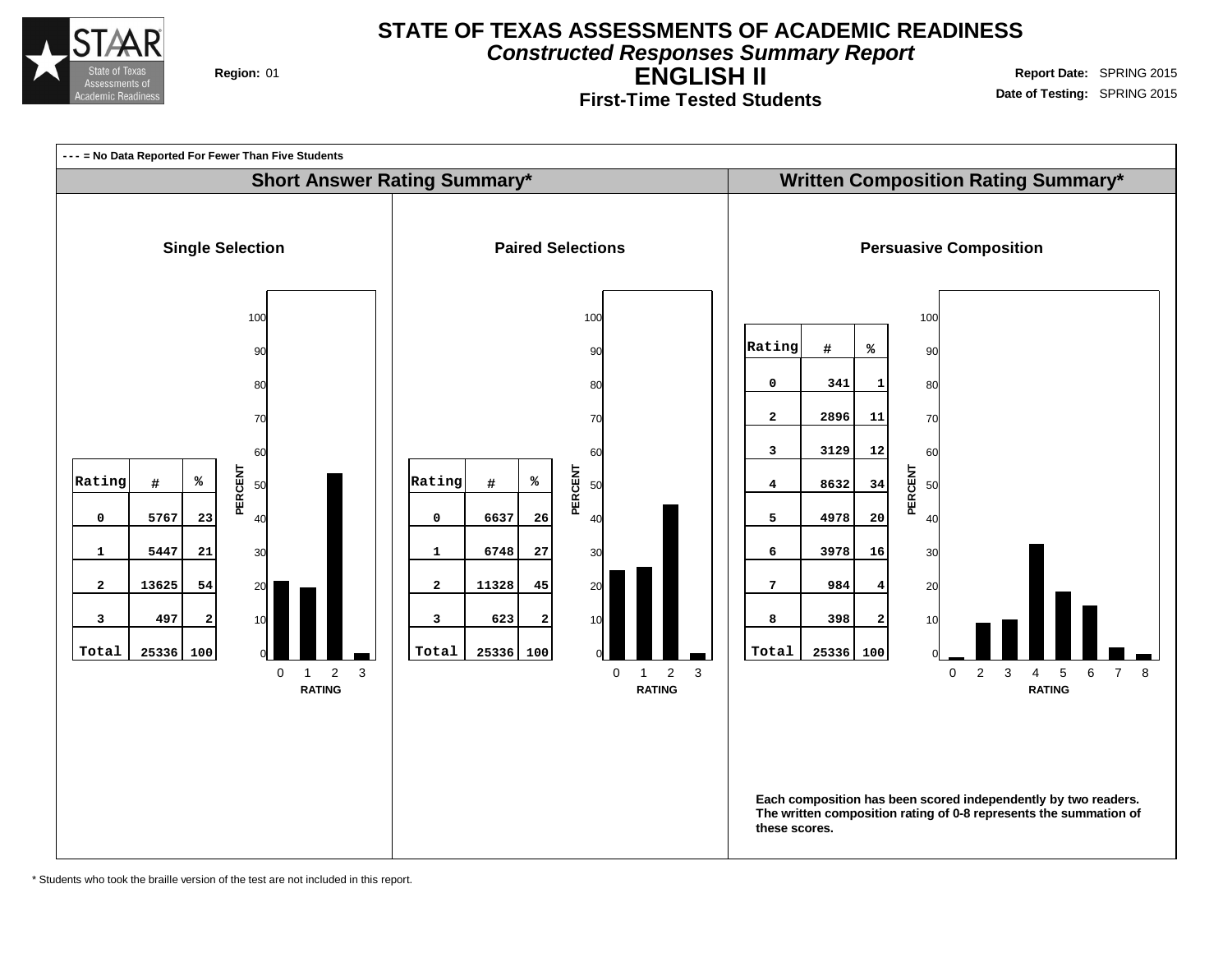

**Constructed Responses Summary Report**

**First-Time Tested Students**

**ENGLISH II Region:** 01 **Report** Date: SPRING 2015 **Date of Testing:** SPRING 2015



\* Students who took the braille version of the test are not included in this report.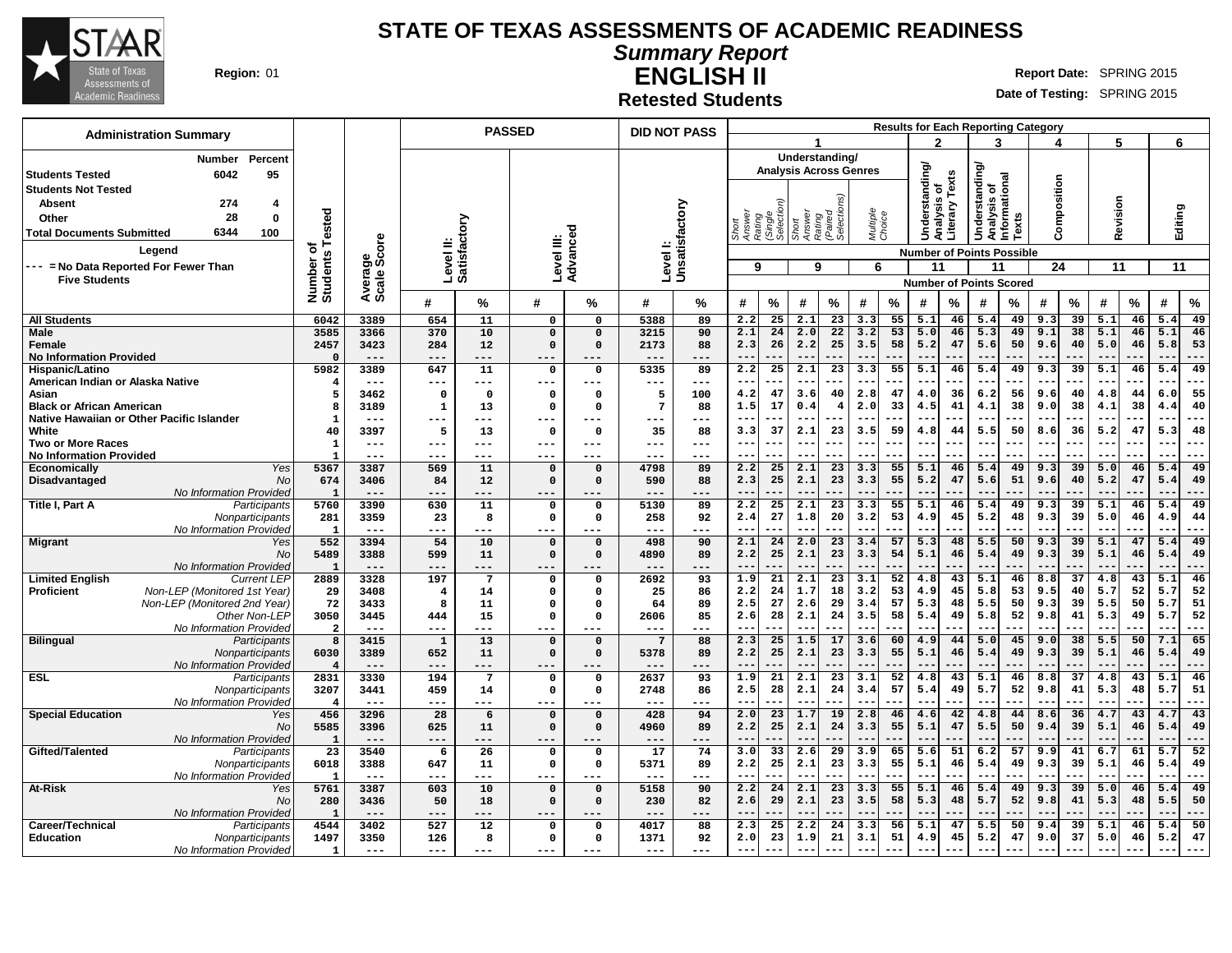

**Summary Report ENGLISH II**

**Region:** 01 **Report Date:** SPRING 2015 **Report** Date: SPRING 2015

**Retested Students**

| <b>Administration Summary</b>                                           |                         |                             |                        |                 | <b>PASSED</b>        |                      | <b>DID NOT PASS</b> |                           |                                         |                        |                 |                                |                    |                 |                                  |             |                                              |           | <b>Results for Each Reporting Category</b> |                 |                          |           |              |             |
|-------------------------------------------------------------------------|-------------------------|-----------------------------|------------------------|-----------------|----------------------|----------------------|---------------------|---------------------------|-----------------------------------------|------------------------|-----------------|--------------------------------|--------------------|-----------------|----------------------------------|-------------|----------------------------------------------|-----------|--------------------------------------------|-----------------|--------------------------|-----------|--------------|-------------|
|                                                                         |                         |                             |                        |                 |                      |                      |                     |                           |                                         |                        |                 |                                |                    |                 | $\mathbf{c}$                     |             | 3                                            |           |                                            |                 | 5                        |           | 6            |             |
| Percent<br><b>Number</b>                                                |                         |                             |                        |                 |                      |                      |                     |                           |                                         |                        |                 | Understanding/                 |                    |                 |                                  |             |                                              |           |                                            |                 |                          |           |              |             |
| 6042<br>95<br><b>Students Tested</b>                                    |                         |                             |                        |                 |                      |                      |                     |                           |                                         |                        |                 | <b>Analysis Across Genres</b>  |                    |                 | Understanding/                   |             | derstanding/<br>Analysis of<br>Informational |           |                                            |                 |                          |           |              |             |
| <b>Students Not Tested</b>                                              |                         |                             |                        |                 |                      |                      |                     |                           |                                         |                        |                 |                                |                    |                 | ৳                                | Texts       |                                              |           | Composition                                |                 |                          |           |              |             |
| 274<br><b>Absent</b><br>4                                               |                         |                             |                        |                 |                      |                      |                     |                           |                                         |                        |                 |                                |                    |                 |                                  |             |                                              |           |                                            |                 |                          |           |              |             |
| 28<br>$\mathbf 0$<br>Other                                              |                         |                             |                        | ζā              |                      |                      |                     |                           |                                         |                        |                 |                                |                    |                 | alysis                           |             |                                              |           |                                            |                 |                          |           |              |             |
| 6344<br>100<br><b>Total Documents Submitted</b>                         | Tested                  |                             |                        |                 |                      |                      |                     |                           | Answer<br>Rating<br>(Single<br>Selectio |                        | Short<br>Answer | Rating<br>(Paired<br>Selection | Multiple<br>Choice |                 | ā                                | Literary    | Š.                                           | Texts     |                                            |                 | Revision                 |           | Editing      |             |
| Legend                                                                  | ō                       |                             |                        |                 |                      |                      |                     |                           |                                         |                        |                 |                                |                    |                 |                                  |             |                                              |           |                                            |                 |                          |           |              |             |
| --- = No Data Reported For Fewer Than                                   | Number of<br>Students   | ige<br>Score                | Level II:<br>Satisfact |                 | Level III:           | Advanced             |                     | Levell:<br>Unsatisfactory | 9                                       |                        | 9               |                                | 6                  |                 | <b>Number of Points Possible</b> |             |                                              |           | 24                                         |                 |                          |           | 11           |             |
| <b>Five Students</b>                                                    |                         | Avera<br>Scale              |                        |                 |                      |                      |                     |                           |                                         |                        |                 |                                |                    |                 | 11                               |             | 11                                           |           |                                            |                 | 11                       |           |              |             |
|                                                                         |                         |                             |                        |                 |                      |                      |                     |                           |                                         |                        |                 |                                |                    |                 | <b>Number of Points Scored</b>   |             |                                              |           |                                            |                 |                          |           |              |             |
|                                                                         |                         |                             | #                      | $\%$            | #                    | %                    | #                   | %                         | #                                       | %                      | $\#$            | %                              | #                  | $\%$            | #                                | %           | #                                            | $\%$      | #                                          | %               | #                        | $\%$      | #            | $\%$        |
| <b>All Students</b>                                                     | 6042                    | 3389                        | 654                    | 11              | $\mathbf 0$          | 0                    | 5388                | 89                        | 2.2                                     | 25                     | 2.1             | 23                             | 3.3                | 55              | 5.1                              | 46          | 5.4                                          | 49        | 9.3                                        | 39              | 5.1                      | 46        | 5.4          | 49          |
| <b>Male</b>                                                             | 3585                    | 3366                        | 370                    | 10              | $\mathsf{o}\,$       | $\Omega$             | 3215                | 90                        | 2.1                                     | 24                     | 2.0             | 22                             | 3.2                | 53              | 5.0                              | 46          | 5.3                                          | 49        | 9.1                                        | 38              | 5.1                      | 46        | 5.1          | 46          |
| Female                                                                  | 2457                    | 3423                        | 284                    | 12              | $\mathbf 0$          | $\Omega$             | 2173                | 88                        | 2.3                                     | 26                     | 2.2             | 25                             | 3.5                | 58              | 5.2                              | 47          | 5.6                                          | 50        | 9.6                                        | 40              | 5.0                      | 46        | 5.8          | 53          |
| <b>No Information Provided</b>                                          | $\Omega$                | $- - -$                     |                        | ---             | $- - -$              |                      | $- - -$             |                           |                                         |                        |                 |                                |                    |                 |                                  |             | $ -$                                         |           |                                            |                 |                          |           |              | ---         |
| Hispanic/Latino                                                         | 5982                    | 3389                        | 647                    | 11              | $\mathbf 0$          | 0                    | 5335                | 89                        | 2.2                                     | 25                     | 2.1             | $\overline{23}$                | 3.3                | 55              | 5.1                              | 46          | 5.4                                          | 49        | 9.3                                        | 39              | 5.1                      | 46        | 5.4          | 49          |
| American Indian or Alaska Native<br>Asian                               | 5                       | $---$<br>3462               | ---<br>$\mathbf 0$     | ---<br>$\Omega$ | ---<br>0             | ---<br>$\Omega$      | ---<br>5            | ---<br>100                | 4.2                                     | 47                     | $ -$<br>3.6     | 40                             | 2.8                | 47              | 4.0                              | 36          | $ -$<br>6.2                                  | 56        | 9.6                                        | 40              | 4.8                      | 44        | 6.0          | ---<br>55   |
| <b>Black or African American</b>                                        | 8                       | 3189                        | $\mathbf{1}$           | 13              | $\mathbf 0$          | $\Omega$             | $\overline{7}$      | 88                        | 1.5                                     | 17                     | 0.4             | 4                              | 2.0                | 33              | 4.5                              | 41          | 4.1                                          | 38        | 9.0                                        | 38              | 4.1                      | 38        | 4.4          | 40          |
| Native Hawaiian or Other Pacific Islander                               | -1                      | $---$                       | ---                    | ---             | $---$                |                      | ---                 | ---                       | $- -$                                   | ---                    | $--$            | ---                            | ---                | ---             | ---                              | --          | $- -$                                        | ---       | $--$                                       | .               | $- -$                    |           | $-$          | $---$       |
| White                                                                   | 40                      | 3397                        | 5                      | 13              | $\mathbf 0$          | $\Omega$             | 35                  | 88                        | 3.3                                     | 37                     | 2.1             | 23                             | 3.5                | 59              | 4.8                              | 44          | 5.5                                          | 50        | 8.6                                        | 36              | 5.2                      | 47        | 5.3          | 48          |
| <b>Two or More Races</b>                                                | $\mathbf{1}$            | $---$                       | $---$                  | $---$           | $---$                | $---$                | ---                 | $---$                     | $--$                                    | ---                    | $- -$           | ---                            | $\sim$ $\sim$      | ---             | $- -$                            | --          | $- -$                                        | ---       | $- - -$                                    | ---             | $\sim$ $\sim$            | ---       | $- -$        | $---$       |
| <b>No Information Provided</b>                                          | $\mathbf{1}$            | ---                         | ---                    | ---             | $--$                 | ---                  | ---                 | ---                       |                                         |                        |                 |                                |                    |                 |                                  |             | $- -$                                        |           |                                            |                 |                          |           |              | ---         |
| <b>Economically</b><br>Yes                                              | 5367                    | 3387                        | 569                    | 11              | $\mathbf 0$          | $\Omega$<br>$\Omega$ | 4798                | 89                        | 2.2                                     | $\overline{25}$        | 2.1             | $\overline{23}$                | 3.3                | 55              | 5.1                              | 46          | 5.4                                          | 49        | 9.3                                        | 39              | 5.0                      | 46        | 5.4          | 49          |
| Disadvantaged<br>No<br>No Information Provided                          | 674<br>1                | 3406<br>$---$               | 84<br>---              | 12<br>---       | $\mathbf 0$<br>$---$ | ---                  | 590<br>---          | 88<br>$- -$               | 2.3<br>$- -$                            | 25<br>---              | 2.1<br>$---$    | 23<br>---                      | 3.3<br>$- -$       | 55<br>---       | 5.2<br>$- -$                     | 47<br>$- -$ | 5.6<br>$- -$                                 | 51<br>--- | 9.6<br>$- - -$                             | 40              | 5.2<br>$- -$             | 47<br>--- | 5.4<br>$-$   | 49<br>$---$ |
| Title I, Part A<br>Participants                                         | 5760                    | 3390                        | 630                    | 11              | $\mathbf 0$          | $\mathbf 0$          | 5130                | 89                        | 2.2                                     | 25                     | 2.1             | 23                             | 3.3                | 55              | 5.1                              | 46          | 5.4                                          | 49        | 9.3                                        | 39              | 5.1                      | 46        | 5.4          | 49          |
| Nonparticipants                                                         | 281                     | 3359                        | 23                     | 8               | 0                    | 0                    | 258                 | 92                        | 2.4                                     | 27                     | 1.8             | 20                             | 3.2                | 53              | 4.9                              | 45          | 5.2                                          | 48        | 9.3                                        | 39              | 5.0                      | 46        | 4.9          | 44          |
| No Information Provided                                                 | $\mathbf{1}$            | $---$                       | ---                    | ---             | $---$                |                      | ---                 | $--$                      | $-$                                     | ---                    | $- -$           |                                |                    |                 | --                               | --          | $ -$                                         |           |                                            |                 |                          |           |              | ---         |
| <b>Migrant</b><br>Yes                                                   | 552                     | 3394                        | 54                     | 10              | $\mathsf{o}\,$       | $\Omega$             | 498                 | 90                        | 2.1                                     | 24                     | 2.0             | 23                             | 3.4                | 57              | 5.3                              | 48          | 5.5                                          | 50        | 9.3                                        | 39              | 5.1                      | 47        | 5.4          | 49          |
| No                                                                      | 5489<br>$\mathbf{1}$    | 3388<br>$---$               | 599                    | 11<br>$---$     | $\mathbf 0$          | $\Omega$             | 4890<br>---         | 89                        | 2.2<br>$- -$                            | 25                     | 2.1<br>$- -$    | 23<br>---                      | 3.3<br>$- -$       | 54              | 5.1<br>$ -$                      | 46          | 5.4<br>$- -$                                 | 49        | 9.3                                        | 39              | 5.1                      | 46        | 5.4<br>$ -$  | 49<br>$---$ |
| No Information Provided<br><b>Limited English</b><br><b>Current LEP</b> | 2889                    | 3328                        | $- - -$<br>197         | 7               | $---$<br>$\Omega$    | ---<br>$\Omega$      | 2692                | $---$<br>93               | 1.9                                     | ---<br>$\overline{21}$ | 2.1             | $\overline{23}$                | 3.1                | $\overline{52}$ | 4.8                              | --<br>43    | $\overline{5.1}$                             | ---<br>46 | $- - -$<br>8.8                             | $\overline{37}$ | $- -$<br>4.8             | 43        | 5.1          | 46          |
| Non-LEP (Monitored 1st Year)<br><b>Proficient</b>                       | 29                      | 3408                        | 4                      | 14              | $\mathbf 0$          | $\Omega$             | 25                  | 86                        | 2.2                                     | 24                     | 1.7             | 18                             | 3.2                | 53              | 4.9                              | 45          | 5.8                                          | 53        | 9.5                                        | 40              | 5.7                      | 52        | 5.7          | 52          |
| Non-LEP (Monitored 2nd Year)                                            | 72                      | 3433                        | 8                      | 11              | 0                    | $\Omega$             | 64                  | 89                        | 2.5                                     | 27                     | 2.6             | 29                             | 3.4                | 57              | 5.3                              | 48          | 5.5                                          | 50        | 9.3                                        | 39              | 5.5                      | 50        | 5.7          | 51          |
| Other Non-LEP                                                           | 3050                    | 3445                        | 444                    | 15              | $\mathbf 0$          | $\Omega$             | 2606                | 85                        | 2.6                                     | 28                     | 2.1             | 24                             | 3.5                | 58              | 5.4                              | 49          | 5.8                                          | 52        | 9.8                                        | 41              | 5.3                      | 49        | 5.7          | 52          |
| No Information Provideo                                                 | $\overline{\mathbf{2}}$ | $---$                       | $- - -$                | ---             | $---$                |                      | ---                 | ---                       |                                         |                        |                 |                                |                    |                 |                                  |             | $-$                                          |           |                                            |                 |                          |           |              | ---         |
| <b>Bilingual</b><br>Participants                                        | 8                       | 3415                        | $\mathbf{1}$           | 13              | $\mathsf{o}\,$       | $\Omega$             | $\overline{7}$      | 88                        | 2.3                                     | 25                     | 1.5             | 17                             | 3.6                | 60              | 4.9                              | 44          | 5.0                                          | 45        | 9.0                                        | 38              | 5.5                      | 50        | 7.1          | 65          |
| Nonparticipants<br>No Information Provided                              | 6030<br>$\overline{4}$  | 3389<br>$---$               | 652<br>$---$           | 11<br>$---$     | $\mathbf 0$<br>$--$  | $\Omega$<br>---      | 5378<br>---         | 89<br>$---$               | 2.2<br>$- -$                            | 25<br>---              | 2.1<br>$- -$    | 23                             | 3.3<br>$- -$       | 55              | 5.1<br>--                        | 46          | 5.4<br>$-$                                   | 49<br>--- | 9.3<br>$- - -$                             | 39              | 5.1<br>$- -$             | 46        | 5.4<br>$ -$  | 49<br>$---$ |
| <b>ESL</b><br>Participants                                              | 2831                    | 3330                        | 194                    | $\overline{7}$  | $\Omega$             | $\Omega$             | 2637                | 93                        | 1.9                                     | $\overline{21}$        | 2.1             | $\overline{23}$                | 3.1                | $\overline{52}$ | 4.8                              | 43          | $\overline{5.1}$                             | 46        | 8.8                                        | $\overline{37}$ | 4.8                      | 43        | 5.1          | 46          |
| Nonparticipants                                                         | 3207                    | 3441                        | 459                    | 14              | $\mathbf 0$          | $\Omega$             | 2748                | 86                        | 2.5                                     | 28                     | 2.1             | 24                             | 3.4                | 57              | 5.4                              | 49          | 5.7                                          | 52        | 9.8                                        | 41              | 5.3                      | 48        | 5.7          | 51          |
| No Information Provided                                                 | $\overline{4}$          | $---$                       | ---                    | ---             | $---$                | ---                  | ---                 | ---                       |                                         |                        |                 |                                |                    |                 |                                  |             | $ -$                                         |           |                                            |                 |                          |           |              | ---         |
| <b>Special Education</b><br>Yes                                         | 456                     | 3296                        | 28                     | 6               | $\mathsf{o}\,$       | $\Omega$             | 428                 | 94                        | 2.0                                     | 23                     | 1.7             | 19                             | 2.8                | 46              | 4.6                              | 42          | 4.8                                          | 44        | 8.6                                        | 36              | 4.7                      | 43        | 4.7          | 43          |
| No                                                                      | 5585                    | 3396                        | 625                    | 11              | $\mathbf 0$          | $\mathbf 0$          | 4960                | 89                        | 2.2                                     | 25                     | 2.1             | 24                             | 3.3                | 55              | 5.1                              | 47          | 5.5                                          | 50        | 9.4                                        | 39              | 5.1                      | 46        | 5.4          | 49          |
| No Information Provided                                                 | $\mathbf{1}$<br>23      | $---$<br>3540               | $---$<br>6             | ---<br>26       | $---$<br>$\mathbf 0$ | ---<br>$\Omega$      | ---<br>17           | ---<br>74                 | $- -$<br>3.0                            | ---<br>33              | $---$<br>2.6    | ---<br>$\overline{29}$         | $- -$<br>3.9       | ---<br>65       | $- -$<br>5.6                     | <br>51      | $\qquad \qquad -$<br>6.2                     | ---<br>57 | $---$<br>9.9                               | .<br>41         | $\qquad \qquad -$<br>6.7 | ---<br>61 | $- -$<br>5.7 | $---$<br>52 |
| Gifted/Talented<br>Participants<br>Nonparticipants                      | 6018                    | 3388                        | 647                    | 11              | $\mathbf 0$          | $\mathbf 0$          | 5371                | 89                        | 2.2                                     | 25                     | 2.1             | 23                             | 3.3                | 55              | 5.1                              | 46          | 5.4                                          | 49        | 9.3                                        | 39              | 5.1                      | 46        | 5.4          | 49          |
| No Information Provided                                                 | $\mathbf{1}$            | $- - -$                     | ---                    | ---             | $--$                 |                      | ---                 | ---                       |                                         |                        |                 |                                |                    |                 |                                  |             | $ -$                                         |           |                                            |                 |                          |           | --           | ---         |
| At-Risk<br>Yes                                                          | 5761                    | 3387                        | 603                    | 10              | $\mathbf 0$          | $\Omega$             | 5158                | 90                        | 2.2                                     | $\overline{24}$        | 2.1             | $\overline{23}$                | 3.3                | 55              | 5.1                              | 46          | 5.4                                          | 49        | 9.3                                        | 39              | 5.0                      | 46        | 5.4          | 49          |
| No                                                                      | 280                     | 3436                        | 50                     | 18              | $\Omega$             | $\Omega$             | 230                 | 82                        | 2.6                                     | 29                     | 2.1             | 23                             | 3.5                | 58              | 5.3                              | 48          | 5.7                                          | 52        | 9.8                                        | 41              | 5.3                      | 48        | 5.5          | 50          |
| No Information Provided                                                 | -1                      | $- - -$                     | ---                    | ---             | $---$                | ---                  | $- - -$             | ---                       | $- -$                                   | ---                    | $- -$           | ---                            | $- -$              |                 | $- -$                            | --          | $- -$                                        | ---       | $- - -$                                    |                 | $- -$                    |           | $- -$        | $---$       |
| Career/Technical<br>Participants                                        | 4544                    | 3402                        | 527                    | 12              | $\mathbf 0$          | $\Omega$             | 4017                | 88                        | 2.3                                     | 25                     | 2.2             | 24                             | 3.3                | 56              | 5.1                              | 47          | 5.5                                          | 50        | 9.4                                        | 39              | 5.1                      | 46        | 5.4          | 50          |
| <b>Education</b><br>Nonparticipants                                     | 1497<br>$\mathbf{1}$    | 3350<br>$\qquad \qquad - -$ | 126<br>$---$           | 8<br>---        | $\mathbf 0$<br>$---$ | $\Omega$<br>$---$    | 1371<br>$---$       | 92<br>---                 | 2.0<br>$- -$                            | 23<br>---              | 1.9<br>$- -$    | 21                             | 3.1<br>$- -$       | 51<br>---       | 4.9<br>$--$                      | 45<br>---   | 5.2<br>$- -$                                 | 47        | 9.0                                        | 37              | 5.0<br>$- -$             | 46        | 5.2          | 47<br>---   |
| No Information Provided                                                 |                         |                             |                        |                 |                      |                      |                     |                           |                                         |                        |                 |                                |                    |                 |                                  |             |                                              |           |                                            |                 |                          |           |              |             |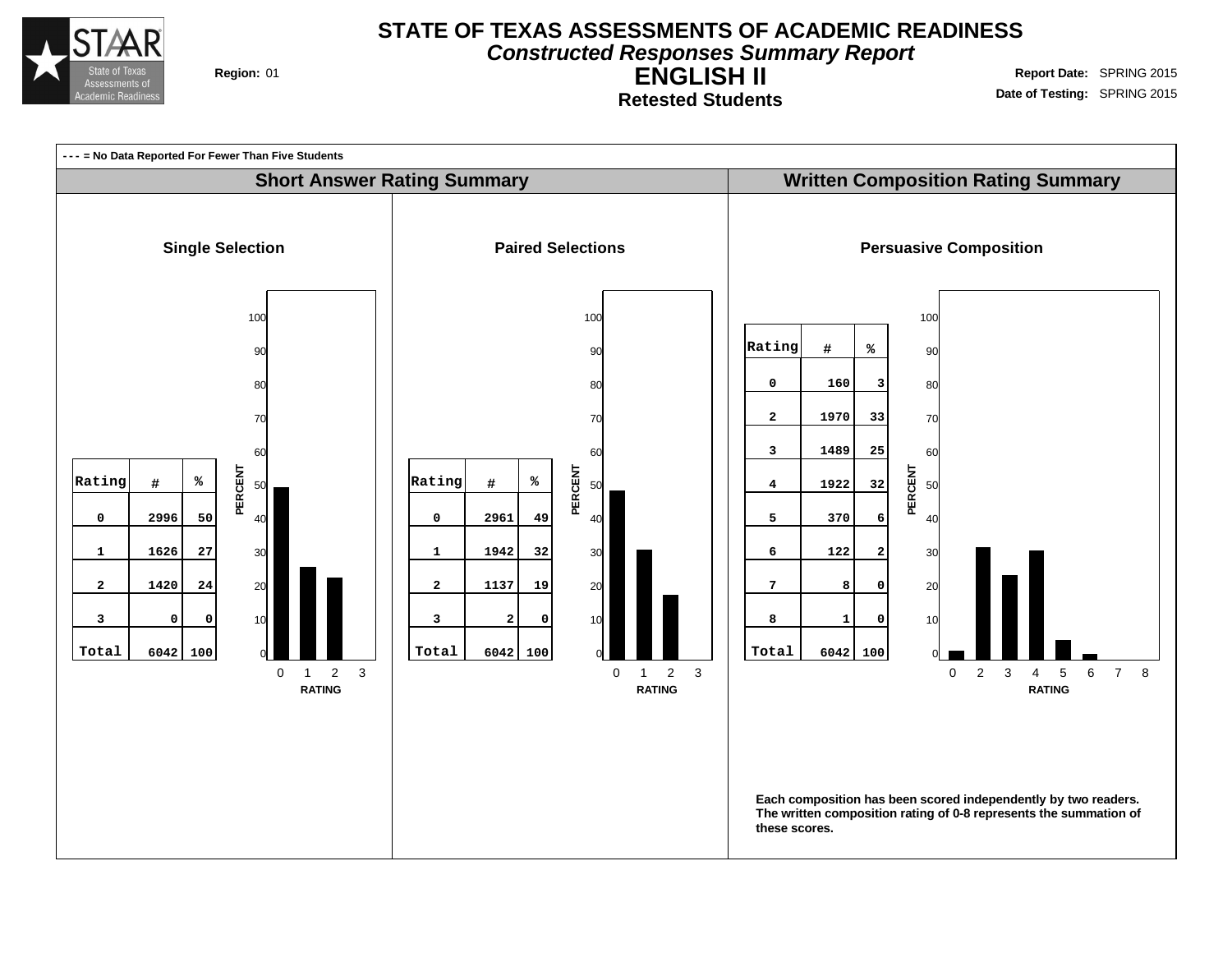

**Constructed Responses Summary Report**

**Retested Students**

**ENGLISH II Region:** 01 **Report** Date: SPRING 2015 **Date of Testing:** SPRING 2015

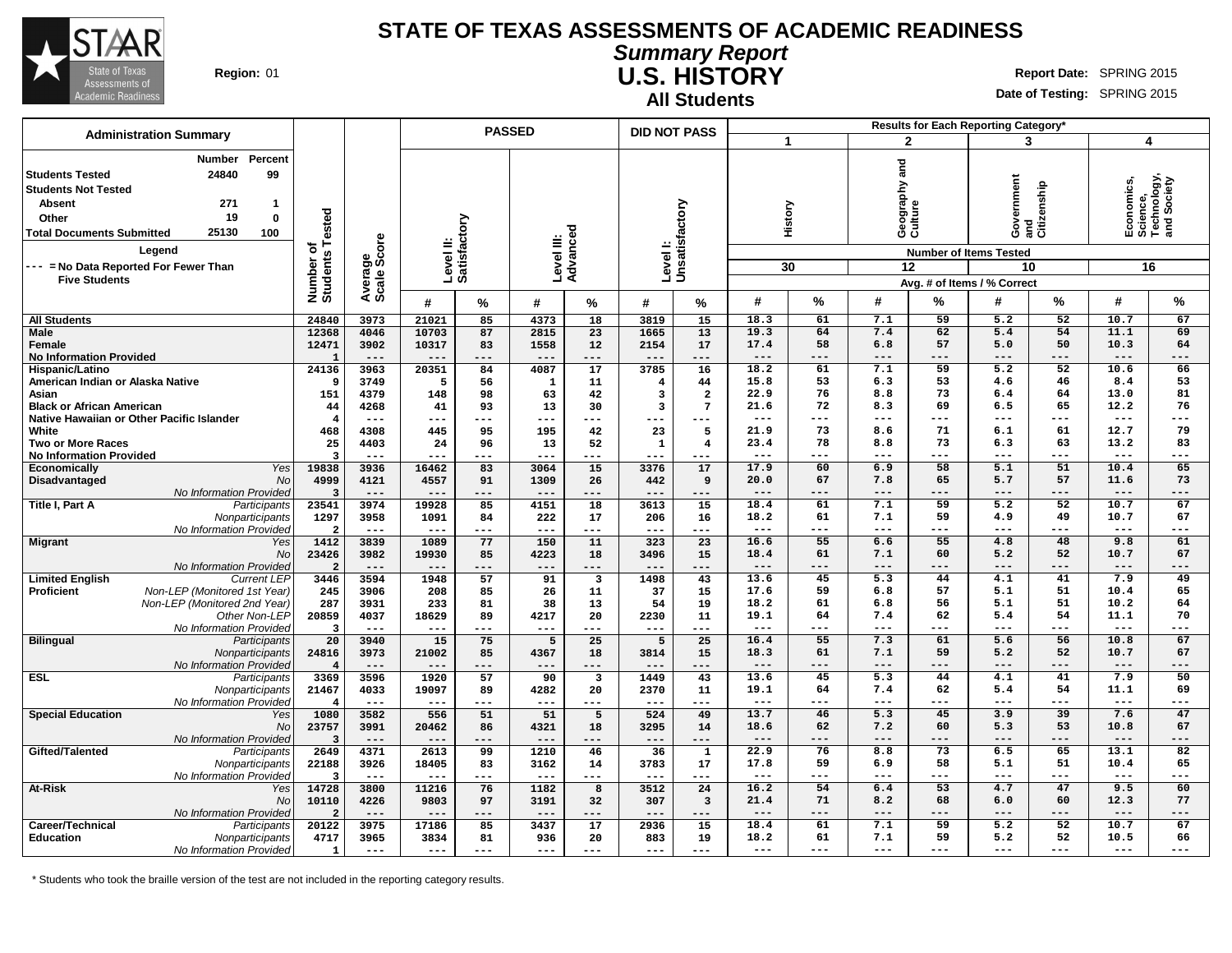

**Summary Report U.S. HISTORY Region:** 01 **Report** Date: SPRING 2015 **All Students**

**Date of Testing:** SPRING 2015

| <b>Administration Summary</b>                                                                                                                                                                                                                               |                                      |                        |                           | <b>PASSED</b>   |                        |                                  | <b>DID NOT PASS</b>       |                 |                       |                 |                                     | <b>Results for Each Reporting Category*</b> |                                                     |                 |                                                            |                   |
|-------------------------------------------------------------------------------------------------------------------------------------------------------------------------------------------------------------------------------------------------------------|--------------------------------------|------------------------|---------------------------|-----------------|------------------------|----------------------------------|---------------------------|-----------------|-----------------------|-----------------|-------------------------------------|---------------------------------------------|-----------------------------------------------------|-----------------|------------------------------------------------------------|-------------------|
|                                                                                                                                                                                                                                                             |                                      |                        |                           |                 |                        |                                  |                           |                 |                       | 1               | $\mathbf{2}$                        |                                             | 3                                                   |                 | 4                                                          |                   |
| Percent<br>Number<br>24840<br>99<br><b>Students Tested</b><br><b>Students Not Tested</b><br><b>Absent</b><br>271<br>-1<br>19<br>$\mathbf 0$<br>Other<br>25130<br><b>Total Documents Submitted</b><br>100<br>Leaend<br>--- = No Data Reported For Fewer Than | Tested<br>৳<br>Number of<br>Students | Average<br>Scale Score | Level II:<br>Satisfactory |                 | Level III:<br>Advanced |                                  | Levell:<br>Unsatisfactory |                 |                       | History<br>30   | and<br>Geography ;<br>Culture<br>12 | <b>Number of Items Tested</b>               | overnment<br>Government<br>and<br>Citizenship<br>10 |                 | Economics,<br>Science,<br>Technology,<br>and Society<br>16 |                   |
| <b>Five Students</b>                                                                                                                                                                                                                                        |                                      |                        |                           |                 |                        |                                  |                           |                 |                       |                 |                                     | Avg. # of Items / % Correct                 |                                                     |                 |                                                            |                   |
|                                                                                                                                                                                                                                                             |                                      |                        | #                         | %               | #                      | %                                | #                         | ℅               | #                     | %               | #                                   | %                                           | #                                                   | %               | #                                                          | %                 |
| <b>All Students</b>                                                                                                                                                                                                                                         | 24840                                | 3973                   | 21021                     | 85              | 4373                   | 18                               | 3819                      | 15              | 18.3                  | 61              | 7.1                                 | 59                                          | 5.2                                                 | 52              | 10.7                                                       | 67                |
| <b>Male</b><br>Female<br><b>No Information Provided</b>                                                                                                                                                                                                     | 12368<br>12471<br>$\mathbf{I}$       | 4046<br>3902<br>$---$  | 10703<br>10317<br>$---$   | 87<br>83<br>--- | 2815<br>1558<br>$---$  | 23<br>12<br>---                  | 1665<br>2154<br>$---$     | 13<br>17<br>--- | 19.3<br>17.4<br>$---$ | 64<br>58<br>--- | 7.4<br>6.8<br>$---$                 | 62<br>57<br>---                             | 5.4<br>5.0<br>---                                   | 54<br>50<br>--- | 11.1<br>10.3<br>---                                        | 69<br>64<br>$---$ |
| Hispanic/Latino                                                                                                                                                                                                                                             | 24136                                | 3963                   | 20351                     | 84              | 4087                   | 17                               | 3785                      | 16              | 18.2                  | 61              | 7.1                                 | 59                                          | $\overline{5.2}$                                    | 52              | 10.6                                                       | 66                |
| American Indian or Alaska Native                                                                                                                                                                                                                            | 9                                    | 3749                   | 5                         | 56              | $\mathbf{1}$           | 11                               | $\overline{\mathbf{4}}$   | 44              | 15.8                  | 53              | 6.3                                 | 53                                          | 4.6                                                 | 46              | 8.4                                                        | 53                |
| Asian                                                                                                                                                                                                                                                       | 151                                  | 4379                   | 148                       | 98              | 63                     | 42                               | 3                         | $\overline{a}$  | 22.9                  | 76              | 8.8                                 | 73                                          | 6.4                                                 | 64              | 13.0                                                       | 81                |
| <b>Black or African American</b>                                                                                                                                                                                                                            | 44                                   | 4268<br>$---$          | 41                        | 93<br>---       | 13<br>---              | 30<br>---                        | $\overline{3}$            | 7               | 21.6<br>$--$          | 72<br>---       | 8.3<br>$---$                        | 69<br>---                                   | 6.5<br>---                                          | 65<br>---       | 12.2<br>$---$                                              | 76<br>$---$       |
| Native Hawaiian or Other Pacific Islander<br>White                                                                                                                                                                                                          | 4<br>468                             | 4308                   | $-- -$<br>445             | 95              | 195                    | 42                               | ---<br>23                 | $- - -$<br>5    | 21.9                  | 73              | 8.6                                 | 71                                          | 6.1                                                 | 61              | 12.7                                                       | 79                |
| <b>Two or More Races</b>                                                                                                                                                                                                                                    | 25                                   | 4403                   | 24                        | 96              | 13                     | 52                               | 1                         | 4               | 23.4                  | 78              | 8.8                                 | 73                                          | 6.3                                                 | 63              | 13.2                                                       | 83                |
| <b>No Information Provided</b>                                                                                                                                                                                                                              | $\overline{\mathbf{3}}$              | ---                    |                           |                 | ---                    | ---                              |                           | $--$            | $---$                 | ---             | ---                                 | ---                                         | ---                                                 | ---             |                                                            | $---$             |
| Yes<br>Economically                                                                                                                                                                                                                                         | 19838                                | 3936                   | 16462                     | 83              | 3064                   | 15                               | 3376                      | 17              | 17.9                  | 60              | 6.9                                 | 58                                          | 5.1                                                 | 51              | 10.4                                                       | 65                |
| Disadvantaged<br><b>No</b>                                                                                                                                                                                                                                  | 4999                                 | 4121                   | 4557                      | 91              | 1309                   | 26                               | 442                       | 9               | 20.0                  | 67              | 7.8                                 | 65                                          | 5.7                                                 | 57              | 11.6                                                       | 73                |
| No Information Provided<br>Title I, Part A<br>Participants                                                                                                                                                                                                  | $\overline{\mathbf{3}}$<br>23541     | $---$<br>3974          | $---$<br>19928            | ---<br>85       | $---$<br>4151          | ---<br>18                        | $---$<br>3613             | $---$<br>15     | $---$<br>18.4         | ---<br>61       | $---$<br>7.1                        | ---<br>59                                   | ---<br>5.2                                          | ---<br>52       | $---$<br>10.7                                              | $---$<br>67       |
| Nonparticipants                                                                                                                                                                                                                                             | 1297                                 | 3958                   | 1091                      | 84              | 222                    | 17                               | 206                       | 16              | 18.2                  | 61              | 7.1                                 | 59                                          | 4.9                                                 | 49              | 10.7                                                       | 67                |
| No Information Provided                                                                                                                                                                                                                                     | $\overline{2}$                       | $---$                  | $---$                     | ---             | $---$                  | $---$                            | $---$                     | $---$           | $---$                 | ---             | ---                                 | ---                                         | ---                                                 | ---             | ---                                                        | $---$             |
| <b>Migrant</b><br>Yes                                                                                                                                                                                                                                       | 1412                                 | 3839                   | 1089                      | 77              | 150                    | 11                               | 323                       | 23              | 16.6                  | 55              | 6.6                                 | 55                                          | 4.8                                                 | 48              | 9.8                                                        | 61                |
| No                                                                                                                                                                                                                                                          | 23426                                | 3982                   | 19930                     | 85              | 4223                   | 18                               | 3496                      | 15              | 18.4                  | 61              | 7.1                                 | 60                                          | 5.2                                                 | 52              | 10.7                                                       | 67                |
| No Information Provided                                                                                                                                                                                                                                     | $\overline{2}$<br>3446               | $---$<br>3594          | $---$<br>1948             | ---<br>57       | $---$<br>91            | $---$<br>$\overline{\mathbf{3}}$ | $---$<br>1498             | $---$<br>43     | $---$<br>13.6         | ---<br>45       | $---$<br>$\overline{5.3}$           | ---<br>44                                   | ---<br>4.1                                          | ---<br>41       | $---$<br>7.9                                               | $---$<br>49       |
| <b>Limited English</b><br><b>Current LEP</b><br>Non-LEP (Monitored 1st Year)<br>Proficient                                                                                                                                                                  | 245                                  | 3906                   | 208                       | 85              | 26                     | 11                               | 37                        | 15              | 17.6                  | 59              | 6.8                                 | 57                                          | 5.1                                                 | 51              | 10.4                                                       | 65                |
| Non-LEP (Monitored 2nd Year)                                                                                                                                                                                                                                | 287                                  | 3931                   | 233                       | 81              | 38                     | 13                               | 54                        | 19              | 18.2                  | 61              | 6.8                                 | 56                                          | 5.1                                                 | 51              | 10.2                                                       | 64                |
| Other Non-LEP                                                                                                                                                                                                                                               | 20859                                | 4037                   | 18629                     | 89              | 4217                   | 20                               | 2230                      | 11              | 19.1                  | 64              | 7.4                                 | 62                                          | 5.4                                                 | 54              | 11.1                                                       | 70                |
| No Information Provided                                                                                                                                                                                                                                     | 3                                    | $---$                  | $---$                     | ---             | $---$                  | ---                              | $---$                     | $---$           | $---$                 | ---             | $---$                               | ---                                         | ---                                                 | ---             | $---$                                                      | $---$             |
| <b>Bilingual</b><br>Participants                                                                                                                                                                                                                            | 20                                   | 3940<br>3973           | 15<br>21002               | 75<br>85        | 5<br>4367              | 25<br>18                         | 5<br>3814                 | 25<br>15        | 16.4<br>18.3          | 55<br>61        | 7.3<br>7.1                          | 61<br>59                                    | 5.6<br>5.2                                          | 56<br>52        | 10.8<br>10.7                                               | 67<br>67          |
| Nonparticipants<br>No Information Provided                                                                                                                                                                                                                  | 24816<br>$\overline{\mathbf{4}}$     | $---$                  | $---$                     | ---             | $- - -$                | ---                              | $---$                     | $---$           | $---$                 | ---             | $---$                               | ---                                         | ---                                                 | ---             | $---$                                                      | $---$             |
| <b>ESL</b><br>Participants                                                                                                                                                                                                                                  | 3369                                 | 3596                   | 1920                      | 57              | 90                     | $\overline{\mathbf{3}}$          | 1449                      | 43              | 13.6                  | 45              | $\overline{5.3}$                    | 44                                          | 4.1                                                 | 41              | 7.9                                                        | 50                |
| Nonparticipants                                                                                                                                                                                                                                             | 21467                                | 4033                   | 19097                     | 89              | 4282                   | 20                               | 2370                      | 11              | 19.1                  | 64              | 7.4                                 | 62                                          | 5.4                                                 | 54              | 11.1                                                       | 69                |
| No Information Provided                                                                                                                                                                                                                                     | $\overline{4}$                       | $---$                  | $---$                     | ---             | $---$                  | $---$                            | $---$                     | $---$           | $---$                 | ---             | $---$                               | ---                                         | ---                                                 | ---             | ---                                                        | $---$             |
| <b>Special Education</b><br>Yes<br><b>No</b>                                                                                                                                                                                                                | 1080                                 | 3582<br>3991           | 556                       | 51<br>86        | 51                     | 5<br>18                          | 524                       | 49<br>14        | 13.7<br>18.6          | 46<br>62        | 5.3<br>7.2                          | 45<br>60                                    | 3.9<br>5.3                                          | 39<br>53        | 7.6<br>10.8                                                | 47<br>67          |
| No Information Provided                                                                                                                                                                                                                                     | 23757<br>$\overline{\mathbf{3}}$     | $---$                  | 20462<br>$---$            | ---             | 4321<br>$---$          | ---                              | 3295<br>$---$             | $---$           | $---$                 | ---             | $---$                               | ---                                         | ---                                                 | ---             | $---$                                                      | $---$             |
| Gifted/Talented<br>Participants                                                                                                                                                                                                                             | 2649                                 | 4371                   | 2613                      | 99              | 1210                   | 46                               | 36                        | $\mathbf{1}$    | 22.9                  | 76              | 8.8                                 | 73                                          | 6.5                                                 | 65              | 13.1                                                       | $\overline{82}$   |
| Nonparticipants                                                                                                                                                                                                                                             | 22188                                | 3926                   | 18405                     | 83              | 3162                   | 14                               | 3783                      | 17              | 17.8                  | 59              | 6.9                                 | 58                                          | 5.1                                                 | 51              | 10.4                                                       | 65                |
| No Information Provided                                                                                                                                                                                                                                     | $\overline{\mathbf{3}}$              | $---$                  | $---$                     | ---             | $---$                  | $---$                            | $---$                     | $---$           | $---$                 | ---             | ---                                 | ---                                         | ---                                                 | ---             | ---                                                        | $---$             |
| At-Risk<br>Yes                                                                                                                                                                                                                                              | 14728                                | 3800                   | 11216                     | 76              | 1182                   | 8                                | 3512                      | 24              | 16.2                  | 54              | 6.4                                 | 53                                          | 4.7                                                 | 47              | 9.5                                                        | 60                |
| No<br>No Information Provided                                                                                                                                                                                                                               | 10110<br>$\overline{2}$              | 4226<br>$---$          | 9803<br>$---$             | 97<br>---       | 3191<br>$---$          | 32<br>---                        | 307<br>$---$              | 3<br>$---$      | 21.4<br>$---$         | 71<br>---       | 8.2<br>$---$                        | 68<br>---                                   | 6.0<br>---                                          | 60<br>---       | 12.3<br>$---$                                              | 77<br>$---$       |
| Career/Technical<br>Participants                                                                                                                                                                                                                            | 20122                                | 3975                   | 17186                     | 85              | 3437                   | 17                               | 2936                      | 15              | 18.4                  | 61              | 7.1                                 | 59                                          | 5.2                                                 | 52              | 10.7                                                       | 67                |
| Education<br>Nonparticipants                                                                                                                                                                                                                                | 4717                                 | 3965                   | 3834                      | 81              | 936                    | 20                               | 883                       | 19              | 18.2                  | 61              | 7.1                                 | 59                                          | 5.2                                                 | 52              | 10.5                                                       | 66                |
| No Information Provided                                                                                                                                                                                                                                     | $\mathbf{1}$                         | $\qquad \qquad - -$    | $- - -$                   | ---             | $---$                  | $---$                            | $---$                     | $---$           | $---$                 | ---             | $---$                               | ---                                         | ---                                                 | ---             | ---                                                        | ---               |

\* Students who took the braille version of the test are not included in the reporting category results.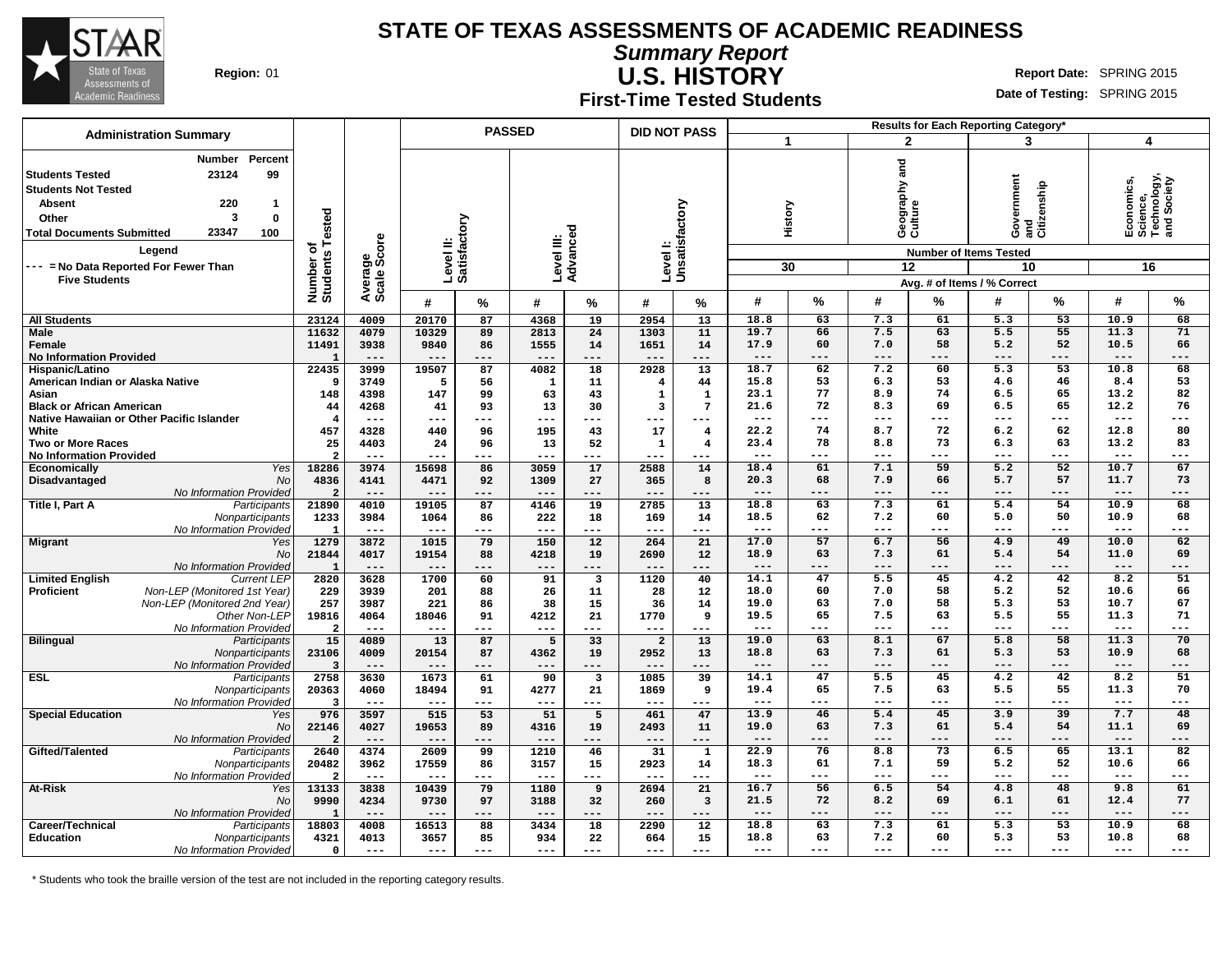

**First-Time Tested Students**

**Summary Report**

**U.S. HISTORY Region:** 01 **Report** Date: SPRING 2015

**Date of Testing:** SPRING 2015

#### **# % # % # % All Students Male Female No Information Provided Hispanic/Latino American Indian or Alaska Native Asian Black or African American Native Hawaiian or Other Pacific Islander White Two or More Races No Information Provided Economically** Yes 18286<br>Disadvantaged Mol 4836 **Disadvantaged** No Information Provided **Title I, Part A** Participants 21890 Nonparticipants No Information Provided **Migrant** Yes No 21844 No Information Provided **Limited English** Current LEP 2820<br>**Proficient** Mon-LEP (Monitored 1st Year) 229 **Proficient** Non-LEP (Monitored 1st Year) Non-LEP (Monitored 2nd Year) Other Non-LEP 19816 No Information Provided **Bilingual** Participants Nonparticipants | 23106 No Information Provided **ESL** Participants 2758<br>
Nonparticipants 20363 Nonparticipants No Information Provided **Special Education** Yes No 22146 No Information Provided **Gifted/Talented** Participants Nonparticipants | 20482 No Information Provided 2<br>Vest 13133 **At-Risk** Yes No 9990 No Information Provided Career/Technical **Participants** Participants 18803 **Education** Nonparticipants No Information Provided **Administration Summary PASSED DID NOT PASS Number Percent Students Tested 23124 99 Students Not Tested Absent 220 1 Other 3 0 Total Documents Submitted 23347 100 Number of Students Tested Average Scale Score Level II: Satisfactory Level III: Advanced Level I: Unsatisfactory Legend --- = No Data Reported For Fewer Than Five Students 23124 4009 20170 87 4368 19 2954 13 11632 4079 10329 89 2813 24 1303 11 11491 3938 9840 86 1555 14 1651 14 1 --- --- --- --- --- --- --- 22435 3999 19507 87 4082 18 2928 13 9 3749 5 56 1 11 4 44 148 4398 147 99 63 43 1 1 44 4268 41 93 13 30 3 7 4 --- --- --- --- --- --- --- 457 4328 440 96 195 43 17 4 25 4403 24 96 13 52 1 4 2 --- --- --- --- --- --- --- 18286 3974 15698 86 3059 17 2588 14 4836 4141 4471 92 1309 27 365 8 2 --- --- --- --- --- --- --- 21890 4010 19105 87 4146 19 2785 13 1233 3984 1064 86 222 18 169 14 1 --- --- --- --- --- --- --- 1279 3872 1015 79 150 12 264 21 21844 4017 19154 88 4218 19 2690 12 1 --- --- --- --- --- --- --- 2820 3628 1700 60 91 3 1120 40 229 3939 201 88 26 11 28 12 257 3987 221 86 38 15 36 14 19816 4064 18046 91 4212 21 1770 9 2 --- --- --- --- --- --- --- 15 4089 13 87 5 33 2 13 23106 4009 20154 87 4362 19 2952 13 3 --- --- --- --- --- --- --- 2758 3630 1673 61 90 3 1085 39 20363 4060 18494 91 4277 21 1869 9 3 --- --- --- --- --- --- --- 976 3597 515 53 51 5 461 47 22146 4027 19653 89 4316 19 2493 11 2 --- --- --- --- --- --- --- 2640 4374 2609 99 1210 46 31 1 20482 3962 17559 86 3157 15 2923 14 2 --- --- --- --- --- --- --- 13133 3838 10439 79 1180 9 2694 21 9990 4234 9730 97 3188 32 260 3 1 --- --- --- --- --- --- --- 18803 4008 16513 88 3434 18 2290 12 4321 4013 3657 85 934 22 664 15 0 --- --- --- --- --- --- --- Results for Each Reporting Category\* 1 2 3 4 History Geography and Culture Government and Citizenship Economics, Science, Technology, and Society Number of Items Tested 30 12 10 16 Avg. # of Items / % Correct # % # % # % # % 18.8 63 7.3 61 5.3 53 10.9 68 19.7 66 7.5 63 5.5 55 11.3 71 17.9 60 7.0 58 5.2 52 10.5 66 --- --- --- --- --- --- --- --- 18.7 62 7.2 60 5.3 53 10.8 68 15.8 53 6.3 53 4.6 46 8.4 53 23.1 77 8.9 74 6.5 65 13.2 82 21.6 72 8.3 69 6.5 65 12.2 76 --- --- --- --- --- --- --- --- 22.2 74 8.7 72 6.2 62 12.8 80 23.4 78 8.8 73 6.3 63 13.2 83 --- --- --- --- --- --- --- --- 18.4 61 7.1 59 5.2 52 10.7 67 20.3 68 7.9 66 5.7 57 11.7 73 --- --- --- --- --- --- --- --- 18.8 63 7.3 61 5.4 54 10.9 68 18.5 62 7.2 60 5.0 50 10.9 68 --- --- --- --- --- --- --- --- 17.0 57 6.7 56 4.9 49 10.0 62 18.9 63 7.3 61 5.4 54 11.0 69 --- --- --- --- --- --- --- --- 14.1 47 5.5 45 4.2 42 8.2 51 18.0 60 7.0 58 5.2 52 10.6 66 19.0 63 7.0 58 5.3 53 10.7 67 19.5 65 7.5 63 5.5 55 11.3 71 --- --- --- --- --- --- --- --- 19.0 63 8.1 67 5.8 58 11.3 70 18.8 63 7.3 61 5.3 53 10.9 68 --- --- --- --- --- --- --- --- 14.1 47 5.5 45 4.2 42 8.2 51 19.4 65 7.5 63 5.5 55 11.3 70 --- --- --- --- --- --- --- --- 13.9 46 5.4 45 3.9 39 7.7 48 19.0 63 7.3 61 5.4 54 11.1 69 --- --- --- --- --- --- --- --- 22.9 76 8.8 73 6.5 65 13.1 82 18.3 61 7.1 59 5.2 52 10.6 66 --- --- --- --- --- --- --- --- 16.7 56 6.5 54 4.8 48 9.8 61 21.5 72 8.2 69 6.1 61 12.4 77 --- --- --- --- --- --- --- --- 18.8 63 7.3 61 5.3 53 10.9 68 18.8 63 7.2 60 5.3 53 10.8 68 --- --- --- --- --- --- --- ---**

\* Students who took the braille version of the test are not included in the reporting category results.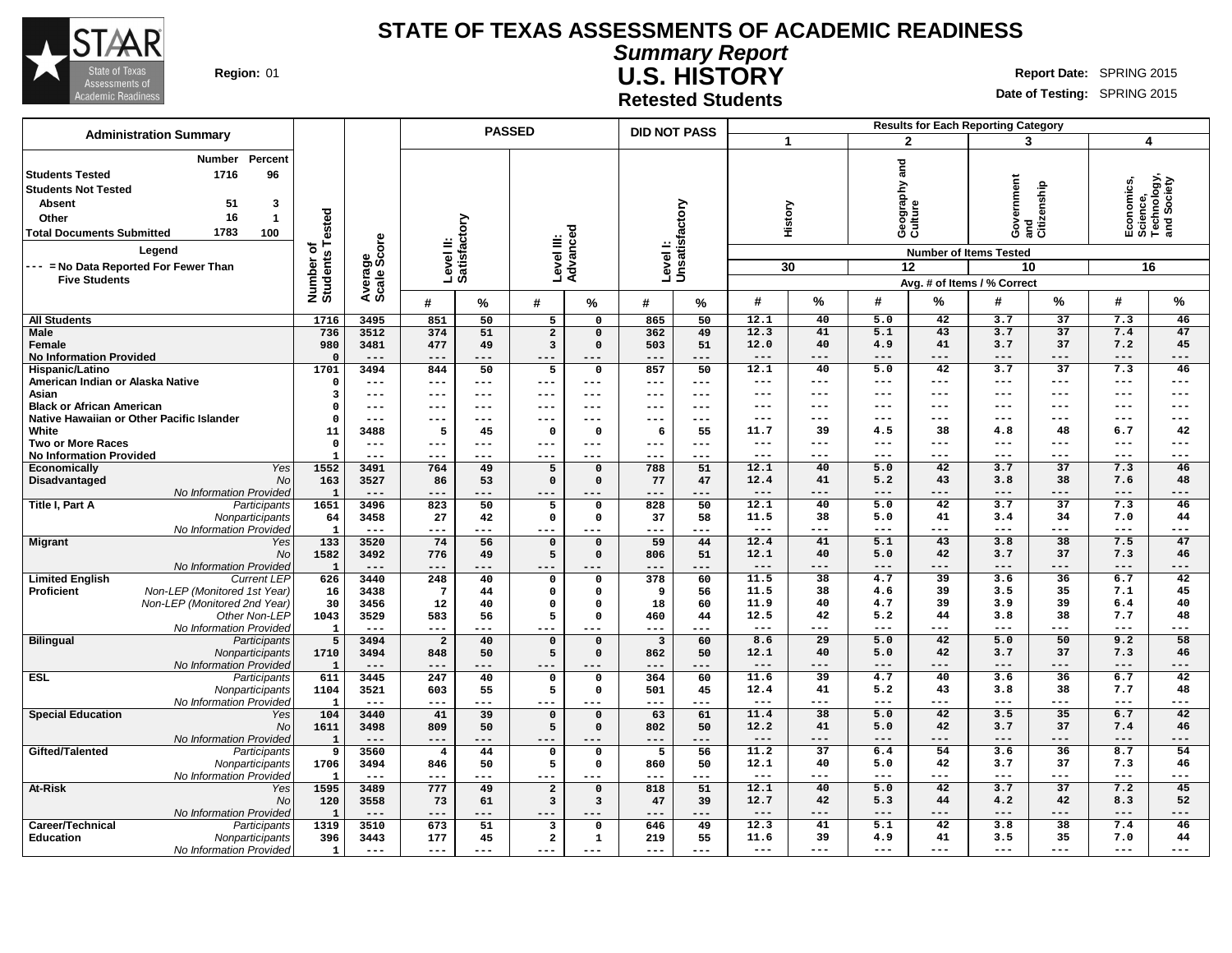

**Summary Report U.S. HISTORY Region:** 01 **Report Date: SPRING 2015 Report** Date: SPRING 2015

**Retested Students**

| <b>Administration Summary</b>                                                                                                                                                                                                                                                           |                                      |                        |                           | <b>PASSED</b> |                                           |                       | <b>DID NOT PASS</b>     |                        |               |                          |                                   |                 | <b>Results for Each Reporting Category</b>                                                                          |                 |                                                            |             |
|-----------------------------------------------------------------------------------------------------------------------------------------------------------------------------------------------------------------------------------------------------------------------------------------|--------------------------------------|------------------------|---------------------------|---------------|-------------------------------------------|-----------------------|-------------------------|------------------------|---------------|--------------------------|-----------------------------------|-----------------|---------------------------------------------------------------------------------------------------------------------|-----------------|------------------------------------------------------------|-------------|
|                                                                                                                                                                                                                                                                                         |                                      |                        |                           |               |                                           |                       |                         |                        |               |                          | $\overline{2}$                    |                 | 3                                                                                                                   |                 | 4                                                          |             |
| Percent<br><b>Number</b><br>96<br>1716<br><b>Students Tested</b><br><b>Students Not Tested</b><br><b>Absent</b><br>51<br>3<br>16<br>$\mathbf{1}$<br>Other<br>1783<br><b>Total Documents Submitted</b><br>100<br>Legend<br>--- = No Data Reported For Fewer Than<br><b>Five Students</b> | Tested<br>৳<br>Number of<br>Students | Average<br>Scale Score | Level II:<br>Satisfactory |               | Level III:<br>Advanced                    |                       | <b>Level</b>            | Unsatisfactory         |               | History<br>30            | and<br>Geography<br>Culture<br>12 |                 | overnment<br>Government<br>and<br>Citizenship<br><b>Number of Items Tested</b><br>10<br>Avg. # of Items / % Correct |                 | Economics,<br>Science,<br>Technology,<br>and Society<br>16 |             |
|                                                                                                                                                                                                                                                                                         |                                      |                        | #                         | %             | #                                         | %                     | #                       | %                      | #             | $\%$                     | #                                 | $\%$            | #                                                                                                                   | %               | #                                                          | $\%$        |
| <b>All Students</b>                                                                                                                                                                                                                                                                     | 1716                                 | 3495                   | 851                       | 50            | $5\overline{5}$                           | $\mathbf 0$           | 865                     | 50                     | 12.1          | 40                       | 5.0                               | 42              | 3.7                                                                                                                 | 37              | 7.3                                                        | 46          |
| <b>Male</b>                                                                                                                                                                                                                                                                             | 736                                  | 3512                   | 374                       | 51            | $\overline{2}$                            | $\Omega$              | 362                     | 49                     | 12.3          | 41                       | 5.1                               | 43              | 3.7                                                                                                                 | 37              | 7.4                                                        | 47          |
| Female                                                                                                                                                                                                                                                                                  | 980                                  | 3481                   | 477                       | 49            | $\overline{3}$                            | $\Omega$              | 503                     | 51                     | 12.0          | 40                       | 4.9                               | 41              | 3.7                                                                                                                 | 37              | 7.2                                                        | 45          |
| <b>No Information Provided</b>                                                                                                                                                                                                                                                          | $\Omega$                             | ---                    |                           |               | ---                                       |                       |                         | ---                    | ---           | $---$                    | ---                               | ---             | ---                                                                                                                 | ---             | ---                                                        | $---$       |
| Hispanic/Latino                                                                                                                                                                                                                                                                         | 1701                                 | 3494                   | 844                       | 50            | 5                                         | 0                     | 857                     | 50                     | 12.1          | 40                       | 5.0                               | 42              | 3.7                                                                                                                 | $\overline{37}$ | 7.3                                                        | 46          |
| American Indian or Alaska Native                                                                                                                                                                                                                                                        | $\Omega$                             | $\qquad \qquad - -$    | $---$                     | $---$         | ---                                       | $\qquad \qquad - -$   | $---$                   | $\qquad \qquad - -$    | $---$         | $--$                     | ---                               | $---$           | ---                                                                                                                 | $---$           | ---                                                        | $---$       |
| Asian                                                                                                                                                                                                                                                                                   | 3                                    | $\qquad \qquad - -$    | $---$                     | $---$         | ---                                       | $---$                 | $---$                   | $\qquad \qquad - -$    | ---           | $---$                    | ---                               | $--$            | ---                                                                                                                 | ---             | ---                                                        | $---$       |
| <b>Black or African American</b>                                                                                                                                                                                                                                                        | $\mathbf 0$                          | ---                    | $---$                     | $---$         | ---                                       | $---$                 | ---                     | $--$                   | ---           | $- - -$                  | ---                               | $--$            | ---                                                                                                                 | $- - -$         | ---                                                        | $---$       |
| Native Hawaiian or Other Pacific Islander<br>White                                                                                                                                                                                                                                      | $\mathbf 0$                          | $---$                  |                           |               | ---<br>$\Omega$                           | $---$<br>$\Omega$     | 6                       | $- - -$<br>55          | ---<br>11.7   | ---<br>39                | ---<br>4.5                        | ---<br>38       | ---<br>4.8                                                                                                          | ---<br>48       | ---<br>6.7                                                 | ---<br>42   |
| <b>Two or More Races</b>                                                                                                                                                                                                                                                                | 11<br>$\mathbf 0$                    | 3488<br>$---$          | 5<br>$---$                | 45<br>$---$   | ---                                       | $- - -$               | $---$                   | $---$                  | $---$         | $---$                    | ---                               | $---$           | ---                                                                                                                 | $- - -$         | ---                                                        | $---$       |
| <b>No Information Provided</b>                                                                                                                                                                                                                                                          | $\mathbf{1}$                         | $---$                  | ---                       | ---           | ---                                       | $---$                 | ---                     | $---$                  | ---           | $---$                    | ---                               | $---$           | ---                                                                                                                 | $- - -$         | ---                                                        | $---$       |
| Yes<br><b>Economically</b>                                                                                                                                                                                                                                                              | 1552                                 | 3491                   | 764                       | 49            | 5                                         | $\Omega$              | 788                     | $\overline{51}$        | 12.1          | 40                       | 5.0                               | 42              | 3.7                                                                                                                 | $\overline{37}$ | 7.3                                                        | 46          |
| Disadvantaged<br><b>No</b>                                                                                                                                                                                                                                                              | 163                                  | 3527                   | 86                        | 53            | $\Omega$                                  | $\Omega$              | 77                      | 47                     | 12.4          | 41                       | 5.2                               | 43              | 3.8                                                                                                                 | 38              | 7.6                                                        | 48          |
| No Information Provided                                                                                                                                                                                                                                                                 | $\mathbf{1}$                         | $---$                  | ---                       | ---           | ---                                       | $---$                 | $---$                   | ---                    | $---$         | $---$                    | $---$                             | $---$           | ---                                                                                                                 | $---$           | ---                                                        | $---$       |
| Title I, Part A<br>Participants                                                                                                                                                                                                                                                         | 1651                                 | 3496                   | 823                       | 50            | 5                                         | $\mathbf 0$           | 828                     | 50                     | 12.1          | 40                       | 5.0                               | 42              | 3.7                                                                                                                 | 37              | 7.3                                                        | 46          |
| Nonparticipants                                                                                                                                                                                                                                                                         | 64                                   | 3458                   | 27                        | 42            | 0                                         | $\mathbf 0$           | 37                      | 58                     | 11.5          | 38                       | 5.0                               | 41              | 3.4                                                                                                                 | 34              | 7.0                                                        | 44          |
| No Information Provided                                                                                                                                                                                                                                                                 | $\mathbf{1}$                         | $\qquad \qquad - -$    | ---                       | ---           | ---                                       | $---$                 | ---                     | $--$                   | $---$         | $---$                    | $---$                             | $---$           | ---                                                                                                                 | ---             | ---                                                        | $---$       |
| <b>Migrant</b><br>Yes                                                                                                                                                                                                                                                                   | $\overline{133}$                     | 3520                   | 74                        | 56            | $\Omega$                                  | $\Omega$              | 59                      | 44                     | 12.4          | 41                       | 5.1                               | 43              | 3.8                                                                                                                 | 38<br>37        | 7.5                                                        | 47          |
| <b>No</b><br>No Information Provided                                                                                                                                                                                                                                                    | 1582<br>$\mathbf{1}$                 | 3492<br>$---$          | 776<br>---                | 49<br>---     | 5<br>---                                  | $\Omega$<br>$---$     | 806<br>$---$            | 51<br>---              | 12.1<br>$---$ | 40<br>$---$              | 5.0<br>$---$                      | 42<br>$---$     | 3.7<br>---                                                                                                          | $---$           | 7.3<br>$---$                                               | 46<br>$---$ |
| <b>Limited English</b><br><b>Current LEP</b>                                                                                                                                                                                                                                            | 626                                  | 3440                   | 248                       | 40            | $\Omega$                                  | 0                     | 378                     | 60                     | 11.5          | 38                       | 4.7                               | $\overline{39}$ | 3.6                                                                                                                 | 36              | 6.7                                                        | 42          |
| Non-LEP (Monitored 1st Year)<br>Proficient                                                                                                                                                                                                                                              | 16                                   | 3438                   | $7\phantom{.0}$           | 44            | $\Omega$                                  | $\Omega$              | 9                       | 56                     | 11.5          | 38                       | 4.6                               | 39              | 3.5                                                                                                                 | 35              | 7.1                                                        | 45          |
| Non-LEP (Monitored 2nd Year)                                                                                                                                                                                                                                                            | 30                                   | 3456                   | 12                        | 40            | $\Omega$                                  | $\mathbf 0$           | 18                      | 60                     | 11.9          | 40                       | 4.7                               | 39              | 3.9                                                                                                                 | 39              | 6.4                                                        | 40          |
| Other Non-LEP                                                                                                                                                                                                                                                                           | 1043                                 | 3529                   | 583                       | 56            | 5                                         | $\mathbf 0$           | 460                     | 44                     | 12.5          | 42                       | 5.2                               | 44              | 3.8                                                                                                                 | 38              | 7.7                                                        | 48          |
| No Information Provided                                                                                                                                                                                                                                                                 | $\mathbf{1}$                         | $\qquad \qquad - -$    | $---$                     |               |                                           |                       | ---                     |                        | $---$         | $---$                    | ---                               | ---             | ---                                                                                                                 | ---             | ---                                                        | $---$       |
| <b>Bilingual</b><br>Participants                                                                                                                                                                                                                                                        | 5                                    | 3494                   | $\overline{2}$            | 40            | $\mathbf 0$                               | $\Omega$              | $\overline{\mathbf{3}}$ | 60                     | 8.6           | 29                       | 5.0                               | 42              | 5.0                                                                                                                 | 50              | 9.2                                                        | 58          |
| Nonparticipants                                                                                                                                                                                                                                                                         | 1710                                 | 3494                   | 848                       | 50            | 5                                         | $\Omega$              | 862                     | 50                     | 12.1          | 40                       | 5.0                               | 42              | 3.7                                                                                                                 | 37              | 7.3                                                        | 46          |
| No Information Provided                                                                                                                                                                                                                                                                 | $\mathbf{1}$<br>611                  | $---$<br>3445          | $---$<br>247              | ---<br>40     | ---                                       | $\qquad \qquad - -$   | $---$<br>364            | ---<br>$\overline{60}$ | $---$<br>11.6 | $---$<br>$\overline{39}$ | $---$<br>4.7                      | $---$<br>40     | ---<br>3.6                                                                                                          | $---$<br>36     | ---<br>6.7                                                 | $---$<br>42 |
| <b>ESL</b><br>Participants                                                                                                                                                                                                                                                              | 1104                                 | 3521                   | 603                       | 55            | $\Omega$<br>5                             | $\Omega$<br>$\Omega$  | 501                     | 45                     | 12.4          | 41                       | 5.2                               | 43              | 3.8                                                                                                                 | 38              | 7.7                                                        | 48          |
| Nonparticipants<br>No Information Provided                                                                                                                                                                                                                                              | $\mathbf{1}$                         | $\frac{1}{2}$          | ---                       | ---           | ---                                       | $---$                 | ---                     | ---                    | $- - -$       | $- - -$                  | $---$                             | $- - -$         | ---                                                                                                                 | $- - -$         | ---                                                        | $- - -$     |
| <b>Special Education</b><br>Yes                                                                                                                                                                                                                                                         | 104                                  | 3440                   | 41                        | 39            | $\mathbf 0$                               | $\Omega$              | 63                      | 61                     | 11.4          | 38                       | 5.0                               | 42              | 3.5                                                                                                                 | 35              | 6.7                                                        | 42          |
| No                                                                                                                                                                                                                                                                                      | 1611                                 | 3498                   | 809                       | 50            | 5                                         | $\Omega$              | 802                     | 50                     | 12.2          | 41                       | 5.0                               | 42              | 3.7                                                                                                                 | 37              | 7.4                                                        | 46          |
| No Information Provided                                                                                                                                                                                                                                                                 | $\mathbf{1}$                         | $---$                  | ---                       | ---           | ---                                       | $---$                 | $---$                   | ---                    | $---$         | $---$                    | ---                               | $---$           | ---                                                                                                                 | $---$           | ---                                                        | $---$       |
| Gifted/Talented<br>Participants                                                                                                                                                                                                                                                         | 9                                    | 3560                   | $\overline{4}$            | 44            | $\mathsf{o}\,$                            | $\mathbf 0$           | $\overline{5}$          | $\overline{56}$        | 11.2          | $\overline{37}$          | 6.4                               | 54              | 3.6                                                                                                                 | 36              | 8.7                                                        | 54          |
| Nonparticipants                                                                                                                                                                                                                                                                         | 1706                                 | 3494                   | 846                       | 50            | 5                                         | 0                     | 860                     | 50                     | 12.1          | 40                       | 5.0                               | 42              | 3.7                                                                                                                 | 37              | 7.3                                                        | 46          |
| No Information Provided                                                                                                                                                                                                                                                                 | -1                                   | $\qquad \qquad - -$    | ---                       | ---           | ---                                       | ---                   | ---                     | ---                    | $---$         | $---$                    | $---$                             | $---$           | ---                                                                                                                 | $---$           | ---                                                        | $---$       |
| <b>At-Risk</b><br>Yes                                                                                                                                                                                                                                                                   | 1595                                 | 3489                   | 777                       | 49            | $\overline{\mathbf{2}}$                   | $\mathbf 0$           | 818                     | 51                     | 12.1          | 40                       | 5.0                               | 42              | 3.7                                                                                                                 | 37              | 7.2                                                        | 45          |
| No                                                                                                                                                                                                                                                                                      | 120                                  | 3558                   | 73                        | 61            | 3                                         | $\overline{3}$        | 47                      | 39                     | 12.7          | 42                       | 5.3                               | 44              | 4.2                                                                                                                 | 42              | 8.3                                                        | 52          |
| No Information Provided                                                                                                                                                                                                                                                                 | $\mathbf{1}$                         | $---$                  | ---                       | ---           | ---                                       | $---$                 | $---$                   | $---$                  | $---$         | $---$                    | ---                               | $---$           | ---                                                                                                                 | $---$           | ---                                                        | $---$       |
| Career/Technical<br>Participants                                                                                                                                                                                                                                                        | 1319<br>396                          | 3510<br>3443           | 673                       | 51<br>45      | $\overline{3}$<br>$\overline{\mathbf{2}}$ | $\mathbf 0$           | 646                     | 49<br>55               | 12.3<br>11.6  | 41<br>39                 | 5.1<br>4.9                        | 42<br>41        | 3.8<br>3.5                                                                                                          | 38<br>35        | 7.4<br>7.0                                                 | 46<br>44    |
| <b>Education</b><br>Nonparticipants<br>No Information Provided                                                                                                                                                                                                                          | 1                                    | $---$                  | 177<br>$---$              | ---           | ---                                       | $\mathbf{1}$<br>$---$ | 219<br>$---$            | $--$                   | $---$         | $---$                    | ---                               | $---$           | ---                                                                                                                 | $---$           | ---                                                        | $---$       |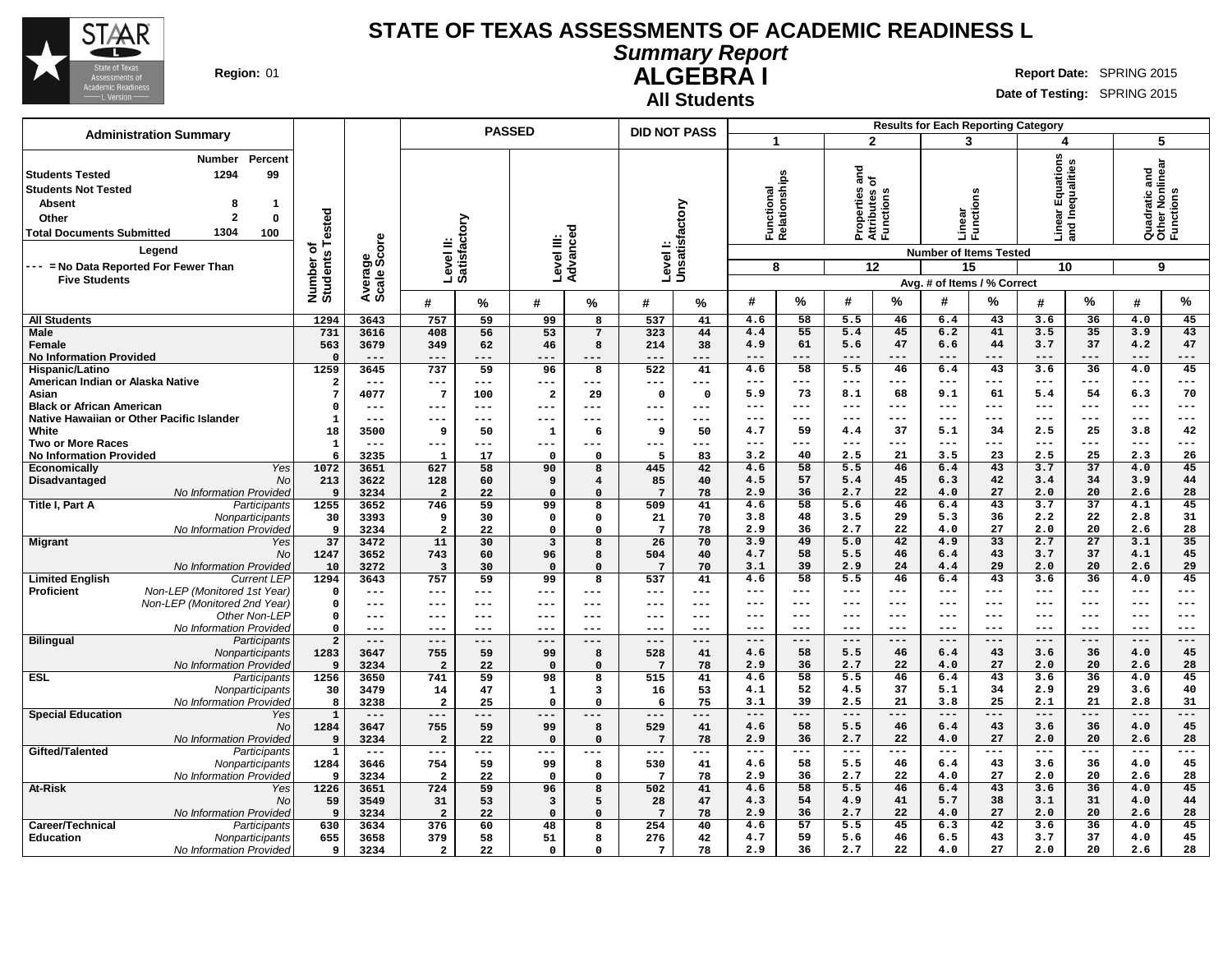

#### **Summary Report ALGEBRA I Region:** 01 **Report Date:** SPRING 2015

**All Students** ┱

**Date of Testing:** SPRING 2015

|                                                                                                                                                                                                                                                                                                      |                              |                        |                           | <b>PASSED</b> |                        |                   | <b>DID NOT PASS</b> |                     |                                |              |                                                         |               | <b>Results for Each Reporting Category</b>                                              |                       |                                         |                       |                                                    |              |
|------------------------------------------------------------------------------------------------------------------------------------------------------------------------------------------------------------------------------------------------------------------------------------------------------|------------------------------|------------------------|---------------------------|---------------|------------------------|-------------------|---------------------|---------------------|--------------------------------|--------------|---------------------------------------------------------|---------------|-----------------------------------------------------------------------------------------|-----------------------|-----------------------------------------|-----------------------|----------------------------------------------------|--------------|
| <b>Administration Summary</b>                                                                                                                                                                                                                                                                        |                              |                        |                           |               |                        |                   |                     |                     | $\blacktriangleleft$           |              | $\mathbf{2}$                                            |               | 3                                                                                       |                       | 4                                       |                       | 5                                                  |              |
| Percent<br>Number<br>99<br><b>Students Tested</b><br>1294<br><b>Students Not Tested</b><br><b>Absent</b><br>8<br>$\mathbf 1$<br>$\overline{2}$<br>$\mathbf 0$<br>Other<br>1304<br><b>Total Documents Submitted</b><br>100<br>Legend<br>--- = No Data Reported For Fewer Than<br><b>Five Students</b> | Number of<br>Students Tested | Average<br>Scale Score | Level II:<br>Satisfactory |               | Level III:<br>Advanceo |                   | Levell:             | Unsatisfactory      | Functional<br>Relationshi<br>8 | lationships  | ठ<br>들 오<br>Properties<br>Attributes<br>Functions<br>12 |               | Linear<br>Functio<br><b>Number of Items Tested</b><br>15<br>Avg. # of Items / % Correct | S<br>ã                | ar Equations<br>Inequalities<br>ۊ<br>10 | and                   | Quadratic and<br>Other Nonlinear<br>Functions<br>9 |              |
|                                                                                                                                                                                                                                                                                                      |                              |                        | #                         | %             | #                      | %                 | #                   | %                   | #                              | %            | #                                                       | %             | #                                                                                       | %                     | #                                       | $\%$                  | $\boldsymbol{\#}$                                  | %            |
| <b>All Students</b>                                                                                                                                                                                                                                                                                  | 1294                         | 3643                   | 757                       | 59            | 99                     | 8                 | 537                 | 41                  | 4.6                            | 58           | 5.5                                                     | 46            | 6.4                                                                                     | 43                    | 3.6                                     | 36                    | 4.0                                                | 45           |
| <b>Male</b>                                                                                                                                                                                                                                                                                          | 731                          | 3616                   | 408                       | 56            | 53                     | $7\phantom{.0}$   | 323                 | 44                  | 4.4                            | 55           | 5.4                                                     | 45            | 6.2                                                                                     | 41                    | 3.5                                     | 35                    | 3.9                                                | 43           |
| Female                                                                                                                                                                                                                                                                                               | 563                          | 3679                   | 349                       | 62            | 46                     | 8                 | 214                 | 38                  | 4.9                            | 61           | 5.6                                                     | 47            | 6.6                                                                                     | 44                    | 3.7                                     | 37                    | 4.2                                                | 47           |
| <b>No Information Provided</b>                                                                                                                                                                                                                                                                       | $\Omega$<br>1259             | $---$<br>3645          | $---$<br>737              | ---<br>59     | ---                    | $---$<br>8        | $---$<br>522        | ---                 | ---<br>4.6                     | $---$<br>58  | $---$<br>5.5                                            | $---$<br>46   | $---$<br>6.4                                                                            | $---$<br>43           | $---$<br>3.6                            | $---$<br>36           | $---$<br>4.0                                       | ---<br>45    |
| Hispanic/Latino<br>American Indian or Alaska Native                                                                                                                                                                                                                                                  | $\overline{\mathbf{2}}$      | $- - -$                | ---                       | $---$         | 96<br>---              | $\qquad \qquad -$ | $---$               | 41<br>$---$         | ---                            | $---$        | $---$                                                   | $---$         | $- - -$                                                                                 | $---$                 | $---$                                   | $---$                 | $---$                                              | ---          |
| Asian                                                                                                                                                                                                                                                                                                | $\overline{7}$               | 4077                   | $\overline{7}$            | 100           | $\mathbf{2}$           | 29                | $\mathbf 0$         | $\Omega$            | 5.9                            | 73           | 8.1                                                     | 68            | 9.1                                                                                     | 61                    | 5.4                                     | 54                    | 6.3                                                | 70           |
| <b>Black or African American</b>                                                                                                                                                                                                                                                                     | $\Omega$                     | $---$                  | ---                       | $---$         | ---                    | ---               | ---                 | $---$               | ---                            | $---$        | ---                                                     | $---$         | $---$                                                                                   | $---$                 | $---$                                   | $---$                 | $---$                                              | ---          |
| Native Hawaiian or Other Pacific Islander                                                                                                                                                                                                                                                            | $\mathbf{1}$                 | $- - -$                | ---                       | ---           | ---                    | ---               | ---                 | $--$                | ---                            | $- - -$      | ---                                                     | $--$          | $- - -$                                                                                 | $---$                 | $- - -$                                 | ---                   | $---$                                              | ---          |
| White                                                                                                                                                                                                                                                                                                | 18                           | 3500                   | 9                         | 50            | 1                      | 6                 | 9                   | 50                  | 4.7                            | 59           | 4.4                                                     | 37            | 5.1                                                                                     | 34                    | 2.5                                     | 25                    | 3.8                                                | 42           |
| <b>Two or More Races</b>                                                                                                                                                                                                                                                                             | $\mathbf{1}$<br>6            | $- - -$<br>3235        | ---                       | $---$<br>17   | ---<br>$\Omega$        | $---$<br>$\Omega$ | $---$<br>5          | $---$<br>83         | ---<br>3.2                     | $---$<br>40  | $---$<br>2.5                                            | $---$<br>21   | $---$<br>3.5                                                                            | $---$<br>23           | $---$<br>2.5                            | $- - -$<br>25         | $---$<br>2.3                                       | ---<br>26    |
| <b>No Information Provided</b><br>Economically<br>Yes                                                                                                                                                                                                                                                | 1072                         | 3651                   | -1<br>627                 | 58            | 90                     | 8                 | 445                 | 42                  | 4.6                            | 58           | 5.5                                                     | 46            | 6.4                                                                                     | 43                    | 3.7                                     | 37                    | 4.0                                                | 45           |
| Disadvantaged<br>No                                                                                                                                                                                                                                                                                  | 213                          | 3622                   | 128                       | 60            | 9                      | $\overline{4}$    | 85                  | 40                  | 4.5                            | 57           | 5.4                                                     | 45            | 6.3                                                                                     | 42                    | 3.4                                     | 34                    | 3.9                                                | 44           |
| No Information Provided                                                                                                                                                                                                                                                                              | 9                            | 3234                   | $\overline{a}$            | 22            | $\mathbf 0$            | $\mathbf 0$       | $7\phantom{.0}$     | 78                  | 2.9                            | 36           | 2.7                                                     | 22            | 4.0                                                                                     | 27                    | 2.0                                     | 20                    | 2.6                                                | 28           |
| Title I, Part A<br>Participants                                                                                                                                                                                                                                                                      | 1255                         | 3652                   | 746                       | 59            | 99                     | 8                 | 509                 | 41                  | 4.6                            | 58           | 5.6                                                     | 46            | 6.4                                                                                     | 43                    | 3.7                                     | 37                    | 4.1                                                | 45           |
| Nonparticipants                                                                                                                                                                                                                                                                                      | 30                           | 3393                   | 9                         | 30            | 0                      | $\mathbf 0$       | 21                  | 70                  | 3.8                            | 48           | 3.5                                                     | 29            | 5.3                                                                                     | 36                    | 2.2                                     | 22                    | 2.8                                                | 31           |
| No Information Provided                                                                                                                                                                                                                                                                              | 9                            | 3234                   | $\overline{a}$            | 22            | $\Omega$               | $\Omega$          | $7\phantom{.0}$     | 78                  | 2.9                            | 36<br>49     | 2.7                                                     | 22<br>42      | 4.0<br>4.9                                                                              | 27<br>$\overline{33}$ | 2.0                                     | 20<br>$\overline{27}$ | 2.6<br>3.1                                         | 28<br>35     |
| <b>Migrant</b><br>Yes<br>No                                                                                                                                                                                                                                                                          | 37<br>1247                   | 3472<br>3652           | 11<br>743                 | 30<br>60      | 3<br>96                | 8<br>8            | 26<br>504           | 70<br>40            | 3.9<br>4.7                     | 58           | 5.0<br>5.5                                              | 46            | 6.4                                                                                     | 43                    | 2.7<br>3.7                              | 37                    | 4.1                                                | 45           |
| No Information Provided                                                                                                                                                                                                                                                                              | 10                           | 3272                   | $\overline{3}$            | 30            | $\mathbf 0$            | $\mathbf 0$       | $7\phantom{.0}$     | 70                  | 3.1                            | 39           | 2.9                                                     | 24            | 4.4                                                                                     | 29                    | 2.0                                     | 20                    | 2.6                                                | 29           |
| <b>Limited English</b><br><b>Current LEP</b>                                                                                                                                                                                                                                                         | 1294                         | 3643                   | 757                       | 59            | 99                     | 8                 | 537                 | 41                  | 4.6                            | 58           | 5.5                                                     | 46            | 6.4                                                                                     | 43                    | 3.6                                     | 36                    | 4.0                                                | 45           |
| Non-LEP (Monitored 1st Year)<br><b>Proficient</b>                                                                                                                                                                                                                                                    | 0                            | $---$                  | $---$                     | $---$         | ---                    | $---$             | $---$               | $\qquad \qquad - -$ | ---                            | $---$        | ---                                                     | $---$         | $---$                                                                                   | $---$                 | $- - -$                                 | $--$                  | $---$                                              | ---          |
| Non-LEP (Monitored 2nd Year)                                                                                                                                                                                                                                                                         | $\Omega$                     | $---$                  | ---                       | $---$         | ---                    | $---$             | $---$               | $---$               | ---                            | $---$        | ---                                                     | $---$         | $---$                                                                                   | $---$                 | $---$                                   | $---$                 | $---$                                              | ---          |
| Other Non-LEP                                                                                                                                                                                                                                                                                        | $\mathbf 0$                  | $---$                  | $--$                      | $---$         | ---                    | $---$             | $--$                | $---$               | ---                            | $---$        | $---$                                                   | $---$         | $---$                                                                                   | $---$                 | $- - -$<br>$---$                        | $---$                 | $---$<br>$- - -$                                   | ---          |
| No Information Provided<br><b>Bilingual</b><br>Participants                                                                                                                                                                                                                                          | $\Omega$<br>$\overline{a}$   | ---<br>$---$           | $---$                     | $---$         | ---<br>---             | $---$             | $---$               | $---$               | ---<br>$---$                   | ---<br>$---$ | ---<br>$---$                                            | $--$<br>$---$ | ---<br>$- - -$                                                                          | $---$<br>$---$        | $---$                                   | $--$<br>$---$         | $---$                                              | ---<br>$---$ |
| Nonparticipants                                                                                                                                                                                                                                                                                      | 1283                         | 3647                   | 755                       | 59            | 99                     | 8                 | 528                 | 41                  | 4.6                            | 58           | 5.5                                                     | 46            | 6.4                                                                                     | 43                    | 3.6                                     | 36                    | 4.0                                                | 45           |
| No Information Provided                                                                                                                                                                                                                                                                              | 9                            | 3234                   | $\overline{2}$            | 22            | $\Omega$               | $\Omega$          | -7                  | 78                  | 2.9                            | 36           | 2.7                                                     | 22            | 4.0                                                                                     | 27                    | 2.0                                     | 20                    | 2.6                                                | 28           |
| <b>ESL</b><br>Participants                                                                                                                                                                                                                                                                           | 1256                         | 3650                   | 741                       | 59            | 98                     | 8                 | 515                 | 41                  | 4.6                            | 58           | 5.5                                                     | 46            | 6.4                                                                                     | 43                    | 3.6                                     | 36                    | 4.0                                                | 45           |
| Nonparticipants                                                                                                                                                                                                                                                                                      | 30                           | 3479                   | 14                        | 47            | 1                      | 3                 | 16                  | 53                  | 4.1                            | 52           | 4.5                                                     | 37            | 5.1                                                                                     | 34                    | 2.9                                     | 29                    | 3.6                                                | 40           |
| No Information Provided<br><b>Special Education</b><br>Yes                                                                                                                                                                                                                                           | 8<br>$\mathbf{1}$            | 3238<br>$---$          | $\overline{2}$<br>---     | 25<br>---     | $\mathbf 0$<br>---     | $\Omega$<br>---   | 6<br>$---$          | 75<br>---           | 3.1<br>---                     | 39<br>---    | 2.5<br>$---$                                            | 21<br>$---$   | 3.8<br>$---$                                                                            | 25<br>$---$           | 2.1<br>$\qquad \qquad - -$              | 21<br>$---$           | 2.8<br>$---$                                       | 31<br>---    |
| No                                                                                                                                                                                                                                                                                                   | 1284                         | 3647                   | 755                       | 59            | 99                     | 8                 | 529                 | 41                  | 4.6                            | 58           | 5.5                                                     | 46            | 6.4                                                                                     | 43                    | 3.6                                     | 36                    | 4.0                                                | 45           |
| No Information Provided                                                                                                                                                                                                                                                                              | 9                            | 3234                   | $\overline{a}$            | 22            | $\Omega$               | $\Omega$          | 7                   | 78                  | 2.9                            | 36           | 2.7                                                     | 22            | 4.0                                                                                     | 27                    | 2.0                                     | 20                    | 2.6                                                | 28           |
| Gifted/Talented<br>Participants                                                                                                                                                                                                                                                                      | $\mathbf{1}$                 | $- - -$                | ---                       | $---$         | ---                    | $---$             | $---$               | $---$               | $---$                          | $---$        | $--$                                                    | $---$         | $--$                                                                                    | $---$                 | $\qquad \qquad - -$                     | $---$                 | $---$                                              | ---          |
| Nonparticipants                                                                                                                                                                                                                                                                                      | 1284                         | 3646                   | 754                       | 59            | 99                     | 8                 | 530                 | 41                  | 4.6                            | 58           | 5.5                                                     | 46            | 6.4                                                                                     | 43                    | 3.6                                     | 36                    | 4.0                                                | 45           |
| No Information Provided                                                                                                                                                                                                                                                                              | 9                            | 3234                   | $\overline{\mathbf{2}}$   | 22            | $\mathbf 0$            | $\Omega$          | $7\phantom{.0}$     | 78                  | 2.9                            | 36           | 2.7                                                     | 22            | 4.0                                                                                     | 27                    | 2.0                                     | 20                    | 2.6                                                | 28           |
| At-Risk<br>Yes<br>No                                                                                                                                                                                                                                                                                 | 1226                         | 3651                   | 724                       | 59            | 96                     | 8                 | 502                 | 41                  | 4.6<br>4.3                     | 58<br>54     | 5.5<br>4.9                                              | 46<br>41      | 6.4<br>5.7                                                                              | 43<br>38              | 3.6<br>3.1                              | 36<br>31              | 4.0<br>4.0                                         | 45<br>44     |
| No Information Provided                                                                                                                                                                                                                                                                              | 59<br>9                      | 3549<br>3234           | 31<br>$\overline{a}$      | 53<br>22      | 3<br>$\Omega$          | 5<br>$\Omega$     | 28<br>7             | 47<br>78            | 2.9                            | 36           | 2.7                                                     | 22            | 4.0                                                                                     | 27                    | 2.0                                     | 20                    | 2.6                                                | 28           |
| Career/Technical<br>Participants                                                                                                                                                                                                                                                                     | 630                          | 3634                   | 376                       | 60            | 48                     | 8                 | 254                 | 40                  | 4.6                            | 57           | 5.5                                                     | 45            | 6.3                                                                                     | 42                    | 3.6                                     | 36                    | 4.0                                                | 45           |
| <b>Education</b><br>Nonparticipants                                                                                                                                                                                                                                                                  | 655                          | 3658                   | 379                       | 58            | 51                     | 8                 | 276                 | 42                  | 4.7                            | 59           | 5.6                                                     | 46            | 6.5                                                                                     | 43                    | 3.7                                     | 37                    | 4.0                                                | 45           |
| No Information Provided                                                                                                                                                                                                                                                                              | 9                            | 3234                   | $\overline{a}$            | 22            | 0                      | $\Omega$          | $7\overline{ }$     | 78                  | 2.9                            | 36           | 2.7                                                     | 22            | 4.0                                                                                     | 27                    | 2.0                                     | 20                    | 2.6                                                | 28           |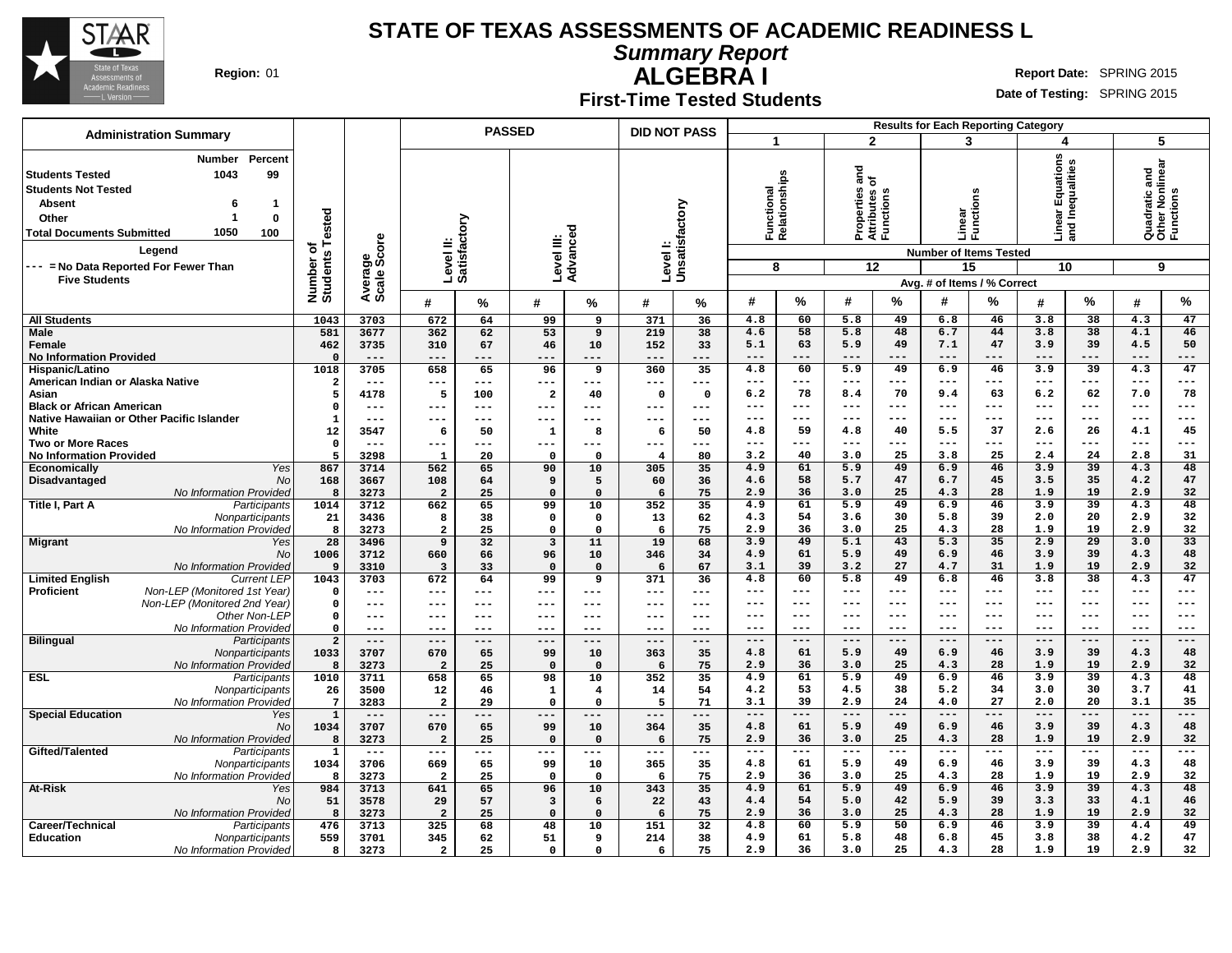

**Summary Report**

**Region:** 01 **Report Date:** SPRING 2015

# **ALGEBRA I First-Time Tested Students**

| <b>Administration Summary</b>                                                                                                                                                                                                                         |                              |                        |                         | <b>PASSED</b>             |                         |                   | <b>DID NOT PASS</b> |                     |                                 |                     |                                                         |               | <b>Results for Each Reporting Category</b>              |               |                                           |                 |                                                    |           |
|-------------------------------------------------------------------------------------------------------------------------------------------------------------------------------------------------------------------------------------------------------|------------------------------|------------------------|-------------------------|---------------------------|-------------------------|-------------------|---------------------|---------------------|---------------------------------|---------------------|---------------------------------------------------------|---------------|---------------------------------------------------------|---------------|-------------------------------------------|-----------------|----------------------------------------------------|-----------|
|                                                                                                                                                                                                                                                       |                              |                        |                         |                           |                         |                   |                     |                     |                                 |                     | $\mathbf{2}$                                            |               | 3                                                       |               | 4                                         |                 | 5                                                  |           |
| Percent<br><b>Number</b><br>99<br>1043<br><b>Students Tested</b><br><b>Students Not Tested</b><br><b>Absent</b><br>-1<br>$\bf{0}$<br>Other<br>1<br>1050<br><b>Total Documents Submitted</b><br>100<br>Legend<br>--- = No Data Reported For Fewer Than | Number of<br>Students Tested | Average<br>Scale Score |                         | Level II:<br>Satisfactory | Level III:              | ъ<br>Advance      | Level I:            | Unsatisfactory      | Functional<br>Relationship<br>8 | <u>یم</u>           | ъ<br>등 눈<br>Properties<br>Attributes<br>Functions<br>12 |               | Linear<br>Functi<br><b>Number of Items Tested</b><br>15 | ons<br>흉      | ar Equations<br>Inequalities<br>모 힘<br>10 |                 | Quadratic and<br>Other Nonlinear<br>Functions<br>9 |           |
| <b>Five Students</b>                                                                                                                                                                                                                                  |                              |                        |                         |                           |                         |                   |                     |                     |                                 |                     |                                                         |               | Avg. # of Items / % Correct                             |               |                                           |                 |                                                    |           |
|                                                                                                                                                                                                                                                       |                              |                        | #                       | %                         | #                       | %                 | #                   | %                   | #                               | %                   | #                                                       | %             | #                                                       | %             | #                                         | %               | #                                                  | %         |
| <b>All Students</b>                                                                                                                                                                                                                                   | 1043                         | 3703                   | 672                     | 64                        | 99                      | 9                 | 371                 | 36                  | 4.8                             | 60                  | 5.8                                                     | 49            | 6.8                                                     | 46            | 3.8                                       | 38              | 4.3                                                | 47        |
| <b>Male</b><br>Female                                                                                                                                                                                                                                 | 581<br>462                   | 3677<br>3735           | 362<br>310              | 62<br>67                  | 53<br>46                | 9<br>10           | 219<br>152          | 38<br>33            | 4.6<br>5.1                      | 58<br>63            | 5.8<br>5.9                                              | 48<br>49      | 6.7<br>7.1                                              | 44<br>47      | 3.8<br>3.9                                | 38<br>39        | 4.1<br>4.5                                         | 46<br>50  |
| <b>No Information Provided</b>                                                                                                                                                                                                                        | $\Omega$                     | $---$                  | ---                     | ---                       | $---$                   | ---               | $---$               | $---$               | $- - -$                         | $- - -$             | ---                                                     | $- - -$       | $- - -$                                                 | $- - -$       | $- - -$                                   | $---$           | $- - -$                                            | ---       |
| Hispanic/Latino                                                                                                                                                                                                                                       | 1018                         | 3705                   | 658                     | 65                        | 96                      | 9                 | 360                 | 35                  | 4.8                             | 60                  | 5.9                                                     | 49            | 6.9                                                     | 46            | 3.9                                       | 39              | 4.3                                                | 47        |
| American Indian or Alaska Native                                                                                                                                                                                                                      | $\overline{\mathbf{2}}$      | $---$                  | ---                     | $---$                     | $---$                   | ---               | $---$               | $---$               | $---$                           | $---$               | ---                                                     | $- - -$       | ---                                                     | $--$          | $---$                                     | $--$            | $---$                                              | ---       |
| Asian                                                                                                                                                                                                                                                 | 5                            | 4178                   | 5                       | 100                       | $\overline{\mathbf{2}}$ | 40                | $\mathbf 0$         | $\mathbf 0$         | 6.2                             | 78                  | 8.4                                                     | 70            | 9.4                                                     | 63            | 6.2                                       | 62              | 7.0                                                | 78        |
| <b>Black or African American</b>                                                                                                                                                                                                                      | $\mathbf 0$                  | $---$                  | ---                     | $---$                     | $---$                   | ---               | $---$               | $\qquad \qquad - -$ | $---$                           | $---$               | $--$                                                    | $---$         | $---$                                                   | $---$         | $---$                                     | $---$           | $---$                                              | ---       |
| Native Hawaiian or Other Pacific Islander<br>White                                                                                                                                                                                                    | ${\bf 1}$<br>12              | ---<br>3547            | ---<br>6                | ---<br>50                 | ---<br>$\mathbf{1}$     | 8                 | ---<br>6            | $--$<br>50          | $--$<br>4.8                     | $---$<br>59         | ---<br>4.8                                              | $- - -$<br>40 | $- - -$<br>5.5                                          | $---$<br>37   | $---$<br>2.6                              | $---$<br>26     | $---$<br>4.1                                       | ---<br>45 |
| <b>Two or More Races</b>                                                                                                                                                                                                                              | $\mathbf 0$                  | $---$                  | ---                     | ---                       | $---$                   | ---               | $---$               | $---$               | $---$                           | $---$               | $---$                                                   | $---$         | $- - -$                                                 | $---$         | $---$                                     | $---$           | $---$                                              | ---       |
| <b>No Information Provided</b>                                                                                                                                                                                                                        | 5                            | 3298                   | $\mathbf{1}$            | 20                        | $\mathsf{o}\,$          | 0                 | $\overline{\bf 4}$  | 80                  | 3.2                             | 40                  | 3.0                                                     | 25            | 3.8                                                     | 25            | 2.4                                       | 24              | 2.8                                                | 31        |
| Yes<br>Economically                                                                                                                                                                                                                                   | 867                          | 3714                   | 562                     | 65                        | 90                      | 10                | 305                 | 35                  | 4.9                             | 61                  | 5.9                                                     | 49            | 6.9                                                     | 46            | 3.9                                       | 39              | 4.3                                                | 48        |
| Disadvantaged<br>No                                                                                                                                                                                                                                   | 168                          | 3667                   | 108                     | 64                        | 9                       | 5                 | 60                  | 36                  | 4.6                             | 58                  | 5.7                                                     | 47            | 6.7                                                     | 45            | 3.5                                       | 35              | 4.2                                                | 47        |
| No Information Provided<br>Title I, Part A<br>Participants                                                                                                                                                                                            | 8<br>1014                    | 3273<br>3712           | $\overline{a}$<br>662   | 25<br>65                  | $\mathbf 0$<br>99       | $\Omega$          | 6<br>352            | 75<br>35            | 2.9<br>4.9                      | 36<br>61            | 3.0<br>5.9                                              | 25<br>49      | 4.3<br>6.9                                              | 28<br>46      | 1.9<br>3.9                                | 19<br>39        | 2.9<br>4.3                                         | 32<br>48  |
| Nonparticipants                                                                                                                                                                                                                                       | 21                           | 3436                   | 8                       | 38                        | 0                       | 10<br>$\mathbf 0$ | 13                  | 62                  | 4.3                             | 54                  | 3.6                                                     | 30            | 5.8                                                     | 39            | 2.0                                       | 20              | 2.9                                                | 32        |
| No Information Provided                                                                                                                                                                                                                               | 8                            | 3273                   | $\mathbf{2}$            | 25                        | $\Omega$                | $\mathbf 0$       | 6                   | 75                  | 2.9                             | 36                  | 3.0                                                     | 25            | 4.3                                                     | 28            | 1.9                                       | 19              | 2.9                                                | 32        |
| <b>Migrant</b><br>Yes                                                                                                                                                                                                                                 | 28                           | 3496                   | 9                       | 32                        | 3                       | 11                | 19                  | 68                  | 3.9                             | 49                  | 5.1                                                     | 43            | 5.3                                                     | 35            | 2.9                                       | 29              | 3.0                                                | 33        |
| <b>No</b>                                                                                                                                                                                                                                             | 1006                         | 3712                   | 660                     | 66                        | 96                      | 10                | 346                 | 34                  | 4.9                             | 61                  | 5.9                                                     | 49            | 6.9                                                     | 46            | 3.9                                       | 39              | 4.3                                                | 48        |
| No Information Provided                                                                                                                                                                                                                               | 9                            | 3310                   | $\overline{\mathbf{3}}$ | 33                        | $\mathsf{o}\,$          | $\mathbf 0$       | 6                   | 67                  | 3.1                             | 39<br>60            | 3.2                                                     | 27            | 4.7                                                     | 31            | 1.9<br>3.8                                | 19              | 2.9                                                | 32        |
| <b>Limited English</b><br><b>Current LEP</b><br>Non-LEP (Monitored 1st Year)<br><b>Proficient</b>                                                                                                                                                     | 1043<br>$\mathbf 0$          | 3703<br>$---$          | 672<br>---              | 64<br>---                 | 99<br>$---$             | 9<br>$---$        | 371<br>$---$        | 36<br>$---$         | 4.8<br>$---$                    | $---$               | 5.8<br>$---$                                            | 49<br>$---$   | 6.8<br>$--$                                             | 46<br>$- - -$ | $\qquad \qquad - -$                       | 38<br>$---$     | 4.3<br>$\qquad \qquad - -$                         | 47<br>--- |
| Non-LEP (Monitored 2nd Year)                                                                                                                                                                                                                          | $\mathbf 0$                  | $---$                  | ---                     | ---                       | ---                     | ---               | $---$               | $---$               | ---                             | $---$               | ---                                                     | $--$          | ---                                                     | $-- -$        | $---$                                     | $--$            | $---$                                              | ---       |
| Other Non-LEP                                                                                                                                                                                                                                         | $\mathsf{o}$                 | $- - -$                | ---                     | $- - -$                   | $- - -$                 | $- - -$           | $- - -$             | $- - -$             | $---$                           | $---$               | ---                                                     | $---$         | ---                                                     | $---$         | $---$                                     | $--$            | $---$                                              | ---       |
| No Information Provided                                                                                                                                                                                                                               | $\mathbf 0$                  | $---$                  | ---                     | $- - -$                   | $---$                   | ---               | $- - -$             | $- - -$             | ---                             | $---$               | ---                                                     | $- - -$       | ---                                                     | $-- -$        | $---$                                     | $--$            | $--$                                               | ---       |
| <b>Bilingual</b><br>Participants                                                                                                                                                                                                                      | $\overline{a}$               | $---$                  | ---                     | ---                       | $---$                   | $---$             | $---$               | $---$               | $---$                           | $---$               | $---$                                                   | $---$<br>49   | $---$                                                   | $---$         | $---$                                     | $---$<br>39     | $---$                                              | ---<br>48 |
| Nonparticipants<br>No Information Provided                                                                                                                                                                                                            | 1033<br>8                    | 3707<br>3273           | 670<br>$\overline{a}$   | 65<br>25                  | 99<br>$\mathbf 0$       | 10<br>$\Omega$    | 363<br>6            | 35<br>75            | 4.8<br>2.9                      | 61<br>36            | 5.9<br>3.0                                              | 25            | 6.9<br>4.3                                              | 46<br>28      | 3.9<br>1.9                                | 19              | 4.3<br>2.9                                         | 32        |
| <b>ESL</b><br>Participants                                                                                                                                                                                                                            | 1010                         | 3711                   | 658                     | 65                        | 98                      | 10                | 352                 | 35                  | 4.9                             | 61                  | 5.9                                                     | 49            | 6.9                                                     | 46            | 3.9                                       | $\overline{39}$ | 4.3                                                | 48        |
| Nonparticipants                                                                                                                                                                                                                                       | 26                           | 3500                   | 12                      | 46                        | $\mathbf{1}$            | $\overline{4}$    | 14                  | 54                  | 4.2                             | 53                  | 4.5                                                     | 38            | 5.2                                                     | 34            | 3.0                                       | 30              | 3.7                                                | 41        |
| No Information Provided                                                                                                                                                                                                                               | $7\phantom{.0}$              | 3283                   | $\overline{a}$          | 29                        | $\mathbf 0$             | $\mathbf 0$       | 5                   | 71                  | 3.1                             | 39                  | 2.9                                                     | 24            | 4.0                                                     | 27            | 2.0                                       | 20              | 3.1                                                | 35        |
| <b>Special Education</b><br>Yes                                                                                                                                                                                                                       | $\mathbf 1$                  | $---$                  | ---                     | ---                       | $---$                   | $---$             | $---$               | $---$               | $---$                           | ---                 | ---                                                     | $-- -$        | $---$                                                   | ---           | $---$                                     | $---$           | $---$                                              | ---       |
| <b>No</b><br><b>No Information Provided</b>                                                                                                                                                                                                           | 1034<br>8                    | 3707<br>3273           | 670<br>$\overline{a}$   | 65<br>25                  | 99<br>$\Omega$          | 10<br>$\Omega$    | 364<br>6            | 35<br>75            | 4.8<br>2.9                      | 61<br>36            | 5.9<br>3.0                                              | 49<br>25      | 6.9<br>4.3                                              | 46<br>28      | 3.9<br>1.9                                | 39<br>19        | 4.3<br>2.9                                         | 48<br>32  |
| Gifted/Talented<br>Participants                                                                                                                                                                                                                       | $\mathbf{1}$                 | $\frac{1}{2}$          | $---$                   | $\frac{1}{2}$             | $---$                   | $---$             | $---$               | $\frac{1}{2}$       | $---$                           | $\qquad \qquad - -$ | $---$                                                   | $---$         | $--$                                                    | $---$         | $---$                                     | $---$           | $---$                                              | ---       |
| Nonparticipants                                                                                                                                                                                                                                       | 1034                         | 3706                   | 669                     | 65                        | 99                      | 10                | 365                 | 35                  | 4.8                             | 61                  | 5.9                                                     | 49            | 6.9                                                     | 46            | 3.9                                       | 39              | 4.3                                                | 48        |
| No Information Provided                                                                                                                                                                                                                               | 8                            | 3273                   | $\overline{\mathbf{2}}$ | 25                        | $\mathbf 0$             | $\mathbf{o}$      | 6                   | 75                  | 2.9                             | 36                  | 3.0                                                     | 25            | 4.3                                                     | 28            | 1.9                                       | 19              | 2.9                                                | 32        |
| <b>At-Risk</b><br>Yes                                                                                                                                                                                                                                 | 984                          | 3713                   | 641                     | 65                        | 96                      | 10                | 343                 | 35                  | 4.9                             | 61                  | 5.9                                                     | 49            | 6.9                                                     | 46            | 3.9                                       | 39              | 4.3                                                | 48        |
| <b>No</b><br>No Information Provided                                                                                                                                                                                                                  | 51<br>8                      | 3578<br>3273           | 29<br>$\overline{a}$    | 57<br>25                  | 3<br>$\Omega$           | 6<br>$\Omega$     | 22                  | 43<br>75            | 4.4<br>2.9                      | 54<br>36            | 5.0<br>3.0                                              | 42<br>25      | 5.9<br>4.3                                              | 39<br>28      | 3.3<br>1.9                                | 33<br>19        | 4.1<br>2.9                                         | 46<br>32  |
| Career/Technical<br>Participants                                                                                                                                                                                                                      | 476                          | 3713                   | 325                     | 68                        | 48                      | 10                | 6<br>151            | 32                  | 4.8                             | 60                  | 5.9                                                     | 50            | 6.9                                                     | 46            | 3.9                                       | 39              | 4.4                                                | 49        |
| Education<br>Nonparticipants                                                                                                                                                                                                                          | 559                          | 3701                   | 345                     | 62                        | 51                      | 9                 | 214                 | 38                  | 4.9                             | 61                  | 5.8                                                     | 48            | 6.8                                                     | 45            | 3.8                                       | 38              | 4.2                                                | 47        |
| No Information Provided                                                                                                                                                                                                                               | 8                            | 3273                   | $\mathbf{2}$            | 25                        | $\mathsf{o}\,$          | $\mathbf 0$       | 6                   | 75                  | 2.9                             | 36                  | 3.0                                                     | 25            | 4.3                                                     | 28            | 1.9                                       | 19              | 2.9                                                | 32        |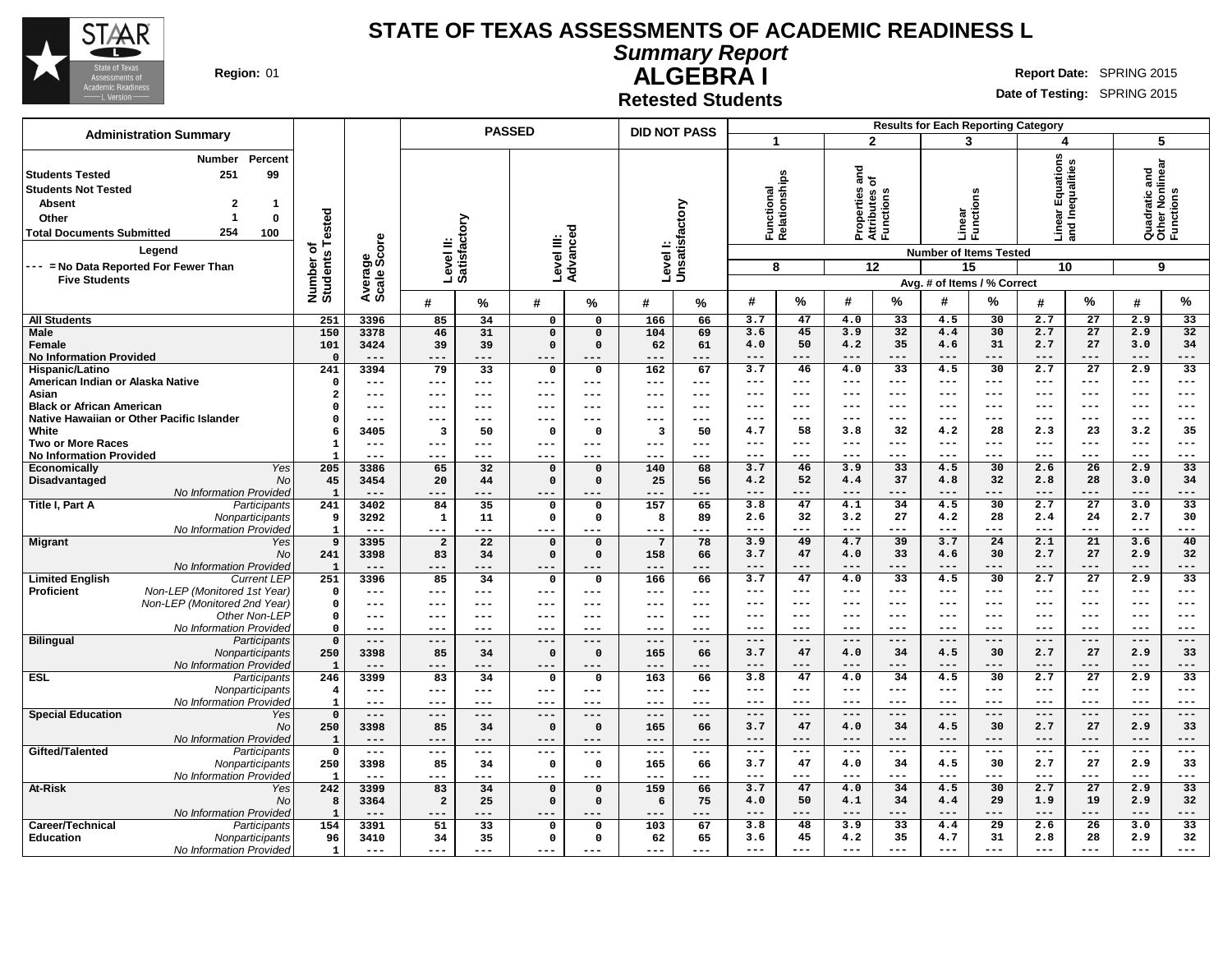

**Summary Report**

**Region:** 01 **Report Date:** SPRING 2015

**ALGEBRA I Retested Students**

|                                                                                                                                                                                                                                                                                                  |                              |                        |                |              | <b>PASSED</b>                 |                      | <b>DID NOT PASS</b> |                     |                                  |                |                                                                |                  | <b>Results for Each Reporting Category</b>                                             |                |                                                               |                 |                                                    |                 |
|--------------------------------------------------------------------------------------------------------------------------------------------------------------------------------------------------------------------------------------------------------------------------------------------------|------------------------------|------------------------|----------------|--------------|-------------------------------|----------------------|---------------------|---------------------|----------------------------------|----------------|----------------------------------------------------------------|------------------|----------------------------------------------------------------------------------------|----------------|---------------------------------------------------------------|-----------------|----------------------------------------------------|-----------------|
| <b>Administration Summary</b>                                                                                                                                                                                                                                                                    |                              |                        |                |              |                               |                      |                     |                     | $\mathbf{1}$                     |                |                                                                | $\overline{2}$   | 3                                                                                      |                | 4                                                             |                 | 5                                                  |                 |
| Percent<br>Number<br>99<br>251<br><b>Students Tested</b><br><b>Students Not Tested</b><br>$\overline{2}$<br><b>Absent</b><br>$\mathbf 1$<br>-1<br>$\bf{0}$<br>Other<br>254<br><b>Total Documents Submitted</b><br>100<br>Legend<br>--- = No Data Reported For Fewer Than<br><b>Five Students</b> | Number of<br>Students Tested | Average<br>Scale Score | Level II:      | Satisfactory | Level III:<br>Advanceo        | ठ                    | Level I:            | Unsatisfactory      | Functional<br>Relationships<br>8 |                | $\frac{a}{b}$<br>Properties<br>Attributes c<br>Functions<br>12 |                  | Linear<br>Functi<br><b>Number of Items Tested</b><br>15<br>Avg. # of Items / % Correct | S<br>ã<br>흉    | <b>ar Equations</b><br>Inequalities<br>훕<br>nea<br>Line<br>10 |                 | Quadratic and<br>Other Nonlinear<br>Functions<br>9 |                 |
|                                                                                                                                                                                                                                                                                                  |                              |                        | #              | %            | #                             | %                    | #                   | %                   | #                                | %              | #                                                              | %                | #                                                                                      | %              | #                                                             | %               | #                                                  | %               |
| <b>All Students</b>                                                                                                                                                                                                                                                                              | 251                          | 3396                   | 85             | 34           | $\Omega$                      | $\Omega$             | 166                 | 66                  | 3.7                              | 47             | 4.0                                                            | 33               | 4.5                                                                                    | 30             | 2.7                                                           | $\overline{27}$ | 2.9                                                | $\overline{33}$ |
| Male                                                                                                                                                                                                                                                                                             | 150                          | 3378                   | 46             | 31           | $\mathbf 0$                   | $\Omega$             | 104                 | 69                  | 3.6                              | 45             | 3.9                                                            | 32               | 4.4                                                                                    | 30             | 2.7                                                           | 27              | 2.9                                                | 32              |
| Female                                                                                                                                                                                                                                                                                           | 101                          | 3424                   | 39             | 39           | $\mathsf{o}\,$                | $\mathbf 0$          | 62                  | 61                  | 4.0                              | 50             | 4.2                                                            | 35               | 4.6                                                                                    | 31             | 2.7                                                           | 27              | 3.0                                                | 34              |
| <b>No Information Provided</b>                                                                                                                                                                                                                                                                   | $\mathbf 0$                  | $---$                  | ---            | ---          | $---$                         | ---                  | $---$               | $---$               | $---$                            | $---$          | $---$                                                          | $---$            | $---$                                                                                  | $---$          | $---$                                                         | $---$           | $---$                                              | ---             |
| Hispanic/Latino                                                                                                                                                                                                                                                                                  | 241                          | 3394                   | 79             | 33           | $\mathbf 0$                   | $\mathbf 0$          | 162                 | 67                  | 3.7                              | 46             | 4.0                                                            | 33               | 4.5                                                                                    | 30             | 2.7                                                           | $\overline{27}$ | 2.9                                                | $\overline{33}$ |
| American Indian or Alaska Native                                                                                                                                                                                                                                                                 | $\mathsf{o}$                 | $---$                  | $---$          | $- - -$      | $---$                         | $- - -$              | $---$               | $\qquad \qquad - -$ | $---$                            | $---$          | $---$                                                          | $- - -$          | $- - -$                                                                                | $---$          | $---$                                                         | $---$           | $---$                                              | ---             |
| Asian                                                                                                                                                                                                                                                                                            | $\overline{a}$               | $---$                  | ---            | ---          | $---$                         | ---                  | $---$               | $---$               | $---$                            | $---$          | $---$                                                          | $---$            | $- - -$                                                                                | $---$          | $---$                                                         | $---$           | $---$                                              | $---$           |
| <b>Black or African American</b>                                                                                                                                                                                                                                                                 | $\Omega$                     | $- - -$                | ---            | $---$        | $- - -$                       | ---                  | $- -$               | $---$               | $---$                            | $---$          | ---                                                            | $---$            | $---$                                                                                  | $---$          | $---$                                                         | $---$           | $---$                                              | ---             |
| Native Hawaiian or Other Pacific Islander                                                                                                                                                                                                                                                        | $\mathbf 0$                  | $---$                  | ---            | $---$        | $---$                         | ---                  | $--$                | $---$               | $---$                            | $---$          | ---                                                            | $- - -$          | ---                                                                                    | $---$          | $---$                                                         | ---             | $---$                                              | ---             |
| White                                                                                                                                                                                                                                                                                            | 6                            | 3405                   | 3              | 50           | 0                             | $\Omega$             | 3                   | 50                  | 4.7                              | 58             | 3.8                                                            | 32               | 4.2                                                                                    | 28             | 2.3                                                           | 23              | 3.2                                                | 35              |
| <b>Two or More Races</b>                                                                                                                                                                                                                                                                         | $\mathbf{1}$                 | $---$                  | ---            | ---          | $---$                         | ---                  | $---$               | $\qquad \qquad - -$ | $---$                            | $---$          | $---$                                                          | $- - -$          | $---$                                                                                  | $---$          | $---$                                                         | $---$           | $---$                                              | $---$           |
| <b>No Information Provided</b>                                                                                                                                                                                                                                                                   | $\mathbf{1}$                 | $---$                  | ---            | ---          | $---$                         | ---                  | $---$               | $---$               | $---$                            | $- - -$        | ---                                                            | $- - -$          | $---$                                                                                  | $--$           | $---$                                                         | $---$           | $---$                                              | ---<br>33       |
| Yes<br>Economically                                                                                                                                                                                                                                                                              | 205                          | 3386                   | 65<br>20       | 32           | $\mathbf 0$<br>$\mathsf{o}\,$ | $\Omega$<br>$\Omega$ | 140<br>25           | 68<br>56            | 3.7<br>4.2                       | 46<br>52       | 3.9<br>4.4                                                     | 33<br>37         | 4.5<br>4.8                                                                             | 30<br>32       | 2.6<br>2.8                                                    | 26<br>28        | 2.9<br>3.0                                         | 34              |
| Disadvantaged<br>No<br>No Information Provided                                                                                                                                                                                                                                                   | 45<br>$\mathbf{1}$           | 3454<br>$---$          |                | 44           |                               |                      |                     |                     | $- - -$                          | $- - -$        | $- - -$                                                        | $- - -$          | ---                                                                                    | $- - -$        | $- - -$                                                       | $---$           | $- - -$                                            | ---             |
| Title I, Part A<br>Participants                                                                                                                                                                                                                                                                  | 241                          | 3402                   | ---<br>84      | 35           | $---$<br>0                    | $\mathbf 0$          | ---<br>157          | ---<br>65           | 3.8                              | 47             | 4.1                                                            | 34               | 4.5                                                                                    | 30             | 2.7                                                           | 27              | 3.0                                                | 33              |
| Nonparticipants                                                                                                                                                                                                                                                                                  | 9                            | 3292                   | $\mathbf{1}$   | 11           | $\mathbf 0$                   | $\mathbf 0$          | 8                   | 89                  | 2.6                              | 32             | 3.2                                                            | 27               | 4.2                                                                                    | 28             | 2.4                                                           | 24              | 2.7                                                | 30              |
| No Information Provided                                                                                                                                                                                                                                                                          | $\mathbf{1}$                 | $---$                  | ---            | ---          | $---$                         | ---                  | $---$               | $---$               | $---$                            | $---$          | $---$                                                          | $- - -$          | $- - -$                                                                                | $---$          | $---$                                                         | $---$           | $---$                                              | ---             |
| <b>Migrant</b><br>Yes                                                                                                                                                                                                                                                                            | 9                            | 3395                   | $\overline{a}$ | 22           | $\mathbf 0$                   | $\Omega$             | -7                  | 78                  | 3.9                              | 49             | 4.7                                                            | 39               | 3.7                                                                                    | 24             | 2.1                                                           | 21              | 3.6                                                | 40              |
| No                                                                                                                                                                                                                                                                                               | 241                          | 3398                   | 83             | 34           | $\mathbf 0$                   | $\mathbf 0$          | 158                 | 66                  | 3.7                              | 47             | 4.0                                                            | 33               | 4.6                                                                                    | 30             | 2.7                                                           | 27              | 2.9                                                | 32              |
| No Information Provided                                                                                                                                                                                                                                                                          | $\mathbf{1}$                 | $---$                  | $---$          | ---          | $---$                         | ---                  | $---$               | $---$               | $---$                            | $---$          | $---$                                                          | $---$            | $---$                                                                                  | $---$          | $---$                                                         | $---$           | $---$                                              | ---             |
| <b>Limited English</b><br><b>Current LEP</b>                                                                                                                                                                                                                                                     | 251                          | 3396                   | 85             | 34           | $\mathsf{o}\,$                | $\mathbf 0$          | 166                 | 66                  | 3.7                              | 47             | 4.0                                                            | 33               | 4.5                                                                                    | 30             | 2.7                                                           | $\overline{27}$ | 2.9                                                | $\overline{33}$ |
| Non-LEP (Monitored 1st Year)<br><b>Proficient</b>                                                                                                                                                                                                                                                | $\mathbf 0$                  | $---$                  | ---            | ---          | $---$                         | ---                  | $---$               | $---$               | ---                              | $---$          | ---                                                            | $--$             | ---                                                                                    | $---$          | $---$                                                         | ---             | $---$                                              | ---             |
| Non-LEP (Monitored 2nd Year)                                                                                                                                                                                                                                                                     | $\mathbf 0$                  | $---$                  | ---            | $- - -$      | $---$                         | ---                  | $---$               | $---$               | ---                              | $---$          | ---                                                            | $---$            | $--$                                                                                   | $---$          | $---$                                                         | ---             | $---$                                              | ---             |
| Other Non-LEP                                                                                                                                                                                                                                                                                    | $\mathsf{o}$                 | $- - -$                | ---            | $- - -$      | $---$                         | $- - -$              | $---$               | $- - -$             | $---$                            | $-- -$         | ---                                                            | $--$             | ---                                                                                    | $-- -$         | $---$                                                         | $--$            | $---$                                              | ---             |
| No Information Provided                                                                                                                                                                                                                                                                          | $\Omega$                     | $---$                  | ---            | $---$        | $---$                         | $---$                | $---$               | $- - -$             | $---$                            | $---$          | $--$                                                           | $---$            | $--$                                                                                   | $---$          | $---$                                                         | $---$           | $---$                                              | $-- -$          |
| <b>Bilingual</b><br>Participants                                                                                                                                                                                                                                                                 | $\mathbf 0$                  | $---$                  | $---$          | $---$        | $---$                         | $---$                | $---$               | $---$               | $---$                            | $---$          | $---$                                                          | $---$            | $---$                                                                                  | $---$          | $---$                                                         | $---$           | $---$                                              | $---$           |
| Nonparticipants                                                                                                                                                                                                                                                                                  | 250                          | 3398                   | 85             | 34           | $\mathbf 0$                   | $\mathbf{0}$         | 165                 | 66                  | 3.7                              | 47             | 4.0                                                            | 34               | 4.5                                                                                    | 30             | 2.7                                                           | 27              | 2.9                                                | 33              |
| No Information Provided                                                                                                                                                                                                                                                                          | $\mathbf{1}$                 | $---$                  | ---            | ---          | $--$                          | $---$                | $- - -$             | $---$               | $---$                            | $---$          | $---$                                                          | $---$            | $---$                                                                                  | $---$          | $---$                                                         | $---$           | $---$                                              | ---             |
| <b>ESL</b><br>Participants                                                                                                                                                                                                                                                                       | 246                          | 3399                   | 83             | 34           | 0                             | $\Omega$             | 163                 | 66                  | 3.8                              | 47             | 4.0                                                            | 34               | 4.5                                                                                    | 30             | 2.7                                                           | 27              | 2.9                                                | 33              |
| Nonparticipants                                                                                                                                                                                                                                                                                  | $\overline{\mathbf{4}}$      | $---$                  | $---$          | $---$        | $---$                         | $---$                | $---$               | $---$               | $---$                            | $---$          | $---$                                                          | $---$            | $---$                                                                                  | $---$          | $- - -$                                                       | $--$            | $---$                                              | ---             |
| No Information Provided                                                                                                                                                                                                                                                                          | $\mathbf{1}$                 | $---$                  | ---            | $---$        | $---$                         | ---                  | $---$               | $- - -$             | $---$                            | $---$          | ---                                                            | $---$            | $---$                                                                                  | $---$          | $---$                                                         | $---$           | $---$                                              | ---             |
| <b>Special Education</b><br>Yes                                                                                                                                                                                                                                                                  | $\mathbf 0$                  | $---$                  | $---$          | $---$        | $---$                         | $---$                | $---$               | $---$               | $---$                            | $---$          | $---$                                                          | $---$            | $---$                                                                                  | $---$          | $---$                                                         | $---$           | $---$                                              | ---             |
| <b>No</b>                                                                                                                                                                                                                                                                                        | 250                          | 3398                   | 85             | 34           | $\mathbf 0$                   | $\Omega$             | 165                 | 66                  | 3.7                              | 47             | 4.0                                                            | 34               | 4.5                                                                                    | 30             | 2.7                                                           | 27              | 2.9                                                | 33              |
| No Information Provided                                                                                                                                                                                                                                                                          | $\mathbf{1}$                 | $- - -$<br>$---$       | ---<br>---     | ---          | $- - -$<br>$---$              | $- - -$              | $---$<br>$---$      | $- - -$<br>$- - -$  | $---$<br>$---$                   | $---$<br>$---$ | ---<br>$--$                                                    | $- - -$<br>$---$ | $---$<br>$--$                                                                          | $---$<br>$---$ | $---$<br>$---$                                                | $---$<br>$---$  | $---$<br>$\qquad \qquad - -$                       | ---<br>---      |
| Gifted/Talented<br>Participants                                                                                                                                                                                                                                                                  | $\mathsf{o}$                 |                        |                | $---$        |                               | $---$<br>$\mathbf 0$ |                     |                     | 3.7                              | 47             | 4.0                                                            | 34               | 4.5                                                                                    | 30             | 2.7                                                           | 27              | 2.9                                                | 33              |
| Nonparticipants<br>No Information Provided                                                                                                                                                                                                                                                       | 250<br>$\mathbf{1}$          | 3398<br>$---$          | 85<br>$---$    | 34<br>---    | 0<br>$---$                    | $- - -$              | 165<br>$---$        | 66<br>$- - -$       | $---$                            | $---$          | ---                                                            | $---$            | $---$                                                                                  | $---$          | $---$                                                         | $---$           | $---$                                              | ---             |
| At-Risk<br>Yes                                                                                                                                                                                                                                                                                   | 242                          | 3399                   | 83             | 34           | $\mathsf{o}\,$                | $\mathbf 0$          | 159                 | 66                  | 3.7                              | 47             | 4.0                                                            | 34               | 4.5                                                                                    | 30             | 2.7                                                           | $\overline{27}$ | 2.9                                                | $\overline{33}$ |
| No                                                                                                                                                                                                                                                                                               | 8                            | 3364                   | $\overline{a}$ | 25           | $\mathbf 0$                   | $\Omega$             |                     | 75                  | 4.0                              | 50             | 4.1                                                            | 34               | 4.4                                                                                    | 29             | 1.9                                                           | 19              | 2.9                                                | 32              |
| No Information Provided                                                                                                                                                                                                                                                                          | $\mathbf{1}$                 | $---$                  | ---            | ---          | $--$                          | ---                  | 6<br>$- - -$        | ---                 | $---$                            | ---            | ---                                                            | ---              | $---$                                                                                  | ---            | $--$                                                          | ---             | $---$                                              | ---             |
| Career/Technical<br>Participants                                                                                                                                                                                                                                                                 | 154                          | 3391                   | 51             | 33           | 0                             | $\mathbf 0$          | 103                 | 67                  | 3.8                              | 48             | 3.9                                                            | 33               | 4.4                                                                                    | 29             | 2.6                                                           | 26              | 3.0                                                | 33              |
| <b>Education</b><br>Nonparticipants                                                                                                                                                                                                                                                              | 96                           | 3410                   | 34             | 35           | $\mathsf{o}\,$                | $\mathbf 0$          | 62                  | 65                  | 3.6                              | 45             | 4.2                                                            | 35               | 4.7                                                                                    | 31             | 2.8                                                           | 28              | 2.9                                                | 32              |
| No Information Provided                                                                                                                                                                                                                                                                          | $\mathbf{1}$                 | $---$                  | $---$          | $---$        | $---$                         | $---$                | $---$               | $---$               | $---$                            | $---$          | ---                                                            | $---$            | $---$                                                                                  | $---$          | $---$                                                         | $---$           | $---$                                              | ---             |
|                                                                                                                                                                                                                                                                                                  |                              |                        |                |              |                               |                      |                     |                     |                                  |                |                                                                |                  |                                                                                        |                |                                                               |                 |                                                    |                 |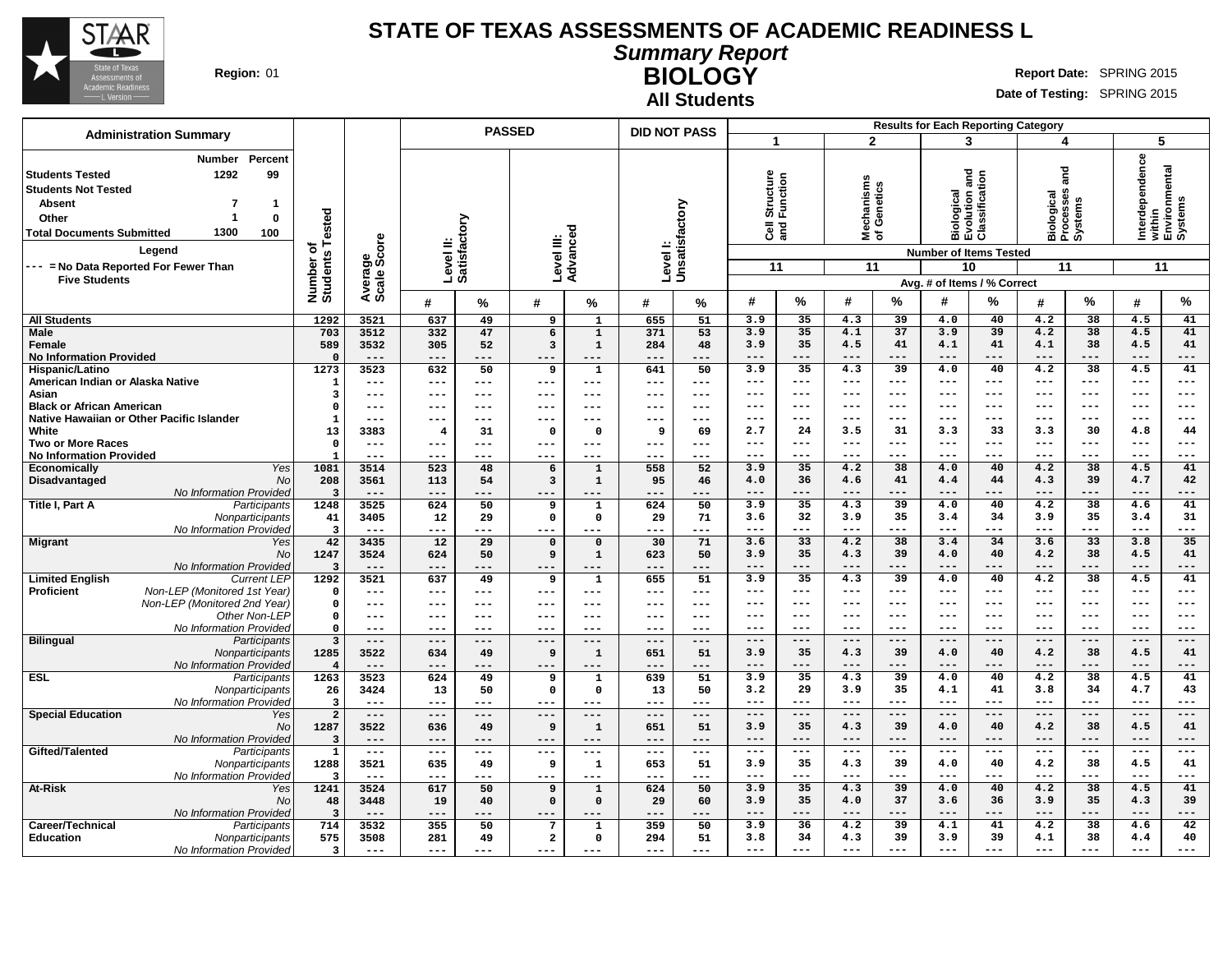

**Students Not Tested**

**Students Tested 1292 99**

**Absent 7 1**

# **STATE OF TEXAS ASSESSMENTS OF ACADEMIC READINESS L**

**Number Percent**

**Administration Summary PASSED DID NOT PASS**

**Summary Report BIOLOGY** Region: 01 **Region:** 01 **Report** Date: SPRING 2015

**Results for Each Reporting Category**

|  | <b>All Students</b> |
|--|---------------------|
|--|---------------------|

|     |        |     |               | $ -$                                 |   |     | ----------- |    |   |         |           |                               |    |          |   |        |           |
|-----|--------|-----|---------------|--------------------------------------|---|-----|-------------|----|---|---------|-----------|-------------------------------|----|----------|---|--------|-----------|
| 73  | ω      | ∸   |               | . .<br>-<br>$\overline{\phantom{0}}$ |   | . . |             | ÖΦ |   | ഗ<br>ບທ | a:<br>ਣ ਠ | ᄬ고모                           |    | ප<br>ඕ፫໙ |   | ∸<br>ᠴ | го<br>莫혼꽃 |
| ু ঠ |        |     | 'n            | -                                    |   | 5   |             |    |   |         |           | <b>Number of Items Tested</b> |    |          |   |        |           |
| 5   | န္တီတိ |     | --<br>≖<br>ᠭᠣ |                                      |   |     |             |    |   |         |           |                               | 10 |          |   |        |           |
| 읃   | ω      |     | m             |                                      | ╺ |     | 5 ت         |    |   |         |           | Avg. # of Items / % Correct   |    |          |   |        |           |
| Ξō  | ∢ ທ    | -44 | %             |                                      | % | #   | %           | #  | % | #       | %         | #                             | %  |          | % | #      | %         |

| Other<br><b>Total Documents Submitted</b> | $\Omega$<br>1300<br>100                    | ested                           |                     | Level II:<br>Satisfactory |                     |                         |                       |              | Unsatisfacto | の正<br>ទី ខ្លី       |                 | Mecha<br>of Ger   |                 | Biolog<br>Evolu<br>Classi     |               | Biolog<br>Proces<br>Syster |                 | hterd<br>שוֹלוֹה<br>Envire<br>System |               |
|-------------------------------------------|--------------------------------------------|---------------------------------|---------------------|---------------------------|---------------------|-------------------------|-----------------------|--------------|--------------|---------------------|-----------------|-------------------|-----------------|-------------------------------|---------------|----------------------------|-----------------|--------------------------------------|---------------|
|                                           | Legend                                     | ۴<br>৳                          | ge<br>Score         |                           |                     | Level III:              | Advanced              |              |              |                     |                 |                   |                 | <b>Number of Items Tested</b> |               |                            |                 |                                      |               |
| --- = No Data Reported For Fewer Than     |                                            | Number o'<br>Students           |                     |                           |                     |                         |                       | Level        |              | 11                  |                 | 11                |                 | 10                            |               | 11                         |                 | 11                                   |               |
| <b>Five Students</b>                      |                                            |                                 |                     |                           |                     |                         |                       |              |              |                     |                 |                   |                 | Avg. # of Items / % Correct   |               |                            |                 |                                      |               |
|                                           |                                            |                                 | Average<br>Scale    |                           |                     |                         |                       |              |              |                     |                 |                   |                 |                               |               |                            |                 |                                      |               |
|                                           |                                            |                                 |                     | #                         | ℅                   | #                       | %                     | #            | %            | #                   | %               | #                 | ℅               | #                             | ℅             | #                          | ℅               | #                                    | ℅             |
| <b>All Students</b>                       |                                            | 1292                            | 3521                | 637                       | 49                  | 9                       | $\mathbf{1}$          | 655          | 51           | 3.9                 | 35              | 4.3               | 39              | 4.0                           | 40            | 4.2                        | 38              | 4.5                                  | 41            |
| <b>Male</b>                               |                                            | 703                             | 3512                | 332                       | 47                  | 6                       | $\overline{1}$        | 371          | 53           | 3.9                 | 35              | 4.1               | 37              | 3.9                           | 39            | 4.2                        | $\overline{38}$ | 4.5                                  | 41            |
| Female<br><b>No Information Provided</b>  |                                            | 589<br>$\Omega$                 | 3532<br>$---$       | 305<br>$---$              | 52<br>$---$         | 3<br>$--$               | $\mathbf{1}$<br>$---$ | 284<br>$---$ | 48<br>---    | 3.9<br>$---$        | 35<br>---       | 4.5<br>$---$      | 41<br>$---$     | 4.1<br>$---$                  | 41<br>$---$   | 4.1<br>---                 | 38<br>---       | 4.5<br>---                           | 41<br>$---$   |
| Hispanic/Latino                           |                                            | 1273                            | 3523                | 632                       | 50                  | 9                       | ${\bf 1}$             | 641          | 50           | 3.9                 | 35              | 4.3               | $\overline{39}$ | 4.0                           | 40            | 4.2                        | 38              | 4.5                                  | 41            |
| American Indian or Alaska Native          |                                            | $\mathbf{1}$                    | $\qquad \qquad - -$ | ---                       | $---$               | $---$                   | $---$                 | $---$        | ---          | $\qquad \qquad - -$ | $---$           | $\qquad \qquad -$ | ---             | $- - -$                       | $---$         | ---                        | $---$           | ---                                  | $- - -$       |
| Asian                                     |                                            | $\overline{\mathbf{3}}$         | $---$               | ---                       | $---$               | $- - -$                 | ---                   | $---$        | ---          | $\qquad \qquad - -$ | $---$           | $---$             | ---             | ---                           | $---$         | ---                        | $---$           | ---                                  | $- - -$       |
| <b>Black or African American</b>          |                                            | $\Omega$                        | $---$               | ---                       | $---$               | $- - -$                 | ---                   | $---$        | ---          | $---$               | $-- -$          | $--$              | ---             | $---$                         | $-- -$        | ---                        | $--$            | ---                                  | $---$         |
|                                           | Native Hawaiian or Other Pacific Islander  | -1                              | $--$                | ---                       | ---                 | $--$                    | ---                   | ---          | ---          | $---$               | ---             | $---$             | ---             | $---$                         | $- - -$       | ---                        | $- - -$         | ---                                  | $- - -$       |
| White                                     |                                            | 13                              | 3383                | $\overline{\mathbf{4}}$   | 31                  | $\Omega$                | $\Omega$              | 9            | 69           | 2.7                 | 24              | 3.5               | 31              | 3.3                           | 33            | 3.3                        | 30              | 4.8                                  | 44            |
| <b>Two or More Races</b>                  |                                            | $\mathbf 0$                     | $---$               | ---                       | $---$               | $- -$                   | $\frac{1}{2}$         | $---$        | ---          | $-- -$              | ---             | $--$              | ---             | ---                           | $-- -$        | ---                        | $- - -$         | ---                                  | $---$         |
| <b>No Information Provided</b>            |                                            | $\overline{1}$                  | $---$               | ---                       | $--$                | $--$                    | ---                   | $--$         | ---          | $---$               | $---$           | $\qquad \qquad -$ | ---             | $- - -$                       | $---$         | ---                        | $---$           | $---$                                | $- - -$       |
| Economically                              | Yes                                        | 1081                            | 3514                | 523                       | 48                  | 6                       | $\mathbf{1}$          | 558          | 52           | 3.9                 | 35              | 4.2               | $\overline{38}$ | 4.0                           | 40            | 4.2                        | 38              | 4.5                                  | 41            |
| Disadvantaged                             | <b>No</b>                                  | 208                             | 3561                | 113                       | 54                  | 3                       | $\mathbf{1}$          | 95           | 46           | 4.0<br>$---$        | 36<br>---       | 4.6               | 41              | 4.4                           | 44            | 4.3<br>---                 | 39              | 4.7<br>---                           | 42<br>$---$   |
| Title I, Part A                           | No Information Provided<br>Participants    | $\overline{3}$<br>1248          | $---$<br>3525       | ---<br>624                | ---<br>50           | $---$<br>9              | ---<br>$\mathbf{1}$   | ---<br>624   | ---<br>50    | 3.9                 | 35              | $- - -$<br>4.3    | ---<br>39       | $---$<br>4.0                  | $---$<br>40   | 4.2                        | ---<br>38       | 4.6                                  | 41            |
|                                           | Nonparticipants                            | 41                              | 3405                | 12                        | 29                  | 0                       | $\mathbf 0$           | 29           | 71           | 3.6                 | 32              | 3.9               | 35              | 3.4                           | 34            | 3.9                        | 35              | 3.4                                  | 31            |
|                                           | No Information Provided                    | $\overline{3}$                  | $\qquad \qquad - -$ | ---                       | $---$               | $\qquad \qquad -$       | ---                   | $---$        | ---          | $---$               | ---             | $\frac{1}{2}$     | $---$           | $---$                         | $---$         | $---$                      | $---$           | $---$                                | $---$         |
| <b>Migrant</b>                            | Yes                                        | 42                              | 3435                | $\overline{12}$           | 29                  | $\mathbf 0$             | $\mathbf 0$           | 30           | 71           | 3.6                 | $\overline{33}$ | 4.2               | $\overline{38}$ | 3.4                           | 34            | 3.6                        | $\overline{33}$ | 3.8                                  | 35            |
|                                           | <b>No</b>                                  | 1247                            | 3524                | 624                       | 50                  | 9                       | $\mathbf{1}$          | 623          | 50           | 3.9                 | 35              | 4.3               | 39              | 4.0                           | 40            | 4.2                        | 38              | 4.5                                  | 41            |
|                                           | <b>No Information Provided</b>             | $\overline{\mathbf{3}}$         | $---$               | ---                       | $- - -$             | $--$                    | $- - -$               | $---$        | ---          | $---$               | ---             | $---$             | $---$           | $---$                         | $- - -$       | ---                        | $- - -$         | ---                                  | $- - -$       |
| <b>Limited English</b>                    | <b>Current LEP</b>                         | 1292                            | 3521                | 637                       | 49                  | 9                       | $\mathbf{1}$          | 655          | 51           | 3.9                 | 35              | 4.3               | $\overline{39}$ | 4.0                           | 40            | 4.2                        | 38              | 4.5                                  | 41            |
| <b>Proficient</b>                         | Non-LEP (Monitored 1st Year)               | $\mathbf 0$                     | $---$               | ---                       | $---$               | $--$                    | $---$                 | $--$         | ---          | $- - -$             | ---             | $- - -$           | ---             | $- - -$                       | $- - -$       | ---                        | $- - -$         | ---                                  | $- - -$       |
|                                           | Non-LEP (Monitored 2nd Year)               | $\mathbf 0$                     | $---$               | ---                       | ---                 | $--$                    | ---                   | $--$         | ---          | $---$               | $---$           | $---$             | ---             | ---                           | $---$         | ---                        | $---$           | ---                                  | $---$         |
|                                           | Other Non-LEP                              | $\Omega$                        | $---$               | ---                       | $- - -$             | $- - -$                 | $---$                 | $---$        | ---          | $---$               | $---$           | $- - -$           | ---             | $---$                         | $---$         | ---                        | $- - -$         | ---                                  | $- - -$       |
|                                           | No Information Provided                    | $\mathbf 0$                     | $---$               | ---                       |                     |                         |                       | ---          | ---          | $---$               | ---             | $- - -$           | ---             | $---$                         | $- - -$       | ---                        | $- - -$         | ---                                  | $---$         |
| <b>Bilingual</b>                          | Participants                               | $\overline{\mathbf{3}}$         | $---$               | $---$                     | $---$               | $--$                    | ---                   | $---$        | ---          | $---$               | $- - -$<br>35   | $---$             | ---<br>39       | $---$                         | $- - -$<br>40 | ---<br>4.2                 | $- - -$<br>38   | $---$                                | $---$<br>41   |
|                                           | Nonparticipants<br>No Information Provided | 1285<br>$\overline{\mathbf{A}}$ | 3522<br>$---$       | 634<br>---                | 49<br>$---$         | 9<br>$--$               | $\mathbf{1}$<br>---   | 651<br>$---$ | 51<br>---    | 3.9<br>$---$        | ---             | 4.3<br>$- - -$    | ---             | 4.0<br>$- - -$                | $- - -$       | ---                        | $---$           | 4.5<br>$---$                         | $---$         |
| <b>ESL</b>                                | Participants                               | 1263                            | 3523                | 624                       | 49                  | 9                       | $\mathbf{1}$          | 639          | 51           | 3.9                 | 35              | 4.3               | 39              | 4.0                           | 40            | 4.2                        | 38              | 4.5                                  | 41            |
|                                           | Nonparticipants                            | 26                              | 3424                | 13                        | 50                  | $^{\circ}$              | $\mathbf{0}$          | 13           | 50           | 3.2                 | 29              | 3.9               | 35              | 4.1                           | 41            | 3.8                        | 34              | 4.7                                  | 43            |
|                                           | No Information Provided                    | $\overline{\mathbf{3}}$         | $\qquad \qquad - -$ | ---                       | $---$               | $--$                    | $\qquad \qquad - -$   | $---$        | ---          | $---$               | $---$           | $- - -$           | ---             | $- - -$                       | $---$         | $---$                      | $- - -$         | $---$                                | $- - -$       |
| <b>Special Education</b>                  | Yes                                        | $\overline{2}$                  | $---$               | $-- -$                    | $- - -$             | $- - -$                 | $- - -$               | $---$        | $- - -$      | $---$               | ---             | $---$             | $---$           | $---$                         | $---$         | ---                        | $---$           | ---                                  | $---$         |
|                                           | <b>No</b>                                  | 1287                            | 3522                | 636                       | 49                  | 9                       | $\mathbf{1}$          | 651          | 51           | 3.9                 | 35              | 4.3               | 39              | 4.0                           | 40            | 4.2                        | 38              | 4.5                                  | 41            |
|                                           | No Information Provided                    | $\overline{3}$                  | $---$               | ---                       | $---$               | $---$                   | $---$                 | $---$        | ---          | $- - -$             | $- - -$         | $- - -$           | ---             | $- - -$                       | $- - -$       | $- - -$                    | $- - -$         | $---$                                | $\cdots$      |
| Gifted/Talented                           | Participants                               | $\mathbf{1}$                    | $---$               | ---                       | $---$               | $---$                   | $---$                 | $---$        | $---$        | $- -$               | ---             | $- - -$           | $---$           | $- - -$                       | $---$         | ---                        | $---$           | $---$                                | $\frac{1}{2}$ |
|                                           | Nonparticipants                            | 1288                            | 3521                | 635                       | 49                  | 9                       | $\mathbf{1}$          | 653          | 51           | 3.9                 | 35              | 4.3               | 39              | 4.0                           | 40            | 4.2                        | 38              | 4.5                                  | 41            |
|                                           | No Information Provided                    | $\overline{3}$                  | $\qquad \qquad - -$ | ---                       | $---$               | $---$                   | $---$                 | $---$        | ---          | $---$               | ---             | $- - -$           | ---             | $- - -$                       | $---$         | ---                        | $- - -$         | ---                                  | $- - -$       |
| At-Risk                                   | Yes                                        | 1241                            | 3524                | 617                       | 50                  | 9                       | $\mathbf{1}$          | 624          | 50           | 3.9                 | 35              | 4.3               | 39              | 4.0                           | 40            | $\overline{4.2}$           | $\overline{38}$ | 4.5                                  | 41            |
|                                           | <b>No</b>                                  | 48                              | 3448                | 19                        | 40                  | $\mathbf{o}$            | $\mathbf 0$           | 29           | 60           | 3.9<br>$---$        | 35<br>---       | 4.0<br>$---$      | 37<br>---       | 3.6<br>$---$                  | 36<br>---     | 3.9<br>---                 | 35<br>---       | 4.3<br>---                           | 39<br>$---$   |
| Career/Technical                          | No Information Provided<br>Participants    | $\overline{\mathbf{3}}$<br>714  | $---$<br>3532       | ---<br>355                | ---<br>50           | ---<br>7                | ---<br>${\bf 1}$      | $---$<br>359 | ---<br>50    | 3.9                 | 36              | 4.2               | 39              | 4.1                           | 41            | 4.2                        | 38              | 4.6                                  | 42            |
| <b>Education</b>                          | Nonparticipants                            | 575                             | 3508                | 281                       | 49                  | $\overline{\mathbf{2}}$ | $\mathbf 0$           | 294          | 51           | 3.8                 | 34              | 4.3               | 39              | 3.9                           | 39            | 4.1                        | 38              | 4.4                                  | 40            |
|                                           | No Information Provided                    | $\overline{\mathbf{3}}$         | $\qquad \qquad - -$ | $---$                     | $\qquad \qquad - -$ | $\qquad \qquad - -$     | $- - -$               | $---$        | ---          | $\qquad \qquad - -$ | ---             | $\frac{1}{2}$     | $---$           | $- - -$                       | $- - -$       | $- - -$                    | $- - -$         | $---$                                | $- - -$       |
|                                           |                                            |                                 |                     |                           |                     |                         |                       |              |              |                     |                 |                   |                 |                               |               |                            |                 |                                      |               |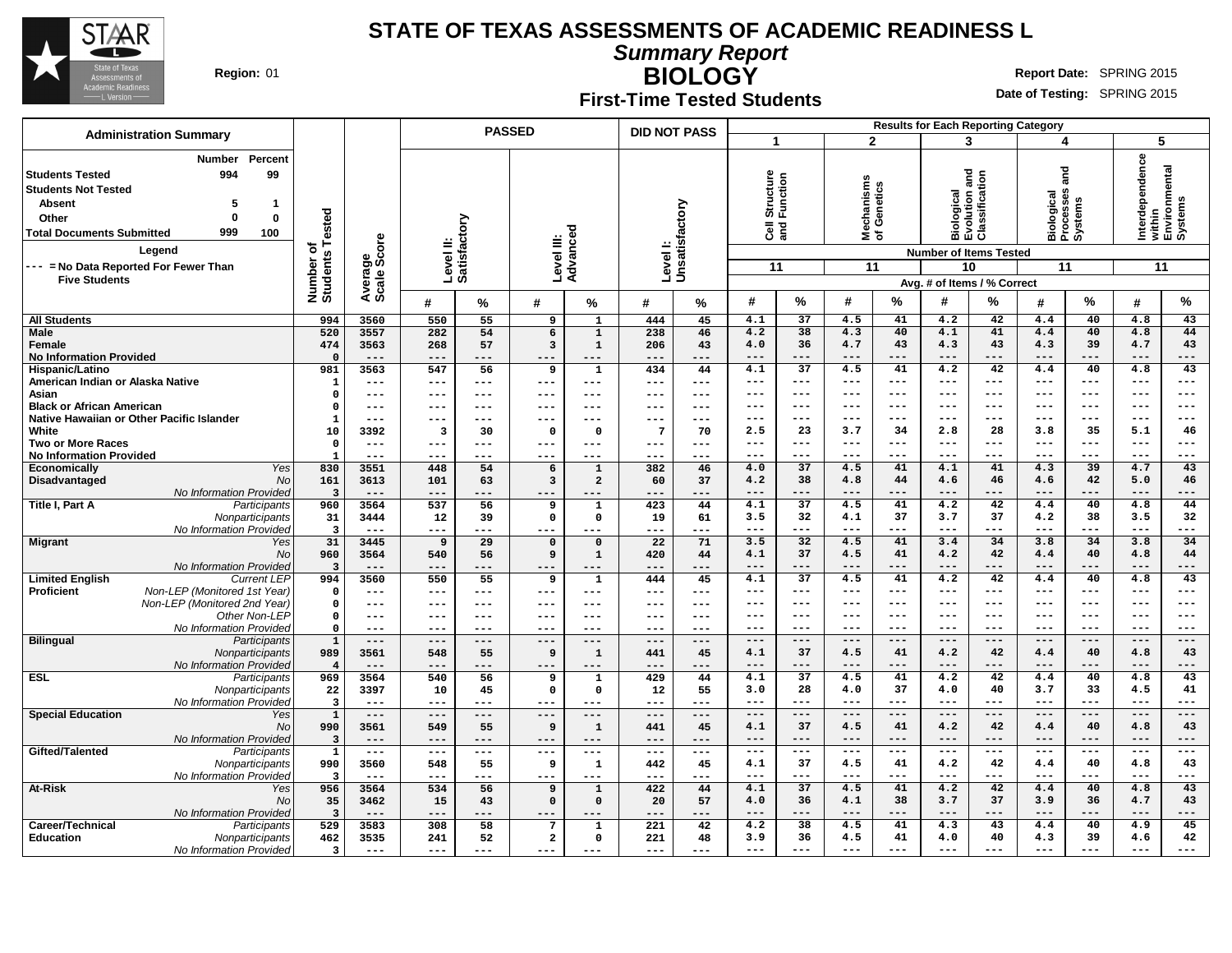

**Career/Technical** Participants **Education** Nonparticipants

No Information Provided

# **STATE OF TEXAS ASSESSMENTS OF ACADEMIC READINESS L**

**Summary Report**

**BIOLOGY** Region: 01 **Region:** 01 **Report** Date: SPRING 2015

**Date of Testing:** SPRING 2015

**Results for Each Reporting Category**

**4.2 38 4.5 41 4.3 43 4.4 40 4.9 45 3.9 36 4.5 41 4.0 40 4.3 39 4.6 42 --- --- --- --- --- --- --- --- --- ---**

**First-Time Tested Students**

| <b>Administration Summary</b>                                                                                                                                                                                                                                                          |                                                  |                                 |                            |                         | <b>PASSED</b>                                  |                                       | <b>DID NOT PASS</b>                             |                             |                                               |                                 |                                                                                                                                                                                                                                                                                                                                                                                                                                       |                               |                                                                   | <b>Results for Each Reporting Category</b>                   |                                                            |                                             |                                                             |                                 |
|----------------------------------------------------------------------------------------------------------------------------------------------------------------------------------------------------------------------------------------------------------------------------------------|--------------------------------------------------|---------------------------------|----------------------------|-------------------------|------------------------------------------------|---------------------------------------|-------------------------------------------------|-----------------------------|-----------------------------------------------|---------------------------------|---------------------------------------------------------------------------------------------------------------------------------------------------------------------------------------------------------------------------------------------------------------------------------------------------------------------------------------------------------------------------------------------------------------------------------------|-------------------------------|-------------------------------------------------------------------|--------------------------------------------------------------|------------------------------------------------------------|---------------------------------------------|-------------------------------------------------------------|---------------------------------|
|                                                                                                                                                                                                                                                                                        |                                                  |                                 |                            |                         |                                                |                                       |                                                 |                             |                                               |                                 | $\mathbf{2}$                                                                                                                                                                                                                                                                                                                                                                                                                          |                               |                                                                   | 3                                                            | 4                                                          |                                             | 5                                                           |                                 |
| Percent<br><b>Number</b><br>994<br>99<br><b>Students Tested</b><br><b>Students Not Tested</b><br><b>Absent</b><br>5<br>1<br>$\bf{0}$<br>$\bf{0}$<br>Other<br>999<br><b>Total Documents Submitted</b><br>100<br>Leaend<br>--- = No Data Reported For Fewer Than<br><b>Five Students</b> | ested<br>৳<br>Number<br>Students                 | Average<br>Scale Score          | Level II:<br>Satisfac      | factory                 | Level III:                                     | Advanced                              | Level I:<br>Unsatisfactory                      |                             | Structure<br>Function<br>$\overline{3}$<br>11 |                                 | lechanisms<br>f Genetics<br>울ㅎ<br>11                                                                                                                                                                                                                                                                                                                                                                                                  |                               | <b>and</b><br>Biological<br>Evolution and<br>Classification<br>10 | <b>Number of Items Tested</b><br>Avg. # of Items / % Correct | and<br>Biological<br>Processes<br>Systems<br>11            |                                             | Interdependence<br>within<br>Environmental<br>Systems<br>11 |                                 |
|                                                                                                                                                                                                                                                                                        |                                                  |                                 | #                          | %                       | #                                              | ℅                                     | #                                               | %                           | #                                             | $\%$                            | #                                                                                                                                                                                                                                                                                                                                                                                                                                     | $\%$                          | #                                                                 | %                                                            | #                                                          | %                                           | #                                                           | $\%$                            |
| <b>All Students</b>                                                                                                                                                                                                                                                                    | 994                                              | 3560                            | 550                        | 55                      | $\overline{9}$                                 | $\mathbf{1}$                          | 444                                             | 45                          | 4.1                                           | 37                              | 4.5                                                                                                                                                                                                                                                                                                                                                                                                                                   | 41                            | 4.2                                                               | 42                                                           | 4.4                                                        | 40                                          | 4.8                                                         | 43                              |
| <b>Male</b><br>Female<br><b>No Information Provided</b>                                                                                                                                                                                                                                | 520<br>474<br>$\Omega$                           | 3557<br>3563<br>$---$           | 282<br>268<br>$---$        | 54<br>57<br>---         | 6<br>3<br>$---$                                | $\mathbf 1$<br>$\mathbf{1}$<br>---    | 238<br>206<br>---                               | 46<br>43<br>---             | 4.2<br>4.0<br>$---$                           | 38<br>36<br>---                 | 4.3<br>4.7<br>$---$                                                                                                                                                                                                                                                                                                                                                                                                                   | 40<br>43<br>---               | 4.1<br>4.3<br>$---$                                               | 41<br>43<br>---                                              | 4.4<br>4.3<br>$---$                                        | 40<br>39<br>---                             | 4.8<br>4.7<br>$---$                                         | 44<br>43<br>---                 |
| Hispanic/Latino<br>American Indian or Alaska Native<br>Asian                                                                                                                                                                                                                           | 981<br>$\mathbf{1}$<br>$\Omega$                  | 3563<br>$---$<br>$---$          | 547<br>---                 | 56<br>---               | 9<br>$---$                                     | $\mathbf{1}$<br>---                   | 434<br>$---$<br>$---$                           | 44<br>$---$<br>---          | 4.1<br>$---$<br>$---$                         | $\overline{37}$<br>$---$<br>--- | 4.5<br>$---$<br>$- - -$                                                                                                                                                                                                                                                                                                                                                                                                               | 41<br>$---$<br>$---$          | $\overline{4.2}$<br>$\frac{1}{2}$<br>$- - -$                      | 42<br>$---$<br>$---$                                         | 4.4<br>$---$<br>$---$                                      | 40<br>$---$<br>$---$                        | 4.8<br>$---$<br>$---$                                       | $\overline{43}$<br>---<br>$---$ |
| <b>Black or African American</b><br>Native Hawaiian or Other Pacific Islander                                                                                                                                                                                                          | $\Omega$                                         | $---$<br>---                    | ---<br>---<br>---          | ---<br>$---$<br>---     | $---$<br>$---$<br>$---$                        | ---<br>---<br>---                     | $---$<br>---                                    | $---$<br>---                | ---<br>$---$                                  | $---$<br>$-- -$                 | $---$<br>$- - -$                                                                                                                                                                                                                                                                                                                                                                                                                      | ---<br>$- - -$                | $---$<br>$- - -$                                                  | ---<br>$---$                                                 | $---$<br>$---$                                             | ---<br>$- - -$                              | $---$<br>$---$                                              | ---<br>---                      |
| White<br><b>Two or More Races</b><br><b>No Information Provided</b>                                                                                                                                                                                                                    | 10<br>$\Omega$<br>$\mathbf{1}$                   | 3392<br>$---$<br>$---$          | 3<br>---<br>---            | 30<br>---<br>---        | $\Omega$<br>$---$<br>$- - -$                   | $\Omega$<br>---<br>---                | $7\phantom{.0}$<br>$\qquad \qquad - -$<br>$---$ | 70<br>$---$<br>$---$        | 2.5<br>$---$<br>$---$                         | 23<br>$---$<br>---              | 3.7<br>$---$<br>$--$                                                                                                                                                                                                                                                                                                                                                                                                                  | 34<br>$---$<br>---            | 2.8<br>$--$<br>$-- -$                                             | 28<br>$---$<br>---                                           | 3.8<br>$\qquad \qquad - -$<br>$---$                        | 35<br>$--$<br>---                           | 5.1<br>$\qquad \qquad - -$<br>$---$                         | 46<br>$---$<br>---              |
| Yes<br><b>Economically</b><br>Disadvantaged<br><b>No</b><br>No Information Provided                                                                                                                                                                                                    | 830<br>161<br>$\overline{3}$                     | 3551<br>3613<br>$- - -$         | 448<br>101<br>$- - -$      | 54<br>63<br>---         | 6<br>$\overline{\mathbf{3}}$<br>$- - -$        | $\mathbf{1}$<br>$\overline{a}$<br>--- | 382<br>60<br>---                                | 46<br>37<br>---             | 4.0<br>4.2<br>$---$                           | 37<br>38<br>$---$               | 4.5<br>4.8<br>$---$                                                                                                                                                                                                                                                                                                                                                                                                                   | 41<br>44<br>---               | 4.1<br>4.6<br>$- - -$                                             | 41<br>46<br>---                                              | 4.3<br>4.6<br>$---$                                        | 39<br>42<br>---                             | 4.7<br>5.0<br>$---$                                         | 43<br>46<br>---                 |
| Title I, Part A<br>Participants<br>Nonparticipants<br>No Information Provideo                                                                                                                                                                                                          | 960<br>31<br>$\overline{\mathbf{3}}$             | 3564<br>3444<br>$---$           | 537<br>12<br>$---$         | 56<br>39<br>---         | 9<br>$\mathbf{0}$<br>$- - -$                   | $\mathbf{1}$<br>$\mathbf 0$<br>---    | 423<br>19<br>---                                | 44<br>61<br>$---$           | 4.1<br>3.5<br>$---$                           | 37<br>32<br>$---$               | 4.5<br>4.1<br>$- - -$                                                                                                                                                                                                                                                                                                                                                                                                                 | 41<br>37<br>---               | 4.2<br>3.7<br>$---$                                               | 42<br>37<br>---                                              | 4.4<br>4.2<br>$\qquad \qquad - -$                          | 40<br>38<br>---                             | 4.8<br>3.5<br>$\qquad \qquad - -$                           | 44<br>32<br>---                 |
| <b>Migrant</b><br>Yes<br>No<br>No Information Provided                                                                                                                                                                                                                                 | 31<br>960<br>3                                   | 3445<br>3564<br>$---$           | 9<br>540<br>$---$          | 29<br>56<br>---         | $\mathbf 0$<br>9<br>$---$                      | $\mathbf 0$<br>$\mathbf{1}$<br>---    | 22<br>420<br>$---$                              | 71<br>44<br>$---$           | 3.5<br>4.1<br>$---$                           | 32<br>37<br>---                 | 4.5<br>4.5<br>$---$                                                                                                                                                                                                                                                                                                                                                                                                                   | 41<br>41<br>---               | 3.4<br>4.2<br>$---$                                               | 34<br>42<br>---                                              | 3.8<br>4.4<br>$---$                                        | 34<br>40<br>---                             | 3.8<br>4.8<br>$---$                                         | 34<br>44<br>---                 |
| <b>Limited English</b><br><b>Current LEP</b><br><b>Proficient</b><br>Non-LEP (Monitored 1st Year)<br>Non-LEP (Monitored 2nd Year)<br>Other Non-LEP                                                                                                                                     | 994<br>$\Omega$<br>$\mathbf{0}$<br>$\mathbf{0}$  | 3560<br>$---$<br>$---$<br>$---$ | 550<br>$---$<br>---<br>--- | 55<br>---<br>---<br>--- | 9<br>$\qquad \qquad - -$<br>$- - -$<br>$- - -$ | 1<br>---<br>---<br>---                | 444<br>$---$<br>$---$<br>$- - -$                | 45<br>$---$<br>$---$<br>--- | 4.1<br>$\qquad \qquad - -$<br>$---$<br>$---$  | 37<br>$---$<br>$---$<br>$---$   | 4.5<br>$---$<br>$---$<br>$---$                                                                                                                                                                                                                                                                                                                                                                                                        | 41<br>$---$<br>$---$<br>$---$ | 4.2<br>$\sim$ $\sim$ $\sim$<br>$---$<br>$---$                     | 42<br>---<br>---<br>$---$                                    | 4.4<br>$\qquad \qquad - -$<br>$\qquad \qquad - -$<br>$---$ | 40<br>$\qquad \qquad - -$<br>$---$<br>$---$ | 4.8<br>$\qquad \qquad - -$<br>$\qquad \qquad - -$<br>$---$  | 43<br>---<br>---<br>---         |
| No Information Provided<br><b>Bilingual</b><br>Participants                                                                                                                                                                                                                            | $\Omega$<br>$\mathbf{1}$                         | ---<br>$---$                    | ---<br>$---$               | ---<br>---              | $---$<br>$---$                                 | ---<br>---                            | ---<br>$---$                                    | ---<br>$---$                | $---$<br>$---$                                | ---<br>$---$                    | $- - -$<br>$---$                                                                                                                                                                                                                                                                                                                                                                                                                      | $---$<br>$---$                | $- - -$<br>$---$                                                  | $---$<br>$---$                                               | $\qquad \qquad - -$<br>$---$                               | $---$<br>$---$                              | $\qquad \qquad - -$<br>$---$                                | ---<br>---                      |
| Nonparticipants<br>No Information Provideo                                                                                                                                                                                                                                             | 989<br>$\overline{\mathbf{4}}$                   | 3561<br>$---$                   | 548<br>$---$               | 55<br>---               | 9<br>$---$                                     | $\mathbf{1}$<br>---                   | 441<br>---                                      | 45<br>$---$                 | 4.1<br>$---$                                  | 37<br>$---$                     | 4.5<br>$---$                                                                                                                                                                                                                                                                                                                                                                                                                          | 41<br>---                     | 4.2<br>$---$                                                      | 42<br>---                                                    | 4.4<br>$---$                                               | 40<br>---                                   | 4.8<br>$---$                                                | 43<br>---                       |
| <b>ESL</b><br>Participants<br>Nonparticipants<br>No Information Provided                                                                                                                                                                                                               | 969<br>22<br>$\overline{\mathbf{3}}$             | 3564<br>3397<br>$\frac{1}{2}$   | 540<br>10<br>$---$         | 56<br>45<br>---         | 9<br>$\mathbf 0$<br>$\qquad \qquad - -$        | ${\bf 1}$<br>$\mathbf{o}$<br>---      | 429<br>12<br>---                                | 44<br>55<br>$---$           | 4.1<br>3.0<br>$---$                           | $\overline{37}$<br>28<br>$---$  | 4.5<br>4.0<br>$- - -$                                                                                                                                                                                                                                                                                                                                                                                                                 | 41<br>37<br>$---$             | 4.2<br>4.0<br>$- - -$                                             | 42<br>40<br>$- - -$                                          | 4.4<br>3.7<br>$\frac{1}{2}$                                | 40<br>33<br>$---$                           | 4.8<br>4.5<br>$\frac{1}{2}$                                 | 43<br>41<br>---                 |
| <b>Special Education</b><br>Yes<br><b>No</b><br>No Information Provided                                                                                                                                                                                                                | $\overline{1}$<br>990<br>$\overline{\mathbf{3}}$ | $---$<br>3561<br>$---$          | $---$<br>549<br>$---$      | ---<br>55<br>---        | $---$<br>9<br>$---$                            | ---<br>$\mathbf{1}$<br>---            | $---$<br>441<br>$- - -$                         | $---$<br>45<br>$---$        | $- - -$<br>4.1<br>$---$                       | $---$<br>37<br>$---$            | $\frac{1}{1-\frac{1}{1-\frac{1}{1-\frac{1}{1-\frac{1}{1-\frac{1}{1-\frac{1}{1-\frac{1}{1-\frac{1}{1-\frac{1}{1-\frac{1}{1-\frac{1}{1-\frac{1}{1-\frac{1}{1-\frac{1}{1-\frac{1}{1-\frac{1}{1-\frac{1}{1-\frac{1}{1-\frac{1}{1-\frac{1}{1-\frac{1}{1-\frac{1}{1-\frac{1}{1-\frac{1}{1-\frac{1}{1-\frac{1}{1-\frac{1}{1-\frac{1}{1-\frac{1}{1-\frac{1}{1-\frac{1}{1-\frac{1}{1-\frac{1}{1-\frac{1}{1-\frac{1}{1-\frac{1$<br>4.5<br>$---$ | $---$<br>41<br>$---$          | $\frac{1}{2}$<br>4.2<br>$---$                                     | $---$<br>42<br>$---$                                         | $\frac{1}{2}$<br>4.4<br>$---$                              | $---$<br>40<br>$---$                        | $\frac{1}{2}$<br>4.8<br>$---$                               | ---<br>43<br>---                |
| Gifted/Talented<br>Participants<br>Nonparticipants<br>No Information Provideo                                                                                                                                                                                                          | $\overline{1}$<br>990<br>3                       | $---$<br>3560<br>$- - -$        | $---$<br>548<br>$- - -$    | ---<br>55<br>---        | $---$<br>9<br>$- - -$                          | ---<br>$\mathbf{1}$<br>---            | $---$<br>442<br>$---$                           | $---$<br>45<br>$---$        | $--$<br>4.1<br>$\qquad \qquad - -$            | $---$<br>37<br>---              | $--$<br>4.5<br>$---$                                                                                                                                                                                                                                                                                                                                                                                                                  | $---$<br>41<br>---            | $---$<br>4.2<br>$---$                                             | $---$<br>42<br>---                                           | $---$<br>4.4<br>$\qquad \qquad - -$                        | $---$<br>40<br>---                          | $---$<br>4.8<br>$\qquad \qquad - -$                         | $--$<br>43<br>---               |
| At-Risk<br>Yes<br>No<br>No Information Provided                                                                                                                                                                                                                                        | 956<br>35<br>3                                   | 3564<br>3462<br>$---$           | 534<br>15<br>$---$         | 56<br>43<br>---         | 9<br>$\mathbf{o}$<br>$---$                     | $\mathbf{1}$<br>$\Omega$<br>---       | 422<br>20<br>$---$                              | 44<br>57<br>$---$           | 4.1<br>4.0<br>$---$                           | $\overline{37}$<br>36<br>---    | 4.5<br>4.1<br>$---$                                                                                                                                                                                                                                                                                                                                                                                                                   | 41<br>38<br>---               | 4.2<br>3.7<br>$---$                                               | 42<br>37<br>---                                              | 4.4<br>3.9<br>$---$                                        | 40<br>36<br>---                             | 4.8<br>4.7<br>$---$                                         | 43<br>43<br>---                 |

**529 3583 308 58 7 1 221 42 462 3535 241 52 2 0 221 48 3 --- --- --- --- --- --- ---**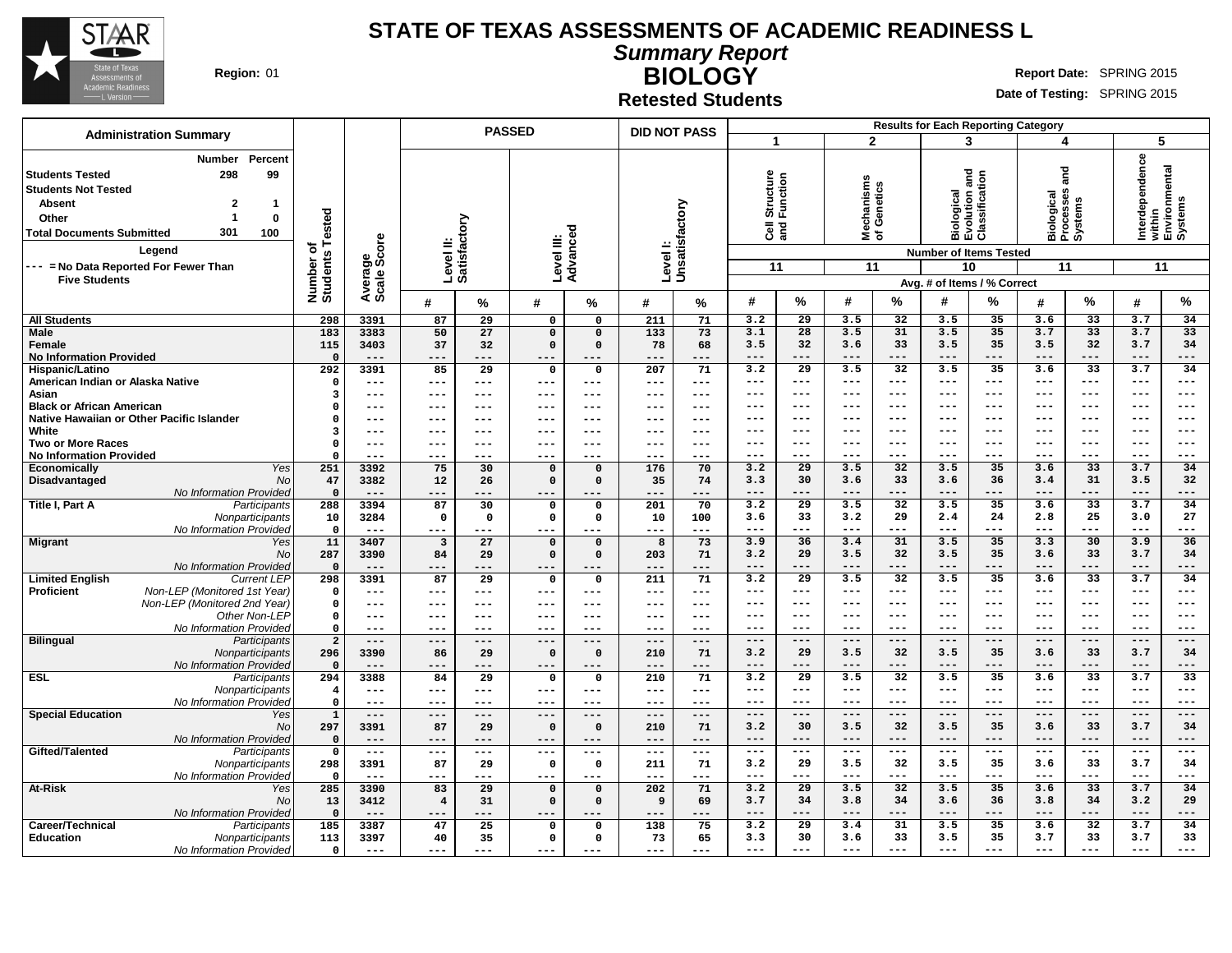

**Summary Report BIOLOGY Region:** 01 **RIGHT REPORT IN REPORT IN REPORT OF A REPORT OF REPORT OF REPORT OF REPORT OF REPORT OF REPORT OF REPORT OF REPORT OF REPORT OF REPORT OF REPORT OF REPORT OF REPORT OF REPORT OF REPORT OF REPORT OF REPORT OF** 

**Date of Testing:** SPRING 2015

**Retested Students**

|                                                                                                                                                                                                                                                                                                                          |                                      |                                |                                | <b>PASSED</b>   |                        |                   | <b>DID NOT PASS</b>     |                              |                                               |                          |                                          |                 |                                                              | <b>Results for Each Reporting Category</b>                   |                                                 |                        |                                                             |                 |
|--------------------------------------------------------------------------------------------------------------------------------------------------------------------------------------------------------------------------------------------------------------------------------------------------------------------------|--------------------------------------|--------------------------------|--------------------------------|-----------------|------------------------|-------------------|-------------------------|------------------------------|-----------------------------------------------|--------------------------|------------------------------------------|-----------------|--------------------------------------------------------------|--------------------------------------------------------------|-------------------------------------------------|------------------------|-------------------------------------------------------------|-----------------|
| <b>Administration Summary</b>                                                                                                                                                                                                                                                                                            |                                      |                                |                                |                 |                        |                   |                         |                              | $\overline{\mathbf{1}}$                       |                          | $\mathbf{2}$                             |                 | 3                                                            |                                                              | 4                                               |                        | 5                                                           |                 |
| <b>Number</b><br>Percent<br>298<br><b>Students Tested</b><br>99<br><b>Students Not Tested</b><br>$\overline{2}$<br><b>Absent</b><br>$\mathbf{1}$<br>$\overline{1}$<br>$\mathbf{0}$<br>Other<br>301<br><b>Total Documents Submitted</b><br>100<br>Legend<br>--- = No Data Reported For Fewer Than<br><b>Five Students</b> | Tested<br>৳<br>Number of<br>Students | ige<br>Score<br>Avera<br>Scale | Level II:<br>Satisfactory      |                 | Level III:             | Advanced          |                         | Level I:<br>Unsatisfactory   | Structure<br>Function<br>$\overline{3}$<br>11 |                          | echanisms<br>Genetics<br>မွ<br>≊້⊼<br>11 |                 | <b>Biological<br/>Evolution and<br/>Classification</b><br>10 | <b>Number of Items Tested</b><br>Avg. # of Items / % Correct | and<br>Biological<br>Processes<br>Systems<br>11 |                        | Interdependence<br>within<br>Environmental<br>Systems<br>11 |                 |
|                                                                                                                                                                                                                                                                                                                          |                                      |                                | #                              | $\%$            | #                      | %                 | #                       | %                            | #                                             | %                        | #                                        | $\%$            | #                                                            | %                                                            | #                                               | %                      | #                                                           | %               |
| <b>All Students</b>                                                                                                                                                                                                                                                                                                      | 298                                  | 3391                           | 87                             | 29              | $\mathsf{o}\,$         | 0                 | 211                     | 71                           | 3.2                                           | 29                       | 3.5                                      | 32              | 3.5                                                          | 35                                                           | 3.6                                             | 33                     | 3.7                                                         | 34              |
| <b>Male</b>                                                                                                                                                                                                                                                                                                              | $\frac{183}{ }$                      | 3383                           | 50                             | 27              | $\overline{0}$         | $\mathbf 0$       | 133                     | 73                           | 3.1                                           | 28                       | 3.5                                      | 31              | 3.5                                                          | 35                                                           | 3.7                                             | 33                     | 3.7                                                         | 33              |
| Female                                                                                                                                                                                                                                                                                                                   | 115                                  | 3403                           | 37                             | 32              | $\Omega$               | $\Omega$          | 78                      | 68                           | 3.5                                           | 32                       | 3.6                                      | 33              | 3.5                                                          | 35                                                           | 3.5                                             | 32                     | 3.7                                                         | 34              |
| <b>No Information Provided</b><br>Hispanic/Latino                                                                                                                                                                                                                                                                        | $\mathbf{0}$<br>292                  | $---$<br>3391                  | ---<br>85                      | ---<br>29       | ---<br>$\mathbf 0$     | ---<br>0          | ---<br>207              | ---<br>71                    | $---$<br>3.2                                  | $---$<br>$\overline{29}$ | $---$<br>3.5                             | ---<br>32       | $-- -$<br>3.5                                                | $---$<br>35                                                  | $---$<br>3.6                                    | ---<br>$\overline{33}$ | $---$<br>3.7                                                | ---<br>34       |
| American Indian or Alaska Native                                                                                                                                                                                                                                                                                         | $\mathbf 0$                          | $---$                          | ---                            | ---             | $---$                  | $---$             | $---$                   | $\qquad \qquad - -$          | $---$                                         | $---$                    | $---$                                    | $---$           | $---$                                                        | $---$                                                        | $---$                                           | $---$                  | $---$                                                       | ---             |
| Asian                                                                                                                                                                                                                                                                                                                    | $\overline{\mathbf{3}}$              | $---$                          | ---                            | ---             | $---$                  | ---               | ---                     | $\frac{1}{2}$                | $---$                                         | $---$                    | $---$                                    | $---$           | $---$                                                        | $---$                                                        | $---$                                           | $---$                  | $---$                                                       | $---$           |
| <b>Black or African American</b>                                                                                                                                                                                                                                                                                         | 0                                    | $--$                           | ---                            | ---             | ---                    | ---               | ---                     | ---                          | ---                                           | $---$                    | $- - -$                                  | ---             | $- - -$                                                      | ---                                                          | $---$                                           | $- - -$                | $---$                                                       | $---$           |
| Native Hawaiian or Other Pacific Islander                                                                                                                                                                                                                                                                                | $\mathbf 0$                          | $---$                          | ---                            | ---             | $---$                  | ---               | ---                     | $\qquad \qquad - -$          | $- - -$                                       | $---$                    | $- - -$                                  | ---             | $- - -$                                                      | $---$                                                        | $---$                                           | $---$                  | $---$                                                       | $--$            |
| White                                                                                                                                                                                                                                                                                                                    | 3                                    | $---$                          | ---                            | ---             | $---$                  | ---               | ---                     | $---$                        | $---$                                         | $-- -$                   | $- - -$                                  | ---             | $- - -$                                                      | $---$                                                        | $---$                                           | $---$                  | $---$                                                       | $---$           |
| <b>Two or More Races</b>                                                                                                                                                                                                                                                                                                 | $\mathbf{o}$<br>$\Omega$             | $---$<br>$- - -$               | ---<br>---                     | ---<br>---      | $---$<br>$- - -$       | $---$<br>$- - -$  | $---$<br>---            | $---$<br>$---$               | $---$<br>$---$                                | $---$<br>$-- -$          | $- - -$<br>$- - -$                       | ---<br>---      | $- - -$<br>$- - -$                                           | ---<br>$---$                                                 | $---$<br>$---$                                  | $---$<br>$---$         | $---$<br>$---$                                              | $---$<br>---    |
| <b>No Information Provided</b><br>Yes<br>Economically                                                                                                                                                                                                                                                                    | 251                                  | 3392                           | 75                             | 30              | $\mathbf 0$            | $\mathbf 0$       | 176                     | 70                           | 3.2                                           | $\overline{29}$          | 3.5                                      | 32              | 3.5                                                          | 35                                                           | 3.6                                             | 33                     | 3.7                                                         | 34              |
| Disadvantaged<br>N <sub>O</sub>                                                                                                                                                                                                                                                                                          | 47                                   | 3382                           | 12                             | 26              | $\mathbf 0$            | $\mathbf 0$       | 35                      | 74                           | 3.3                                           | 30                       | 3.6                                      | 33              | 3.6                                                          | 36                                                           | 3.4                                             | 31                     | 3.5                                                         | 32              |
| No Information Provided                                                                                                                                                                                                                                                                                                  | $\mathbf{0}$                         | $- - -$                        | ---                            | ---             | $---$                  |                   | ---                     | ---                          | $---$                                         | $---$                    | $- - -$                                  | $---$           | $- - -$                                                      | $---$                                                        | $---$                                           | ---                    | $---$                                                       | ---             |
| Title I, Part A<br>Participants                                                                                                                                                                                                                                                                                          | 288                                  | 3394                           | 87                             | 30              | $\mathbf 0$            | 0                 | 201                     | 70                           | 3.2                                           | 29                       | 3.5                                      | 32              | 3.5                                                          | 35                                                           | 3.6                                             | 33                     | 3.7                                                         | 34              |
| Nonparticipants                                                                                                                                                                                                                                                                                                          | 10                                   | 3284                           | $\mathsf{o}$                   | 0               | $\mathsf{o}$           | 0                 | 10                      | 100                          | 3.6                                           | 33                       | 3.2                                      | 29              | 2.4                                                          | 24                                                           | 2.8                                             | 25                     | 3.0                                                         | 27              |
| No Information Provided                                                                                                                                                                                                                                                                                                  | $\mathbf 0$<br>11                    | $---$<br>3407                  | ---<br>$\overline{\mathbf{3}}$ | ---<br>27       | $- - -$<br>$\mathbf 0$ | $---$<br>$\Omega$ | $---$<br>$\overline{8}$ | $- - -$<br>73                | $---$<br>3.9                                  | $---$<br>36              | $---$<br>3.4                             | $---$<br>31     | $- - -$<br>3.5                                               | $---$<br>35                                                  | $- - -$<br>3.3                                  | ---<br>$\overline{30}$ | $\frac{1}{2}$<br>3.9                                        | ---<br>36       |
| <b>Migrant</b><br>Yes<br>N <sub>O</sub>                                                                                                                                                                                                                                                                                  | 287                                  | 3390                           | 84                             | 29              | $\mathbf 0$            | $\mathbf 0$       | 203                     | 71                           | 3.2                                           | 29                       | 3.5                                      | 32              | 3.5                                                          | 35                                                           | 3.6                                             | 33                     | 3.7                                                         | 34              |
| No Information Provided                                                                                                                                                                                                                                                                                                  | $\mathbf 0$                          | $---$                          | ---                            | ---             | $---$                  | $--$              | ---                     | ---                          | $---$                                         | $---$                    | $---$                                    | $---$           | $---$                                                        | $---$                                                        | $---$                                           | ---                    | $---$                                                       | ---             |
| <b>Limited English</b><br><b>Current LEP</b>                                                                                                                                                                                                                                                                             | 298                                  | 3391                           | 87                             | 29              | $\mathbf 0$            | $\mathbf 0$       | 211                     | 71                           | 3.2                                           | $\overline{29}$          | 3.5                                      | $\overline{32}$ | 3.5                                                          | 35                                                           | 3.6                                             | $\overline{33}$        | 3.7                                                         | 34              |
| Non-LEP (Monitored 1st Year)<br>Proficient                                                                                                                                                                                                                                                                               | $\mathbf 0$                          | $---$                          | ---                            | ---             | $---$                  | $---$             | $---$                   | $---$                        | $---$                                         | $---$                    | $--$                                     | ---             | $--$                                                         | $--$                                                         | $--$                                            | ---                    | $---$                                                       | ---             |
| Non-LEP (Monitored 2nd Year)                                                                                                                                                                                                                                                                                             | $\mathbf 0$                          | $---$                          | ---                            | ---             | $- - -$                | $---$             | $---$                   | $---$                        | ---                                           | $---$                    | $--$                                     | ---             | $--$                                                         | $--$                                                         | $--$                                            | ---                    | $---$                                                       | ---             |
| Other Non-LEP                                                                                                                                                                                                                                                                                                            | $\mathsf{o}\,$<br>$\mathbf 0$        | $---$<br>$---$                 | $---$<br>---                   | ---<br>---      | $---$<br>$\frac{1}{2}$ | $---$<br>$---$    | $---$<br>$---$          | $---$<br>$---$               | ---<br>---                                    | $---$<br>$---$           | $--$<br>$---$                            | ---<br>$---$    | ---<br>$--$                                                  | ---<br>$---$                                                 | ---<br>$---$                                    | ---<br>---             | $---$<br>$---$                                              | ---<br>---      |
| No Information Provided<br><b>Bilingual</b><br>Participants                                                                                                                                                                                                                                                              | $\overline{a}$                       | $---$                          | $---$                          | ---             | $---$                  | $---$             | $---$                   | $---$                        | $--$                                          | $---$                    | $- - -$                                  | ---             | $- - -$                                                      | $---$                                                        | $---$                                           | $---$                  | $---$                                                       | $---$           |
| Nonparticipants                                                                                                                                                                                                                                                                                                          | 296                                  | 3390                           | 86                             | 29              | $\mathbf 0$            | $\Omega$          | 210                     | 71                           | 3.2                                           | 29                       | 3.5                                      | 32              | 3.5                                                          | 35                                                           | 3.6                                             | 33                     | 3.7                                                         | 34              |
| No Information Provided                                                                                                                                                                                                                                                                                                  | $\mathbf{0}$                         | $---$                          | ---                            | ---             | $---$                  | $---$             | ---                     | ---                          | $---$                                         | $---$                    | $---$                                    | $---$           | $---$                                                        | $---$                                                        | $---$                                           | ---                    | $---$                                                       | ---             |
| <b>ESL</b><br>Participants                                                                                                                                                                                                                                                                                               | 294                                  | 3388                           | 84                             | $\overline{29}$ | $\mathbf 0$            | $\mathbf{o}$      | 210                     | 71                           | $\overline{3.2}$                              | $\overline{29}$          | 3.5                                      | 32              | 3.5                                                          | 35                                                           | 3.6                                             | 33                     | 3.7                                                         | $\overline{33}$ |
| Nonparticipants                                                                                                                                                                                                                                                                                                          | $\overline{\mathbf{4}}$              | $---$                          | $---$                          | ---             | $\qquad \qquad - -$    | $---$             | $---$                   | $\qquad \qquad - -$          | $---$<br>$- - -$                              | $---$<br>$- - -$         | $- - -$<br>$- - -$                       | ---<br>---      | $- - -$<br>$- - -$                                           | $---$<br>---                                                 | $-- -$<br>$---$                                 | $---$<br>---           | $---$<br>$---$                                              | ---<br>---      |
| No Information Provided<br><b>Special Education</b><br>Yes                                                                                                                                                                                                                                                               | $\mathbf{o}$<br>$\mathbf{1}$         | $---$<br>$---$                 | ---<br>$---$                   | ---<br>---      | $---$<br>$---$         | $--$<br>$---$     | ---<br>---              | $\qquad \qquad - -$<br>$---$ | $---$                                         | $---$                    | $- - -$                                  | $---$           | $- - -$                                                      | $---$                                                        | $---$                                           | $---$                  | $---$                                                       | $---$           |
| No                                                                                                                                                                                                                                                                                                                       | 297                                  | 3391                           | 87                             | 29              | $\Omega$               | $\Omega$          | 210                     | 71                           | 3.2                                           | 30                       | 3.5                                      | 32              | 3.5                                                          | 35                                                           | 3.6                                             | 33                     | 3.7                                                         | 34              |
| No Information Provided                                                                                                                                                                                                                                                                                                  | $\mathbf 0$                          | $---$                          | ---                            | ---             | $---$                  | ---               | ---                     | ---                          | $---$                                         | $---$                    | $---$                                    | ---             | $-- -$                                                       | $---$                                                        | $---$                                           | ---                    | $---$                                                       | ---             |
| Gifted/Talented<br>Participants                                                                                                                                                                                                                                                                                          | $\mathsf{o}$                         | $\qquad \qquad - -$            | $---$                          | ---             | $- - -$                | $---$             | $---$                   | $\sim$ $\sim$ $\sim$         | $\frac{1}{2}$                                 | $---$                    | $\qquad \qquad - -$                      | $---$           | $\frac{1}{2}$                                                | $---$                                                        | $- -$                                           | $---$                  | $\qquad \qquad - -$                                         | $---$           |
| Nonparticipants                                                                                                                                                                                                                                                                                                          | 298                                  | 3391                           | 87                             | 29              | $\mathbf 0$            | 0                 | 211                     | 71                           | 3.2                                           | 29                       | 3.5                                      | 32              | 3.5                                                          | 35                                                           | 3.6                                             | 33                     | 3.7                                                         | 34              |
| No Information Provided                                                                                                                                                                                                                                                                                                  | $\mathbf 0$                          | $---$                          | ---                            | ---             | $---$                  | $---$             | ---                     | $--$                         | $- - -$                                       | $--$                     | $---$                                    | $---$           | $---$                                                        | $---$                                                        | $---$                                           | ---                    | $---$                                                       | ---             |
| <b>At-Risk</b><br>Yes                                                                                                                                                                                                                                                                                                    | 285                                  | 3390                           | 83                             | 29              | $\mathbf 0$            | $\mathbf 0$       | 202                     | 71                           | 3.2<br>3.7                                    | 29<br>34                 | 3.5<br>3.8                               | 32<br>34        | 3.5<br>3.6                                                   | 35<br>36                                                     | 3.6<br>3.8                                      | 33<br>34               | 3.7<br>3.2                                                  | 34<br>29        |
| No<br>No Information Provided                                                                                                                                                                                                                                                                                            | 13<br>$\mathbf{0}$                   | 3412<br>$---$                  | $\overline{4}$<br>---          | 31<br>---       | $\mathbf 0$<br>$---$   | $\Omega$<br>---   | 9<br>---                | 69<br>---                    | $---$                                         | $---$                    | $---$                                    | ---             | $---$                                                        | $---$                                                        | $---$                                           | ---                    | $---$                                                       | ---             |
| Career/Technical<br>Participants                                                                                                                                                                                                                                                                                         | 185                                  | 3387                           | 47                             | 25              | $\mathbf 0$            | $\Omega$          | 138                     | 75                           | 3.2                                           | 29                       | 3.4                                      | 31              | 3.5                                                          | 35                                                           | 3.6                                             | 32                     | 3.7                                                         | 34              |
| <b>Education</b><br>Nonparticipants                                                                                                                                                                                                                                                                                      | 113                                  | 3397                           | 40                             | 35              | $\mathsf{o}\,$         | 0                 | 73                      | 65                           | 3.3                                           | 30                       | 3.6                                      | 33              | 3.5                                                          | 35                                                           | 3.7                                             | 33                     | 3.7                                                         | 33              |
| No Information Provided                                                                                                                                                                                                                                                                                                  | $\mathbf{o}$                         | $\frac{1}{2}$                  | ---                            | ---             | $---$                  |                   | ---                     | $---$                        | $- - -$                                       | $- - -$                  | $- - -$                                  | ---             | $---$                                                        | $- - -$                                                      | $- - -$                                         | ---                    | $- - -$                                                     | ---             |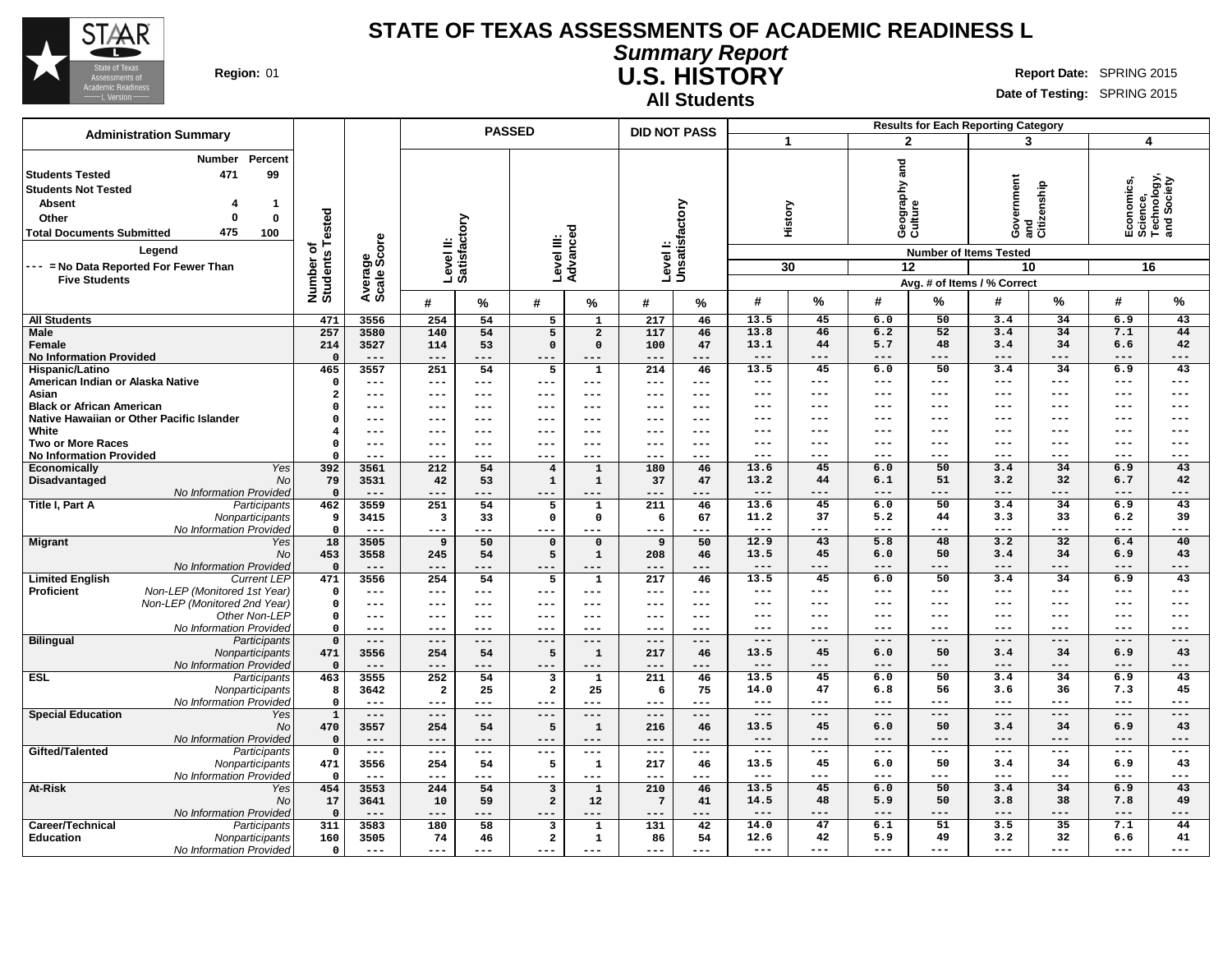

**Summary Report U.S. HISTORY Region:** 01 **Report Date: SPRING 2015 Report** Date: SPRING 2015

**All Students**

|                                                                                                                                                                                     | <b>Administration Summary</b>                                                           |                                     |                        |                           |                 | <b>PASSED</b>           |                     | <b>DID NOT PASS</b>       |                        |                     |               |                                     |                     | <b>Results for Each Reporting Category</b>                                      |                                  |                                                            |                |
|-------------------------------------------------------------------------------------------------------------------------------------------------------------------------------------|-----------------------------------------------------------------------------------------|-------------------------------------|------------------------|---------------------------|-----------------|-------------------------|---------------------|---------------------------|------------------------|---------------------|---------------|-------------------------------------|---------------------|---------------------------------------------------------------------------------|----------------------------------|------------------------------------------------------------|----------------|
|                                                                                                                                                                                     |                                                                                         |                                     |                        |                           |                 |                         |                     |                           |                        | 1                   |               |                                     | $\overline{2}$      | 3                                                                               |                                  | 4                                                          |                |
| <b>Students Tested</b><br><b>Students Not Tested</b><br><b>Absent</b><br>Other<br><b>Total Documents Submitted</b><br>--- = No Data Reported For Fewer Than<br><b>Five Students</b> | Percent<br><b>Number</b><br>99<br>471<br>-1<br>$\mathbf 0$<br>0<br>475<br>100<br>Legend | Number of<br>Students Tested        | Average<br>Scale Score | Level II:<br>Satisfactory |                 | Level III:<br>Advanced  |                     | Levell:<br>Unsatisfactory |                        |                     | History<br>30 | and<br>Geography ;<br>Culture<br>12 |                     | overnment<br><b>Number of Items Tested</b><br>10<br>Avg. # of Items / % Correct | Government<br>and<br>Citizenship | Economics,<br>Science,<br>Technology,<br>and Society<br>16 |                |
|                                                                                                                                                                                     |                                                                                         |                                     |                        | #                         | %               | #                       | %                   | #                         | %                      | #                   | $\frac{0}{0}$ | #                                   | $\%$                | #                                                                               | %                                | #                                                          | $\%$           |
| <b>All Students</b>                                                                                                                                                                 |                                                                                         | 471                                 | 3556                   | 254                       | 54              | $5\overline{5}$         | $\overline{1}$      | 217                       | 46                     | 13.5                | 45            | 6.0                                 | 50                  | 3.4                                                                             | 34                               | 6.9                                                        | 43             |
| <b>Male</b>                                                                                                                                                                         |                                                                                         | 257                                 | 3580                   | 140                       | 54              | $5\overline{5}$         | $\overline{2}$      | 117                       | 46                     | 13.8                | 46            | 6.2                                 | 52                  | 3.4                                                                             | 34                               | 7.1                                                        | 44             |
| Female                                                                                                                                                                              |                                                                                         | 214                                 | 3527                   | 114                       | 53              | $\Omega$                | $\Omega$            | 100                       | 47                     | 13.1                | 44            | 5.7                                 | 48                  | 3.4                                                                             | 34                               | 6.6                                                        | 42             |
| <b>No Information Provided</b>                                                                                                                                                      |                                                                                         | $\Omega$                            | ---                    | $---$                     | ---             | ---                     |                     | $---$                     |                        | ---                 | ---           | ---                                 | ---                 | ---                                                                             | ---                              | ---                                                        | $---$          |
| Hispanic/Latino                                                                                                                                                                     |                                                                                         | 465                                 | 3557                   | $\overline{251}$          | 54              | 5                       | $\mathbf 1$         | 214                       | 46                     | 13.5                | 45            | 6.0                                 | 50                  | 3.4                                                                             | 34                               | 6.9                                                        | 43             |
| American Indian or Alaska Native                                                                                                                                                    |                                                                                         | $\Omega$                            | ---                    | $---$                     | ---             | $---$                   | $---$               | ---                       | $\frac{1}{2}$          | ---<br>---          | ---<br>---    | ---<br>---                          | ---<br>---          | ---<br>---                                                                      | ---<br>---                       | ---<br>---                                                 | $---$<br>$---$ |
| Asian<br><b>Black or African American</b>                                                                                                                                           |                                                                                         | $\overline{\mathbf{2}}$<br>$\Omega$ | ---<br>---             | $---$<br>$---$            | ---<br>---      | $---$<br>---            | ---<br>---          | ---<br>---                | $---$<br>$---$         | ---                 | ---           | ---                                 | ---                 | ---                                                                             | ---                              | ---                                                        | $---$          |
| Native Hawaiian or Other Pacific Islander                                                                                                                                           |                                                                                         | $\Omega$                            | ---                    | $--$                      | ---             | $--$                    | ---                 |                           | $- - -$                | ---                 | ---           | ---                                 | ---                 | ---                                                                             |                                  | ---                                                        | ---            |
| White                                                                                                                                                                               |                                                                                         | $\overline{4}$                      | ---                    | $---$                     | ---             | $--$                    | ---                 | ---                       | $---$                  | ---                 | ---           | ---                                 | ---                 | ---                                                                             | ---                              | ---                                                        | $---$          |
| <b>Two or More Races</b>                                                                                                                                                            |                                                                                         | $\Omega$                            | ---                    | $---$                     | ---             | ---                     | ---                 | ---                       | $- - -$                | $---$               | ---           | $---$                               | ---                 | ---                                                                             | ---                              | ---                                                        | $---$          |
| <b>No Information Provided</b>                                                                                                                                                      |                                                                                         | $\Omega$                            | ---                    | ---                       |                 | ---                     | ---                 | ---                       | ---                    | ---                 | ---           | ---                                 | ---                 | ---                                                                             | ---                              | ---                                                        | $---$          |
| <b>Economically</b>                                                                                                                                                                 | Yes                                                                                     | 392                                 | 3561                   | 212                       | 54              | $\overline{4}$          | $\mathbf{1}$        | 180                       | 46                     | 13.6                | 45            | 6.0                                 | 50                  | 3.4                                                                             | 34                               | 6.9                                                        | 43             |
| Disadvantaged                                                                                                                                                                       | <b>No</b>                                                                               | 79                                  | 3531                   | 42                        | 53              | $\mathbf 1$             | $\mathbf{1}$        | 37                        | 47                     | 13.2                | 44            | 6.1                                 | 51                  | 3.2                                                                             | 32                               | 6.7                                                        | 42             |
|                                                                                                                                                                                     | No Information Provided                                                                 | $\mathbf 0$                         | $---$                  | $---$                     | ---             | $---$                   | ---                 | ---                       | $---$                  | $---$               | ---           | $---$                               | ---                 | ---                                                                             | ---                              | ---                                                        | $---$          |
| Title I, Part A                                                                                                                                                                     | Participants<br>Nonparticipants                                                         | 462<br>9                            | 3559<br>3415           | 251                       | 54<br>33        | 5<br>$\mathbf 0$        | 1                   | 211                       | 46<br>67               | 13.6<br>11.2        | 45<br>37      | 6.0<br>5.2                          | 50<br>44            | 3.4<br>3.3                                                                      | 34<br>33                         | 6.9<br>6.2                                                 | 43<br>39       |
|                                                                                                                                                                                     | No Information Provided                                                                 | $\mathbf 0$                         | $\qquad \qquad -$      | 3<br>$---$                | ---             | ---                     | 0<br>---            | 6<br>---                  | $---$                  | $---$               | ---           | $---$                               | ---                 | ---                                                                             | ---                              | ---                                                        | $---$          |
| <b>Migrant</b>                                                                                                                                                                      | Yes                                                                                     | 18                                  | 3505                   | $\overline{9}$            | 50              | $\mathbf{o}$            | $\mathbf 0$         | 9                         | 50                     | 12.9                | 43            | 5.8                                 | 48                  | 3.2                                                                             | 32                               | 6.4                                                        | 40             |
|                                                                                                                                                                                     | <b>No</b>                                                                               | 453                                 | 3558                   | 245                       | 54              | 5                       | $\mathbf{1}$        | 208                       | 46                     | 13.5                | 45            | 6.0                                 | 50                  | 3.4                                                                             | 34                               | 6.9                                                        | 43             |
|                                                                                                                                                                                     | No Information Provided                                                                 | $\mathbf 0$                         | $---$                  | $---$                     | ---             | $---$                   |                     | $---$                     | $---$                  | $---$               | ---           | $---$                               | ---                 | ---                                                                             | ---                              | ---                                                        | $---$          |
| <b>Limited English</b>                                                                                                                                                              | <b>Current LEP</b>                                                                      | 471                                 | 3556                   | $\overline{254}$          | 54              | 5                       | $\mathbf{1}$        | $\overline{217}$          | 46                     | 13.5                | 45            | 6.0                                 | 50                  | 3.4                                                                             | 34                               | 6.9                                                        | 43             |
| Proficient                                                                                                                                                                          | Non-LEP (Monitored 1st Year)                                                            | $\Omega$                            | ---                    | $--$                      | ---             | $---$                   | $---$               | $---$                     | $\qquad \qquad - -$    | ---                 | ---           | ---                                 | ---                 | ---                                                                             | ---                              | ---                                                        | $---$          |
|                                                                                                                                                                                     | Non-LEP (Monitored 2nd Year)<br>Other Non-LEP                                           | $\Omega$<br>$\mathbf 0$             | ---<br>---             | $---$<br>$---$            | ---<br>---      | $---$<br>$- - -$        | $---$<br>$---$      | ---<br>---                | $---$<br>$\frac{1}{2}$ | ---<br>---          | ---<br>---    | ---<br>---                          | ---<br>---          | ---<br>---                                                                      | ---<br>---                       | ---<br>---                                                 | $---$<br>$---$ |
|                                                                                                                                                                                     | No Information Provided                                                                 | $\Omega$                            | ---                    | $---$                     | ---             | $---$                   | ---                 | ---                       | $--$                   | ---                 | ---           | ---                                 | ---                 | ---                                                                             | ---                              | ---                                                        | $---$          |
| <b>Bilingual</b>                                                                                                                                                                    | Participants                                                                            | $\Omega$                            | $---$                  | $---$                     | ---             | $---$                   | $---$               | $---$                     | $---$                  | $---$               | $---$         | $---$                               | ---                 | $---$                                                                           | ---                              | $---$                                                      | $---$          |
|                                                                                                                                                                                     | Nonparticipants                                                                         | 471                                 | 3556                   | 254                       | 54              | 5                       | $\mathbf 1$         | 217                       | 46                     | 13.5                | 45            | 6.0                                 | 50                  | 3.4                                                                             | 34                               | 6.9                                                        | 43             |
|                                                                                                                                                                                     | No Information Provided                                                                 | $\Omega$                            | $---$                  | $---$                     | ---             | $---$                   | $---$               | $---$                     | $---$                  | $---$               | ---           | $---$                               | ---                 | ---                                                                             | ---                              | ---                                                        | $---$          |
| <b>ESL</b>                                                                                                                                                                          | Participants                                                                            | 463                                 | 3555                   | 252                       | $\overline{54}$ | $\overline{\mathbf{3}}$ | $\mathbf{1}$        | 211                       | 46                     | 13.5                | 45            | 6.0                                 | 50                  | 3.4                                                                             | 34                               | 6.9                                                        | 43             |
|                                                                                                                                                                                     | Nonparticipants                                                                         | 8                                   | 3642                   | $\overline{a}$            | 25              | $\overline{\mathbf{2}}$ | 25                  | 6                         | 75                     | 14.0<br>$- - -$     | 47<br>---     | 6.8<br>---                          | 56<br>---           | 3.6<br>---                                                                      | 36<br>---                        | 7.3<br>---                                                 | 45<br>$- - -$  |
| <b>Special Education</b>                                                                                                                                                            | No Information Provided<br>Yes                                                          | $\mathbf 0$<br>$\mathbf{1}$         | ---<br>$---$           | $---$<br>$---$            | ---<br>---      | $---$<br>$---$          | ---<br>$---$        | ---<br>$---$              | $---$<br>$---$         | $- - -$             | ---           | $---$                               | ---                 | ---                                                                             | $- - -$                          | ---                                                        | $---$          |
|                                                                                                                                                                                     | No                                                                                      | 470                                 | 3557                   | 254                       | 54              | 5                       | $\mathbf 1$         | 216                       | 46                     | 13.5                | 45            | 6.0                                 | 50                  | 3.4                                                                             | 34                               | 6.9                                                        | 43             |
|                                                                                                                                                                                     | No Information Provided                                                                 | $\mathbf 0$                         | $---$                  | $---$                     | ---             | $---$                   | $---$               | $---$                     | $---$                  | $---$               | ---           | $---$                               | ---                 | $---$                                                                           | ---                              | ---                                                        | $---$          |
| Gifted/Talented                                                                                                                                                                     | Participants                                                                            | $\Omega$                            | $\frac{1}{2}$          | $---$                     | ---             | $\frac{1}{2}$           | $\frac{1}{2}$       | $---$                     | $\sim$ $\sim$ $\sim$   | $\qquad \qquad - -$ | ---           | $---$                               | $\qquad \qquad - -$ | $\qquad \qquad - -$                                                             | ---                              | ---                                                        | $---$          |
|                                                                                                                                                                                     | Nonparticipants                                                                         | 471                                 | 3556                   | 254                       | 54              | 5                       | $\mathbf 1$         | 217                       | 46                     | 13.5                | 45            | 6.0                                 | 50                  | 3.4                                                                             | 34                               | 6.9                                                        | 43             |
|                                                                                                                                                                                     | No Information Provided                                                                 | $\Omega$                            | $---$                  | $---$                     | ---             | ---                     | ---                 | $---$                     | $--$                   | $\qquad \qquad - -$ | ---           | ---                                 | ---                 | ---                                                                             | ---                              | ---                                                        | $---$          |
| At-Risk                                                                                                                                                                             | Yes                                                                                     | 454                                 | 3553                   | 244                       | 54              | $\overline{\mathbf{3}}$ | $\mathbf{1}$        | 210                       | 46                     | 13.5                | 45            | 6.0                                 | 50                  | 3.4                                                                             | 34                               | 6.9                                                        | 43             |
|                                                                                                                                                                                     | No                                                                                      | 17                                  | 3641                   | 10                        | 59              | $\overline{\mathbf{2}}$ | 12                  | 7                         | 41                     | 14.5<br>$---$       | 48<br>---     | 5.9<br>$---$                        | 50<br>---           | 3.8<br>---                                                                      | 38<br>---                        | 7.8<br>---                                                 | 49<br>$---$    |
| Career/Technical                                                                                                                                                                    | No Information Provided<br>Participants                                                 | $\mathbf 0$<br>311                  | $---$<br>3583          | $---$<br>180              | ---<br>58       | $---$<br>3              | ---<br>$\mathbf{1}$ | $---$<br>131              | $---$<br>42            | 14.0                | 47            | 6.1                                 | 51                  | 3.5                                                                             | 35                               | 7.1                                                        | 44             |
| <b>Education</b>                                                                                                                                                                    | Nonparticipants                                                                         | 160                                 | 3505                   | 74                        | 46              | $\overline{\mathbf{2}}$ | 1                   | 86                        | 54                     | 12.6                | 42            | 5.9                                 | 49                  | 3.2                                                                             | 32                               | 6.6                                                        | 41             |
|                                                                                                                                                                                     | No Information Provided                                                                 | $\mathbf 0$                         | $\sim$ $\sim$ $\sim$   | $---$                     | ---             | $---$                   | $---$               | ---                       | $---$                  | $---$               | ---           | $---$                               | ---                 | ---                                                                             | ---                              | ---                                                        | $---$          |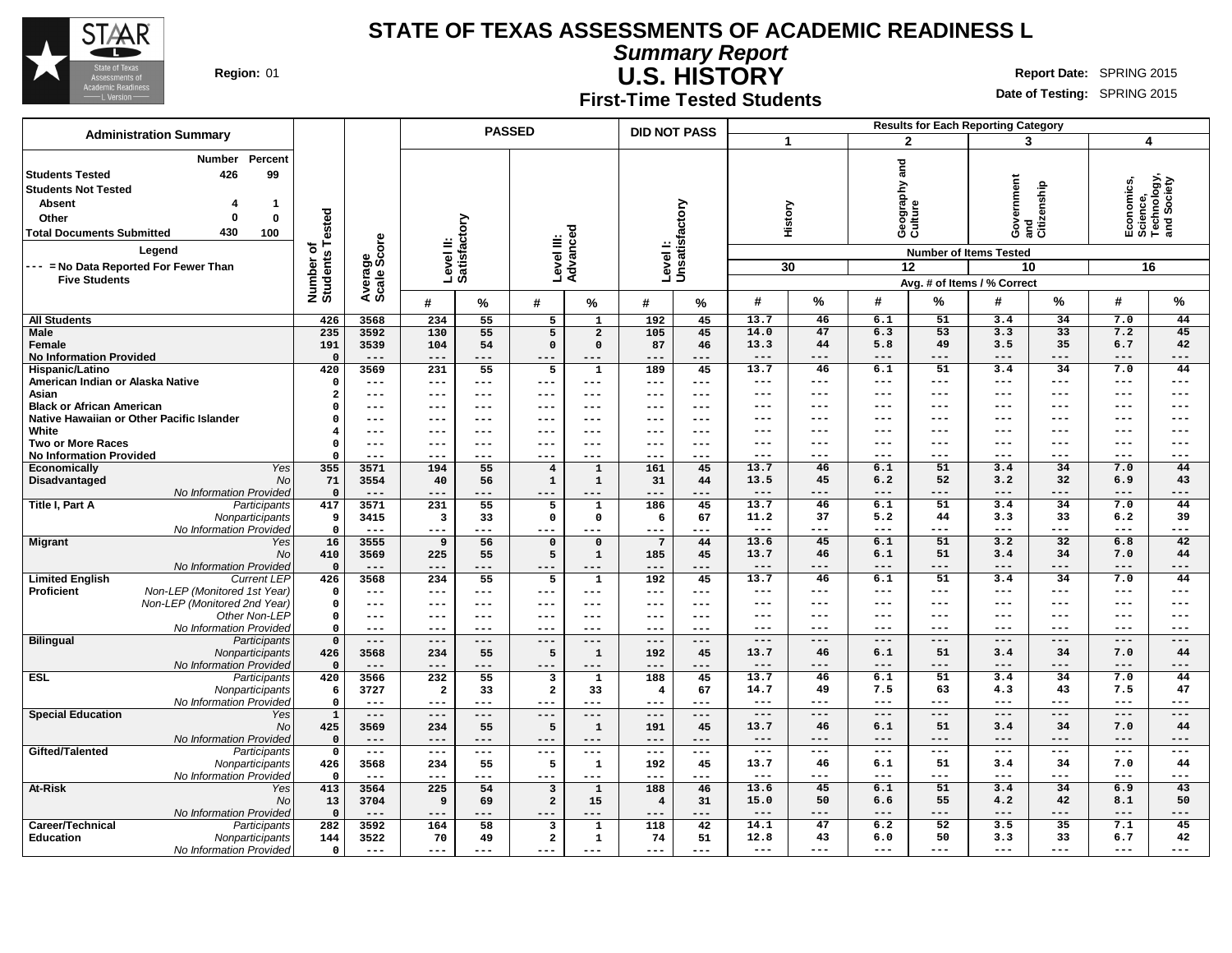

**Summary Report U.S. HISTORY**

**Region:** 01 **Report Date: SPRING 2015 Report** Date: SPRING 2015

**First-Time Tested Students**

|                                                                                                                                                                                     | <b>Administration Summary</b>                                                                           |                                          |                        |                                  |            | <b>PASSED</b>                  |                      | <b>DID NOT PASS</b>       |                             |               |                |                                     |                 | <b>Results for Each Reporting Category</b>                                                                          |                    |                                                            |                |
|-------------------------------------------------------------------------------------------------------------------------------------------------------------------------------------|---------------------------------------------------------------------------------------------------------|------------------------------------------|------------------------|----------------------------------|------------|--------------------------------|----------------------|---------------------------|-----------------------------|---------------|----------------|-------------------------------------|-----------------|---------------------------------------------------------------------------------------------------------------------|--------------------|------------------------------------------------------------|----------------|
|                                                                                                                                                                                     |                                                                                                         |                                          |                        |                                  |            |                                |                      |                           |                             |               |                | $\overline{2}$                      |                 | 3                                                                                                                   |                    | 4                                                          |                |
| <b>Students Tested</b><br><b>Students Not Tested</b><br><b>Absent</b><br>Other<br><b>Total Documents Submitted</b><br>--- = No Data Reported For Fewer Than<br><b>Five Students</b> | Percent<br><b>Number</b><br>426<br>99<br>$\mathbf 1$<br>$\Omega$<br>$\mathbf 0$<br>430<br>100<br>Legend | Number of<br>Students Tested<br>$\sigma$ | Average<br>Scale Score | Level II:<br>Satisfactory        |            | Level III:<br>Advanced         |                      | Levell:<br>Unsatisfactory |                             | 30            | History        | and<br>Geography a<br>Culture<br>12 |                 | overnment<br>Government<br>and<br>Citizenship<br><b>Number of Items Tested</b><br>10<br>Avg. # of Items / % Correct |                    | Economics,<br>Science,<br>Technology,<br>and Society<br>16 |                |
|                                                                                                                                                                                     |                                                                                                         |                                          |                        | #                                | %          | #                              | %                    | #                         | %                           | #             | %              | #                                   | %               | #                                                                                                                   | %                  | #                                                          | %              |
| <b>All Students</b>                                                                                                                                                                 |                                                                                                         | 426                                      | 3568                   | 234                              | 55         | 5                              | $\mathbf{1}$         | 192                       | 45                          | 13.7          | 46             | 6.1                                 | 51              | 3.4                                                                                                                 | 34                 | 7.0                                                        | 44             |
| <b>Male</b>                                                                                                                                                                         |                                                                                                         | 235                                      | 3592                   | 130                              | 55         | 5                              | $\overline{2}$       | 105                       | 45                          | 14.0          | 47             | 6.3                                 | 53              | 3.3                                                                                                                 | 33                 | 7.2                                                        | 45             |
| Female                                                                                                                                                                              |                                                                                                         | 191                                      | 3539                   | 104                              | 54         | $\mathbf 0$                    | $\Omega$             | 87                        | 46                          | 13.3          | 44             | 5.8                                 | 49              | 3.5                                                                                                                 | 35                 | 6.7                                                        | 42             |
| <b>No Information Provided</b>                                                                                                                                                      |                                                                                                         | $\Omega$                                 | $---$                  | $---$                            | ---        | ---                            | ---                  | ---                       | ---                         | $---$         | $---$          | ---                                 | $---$           | $---$                                                                                                               | $---$              | $---$                                                      | $---$          |
| Hispanic/Latino                                                                                                                                                                     |                                                                                                         | 420                                      | 3569                   | 231                              | 55         | 5                              | $\mathbf 1$          | 189                       | 45                          | 13.7          | 46             | 6.1                                 | $\overline{51}$ | 3.4                                                                                                                 | $\overline{34}$    | 7.0                                                        | 44             |
| American Indian or Alaska Native                                                                                                                                                    |                                                                                                         | $\Omega$                                 | $\qquad \qquad - -$    | $---$                            | ---        | ---                            | $---$                | ---                       | $-- -$                      | ---           | $---$<br>$---$ | ---<br>$---$                        | $---$<br>$---$  | ---<br>---                                                                                                          | $- - -$<br>$- - -$ | ---<br>$---$                                               | $---$<br>$---$ |
| Asian<br><b>Black or African American</b>                                                                                                                                           |                                                                                                         | $\overline{\mathbf{2}}$                  | $---$                  | $---$                            | ---        | ---<br>---                     | ---<br>---           | ---                       | $---$                       | ---<br>---    | $--$           | ---                                 | $--$            | ---                                                                                                                 | ---                | ---                                                        | $---$          |
|                                                                                                                                                                                     | Native Hawaiian or Other Pacific Islander                                                               | $\mathbf{0}$<br>$\Omega$                 | $---$<br>---           | $---$<br>---                     | ---<br>--- | ---                            | ---                  | ---                       | $\qquad \qquad - -$<br>$--$ | ---           | ---            | ---                                 | $---$           | ---                                                                                                                 | ---                | ---                                                        | $---$          |
| White                                                                                                                                                                               |                                                                                                         | 4                                        | $---$                  | ---                              | ---        | ---                            | ---                  | ---                       | $---$                       | ---           | ---            | $---$                               | $---$           | ---                                                                                                                 | ---                | ---                                                        | $---$          |
| <b>Two or More Races</b>                                                                                                                                                            |                                                                                                         | $\Omega$                                 | $---$                  | ---                              | ---        | ---                            | ---                  | ---                       | $---$                       | ---           | ---            | $---$                               | $---$           | ---                                                                                                                 | ---                | $---$                                                      | $---$          |
| <b>No Information Provided</b>                                                                                                                                                      |                                                                                                         | $\Omega$                                 | $- - -$                | ---                              | ---        | ---                            | $- - -$              | ---                       | $- - -$                     | ---           | $- - -$        | ---                                 | ---             | ---                                                                                                                 | ---                | ---                                                        | $---$          |
| Economically                                                                                                                                                                        | Yes                                                                                                     | 355                                      | 3571                   | 194                              | 55         | $\overline{4}$                 | $\mathbf 1$          | 161                       | 45                          | 13.7          | 46             | 6.1                                 | 51              | 3.4                                                                                                                 | 34                 | 7.0                                                        | 44             |
| Disadvantaged                                                                                                                                                                       | No                                                                                                      | 71                                       | 3554                   | 40                               | 56         | $\mathbf{1}$                   | $\mathbf 1$          | 31                        | 44                          | 13.5          | 45             | 6.2                                 | 52              | 3.2                                                                                                                 | 32                 | 6.9                                                        | 43             |
|                                                                                                                                                                                     | No Information Provided                                                                                 | $\mathbf 0$                              | $---$                  | $-- -$                           | ---        | ---                            | $---$                | ---                       | ---                         | $---$         | $---$          | ---                                 | $---$           | ---                                                                                                                 | $---$              | ---                                                        | $---$          |
| Title I, Part A                                                                                                                                                                     | Participants                                                                                            | 417                                      | 3571                   | 231                              | 55         | 5                              | $\mathbf 1$          | 186                       | 45                          | 13.7          | 46             | 6.1                                 | 51              | 3.4                                                                                                                 | 34                 | 7.0                                                        | 44             |
|                                                                                                                                                                                     | Nonparticipants                                                                                         | 9                                        | 3415                   | 3                                | 33         | $\mathbf 0$                    | $\mathbf 0$          | 6                         | 67                          | 11.2          | 37             | 5.2                                 | 44              | 3.3                                                                                                                 | 33                 | 6.2                                                        | 39             |
|                                                                                                                                                                                     | No Information Provided                                                                                 | $\mathbf 0$                              | $- - -$                | $- - -$                          | ---        | ---                            | $---$                | ---                       | $- - -$                     | $---$         | $---$          | ---                                 | $---$           | ---                                                                                                                 | ---                | ---                                                        | $---$          |
| <b>Migrant</b>                                                                                                                                                                      | Yes                                                                                                     | 16                                       | 3555                   | 9                                | 56         | $\mathbf 0$                    | $\mathbf 0$          | $\overline{7}$            | 44                          | 13.6          | 45             | 6.1                                 | 51              | 3.2                                                                                                                 | 32                 | 6.8                                                        | 42             |
|                                                                                                                                                                                     | No<br>No Information Provided                                                                           | 410<br>$\mathbf 0$                       | 3569<br>$---$          | 225<br>$---$                     | 55<br>---  | 5<br>$---$                     | $\mathbf 1$<br>$---$ | 185<br>$---$              | 45<br>$---$                 | 13.7<br>$---$ | 46<br>$---$    | 6.1<br>---                          | 51<br>$---$     | 3.4<br>---                                                                                                          | 34<br>$---$        | 7.0<br>---                                                 | 44<br>$---$    |
| <b>Limited English</b>                                                                                                                                                              | <b>Current LEP</b>                                                                                      | 426                                      | 3568                   | 234                              | 55         | 5                              | $\mathbf 1$          | 192                       | 45                          | 13.7          | 46             | 6.1                                 | 51              | 3.4                                                                                                                 | 34                 | 7.0                                                        | 44             |
| Proficient                                                                                                                                                                          | Non-LEP (Monitored 1st Year)                                                                            | $\mathbf 0$                              | $---$                  | $---$                            | ---        | ---                            | $---$                | ---                       | $---$                       | $---$         | $--$           | $---$                               | $---$           | ---                                                                                                                 | $--$               | $\qquad \qquad - -$                                        | $---$          |
|                                                                                                                                                                                     | Non-LEP (Monitored 2nd Year)                                                                            | $\mathbf 0$                              | $---$                  | $---$                            | ---        | ---                            | $---$                | ---                       | $---$                       | ---           | $--$           | ---                                 | $---$           | ---                                                                                                                 | $--$               | ---                                                        | $---$          |
|                                                                                                                                                                                     | Other Non-LEP                                                                                           | $\mathbf 0$                              | $- - -$                | $- - -$                          | ---        | ---                            | $\frac{1}{2}$        | ---                       | $- - -$                     | ---           | $---$          | ---                                 | $---$           | ---                                                                                                                 | $- - -$            | ---                                                        | $---$          |
|                                                                                                                                                                                     | No Information Provided                                                                                 | $\mathbf 0$                              | $---$                  | ---                              | ---        | ---                            | $---$                | ---                       | $- - -$                     | ---           | ---            | ---                                 | $--$            | ---                                                                                                                 | ---                | ---                                                        | $---$          |
| <b>Bilingual</b>                                                                                                                                                                    | Participants                                                                                            | $\mathbf{0}$                             | $---$                  | $---$                            | ---        | ---                            | $---$                | $---$                     | $---$                       | ---           | $---$          | $---$                               | $---$           | ---                                                                                                                 | $---$              | ---                                                        | $---$          |
|                                                                                                                                                                                     | Nonparticipants                                                                                         | 426                                      | 3568                   | 234                              | 55         | 5                              | $\mathbf 1$          | 192                       | 45                          | 13.7          | 46             | 6.1                                 | 51              | 3.4                                                                                                                 | 34                 | 7.0                                                        | 44             |
|                                                                                                                                                                                     | No Information Provided                                                                                 | $\Omega$                                 | $---$                  | $---$                            | ---        | $---$                          | $---$                | $---$                     | $---$                       | $---$         | $---$          | ---                                 | $---$           | ---                                                                                                                 | ---                | ---                                                        | $---$          |
| <b>ESL</b>                                                                                                                                                                          | Participants                                                                                            | 420                                      | 3566                   | 232                              | 55         | 3                              | $\mathbf{1}$         | 188                       | 45                          | 13.7          | 46             | 6.1                                 | 51              | 3.4                                                                                                                 | $\overline{34}$    | 7.0                                                        | 44             |
|                                                                                                                                                                                     | Nonparticipants<br>No Information Provideo                                                              | 6<br>$\mathbf 0$                         | 3727<br>$---$          | $\overline{\mathbf{2}}$<br>$---$ | 33<br>---  | $\overline{\mathbf{2}}$<br>--- | 33<br>---            | 4<br>---                  | 67<br>---                   | 14.7<br>---   | 49<br>$---$    | 7.5<br>---                          | 63<br>$---$     | 4.3<br>---                                                                                                          | 43<br>$--$         | 7.5<br>---                                                 | 47<br>$---$    |
| <b>Special Education</b>                                                                                                                                                            | Yes                                                                                                     | $\mathbf 1$                              | $---$                  | $---$                            | ---        | ---                            | $---$                | ---                       | $---$                       | $---$         | $---$          | $---$                               | $---$           | $-- -$                                                                                                              | $---$              | $-- -$                                                     | $---$          |
|                                                                                                                                                                                     | <b>No</b>                                                                                               | 425                                      | 3569                   | 234                              | 55         | 5                              | $\mathbf 1$          | 191                       | 45                          | 13.7          | 46             | 6.1                                 | 51              | 3.4                                                                                                                 | 34                 | 7.0                                                        | 44             |
|                                                                                                                                                                                     | No Information Provided                                                                                 | $\Omega$                                 | $---$                  | $---$                            | ---        | $---$                          | $---$                | $---$                     | $---$                       | $---$         | $---$          | ---                                 | $---$           | ---                                                                                                                 | $---$              | ---                                                        | $---$          |
| Gifted/Talented                                                                                                                                                                     | Participants                                                                                            | $\mathbf 0$                              | $---$                  | $\qquad \qquad -$                | ---        | ---                            | $\frac{1}{2}$        | $---$                     | $\frac{1}{2}$               | $---$         | $---$          | $---$                               | $---$           | $\qquad \qquad - -$                                                                                                 | $---$              | $\qquad \qquad - -$                                        | $---$          |
|                                                                                                                                                                                     | Nonparticipants                                                                                         | 426                                      | 3568                   | 234                              | 55         | 5                              | ${\bf 1}$            | 192                       | 45                          | 13.7          | 46             | 6.1                                 | 51              | 3.4                                                                                                                 | 34                 | 7.0                                                        | 44             |
|                                                                                                                                                                                     | No Information Provideo                                                                                 | $\mathbf 0$                              | $---$                  | $---$                            | ---        | ---                            | $- - -$              | $---$                     | $---$                       | ---           | $---$          | ---                                 | $---$           | ---                                                                                                                 | ---                | ---                                                        | $---$          |
| At-Risk                                                                                                                                                                             | Yes                                                                                                     | 413                                      | 3564                   | 225                              | 54         | $\overline{\mathbf{3}}$        | $\mathbf{1}$         | 188                       | 46                          | 13.6          | 45             | 6.1                                 | 51              | 3.4                                                                                                                 | 34                 | 6.9                                                        | 43             |
|                                                                                                                                                                                     | No                                                                                                      | 13                                       | 3704                   | 9                                | 69         | $\overline{a}$                 | 15                   | $\overline{4}$            | 31                          | 15.0          | 50             | 6.6                                 | 55              | 4.2                                                                                                                 | 42                 | 8.1                                                        | 50             |
|                                                                                                                                                                                     | No Information Provided                                                                                 | $\Omega$                                 | $---$                  | $---$                            | ---        | $---$                          | $---$                | $---$                     | $---$                       | ---           | ---            | ---                                 | ---             | ---                                                                                                                 |                    | ---                                                        | $---$          |
| Career/Technical                                                                                                                                                                    | Participants                                                                                            | 282                                      | 3592                   | 164                              | 58         | 3                              | ${\bf 1}$            | 118                       | 42                          | 14.1          | 47             | 6.2                                 | 52              | 3.5                                                                                                                 | 35                 | 7.1                                                        | 45             |
| <b>Education</b>                                                                                                                                                                    | Nonparticipants                                                                                         | 144                                      | 3522                   | 70                               | 49         | $\overline{a}$                 | $\mathbf 1$          | 74                        | 51                          | 12.8<br>---   | 43<br>---      | 6.0<br>---                          | 50<br>---       | 3.3<br>---                                                                                                          | 33<br>---          | 6.7<br>---                                                 | 42<br>---      |
|                                                                                                                                                                                     | No Information Provided                                                                                 | $\mathbf 0$                              | $- - -$                | $---$                            | ---        | ---                            | ---                  | ---                       | $---$                       |               |                |                                     |                 |                                                                                                                     |                    |                                                            |                |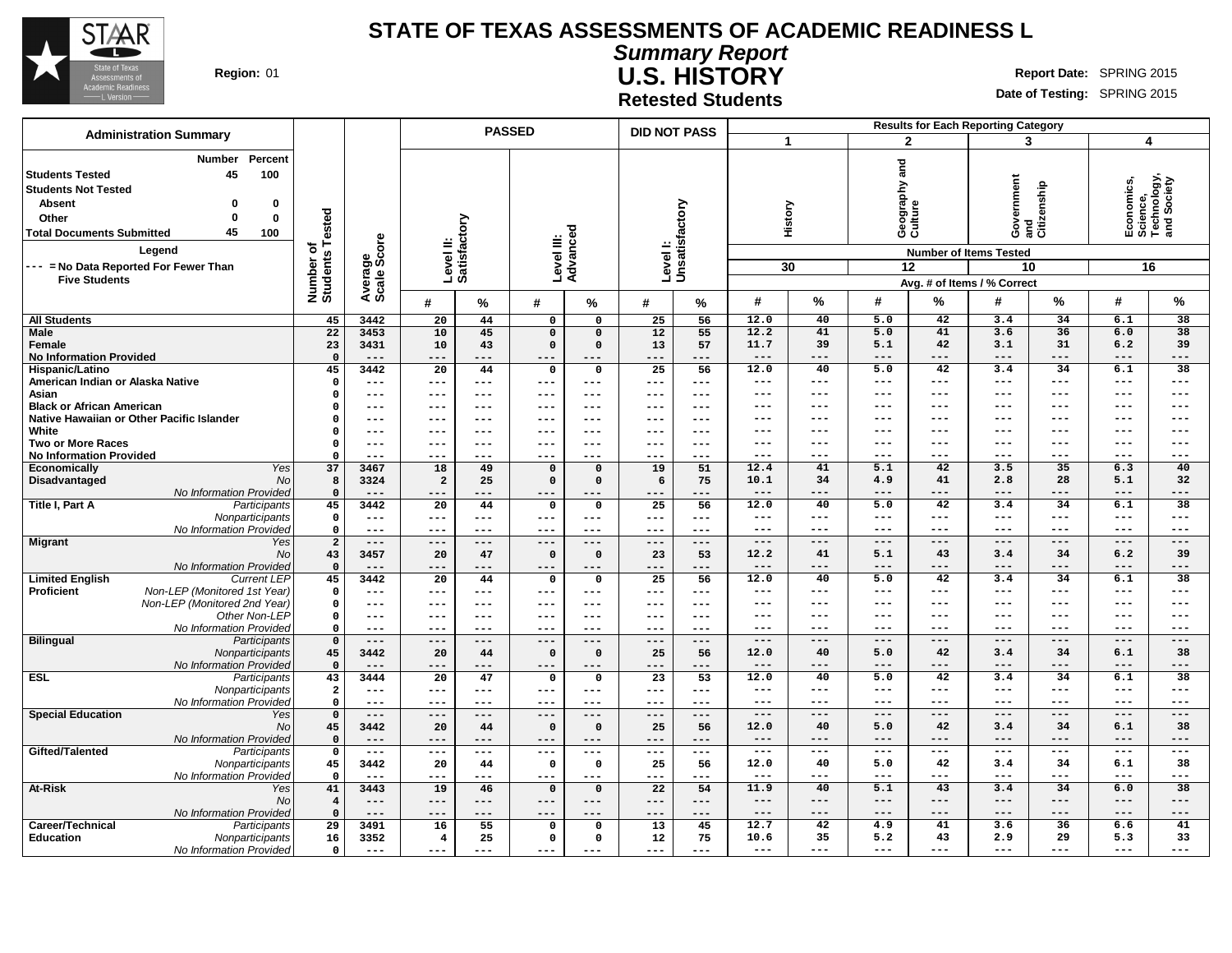

**Summary Report U.S. HISTORY Region:** 01 **Report** Date: SPRING 2015

**Date of Testing:** SPRING 2015

**Retested Students**

|                                                                                                                                                                                                                                                                                       |                                     |                        |                                                     |                     | <b>PASSED</b>              |                                    | <b>DID NOT PASS</b> |             | <b>Results for Each Reporting Category</b> |                          |                          |                                                                                  |                    |                                                            |                         |                          |  |  |
|---------------------------------------------------------------------------------------------------------------------------------------------------------------------------------------------------------------------------------------------------------------------------------------|-------------------------------------|------------------------|-----------------------------------------------------|---------------------|----------------------------|------------------------------------|---------------------|-------------|--------------------------------------------|--------------------------|--------------------------|----------------------------------------------------------------------------------|--------------------|------------------------------------------------------------|-------------------------|--------------------------|--|--|
| <b>Administration Summary</b>                                                                                                                                                                                                                                                         |                                     |                        |                                                     |                     |                            |                                    |                     |             |                                            | $\blacktriangleleft$     |                          | $\overline{2}$                                                                   | 3                  |                                                            | $\overline{\mathbf{4}}$ |                          |  |  |
| <b>Number</b><br>Percent<br><b>Students Tested</b><br>45<br>100<br><b>Students Not Tested</b><br><b>Absent</b><br>0<br>0<br>$\Omega$<br>$\bf{0}$<br>Other<br>45<br><b>Total Documents Submitted</b><br>100<br>Legend<br>--- = No Data Reported For Fewer Than<br><b>Five Students</b> | Tested<br>ъ<br>Number o<br>Students | Average<br>Scale Score | Level II:<br>Satisfactory<br>Advanced<br>Level III: |                     |                            | Levell:<br>Unsatisfactory          |                     |             | History<br>30                              | 12                       | Geography and<br>Culture | Government<br><b>Number of Items Tested</b><br>10<br>Avg. # of Items / % Correct | and<br>Citizenship | Economics,<br>Science,<br>Technology,<br>and Society<br>16 |                         |                          |  |  |
|                                                                                                                                                                                                                                                                                       |                                     |                        | #                                                   | ℅                   | #                          | $\%$                               | #                   | %           | #                                          | %                        | #                        | %                                                                                | #                  | %                                                          | #                       | $\%$                     |  |  |
| <b>All Students</b>                                                                                                                                                                                                                                                                   | 45                                  | 3442                   | 20                                                  | 44                  | $\mathbf 0$                | $\mathbf 0$                        | 25                  | 56          | 12.0                                       | $\overline{40}$          | $\overline{5.0}$         | $\overline{42}$                                                                  | 3.4                | $\overline{34}$                                            | 6.1                     | $\overline{38}$          |  |  |
| Male                                                                                                                                                                                                                                                                                  | 22                                  | 3453                   | 10                                                  | 45                  | $\mathbf 0$                | $\mathbf 0$                        | 12                  | 55          | 12.2                                       | $\overline{41}$          | 5.0                      | $\overline{41}$                                                                  | 3.6                | 36                                                         | 6.0                     | $\overline{38}$          |  |  |
| Female                                                                                                                                                                                                                                                                                | 23                                  | 3431                   | 10                                                  | 43                  | $\mathbf 0$                | $\mathbf 0$                        | 13                  | 57          | 11.7                                       | 39                       | 5.1                      | 42                                                                               | 3.1                | 31                                                         | 6.2                     | 39                       |  |  |
| <b>No Information Provided</b>                                                                                                                                                                                                                                                        | $\overline{\mathbf{0}}$             | $---$                  | $---$                                               | ---                 | $- -$                      | $---$                              | ---                 | ---         | $---$                                      | $---$                    | $---$                    | $---$                                                                            | ---                | $---$                                                      | ---                     | $---$                    |  |  |
| Hispanic/Latino<br>American Indian or Alaska Native                                                                                                                                                                                                                                   | 45<br>$\mathbf{o}$                  | 3442<br>$---$          | $\overline{20}$<br>$---$                            | 44<br>$---$         | $\Omega$<br>$--$           | $\mathbf 0$<br>$\qquad \qquad - -$ | 25<br>---           | 56<br>---   | 12.0<br>---                                | 40<br>$---$              | 5.0<br>---               | 42<br>$---$                                                                      | 3.4<br>---         | 34<br>$--$                                                 | 6.1<br>---              | $\overline{38}$<br>$---$ |  |  |
| Asian                                                                                                                                                                                                                                                                                 | $\Omega$                            | $\qquad \qquad - -$    | $---$                                               | $---$               | $- - -$                    | $---$                              | ---                 | $---$       | $---$                                      | $- - -$                  | $---$                    | $---$                                                                            | ---                | $- - -$                                                    | ---                     | $---$                    |  |  |
| <b>Black or African American</b>                                                                                                                                                                                                                                                      | 0                                   | $---$                  | ---                                                 | $--$                | $--$                       | $---$                              | ---                 | $---$       | ---                                        | $- - -$                  | $---$                    | $- - -$                                                                          | ---                | $- - -$                                                    | ---                     | $---$                    |  |  |
| Native Hawaiian or Other Pacific Islander                                                                                                                                                                                                                                             | $\Omega$                            | $---$                  | ---                                                 | $---$               | $---$                      | $---$                              | ---                 | $---$       | $---$                                      | $---$                    | $---$                    | $\qquad \qquad - -$                                                              | ---                | $- - -$                                                    | ---                     | $---$                    |  |  |
| White                                                                                                                                                                                                                                                                                 | $\Omega$                            | $---$                  | ---                                                 |                     | $\qquad \qquad -$          | $---$                              | ---                 | ---         | $---$                                      | $---$                    | $--$                     | $---$                                                                            | ---                | $- - -$                                                    | ---                     | $---$                    |  |  |
| <b>Two or More Races</b>                                                                                                                                                                                                                                                              | $\Omega$                            | $---$                  | $---$                                               | $---$               | $- -$                      | $---$                              | ---                 | $---$       | ---                                        | $- - -$                  | ---                      | $---$                                                                            | ---                | ---                                                        | ---                     | $---$                    |  |  |
| <b>No Information Provided</b>                                                                                                                                                                                                                                                        | $\Omega$<br>37                      | $---$<br>3467          | $---$<br>18                                         | ---<br>49           | ---                        |                                    | $- -$<br>19         | ---<br>51   | ---<br>12.4                                | $- - -$<br>41            | $---$<br>5.1             | $- - -$<br>42                                                                    | ---<br>3.5         | $- - -$<br>35                                              | ---<br>6.3              | $---$<br>40              |  |  |
| Yes<br>Economically<br>Disadvantaged<br><b>No</b>                                                                                                                                                                                                                                     | 8                                   | 3324                   | $\overline{a}$                                      | 25                  | $\mathbf 0$<br>$\mathbf 0$ | $\mathbf 0$<br>$\mathbf 0$         | 6                   | 75          | 10.1                                       | 34                       | 4.9                      | 41                                                                               | 2.8                | 28                                                         | 5.1                     | 32                       |  |  |
| No Information Provided                                                                                                                                                                                                                                                               | $\Omega$                            |                        | $---$                                               |                     |                            |                                    |                     |             | $--$                                       |                          | $---$                    | ---                                                                              | ---                |                                                            | ---                     | $--$                     |  |  |
| Title I, Part A<br>Participants                                                                                                                                                                                                                                                       | 45                                  | 3442                   | 20                                                  | 44                  | 0                          | 0                                  | 25                  | 56          | 12.0                                       | 40                       | 5.0                      | 42                                                                               | 3.4                | 34                                                         | 6.1                     | 38                       |  |  |
| Nonparticipants                                                                                                                                                                                                                                                                       | $\mathbf 0$                         | $- -$                  | ---                                                 | $\qquad \qquad - -$ | $---$                      | $\qquad \qquad - -$                | $---$               | $- - -$     | $---$                                      | $---$                    | $---$                    | $\frac{1}{2}$                                                                    | ---                | $--$                                                       | ---                     | $---$                    |  |  |
| No Information Provided                                                                                                                                                                                                                                                               | $\mathbf 0$                         | $- - -$                | $---$                                               | $---$               | $---$                      | ---                                | $---$               | ---         | $---$                                      | $---$                    | $---$                    | $---$                                                                            | ---                | $---$                                                      | ---                     | $---$                    |  |  |
| <b>Migrant</b><br>Yes                                                                                                                                                                                                                                                                 | $\overline{2}$                      | $---$                  | $---$                                               | $---$               | $---$                      | $---$                              | $---$               | $---$       | $---$                                      | $---$                    | $---$                    | $---$                                                                            | $---$              | $---$                                                      | $---$                   | $---$                    |  |  |
| No<br>No Information Provided                                                                                                                                                                                                                                                         | 43<br>$\overline{\mathbf{0}}$       | 3457<br>$- - -$        | 20<br>---                                           | 47<br>---           | $\mathbf 0$<br>$- - -$     | $\mathbf 0$<br>$- - -$             | 23<br>---           | 53<br>---   | 12.2<br>$---$                              | 41<br>$- - -$            | 5.1<br>$---$             | 43<br>$- - -$                                                                    | 3.4<br>---         | 34<br>$- - -$                                              | 6.2<br>---              | 39<br>$---$              |  |  |
| <b>Limited English</b><br><b>Current LEP</b>                                                                                                                                                                                                                                          | 45                                  | 3442                   | $\overline{20}$                                     | 44                  | 0                          | $\mathbf 0$                        | 25                  | 56          | 12.0                                       | 40                       | 5.0                      | 42                                                                               | 3.4                | 34                                                         | 6.1                     | 38                       |  |  |
| Non-LEP (Monitored 1st Year)<br>Proficient                                                                                                                                                                                                                                            | $\mathbf 0$                         | $\qquad \qquad - -$    | ---                                                 | $---$               | $---$                      | $---$                              | ---                 | $---$       | $---$                                      | $---$                    | $--$                     | $---$                                                                            | ---                | $--$                                                       | ---                     | $---$                    |  |  |
| Non-LEP (Monitored 2nd Year)                                                                                                                                                                                                                                                          | $\mathbf{o}$                        | $---$                  | ---                                                 | $- - -$             | $- - -$                    | $---$                              | ---                 | $- - -$     | $---$                                      | $---$                    | $---$                    | $\qquad \qquad - -$                                                              | ---                | ---                                                        | ---                     | $---$                    |  |  |
| Other Non-LEP                                                                                                                                                                                                                                                                         | $\mathbf 0$                         | $---$                  | ---                                                 | $---$               | $- - -$                    | $---$                              | $- - -$             | $- - -$     | $---$                                      | $- - -$                  | $---$                    | $- - -$                                                                          | ---                | $- -$                                                      | ---                     | $--$                     |  |  |
| No Information Provided                                                                                                                                                                                                                                                               | 0                                   | $---$                  | $---$                                               | $---$               | $---$                      | $---$                              | $- - -$             | $- - -$     | ---                                        | $---$                    | ---                      | $---$<br>$---$                                                                   | ---                | $--$                                                       | ---                     | $---$                    |  |  |
| <b>Bilingual</b><br>Participants<br>Nonparticipants                                                                                                                                                                                                                                   | $\mathbf{o}$<br>45                  | $---$<br>3442          | $---$<br>20                                         | $---$<br>44         | $---$<br>$\mathsf{o}\,$    | $---$<br>$\mathbf 0$               | $---$<br>25         | $---$<br>56 | $- - -$<br>12.0                            | $---$<br>40              | $---$<br>5.0             | 42                                                                               | ---<br>3.4         | $---$<br>34                                                | $---$<br>6.1            | $---$<br>38              |  |  |
| No Information Provided                                                                                                                                                                                                                                                               | $\mathbf 0$                         | $---$                  | $---$                                               | ---                 | $- -$                      | $- - -$                            | ---                 | ---         | $---$                                      | $---$                    | $---$                    | $---$                                                                            | ---                | $---$                                                      | ---                     | $---$                    |  |  |
| <b>ESL</b><br>Participants                                                                                                                                                                                                                                                            | 43                                  | 3444                   | 20                                                  | 47                  | 0                          | $\mathbf 0$                        | 23                  | 53          | 12.0                                       | 40                       | 5.0                      | 42                                                                               | 3.4                | 34                                                         | 6.1                     | 38                       |  |  |
| Nonparticipants                                                                                                                                                                                                                                                                       | $\overline{a}$                      | $---$                  | $---$                                               | $\qquad \qquad -$   | $--$                       | $- - -$                            | $---$               | $---$       | $---$                                      | $- - -$                  | $--$                     | $---$                                                                            | ---                | $- - -$                                                    | ---                     | $---$                    |  |  |
| No Information Provided                                                                                                                                                                                                                                                               | $\Omega$                            | $---$                  | $---$                                               | $---$               | $- - -$                    | $---$                              | $- - -$             | $---$       | $---$                                      | $---$                    | $---$                    | $---$                                                                            | ---                | $- - -$                                                    | ---                     | $---$                    |  |  |
| <b>Special Education</b><br>Yes                                                                                                                                                                                                                                                       | $\mathbf{o}$                        | $---$                  | $---$                                               | $---$               | $---$                      | $---$                              | $---$               | ---         | $---$                                      | $---$                    | $---$                    | $---$                                                                            | ---                | $---$                                                      | ---                     | $---$                    |  |  |
| No<br>No Information Provided                                                                                                                                                                                                                                                         | 45<br>$\mathbf{o}$                  | 3442<br>$---$          | 20<br>$---$                                         | 44<br>$---$         | $\mathbf 0$<br>$--$        | $\mathbf 0$<br>$---$               | 25<br>---           | 56<br>---   | 12.0<br>$---$                              | 40<br>$---$              | 5.0<br>$---$             | 42<br>$---$                                                                      | 3.4<br>---         | 34<br>$---$                                                | 6.1<br>---              | 38<br>$---$              |  |  |
| Gifted/Talented<br>Participants                                                                                                                                                                                                                                                       | $\mathbf{o}$                        | $- -$                  | $---$                                               | $---$               | $---$                      | $\qquad \qquad - -$                | ---                 | ---         | $---$                                      | $\frac{1}{2}$            | $---$                    | $\frac{1}{2}$                                                                    | ---                | $---$                                                      | ---                     | $---$                    |  |  |
| Nonparticipants                                                                                                                                                                                                                                                                       | 45                                  | 3442                   | 20                                                  | 44                  | $\mathbf{o}$               | $\mathbf 0$                        | 25                  | 56          | 12.0                                       | 40                       | 5.0                      | 42                                                                               | 3.4                | 34                                                         | 6.1                     | 38                       |  |  |
| No Information Provided                                                                                                                                                                                                                                                               | $\Omega$                            | $- -$                  | $---$                                               | $---$               | $---$                      | $---$                              | ---                 | ---         | $---$                                      | $---$                    | $---$                    | $---$                                                                            | ---                | $- - -$                                                    | ---                     | $---$                    |  |  |
| At-Risk<br>Yes                                                                                                                                                                                                                                                                        | 41                                  | 3443                   | 19                                                  | 46                  | $\mathbf{o}$               | $\mathbf 0$                        | $\overline{22}$     | 54          | 11.9                                       | 40                       | 5.1                      | 43                                                                               | 3.4                | 34                                                         | 6.0                     | 38                       |  |  |
| No                                                                                                                                                                                                                                                                                    | $\overline{4}$                      | $---$                  | $---$                                               | $---$               | $---$                      | $---$                              | $---$               | $---$       | $---$                                      | $---$                    | $---$                    | $---$                                                                            | ---                | $---$                                                      | ---                     | $---$                    |  |  |
| No Information Provided<br>Career/Technical                                                                                                                                                                                                                                           | $\mathbf{0}$<br>29                  | $---$<br>3491          | ---                                                 | $---$               | $- -$                      | $---$<br>$\mathbf 0$               | ---<br>13           | ---<br>45   | $---$<br>12.7                              | $---$<br>$\overline{42}$ | $---$<br>4.9             | $---$<br>$\overline{41}$                                                         | ---<br>3.6         | $---$<br>36                                                | ---<br>6.6              | $---$<br>41              |  |  |
| Participants<br><b>Education</b><br>Nonparticipants                                                                                                                                                                                                                                   | 16                                  | 3352                   | 16<br>$\overline{4}$                                | 55<br>25            | $\mathbf 0$<br>0           | 0                                  | 12                  | 75          | 10.6                                       | 35                       | 5.2                      | 43                                                                               | 2.9                | 29                                                         | 5.3                     | 33                       |  |  |
| No Information Provided                                                                                                                                                                                                                                                               | $\mathbf 0$                         | $---$                  | ---                                                 | ---                 | $---$                      | $- - -$                            | ---                 | ---         | $---$                                      | $---$                    | $---$                    | $---$                                                                            | ---                | $---$                                                      | ---                     | $---$                    |  |  |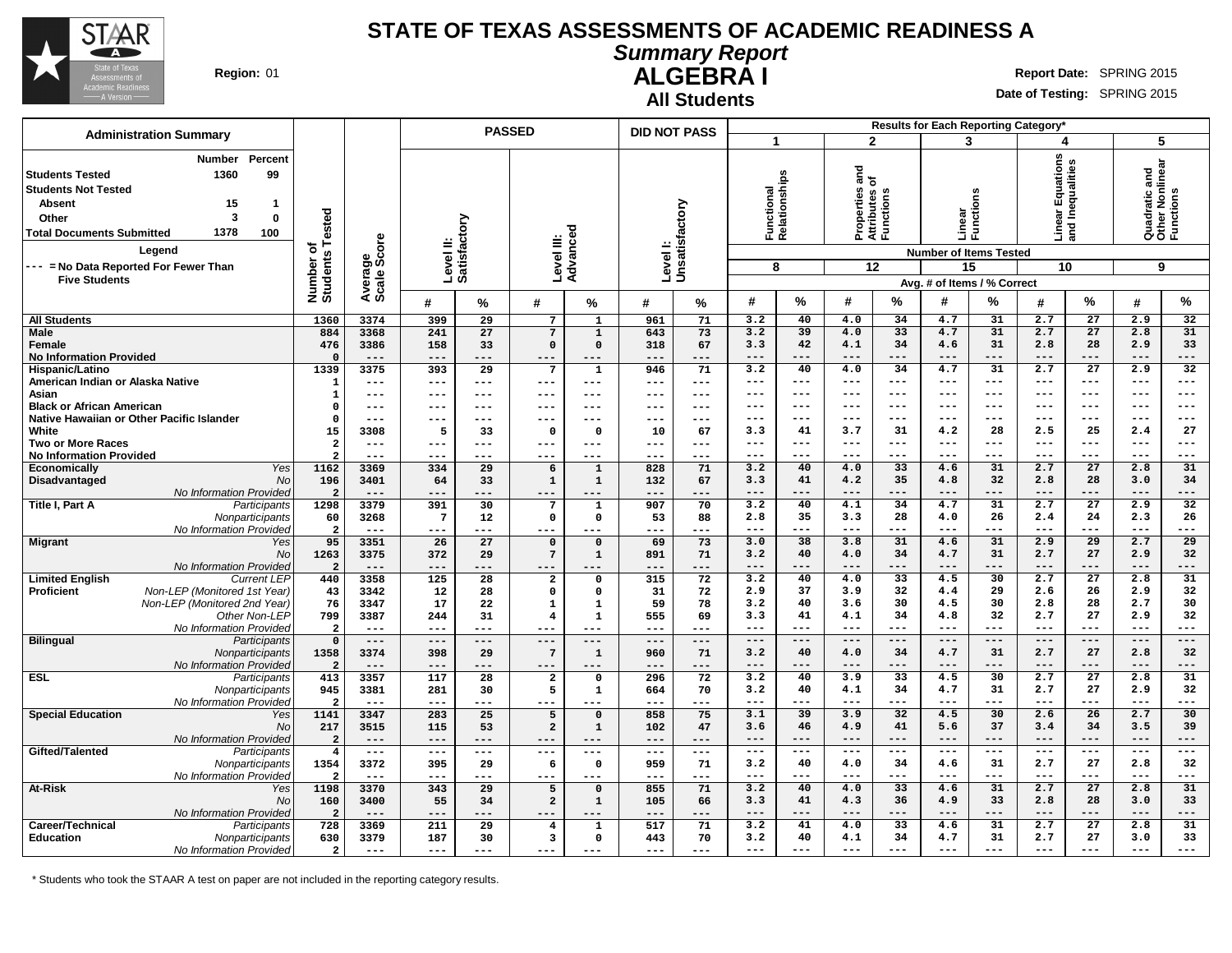

**Summary Report**

**ALGEBRA I Region:** 01 **Report** Date: SPRING 2015

**All Students**

**Date of Testing:** SPRING 2015

|                                                                                                                                                                                                                                                        |                                           |                                |                           | <b>PASSED</b>            |                                        |                             | <b>DID NOT PASS</b> |                              |                |               |                                                           |                 |                           | Results for Each Reporting Category*                         |                       |                        |                                                    |                     |
|--------------------------------------------------------------------------------------------------------------------------------------------------------------------------------------------------------------------------------------------------------|-------------------------------------------|--------------------------------|---------------------------|--------------------------|----------------------------------------|-----------------------------|---------------------|------------------------------|----------------|---------------|-----------------------------------------------------------|-----------------|---------------------------|--------------------------------------------------------------|-----------------------|------------------------|----------------------------------------------------|---------------------|
| <b>Administration Summary</b><br><b>Number</b><br>Percent<br>1360<br>99                                                                                                                                                                                |                                           |                                |                           |                          |                                        |                             |                     |                              | 1              |               | $\mathbf{2}$                                              |                 | 3                         |                                                              | 4                     |                        | 5                                                  |                     |
| <b>Students Tested</b><br><b>Students Not Tested</b><br><b>Absent</b><br>15<br>$\mathbf{1}$<br>3<br>$\mathbf 0$<br>Other<br>1378<br>100<br><b>Total Documents Submitted</b><br>Legend<br>--- = No Data Reported For Fewer Than<br><b>Five Students</b> | Tested<br>৳<br>Number of<br>Students      | ige<br>Score<br>Avera<br>Scale | Level II:<br>Satisfactory |                          | Level III:                             | Advanced                    |                     | Level I:<br>Unsatisfactory   | unctional<br>8 | Relationships | and<br>ኄ<br>Properties<br>Attributes c<br>Functions<br>12 |                 | Linear<br>Functions<br>15 | <b>Number of Items Tested</b><br>Avg. # of Items / % Correct | tions<br>區<br>ಕ<br>10 | Inequalities<br>and    | Quadratic and<br>Other Nonlinear<br>Functions<br>9 |                     |
|                                                                                                                                                                                                                                                        |                                           |                                | #                         | %                        | #                                      | ℅                           | #                   | %                            | #              | %             | #                                                         | %               | #                         | %                                                            | #                     | %                      | #                                                  | %                   |
| <b>All Students</b>                                                                                                                                                                                                                                    | 1360                                      | 3374                           | 399                       | 29                       | 7                                      | $\mathbf{1}$                | 961                 | 71                           | 3.2            | 40            | 4.0                                                       | 34              | 4.7                       | 31                                                           | 2.7                   | 27                     | 2.9                                                | 32                  |
| <b>Male</b>                                                                                                                                                                                                                                            | 884                                       | 3368                           | 241                       | 27                       | $\overline{7}$                         | 1                           | 643                 | 73                           | 3.2            | 39            | 4.0                                                       | 33              | 4.7                       | 31                                                           | 2.7                   | 27                     | 2.8                                                | 31                  |
| Female                                                                                                                                                                                                                                                 | 476                                       | 3386                           | 158                       | 33                       | $\mathbf 0$                            | $\Omega$                    | 318                 | 67                           | 3.3            | 42            | 4.1                                                       | 34              | 4.6                       | 31                                                           | 2.8                   | 28                     | 2.9                                                | 33                  |
| <b>No Information Provided</b><br>Hispanic/Latino                                                                                                                                                                                                      | $\Omega$<br>1339                          | $---$<br>3375                  | $--$<br>393               | ---<br>29                | $---$<br>$7\phantom{.0}$               | ---<br>$\mathbf{1}$         | ---<br>946          | ---<br>71                    | $---$<br>3.2   | $---$<br>40   | $---$<br>4.0                                              | $---$<br>34     | $---$<br>4.7              | $---$<br>31                                                  | $---$<br>2.7          | ---<br>$\overline{27}$ | $---$<br>2.9                                       | ---<br>32           |
| American Indian or Alaska Native                                                                                                                                                                                                                       | 1                                         | $---$                          | $---$                     | ---                      | $---$                                  | $---$                       | $---$               | $\qquad \qquad - -$          | $---$          | $-- -$        | $- - -$                                                   | ---             | $- - -$                   | $---$                                                        | $---$                 | ---                    | $---$                                              | ---                 |
| Asian                                                                                                                                                                                                                                                  | $\mathbf{1}$                              | $---$                          | ---                       | ---                      | $---$                                  | $---$                       | ---                 | $\qquad \qquad - -$          | $---$          | $---$         | $--$                                                      | $---$           | $--$                      | $---$                                                        | $---$                 | $\qquad \qquad -$      | $\qquad \qquad - -$                                | ---                 |
| <b>Black or African American</b>                                                                                                                                                                                                                       | $\Omega$                                  | $---$                          | ---                       | ---                      | ---                                    | ---                         | ---                 | ---                          | $---$          | $-- -$        | $- - -$                                                   | ---             | $- - -$                   | $---$                                                        | $---$                 | $- - -$                | $---$                                              | $--$                |
| Native Hawaiian or Other Pacific Islander                                                                                                                                                                                                              | $\Omega$                                  | $---$                          | ---                       | ---                      | $---$                                  | ---                         | ---                 | $---$                        | ---            | $--$          | $--$                                                      | ---             | ---                       | ---                                                          | $---$                 | ---                    | $---$                                              | ---                 |
| White                                                                                                                                                                                                                                                  | 15                                        | 3308                           | 5                         | 33                       | $\mathbf 0$                            | $\Omega$                    | 10                  | 67                           | 3.3<br>$---$   | 41<br>$-- -$  | 3.7<br>$- - -$                                            | 31<br>---       | 4.2<br>$- - -$            | 28<br>$---$                                                  | 2.5<br>$---$          | 25<br>$---$            | 2.4<br>$---$                                       | 27<br>$---$         |
| <b>Two or More Races</b><br>No Information Provided                                                                                                                                                                                                    | $\overline{\mathbf{2}}$<br>$\overline{a}$ | $---$<br>$---$                 | ---<br>---                | ---<br>---               | ---<br>$--$                            | ---<br>---                  | ---<br>---          | $\qquad \qquad - -$<br>$---$ | $- - -$        | $---$         | $- - -$                                                   | $---$           | $---$                     | $---$                                                        | $---$                 | ---                    | $---$                                              | ---                 |
| <b>Yes</b><br>Economically                                                                                                                                                                                                                             | 1162                                      | 3369                           | 334                       | 29                       | 6                                      | $\mathbf{1}$                | 828                 | 71                           | 3.2            | 40            | 4.0                                                       | 33              | 4.6                       | 31                                                           | 2.7                   | $\overline{27}$        | 2.8                                                | 31                  |
| Disadvantaged<br>No                                                                                                                                                                                                                                    | 196                                       | 3401                           | 64                        | 33                       | $\mathbf 1$                            | $\mathbf{1}$                | 132                 | 67                           | 3.3            | 41            | 4.2                                                       | 35              | 4.8                       | 32                                                           | 2.8                   | 28                     | 3.0                                                | 34                  |
| No Information Provided                                                                                                                                                                                                                                | $\overline{a}$                            | $---$                          | ---                       | ---                      | ---                                    |                             | ---                 | ---                          | $---$          | $---$         | $---$                                                     | ---             | $- - -$                   | $---$                                                        | $---$                 | ---                    | $---$                                              | ---                 |
| Title I, Part A<br>Participants                                                                                                                                                                                                                        | 1298                                      | 3379                           | 391                       | 30                       | $\overline{7}$                         | $\mathbf{1}$                | 907                 | 70                           | 3.2            | 40            | 4.1                                                       | 34              | 4.7                       | 31                                                           | 2.7                   | 27                     | 2.9                                                | 32                  |
| Nonparticipants                                                                                                                                                                                                                                        | 60                                        | 3268<br>$- - -$                | $\overline{7}$<br>$---$   | $12 \overline{ }$<br>--- | $\mathsf{o}$<br>$- - -$                | 0<br>$- - -$                | 53<br>---           | 88<br>$---$                  | 2.8<br>$---$   | 35<br>$---$   | 3.3<br>$---$                                              | 28<br>$---$     | 4.0<br>$---$              | 26<br>$---$                                                  | 2.4<br>$---$          | 24<br>---              | 2.3<br>$---$                                       | 26<br>---           |
| No Information Provided<br><b>Migrant</b><br>Yes                                                                                                                                                                                                       | $\overline{\mathbf{2}}$<br>95             | 3351                           | 26                        | 27                       | $\mathbf 0$                            | $\mathbf 0$                 | 69                  | 73                           | 3.0            | 38            | 3.8                                                       | 31              | 4.6                       | 31                                                           | 2.9                   | 29                     | 2.7                                                | 29                  |
| N <sub>O</sub>                                                                                                                                                                                                                                         | 1263                                      | 3375                           | 372                       | 29                       | $7\phantom{.0}$                        | $\mathbf 1$                 | 891                 | 71                           | 3.2            | 40            | 4.0                                                       | 34              | 4.7                       | 31                                                           | 2.7                   | 27                     | 2.9                                                | 32                  |
| No Information Provided                                                                                                                                                                                                                                | $\overline{a}$                            | $---$                          | $---$                     | ---                      | $---$                                  | ---                         | ---                 | $---$                        | $---$          | $---$         | $---$                                                     | ---             | $---$                     | $---$                                                        | $---$                 | ---                    | $---$                                              | ---                 |
| <b>Limited English</b><br><b>Current LEP</b>                                                                                                                                                                                                           | 440                                       | 3358                           | 125                       | $\overline{28}$          | $\mathbf{2}$                           | 0                           | 315                 | 72                           | 3.2            | 40            | 4.0                                                       | 33              | 4.5                       | $\overline{30}$                                              | 2.7                   | $\overline{27}$        | 2.8                                                | 31                  |
| Proficient<br>Non-LEP (Monitored 1st Year)                                                                                                                                                                                                             | 43                                        | 3342                           | 12                        | 28                       | $\mathsf{o}\,$                         | 0                           | 31                  | 72                           | 2.9            | 37            | 3.9                                                       | 32              | 4.4                       | 29                                                           | 2.6                   | 26                     | 2.9                                                | 32                  |
| Non-LEP (Monitored 2nd Year)<br>Other Non-LEP                                                                                                                                                                                                          | 76<br>799                                 | 3347<br>3387                   | 17<br>244                 | 22<br>31                 | $\mathbf 1$<br>$\overline{\mathbf{4}}$ | $\mathbf{1}$<br>$\mathbf 1$ | 59<br>555           | 78<br>69                     | 3.2<br>3.3     | 40<br>41      | 3.6<br>4.1                                                | 30<br>34        | 4.5<br>4.8                | 30<br>32                                                     | 2.8<br>2.7            | 28<br>27               | 2.7<br>2.9                                         | 30<br>32            |
| No Information Provided                                                                                                                                                                                                                                | $\overline{a}$                            | $- - -$                        | ---                       | ---                      | $- - -$                                | $--$                        | $---$               | $---$                        | $---$          | $-- -$        | $---$                                                     | $---$           | $---$                     | $---$                                                        | $---$                 | ---                    | $\qquad \qquad - -$                                | ---                 |
| <b>Bilingual</b><br>Participants                                                                                                                                                                                                                       | $\mathbf 0$                               | $---$                          | $---$                     | $-- -$                   | $---$                                  | $---$                       | $---$               | $---$                        | $---$          | $---$         | $---$                                                     | $---$           | $---$                     | $\qquad \qquad - -$                                          | $---$                 | $---$                  | $---$                                              | $- - -$             |
| Nonparticipants                                                                                                                                                                                                                                        | 1358                                      | 3374                           | 398                       | 29                       | $\overline{7}$                         | $\mathbf 1$                 | 960                 | 71                           | 3.2            | 40            | 4.0                                                       | 34              | 4.7                       | 31                                                           | 2.7                   | 27                     | 2.8                                                | 32                  |
| No Information Provided                                                                                                                                                                                                                                | $\overline{2}$                            | $---$                          | $---$                     | ---                      | $---$                                  | ---                         | ---                 | ---                          | $---$          | ---           | $- -$                                                     | $---$           | $- -$                     | $---$                                                        | $---$                 | ---                    | $---$                                              | ---                 |
| ESL<br>Participants                                                                                                                                                                                                                                    | 413                                       | 3357                           | 117                       | 28                       | $\mathbf 2$                            | 0                           | 296                 | 72                           | 3.2            | 40            | 3.9                                                       | $\overline{33}$ | 4.5                       | $\overline{30}$                                              | 2.7                   | $\overline{27}$        | 2.8                                                | 31                  |
| Nonparticipants<br>No Information Provided                                                                                                                                                                                                             | 945<br>$\overline{2}$                     | 3381<br>$---$                  | 281<br>---                | 30<br>---                | 5<br>$- - -$                           | 1<br>$---$                  | 664<br>---          | 70<br>$---$                  | 3.2<br>$---$   | 40<br>$---$   | 4.1<br>$\frac{1}{2}$                                      | 34<br>$---$     | 4.7<br>$---$              | 31<br>$---$                                                  | 2.7<br>$---$          | 27<br>---              | 2.9<br>$---$                                       | 32<br>---           |
| <b>Special Education</b><br>Yes                                                                                                                                                                                                                        | 1141                                      | 3347                           | 283                       | 25                       | $\overline{\mathbf{5}}$                | $\Omega$                    | 858                 | 75                           | 3.1            | 39            | 3.9                                                       | 32              | 4.5                       | 30                                                           | 2.6                   | 26                     | 2.7                                                | $\overline{30}$     |
| No                                                                                                                                                                                                                                                     | 217                                       | 3515                           | 115                       | 53                       | $\mathbf{2}$                           | 1                           | 102                 | 47                           | 3.6            | 46            | 4.9                                                       | 41              | 5.6                       | 37                                                           | 3.4                   | 34                     | 3.5                                                | 39                  |
| No Information Provided                                                                                                                                                                                                                                | $\overline{a}$                            | $---$                          | $---$                     | ---                      | $---$                                  | $---$                       | $---$               | $---$                        | $---$          | $---$         | $---$                                                     | $---$           | $---$                     | $---$                                                        | $---$                 | ---                    | $---$                                              | ---                 |
| Gifted/Talented<br>Participants                                                                                                                                                                                                                        | $4\overline{ }$                           | $\qquad \qquad - -$            | $---$                     | ---                      | $---$                                  | $---$                       | $---$               | $\frac{1}{2}$                | $---$          | $---$         | $\qquad \qquad - -$                                       | $---$           | $  -$                     | $---$                                                        | $\sim$ $\sim$ $\sim$  | $\qquad \qquad - -$    | $\qquad \qquad - -$                                | $\qquad \qquad - -$ |
| Nonparticipants                                                                                                                                                                                                                                        | 1354                                      | 3372                           | 395                       | 29                       | 6                                      | $\Omega$                    | 959                 | 71                           | 3.2            | 40            | 4.0                                                       | 34              | 4.6                       | 31                                                           | 2.7                   | 27                     | 2.8                                                | 32                  |
| No Information Provided<br><b>At-Risk</b><br>Yes                                                                                                                                                                                                       | $\overline{a}$<br>1198                    | $\qquad \qquad - -$<br>3370    | ---<br>343                | ---<br>29                | ---<br>5                               | $\mathbf 0$                 | ---<br>855          | $--$<br>71                   | $---$<br>3.2   | $---$<br>40   | $--$<br>4.0                                               | ---<br>33       | $--$<br>4.6               | $--$<br>31                                                   | $---$<br>2.7          | ---<br>$\overline{27}$ | $---$<br>2.8                                       | ---<br>31           |
| No                                                                                                                                                                                                                                                     | 160                                       | 3400                           | 55                        | 34                       | $\mathbf{2}$                           | $\mathbf{1}$                | 105                 | 66                           | 3.3            | 41            | 4.3                                                       | 36              | 4.9                       | 33                                                           | 2.8                   | 28                     | 3.0                                                | 33                  |
| No Information Provided                                                                                                                                                                                                                                | $\overline{2}$                            | $---$                          | $- -$                     | ---                      |                                        |                             | ---                 | ---                          | $---$          | $---$         | $---$                                                     | $---$           | $---$                     | $---$                                                        | $---$                 | ---                    | $---$                                              | ---                 |
| Career/Technical<br>Participants                                                                                                                                                                                                                       | 728                                       | 3369                           | 211                       | 29                       | $\overline{\mathbf{4}}$                | $\mathbf{1}$                | 517                 | 71                           | 3.2            | 41            | 4.0                                                       | 33              | 4.6                       | 31                                                           | 2.7                   | 27                     | 2.8                                                | 31                  |
| <b>Education</b><br>Nonparticipants                                                                                                                                                                                                                    | 630                                       | 3379                           | 187                       | 30                       | 3                                      | $\mathbf 0$                 | 443                 | 70                           | 3.2            | 40            | 4.1                                                       | 34              | 4.7                       | 31                                                           | 2.7                   | 27                     | 3.0                                                | 33                  |
| No Information Provided                                                                                                                                                                                                                                | $\overline{a}$                            | $---$                          | $---$                     | ---                      | ---                                    | ---                         | ---                 | $---$                        | $---$          | $-- -$        | $---$                                                     | $---$           | $---$                     | $---$                                                        | $---$                 | ---                    | $---$                                              | ---                 |

\* Students who took the STAAR A test on paper are not included in the reporting category results.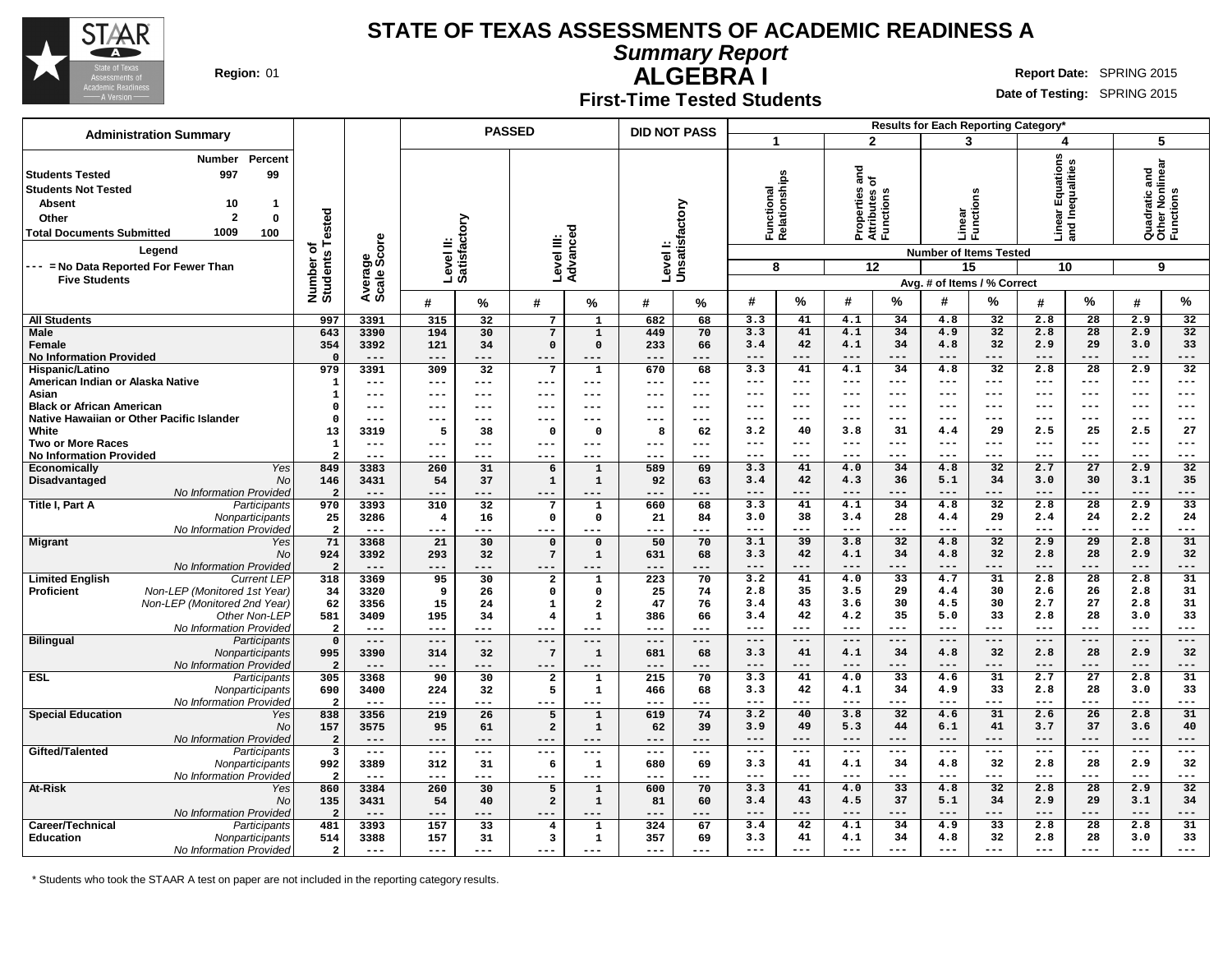

**Summary Report**

**ALGEBRA I Region:** 01 **Report** Date: SPRING 2015

# **First-Time Tested Students**

**Date of Testing:** SPRING 2015

| <b>Administration Summary</b>                                                                                                                                                                                                                                                            |                                         |                              |                         |                           | <b>PASSED</b>                    |                             | <b>DID NOT PASS</b> |                           |              |                                  | $\mathbf{2}$     |                                                                   | Results for Each Reporting Category*                                                                                  |                 |                                           |                          |                                                    |                 |
|------------------------------------------------------------------------------------------------------------------------------------------------------------------------------------------------------------------------------------------------------------------------------------------|-----------------------------------------|------------------------------|-------------------------|---------------------------|----------------------------------|-----------------------------|---------------------|---------------------------|--------------|----------------------------------|------------------|-------------------------------------------------------------------|-----------------------------------------------------------------------------------------------------------------------|-----------------|-------------------------------------------|--------------------------|----------------------------------------------------|-----------------|
|                                                                                                                                                                                                                                                                                          |                                         |                              |                         |                           |                                  |                             |                     |                           | 1            |                                  |                  |                                                                   | 3                                                                                                                     |                 | 4                                         |                          | 5                                                  |                 |
| Percent<br>Number<br>99<br>997<br><b>Students Tested</b><br><b>Students Not Tested</b><br><b>Absent</b><br>10<br>-1<br>$\overline{2}$<br>$\bf{0}$<br>Other<br>1009<br><b>Total Documents Submitted</b><br>100<br>Legend<br>--- = No Data Reported For Fewer Than<br><b>Five Students</b> | Number of<br>Students Tested            | Average<br>Scale Score       |                         | Level II:<br>Satisfactory |                                  | Advanced<br>Level III:      |                     | Levell:<br>Unsatisfactory |              | Functional<br>Relationships<br>8 |                  | 들 오<br>Properties<br>Attributes c<br>Functions<br>$\overline{12}$ | ons<br>$\tilde{\mathbf{t}}$<br>Linear<br>Functi<br><b>Number of Items Tested</b><br>15<br>Avg. # of Items / % Correct |                 | ar Equations<br>Inequalities<br>음 몸<br>10 |                          | Quadratic and<br>Other Nonlinear<br>Functions<br>9 |                 |
|                                                                                                                                                                                                                                                                                          |                                         |                              | #                       | ℅                         | #                                | ℅                           | #                   | ℅                         | #            | %                                | #                | ℅                                                                 | #                                                                                                                     | %               | #                                         | %                        | #                                                  | %               |
| <b>All Students</b>                                                                                                                                                                                                                                                                      | 997                                     | 3391                         | 315                     | 32                        | $7\overline{ }$                  | $\mathbf{1}$                | 682                 | 68                        | 3.3          | 41                               | 4.1              | 34                                                                | 4.8                                                                                                                   | 32              | 2.8                                       | 28                       | 2.9                                                | 32              |
| <b>Male</b>                                                                                                                                                                                                                                                                              | 643                                     | 3390                         | 194                     | 30                        | $7\phantom{.0}$                  | $\mathbf{1}$                | 449                 | 70                        | 3.3          | 41                               | 4.1              | 34                                                                | 4.9                                                                                                                   | 32              | 2.8                                       | 28                       | 2.9                                                | 32              |
| Female                                                                                                                                                                                                                                                                                   | 354                                     | 3392                         | 121                     | 34                        | $\mathbf 0$                      | $\Omega$                    | 233                 | 66                        | 3.4          | 42                               | 4.1              | 34                                                                | 4.8                                                                                                                   | 32              | 2.9                                       | 29                       | 3.0                                                | 33              |
| <b>No Information Provided</b>                                                                                                                                                                                                                                                           | $\Omega$                                |                              |                         | ---                       | $---$                            | ---                         | ---                 | ---                       |              | $---$                            | ---              | $---$                                                             | $---$                                                                                                                 | $---$           | $---$                                     | $---$                    | $---$                                              | ---             |
| Hispanic/Latino                                                                                                                                                                                                                                                                          | 979                                     | 3391                         | 309                     | 32                        | 7                                | $\mathbf 1$                 | 670                 | 68                        | 3.3          | 41                               | 4.1              | 34                                                                | 4.8                                                                                                                   | 32              | 2.8                                       | $\overline{28}$          | 2.9                                                | 32              |
| American Indian or Alaska Native                                                                                                                                                                                                                                                         | $\mathbf{1}$                            | $- - -$                      | ---                     | $---$                     | $---$                            | ---                         | ---                 | $\cdots$                  | $---$        | $---$                            | $---$            | $---$                                                             | $- - -$                                                                                                               | $---$           | $\qquad \qquad - -$                       | $---$                    | $---$                                              | ---             |
| Asian                                                                                                                                                                                                                                                                                    | $\mathbf{1}$                            | $- - -$                      | ---                     | $---$                     | ---                              | ---                         | ---                 | $---$                     | ---          | $---$                            | ---              | $---$                                                             | $---$                                                                                                                 | $---$           | $---$                                     | $---$                    | $---$                                              | ---             |
| <b>Black or African American</b>                                                                                                                                                                                                                                                         | $\Omega$                                | $---$                        | ---                     | $---$                     | ---                              | ---                         | ---                 | $-- -$                    | ---          | $---$                            | ---              | $---$                                                             | $---$                                                                                                                 | $---$           | $---$                                     | $---$                    | $---$                                              | ---             |
| Native Hawaiian or Other Pacific Islander                                                                                                                                                                                                                                                | $\Omega$                                | $---$                        | ---                     | $---$                     | ---                              | ---                         | ---                 | $---$                     | ---          | $--$                             |                  | $- - -$                                                           | $--$                                                                                                                  | $--$            | $--$                                      | $--$                     | $--$                                               | ---             |
| White                                                                                                                                                                                                                                                                                    | 13                                      | 3319                         | - 5                     | 38                        | $\Omega$                         | $^{\circ}$                  | 8                   | 62                        | 3.2          | 40                               | 3.8<br>$- - -$   | 31                                                                | 4.4                                                                                                                   | 29              | 2.5                                       | 25                       | 2.5                                                | 27              |
| Two or More Races                                                                                                                                                                                                                                                                        | $\mathbf{1}$<br>$\overline{2}$          | $\qquad \qquad - -$<br>$---$ | ---<br>---              | $---$<br>---              | $---$<br>$---$                   | $---$<br>---                | ---<br>---          | $---$<br>$---$            | ---<br>---   | $--$<br>---                      |                  | $---$<br>$---$                                                    | $--$                                                                                                                  | $--$<br>$---$   | $--$<br>$--$                              | $---$<br>$---$           | $---$<br>$---$                                     | ---<br>---      |
| <b>No Information Provided</b><br>Economically<br>Yes                                                                                                                                                                                                                                    | 849                                     | 3383                         | 260                     | 31                        | 6                                | $\mathbf{1}$                | 589                 | 69                        | 3.3          | 41                               | 4.0              | 34                                                                | 4.8                                                                                                                   | $\overline{32}$ | 2.7                                       | $\overline{27}$          | 2.9                                                | $\overline{32}$ |
| Disadvantaged<br><b>No</b>                                                                                                                                                                                                                                                               | 146                                     | 3431                         | 54                      | 37                        | $\mathbf 1$                      | $\mathbf{1}$                | 92                  | 63                        | 3.4          | 42                               | 4.3              | 36                                                                | 5.1                                                                                                                   | 34              | 3.0                                       | 30                       | 3.1                                                | 35              |
| No Information Provided                                                                                                                                                                                                                                                                  | $\overline{a}$                          | $- - -$                      | ---                     | ---                       | ---                              |                             | $- - -$             | ---                       | $---$        | $---$                            | $---$            | $---$                                                             | $---$                                                                                                                 | $---$           | $---$                                     | $---$                    | $---$                                              | ---             |
| Title I, Part A<br>Participants                                                                                                                                                                                                                                                          | 970                                     | 3393                         | 310                     | 32                        | 7                                | $\mathbf{1}$                | 660                 | 68                        | 3.3          | 41                               | $\overline{4.1}$ | 34                                                                | 4.8                                                                                                                   | 32              | 2.8                                       | 28                       | 2.9                                                | 33              |
| Nonparticipants                                                                                                                                                                                                                                                                          | 25                                      | 3286                         | $\overline{\mathbf{4}}$ | 16                        | $\mathbf 0$                      | 0                           | 21                  | 84                        | 3.0          | 38                               | 3.4              | 28                                                                | 4.4                                                                                                                   | 29              | 2.4                                       | 24                       | 2.2                                                | 24              |
| No Information Provided                                                                                                                                                                                                                                                                  | $\overline{a}$                          | $- - -$                      | ---                     | ---                       | $---$                            | ---                         | ---                 | $---$                     | ---          | $--$                             | $---$            | $- - -$                                                           | $\frac{1}{2}$                                                                                                         | $---$           | $---$                                     | $---$                    | $---$                                              | ---             |
| <b>Migrant</b><br>Yes                                                                                                                                                                                                                                                                    | 71                                      | 3368                         | 21                      | 30                        | $\mathbf 0$                      | $\Omega$                    | 50                  | 70                        | 3.1          | 39                               | 3.8              | 32                                                                | 4.8                                                                                                                   | 32              | 2.9                                       | 29                       | 2.8                                                | 31              |
| <b>No</b>                                                                                                                                                                                                                                                                                | 924                                     | 3392                         | 293                     | 32                        | $7\phantom{.0}$                  | $\mathbf{1}$                | 631                 | 68                        | 3.3          | 42                               | 4.1              | 34                                                                | 4.8                                                                                                                   | 32              | 2.8                                       | 28                       | 2.9                                                | 32              |
| No Information Provided                                                                                                                                                                                                                                                                  | $\overline{2}$                          | $---$                        | ---                     | ---                       | ---                              | ---                         | ---                 | ---                       | ---          | $---$                            | ---              | ---                                                               | $---$                                                                                                                 | $---$           | $---$                                     | $---$                    | $---$                                              | ---             |
| <b>Limited English</b><br><b>Current LEP</b>                                                                                                                                                                                                                                             | 318                                     | 3369                         | 95                      | 30                        | $\overline{\mathbf{2}}$          | $\mathbf{1}$                | 223                 | 70                        | 3.2          | 41                               | 4.0              | $\overline{33}$                                                   | 4.7                                                                                                                   | $\overline{31}$ | 2.8                                       | $\overline{28}$          | 2.8                                                | $\overline{31}$ |
| Non-LEP (Monitored 1st Year)<br><b>Proficient</b>                                                                                                                                                                                                                                        | 34                                      | 3320                         | 9                       | 26                        | $\mathbf 0$                      | $\Omega$                    | 25                  | 74                        | 2.8          | 35                               | 3.5              | 29                                                                | 4.4                                                                                                                   | 30              | 2.6                                       | 26                       | 2.8                                                | 31              |
| Non-LEP (Monitored 2nd Year)                                                                                                                                                                                                                                                             | 62                                      | 3356                         | 15                      | 24                        | 1                                | $\overline{a}$              | 47                  | 76                        | 3.4          | 43<br>42                         | 3.6<br>4.2       | 30<br>35                                                          | 4.5<br>5.0                                                                                                            | 30<br>33        | 2.7<br>2.8                                | 27<br>28                 | 2.8                                                | 31<br>33        |
| Other Non-LEP                                                                                                                                                                                                                                                                            | 581                                     | 3409<br>$---$                | 195<br>$---$            | 34<br>$---$               | $\overline{\mathbf{4}}$<br>$---$ | $\mathbf{1}$                | 386<br>---          | 66<br>$---$               | 3.4<br>---   | $-- -$                           | ---              | $---$                                                             | $- - -$                                                                                                               | $---$           | $---$                                     | $---$                    | 3.0<br>$---$                                       | ---             |
| No Information Provided<br><b>Bilingual</b><br>Participants                                                                                                                                                                                                                              | $\overline{\mathbf{2}}$<br>$\mathbf{o}$ | $---$                        | $---$                   | $---$                     | $---$                            | ---<br>$---$                | $---$               | $\qquad \qquad - -$       | $---$        | $---$                            | $---$            | $---$                                                             | $---$                                                                                                                 | $---$           | $---$                                     | $---$                    | $---$                                              | $- - -$         |
| Nonparticipants                                                                                                                                                                                                                                                                          | 995                                     | 3390                         | 314                     | 32                        | 7                                | $\mathbf{1}$                | 681                 | 68                        | 3.3          | 41                               | 4.1              | 34                                                                | 4.8                                                                                                                   | 32              | 2.8                                       | 28                       | 2.9                                                | 32              |
| No Information Provideo                                                                                                                                                                                                                                                                  | $\overline{a}$                          | $---$                        | ---                     | ---                       | $---$                            | ---                         | ---                 | ---                       | ---          | ---                              | ---              | $---$                                                             | $---$                                                                                                                 | $---$           | $---$                                     | $---$                    | $---$                                              | ---             |
| <b>ESL</b><br>Participants                                                                                                                                                                                                                                                               | 305                                     | 3368                         | 90                      | 30                        | $\overline{\mathbf{2}}$          | $\mathbf{1}$                | 215                 | 70                        | 3.3          | 41                               | 4.0              | 33                                                                | 4.6                                                                                                                   | 31              | 2.7                                       | $\overline{27}$          | 2.8                                                | 31              |
| Nonparticipants                                                                                                                                                                                                                                                                          | 690                                     | 3400                         | 224                     | 32                        | 5                                | $\mathbf{1}$                | 466                 | 68                        | 3.3          | 42                               | 4.1              | 34                                                                | 4.9                                                                                                                   | 33              | 2.8                                       | 28                       | 3.0                                                | 33              |
| No Information Provided                                                                                                                                                                                                                                                                  | $\overline{2}$                          | $---$                        | $---$                   | $---$                     | $---$                            | $---$                       | $---$               | $---$                     | ---          | $---$                            | $---$            | $---$                                                             | $\frac{1}{2}$                                                                                                         | $---$           | $---$                                     | $---$                    | $---$                                              | ---             |
| <b>Special Education</b><br>Yes                                                                                                                                                                                                                                                          | 838                                     | 3356                         | 219                     | 26                        | 5                                | $\mathbf{1}$                | 619                 | 74                        | 3.2          | 40                               | 3.8              | $\overline{32}$                                                   | 4.6                                                                                                                   | $\overline{31}$ | 2.6                                       | 26                       | 2.8                                                | 31              |
| No                                                                                                                                                                                                                                                                                       | 157                                     | 3575                         | 95                      | 61                        | $\overline{a}$                   | $\mathbf{1}$                | 62                  | 39                        | 3.9          | 49                               | 5.3              | 44                                                                | 6.1                                                                                                                   | 41              | 3.7                                       | 37                       | 3.6                                                | 40              |
| No Information Provided                                                                                                                                                                                                                                                                  | $\overline{a}$                          | $---$                        | $---$                   | $- - -$                   | $---$                            |                             | ---                 | $---$                     | ---          | $---$                            | ---              | $---$                                                             | $---$                                                                                                                 | $---$           | $---$                                     | $---$                    | $---$                                              | ---             |
| Gifted/Talented<br>Participants                                                                                                                                                                                                                                                          | $\overline{\mathbf{3}}$                 | $---$                        | ---                     | $---$                     | $---$                            | $---$                       | ---                 | $---$                     | $---$        | $\qquad \qquad - -$              | ---              | $---$                                                             | $--$                                                                                                                  | $---$           | $- -$                                     | $---$                    | $---$                                              | ---             |
| Nonparticipants                                                                                                                                                                                                                                                                          | 992                                     | 3389                         | 312                     | 31<br>$- - -$             | 6                                | $\mathbf{1}$<br>$- - -$     | 680                 | 69<br>$- - -$             | 3.3          | 41<br>$---$                      | 4.1              | 34                                                                | 4.8<br>$- - -$                                                                                                        | 32              | 2.8<br>$- - -$                            | 28                       | 2.9                                                | 32              |
| No Information Provided                                                                                                                                                                                                                                                                  | $\overline{a}$                          | $---$                        | $---$                   |                           | $---$                            |                             | ---                 |                           | $---$<br>3.3 | 41                               | $---$<br>4.0     | $---$<br>33                                                       | 4.8                                                                                                                   | $---$<br>32     | 2.8                                       | $---$<br>$\overline{28}$ | $---$<br>2.9                                       | ---<br>32       |
| At-Risk<br>Yes<br><b>No</b>                                                                                                                                                                                                                                                              | 860<br>135                              | 3384<br>3431                 | 260<br>54               | 30<br>40                  | 5<br>$\mathbf 2$                 | $\mathbf{1}$<br>$\mathbf 1$ | 600<br>81           | 70                        | 3.4          | 43                               | 4.5              | 37                                                                | 5.1                                                                                                                   | 34              | 2.9                                       | 29                       | 3.1                                                | 34              |
| No Information Provided                                                                                                                                                                                                                                                                  | $\overline{a}$                          | $---$                        | ---                     | ---                       |                                  |                             | ---                 | 60<br>---                 | ---          | ---                              | ---              | $---$                                                             | $---$                                                                                                                 | $---$           | $---$                                     | $---$                    | $---$                                              | ---             |
| Career/Technical<br>Participants                                                                                                                                                                                                                                                         | 481                                     | 3393                         | 157                     | 33                        | $\overline{4}$                   | $\mathbf{1}$                | 324                 | 67                        | 3.4          | 42                               | 4.1              | 34                                                                | 4.9                                                                                                                   | 33              | 2.8                                       | 28                       | 2.8                                                | 31              |
| Education<br>Nonparticipants                                                                                                                                                                                                                                                             | 514                                     | 3388                         | 157                     | 31                        | $\overline{\mathbf{3}}$          | $\mathbf{1}$                | 357                 | 69                        | 3.3          | 41                               | 4.1              | 34                                                                | 4.8                                                                                                                   | 32              | 2.8                                       | 28                       | 3.0                                                | 33              |
| No Information Provided                                                                                                                                                                                                                                                                  | $\overline{a}$                          | $---$                        | $---$                   | $---$                     | ---                              | $---$                       | $---$               | $---$                     | $---$        | $---$                            | $---$            | $---$                                                             | $- - -$                                                                                                               | $---$           | $\qquad \qquad - -$                       | $---$                    | $---$                                              | ---             |

\* Students who took the STAAR A test on paper are not included in the reporting category results.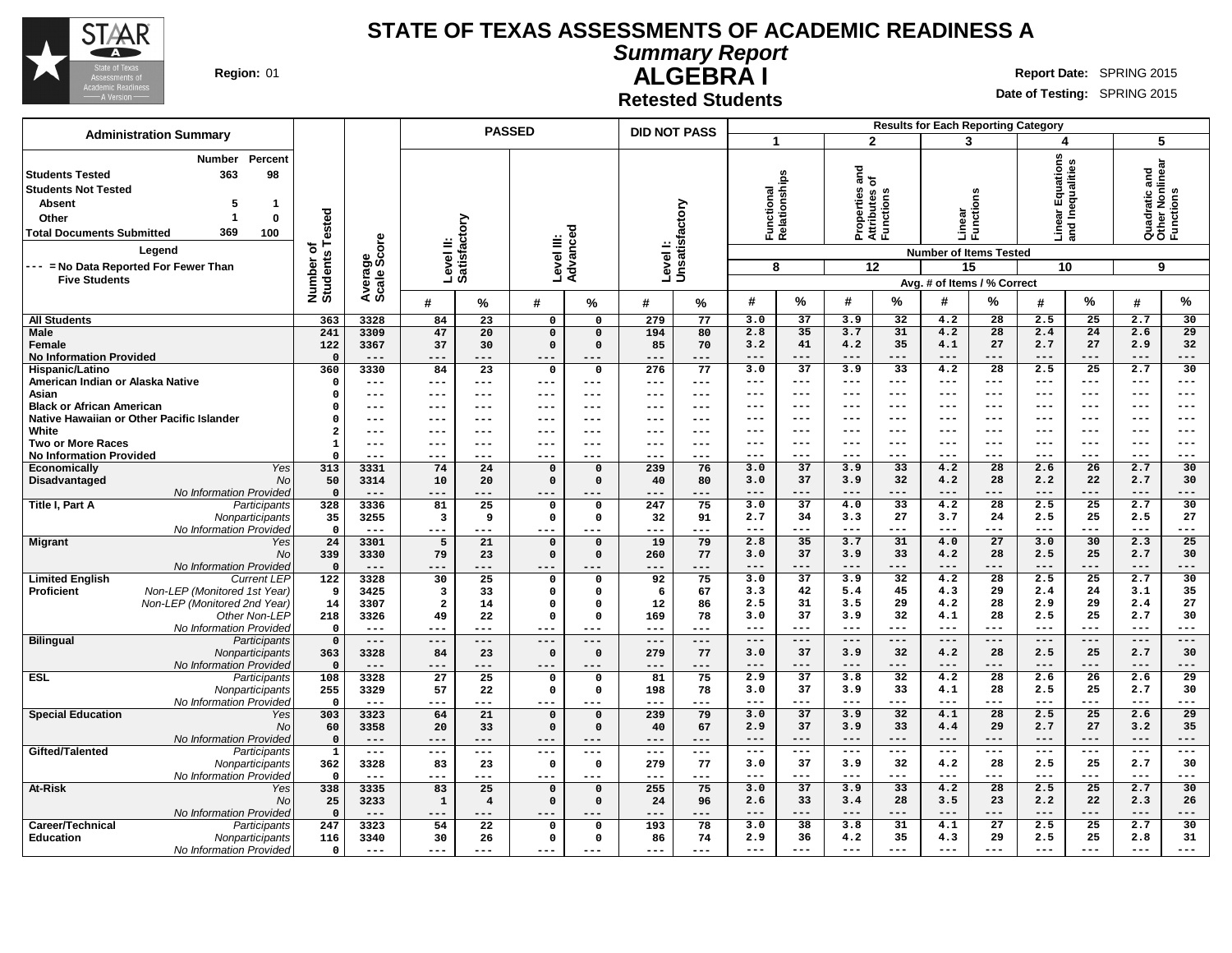

**Summary Report**

**Region:** 01 **Report Date:** SPRING 2015

**ALGEBRA I Retested Students**

|                                                                                                                                                                                                                                                         |                                                        |                | <b>PASSED</b>             |                         |                            |                              | <b>DID NOT PASS</b>       |                | <b>Results for Each Reporting Category</b> |                 |                                                          |                 |                                                                                        |                          |                                              |                         |                                                    |                 |
|---------------------------------------------------------------------------------------------------------------------------------------------------------------------------------------------------------------------------------------------------------|--------------------------------------------------------|----------------|---------------------------|-------------------------|----------------------------|------------------------------|---------------------------|----------------|--------------------------------------------|-----------------|----------------------------------------------------------|-----------------|----------------------------------------------------------------------------------------|--------------------------|----------------------------------------------|-------------------------|----------------------------------------------------|-----------------|
| <b>Administration Summary</b><br>Percent<br>Number                                                                                                                                                                                                      |                                                        |                |                           |                         |                            |                              |                           |                | $\mathbf{1}$                               |                 |                                                          | $\overline{2}$  | 3                                                                                      |                          | 4                                            |                         | 5                                                  |                 |
| 98<br><b>Students Tested</b><br>363<br><b>Students Not Tested</b><br><b>Absent</b><br>5<br>-1<br>1<br>$\mathbf 0$<br>Other<br>369<br><b>Total Documents Submitted</b><br>100<br>Legend<br>--- = No Data Reported For Fewer Than<br><b>Five Students</b> | Number of<br>Students Tested<br>Average<br>Scale Score |                | Level II:<br>Satisfactory |                         | Level III:<br>Advanced     |                              | Levell:<br>Unsatisfactory |                | Functional<br>Relationships<br>8           |                 | តិ<br>ត<br>Properties<br>Attributes c<br>Functions<br>12 |                 | Linear<br>Functi<br><b>Number of Items Tested</b><br>15<br>Avg. # of Items / % Correct | ctions                   | ear Equations<br>I Inequalities<br>모 힘<br>10 |                         | Quadratic and<br>Other Nonlinear<br>Functions<br>9 |                 |
|                                                                                                                                                                                                                                                         |                                                        |                | #                         | %                       | #                          | %                            | #                         | %              | #                                          | %               | #                                                        | ℅               | #                                                                                      | ℅                        | #                                            | $\%$                    | #                                                  | %               |
| <b>All Students</b>                                                                                                                                                                                                                                     | 363                                                    | 3328           | 84                        | 23                      | $\overline{0}$             | $\Omega$                     | 279                       | 77             | 3.0                                        | 37              | 3.9                                                      | 32              | 4.2                                                                                    | 28                       | 2.5                                          | 25                      | 2.7                                                | 30              |
| <b>Male</b>                                                                                                                                                                                                                                             | 241                                                    | 3309           | 47                        | 20                      | $\mathbf 0$                | $\mathbf 0$                  | 194                       | 80             | 2.8                                        | 35              | 3.7                                                      | 31              | 4.2                                                                                    | 28                       | 2.4                                          | 24                      | 2.6                                                | 29              |
| Female                                                                                                                                                                                                                                                  | 122                                                    | 3367           | 37                        | 30                      | $\mathbf 0$                | $\mathbf 0$                  | 85                        | 70             | 3.2                                        | 41              | 4.2                                                      | 35              | 4.1                                                                                    | 27                       | 2.7                                          | 27                      | 2.9                                                | 32              |
| <b>No Information Provided</b>                                                                                                                                                                                                                          | $\mathbf 0$                                            | $---$          | $---$                     | $---$                   | $---$                      | $---$                        | $---$                     | $---$          | ---                                        | $---$           | $---$                                                    | $---$           | $---$                                                                                  | $---$                    | $---$                                        | $---$                   | $---$                                              | ---             |
| Hispanic/Latino                                                                                                                                                                                                                                         | 360                                                    | 3330<br>$---$  | 84<br>$---$               | $\overline{23}$         | $\mathbf 0$<br>$---$       | $\Omega$<br>$---$            | 276<br>$---$              | 77<br>$---$    | 3.0<br>---                                 | 37<br>$---$     | 3.9<br>---                                               | 33<br>$---$     | 4.2<br>$--$                                                                            | $\overline{28}$<br>$---$ | 2.5<br>$---$                                 | $\overline{25}$<br>$--$ | 2.7<br>$---$                                       | 30<br>---       |
| American Indian or Alaska Native<br>Asian                                                                                                                                                                                                               | 0<br>$\mathbf 0$                                       | $- - -$        | ---                       | $---$<br>$---$          | ---                        | $---$                        | $---$                     | $---$          | ---                                        | $---$           | ---                                                      | $---$           | ---                                                                                    | $---$                    | $---$                                        | $---$                   | $---$                                              | ---             |
| <b>Black or African American</b>                                                                                                                                                                                                                        | $\Omega$                                               | $- - -$        | ---                       | $---$                   | ---                        | $---$                        | $---$                     | $---$          | ---                                        | $---$           | ---                                                      | $---$           | ---                                                                                    | $---$                    | $---$                                        | $---$                   | $---$                                              | ---             |
| Native Hawaiian or Other Pacific Islander                                                                                                                                                                                                               | $\Omega$                                               | $---$          | ---                       | $---$                   | ---                        | $---$                        | $- - -$                   | $---$          | ---                                        | $-- -$          | ---                                                      | ---             | ---                                                                                    | $--$                     | ---                                          | ---                     | ---                                                | ---             |
| White                                                                                                                                                                                                                                                   | $\overline{\mathbf{2}}$                                | $- - -$        | ---                       | $- - -$                 | ---                        | $---$                        | $--$                      | $---$          | ---                                        | $---$           | ---                                                      | $--$            | $--$                                                                                   | $---$                    | $---$                                        | $--$                    | $---$                                              | $--$            |
| <b>Two or More Races</b>                                                                                                                                                                                                                                | $\mathbf{1}$                                           | $--$           | ---                       | $---$                   | ---                        | $---$                        | ---                       | $---$          | ---                                        | $---$           | ---                                                      | $---$           | ---                                                                                    | $---$                    | $---$                                        | $- - -$                 | $---$                                              | ---             |
| <b>No Information Provided</b>                                                                                                                                                                                                                          | $\Omega$                                               | $---$          | ---                       | $---$                   | ---                        | ---                          | ---                       | $---$          | ---                                        | $---$           | ---                                                      | ---             | ---                                                                                    | $--$                     | ---                                          | $- - -$                 | $---$                                              | ---             |
| Economically<br>Yes                                                                                                                                                                                                                                     | 313                                                    | 3331           | 74                        | 24                      | $\mathbf 0$                | $\Omega$                     | 239                       | 76             | 3.0                                        | 37              | 3.9                                                      | 33              | 4.2                                                                                    | 28                       | 2.6                                          | 26                      | 2.7                                                | 30              |
| Disadvantaged<br>No                                                                                                                                                                                                                                     | 50                                                     | 3314           | 10                        | 20                      | $\Omega$                   | $\Omega$                     | 40                        | 80             | 3.0                                        | 37              | 3.9                                                      | 32              | 4.2                                                                                    | 28                       | 2.2                                          | 22                      | 2.7                                                | 30              |
| No Information Provided                                                                                                                                                                                                                                 | $\mathbf 0$                                            | $---$          | ---                       | ---                     | ---                        | ---                          | $---$                     | ---            | ---                                        | ---             | $---$                                                    | ---             | ---                                                                                    | $---$                    | $---$                                        | $---$                   | $---$                                              | ---             |
| Title I, Part A<br>Participants                                                                                                                                                                                                                         | 328<br>35                                              | 3336<br>3255   | 81<br>3                   | 25<br>9                 | $\mathbf 0$<br>$\mathbf 0$ | $\mathbf 0$<br>$\mathbf 0$   | 247<br>32                 | 75<br>91       | 3.0<br>2.7                                 | 37<br>34        | 4.0<br>3.3                                               | 33<br>27        | 4.2<br>3.7                                                                             | 28<br>24                 | 2.5<br>2.5                                   | 25<br>25                | 2.7<br>2.5                                         | 30<br>27        |
| Nonparticipants<br>No Information Provided                                                                                                                                                                                                              | $\Omega$                                               | $---$          | ---                       | ---                     | ---                        | ---                          | $---$                     | $---$          | ---                                        | ---             | ---                                                      | ---             |                                                                                        | ---                      | $---$                                        | $--$                    | $---$                                              | ---             |
| <b>Migrant</b><br>Yes                                                                                                                                                                                                                                   | 24                                                     | 3301           | 5                         | 21                      | $\mathbf 0$                | $\Omega$                     | 19                        | 79             | 2.8                                        | 35              | 3.7                                                      | 31              | 4.0                                                                                    | 27                       | 3.0                                          | 30                      | 2.3                                                | 25              |
| <b>No</b>                                                                                                                                                                                                                                               | 339                                                    | 3330           | 79                        | 23                      | $\Omega$                   | $\mathbf 0$                  | 260                       | 77             | 3.0                                        | 37              | 3.9                                                      | 33              | 4.2                                                                                    | 28                       | 2.5                                          | 25                      | 2.7                                                | 30              |
| No Information Provided                                                                                                                                                                                                                                 | $\mathbf{o}$                                           | $---$          | $---$                     | ---                     | ---                        |                              | $---$                     | ---            | $---$                                      | $---$           | $---$                                                    | $---$           | $---$                                                                                  | $---$                    | $---$                                        | $---$                   | $---$                                              | ---             |
| <b>Limited English</b><br><b>Current LEP</b>                                                                                                                                                                                                            | 122                                                    | 3328           | 30                        | $\overline{25}$         | 0                          | $\mathbf{o}$                 | 92                        | 75             | 3.0                                        | $\overline{37}$ | 3.9                                                      | 32              | 4.2                                                                                    | $\overline{28}$          | 2.5                                          | $\overline{25}$         | 2.7                                                | 30              |
| Non-LEP (Monitored 1st Year)<br><b>Proficient</b>                                                                                                                                                                                                       | 9                                                      | 3425           | 3                         | 33                      | 0                          | $\Omega$                     | 6                         | 67             | 3.3                                        | 42              | 5.4                                                      | 45              | 4.3                                                                                    | 29                       | 2.4                                          | 24                      | 3.1                                                | 35              |
| Non-LEP (Monitored 2nd Year)                                                                                                                                                                                                                            | 14                                                     | 3307           | $\overline{2}$            | 14                      | 0                          | $\Omega$                     | 12                        | 86             | 2.5                                        | 31              | 3.5                                                      | 29              | 4.2                                                                                    | 28                       | 2.9                                          | 29                      | 2.4                                                | 27              |
| Other Non-LEP                                                                                                                                                                                                                                           | 218                                                    | 3326           | 49                        | 22                      | $\mathbf 0$                | $\Omega$                     | 169                       | 78             | 3.0<br>---                                 | 37<br>$---$     | 3.9<br>---                                               | 32<br>$- - -$   | 4.1<br>$- - -$                                                                         | 28<br>$- - -$            | 2.5<br>$- - -$                               | 25<br>$---$             | 2.7<br>$---$                                       | 30<br>---       |
| No Information Provided<br><b>Bilingual</b><br>Participants                                                                                                                                                                                             | $\mathbf 0$<br>$\mathsf{o}\,$                          | $---$<br>$---$ | ---<br>$---$              | ---<br>$---$            | ---<br>$---$               | $---$                        | $---$<br>$---$            | $---$<br>$  -$ | $---$                                      | $---$           | $---$                                                    | $---$           | $---$                                                                                  | $---$                    | $---$                                        | $---$                   | $---$                                              | $---$           |
| Nonparticipants                                                                                                                                                                                                                                         | 363                                                    | 3328           | 84                        | 23                      | $\mathbf 0$                | $\mathbf 0$                  | 279                       | 77             | 3.0                                        | 37              | 3.9                                                      | 32              | 4.2                                                                                    | 28                       | 2.5                                          | 25                      | 2.7                                                | 30              |
| No Information Provided                                                                                                                                                                                                                                 | $\Omega$                                               | $---$          | ---                       | ---                     | ---                        | ---                          | $---$                     | ---            | $---$                                      | $---$           | $---$                                                    | $---$           | $---$                                                                                  | $---$                    | $---$                                        | $---$                   | $---$                                              | ---             |
| <b>ESL</b><br>Participants                                                                                                                                                                                                                              | 108                                                    | 3328           | $\overline{27}$           | 25                      | 0                          | $\mathbf{o}$                 | 81                        | 75             | 2.9                                        | $\overline{37}$ | 3.8                                                      | $\overline{32}$ | 4.2                                                                                    | $\overline{28}$          | 2.6                                          | 26                      | 2.6                                                | $\overline{29}$ |
| Nonparticipants                                                                                                                                                                                                                                         | 255                                                    | 3329           | 57                        | 22                      | 0                          | $\mathbf 0$                  | 198                       | 78             | 3.0                                        | 37              | 3.9                                                      | 33              | 4.1                                                                                    | 28                       | 2.5                                          | 25                      | 2.7                                                | 30              |
| No Information Provided                                                                                                                                                                                                                                 | $\mathbf 0$                                            | $\frac{1}{2}$  | ---                       | ---                     | ---                        |                              | $---$                     | ---            | ---                                        | $---$           | ---                                                      | $---$           | ---                                                                                    | $---$                    | $---$                                        | $---$                   | $---$                                              | ---             |
| <b>Special Education</b><br>Yes                                                                                                                                                                                                                         | 303                                                    | 3323           | 64                        | 21                      | 0                          | $\mathbf 0$                  | 239                       | 79             | 3.0                                        | 37              | 3.9                                                      | 32              | 4.1                                                                                    | 28                       | 2.5                                          | 25                      | 2.6                                                | 29              |
| No                                                                                                                                                                                                                                                      | 60                                                     | 3358           | 20                        | 33                      | $\mathbf 0$                | $\mathbf{o}$                 | 40                        | 67             | 2.9                                        | 37              | 3.9                                                      | 33              | 4.4                                                                                    | 29                       | 2.7                                          | 27                      | 3.2                                                | 35              |
| No Information Provided                                                                                                                                                                                                                                 | $\mathsf{o}\,$<br>$\mathbf{1}$                         | $---$<br>$- -$ | $---$<br>$---$            | ---<br>$---$            | ---<br>---                 | $---$<br>$\qquad \qquad - -$ | $---$<br>$---$            | $---$<br>$  -$ | ---<br>$---$                               | $---$<br>$---$  | $---$<br>$---$                                           | $---$<br>$---$  | $---$<br>$- - -$                                                                       | $---$<br>$---$           | $---$<br>$---$                               | $---$<br>$- - -$        | $---$<br>$- - -$                                   | ---<br>---      |
| Gifted/Talented<br>Participants<br>Nonparticipants                                                                                                                                                                                                      | 362                                                    | 3328           | 83                        | 23                      | $\mathbf 0$                | $\mathbf 0$                  | 279                       | 77             | 3.0                                        | 37              | 3.9                                                      | 32              | 4.2                                                                                    | 28                       | 2.5                                          | 25                      | 2.7                                                | 30              |
| No Information Provided                                                                                                                                                                                                                                 | $\mathbf 0$                                            | $- - -$        | ---                       | ---                     | ---                        | ---                          | $- - -$                   | $---$          | ---                                        | $---$           | $--$                                                     | $---$           | $---$                                                                                  | $--$                     | $- - -$                                      | $--$                    | $---$                                              | ---             |
| At-Risk<br>Yes                                                                                                                                                                                                                                          | 338                                                    | 3335           | 83                        | 25                      | $\mathbf 0$                | $\mathbf 0$                  | 255                       | 75             | 3.0                                        | 37              | 3.9                                                      | 33              | 4.2                                                                                    | $\overline{28}$          | 2.5                                          | 25                      | 2.7                                                | 30              |
| No                                                                                                                                                                                                                                                      | 25                                                     | 3233           | 1                         | $\overline{\mathbf{4}}$ | $\mathbf 0$                | $\mathbf 0$                  | 24                        | 96             | 2.6                                        | 33              | 3.4                                                      | 28              | 3.5                                                                                    | 23                       | 2.2                                          | 22                      | 2.3                                                | 26              |
| No Information Provided                                                                                                                                                                                                                                 | $\mathbf 0$                                            | $---$          | $---$                     | ---                     | ---                        | ---                          | $---$                     | ---            | ---                                        | ---             | ---                                                      | ---             | ---                                                                                    | ---                      | $---$                                        | $---$                   | $---$                                              | ---             |
| Career/Technical<br>Participants                                                                                                                                                                                                                        | 247                                                    | 3323           | 54                        | 22                      | 0                          | $\Omega$                     | 193                       | 78             | 3.0                                        | 38              | 3.8                                                      | 31              | 4.1                                                                                    | 27                       | 2.5                                          | 25                      | 2.7                                                | 30              |
| <b>Education</b><br>Nonparticipants                                                                                                                                                                                                                     | 116                                                    | 3340           | 30                        | 26                      | 0                          | $\Omega$                     | 86                        | 74             | 2.9                                        | 36              | 4.2                                                      | 35              | 4.3                                                                                    | 29                       | 2.5                                          | 25                      | 2.8                                                | 31              |
| No Information Provided                                                                                                                                                                                                                                 | $\mathbf 0$                                            | $---$          | ---                       | ---                     | ---                        | ---                          | $---$                     | $---$          | ---                                        |                 | ---                                                      |                 |                                                                                        |                          | $---$                                        |                         |                                                    |                 |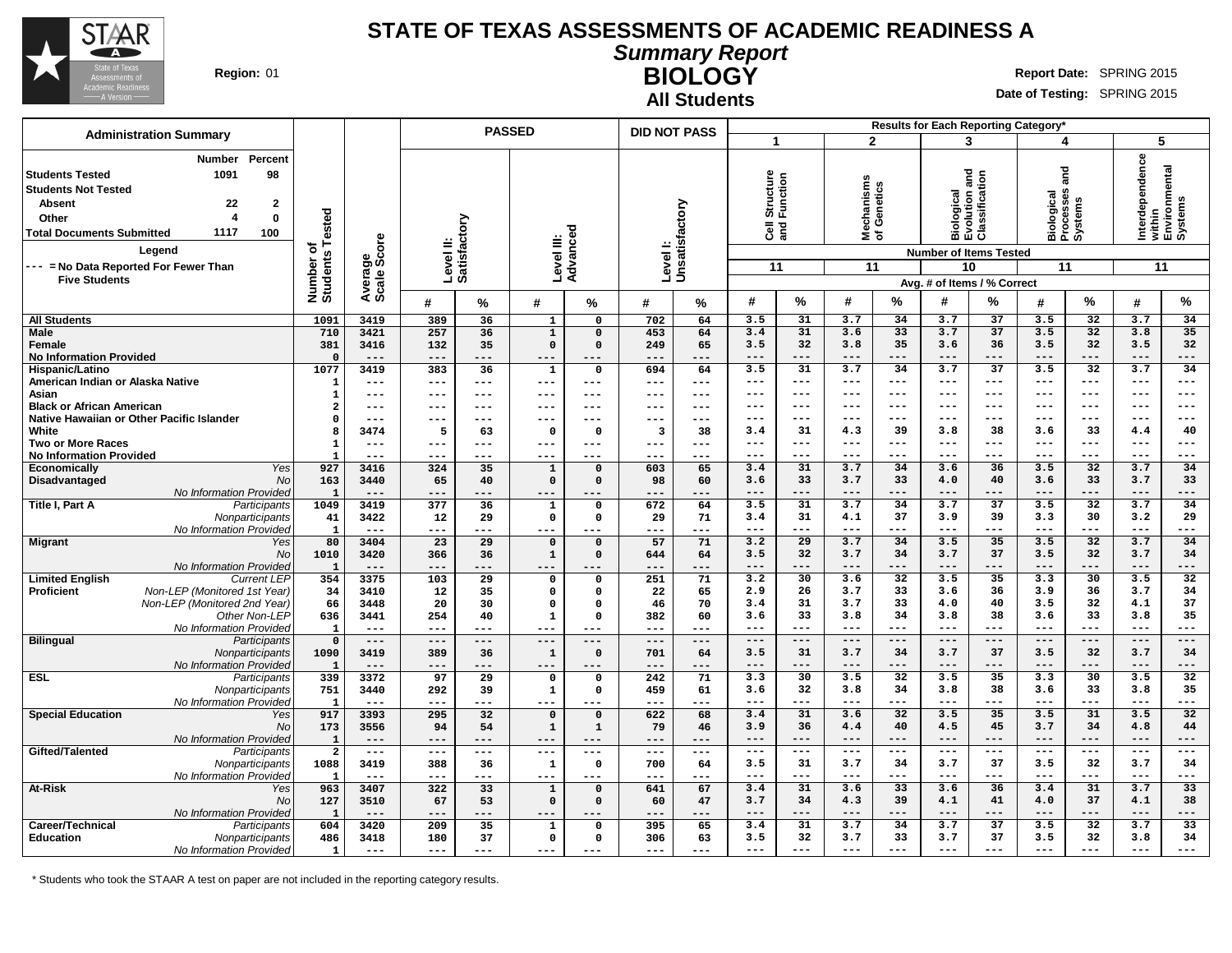

**All Students**

**Summary Report**

**BIOLOGY** Region: 01 **Region:** 01 **Report** Date: SPRING 2015

**Date of Testing:** SPRING 2015

|                                                                                                                                                                                                                                                                                                               |                                       |                                |                           |                 | <b>PASSED</b>              |                            | <b>DID NOT PASS</b>       |                 |                                               |                          |                                       |              |                                                              | Results for Each Reporting Category*                         |                                                 |                     |                                                             |                        |
|---------------------------------------------------------------------------------------------------------------------------------------------------------------------------------------------------------------------------------------------------------------------------------------------------------------|---------------------------------------|--------------------------------|---------------------------|-----------------|----------------------------|----------------------------|---------------------------|-----------------|-----------------------------------------------|--------------------------|---------------------------------------|--------------|--------------------------------------------------------------|--------------------------------------------------------------|-------------------------------------------------|---------------------|-------------------------------------------------------------|------------------------|
| <b>Administration Summary</b>                                                                                                                                                                                                                                                                                 |                                       |                                |                           |                 |                            |                            |                           |                 | 1                                             |                          | $\overline{2}$                        |              | 3                                                            |                                                              | 4                                               |                     | 5                                                           |                        |
| Percent<br><b>Number</b><br>1091<br>98<br><b>Students Tested</b><br><b>Students Not Tested</b><br><b>Absent</b><br>22<br>$\mathbf{2}$<br>$\overline{a}$<br>$\mathbf 0$<br>Other<br>1117<br>100<br><b>Total Documents Submitted</b><br>Legend<br>--- = No Data Reported For Fewer Than<br><b>Five Students</b> | Tested<br>٥ť<br>Number of<br>Students | ige<br>Score<br>Avera<br>Scale | Level II:<br>Satisfactory |                 | Level III:                 | Advance                    | Levell:<br>Unsatisfactory |                 | Structure<br>Function<br>$\overline{3}$<br>11 |                          | lechanisms<br>f Genetics<br>≊ັ້<br>11 |              | <b>Biological<br/>Evolution and<br/>Classification</b><br>10 | <b>Number of Items Tested</b><br>Avg. # of Items / % Correct | and<br>Biological<br>Processes<br>Systems<br>11 |                     | Interdependence<br>within<br>Environmental<br>Systems<br>11 |                        |
|                                                                                                                                                                                                                                                                                                               |                                       |                                | #                         | $\%$            | #                          | %                          | #                         | %               | #                                             | %                        | #                                     | %            | #                                                            | %                                                            | #                                               | %                   | #                                                           | %                      |
| <b>All Students</b>                                                                                                                                                                                                                                                                                           | 1091                                  | 3419                           | 389                       | 36              | $\mathbf{1}$               | 0                          | 702                       | 64              | 3.5                                           | 31                       | 3.7                                   | 34           | 3.7                                                          | 37                                                           | 3.5                                             | 32                  | 3.7                                                         | 34                     |
| <b>Male</b>                                                                                                                                                                                                                                                                                                   | 710                                   | 3421                           | 257                       | 36              | $\mathbf{1}$               | $\Omega$                   | 453                       | 64              | 3.4                                           | 31                       | 3.6                                   | 33           | 3.7                                                          | 37                                                           | 3.5                                             | 32                  | 3.8                                                         | 35                     |
| <b>Female</b>                                                                                                                                                                                                                                                                                                 | 381                                   | 3416                           | 132                       | 35              | $\Omega$                   | $\Omega$                   | 249                       | 65              | 3.5                                           | 32                       | 3.8                                   | 35           | 3.6                                                          | 36                                                           | 3.5                                             | 32                  | 3.5                                                         | 32                     |
| <b>No Information Provided</b>                                                                                                                                                                                                                                                                                | $\Omega$<br>1077                      | $---$<br>3419                  | $---$<br>383              | ---<br>36       | $---$<br>$\mathbf{1}$      | ---<br>$\mathbf 0$         | ---<br>694                | ---<br>64       | $---$<br>3.5                                  | ---<br>31                | $- - -$<br>3.7                        | ---<br>34    | $---$<br>3.7                                                 | ---<br>$\overline{37}$                                       | $---$<br>3.5                                    | ---<br>32           | $---$<br>3.7                                                | ---<br>34              |
| Hispanic/Latino<br>American Indian or Alaska Native                                                                                                                                                                                                                                                           | 1                                     | $---$                          | $---$                     | ---             | $---$                      | ---                        | $---$                     | $---$           | $---$                                         | ---                      | $- - -$                               | ---          | $- - -$                                                      | ---                                                          | $---$                                           | $---$               | $---$                                                       | ---                    |
| Asian                                                                                                                                                                                                                                                                                                         | 1                                     | ---                            | ---                       | ---             | $---$                      | ---                        | ---                       | $---$           | $---$                                         | $---$                    | $---$                                 | $---$        | $- - -$                                                      | $---$                                                        | $---$                                           | $---$               | $---$                                                       | $---$                  |
| <b>Black or African American</b>                                                                                                                                                                                                                                                                              | $\overline{2}$                        | ---                            | ---                       | ---             | $- - -$                    | ---                        | ---                       | $---$           | $- - -$                                       | ---                      | $- - -$                               | $---$        | $- - -$                                                      | $---$                                                        | $---$                                           | $---$               | $---$                                                       | $---$                  |
| Native Hawaiian or Other Pacific Islander                                                                                                                                                                                                                                                                     | $\Omega$                              | $---$                          | ---                       | ---             | $---$                      | ---                        | ---                       | ---             | $--$                                          | ---                      | $--$                                  | ---          | $---$                                                        | ---                                                          | $---$                                           | $---$               | $---$                                                       | ---                    |
| White                                                                                                                                                                                                                                                                                                         | 8                                     | 3474                           | 5                         | 63              | $\mathbf{o}$               | 0                          | 3                         | 38              | 3.4                                           | 31                       | 4.3                                   | 39           | 3.8                                                          | 38                                                           | 3.6                                             | 33                  | 4.4                                                         | 40                     |
| Two or More Races                                                                                                                                                                                                                                                                                             | 1                                     | $--$<br>$- - -$                | ---<br>$---$              | ---<br>---      | $---$<br>$- - -$           | ---<br>---                 | ---<br>$---$              | $--$<br>$- - -$ | $---$<br>$- - -$                              | $---$<br>---             | $---$<br>$- - -$                      | $---$<br>--- | $- - -$<br>$- - -$                                           | $---$<br>---                                                 | $---$<br>$---$                                  | $---$<br>$- - -$    | $---$<br>$---$                                              | $---$<br>---           |
| <b>No Information Provided</b><br>Yes<br>Economically                                                                                                                                                                                                                                                         | 927                                   | 3416                           | 324                       | 35              | $\mathbf 1$                | $\mathbf 0$                | 603                       | 65              | 3.4                                           | 31                       | 3.7                                   | 34           | 3.6                                                          | 36                                                           | 3.5                                             | 32                  | 3.7                                                         | 34                     |
| Disadvantaged<br><b>No</b>                                                                                                                                                                                                                                                                                    | 163                                   | 3440                           | 65                        | 40              | $\mathbf 0$                | $\Omega$                   | 98                        | 60              | 3.6                                           | 33                       | 3.7                                   | 33           | 4.0                                                          | 40                                                           | 3.6                                             | 33                  | 3.7                                                         | 33                     |
| No Information Provided                                                                                                                                                                                                                                                                                       | $\mathbf{1}$                          | $---$                          | ---                       | ---             | $---$                      |                            | ---                       | ---             | $---$                                         | $---$                    | $---$                                 | $---$        | $---$                                                        | ---                                                          | $---$                                           | ---                 | $---$                                                       | ---                    |
| Title I, Part A<br>Participants                                                                                                                                                                                                                                                                               | 1049                                  | 3419                           | 377                       | 36              | $\mathbf{1}$               | $\mathbf 0$                | 672                       | 64              | 3.5                                           | 31                       | 3.7                                   | 34           | 3.7                                                          | 37                                                           | 3.5                                             | 32                  | 3.7                                                         | 34                     |
| Nonparticipants                                                                                                                                                                                                                                                                                               | 41                                    | 3422                           | 12                        | 29              | $\mathbf 0$                | 0                          | 29                        | 71              | 3.4                                           | 31                       | 4.1                                   | 37           | 3.9                                                          | 39                                                           | 3.3                                             | 30                  | 3.2                                                         | 29                     |
| No Information Provided<br><b>Migrant</b><br>Yes                                                                                                                                                                                                                                                              | $\mathbf{1}$<br>80                    | $---$<br>3404                  | $---$<br>23               | ---<br>29       | $---$<br>$\mathbf 0$       | ---<br>$\Omega$            | ---<br>57                 | $---$<br>71     | $\qquad \qquad -$<br>3.2                      | $---$<br>$\overline{29}$ | $\qquad \qquad - -$<br>3.7            | $---$<br>34  | $  -$<br>3.5                                                 | ---<br>35                                                    | $- -$<br>3.5                                    | ---<br>32           | $- -$<br>3.7                                                | ---<br>34              |
| No                                                                                                                                                                                                                                                                                                            | 1010                                  | 3420                           | 366                       | 36              | $\mathbf 1$                | $\Omega$                   | 644                       | 64              | 3.5                                           | 32                       | 3.7                                   | 34           | 3.7                                                          | 37                                                           | 3.5                                             | 32                  | 3.7                                                         | 34                     |
| No Information Provided                                                                                                                                                                                                                                                                                       | $\mathbf{1}$                          | $---$                          | $---$                     | ---             | $---$                      |                            | ---                       | ---             | $---$                                         | $---$                    | $---$                                 | $---$        | $---$                                                        | ---                                                          | $---$                                           | ---                 | $---$                                                       | ---                    |
| <b>Limited English</b><br><b>Current LEP</b>                                                                                                                                                                                                                                                                  | 354                                   | 3375                           | 103                       | 29              | $\mathbf 0$                | $\Omega$                   | 251                       | 71              | 3.2                                           | 30                       | 3.6                                   | 32           | 3.5                                                          | $\overline{35}$                                              | 3.3                                             | $\overline{30}$     | 3.5                                                         | 32                     |
| Non-LEP (Monitored 1st Year)<br><b>Proficient</b>                                                                                                                                                                                                                                                             | 34                                    | 3410                           | 12                        | 35              | $\mathbf{o}$               | 0                          | 22                        | 65              | 2.9                                           | 26                       | 3.7                                   | 33           | 3.6                                                          | 36                                                           | 3.9                                             | 36                  | 3.7                                                         | 34                     |
| Non-LEP (Monitored 2nd Year)                                                                                                                                                                                                                                                                                  | 66                                    | 3448                           | 20                        | 30              | $\mathbf 0$                | $\Omega$                   | 46                        | 70              | 3.4                                           | 31<br>33                 | 3.7                                   | 33           | 4.0                                                          | 40<br>38                                                     | 3.5                                             | 32<br>33            | 4.1                                                         | 37<br>35               |
| Other Non-LEP<br>No Information Provided                                                                                                                                                                                                                                                                      | 636<br>$\mathbf{1}$                   | 3441<br>$---$                  | 254<br>$---$              | 40<br>---       | $\mathbf{1}$<br>$---$      | $\Omega$<br>---            | 382<br>---                | 60<br>$\cdots$  | 3.6<br>$---$                                  | $---$                    | 3.8<br>$- - -$                        | 34<br>---    | 3.8<br>$---$                                                 | ---                                                          | 3.6<br>$---$                                    | $---$               | 3.8<br>$\qquad \qquad - -$                                  | ---                    |
| <b>Bilingual</b><br>Participants                                                                                                                                                                                                                                                                              | $\Omega$                              | $---$                          | $---$                     | $---$           | $---$                      | ---                        | $---$                     | $---$           | $--$                                          | $---$                    | $--$                                  | $---$        | $--$                                                         | $---$                                                        | $---$                                           | $\qquad \qquad - -$ | $---$                                                       | $\qquad \qquad - -$    |
| Nonparticipants                                                                                                                                                                                                                                                                                               | 1090                                  | 3419                           | 389                       | 36              | $\mathbf{1}$               | $\Omega$                   | 701                       | 64              | 3.5                                           | 31                       | 3.7                                   | 34           | 3.7                                                          | 37                                                           | 3.5                                             | 32                  | 3.7                                                         | 34                     |
| No Information Provided                                                                                                                                                                                                                                                                                       | -1                                    | $---$                          | $---$                     | ---             | $\qquad \qquad -$          | ---                        | ---                       | ---             | $---$                                         | ---                      | $---$                                 | ---          | $---$                                                        | ---                                                          | $---$                                           | ---                 | $---$                                                       | ---                    |
| <b>ESL</b><br>Participants                                                                                                                                                                                                                                                                                    | 339                                   | 3372                           | 97                        | $\overline{29}$ | $\mathbf 0$                | $\Omega$                   | 242                       | 71              | 3.3                                           | $\overline{30}$          | 3.5                                   | 32           | 3.5                                                          | $\overline{35}$                                              | 3.3                                             | 30                  | 3.5                                                         | $\overline{32}$        |
| Nonparticipants                                                                                                                                                                                                                                                                                               | 751                                   | 3440                           | 292                       | 39              | $\mathbf{1}$               | 0                          | 459                       | 61              | 3.6<br>$- - -$                                | 32<br>---                | 3.8<br>$- - -$                        | 34<br>---    | 3.8<br>$- - -$                                               | 38<br>---                                                    | 3.6<br>$- - -$                                  | 33<br>---           | 3.8<br>$- - -$                                              | 35<br>---              |
| No Information Provided<br><b>Special Education</b><br>Yes                                                                                                                                                                                                                                                    | $\mathbf{1}$<br>917                   | $---$<br>3393                  | ---<br>295                | ---<br>32       | $---$<br>$\mathbf 0$       | ---<br>$\Omega$            | ---<br>622                | ---<br>68       | 3.4                                           | 31                       | 3.6                                   | 32           | 3.5                                                          | 35                                                           | 3.5                                             | 31                  | 3.5                                                         | 32                     |
| No                                                                                                                                                                                                                                                                                                            | 173                                   | 3556                           | 94                        | 54              | $\mathbf{1}$               | 1                          | 79                        | 46              | 3.9                                           | 36                       | 4.4                                   | 40           | 4.5                                                          | 45                                                           | 3.7                                             | 34                  | 4.8                                                         | 44                     |
| No Information Provided                                                                                                                                                                                                                                                                                       | 1                                     | $---$                          | $---$                     | ---             | $---$                      | ---                        | ---                       | ---             | $---$                                         | ---                      | $---$                                 | ---          | $-- -$                                                       | ---                                                          | $---$                                           | ---                 | $---$                                                       | ---                    |
| Gifted/Talented<br>Participants                                                                                                                                                                                                                                                                               | $\overline{2}$                        | $- -$                          | $\frac{1}{2}$             | $---$           | $- -$                      | ---                        | $---$                     | $- - -$         | $\qquad \qquad - -$                           | $---$                    | $\qquad \qquad - -$                   | $---$        | $\qquad \qquad - -$                                          | $\qquad \qquad - -$                                          | $\qquad \qquad - -$                             | $- - -$             | $\qquad \qquad - -$                                         | ---                    |
| Nonparticipants                                                                                                                                                                                                                                                                                               | 1088                                  | 3419                           | 388                       | 36              | $\mathbf{1}$               | 0                          | 700                       | 64              | 3.5                                           | 31                       | 3.7                                   | 34           | 3.7                                                          | 37                                                           | 3.5                                             | 32                  | 3.7                                                         | 34                     |
| No Information Provided                                                                                                                                                                                                                                                                                       | -1                                    | $---$                          | $---$                     | ---             | ---                        | ---                        | ---                       | ---             | $---$                                         | $---$                    | $---$                                 | $---$        | $- - -$                                                      | ---                                                          | $---$                                           | ---                 | $---$                                                       | ---<br>$\overline{33}$ |
| At-Risk<br>Yes<br>No                                                                                                                                                                                                                                                                                          | 963<br>127                            | 3407<br>3510                   | 322<br>67                 | 33<br>53        | $\mathbf 1$<br>$\mathbf 0$ | $\mathbf 0$<br>$\mathbf 0$ | 641<br>60                 | 67<br>47        | 3.4<br>3.7                                    | 31<br>34                 | 3.6<br>4.3                            | 33<br>39     | 3.6<br>4.1                                                   | 36<br>41                                                     | 3.4<br>4.0                                      | 31<br>37            | 3.7<br>4.1                                                  | 38                     |
| No Information Provided                                                                                                                                                                                                                                                                                       | -1                                    | $---$                          | $---$                     | ---             | $---$                      | ---                        | ---                       | ---             | $---$                                         | ---                      | $---$                                 | ---          | $- - -$                                                      | ---                                                          | $---$                                           | ---                 | $---$                                                       | ---                    |
| Career/Technical<br>Participants                                                                                                                                                                                                                                                                              | 604                                   | 3420                           | 209                       | 35              | ${\bf 1}$                  | 0                          | 395                       | 65              | 3.4                                           | 31                       | 3.7                                   | 34           | 3.7                                                          | 37                                                           | 3.5                                             | 32                  | 3.7                                                         | 33                     |
| <b>Education</b><br>Nonparticipants                                                                                                                                                                                                                                                                           | 486                                   | 3418                           | 180                       | 37              | $\mathbf 0$                | 0                          | 306                       | 63              | 3.5                                           | 32                       | 3.7                                   | 33           | 3.7                                                          | 37                                                           | 3.5                                             | 32                  | 3.8                                                         | 34                     |
| No Information Provided                                                                                                                                                                                                                                                                                       | $\mathbf{1}$                          | $---$                          | $---$                     | ---             | ---                        |                            | $---$                     | $---$           | $- - -$                                       | ---                      | $- - -$                               | ---          | $---$                                                        | ---                                                          | $---$                                           | ---                 | $- - -$                                                     | ---                    |

\* Students who took the STAAR A test on paper are not included in the reporting category results.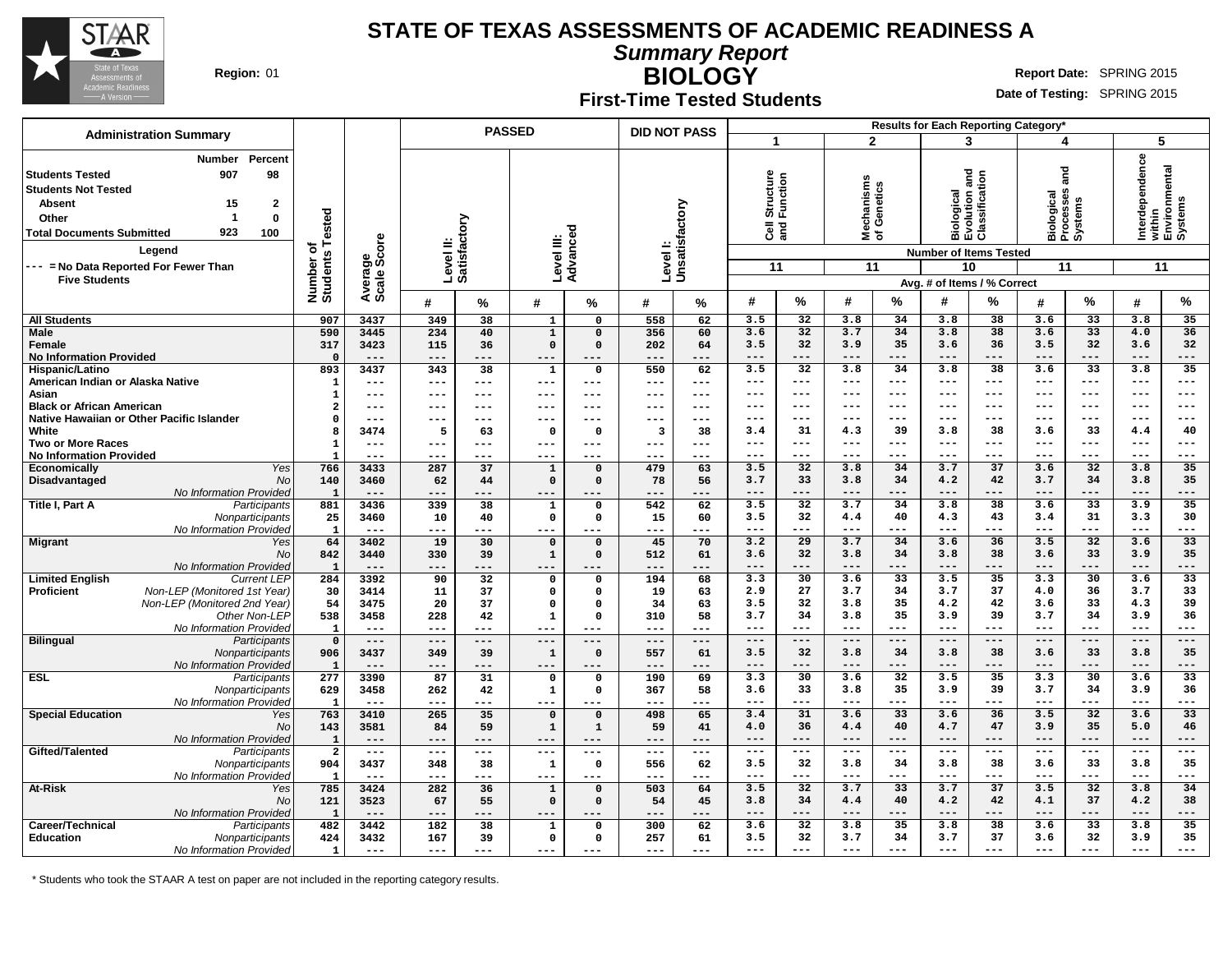

**Summary Report**

**BIOLOGY** Region: 01 **Region:** 01 **Report** Date: SPRING 2015

### **First-Time Tested Students**

**Date of Testing:** SPRING 2015

|                                                                                                                                                                                                                                                                           |                     |                                              |                     |                 | <b>PASSED</b>        |                           | <b>DID NOT PASS</b>    |               |                   |                 |                                               |                 |                                        | Results for Each Reporting Category* |                |                                                                                                                     |                                                 |                 |                                                             |  |
|---------------------------------------------------------------------------------------------------------------------------------------------------------------------------------------------------------------------------------------------------------------------------|---------------------|----------------------------------------------|---------------------|-----------------|----------------------|---------------------------|------------------------|---------------|-------------------|-----------------|-----------------------------------------------|-----------------|----------------------------------------|--------------------------------------|----------------|---------------------------------------------------------------------------------------------------------------------|-------------------------------------------------|-----------------|-------------------------------------------------------------|--|
| <b>Administration Summary</b>                                                                                                                                                                                                                                             |                     |                                              |                     |                 |                      |                           |                        |               | $\mathbf{1}$      |                 |                                               | $\overline{2}$  |                                        | 3                                    |                | 4                                                                                                                   |                                                 | 5               |                                                             |  |
| Percent<br><b>Number</b><br>98<br><b>Students Tested</b><br>907<br><b>Students Not Tested</b><br><b>Absent</b><br>15<br>2<br>1<br>0<br>Other<br>923<br>100<br><b>Total Documents Submitted</b><br>Legend<br>--- = No Data Reported For Fewer Than<br><b>Five Students</b> | Tested<br>৳<br>ŵ    | Average<br>Scale Score<br>Number<br>Students |                     |                 |                      | Level II:<br>Satisfactory | Level III:<br>Advanceo | ъ             | Level I:          | Unsatisfactory  | Structure<br>Function<br>$\overline{3}$<br>11 |                 | lechanisms<br>f Genetics<br>≊ঁ ਠ<br>11 |                                      |                | Biological<br>Evolution and<br>Classification<br><b>Number of Items Tested</b><br>10<br>Avg. # of Items / % Correct | ក្ត<br>Biological<br>Processes<br>Systems<br>11 |                 | Interdependence<br>within<br>Environmental<br>Systems<br>11 |  |
|                                                                                                                                                                                                                                                                           |                     |                                              | #                   | ℅               | #                    | %                         | #                      | %             | #                 | %               | #                                             | %               | #                                      | %                                    | #              | %                                                                                                                   | $\boldsymbol{\#}$                               | $\%$            |                                                             |  |
| <b>All Students</b>                                                                                                                                                                                                                                                       | 907                 | 3437                                         | 349                 | 38              | $\mathbf{1}$         | 0                         | 558                    | 62            | 3.5               | 32              | 3.8                                           | 34              | 3.8                                    | 38                                   | 3.6            | 33                                                                                                                  | 3.8                                             | 35              |                                                             |  |
| <b>Male</b>                                                                                                                                                                                                                                                               | 590                 | 3445                                         | 234                 | 40              | $\mathbf 1$          | $\Omega$                  | 356                    | 60            | 3.6               | 32              | 3.7                                           | 34              | 3.8                                    | 38                                   | 3.6            | 33                                                                                                                  | 4.0                                             | 36              |                                                             |  |
| Female                                                                                                                                                                                                                                                                    | 317                 | 3423                                         | 115                 | 36              | $\mathbf 0$          | $\mathbf 0$               | 202                    | 64            | 3.5               | 32              | 3.9                                           | 35              | 3.6                                    | 36                                   | 3.5            | 32                                                                                                                  | 3.6                                             | 32              |                                                             |  |
| <b>No Information Provided</b>                                                                                                                                                                                                                                            | $\Omega$            | $---$                                        | $---$               | $-- -$          | $---$                | ---                       | $---$                  | ---           | $---$             | ---             | $---$                                         | $---$           | ---                                    | $---$                                | $---$          | $---$                                                                                                               | $---$                                           | ---             |                                                             |  |
| Hispanic/Latino                                                                                                                                                                                                                                                           | 893                 | 3437                                         | 343                 | 38              | $\mathbf{1}$         | 0                         | 550                    | 62            | 3.5               | $\overline{32}$ | 3.8                                           | $\overline{34}$ | 3.8                                    | $\overline{38}$                      | 3.6            | $\overline{33}$                                                                                                     | 3.8                                             | $\overline{35}$ |                                                             |  |
| American Indian or Alaska Native                                                                                                                                                                                                                                          | $\mathbf{1}$        | $\qquad \qquad - -$                          | $\qquad \qquad - -$ | ---             | $\qquad \qquad - -$  | ---                       | $\qquad \qquad - -$    | ---           | $---$             | $---$           | $--$                                          | $---$           | ---                                    | $---$                                | ---            | $--$                                                                                                                | $---$                                           | ---             |                                                             |  |
| Asian                                                                                                                                                                                                                                                                     | $\mathbf{1}$        | $---$                                        | $---$               | ---             | $-- -$               | ---                       | $--$                   | ---           | $--$              | ---             | $--$                                          | $---$           | ---                                    | $--$                                 | ---            | $--$                                                                                                                | ---                                             | ---             |                                                             |  |
| <b>Black or African American</b>                                                                                                                                                                                                                                          | $\overline{2}$      | $---$                                        | $---$               | ---             | $---$                | ---                       | $---$                  | $---$         | $---$             | $---$           | $\frac{1}{2}$                                 | $---$           | ---                                    | $\qquad \qquad - -$                  | ---            | $---$                                                                                                               | $---$                                           | ---             |                                                             |  |
| Native Hawaiian or Other Pacific Islander                                                                                                                                                                                                                                 | $\Omega$            | $---$                                        | $---$               | ---             | ---                  | ---                       | $---$                  | ---           | $--$              | $--$            |                                               | $---$           |                                        | $---$                                | ---            | $- - -$                                                                                                             | $--$                                            | ---             |                                                             |  |
| White                                                                                                                                                                                                                                                                     | 8                   | 3474                                         | 5                   | 63              | $\mathbf{0}$         | $\Omega$                  | 3                      | 38            | 3.4               | 31              | 4.3                                           | 39              | 3.8                                    | 38                                   | 3.6            | 33                                                                                                                  | 4.4                                             | 40              |                                                             |  |
| <b>Two or More Races</b>                                                                                                                                                                                                                                                  | $\mathbf{1}$<br>- 1 | $---$<br>$---$                               | $---$<br>---        | ---<br>---      | $---$<br>---         | ---<br>---                | $---$<br>---           | ---<br>---    | ---<br>$---$      | $---$<br>---    | $--$<br>$---$                                 | $---$<br>$---$  | $- - -$<br>---                         | $--$<br>$---$                        | $---$<br>---   | $--$<br>$---$                                                                                                       | $---$<br>$---$                                  | ---<br>---      |                                                             |  |
| <b>No Information Provided</b><br>Yes<br>Economically                                                                                                                                                                                                                     | 766                 | 3433                                         | 287                 | 37              | $\mathbf 1$          | $\Omega$                  | 479                    | 63            | 3.5               | 32              | 3.8                                           | 34              | 3.7                                    | 37                                   | 3.6            | 32                                                                                                                  | 3.8                                             | 35              |                                                             |  |
| Disadvantaged<br>No                                                                                                                                                                                                                                                       | 140                 | 3460                                         | 62                  | 44              | $\mathbf 0$          | $\mathbf 0$               | 78                     | 56            | 3.7               | 33              | 3.8                                           | 34              | 4.2                                    | 42                                   | 3.7            | 34                                                                                                                  | 3.8                                             | 35              |                                                             |  |
| No Information Provided                                                                                                                                                                                                                                                   | $\mathbf{1}$        | $- -$                                        | ---                 | ---             | ---                  | ---                       | $- -$                  | ---           | $---$             | ---             | $---$                                         | $---$           | $---$                                  | $---$                                | $---$          | $---$                                                                                                               | $---$                                           | ---             |                                                             |  |
| Title I, Part A<br>Participants                                                                                                                                                                                                                                           | 881                 | 3436                                         | 339                 | $\overline{38}$ | $\mathbf{1}$         | 0                         | 542                    | 62            | 3.5               | 32              | 3.7                                           | 34              | 3.8                                    | 38                                   | 3.6            | 33                                                                                                                  | 3.9                                             | 35              |                                                             |  |
| Nonparticipants                                                                                                                                                                                                                                                           | 25                  | 3460                                         | 10                  | 40              | $\mathbf 0$          | $\Omega$                  | 15                     | 60            | 3.5               | 32              | 4.4                                           | 40              | 4.3                                    | 43                                   | 3.4            | 31                                                                                                                  | 3.3                                             | 30              |                                                             |  |
| No Information Provided                                                                                                                                                                                                                                                   | $\mathbf{1}$        | $---$                                        | ---                 | ---             | $---$                | ---                       | ---                    | ---           | $- - -$           | ---             | $- - -$                                       | $---$           | ---                                    | $- - -$                              | ---            | $- - -$                                                                                                             | $---$                                           | ---             |                                                             |  |
| <b>Migrant</b><br>Yes                                                                                                                                                                                                                                                     | 64                  | 3402                                         | 19                  | 30              | $\mathbf 0$          | $\Omega$                  | 45                     | 70            | 3.2               | 29              | 3.7                                           | 34              | 3.6                                    | 36                                   | 3.5            | 32                                                                                                                  | 3.6                                             | 33              |                                                             |  |
| No                                                                                                                                                                                                                                                                        | 842                 | 3440                                         | 330                 | 39              | $\mathbf{1}$         | $\mathbf 0$               | 512                    | 61            | 3.6               | 32              | 3.8                                           | 34              | 3.8                                    | 38                                   | 3.6            | 33                                                                                                                  | 3.9                                             | 35              |                                                             |  |
| No Information Provided                                                                                                                                                                                                                                                   | $\mathbf{1}$        | $---$                                        | $---$               | ---             | ---                  |                           | $---$                  | ---           | $---$             | ---             | $---$                                         | $---$           | ---                                    | $---$                                | $---$          | $---$                                                                                                               | $---$                                           | ---             |                                                             |  |
| <b>Limited English</b><br><b>Current LEP</b>                                                                                                                                                                                                                              | 284                 | 3392                                         | $\overline{90}$     | $\overline{32}$ | $\mathbf 0$          | $\Omega$                  | 194                    | 68            | 3.3               | 30              | 3.6                                           | $\overline{33}$ | 3.5                                    | 35                                   | 3.3            | $\overline{30}$                                                                                                     | 3.6                                             | 33              |                                                             |  |
| Proficient<br>Non-LEP (Monitored 1st Year)                                                                                                                                                                                                                                | 30                  | 3414                                         | 11                  | 37              | $\mathbf 0$          | $\Omega$                  | 19                     | 63            | 2.9               | 27              | 3.7                                           | 34              | 3.7                                    | 37                                   | 4.0            | 36                                                                                                                  | 3.7                                             | 33              |                                                             |  |
| Non-LEP (Monitored 2nd Year)                                                                                                                                                                                                                                              | 54                  | 3475                                         | 20                  | 37              | $\Omega$             | $\Omega$                  | 34                     | 63            | 3.5               | 32              | 3.8                                           | 35              | 4.2                                    | 42                                   | 3.6            | 33                                                                                                                  | 4.3                                             | 39              |                                                             |  |
| Other Non-LEP                                                                                                                                                                                                                                                             | 538                 | 3458                                         | 228                 | 42              | $\mathbf{1}$         | $\Omega$                  | 310                    | 58            | 3.7               | 34              | 3.8                                           | 35              | 3.9                                    | 39                                   | 3.7            | 34                                                                                                                  | 3.9                                             | 36              |                                                             |  |
| No Information Provided                                                                                                                                                                                                                                                   | $\mathbf{1}$        | $---$                                        | $---$               | ---             |                      |                           | $---$                  | ---           | $---$             | ---             | $- - -$                                       | $---$           | ---                                    | $\frac{1}{2}$                        | $---$          | $---$                                                                                                               | $---$                                           | ---             |                                                             |  |
| <b>Bilingual</b><br>Participants                                                                                                                                                                                                                                          | $\Omega$            | $---$                                        | ---                 | ---             | $---$                | ---                       | $---$                  | ---           | $---$             | ---<br>32       | $---$                                         | $---$           | ---<br>3.8                             | $---$                                | $---$          | $---$<br>33                                                                                                         | $---$                                           | ---             |                                                             |  |
| Nonparticipants<br>No Information Provided                                                                                                                                                                                                                                | 906<br>$\mathbf{1}$ | 3437<br>$---$                                | 349<br>---          | 39<br>---       | $\mathbf{1}$<br>---  | $\Omega$<br>---           | 557<br>$---$           | 61<br>---     | 3.5<br>$---$      | $- - -$         | 3.8<br>$- - -$                                | 34<br>$---$     | $---$                                  | 38<br>$---$                          | 3.6<br>$- - -$ | $- - -$                                                                                                             | 3.8<br>$- - -$                                  | 35<br>---       |                                                             |  |
| <b>ESL</b><br>Participants                                                                                                                                                                                                                                                | 277                 | 3390                                         | 87                  | 31              | $\mathbf 0$          | 0                         | 190                    | 69            | 3.3               | 30              | 3.6                                           | 32              | 3.5                                    | 35                                   | 3.3            | 30                                                                                                                  | 3.6                                             | $\overline{33}$ |                                                             |  |
| Nonparticipants                                                                                                                                                                                                                                                           | 629                 | 3458                                         | 262                 | 42              | $\mathbf 1$          | 0                         | 367                    | 58            | 3.6               | 33              | 3.8                                           | 35              | 3.9                                    | 39                                   | 3.7            | 34                                                                                                                  | 3.9                                             | 36              |                                                             |  |
| No Information Provided                                                                                                                                                                                                                                                   | $\mathbf{1}$        | $---$                                        | ---                 | ---             |                      | ---                       | ---                    | ---           | $---$             | ---             | $- - -$                                       | $---$           | $---$                                  | $- - -$                              | $---$          | $- - -$                                                                                                             | $---$                                           | ---             |                                                             |  |
| <b>Special Education</b><br>Yes                                                                                                                                                                                                                                           | 763                 | 3410                                         | 265                 | 35              | $\mathbf 0$          | $\mathbf 0$               | 498                    | 65            | 3.4               | $\overline{31}$ | 3.6                                           | $\overline{33}$ | 3.6                                    | 36                                   | 3.5            | $\overline{32}$                                                                                                     | 3.6                                             | $\overline{33}$ |                                                             |  |
| No                                                                                                                                                                                                                                                                        | 143                 | 3581                                         | 84                  | 59              | $\mathbf{1}$         | 1                         | 59                     | 41            | 4.0               | 36              | 4.4                                           | 40              | 4.7                                    | 47                                   | 3.9            | 35                                                                                                                  | 5.0                                             | 46              |                                                             |  |
| No Information Provided                                                                                                                                                                                                                                                   | $\mathbf{1}$        | $---$                                        | ---                 | ---             | $---$                | $-- -$                    | $---$                  | ---           | $- - -$           | $- - -$         | $- - -$                                       | $---$           | ---                                    | $- - -$                              | $- - -$        | $- - -$                                                                                                             | $- - -$                                         | ---             |                                                             |  |
| Gifted/Talented<br>Participants                                                                                                                                                                                                                                           | $\overline{2}$      | $\frac{1}{2}$                                | $  -$               | ---             | $\sim$ $\sim$ $\sim$ | $---$                     | $\frac{1}{2}$          | $\frac{1}{2}$ | $\qquad \qquad -$ | $---$           | $---$                                         | $---$           | ---                                    | $---$                                | $---$          | $---$                                                                                                               | $---$                                           | ---             |                                                             |  |
| Nonparticipants                                                                                                                                                                                                                                                           | 904                 | 3437                                         | 348                 | 38              | $\mathbf 1$          | $\Omega$                  | 556                    | 62            | 3.5               | 32              | 3.8                                           | 34              | 3.8                                    | 38                                   | 3.6            | 33                                                                                                                  | 3.8                                             | 35              |                                                             |  |
| No Information Provided                                                                                                                                                                                                                                                   | $\overline{1}$      | $---$                                        | $-- -$              | ---             | ---                  | ---                       | $- - -$                | ---           | $---$             | $---$           | $- - -$                                       | $- - -$         | ---                                    | $---$                                | $---$          | $- - -$                                                                                                             | $- - -$                                         | ---             |                                                             |  |
| At-Risk<br>Yes                                                                                                                                                                                                                                                            | 785                 | 3424                                         | 282                 | 36              | $\mathbf{1}$         | $\mathbf 0$               | 503                    | 64            | 3.5               | $\overline{32}$ | 3.7                                           | 33              | 3.7                                    | 37                                   | 3.5            | $\overline{32}$                                                                                                     | 3.8                                             | 34              |                                                             |  |
| No                                                                                                                                                                                                                                                                        | 121                 | 3523                                         | 67                  | 55              | $\mathbf 0$          | $\mathbf 0$               | 54                     | 45            | 3.8               | 34              | 4.4                                           | 40              | 4.2                                    | 42                                   | 4.1            | 37                                                                                                                  | 4.2                                             | 38              |                                                             |  |
| No Information Provided                                                                                                                                                                                                                                                   | $\mathbf{1}$        | $---$                                        | ---                 | ---             | ---                  | ---                       | $---$                  | ---           | $---$             | ---             | $---$                                         | $- - -$         | ---                                    | $---$                                | $---$          | $- - -$                                                                                                             | $---$                                           | ---             |                                                             |  |
| Career/Technical<br>Participants                                                                                                                                                                                                                                          | 482                 | 3442                                         | 182                 | 38              | $\mathbf{1}$         | $\Omega$                  | 300                    | 62            | 3.6               | 32              | 3.8                                           | 35              | 3.8                                    | 38                                   | 3.6            | 33                                                                                                                  | 3.8                                             | 35              |                                                             |  |
| <b>Education</b><br>Nonparticipants                                                                                                                                                                                                                                       | 424                 | 3432                                         | 167                 | 39              | $\mathbf 0$          | 0                         | 257                    | 61            | 3.5               | 32              | 3.7                                           | 34              | 3.7                                    | 37                                   | 3.6            | 32                                                                                                                  | 3.9                                             | 35              |                                                             |  |
| No Information Provided                                                                                                                                                                                                                                                   | $\mathbf{1}$        | $---$                                        | $---$               | ---             | $---$                | ---                       | $---$                  | ---           | $- - -$           | $- - -$         | $---$                                         | $- - -$         | ---                                    | $- - -$                              | $---$          | $- - -$                                                                                                             | $---$                                           | ---             |                                                             |  |

\* Students who took the STAAR A test on paper are not included in the reporting category results.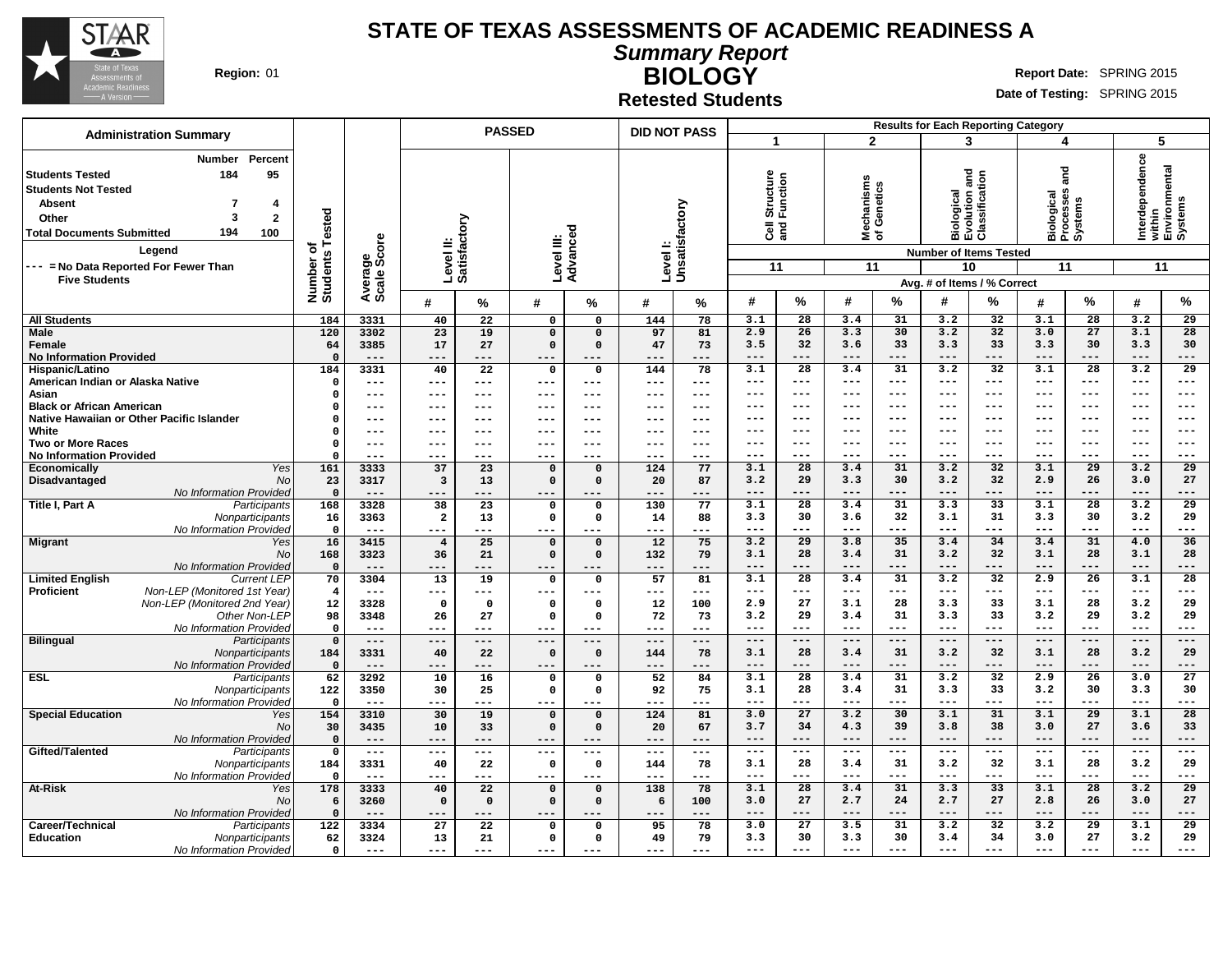

**Summary Report**

**Region:** 01 **RIGHT REPORT IN REPORT IN REPORT OF A REPORT OF REPORT OF REPORT OF REPORT OF REPORT OF REPORT OF REPORT OF REPORT OF REPORT OF REPORT OF REPORT OF REPORT OF REPORT OF REPORT OF REPORT OF REPORT OF REPORT OF** 

# **BIOLOGY Retested Students**

|                                                                                                                                            | <b>Administration Summary</b>                                                                                                    |                                     |                        |                         |                           | <b>PASSED</b>  |                | <b>DID NOT PASS</b> |                     | <b>Results for Each Reporting Category</b>    |                     |                                 |                     |                                                                                                                              |                 |                                                              |                 |                                                                   |                 |  |
|--------------------------------------------------------------------------------------------------------------------------------------------|----------------------------------------------------------------------------------------------------------------------------------|-------------------------------------|------------------------|-------------------------|---------------------------|----------------|----------------|---------------------|---------------------|-----------------------------------------------|---------------------|---------------------------------|---------------------|------------------------------------------------------------------------------------------------------------------------------|-----------------|--------------------------------------------------------------|-----------------|-------------------------------------------------------------------|-----------------|--|
|                                                                                                                                            |                                                                                                                                  |                                     |                        |                         |                           |                |                |                     |                     |                                               |                     | $\overline{2}$                  |                     |                                                                                                                              | 3               |                                                              | 4               | 5                                                                 |                 |  |
| <b>Students Tested</b><br><b>Students Not Tested</b><br><b>Absent</b><br>Other<br><b>Total Documents Submitted</b><br><b>Five Students</b> | Percent<br><b>Number</b><br>95<br>184<br>4<br>$\mathbf{2}$<br>3<br>194<br>100<br>Leaend<br>--- = No Data Reported For Fewer Than | Tested<br>৳<br>Number o<br>Students | Average<br>Scale Score |                         | Level II:<br>Satisfactory | Level III:     | ਠ<br>Advance   | Levell:             | Unsatisfactory      | Structure<br>Function<br>$\overline{3}$<br>11 |                     | Mechanisms<br>of Genetics<br>11 |                     | <b>Biological<br/>Evolution and<br/>Classification</b><br><b>Number of Items Tested</b><br>10<br>Avg. # of Items / % Correct |                 | ng<br>ang<br>ses<br>Biological<br>Processes<br>Systems<br>11 |                 | Interdependence<br>  within<br>  Environmental<br>  Systems<br>11 |                 |  |
|                                                                                                                                            |                                                                                                                                  |                                     |                        | #                       | %                         | #              | %              | #                   | %                   | #                                             | %                   | #                               | %                   | #                                                                                                                            | ℅               | #                                                            | %               | #                                                                 | %               |  |
| <b>All Students</b>                                                                                                                        |                                                                                                                                  | 184                                 | 3331                   | 40                      | 22                        | $\overline{0}$ | $\overline{0}$ | 144                 | 78                  | 3.1                                           | $\overline{28}$     | 3.4                             | 31                  | 3.2                                                                                                                          | 32              | 3.1                                                          | 28              | 3.2                                                               | 29              |  |
| <b>Male</b>                                                                                                                                |                                                                                                                                  | 120                                 | 3302                   | 23                      | 19                        | $\overline{0}$ | $\mathbf 0$    | 97                  | 81                  | 2.9                                           | $\overline{26}$     | 3.3                             | 30                  | 3.2                                                                                                                          | $\overline{32}$ | 3.0                                                          | 27              | 3.1                                                               | 28              |  |
| <b>Female</b>                                                                                                                              |                                                                                                                                  | 64                                  | 3385                   | 17                      | 27                        | $\mathbf 0$    | $\Omega$       | 47                  | 73                  | 3.5                                           | 32                  | 3.6                             | 33                  | 3.3                                                                                                                          | 33              | 3.3                                                          | 30              | 3.3                                                               | 30              |  |
| <b>No Information Provided</b>                                                                                                             |                                                                                                                                  | $\Omega$                            | $---$                  | $---$                   | $---$                     | $---$          | $---$          | $- - -$             | $---$               | $---$                                         | $---$               | $---$                           | $---$               | $---$                                                                                                                        | $---$           | $---$                                                        | $---$           | $---$                                                             | ---             |  |
| Hispanic/Latino                                                                                                                            |                                                                                                                                  | 184                                 | 3331                   | 40                      | $\overline{22}$           | $\mathsf{o}$   | $\mathbf 0$    | 144                 | 78                  | 3.1                                           | $\overline{28}$     | 3.4                             | 31                  | 3.2                                                                                                                          | 32              | 3.1                                                          | $\overline{28}$ | 3.2                                                               | $\overline{29}$ |  |
| American Indian or Alaska Native                                                                                                           |                                                                                                                                  | $\Omega$                            | ---                    | $---$                   | $---$                     | $---$          | $---$          | $---$               | $---$               | $---$                                         | $---$               | ---                             | $\qquad \qquad - -$ | $--$                                                                                                                         | $---$           | $\frac{1}{2}$                                                | $--$            | $\qquad \qquad - -$                                               | ---             |  |
| Asian                                                                                                                                      |                                                                                                                                  | $\Omega$                            | ---                    | $--$                    | ---                       | $---$          | ---            | $---$               | $--$                | ---                                           | $---$               | ---                             | $---$               | ---                                                                                                                          | $---$           | $---$                                                        | $--$            | $---$                                                             | ---             |  |
| <b>Black or African American</b>                                                                                                           |                                                                                                                                  | $\Omega$                            | ---                    | $- - -$                 | ---                       | $- - -$        | ---            | $- - -$             | $---$               | $---$                                         | $---$               | ---                             | $---$               | ---                                                                                                                          | $---$           | $---$                                                        | ---             | $---$                                                             | ---             |  |
|                                                                                                                                            | Native Hawaiian or Other Pacific Islander                                                                                        | $\Omega$                            | ---                    | $- - -$                 | $---$                     | $--$           | ---            | $---$               | $--$                | ---                                           | $---$               | ---                             | $---$               | ---                                                                                                                          | $--$            | $- - -$                                                      | ---             | $---$                                                             | $--$            |  |
| White                                                                                                                                      |                                                                                                                                  | $\Omega$                            | ---                    | $- - -$                 | $---$                     | $- - -$        | ---            | $---$               | $---$               | ---                                           | $---$               | $- - -$                         | $- - -$             | ---                                                                                                                          | $---$           | $---$                                                        | ---             | $---$                                                             | $---$           |  |
| <b>Two or More Races</b>                                                                                                                   |                                                                                                                                  | $\Omega$                            | ---                    | $--$                    | ---                       | $--$           | ---            | $---$               | $--$                | ---                                           | $---$               | ---                             | $---$               | ---                                                                                                                          | $---$           | $---$                                                        | $---$           | $---$                                                             | $---$           |  |
| <b>No Information Provided</b>                                                                                                             |                                                                                                                                  | $\Omega$                            | ---                    | ---                     | ---                       | $--$           | ---            | $- - -$             | ---                 | ---                                           | $- - -$             | ---                             | $- - -$             | ---                                                                                                                          | $---$           | $--$                                                         | $---$           | $---$                                                             | ---             |  |
| <b>Economically</b>                                                                                                                        | <b>Yes</b>                                                                                                                       | 161                                 | 3333                   | 37                      | $\overline{23}$           | $\mathbf 0$    | $\Omega$       | 124                 | 77                  | 3.1                                           | $\overline{28}$     | 3.4                             | 31                  | 3.2                                                                                                                          | 32              | 3.1                                                          | $\overline{29}$ | 3.2                                                               | 29              |  |
| Disadvantaged                                                                                                                              | <b>No</b>                                                                                                                        | 23                                  | 3317                   | $\overline{\mathbf{3}}$ | 13                        | $\Omega$       | $\Omega$       | 20                  | 87                  | 3.2                                           | 29                  | 3.3                             | 30                  | 3.2                                                                                                                          | 32              | 2.9                                                          | 26              | 3.0                                                               | 27              |  |
|                                                                                                                                            | No Information Provided                                                                                                          | $\Omega$                            |                        |                         |                           |                |                |                     | ---                 | $- - -$                                       | $---$               | ---                             | ---                 | $- - -$                                                                                                                      | $- - -$         | $- - -$                                                      | $- - -$         | $- - -$                                                           | ---             |  |
| Title I, Part A                                                                                                                            | Participants                                                                                                                     | 168                                 | 3328                   | 38                      | 23                        | $\mathbf 0$    | $\mathbf 0$    | 130                 | 77                  | 3.1                                           | 28                  | 3.4                             | 31                  | 3.3                                                                                                                          | 33              | 3.1                                                          | 28              | 3.2                                                               | $\overline{29}$ |  |
|                                                                                                                                            | Nonparticipants                                                                                                                  | 16                                  | 3363                   | $\overline{a}$          | 13                        | $\mathbf 0$    | 0              | 14                  | 88                  | 3.3                                           | 30                  | 3.6                             | 32                  | 3.1                                                                                                                          | 31              | 3.3                                                          | 30              | 3.2                                                               | 29              |  |
|                                                                                                                                            | No Information Provided                                                                                                          | $\Omega$                            | $---$                  | $---$                   | ---                       | $---$          |                | $---$               | ---                 | $---$                                         | $---$               | ---                             | ---                 | $--$                                                                                                                         | $---$           | $---$                                                        | $--$            | $---$                                                             | ---             |  |
| <b>Migrant</b>                                                                                                                             | Yes                                                                                                                              | 16                                  | 3415                   | $\overline{4}$          | $\overline{25}$           | $\mathbf 0$    | $\Omega$       | $\overline{12}$     | 75                  | 3.2                                           | $\overline{29}$     | 3.8                             | 35                  | 3.4                                                                                                                          | 34              | 3.4                                                          | 31              | 4.0                                                               | 36              |  |
|                                                                                                                                            | <b>No</b>                                                                                                                        | 168                                 | 3323                   | 36                      | 21                        | $\mathbf 0$    | $\Omega$       | 132                 | 79                  | 3.1                                           | 28                  | 3.4                             | 31                  | 3.2                                                                                                                          | 32              | 3.1                                                          | 28              | 3.1                                                               | 28              |  |
|                                                                                                                                            | <b>No Information Provided</b>                                                                                                   | $\Omega$                            | $---$                  |                         |                           | ---            |                | ---                 | ---                 | $---$                                         | $---$               | ---                             | ---                 | $---$                                                                                                                        | $---$           | $---$                                                        | $---$           | $---$                                                             | ---             |  |
| <b>Limited English</b>                                                                                                                     | <b>Current LEP</b>                                                                                                               | 70                                  | 3304                   | $\overline{13}$         | $\overline{19}$           | $\mathbf 0$    | $\mathbf 0$    | $\overline{57}$     | 81                  | 3.1                                           | $\overline{28}$     | 3.4                             | $\overline{31}$     | 3.2                                                                                                                          | $\overline{32}$ | 2.9                                                          | 26              | 3.1                                                               | $\overline{28}$ |  |
| <b>Proficient</b>                                                                                                                          | Non-LEP (Monitored 1st Year)                                                                                                     | $\overline{4}$                      | $---$                  | ---                     | ---                       | $---$          | ---            | ---                 | $\qquad \qquad - -$ | $---$                                         | $---$               | ---                             | ---                 | ---                                                                                                                          | $---$           | $---$                                                        | $--$            | $---$                                                             | ---             |  |
|                                                                                                                                            | Non-LEP (Monitored 2nd Year)                                                                                                     | 12                                  | 3328                   | $\mathbf 0$             | $\mathbf 0$               | $\mathbf 0$    | $\Omega$       | 12                  | 100                 | 2.9                                           | 27                  | 3.1                             | 28                  | 3.3                                                                                                                          | 33              | 3.1                                                          | 28              | 3.2                                                               | 29              |  |
|                                                                                                                                            | Other Non-LEP                                                                                                                    | 98                                  | 3348                   | 26                      | 27                        | $\mathbf 0$    | $\Omega$       | 72                  | 73                  | 3.2                                           | 29                  | 3.4                             | 31                  | 3.3                                                                                                                          | 33              | 3.2                                                          | 29              | 3.2                                                               | 29              |  |
|                                                                                                                                            | No Information Provided                                                                                                          | $\mathbf 0$                         | $---$                  | $---$                   | ---                       | $---$          | ---            | $---$               | $---$               | $---$                                         | $---$               | $---$                           | $---$               | $---$                                                                                                                        | $---$           | $---$                                                        | $---$           | $---$                                                             | ---             |  |
| <b>Bilingual</b>                                                                                                                           | Participants                                                                                                                     | $\Omega$                            | $---$                  | $---$                   | ---                       | $---$          | $---$          | $---$               | $\qquad \qquad -$   | $---$                                         | $\qquad \qquad - -$ | $---$                           | $---$               | $- -$                                                                                                                        | $---$           | $---$                                                        | $---$           | $---$                                                             | $---$           |  |
|                                                                                                                                            | Nonparticipants                                                                                                                  | 184                                 | 3331                   | 40                      | 22                        | $\mathbf 0$    | $\Omega$       | 144                 | 78                  | 3.1                                           | 28                  | 3.4                             | 31                  | 3.2                                                                                                                          | 32              | 3.1                                                          | 28              | 3.2                                                               | 29              |  |
|                                                                                                                                            | No Information Provided                                                                                                          | $\Omega$                            | $---$                  | ---                     | ---                       | $---$          | ---            | ---                 | ---                 | ---                                           | ---                 | ---                             | ---                 |                                                                                                                              | ---             |                                                              | ---             | $---$                                                             | ---             |  |
| <b>ESL</b>                                                                                                                                 | Participants                                                                                                                     | 62                                  | 3292                   | 10                      | 16                        | $\mathbf 0$    | $\Omega$       | 52                  | 84                  | 3.1                                           | $\overline{28}$     | 3.4                             | $\overline{31}$     | 3.2                                                                                                                          | $\overline{32}$ | 2.9                                                          | 26              | 3.0                                                               | $\overline{27}$ |  |
|                                                                                                                                            | Nonparticipants                                                                                                                  | 122                                 | 3350                   | 30                      | 25                        | $\mathbf 0$    | 0              | 92                  | 75                  | 3.1                                           | 28                  | 3.4                             | 31                  | 3.3                                                                                                                          | 33              | 3.2                                                          | 30              | 3.3                                                               | 30              |  |
|                                                                                                                                            | No Information Provided                                                                                                          | $\Omega$                            | $- - -$                |                         | ---                       | $- - -$        |                | ---                 | ---                 | $---$                                         | $\qquad \qquad - -$ | $---$                           | $---$               | $---$                                                                                                                        | $---$           | $---$                                                        | $---$           | $---$                                                             | ---             |  |
| <b>Special Education</b>                                                                                                                   | Yes                                                                                                                              | 154                                 | 3310                   | 30                      | 19                        | $\mathbf 0$    | $\mathbf 0$    | 124                 | 81                  | 3.0                                           | 27                  | 3.2                             | 30                  | 3.1                                                                                                                          | 31              | 3.1                                                          | 29              | 3.1                                                               | 28              |  |
|                                                                                                                                            | <b>No</b>                                                                                                                        | 30                                  | 3435                   | 10                      | 33                        | $\mathbf 0$    | $\Omega$       | 20                  | 67                  | 3.7                                           | 34                  | 4.3                             | 39                  | 3.8                                                                                                                          | 38              | 3.0                                                          | 27              | 3.6                                                               | 33              |  |
|                                                                                                                                            | No Information Provided                                                                                                          | $\Omega$                            | $---$                  | $--$                    | ---                       | $---$          | $---$          | $---$               | $---$               | $---$                                         | $---$               | ---                             | $---$               | $---$                                                                                                                        | $---$           | $---$                                                        | $---$           | $---$                                                             | ---             |  |
| Gifted/Talented                                                                                                                            | Participants                                                                                                                     | $\Omega$                            | $---$                  | $\qquad \qquad -$       | ---                       | $---$          | $---$          | $---$               | $- - -$             | $---$                                         | $---$               | $- - -$                         | $---$               | $---$                                                                                                                        | $---$           | $---$                                                        | $---$           | $---$                                                             | ---             |  |
|                                                                                                                                            | Nonparticipants                                                                                                                  | 184                                 | 3331                   | 40                      | 22                        | $\mathbf 0$    | $\Omega$       | 144                 | 78                  | 3.1                                           | 28                  | 3.4                             | 31                  | 3.2                                                                                                                          | 32              | 3.1                                                          | 28              | 3.2                                                               | 29              |  |
|                                                                                                                                            | No Information Provided                                                                                                          | $\Omega$                            | $- - -$                | ---                     | ---                       | $- - -$        | ---            | $- - -$             | $- - -$             | ---                                           | $---$               | ---                             | ---                 | $---$                                                                                                                        | $---$           | $---$                                                        | ---             | $---$                                                             | ---             |  |
| At-Risk                                                                                                                                    | Yes                                                                                                                              | 178                                 | 3333                   | 40                      | 22                        | $\Omega$       | $\Omega$       | 138                 | 78                  | 3.1                                           | $\overline{28}$     | 3.4                             | 31                  | 3.3                                                                                                                          | $\overline{33}$ | 3.1                                                          | $\overline{28}$ | 3.2                                                               | $\overline{29}$ |  |
|                                                                                                                                            | No                                                                                                                               | 6                                   | 3260                   | $\mathbf 0$             | $\mathbf 0$               | $\mathbf 0$    | $\Omega$       | 6                   | 100                 | 3.0                                           | 27                  | 2.7                             | 24                  | 2.7                                                                                                                          | 27              | 2.8                                                          | 26              | 3.0                                                               | 27              |  |
|                                                                                                                                            | No Information Provided                                                                                                          | $\Omega$                            | $---$                  | $- - -$                 | ---                       | $---$          | $- - -$        | $---$               | $---$               | $---$                                         | $---$               | ---                             | $---$               | $---$                                                                                                                        | $---$           | $---$                                                        | $---$           | $---$                                                             | ---             |  |
| Career/Technical                                                                                                                           | Participants                                                                                                                     | 122                                 | 3334                   | 27                      | 22                        | $\Omega$       | $\Omega$       | 95                  | 78                  | 3.0                                           | 27                  | 3.5                             | 31                  | 3.2                                                                                                                          | 32              | 3.2                                                          | 29              | 3.1                                                               | 29              |  |
| <b>Education</b>                                                                                                                           | Nonparticipants                                                                                                                  | 62                                  | 3324                   | 13                      | 21                        | $\mathbf 0$    | 0              | 49                  | 79                  | 3.3                                           | 30                  | 3.3                             | 30                  | 3.4                                                                                                                          | 34              | 3.0                                                          | 27              | 3.2                                                               | 29              |  |
|                                                                                                                                            | No Information Provided                                                                                                          | $\Omega$                            | $---$                  | $---$                   | ---                       | $---$          | $- - -$        | $---$               | ---                 | $---$                                         | $---$               | ---                             | $- - -$             | $---$                                                                                                                        | $- - -$         | $- - -$                                                      | $- - -$         | $---$                                                             | ---             |  |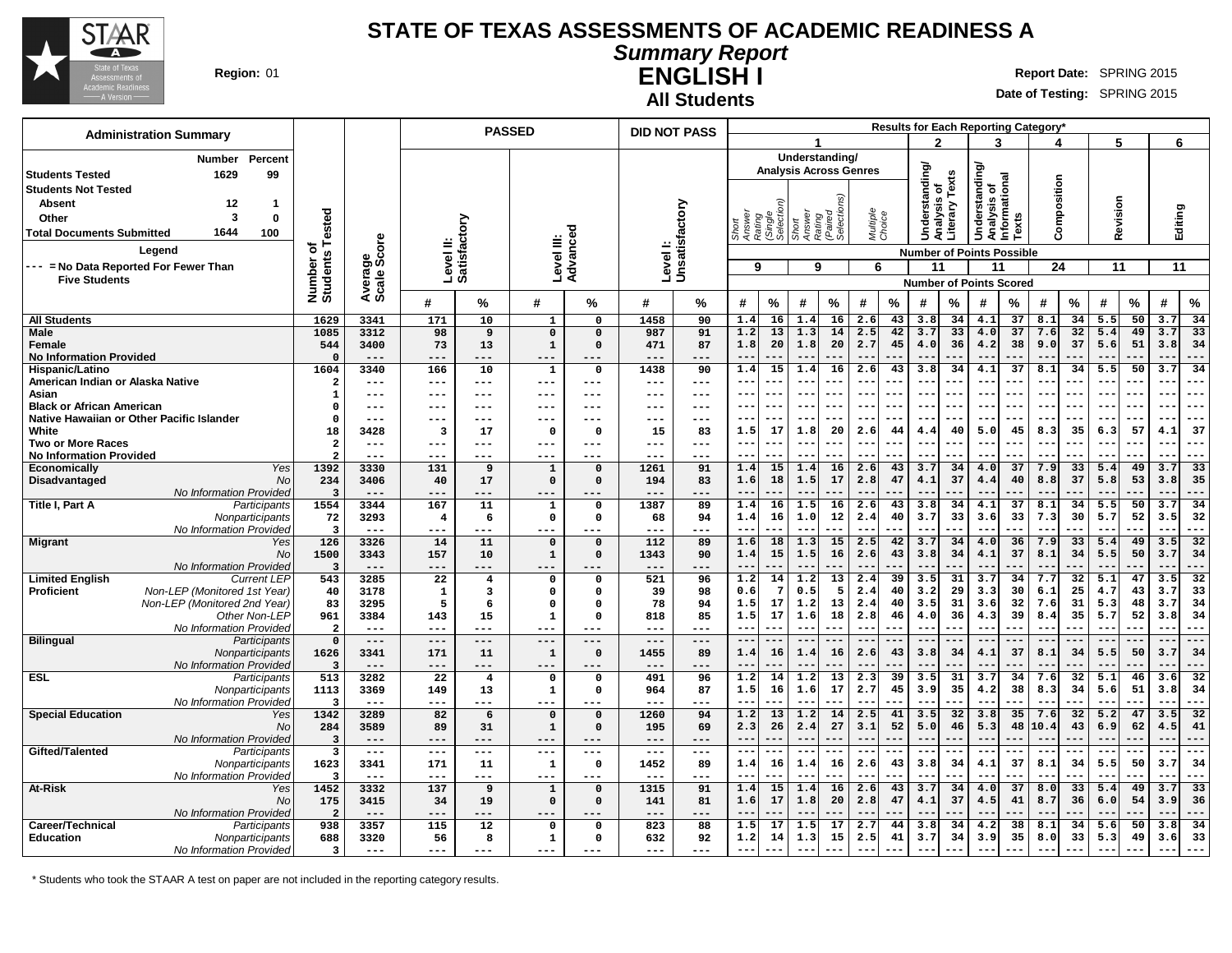

#### **STATE OF TEXAS ASSESSMENTS OF ACADEMIC READINESS A Summary Report**

# **ENGLISH I Region:** 01 **Report** Date: SPRING 2015

**All Students**

**Date of Testing:** SPRING 2015

| <b>Administration Summary</b>                                    |                                 |                     |                           |                 | <b>PASSED</b>                |                            | <b>DID NOT PASS</b> |                           |              |                                         |                                                 |                                  |                    |                 |                      |                 |                              |                                  | <b>Results for Each Reporting Category</b> |                 |                  |          |                            |                 |
|------------------------------------------------------------------|---------------------------------|---------------------|---------------------------|-----------------|------------------------------|----------------------------|---------------------|---------------------------|--------------|-----------------------------------------|-------------------------------------------------|----------------------------------|--------------------|-----------------|----------------------|-----------------|------------------------------|----------------------------------|--------------------------------------------|-----------------|------------------|----------|----------------------------|-----------------|
|                                                                  |                                 |                     |                           |                 |                              |                            |                     |                           |              |                                         |                                                 |                                  |                    |                 | 2                    |                 | 3                            |                                  |                                            |                 | 5                |          | 6                          |                 |
| Percent<br><b>Number</b><br>99<br><b>Students Tested</b><br>1629 |                                 |                     |                           |                 |                              |                            |                     |                           |              |                                         | Understanding/<br><b>Analysis Across Genres</b> |                                  |                    |                 | <b>Understanding</b> |                 | derstanding/                 |                                  |                                            |                 |                  |          |                            |                 |
| <b>Students Not Tested</b>                                       |                                 |                     |                           |                 |                              |                            |                     |                           |              |                                         |                                                 |                                  |                    |                 |                      | Texts           | Analysis of<br>Informational |                                  | Composition                                |                 |                  |          |                            |                 |
| <b>Absent</b><br>12<br>$\overline{\mathbf{1}}$                   |                                 |                     |                           |                 |                              |                            |                     |                           |              |                                         |                                                 |                                  |                    |                 | S                    |                 |                              |                                  |                                            |                 |                  |          |                            |                 |
| 3<br>Other<br>$\mathbf 0$                                        | Tested                          |                     |                           |                 |                              |                            |                     |                           |              |                                         |                                                 | Rating<br>(Paired<br>Selections) | Multiple<br>Choice |                 | Analysi              | Literary        |                              |                                  |                                            |                 | Revision         |          | Editing                    |                 |
| 1644<br>100                                                      |                                 |                     |                           |                 |                              |                            |                     |                           |              | Answer<br>Rating<br>(Single<br>Selectic | Short<br>Answer                                 |                                  |                    |                 |                      |                 |                              | Texts                            |                                            |                 |                  |          |                            |                 |
| <b>Total Documents Submitted</b>                                 |                                 |                     |                           |                 |                              |                            |                     |                           |              |                                         |                                                 |                                  |                    |                 |                      |                 | š                            |                                  |                                            |                 |                  |          |                            |                 |
| Legend                                                           | ৳                               | ge<br>Score         | Level II:<br>Satisfactory |                 | Level III:                   | Advanced                   |                     | Levell:<br>Unsatisfactory |              |                                         |                                                 |                                  |                    |                 |                      |                 |                              | <b>Number of Points Possible</b> |                                            |                 |                  |          |                            |                 |
| --- = No Data Reported For Fewer Than                            |                                 |                     |                           |                 |                              |                            |                     |                           | 9            |                                         | 9                                               |                                  | 6                  |                 | 11                   |                 | 11                           |                                  | 24                                         |                 | 11               |          | 11                         |                 |
| <b>Five Students</b>                                             |                                 | Avera<br>Scale      |                           |                 |                              |                            |                     |                           |              |                                         |                                                 |                                  |                    |                 |                      |                 |                              | <b>Number of Points Scored</b>   |                                            |                 |                  |          |                            |                 |
|                                                                  | Number of<br>Students           |                     | #                         | %               | #                            | %                          | #                   | %                         | #            | %                                       | #                                               | %                                | #                  | %               | #                    | %               | #                            | %                                | #                                          | %               | #                | $\%$     | #                          | $\%$            |
| <b>All Students</b>                                              | 1629                            | 3341                | 171                       | 10              | $\mathbf{1}$                 | $\mathbf 0$                | 1458                | 90                        | 1.4          | 16                                      | 1.4                                             | 16                               | 2.6                | 43              | 3.8                  | 34              | 4.1                          | 37                               | 8.1                                        | 34              | 5.5              | 50       | 3.7                        | 34              |
| <b>Male</b>                                                      | 1085                            | 3312                | 98                        | $\overline{9}$  | $\Omega$                     | $\Omega$                   | 987                 | 91                        | 1.2          | 13                                      | 1.3                                             | 14                               | 2.5                | 42              | 3.7                  | 33              | 4.0                          | 37                               | 7.6                                        | 32              | 5.4              | 49       | 3.7                        | 33              |
| Female                                                           | 544                             | 3400                | 73                        | 13              | $\mathbf 1$                  | $\Omega$                   | 471                 | 87                        | 1.8          | 20                                      | 1.8                                             | 20                               | 2.7                | 45              | 4.0                  | 36              | 4.2                          | 38                               | 9.0                                        | 37              | 5.6              | 51       | 3.8                        | 34              |
| <b>No Information Provided</b>                                   | $\Omega$<br>1604                | $- - -$<br>3340     | ---                       | ---<br>10       | $---$                        | ---                        | $- - -$             | ---                       |              | 15                                      | $\qquad \qquad -$<br>1.4                        |                                  | $- -$              |                 |                      | 34              | $-$<br>4.1                   | 37                               | 8.1                                        | 34              | 5.5              | 50       |                            | ---<br>34       |
| Hispanic/Latino<br>American Indian or Alaska Native              | $\overline{2}$                  | $---$               | 166<br>$---$              | ---             | 1<br>$---$                   | $\mathbf{o}$<br>---        | 1438<br>$---$       | 90<br>$-- -$              | 1.4          | $--$                                    | $- -$                                           | 16                               | 2.6<br>$- - -$     | 43<br>---       | 3.8<br>---           |                 | $- -$                        | ---                              | $- - -$                                    |                 | $--$             |          | 3.7<br>$ -$                | $- - -$         |
| Asian                                                            | 1                               | $---$               | ---                       | ---             | $--$                         | ---                        |                     | $--$                      |              |                                         | $ -$                                            |                                  | $ -$               | ---             | --                   |                 | $- -$                        |                                  |                                            |                 | $- -$            |          |                            | $- -$           |
| <b>Black or African American</b>                                 | $\Omega$                        | $---$               | ---                       | ---             | $--$                         | ---                        | ---                 | $--$                      |              |                                         | $- -$                                           |                                  | --                 | ---             | --                   |                 | $- -$                        |                                  |                                            |                 | $ -$             |          |                            | $- -$           |
| Native Hawaiian or Other Pacific Islander                        | $\mathbf 0$                     | $---$               |                           | ---             | $---$                        |                            |                     | ---                       |              |                                         | $ -$                                            |                                  | $ -$               |                 | --                   |                 | $ -$                         | ---                              | $- -$                                      |                 | $- -$            |          | $\sim$ $\sim$              | ---             |
| White                                                            | 18                              | 3428                | 3                         | 17              | $\Omega$                     | $\Omega$                   | 15                  | 83                        | 1.5          | 17                                      | 1.8                                             | 20                               | 2.6                | 44              | 4.4                  | 40              | 5.0                          | 45                               | 8.3                                        | 35              | 6.3              | 57       | 4.1                        | 37              |
| <b>Two or More Races</b>                                         | $\overline{\mathbf{2}}$         | $---$               | $---$                     | ---             | $---$                        | ---                        | $---$               | $---$                     | $- -$        | ---                                     | $- -$                                           |                                  | $- -$              | ---             | --                   |                 | $- -$                        |                                  |                                            |                 | $- -$            |          | $-$                        | $- - -$         |
| <b>No Information Provided</b>                                   | $\overline{2}$<br>1392          | $---$               | ---                       | ---             | $---$                        | ---                        | $---$<br>1261       | $---$                     |              | ---<br>15                               | $- -$                                           |                                  | --                 |                 |                      |                 | $- -$                        | 37                               |                                            | 33              |                  |          | $-$<br>3.7                 | ---<br>33       |
| Economically<br>Yes<br>Disadvantaged<br>No                       | 234                             | 3330<br>3406        | 131<br>40                 | 9<br>17         | $\mathbf{1}$<br>$\mathbf 0$  | $\Omega$<br>$\Omega$       | 194                 | 91<br>83                  | 1.4<br>1.6   | 18                                      | 1.4<br>1.5                                      | 16<br>17                         | 2.6<br>2.8         | 43<br>47        | 3.7<br>4.1           | 34<br>37        | 4.0<br>4.4                   | 40                               | 7.9<br>8.8                                 | 37              | 5.4<br>5.8       | 49<br>53 | 3.8                        | 35              |
| <b>No Information Provided</b>                                   | $\overline{3}$                  | $---$               | ---                       | ---             | $---$                        | ---                        | $---$               | ---                       | $- -$        |                                         | $- -$                                           |                                  | $- -$              | ---             | $ -$                 |                 | $-$                          |                                  |                                            |                 |                  |          | $\sim$                     | ---             |
| Title I, Part A<br>Participants                                  | 1554                            | 3344                | 167                       | 11              | $\mathbf{1}$                 | $\Omega$                   | 1387                | 89                        | 1.4          | 16                                      | 1.5                                             | 16                               | 2.6                | 43              | 3.8                  | 34              | 4.1                          | 37                               | 8.1                                        | 34              | 5.5              | 50       | 3.7                        | 34              |
| Nonparticipants                                                  | 72                              | 3293                | $\overline{\mathbf{4}}$   | 6               | $\mathbf 0$                  | $\mathbf{o}$               | 68                  | 94                        | 1.4          | 16                                      | 1.0                                             | 12                               | 2.4                | 40              | 3.7                  | 33              | 3.6                          | 33                               | 7.3                                        | 30              | 5.7              | 52       | 3.5                        | 32              |
| No Information Provided                                          | $\overline{\mathbf{3}}$         | $\qquad \qquad - -$ | ---                       | ---             | ---                          |                            | $---$               | ---                       |              |                                         | $\qquad \qquad -$                               |                                  | $- -$              | ---             | --                   |                 | $ -$                         |                                  |                                            |                 |                  |          | $ -$                       | ---             |
| <b>Migrant</b><br>Yes                                            | 126                             | 3326                | 14                        | $\overline{11}$ | $\mathbf 0$                  | $\mathbf 0$                | 112                 | 89                        | 1.6          | 18                                      | 1.3                                             | 15                               | 2.5                | 42              | 3.7                  | 34              | 4.0                          | 36                               | 7.9                                        | 33              | 5.4              | 49       | 3.5                        | 32              |
| <b>No</b><br>No Information Provided                             | 1500<br>$\overline{\mathbf{3}}$ | 3343<br>$---$       | 157<br>$---$              | 10<br>---       | $\mathbf{1}$<br>$---$        | $\Omega$<br>---            | 1343<br>$---$       | 90<br>---                 | 1.4<br>$-$   | 15                                      | 1.5<br>$- -$                                    | 16                               | 2.6                | 43              | 3.8<br>--            | 34              | 4.1<br>$\sim$                | 37                               | 8.1                                        | 34              | 5.5              | 50       | 3.7<br>$\sim$ $\sim$       | 34<br>---       |
| <b>Limited English</b><br><b>Current LEP</b>                     | $\overline{543}$                | 3285                | $\overline{22}$           | $\overline{4}$  | $\mathbf 0$                  | $\Omega$                   | 521                 | 96                        | 1.2          | 14                                      | 1.2                                             | $\overline{13}$                  | 2.4                | 39              | 3.5                  | $\overline{31}$ | $\overline{3.7}$             | 34                               | 7.7                                        | $\overline{32}$ | $\overline{5.1}$ | 47       | 3.5                        | $\overline{32}$ |
| Non-LEP (Monitored 1st Year)<br><b>Proficient</b>                | 40                              | 3178                | $\mathbf{1}$              | 3               | $\mathbf 0$                  | $\Omega$                   | 39                  | 98                        | 0.6          | $7\phantom{.0}$                         | 0.5                                             | 5                                | 2.4                | 40              | 3.2                  | 29              | 3.3                          | 30                               | 6.1                                        | 25              | 4.7              | 43       | 3.7                        | 33              |
| Non-LEP (Monitored 2nd Year)                                     | 83                              | 3295                | 5                         | 6               | $\Omega$                     | $\Omega$                   | 78                  | 94                        | 1.5          | 17                                      | 1.2                                             | 13                               | 2.4                | 40              | 3.5                  | 31              | 3.6                          | 32                               | 7.6                                        | 31              | 5.3              | 48       | 3.7                        | 34              |
| Other Non-LEP                                                    | 961                             | 3384                | 143                       | 15              | $\mathbf{1}$                 | $\Omega$                   | 818                 | 85                        | 1.5          | 17                                      | 1.6                                             | 18                               | 2.8                | 46              | 4.0                  | 36              | 4.3                          | 39                               | 8.4                                        | 35              | 5.7              | 52       | 3.8                        | 34              |
| No Information Provided                                          | $\overline{a}$                  | $---$               | $---$                     | ---             | $- - -$                      |                            | $---$               | $---$                     | $ -$         |                                         | $\qquad \qquad -$                               |                                  | $-$                | ---             | --                   |                 | $-$                          |                                  |                                            |                 | $- -$            |          | $ -$                       | ---             |
| <b>Bilingual</b><br>Participants<br>Nonparticipants              | $\mathbf 0$<br>1626             | $---$<br>3341       | $---$<br>171              | $-- -$<br>11    | $---$<br>$\mathbf{1}$        | $---$<br>$\Omega$          | $---$<br>1455       | $---$<br>89               | $-$<br>1.4   | ---<br>16                               | $- -$<br>1.4                                    | 16                               | --<br>2.6          | ---<br>43       | --<br>3.8            | 34              | $ -$<br>4.1                  | 37                               | 8.1                                        | 34              | $- -$<br>5.5     | 50       | $ -$<br>3.7                | $---$<br>34     |
| No Information Provideo                                          | $\overline{\mathbf{3}}$         | $---$               | $---$                     | ---             | $---$                        |                            | $---$               | ---                       |              |                                         |                                                 |                                  |                    |                 |                      |                 | $\overline{a}$               |                                  |                                            |                 |                  |          |                            |                 |
| <b>ESL</b><br>Participants                                       | 513                             | 3282                | $\overline{22}$           | $\overline{4}$  | $\mathbf 0$                  | $\Omega$                   | 491                 | 96                        | 1.2          | 14                                      | $\overline{1.2}$                                | $\overline{13}$                  | 2.3                | $\overline{39}$ | $\overline{3.5}$     | 31              | 3.7                          | 34                               | 7.6                                        | 32              | 5.1              | 46       | 3.6                        | $\overline{32}$ |
| Nonparticipants                                                  | 1113                            | 3369                | 149                       | 13              | ${\bf 1}$                    | $\mathbf 0$                | 964                 | 87                        | 1.5          | 16                                      | 1.6                                             | 17                               | 2.7                | 45              | 3.9                  | 35              | 4.2                          | 38                               | 8.3                                        | 34              | 5.6              | 51       | 3.8                        | 34              |
| No Information Provideo                                          | 3                               | $---$               | ---                       | ---             | $---$                        | ---                        | $---$               | $- - -$                   |              |                                         | $\qquad \qquad -$                               |                                  | $-$                | ---             |                      |                 | $ -$                         |                                  |                                            |                 |                  |          | $-$                        | ---             |
| <b>Special Education</b><br>Yes                                  | 1342                            | 3289                | 82                        | 6               | $\mathbf 0$                  | $\Omega$                   | 1260                | 94                        | 1.2          | 13                                      | 1.2                                             | 14                               | 2.5                | 41              | 3.5                  | 32              | 3.8                          | 35                               | 7.6                                        | 32              | 5.2              | 47       | 3.5                        | 32              |
| No<br><b>No Information Provided</b>                             | 284<br>$\overline{\mathbf{3}}$  | 3589<br>$---$       | 89<br>---                 | 31<br>---       | 1<br>$---$                   | $\Omega$<br>---            | 195<br>$---$        | 69<br>$---$               | 2.3<br>$- -$ | 26                                      | 2.4<br>$-$                                      | 27                               | 3.1<br>$- -$       | 52<br>---       | 5.0<br>$- -$         | 46              | 5.3<br>$ -$                  | 48                               | 10.4                                       | 43              | 6.9              | 62       | 4.5                        | 41<br>---       |
| Gifted/Talented<br>Participants                                  | $\overline{\mathbf{3}}$         | $\frac{1}{2}$       | $\qquad \qquad - -$       | ---             | $---$                        | $---$                      | $---$               | $\frac{1}{2}$             | $- -$        | $---$                                   | $---$                                           | ---                              | $---$              | ---             | ---                  | $- -$           | $\frac{1}{2}$                | ---                              | $---$                                      |                 | $---$            |          | $\overline{\phantom{a}}$ . | $---$           |
| Nonparticipants                                                  | 1623                            | 3341                | 171                       | 11              | $\mathbf{1}$                 | $\mathbf 0$                | 1452                | 89                        | 1.4          | 16                                      | 1.4                                             | 16                               | 2.6                | 43              | 3.8                  | 34              | 4.1                          | 37                               | 8.1                                        | 34              | 5.5              | 50       | 3.7                        | 34              |
| No Information Provided                                          | $\overline{\mathbf{3}}$         | $---$               | $---$                     | ---             | $---$                        |                            | $---$               | ---                       |              |                                         |                                                 |                                  |                    | ---             |                      |                 |                              |                                  |                                            |                 |                  |          |                            | ---             |
| At-Risk<br>Yes                                                   | 1452                            | 3332                | 137                       | 9               | 1                            | $\Omega$                   | 1315                | 91                        | 1.4          | 15                                      | 1.4                                             | 16                               | 2.6                | 43              | 3.7                  | 34              | 4.0                          | 37                               | 8.0                                        | 33              | 5.4              | 49       | 3.7                        | 33              |
| <b>No</b>                                                        | 175                             | 3415                | 34                        | 19              | $\mathbf 0$                  | $\mathbf 0$                | 141                 | 81                        | 1.6          | 17                                      | 1.8                                             | 20                               | 2.8                | 47              | 4.1                  | 37              | 4.5                          | 41                               | 8.7                                        | 36              | 6.0              | 54       | 3.9                        | 36              |
| No Information Provideo                                          | $\overline{a}$                  | $---$               | ---                       | ---             | $--$                         |                            | $---$               | ---                       |              |                                         |                                                 |                                  |                    |                 |                      |                 |                              |                                  |                                            |                 |                  |          |                            |                 |
| Career/Technical<br>Participants                                 | 938<br>688                      | 3357<br>3320        | 115<br>56                 | 12<br>8         | $\mathsf{o}$<br>$\mathbf{1}$ | $\mathbf 0$<br>$\mathbf 0$ | 823<br>632          | 88<br>92                  | 1.5<br>1.2   | 17<br>14                                | 1.5<br>1.3                                      | 17<br>15                         | 2.7<br>2.5         | 44<br>41        | 3.8<br>3.7           | 34<br>34        | 4.2<br>3.9                   | 38<br>35                         | 8.1<br>8.0                                 | 34<br>33        | 5.6<br>5.3       | 50<br>49 | 3.8<br>3.6                 | 34<br>33        |
| <b>Education</b><br>Nonparticipants<br>No Information Provided   | 3                               | $---$               | $---$                     | ---             | $---$                        | $---$                      | $---$               | $---$                     | $-$          | ---                                     | $- -$                                           |                                  | $- -$              | ---             | $- -$                | --              | $- -$                        |                                  | $- - -$                                    | ---             | $--$             | ---      |                            | ---             |
|                                                                  |                                 |                     |                           |                 |                              |                            |                     |                           |              |                                         |                                                 |                                  |                    |                 |                      |                 |                              |                                  |                                            |                 |                  |          |                            |                 |

\* Students who took the STAAR A test on paper are not included in the reporting category results.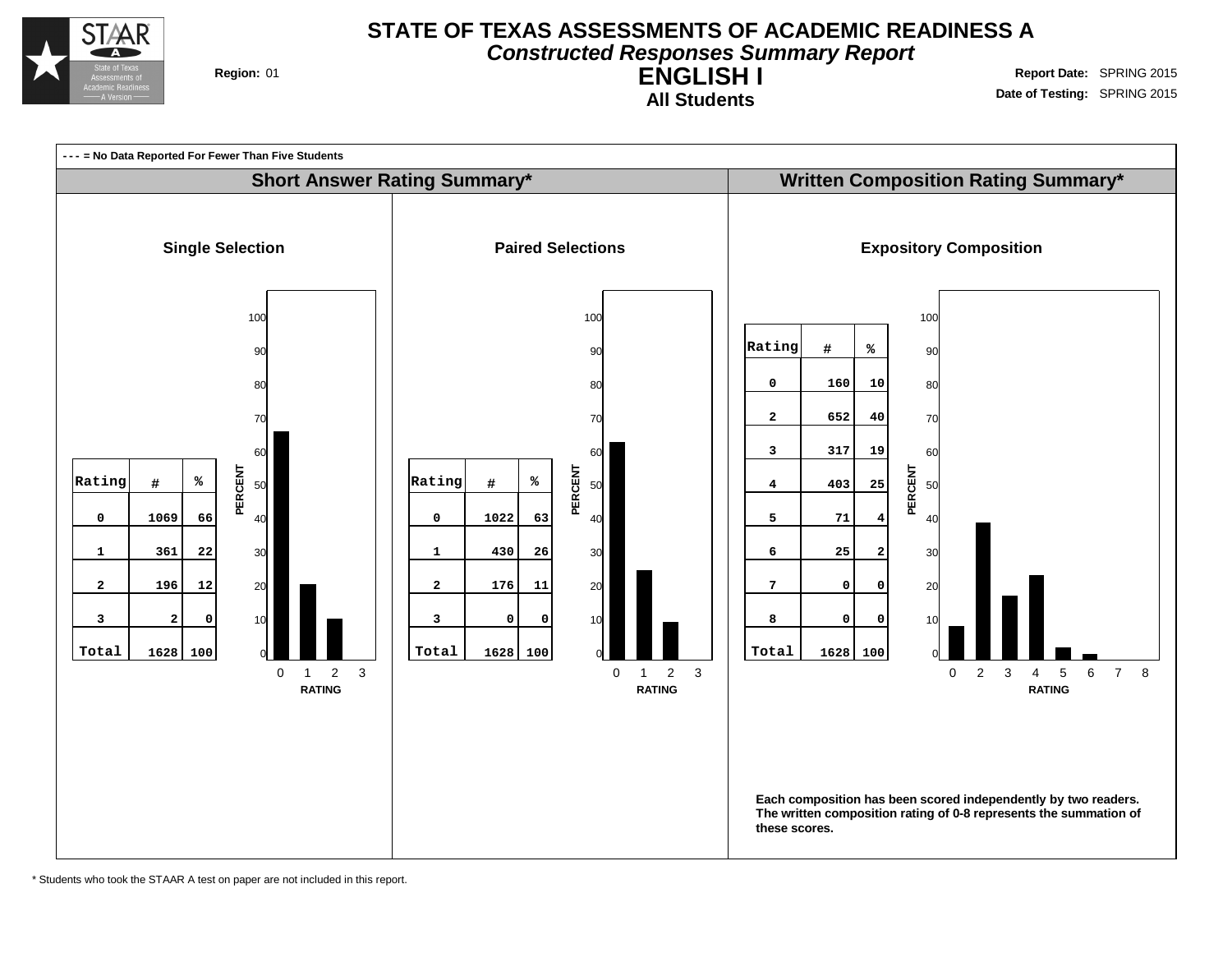

### **STATE OF TEXAS ASSESSMENTS OF ACADEMIC READINESS A Constructed Responses Summary Report**

**ENGLISH I All Students**

**Region:** 01 **Region:** 01 **Report** Date: SPRING 2015 **Date of Testing:** SPRING 2015



\* Students who took the STAAR A test on paper are not included in this report.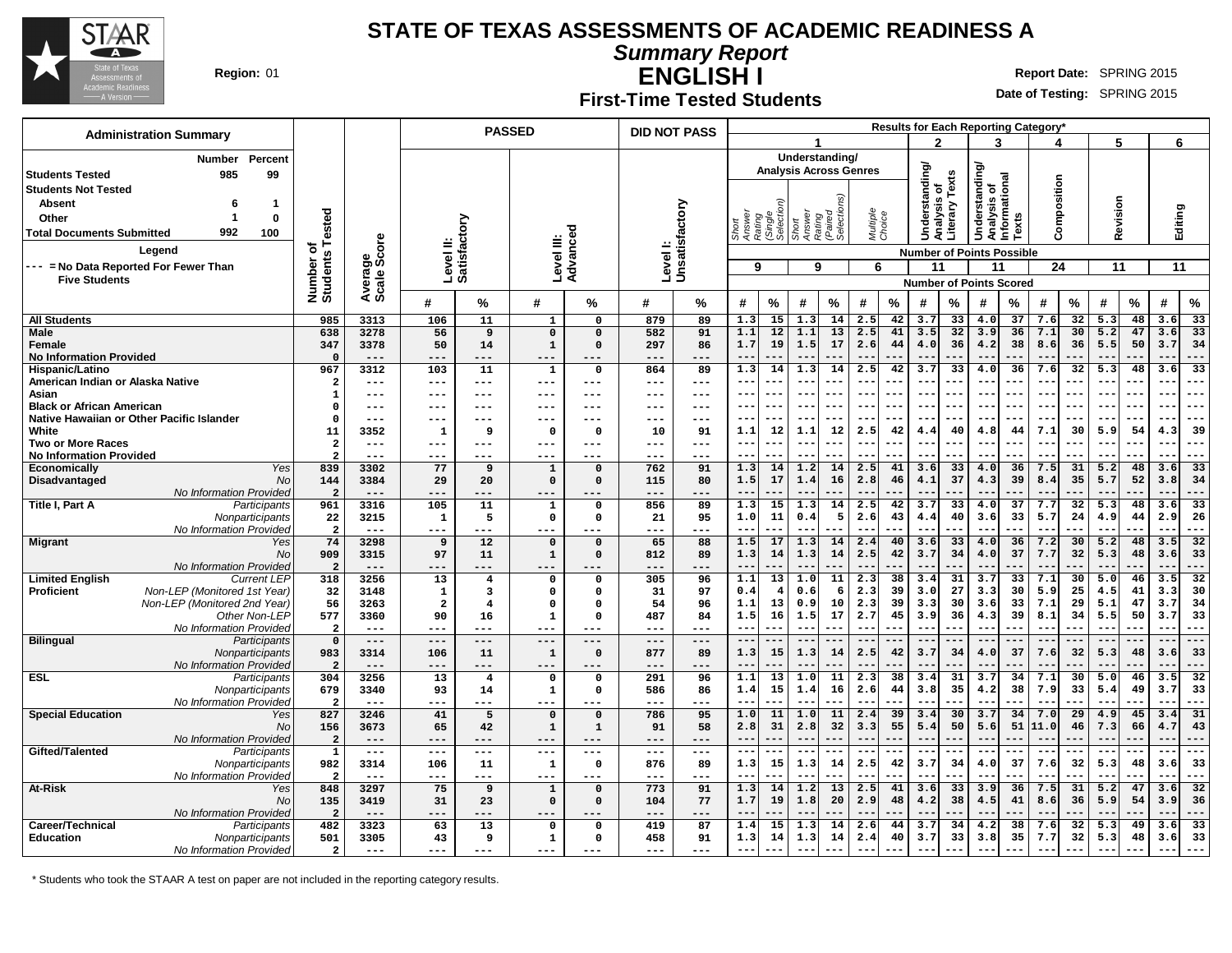

**Summary Report**

**ENGLISH I Region:** 01 **Report** Date: SPRING 2015

#### **First-Time Tested Students**

**Date of Testing:** SPRING 2015

| <b>Administration Summary</b>                      |                       |                 |                               |                      | <b>PASSED</b>               |                          | <b>DID NOT PASS</b> |                            |                                                  |                          |                                |                    | <b>Results for Each Reporting Category</b> |                                  |                        |                                              |                 |             |          |                  |          |                   |                 |
|----------------------------------------------------|-----------------------|-----------------|-------------------------------|----------------------|-----------------------------|--------------------------|---------------------|----------------------------|--------------------------------------------------|--------------------------|--------------------------------|--------------------|--------------------------------------------|----------------------------------|------------------------|----------------------------------------------|-----------------|-------------|----------|------------------|----------|-------------------|-----------------|
|                                                    |                       |                 |                               |                      |                             |                          |                     |                            |                                                  |                          |                                |                    |                                            | 2                                |                        | 3                                            |                 |             |          | 5                |          | 6                 |                 |
| <b>Number</b><br>Percent                           |                       |                 |                               |                      |                             |                          |                     |                            |                                                  |                          | Understanding/                 |                    |                                            |                                  |                        |                                              |                 |             |          |                  |          |                   |                 |
| 985<br>99<br><b>Students Tested</b>                |                       |                 |                               |                      |                             |                          |                     |                            |                                                  |                          | <b>Analysis Across Genres</b>  |                    |                                            | Understanding                    | Texts                  | derstanding/<br>Analysis of<br>Informational |                 |             |          |                  |          |                   |                 |
| <b>Students Not Tested</b>                         |                       |                 |                               |                      |                             |                          |                     |                            |                                                  |                          |                                |                    |                                            |                                  |                        |                                              |                 |             |          |                  |          |                   |                 |
| <b>Absent</b><br>$\mathbf{1}$<br>6                 |                       |                 |                               |                      |                             |                          |                     |                            |                                                  |                          |                                |                    |                                            |                                  |                        |                                              |                 |             |          |                  |          |                   |                 |
| $\mathbf 0$<br>Other                               |                       |                 |                               |                      |                             |                          |                     |                            |                                                  |                          |                                |                    |                                            |                                  |                        |                                              |                 |             |          |                  |          |                   |                 |
| 992<br><b>Total Documents Submitted</b><br>100     | Tested                |                 |                               | ζiο                  |                             |                          |                     |                            | Short<br>Answer<br>Rating<br>(Single<br>Selectio | Short<br>Answer          | Rating<br>(Paired<br>Selection | Multiple<br>Choice |                                            |                                  | Analysis<br>Literary 1 | š                                            | Texts           | Composition |          | Revision         |          | Editing           |                 |
| Legend                                             | ō                     | ige<br>Score    | Level II:<br>Satisfact        |                      | Level III:                  | Advanced                 |                     | Level I:<br>Unsatisfactory |                                                  |                          |                                |                    |                                            |                                  |                        |                                              |                 |             |          |                  |          |                   |                 |
|                                                    | Number of<br>Students |                 |                               |                      |                             |                          |                     |                            |                                                  |                          |                                |                    |                                            | <b>Number of Points Possible</b> |                        |                                              |                 |             |          |                  |          |                   |                 |
| --- = No Data Reported For Fewer Than              |                       |                 |                               |                      |                             |                          |                     |                            | 9                                                |                          | 9                              | 6                  |                                            | 11                               |                        | 11                                           |                 | 24          |          | 11               |          | 11                |                 |
| <b>Five Students</b>                               |                       | Avera<br>Scale  |                               |                      |                             |                          |                     |                            |                                                  |                          |                                |                    |                                            | <b>Number of Points Scored</b>   |                        |                                              |                 |             |          |                  |          |                   |                 |
|                                                    |                       |                 | #                             | %                    | #                           | ℅                        | #                   | ℅                          | %<br>#                                           | #                        | %                              | #                  | $\%$                                       | #                                | %                      | #                                            | %               | #           | ℅        | #                | $\%$     | #                 | $\%$            |
| <b>All Students</b>                                | 985                   | 3313            | 106                           | 11                   | 1                           | 0                        | 879                 | 89                         | 1.3                                              | 15<br>1.3                | 14                             | 2.5                | 42                                         | 3.7                              | 33                     | 4.0                                          | 37              | 7.6         | 32       | 5.3              | 48       | 3.6               | 33              |
| <b>Male</b>                                        | 638                   | 3278            | 56                            | 9                    | $\mathbf 0$                 | $\mathbf 0$              | 582                 | 91                         | 1.1                                              | 12<br>1.1                | 13                             | 2.5                | 41                                         | 3.5                              | 32                     | 3.9                                          | 36              | 7.1         | 30       | 5.2              | 47       | 3.6               | 33              |
| Female                                             | 347                   | 3378            | 50                            | 14                   | $\mathbf{1}$                | $\Omega$                 | 297                 | 86                         | 1.7                                              | 19<br>1.5                | 17                             | 2.6                | 44                                         | 4.0                              | 36                     | 4.2                                          | 38              | 8.6         | 36       | 5.5              | 50       | 3.7               | 34              |
| <b>No Information Provided</b>                     | $\Omega$              | $---$           | $---$                         | ---                  | ---                         |                          | ---                 |                            | $-$                                              | ---                      |                                |                    |                                            |                                  |                        | $-\,-$                                       |                 |             |          |                  |          |                   | ---             |
| Hispanic/Latino                                    | 967                   | 3312            | 103                           | 11                   | $\mathbf 1$                 | $\mathbf{o}$             | 864                 | 89                         | 1.3                                              | 14<br>1.3                | 14                             | 2.5                | 42                                         | 3.7                              | 33                     | 4.0                                          | 36              | 7.6         | 32       | 5.3              | 48       | 3.6               | $\overline{33}$ |
| American Indian or Alaska Native                   | $\overline{2}$        | ---             | ---                           | ---                  | $---$                       | ---                      | ---                 | $---$                      | ---                                              | $\overline{\phantom{m}}$ |                                | --                 |                                            | --                               |                        | --                                           |                 |             |          | $- -$            |          |                   | --              |
| Asian<br><b>Black or African American</b>          | 1<br>$\Omega$         | ---<br>---      | ---                           | ---                  | $---$<br>$---$              | ---                      | ---                 | $- - -$                    | ---                                              | --                       |                                | --                 |                                            | --                               |                        | --<br>$--$                                   | ---             |             |          | $- -$            |          | $ -$              | --<br>---       |
| Native Hawaiian or Other Pacific Islander          | $\Omega$              | ---             | ---                           | $---$<br>---         | $--$                        | ---<br>---               | ---                 | $--$<br>---                | $ -$<br>---                                      | $- -$                    |                                |                    |                                            | --                               |                        | $\qquad \qquad -$                            |                 | $--$        |          |                  |          |                   | ---             |
| White                                              | 11                    | 3352            | $\mathbf{1}$                  | 9                    | $\mathbf 0$                 | $\Omega$                 | 10                  | 91                         | 1.1                                              | 12<br>1.1                | 12                             | 2.5                | 42                                         | 4.4                              | 40                     | 4.8                                          | 44              | 7.1         | 30       | 5.9              | 54       | 4.3               | 39              |
| <b>Two or More Races</b>                           | $\overline{a}$        | $---$           | $--$                          | $---$                | $---$                       | $- - -$                  | ---                 | $---$                      | $- -$<br>---                                     | $- -$                    |                                | $-$                |                                            | $- -$                            | --                     | $- -$                                        | ---             |             |          | $- -$            |          | $ -$              | $---$           |
| <b>No Information Provided</b>                     | $\overline{2}$        | ---             | ---                           | ---                  | $---$                       | ---                      | ---                 | $---$                      | $- -$                                            | $- -$                    |                                |                    |                                            |                                  |                        | $- -$                                        | .               | $--$        |          |                  |          | $-$               | ---             |
| Yes<br><b>Economically</b>                         | 839                   | 3302            | 77                            | 9                    | $\mathbf{1}$                | $\Omega$                 | 762                 | 91                         | 1.3                                              | 14<br>1.2                | 14                             | 2.5                | 41                                         | 3.6                              | 33                     | 4.0                                          | 36              | 7.5         | 31       | 5.2              | 48       | 3.6               | $\overline{33}$ |
| Disadvantaged<br>No                                | 144                   | 3384            | 29                            | 20                   | $\Omega$                    | $\Omega$                 | 115                 | 80                         | 1.5<br>17                                        | 1.4                      | 16                             | 2.8                | 46                                         | 4.1                              | 37                     | 4.3                                          | 39              | 8.4         | 35       | 5.7              | 52       | 3.8               | 34              |
| No Information Provided                            | $\overline{a}$        | $---$           | $- -$                         | ---                  | $---$                       | ---                      | ---                 | ---                        | $-\,-$                                           | $-$                      | 14                             |                    |                                            | $\overline{3.7}$                 |                        | $-$                                          | 37              | 7.7         |          | $\overline{5.3}$ |          |                   | 33              |
| Title I, Part A<br>Participants<br>Nonparticipants | 961<br>22             | 3316<br>3215    | 105<br>1                      | 11<br>5              | $\mathbf 1$<br>$\mathsf{o}$ | $\Omega$<br>$\mathbf{o}$ | 856<br>21           | 89<br>95                   | $\overline{1.3}$<br>1.0                          | 15<br>1.3<br>11<br>0.4   | 5                              | 2.5<br>2.6         | 42<br>43                                   | 4.4                              | 33<br>40               | 4.0<br>3.6                                   | 33              | 5.7         | 32<br>24 | 4.9              | 48<br>44 | 3.6<br>2.9        | 26              |
| No Information Provided                            | $\overline{a}$        | $---$           | ---                           | ---                  | $---$                       | ---                      | ---                 | ---                        | $-$<br>---                                       | $- -$                    |                                | $- -$              |                                            | $- -$                            | --                     | $\sim$ $\sim$                                |                 | $- -$       |          | $- -$            |          | $-$               | ---             |
| <b>Migrant</b><br>Yes                              | 74                    | 3298            | 9                             | 12                   | $\Omega$                    | $\Omega$                 | 65                  | 88                         | 1.5                                              | 17<br>1.3                | 14                             | 2.4                | 40                                         | 3.6                              | 33                     | 4.0                                          | 36              | 7.2         | 30       | 5.2              | 48       | 3.5               | 32              |
| No                                                 | 909                   | 3315            | 97                            | 11                   | $\mathbf{1}$                | $\Omega$                 | 812                 | 89                         | 1.3                                              | 14<br>1.3                | 14                             | 2.5                | 42                                         | 3.7                              | 34                     | 4.0                                          | 37              | 7.7         | 32       | 5.3              | 48       | 3.6               | 33              |
| No Information Provided                            | 2                     | $---$           | $---$                         | ---                  | $---$                       | ---                      | ---                 | ---                        | $-$                                              |                          |                                |                    |                                            | --                               |                        | --                                           |                 |             |          |                  |          |                   | – – <b>–</b>    |
| <b>Limited English</b><br><b>Current LEP</b>       | 318                   | 3256            | 13                            | $\overline{4}$       | $\mathbf 0$                 | $\Omega$                 | 305                 | 96                         | 1.1                                              | 13<br>1.0                | 11                             | 2.3                | 38                                         | 3.4                              | 31                     | 3.7                                          | $\overline{33}$ | 7.1         | 30       | 5.0              | 46       | 3.5               | $\overline{32}$ |
| Non-LEP (Monitored 1st Year)<br><b>Proficient</b>  | 32                    | 3148            | $\mathbf{1}$                  | 3                    | $\mathbf 0$                 | $\Omega$<br>$\Omega$     | 31                  | 97                         | 0.4                                              | 0.6<br>$\overline{4}$    | 6<br>10                        | 2.3                | 39<br>39                                   | 3.0                              | 27                     | 3.3<br>3.6                                   | 30<br>33        | 5.9<br>7.1  | 25<br>29 | 4.5<br>5.1       | 41<br>47 | 3.3<br>3.7        | 30              |
| Non-LEP (Monitored 2nd Year)<br>Other Non-LEP      | 56<br>577             | 3263<br>3360    | $\overline{\mathbf{2}}$<br>90 | $\overline{4}$<br>16 | $\mathbf 0$<br>$\mathbf{1}$ | $\Omega$                 | 54<br>487           | 96<br>84                   | 1.1<br>1.5                                       | 13<br>0.9<br>16<br>1.5   | 17                             | 2.3<br>2.7         | 45                                         | 3.3<br>3.9                       | 30<br>36               | 4.3                                          | 39              | 8.1         | 34       | 5.5              | 50       | 3.7               | 34<br>33        |
| No Information Provided                            | $\overline{2}$        | $---$           | $- - -$                       | $---$                | $---$                       | $---$                    | ---                 | $---$                      | $-$<br>---                                       | $- -$                    |                                |                    | ---                                        | $-$                              |                        | $-$                                          |                 | $- -$       | .        | $- -$            |          |                   | ---             |
| <b>Bilingual</b><br>Participants                   | $\Omega$              | $---$           | $---$                         | $---$                | $---$                       | $---$                    | $---$               | $---$                      | $-$<br>---                                       | $- -$                    |                                |                    |                                            |                                  |                        | --                                           | ---             |             |          |                  |          |                   | ---             |
| Nonparticipants                                    | 983                   | 3314            | 106                           | 11                   | $\mathbf{1}$                | $\Omega$                 | 877                 | 89                         | 1.3                                              | 15<br>1.3                | 14                             | 2.5                | 42                                         | 3.7                              | 34                     | 4.0                                          | 37              | 7.6         | 32       | 5.3              | 48       | 3.6               | 33              |
| No Information Provided                            | $\overline{a}$        | $- - -$         | $- -$                         | ---                  | $---$                       | ---                      | $- - -$             | $- - -$                    | $-$                                              |                          |                                |                    |                                            |                                  |                        | $ -$                                         |                 |             |          |                  |          |                   | ---             |
| ESL<br>Participants                                | 304                   | 3256            | 13                            | $\overline{4}$       | 0                           | 0                        | 291                 | 96                         | 1.1                                              | 13<br>1.0                | 11                             | 2.3                | 38                                         | 3.4                              | 31                     | 3.7                                          | 34              | 7.1         | 30       | 5.0              | 46       | 3.5               | 32              |
| Nonparticipants<br>No Information Provided         | 679<br>$\overline{2}$ | 3340<br>$- - -$ | 93<br>---                     | 14<br>---            | $\mathbf{1}$<br>$---$       | $\Omega$<br>---          | 586<br>---          | 86<br>$- - -$              | 1.4<br>$\sim$ $\sim$<br>---                      | 15<br>1.4<br>$- -$       | 16<br>---                      | 2.6<br>$-$         | 44                                         | 3.8<br>$ -$                      | 35<br>--               | 4.2<br>$- -$                                 | 38<br>---       | 7.9<br>$--$ | 33       | 5.4<br>$ -$      | 49       | 3.7<br>$ -$       | 33<br>$---$     |
| <b>Special Education</b><br>Yes                    | 827                   | 3246            | 41                            | 5                    | $\mathbf 0$                 | $\Omega$                 | 786                 | 95                         | 1.0                                              | 11<br>1.0                | 11                             | 2.4                | 39                                         | 3.4                              | 30                     | 3.7                                          | 34              | 7.0         | 29       | 4.9              | 45       | 3.4               | 31              |
| No                                                 | 156                   | 3673            | 65                            | 42                   | $\mathbf 1$                 | $\mathbf{1}$             | 91                  | 58                         | 2.8                                              | 31<br>2.8                | 32                             | 3.3                | 55                                         | 5.4                              | 50                     | 5.6                                          | 51              | 11.0        | 46       | 7.3              | 66       | 4.7               | 43              |
| No Information Provided                            | $\overline{a}$        | $---$           | ---                           | ---                  | $---$                       |                          | ---                 | ---                        | $-$<br>.                                         | $-$                      |                                |                    |                                            | --                               |                        | $- -$                                        |                 |             |          |                  |          | $ -$              | ---             |
| Gifted/Talented<br>Participants                    | $\mathbf{1}$          | $---$           | $- - -$                       | $---$                | $---$                       | ---                      | ---                 | $---$                      | ---<br>$- -$                                     | $---$                    | ---                            | ---                | ---                                        | $--$                             | ---                    | $---$                                        | ---             | $--$        | .        | $- -$            |          | $\qquad \qquad -$ | $---$           |
| Nonparticipants                                    | 982                   | 3314            | 106                           | 11                   | $\mathbf 1$                 | 0                        | 876                 | 89                         | 1.3                                              | 15<br>1.3                | 14                             | 2.5                | 42                                         | 3.7                              | 34                     | 4.0                                          | 37              | 7.6         | 32       | 5.3              | 48       | 3.6               | 33              |
| No Information Provided                            | $\overline{a}$        | $---$           | $---$                         | ---                  | $---$                       | $---$                    | ---                 | $---$                      | $- -$<br>---                                     | $- -$                    | ---                            | $- -$              |                                            | --                               |                        | $- -$                                        | ---             | $- -$       |          | $- -$            |          | $-$               | $---$           |
| At-Risk<br>Yes                                     | 848                   | 3297            | 75                            | 9                    | $\mathbf{1}$<br>$\Omega$    | $\Omega$                 | 773                 | 91                         | 1.3                                              | 14<br>1.2                | 13<br>20                       | 2.5                | 41                                         | 3.6                              | 33                     | 3.9                                          | 36              | 7.5<br>8.6  | 31       | 5.2<br>5.9       | 47<br>54 | 3.6               | $\overline{32}$ |
| No<br>No Information Provided                      | 135<br>$\overline{2}$ | 3419<br>$---$   | 31                            | 23<br>---            | ---                         | $\Omega$                 | 104<br>---          | 77<br>---                  | 1.7                                              | 19<br>1.8                |                                | 2.9                | 48                                         | 4.2                              | 38                     | 4.5<br>$-$                                   | 41              |             | 36       |                  |          | 3.9               | 36<br>---       |
| Career/Technical<br>Participants                   | 482                   | 3323            | 63                            | 13                   | $\Omega$                    | $\Omega$                 | 419                 | 87                         | 1.4                                              | 15<br>1.3                | 14                             | 2.6                | 44                                         | 3.7                              | 34                     | 4.2                                          | 38              | 7.6         | 32       | 5.3              | 49       | 3.6               | 33              |
| <b>Education</b><br>Nonparticipants                | 501                   | 3305            | 43                            | 9                    | ${\bf 1}$                   | $\Omega$                 | 458                 | 91                         | 1.3                                              | 14<br>1.3                | 14                             | 2.4                | 40                                         | 3.7                              | 33                     | 3.8                                          | 35              | 7.7         | 32       | 5.3              | 48       | 3.6               | 33              |
| No Information Provided                            | $\overline{2}$        | $---$           | ---                           | $---$                | $---$                       | $---$                    | ---                 | $---$                      | $- - -$<br>---                                   | $- -$                    | ---                            | $- -$              | ---                                        | $- -$                            | ---                    | $-$                                          | ---             | $- - -$     | $- - -$  | $- -$            | ---      | $ -$              | $- - -$         |

\* Students who took the STAAR A test on paper are not included in the reporting category results.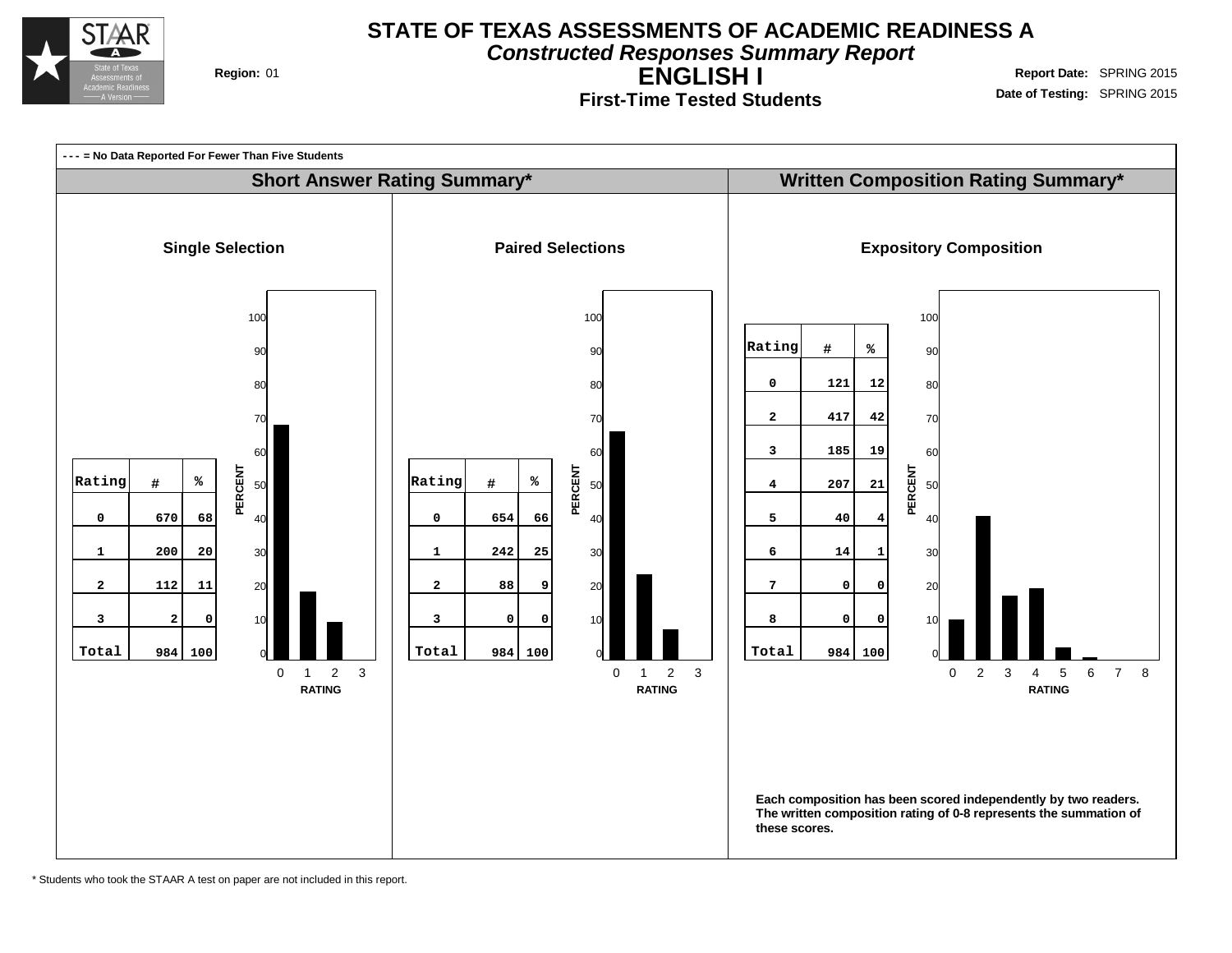

#### **STATE OF TEXAS ASSESSMENTS OF ACADEMIC READINESS A Constructed Responses Summary Report**

**ENGLISH I First-Time Tested Students Region:** 01 **Region:** 01 **Report** Date: SPRING 2015

**Date of Testing:** SPRING 2015



\* Students who took the STAAR A test on paper are not included in this report.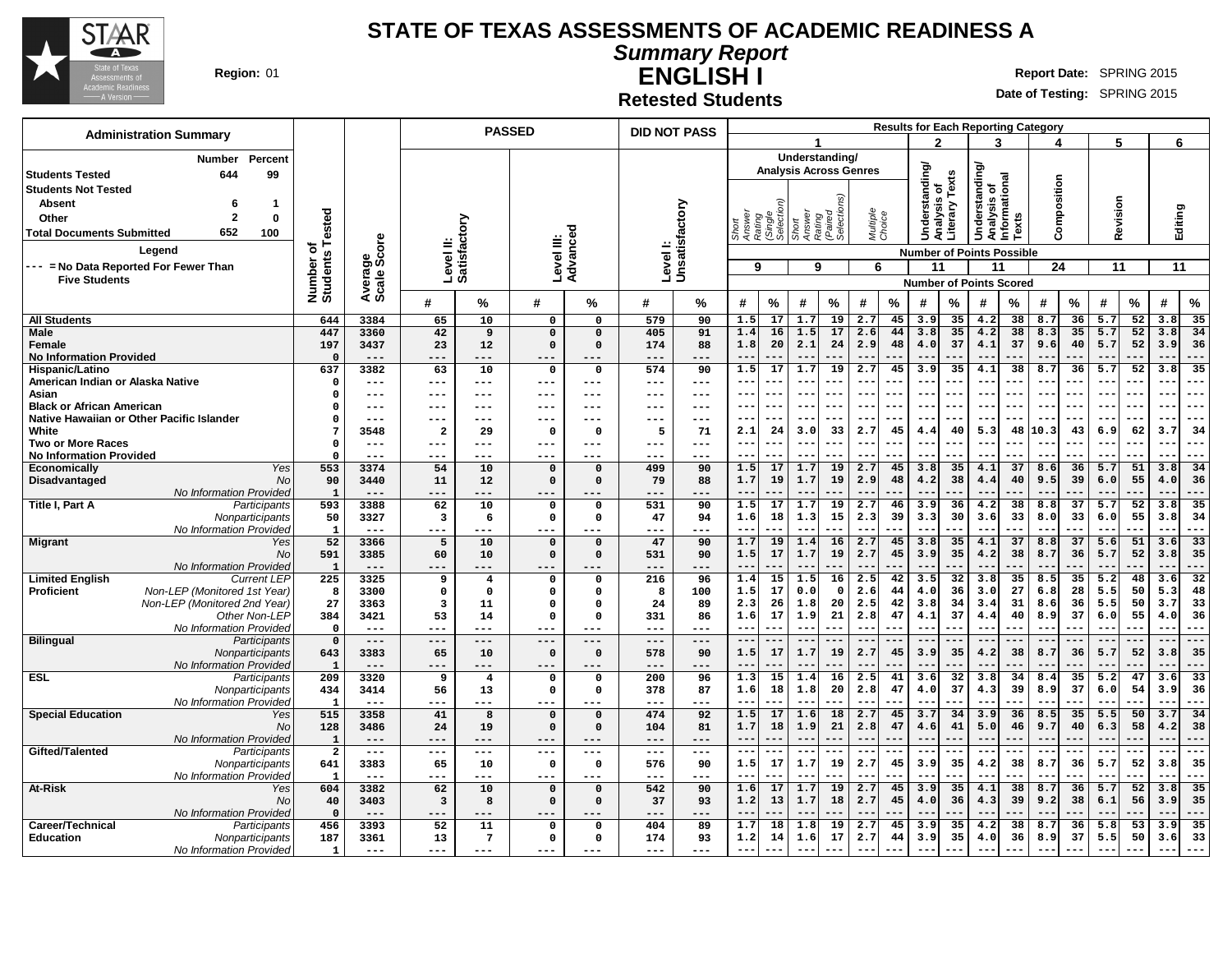

**Summary Report**

**ENGLISH I Region:** 01 **Report** Date: SPRING 2015

**Date of Testing:** SPRING 2015

**Retested Students**

| <b>Administration Summary</b>                                                                     |                              |                   |                               | <b>PASSED</b>                  |                    |                             | <b>DID NOT PASS</b> |                |                                                    |            |                                                  |                               |                      | <b>Results for Each Reporting Category</b> |                      |            |                                                |          |             |          |                |           |                |                       |
|---------------------------------------------------------------------------------------------------|------------------------------|-------------------|-------------------------------|--------------------------------|--------------------|-----------------------------|---------------------|----------------|----------------------------------------------------|------------|--------------------------------------------------|-------------------------------|----------------------|--------------------------------------------|----------------------|------------|------------------------------------------------|----------|-------------|----------|----------------|-----------|----------------|-----------------------|
|                                                                                                   |                              |                   |                               |                                |                    |                             |                     |                |                                                    |            |                                                  |                               |                      |                                            | o                    |            |                                                |          |             |          | 5              |           | 6              |                       |
| Percent<br><b>Number</b>                                                                          |                              |                   |                               |                                |                    |                             |                     |                |                                                    |            |                                                  | Understanding/                |                      |                                            |                      |            |                                                |          |             |          |                |           |                |                       |
| 644<br>99<br><b>Students Tested</b>                                                               |                              |                   |                               |                                |                    |                             |                     |                |                                                    |            |                                                  | <b>Analysis Across Genres</b> |                      |                                            | <b>Understanding</b> | Texts      | Understanding/<br>Analysis of<br>Informational |          |             |          |                |           |                |                       |
| <b>Students Not Tested</b>                                                                        |                              |                   |                               |                                |                    |                             |                     |                |                                                    |            |                                                  |                               |                      |                                            | ъ                    |            |                                                |          | Composition |          |                |           |                |                       |
| <b>Absent</b><br>-1<br>6                                                                          |                              |                   |                               |                                |                    |                             |                     |                |                                                    |            |                                                  |                               |                      |                                            |                      |            |                                                |          |             |          |                |           |                |                       |
| $\overline{2}$<br>$\mathbf{0}$<br>Other                                                           |                              |                   |                               |                                |                    |                             |                     |                |                                                    |            |                                                  |                               |                      |                                            |                      |            |                                                |          |             |          |                |           |                |                       |
| 652<br><b>Total Documents Submitted</b><br>100                                                    |                              |                   |                               |                                |                    | ਠ                           |                     |                | Short<br>Answer<br>Rating<br>(Single<br>Selection) |            | Short<br>Answer<br>Rating<br>(Paired<br>Selectio |                               | Multiple<br>Choice   |                                            | Analysis             | Literary   |                                                | Texts    |             |          | Revision       |           | Editing        |                       |
| Legend                                                                                            |                              |                   | ≝                             |                                |                    | ance                        |                     |                |                                                    |            |                                                  |                               |                      |                                            |                      |            | <b>Number of Points Possible</b>               |          |             |          |                |           |                |                       |
| --- = No Data Reported For Fewer Than                                                             |                              | ge<br>Score       |                               | Satisfactory                   | Level III:         |                             | Level I:            | Unsatisfactory | 9                                                  |            | 9                                                |                               | 6                    |                                            | 11                   |            | 11                                             |          | 24          |          | 11             |           | 11             |                       |
| <b>Five Students</b>                                                                              | Number of<br>Students Tested | Averaç<br>Scale : | Level                         |                                |                    | <b>Advi</b>                 |                     |                |                                                    |            |                                                  |                               |                      |                                            |                      |            | <b>Number of Points Scored</b>                 |          |             |          |                |           |                |                       |
|                                                                                                   |                              |                   |                               |                                |                    |                             |                     |                |                                                    |            |                                                  |                               |                      |                                            |                      |            |                                                |          |             |          |                |           |                |                       |
|                                                                                                   |                              |                   | #                             | %                              | #                  | %                           | #                   | %              | #                                                  | $\%$       | #                                                | %                             | #                    | %                                          | #                    | %          | #                                              | %        | #           | $\%$     | #              | $\%$      | #              | %                     |
| <b>All Students</b>                                                                               | 644                          | 3384              | 65                            | 10                             | 0                  | $\mathbf 0$                 | 579                 | 90             | 1.5                                                | 17         | 1.7                                              | 19                            | 2.7                  | 45                                         | 3.9                  | 35         | 4.2                                            | 38       | 8.7         | 36       | 5.7            | 52        | 3.8            | 35                    |
| <b>Male</b>                                                                                       | 447                          | 3360              | 42                            | 9                              | $\mathbf 0$        | $\Omega$                    | 405                 | 91             | 1.4                                                | 16         | 1.5                                              | 17                            | 2.6                  | 44                                         | 3.8                  | 35         | 4.2                                            | 38       | 8.3         | 35       | 5.7            | 52        | 3.8            | 34                    |
| <b>Female</b><br><b>No Information Provided</b>                                                   | 197                          | 3437<br>$---$     | 23<br>---                     | 12<br>---                      | $\mathbf 0$<br>--- | $\mathbf 0$<br>.            | 174<br>$--$         | 88<br>---      | 1.8<br>$- -$                                       | 20         | 2.1<br>$- -$                                     | 24                            | 2.9                  | 48                                         | 4.0                  | 37         | 4.1<br>$ -$                                    | 37       | 9.6         | 40       | 5.7<br>$- -$   | 52        | 3.9<br>--      | 36<br>---             |
| Hispanic/Latino                                                                                   | 637                          | 3382              | 63                            | 10                             | 0                  | $\mathbf 0$                 | 574                 | 90             | 1.5                                                | 17         | 1.7                                              | 19                            | 2.7                  | 45                                         | 3.9                  | 35         | 4.1                                            | 38       | 8.7         | 36       | 5.7            | 52        | 3.8            | 35                    |
| American Indian or Alaska Native                                                                  | $\Omega$                     | ---               | $---$                         | ---                            | $---$              | ---                         | $---$               | $---$          | $-$                                                | ---        | $- -$                                            |                               |                      |                                            |                      | ---        | $-$                                            |          |             |          | --             |           | $- -$          | ---                   |
| Asian                                                                                             | $\Omega$                     | ---               | $--$                          | ---                            | $---$              | ---                         | $- - -$             | ---            | $-$                                                | ---        |                                                  |                               |                      |                                            |                      |            | $- -$                                          |          |             |          | $- -$          | ---       | $- -$          | ---                   |
| <b>Black or African American</b>                                                                  | $\Omega$                     | ---               | ---                           | ---                            | ---                |                             |                     | ---            | $ -$                                               | ---        | $- -$                                            |                               | $- -$                |                                            |                      |            | $- -$                                          |          |             |          | $- -$          | ---       | $- -$          | ---                   |
| Native Hawaiian or Other Pacific Islander                                                         | $\Omega$                     | $---$             | $--$                          | ---                            | $---$              |                             | $- -$               | ---            | $ -$                                               | ---        |                                                  |                               |                      |                                            |                      |            | --                                             |          |             |          | --             |           |                | ---                   |
| White<br><b>Two or More Races</b>                                                                 | $\overline{7}$<br>$\Omega$   | 3548<br>$---$     | $\overline{a}$<br>---         | 29<br>$---$                    | 0<br>$---$         | $\mathbf{o}$<br>---         | 5<br>$--$           | 71<br>---      | 2.1<br>$ -$                                        | 24<br>---  | 3.0<br>$-$                                       | 33                            | 2.7<br>$\sim$ $\sim$ | 45                                         | 4.4                  | 40         | 5.3<br>$ -$                                    | 48       | 10.3        | 43       | 6.9<br>$- -$   | 62<br>--- | 3.7<br>$- -$   | 34<br>---             |
| <b>No Information Provided</b>                                                                    | $\Omega$                     | $- - -$           | $- - -$                       | ---                            | $---$              | ---                         | $- - -$             | ---            | $- -$                                              | ---        | --                                               |                               |                      |                                            | $ -$                 |            | $- -$                                          |          |             |          | $ -$           | --        | $ -$           | ---                   |
| Yes<br><b>Economically</b>                                                                        | 553                          | 3374              | 54                            | 10                             | 0                  | $\mathbf{o}$                | 499                 | 90             | 1.5                                                | 17         | 1.7                                              | 19                            | 2.7                  | 45                                         | 3.8                  | 35         | 4.1                                            | 37       | 8.6         | 36       | 5.7            | 51        | 3.8            | 34                    |
| Disadvantaged<br>No                                                                               | 90                           | 3440              | 11                            | 12                             | $\mathsf{o}\,$     | $\mathbf 0$                 | 79                  | 88             | 1.7                                                | 19         | 1.7                                              | 19                            | 2.9                  | 48                                         | 4.2                  | 38         | 4.4                                            | 40       | 9.5         | 39       | 6.0            | 55        | 4.0            | 36                    |
| No Information Provided                                                                           | - 1                          |                   | ---                           | ---                            | ---                |                             |                     |                | $-$                                                |            |                                                  |                               |                      |                                            |                      |            |                                                |          |             |          |                |           | $-$            | ---                   |
| Title I, Part A<br>Participants                                                                   | 593<br>50                    | 3388<br>3327      | 62<br>$\overline{\mathbf{3}}$ | 10<br>6                        | 0<br>$\mathbf 0$   | $\mathbf{o}$<br>$\mathbf 0$ | 531<br>47           | 90             | 1.5<br>1.6                                         | 17<br>18   | 1.7<br>1.3                                       | 19<br>15                      | 2.7<br>2.3           | 46<br>39                                   | 3.9<br>3.3           | 36<br>30   | 4.2<br>3.6                                     | 38<br>33 | 8.8<br>8.0  | 37<br>33 | 5.7<br>6.0     | 52<br>55  | 3.8<br>3.8     | 35<br>34              |
| Nonparticipants<br>No Information Provided                                                        | $\mathbf{1}$                 | $---$             | $---$                         | ---                            | $---$              | ---                         | $---$               | 94<br>---      | $\equiv$ $\equiv$                                  | ---        | $ -$                                             | ---                           | $ -$                 | ---                                        | $- - -$              | ---        | $- -$                                          | ---      | $ -$        | ---      | $- -$          | ---       | $- -$          | ---                   |
| <b>Migrant</b><br>Yes                                                                             | 52                           | 3366              | 5                             | 10                             | $\mathsf{o}\,$     | $\mathbf 0$                 | 47                  | 90             | 1.7                                                | 19         | 1.4                                              | 16                            | 2.7                  | 45                                         | 3.8                  | 35         | 4.1                                            | 37       | 8.8         | 37       | 5.6            | 51        | 3.6            | 33                    |
| No                                                                                                | 591                          | 3385              | 60                            | 10                             | $\mathbf 0$        | $\mathbf 0$                 | 531                 | 90             | 1.5                                                | 17         | 1.7                                              | 19                            | 2.7                  | 45                                         | 3.9                  | 35         | 4.2                                            | 38       | 8.7         | 36       | 5.7            | 52        | 3.8            | 35                    |
| No Information Provided                                                                           | $\mathbf{I}$                 | $---$             | ---                           | ---                            | ---                |                             | $---$               | ---            | $- -$                                              |            |                                                  |                               |                      |                                            |                      |            |                                                |          |             |          |                |           | $ -$           | $--$                  |
| <b>Limited English</b><br><b>Current LEP</b><br>Non-LEP (Monitored 1st Year)<br><b>Proficient</b> | 225                          | 3325<br>3300      | 9                             | $\overline{4}$                 | 0<br>$\mathbf 0$   | $\mathsf{o}$                | 216                 | 96<br>100      | 1.4<br>1.5                                         | 15<br>17   | 1.5<br>0.0                                       | 16<br>$\mathbf 0$             | 2.5<br>2.6           | 42<br>44                                   | 3.5<br>4.0           | 32<br>36   | 3.8<br>3.0                                     | 35<br>27 | 8.5<br>6.8  | 35<br>28 | 5.2<br>5.5     | 48<br>50  | 3.6<br>5.3     | $\overline{32}$<br>48 |
| Non-LEP (Monitored 2nd Year)                                                                      | 8<br>27                      | 3363              | 0<br>3                        | $\mathbf{o}$<br>11             | $\mathbf 0$        | $\mathbf{o}$<br>$\Omega$    | 8<br>24             | 89             | 2.3                                                | 26         | 1.8                                              | 20                            | 2.5                  | 42                                         | 3.8                  | 34         | 3.4                                            | 31       | 8.6         | 36       | 5.5            | 50        | 3.7            | 33                    |
| Other Non-LEP                                                                                     | 384                          | 3421              | 53                            | 14                             | 0                  | $\mathbf 0$                 | 331                 | 86             | 1.6                                                | 17         | 1.9                                              | 21                            | 2.8                  | 47                                         | 4.1                  | 37         | 4.4                                            | 40       | 8.9         | 37       | 6.0            | 55        | 4.0            | 36                    |
| No Information Provided                                                                           | $\mathbf 0$                  | $---$             | $---$                         | $---$                          | $---$              | $---$                       | $---$               | ---            | $- -$                                              | ---        | $- -$                                            | ---                           | $- -$                | ---                                        | $--$                 | ---        | $--$                                           | ---      | $- -$       | ---      | $- -$          | $--$      | $- -$          | ---                   |
| <b>Bilingual</b><br>Participants                                                                  | $\mathbf 0$                  | $---$             | $---$                         | $---$                          | $---$              | $---$                       | $---$               | $---$          | $- -$                                              | ---        | ---                                              | ---                           | $- -$                | ---                                        | $\qquad \qquad -$    | ---        | $- -$                                          | ---      | $- -$       |          | $--$           | ---       | $- -$          | ---                   |
| Nonparticipants                                                                                   | 643                          | 3383              | 65                            | 10                             | $\mathsf{o}\,$     | $\mathbf 0$                 | 578                 | 90             | 1.5<br>$-$                                         | 17         | 1.7                                              | 19                            | 2.7                  | 45                                         | 3.9                  | 35         | 4.2<br>$ -$                                    | 38       | 8.7         | 36       | 5.7            | 52        | 3.8<br>$ -$    | 35                    |
| No Information Provided<br><b>ESL</b><br>Participants                                             | $\mathbf{I}$<br>209          | $---$<br>3320     | $- -$<br>9                    | ---<br>$\overline{\mathbf{4}}$ | $---$<br>0         | ---<br>$\mathbf 0$          | $- - -$<br>200      | ---<br>96      | 1.3                                                | 15         | 1.4                                              | 16                            | 2.5                  | 41                                         | 3.6                  | 32         | 3.8                                            | 34       | 8.4         | 35       | 5.2            | 47        | 3.6            | ---<br>33             |
| Nonparticipants                                                                                   | 434                          | 3414              | 56                            | 13                             | 0                  | $\mathbf 0$                 | 378                 | 87             | 1.6                                                | 18         | 1.8                                              | 20                            | 2.8                  | 47                                         | 4.0                  | 37         | 4.3                                            | 39       | 8.9         | 37       | 6.0            | 54        | 3.9            | 36                    |
| No Information Provided                                                                           | $\mathbf{I}$                 | $---$             | $--$                          | $---$                          | $---$              | ---                         | $- - -$             | $---$          | $-$                                                | ---        | $- -$                                            | ---                           | $- -$                |                                            | $ -$                 | --         | $-$                                            | .        |             |          | $-$            | $--$      | $- -$          | ---                   |
| <b>Special Education</b><br>Yes                                                                   | 515                          | 3358              | 41                            | 8                              | $\mathsf{o}\,$     | $\mathbf 0$                 | 474                 | 92             | 1.5                                                | 17         | 1.6                                              | 18                            | 2.7                  | 45                                         | 3.7                  | 34         | 3.9                                            | 36       | 8.5         | 35       | 5.5            | 50        | 3.7            | 34                    |
| No                                                                                                | 128                          | 3486              | 24                            | 19                             | $\mathsf{o}\,$     | $\mathbf 0$                 | 104                 | 81             | 1.7                                                | 18         | 1.9                                              | 21                            | 2.8                  | 47                                         | 4.6                  | 41         | 5.0                                            | 46       | 9.7         | 40       | 6.3            | 58        | 4.2            | 38                    |
| No Information Provided<br>Gifted/Talented<br>Participants                                        | $\mathbf{1}$<br>$\mathbf{2}$ | $- - -$<br>$--$   | $- -$<br>$- - -$              | ---<br>$---$                   | $- - -$<br>$---$   | ---                         | $- -$<br>$- - -$    | ---<br>$---$   | $-$<br>$- -$                                       | ---<br>--- | --<br>$---$                                      | ---                           | $- -$                | ---                                        | $ -$<br>$---$        | .<br>$---$ | $- -$<br>$- - -$                               | ---      | $- - -$     | ---      | $- -$<br>$---$ | ---       | $- -$<br>$- -$ | ---<br>---            |
| Nonparticipants                                                                                   | 641                          | 3383              | 65                            | 10                             | 0                  | $\mathbf 0$                 | 576                 | 90             | 1.5                                                | 17         | 1.7                                              | 19                            | 2.7                  | 45                                         | 3.9                  | 35         | 4.2                                            | 38       | 8.7         | 36       | 5.7            | 52        | 3.8            | 35                    |
| No Information Provided                                                                           | $\mathbf{1}$                 | $---$             | $---$                         | $---$                          | $---$              | ---                         | $---$               | ---            | $\sim$ $\sim$                                      | ---        | $---$                                            | ---                           | $\sim$ $\sim$        | ---                                        | $---$                | ---        | $--$                                           | ---      | $- -$       | ---      | $- -$          | $--$      | $- -$          | ---                   |
| At-Risk<br>Yes                                                                                    | 604                          | 3382              | 62                            | 10                             | $\mathsf{o}\,$     | $\mathbf 0$                 | 542                 | 90             | 1.6                                                | 17         | 1.7                                              | 19                            | 2.7                  | 45                                         | 3.9                  | 35         | 4.1                                            | 38       | 8.7         | 36       | 5.7            | 52        | 3.8            | 35                    |
| No                                                                                                | 40                           | 3403              | 3                             | 8                              | $\mathbf 0$        | $\mathbf 0$                 | 37                  | 93             | 1.2                                                | 13         | 1.7                                              | 18                            | 2.7                  | 45                                         | 4.0                  | 36         | 4.3                                            | 39       | 9.2         | 38       | 6.1            | 56        | 3.9            | 35                    |
| No Information Provided<br>Career/Technical                                                       | $\Omega$                     | $- - -$<br>3393   |                               | ---<br>11                      | ---                |                             | 404                 | ---<br>89      | 1.7                                                | 18         | 1.8                                              | 19                            | 2.7                  | 45                                         | 3.9                  | 35         | 4.2                                            | 38       | 8.7         | 36       | 5.8            | 53        | 3.9            | ---<br>35             |
| Participants<br><b>Education</b><br>Nonparticipants                                               | 456<br>187                   | 3361              | 52<br>13                      | $7\phantom{.0}$                | 0<br>$\mathbf 0$   | $\mathbf 0$<br>$\mathbf 0$  | 174                 | 93             | 1.2                                                | 14         | 1.6                                              | 17                            | 2.7                  | 44                                         | 3.9                  | 35         | 4.0                                            | 36       | 8.9         | 37       | 5.5            | 50        | 3.6            | 33                    |
| No Information Provided                                                                           | $\mathbf{1}$                 | $---$             | $---$                         | $---$                          | $---$              | ---                         | $---$               | $---$          | $-$                                                |            | $-$                                              | ---                           | $-$                  | ---                                        | $--$                 | ---        | $--$                                           |          |             | ---      | $- -$          | ---       |                | ---                   |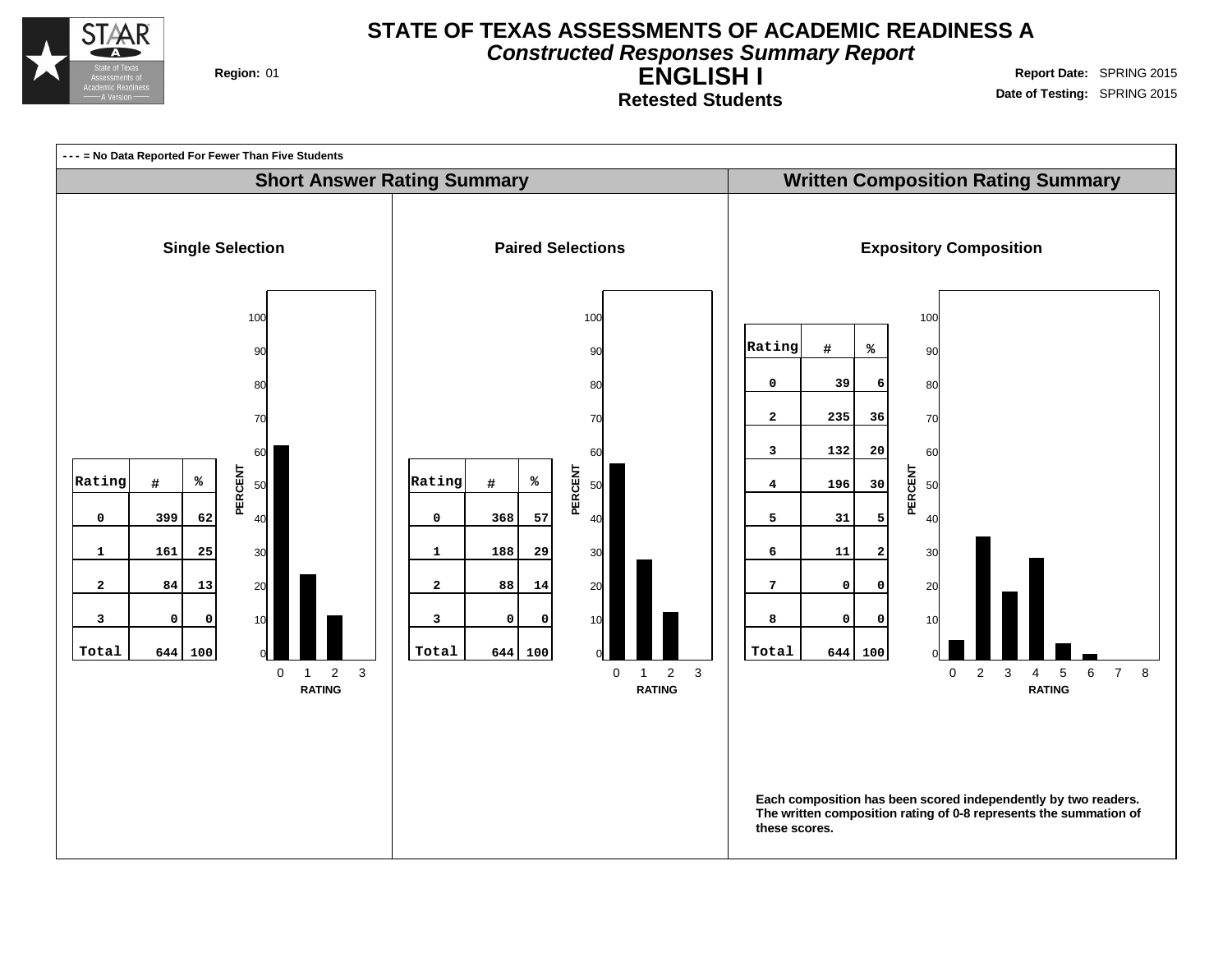

**Constructed Responses Summary Report**

**ENGLISH I Retested Students**

**Region:** 01 **Region:** 01 **Report** Date: SPRING 2015 **Date of Testing:** SPRING 2015

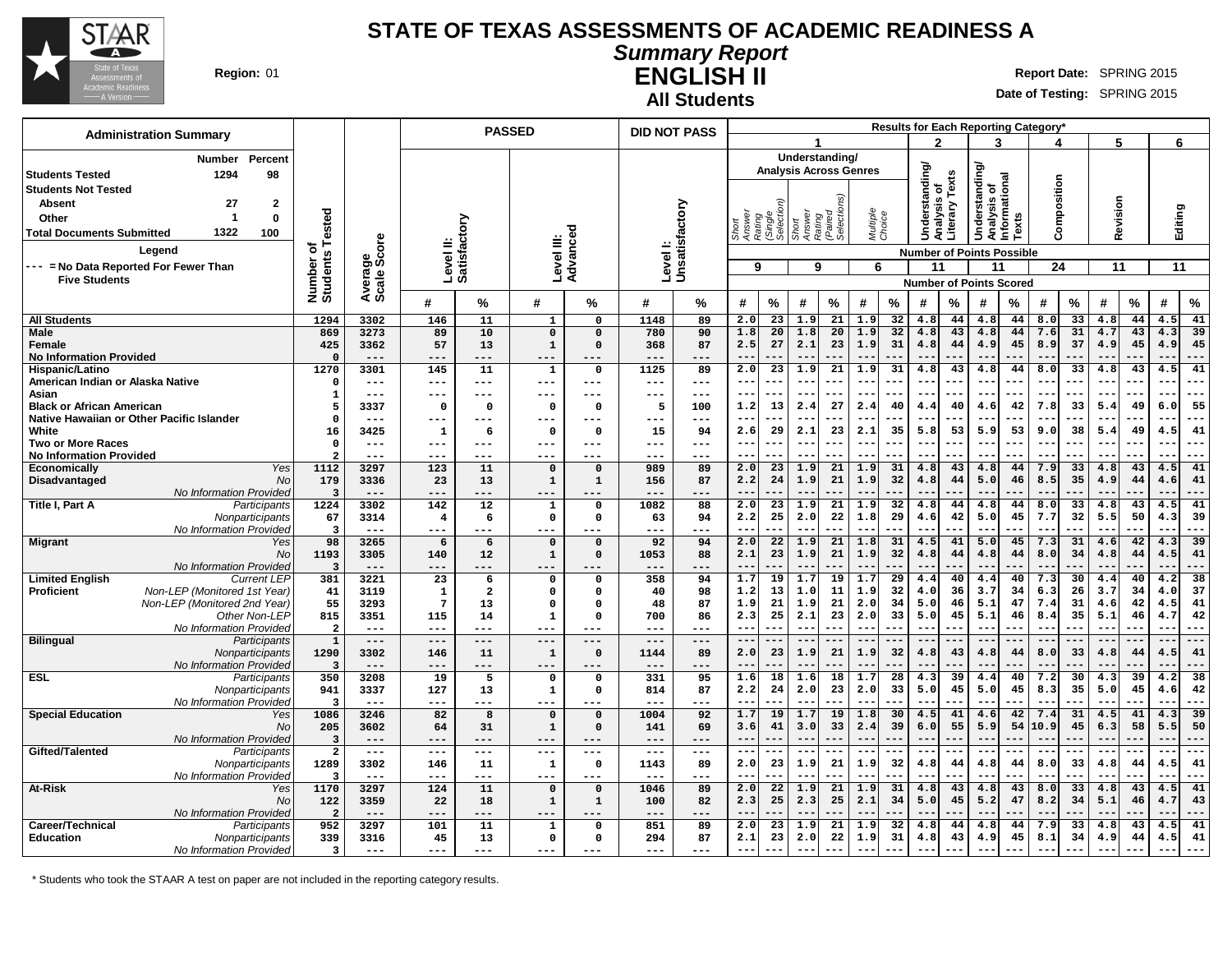

### **Summary Report ENGLISH II Region:** 01 **Report** Date: SPRING 2015

**All Students**

٦

**Date of Testing:** SPRING 2015

| <b>Administration Summary</b>                                                     |                               |                     |                           | <b>PASSED</b>                 |                             |                            | <b>DID NOT PASS</b>       |                     |              |                                          |                 |                               |                    | Results for Each Reporting Category* |               |             |                                                      |           |              |                          |              |          |              |                 |
|-----------------------------------------------------------------------------------|-------------------------------|---------------------|---------------------------|-------------------------------|-----------------------------|----------------------------|---------------------------|---------------------|--------------|------------------------------------------|-----------------|-------------------------------|--------------------|--------------------------------------|---------------|-------------|------------------------------------------------------|-----------|--------------|--------------------------|--------------|----------|--------------|-----------------|
|                                                                                   |                               |                     |                           |                               |                             |                            |                           |                     |              |                                          | 1               |                               |                    |                                      | 2             |             | 3                                                    |           |              |                          | 5            |          | 6            |                 |
| Percent<br>Number                                                                 |                               |                     |                           |                               |                             |                            |                           |                     |              |                                          |                 | Understanding/                |                    |                                      |               |             |                                                      |           |              |                          |              |          |              |                 |
| 1294<br>98<br><b>Students Tested</b>                                              |                               |                     |                           |                               |                             |                            |                           |                     |              |                                          |                 | <b>Analysis Across Genres</b> |                    |                                      | Understanding | Texts       | <b>Understanding</b><br>Analysis of<br>Informational |           |              |                          |              |          |              |                 |
| <b>Students Not Tested</b>                                                        |                               |                     |                           |                               |                             |                            |                           |                     |              |                                          |                 |                               |                    |                                      | ৳             |             |                                                      |           | Composition  |                          |              |          |              |                 |
| 27<br>$\mathbf{2}$<br><b>Absent</b>                                               |                               |                     |                           |                               |                             |                            |                           |                     |              |                                          |                 |                               |                    |                                      | Analysis      | Literary    |                                                      |           |              |                          | Revision     |          |              |                 |
| $\mathbf 0$<br>Other<br>-1<br>1322                                                | ested                         |                     |                           |                               |                             |                            |                           |                     | Short        | Answer<br>Rating<br>(Single<br>Selection | Short<br>Answer | Rating<br>(Paired<br>Selectio | Multiple<br>Choice |                                      |               |             |                                                      | Texts     |              |                          |              |          | Editing      |                 |
| 100<br><b>Total Documents Submitted</b>                                           |                               |                     |                           |                               |                             |                            |                           |                     |              |                                          |                 |                               |                    |                                      |               |             |                                                      |           |              |                          |              |          |              |                 |
| Legend                                                                            | ৳<br>Number o<br>Students     | ige<br>Score        | Level II:<br>Satisfactory |                               | Level III:                  | Advanced                   | Levell:<br>Unsatisfactory |                     |              |                                          |                 |                               |                    |                                      |               |             | <b>Number of Points Possible</b>                     |           |              |                          |              |          |              |                 |
| --- = No Data Reported For Fewer Than                                             |                               |                     |                           |                               |                             |                            |                           |                     | 9            |                                          | 9               |                               | 6                  |                                      | 11            |             | 11                                                   |           | 24           |                          | 11           |          | 11           |                 |
| <b>Five Students</b>                                                              |                               | Averas<br>Scale:    |                           |                               |                             |                            |                           |                     |              |                                          |                 |                               |                    |                                      |               |             | <b>Number of Points Scored</b>                       |           |              |                          |              |          |              |                 |
|                                                                                   |                               |                     | #                         | %                             | #                           | ℅                          | #                         | ℅                   | #            | $\%$                                     | #               | $\%$                          | #                  | %                                    | #             | %           | #                                                    | %         | #            | %                        | #            | $\%$     | #            | $\%$            |
| <b>All Students</b>                                                               | 1294                          | 3302                | 146                       | 11                            | 1                           | $\mathbf{o}$               | 1148                      | 89                  | 2.0          | 23                                       | 1.9             | 21                            | 1.9                | 32                                   | 4.8           | 44          | 4.8                                                  | 44        | 8.0          | 33                       | 4.8          | 44       | 4.5          | 41              |
| <b>Male</b>                                                                       | 869                           | 3273                | 89                        | 10                            | $\mathbf{o}$                | $\mathbf 0$                | 780                       | 90                  | 1.8          | 20                                       | 1.8             | 20                            | 1.9                | 32                                   | 4.8           | 43          | 4.8                                                  | 44        | 7.6          | 31                       | 4.7          | 43       | 4.3          | 39              |
| Female<br><b>No Information Provided</b>                                          | 425<br>$\Omega$               | 3362<br>$---$       | 57<br>---                 | 13<br>$---$                   | $\mathbf{1}$<br>---         | $\Omega$<br>---            | 368<br>$---$              | 87<br>---           | 2.5          | 27                                       | 2.1<br>$- -$    | 23                            | 1.9                | 31                                   | 4.8<br>$-$    | 44          | 4.9<br>$ -$                                          | 45        | 8.9          | 37                       | 4.9          | 45       | 4.9          | 45<br>---       |
| Hispanic/Latino                                                                   | 1270                          | 3301                | 145                       | 11                            | $\mathbf{1}$                | $\mathbf 0$                | 1125                      | 89                  | 2.0          | 23                                       | 1.9             | 21                            | 1.9                | 31                                   | 4.8           | 43          | 4.8                                                  | 44        | 8.0          | 33                       | 4.8          | 43       | 4.5          | 41              |
| American Indian or Alaska Native                                                  | $\Omega$                      | $---$               | ---                       | $---$                         | ---                         | ---                        | $---$                     | $--$                | $ -$         | ---                                      | $--$            |                               |                    |                                      | --            |             | $- -$                                                | .         |              | $\overline{\phantom{a}}$ | $- -$        |          | $- -$        | ---             |
| Asian                                                                             | -1                            | ---                 | ---                       | $---$                         | ---                         | ---                        | ---                       | $---$               | $- -$        | ---                                      | $--$            | ---                           | --                 |                                      | $- -$         | ---         | $--$                                                 | ---       | $- - -$      | $\overline{\phantom{a}}$ | $- -$        |          | $- -$        | $---$           |
| <b>Black or African American</b><br>Native Hawaiian or Other Pacific Islander     | $\Omega$                      | 3337<br>$---$       | $\mathbf 0$<br>---        | $\mathbf{o}$<br>$\frac{1}{2}$ | $\mathbf 0$<br>$---$        | 0<br>---                   | 5<br>---                  | 100<br>$--$         | 1.2<br>$-$   | 13                                       | 2.4             | 27                            | 2.4                | 40                                   | 4.4<br>---    | 40<br>---   | 4.6<br>$-$                                           | 42        | 7.8<br>$- -$ | 33                       | 5.4<br>$- -$ | 49       | 6.0          | 55<br>---       |
| White                                                                             | 16                            | 3425                | 1                         | 6                             | $\mathbf 0$                 | $\mathbf 0$                | 15                        | 94                  | 2.6          | 29                                       | 2.1             | 23                            | 2.1                | 35                                   | 5.8           | 53          | 5.9                                                  | 53        | 9.0          | 38                       | 5.4          | 49       | 4.5          | 41              |
| Two or More Races                                                                 | $\Omega$                      | $---$               | ---                       | $--$                          | ---                         | ---                        | ---                       | $- - -$             |              | ---                                      | $- -$           |                               | $-$                |                                      |               |             | $-$                                                  | .         |              |                          |              |          | $ -$         | --              |
| <b>No Information Provided</b>                                                    |                               |                     | ---                       | $- - -$                       | ---                         | ---                        |                           | ---                 |              |                                          |                 |                               |                    |                                      |               |             |                                                      |           |              |                          |              |          |              | – – <b>–</b>    |
| Yes<br>Economically<br>Disadvantaged<br>No                                        | 1112<br>179                   | 3297<br>3336        | 123<br>23                 | 11<br>13                      | $\mathbf 0$<br>$\mathbf{1}$ | $\mathbf 0$<br>$\mathbf 1$ | 989<br>156                | 89<br>87            | 2.0<br>2.2   | 23<br>24                                 | 1.9<br>1.9      | 21<br>21                      | 1.9<br>1.9         | 31<br>32                             | 4.8<br>4.8    | 43<br>44    | 4.8<br>5.0                                           | 44<br>46  | 7.9<br>8.5   | 33<br>35                 | 4.8<br>4.9   | 43<br>44 | 4.5<br>4.6   | 41<br>41        |
| No Information Provided                                                           |                               | $---$               | $---$                     | $---$                         | $---$                       | ---                        | $---$                     | ---                 |              |                                          | $-$             |                               |                    |                                      |               |             |                                                      |           |              |                          |              |          |              | --              |
| Title I, Part A<br>Participants                                                   | 1224                          | 3302                | 142                       | 12                            | 1                           | $\mathbf 0$                | 1082                      | 88                  | 2.0          | 23                                       | 1.9             | 21                            | 1.9                | 32                                   | 4.8           | 44          | 4.8                                                  | 44        | 8.0          | 33                       | 4.8          | 43       | 4.5          | 41              |
| Nonparticipants                                                                   | 67                            | 3314                | 4                         | -6                            | $\Omega$                    | $\mathbf 0$                | 63                        | 94                  | 2.2          | 25                                       | 2.0             | 22                            | 1.8                | 29                                   | 4.6           | 42          | 5.0                                                  | 45        | 7.7          | 32                       | 5.5          | 50       | 4.3          | 39              |
| No Information Provided<br><b>Migrant</b><br>Yes                                  | $\overline{\mathbf{3}}$<br>98 | $---$<br>3265       | ---<br>6                  | ---<br>6                      | ---<br>$\mathbf 0$          | ---<br>$\mathbf 0$         | ---<br>92                 | ---<br>94           | $-$<br>2.0   | ---<br>22                                | $- -$<br>1.9    | 21                            | $-$<br>1.8         | 31                                   | $- -$<br>4.5  | 41          | $ -$<br>5.0                                          | 45        | --<br>7.3    | 31                       | $-$<br>4.6   | 42       | $-$<br>4.3   | ---<br>39       |
| No                                                                                | 1193                          | 3305                | 140                       | 12                            | 1                           | $\mathbf 0$                | 1053                      | 88                  | 2.1          | 23                                       | 1.9             | 21                            | 1.9                | 32                                   | 4.8           | 44          | 4.8                                                  | 44        | 8.0          | 34                       | 4.8          | 44       | 4.5          | 41              |
| No Information Provided                                                           | 3                             |                     | ---                       | ---                           | ---                         |                            |                           |                     |              |                                          | $-\,-$          |                               |                    |                                      |               |             |                                                      |           |              |                          |              |          |              |                 |
| <b>Limited English</b><br><b>Current LEP</b>                                      | 381                           | 3221                | $\overline{23}$           | 6                             | $\Omega$                    | $\mathbf 0$                | 358                       | 94                  | 1.7          | 19                                       | 1.7             | 19                            | 1.7                | 29                                   | 4.4           | 40          | 4.4                                                  | 40        | 7.3          | 30                       | 4.4          | 40       | 4.2          | 38              |
| Non-LEP (Monitored 1st Year)<br><b>Proficient</b><br>Non-LEP (Monitored 2nd Year) | 41<br>55                      | 3119<br>3293        | 1<br>$7\phantom{.0}$      | $\overline{a}$<br>13          | $\Omega$<br>$\Omega$        | $\mathbf{o}$<br>$\Omega$   | 40<br>48                  | 98<br>87            | 1.2<br>1.9   | 13<br>21                                 | 1.0<br>1.9      | 11<br>21                      | 1.9<br>2.0         | 32<br>34                             | 4.0<br>5.0    | 36<br>46    | 3.7<br>5.1                                           | 34<br>47  | 6.3<br>7.4   | 26<br>31                 | 3.7<br>4.6   | 34<br>42 | 4.0<br>4.5   | 37<br>41        |
| Other Non-LEP                                                                     | 815                           | 3351                | 115                       | 14                            | 1                           | $\mathbf 0$                | 700                       | 86                  | 2.3          | 25                                       | 2.1             | 23                            | 2.0                | 33                                   | 5.0           | 45          | 5.1                                                  | 46        | 8.4          | 35                       | 5.1          | 46       | 4.7          | 42              |
| No Information Provided                                                           | $\overline{2}$                | $---$               | $---$                     | $---$                         | ---                         | $---$                      | ---                       | ---                 | $- -$        | ---                                      | $---$           | ---                           | $- -$              | ---                                  | $  \cdot$     |             | $\sim$ $\sim$                                        | ---       | $--$         |                          | $- -$        |          | $-$          | ---             |
| <b>Bilingual</b><br>Participants                                                  | $\mathbf 1$<br>1290           | $---$               | $---$                     | $---$<br>11                   | $---$                       | $---$                      | $---$                     | $\qquad \qquad - -$ | $---$<br>2.0 | ---<br>23                                | $---$<br>1.9    | ---<br>21                     | ---<br>1.9         | ---<br>32                            | $---$<br>4.8  | $---$<br>43 | $---$<br>4.8                                         | ---<br>44 | $---$<br>8.0 | 33                       | $---$<br>4.8 | 44       | $---$<br>4.5 | $---$<br>41     |
| Nonparticipants<br>No Information Provided                                        |                               | 3302                | 146<br>---                | $---$                         | -1<br>---                   | $\mathbf{o}$               | 1144                      | 89                  |              |                                          | $- -$           |                               |                    |                                      | $-$           |             |                                                      |           |              |                          |              |          |              |                 |
| <b>ESL</b><br>Participants                                                        | 350                           | 3208                | 19                        | 5                             | $\mathbf 0$                 | 0                          | 331                       | 95                  | 1.6          | 18                                       | 1.6             | 18                            | 1.7                | 28                                   | 4.3           | 39          | 4.4                                                  | 40        | 7.2          | 30                       | 4.3          | 39       | 4.2          | $\overline{38}$ |
| Nonparticipants                                                                   | 941                           | 3337                | 127                       | 13                            | 1                           | $\Omega$                   | 814                       | 87                  | 2.2          | 24                                       | 2.0             | 23                            | 2.0                | 33                                   | 5.0           | 45          | 5.0                                                  | 45        | 8.3          | 35                       | 5.0          | 45       | 4.6          | 42              |
| No Information Provided<br><b>Special Education</b><br>Yes                        | 1086                          | $---$<br>3246       | $--$<br>82                | ---<br>8                      | ---<br>$\Omega$             | ---<br>$\mathbf 0$         | ---<br>1004               | ---<br>92           | $-$<br>1.7   | ---<br>19                                | $- -$<br>1.7    | 19                            | $-$<br>1.8         | 30                                   | $-$<br>4.5    | ---<br>41   | $-$<br>4.6                                           | 42        | $- -$<br>7.4 | 31                       | $-$<br>4.5   | 41       | $-$<br>4.3   | ---<br>39       |
| No                                                                                | 205                           | 3602                | 64                        | 31                            | $\mathbf{1}$                | $\Omega$                   | 141                       | 69                  | 3.6          | 41                                       | 3.0             | 33                            | 2.4                | 39                                   | 6.0           | 55          | 5.9                                                  | 54        | 10.9         | 45                       | 6.3          | 58       | 5.5          | 50              |
| No Information Provided                                                           | 3                             | $---$               | $---$                     |                               | ---                         |                            | $---$                     | ---                 |              |                                          | --              |                               |                    |                                      |               |             |                                                      |           |              |                          |              |          |              | ---             |
| Gifted/Talented<br>Participants                                                   | $\overline{a}$                | $\qquad \qquad - -$ | $--$                      | $- - -$                       | $---$                       | $- - -$                    | $---$                     | $---$               | $- -$        | ---                                      | $- -$           |                               | $- -$              |                                      | $- -$         | ---         | $- -$                                                | ---       | ---          |                          |              |          | $ -$         | $- - -$         |
| Nonparticipants<br>No Information Provided                                        | 1289<br>3                     | 3302<br>$---$       | 146<br>---                | 11<br>$---$                   | 1<br>---                    | $\mathbf 0$<br>---         | 1143<br>$---$             | 89<br>---           | 2.0<br>$-$   | 23<br>---                                | 1.9<br>$- -$    | 21                            | 1.9<br>--          | 32                                   | 4.8<br>$- -$  | 44<br>---   | 4.8<br>$-$                                           | 44<br>    | 8.0          | 33<br>.                  | 4.8<br>$-1$  | 44       | 4.5<br>$-$   | 41<br>---       |
| At-Risk<br>Yes                                                                    | 1170                          | 3297                | 124                       | 11                            | $\overline{\mathbf{0}}$     | $\mathbf 0$                | 1046                      | 89                  | 2.0          | $\overline{22}$                          | 1.9             | 21                            | 1.9                | 31                                   | 4.8           | 43          | 4.8                                                  | 43        | 8.0          | 33                       | 4.8          | 43       | 4.5          | 41              |
| No                                                                                | 122                           | 3359                | 22                        | 18                            | $\mathbf{1}$                | $\mathbf{1}$               | 100                       | 82                  | 2.3          | 25                                       | 2.3             | 25                            | 2.1                | 34                                   | 5.0           | 45          | 5.2                                                  | 47        | 8.2          | 34                       | 5.1          | 46       | 4.7          | 43              |
| No Information Provided                                                           |                               | $---$               | $---$                     | ---                           |                             |                            |                           |                     |              |                                          |                 |                               |                    |                                      |               |             |                                                      |           |              |                          |              |          |              |                 |
| Career/Technical<br>Participants<br><b>Education</b><br>Nonparticipants           | 952<br>339                    | 3297<br>3316        | 101<br>45                 | 11<br>13                      | $\mathbf{1}$<br>0           | 0<br>$\Omega$              | 851<br>294                | 89<br>87            | 2.0<br>2.1   | 23<br>23                                 | 1.9<br>2.0      | 21<br>22                      | 1.9<br>1.9         | 32<br>31                             | 4.8<br>4.8    | 44<br>43    | 4.8<br>4.9                                           | 44<br>45  | 7.9<br>8.1   | 33<br>34                 | 4.8<br>4.9   | 43<br>44 | 4.5<br>4.5   | 41<br>41        |
| No Information Provided                                                           | $\overline{\mathbf{3}}$       | $\frac{1}{2}$       | ---                       | $---$                         | ---                         | $---$                      | ---                       | $---$               | $- -$        | $---$                                    | $-$             | ---                           | $- -$              | ---                                  | $- -$         | ---         | $- -$                                                | ---       | $- - -$      | ---                      | $- -$        |          |              | $- - -$         |

\* Students who took the STAAR A test on paper are not included in the reporting category results.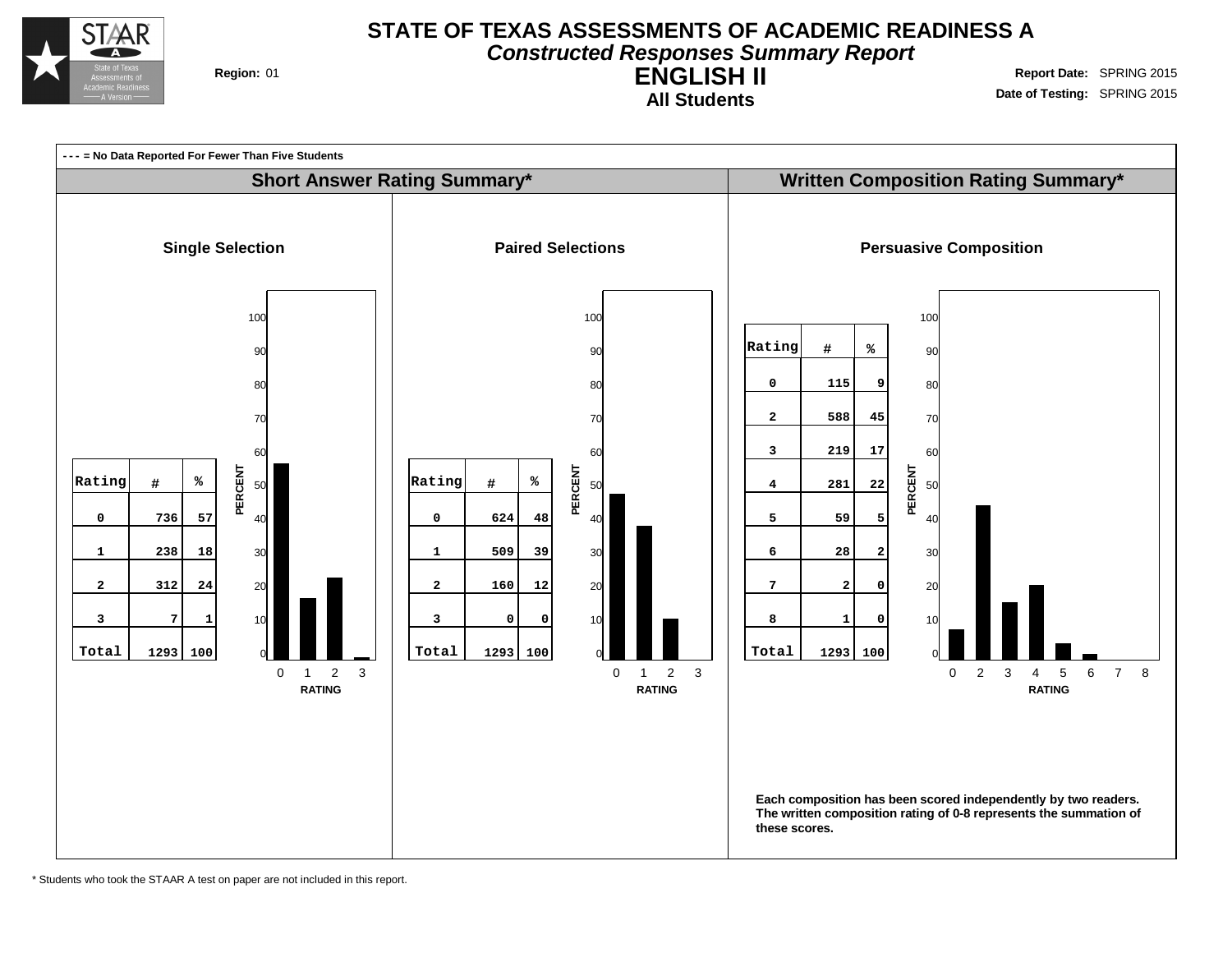

## **STATE OF TEXAS ASSESSMENTS OF ACADEMIC READINESS A Constructed Responses Summary Report**

**ENGLISH II All Students**

**Region:** 01 **Region:** 01 **Region:** 01 **Report** Date: SPRING 2015 **Date of Testing:** SPRING 2015



\* Students who took the STAAR A test on paper are not included in this report.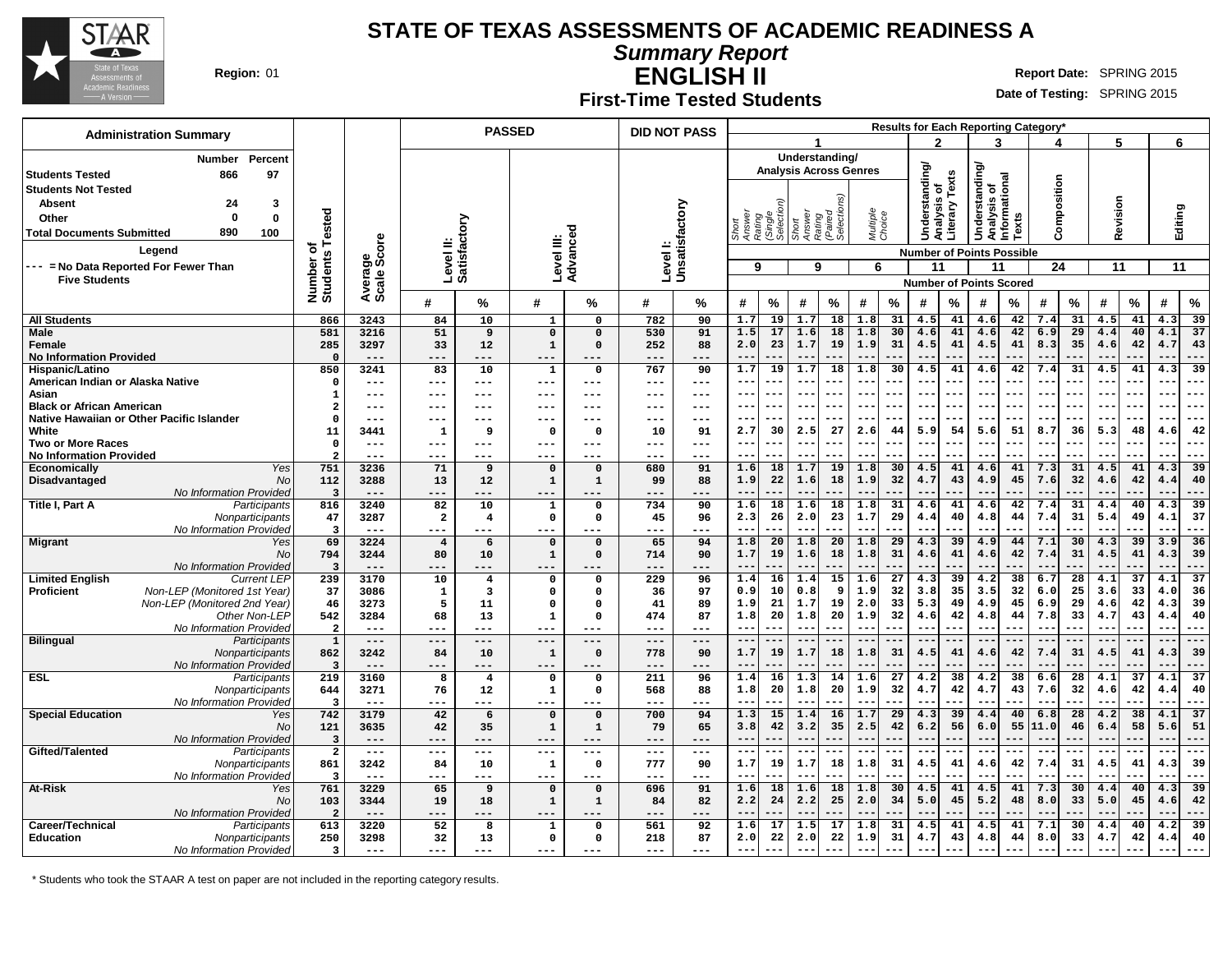

**Summary Report**

**ENGLISH II Region:** 01 **Report** Date: SPRING 2015

#### **First-Time Tested Students**

**Date of Testing:** SPRING 2015

| <b>Administration Summary</b>                                                     |                                |                |                         |                   | <b>PASSED</b>           |                         | <b>DID NOT PASS</b>        |               |                                                  |           |                          |                               |                          |                 |                |                 |                                              |                                  | <b>Results for Each Reporting Category</b> |                 |              |                 |             |                 |
|-----------------------------------------------------------------------------------|--------------------------------|----------------|-------------------------|-------------------|-------------------------|-------------------------|----------------------------|---------------|--------------------------------------------------|-----------|--------------------------|-------------------------------|--------------------------|-----------------|----------------|-----------------|----------------------------------------------|----------------------------------|--------------------------------------------|-----------------|--------------|-----------------|-------------|-----------------|
|                                                                                   |                                |                |                         |                   |                         |                         |                            |               |                                                  |           |                          |                               |                          |                 | $\mathbf{z}$   |                 | 3                                            |                                  |                                            |                 | 5            |                 | 6           |                 |
| <b>Number</b><br>Percent                                                          |                                |                |                         |                   |                         |                         |                            |               |                                                  |           |                          | Understanding/                |                          |                 |                |                 |                                              |                                  |                                            |                 |              |                 |             |                 |
| 97<br>l Students Tested<br>866                                                    |                                |                |                         |                   |                         |                         |                            |               |                                                  |           |                          | <b>Analysis Across Genres</b> |                          |                 | Understanding/ | Texts           | derstanding/<br>Analysis of<br>Informational |                                  |                                            |                 |              |                 |             |                 |
| <b>Students Not Tested</b>                                                        |                                |                |                         |                   |                         |                         |                            |               |                                                  |           |                          |                               |                          |                 | ৳              |                 |                                              |                                  | Composition                                |                 |              |                 |             |                 |
| <b>Absent</b><br>24<br>3                                                          |                                |                |                         |                   |                         |                         |                            |               |                                                  |           |                          |                               |                          |                 | w              |                 |                                              |                                  |                                            |                 |              |                 |             |                 |
| $\mathbf{0}$<br>$\mathbf 0$<br>Other                                              |                                |                |                         |                   |                         |                         |                            |               |                                                  |           |                          |                               |                          |                 | lalysi         |                 |                                              |                                  |                                            |                 |              |                 |             |                 |
| 890<br>100<br><b>Total Documents Submitted</b>                                    | Tested                         |                |                         | ζiο               |                         |                         |                            |               | Short<br>Answer<br>Rating<br>(Single<br>Selectio |           | Short<br>Answer          | Rating<br>(Paired<br>Selectio | Multiple<br>Choice       |                 |                | Literary        | š                                            | Texts                            |                                            |                 | Revision     |                 | Editing     |                 |
| Legend                                                                            | ৳                              | ige<br>Score   | Level II:<br>Satisfact  |                   | Level III:              | Advanced                | Level I:<br>Unsatisfactory |               |                                                  |           |                          |                               |                          |                 |                |                 |                                              |                                  |                                            |                 |              |                 |             |                 |
|                                                                                   |                                |                |                         |                   |                         |                         |                            |               |                                                  |           |                          |                               |                          |                 |                |                 |                                              | <b>Number of Points Possible</b> |                                            |                 |              |                 |             |                 |
| --- = No Data Reported For Fewer Than<br><b>Five Students</b>                     |                                |                |                         |                   |                         |                         |                            |               | 9                                                |           | 9                        |                               | 6                        |                 | 11             |                 | 11                                           |                                  | 24                                         |                 | 11           |                 | 11          |                 |
|                                                                                   | Number of<br>Students          | Avera<br>Scale |                         |                   |                         |                         |                            |               |                                                  |           |                          |                               |                          |                 |                |                 |                                              | <b>Number of Points Scored</b>   |                                            |                 |              |                 |             |                 |
|                                                                                   |                                |                | #                       | %                 | #                       | ℅                       | #                          | %             | #                                                | %         | #                        | %                             | #                        | %               | #              | %               | #                                            | %                                | #                                          | %               | #            | $\%$            | #           | $\%$            |
| <b>All Students</b>                                                               | 866                            | 3243           | 84                      | 10                | $\mathbf{1}$            | $\Omega$                | 782                        | 90            | 1.7                                              | 19        | 1.7                      | 18                            | 1.8                      | 31              | 4.5            | 41              | 4.6                                          | 42                               | 7.4                                        | 31              | 4.5          | 41              | 4.3         | 39              |
| <b>Male</b>                                                                       | 581                            | 3216           | 51                      | 9                 | $\mathbf 0$             | $\Omega$                | 530                        | 91            | 1.5                                              | 17        | 1.6                      | 18                            | 1.8                      | 30              | 4.6            | 41              | 4.6                                          | 42                               | 6.9                                        | 29              | 4.4          | 40              | 4.1         | 37              |
| Female                                                                            | 285                            | 3297           | 33                      | 12                | $\mathbf{1}$            | $\Omega$                | 252                        | 88            | 2.0                                              | 23        | 1.7                      | 19                            | 1.9                      | 31              | 4.5            | 41              | 4.5                                          | 41                               | 8.3                                        | 35              | 4.6          | 42              | 4.7         | 43              |
| <b>No Information Provided</b>                                                    | $\Omega$                       | $- - -$        | ---                     | ---               | ---                     |                         | ---                        |               |                                                  |           | --                       |                               |                          |                 |                |                 | $- -$                                        |                                  |                                            |                 |              |                 |             | ---             |
| Hispanic/Latino<br>American Indian or Alaska Native                               | 850<br>$\Omega$                | 3241<br>$---$  | 83<br>---               | 10<br>$---$       | $\mathbf{1}$<br>---     | $\mathbf 0$<br>---      | 767<br>---                 | 90<br>$--$    | 1.7                                              | 19<br>--- | 1.7<br>$\qquad \qquad -$ | 18                            | 1.8                      | 30              | 4.5            | 41              | 4.6<br>$- -$                                 | 42                               | 7.4                                        | 31              | 4.5          | 41              | 4.3         | 39<br>---       |
| Asian                                                                             |                                | $---$          | ---                     | $---$             | ---                     | $---$                   | ---                        | $---$         |                                                  |           | --                       |                               |                          |                 | --             |                 | $- -$                                        |                                  |                                            |                 |              |                 |             | --              |
| <b>Black or African American</b>                                                  | $\boldsymbol{2}$               | $---$          | ---                     | $---$             | ---                     | ---                     | ---                        | $- - -$       |                                                  | ---       | --                       |                               |                          |                 |                |                 | $- -$                                        |                                  |                                            |                 |              |                 |             | ---             |
| Native Hawaiian or Other Pacific Islander                                         | 0                              | $- - -$        |                         | ---               | ---                     |                         |                            | ---           |                                                  | ---       | --                       |                               |                          |                 | $- -$          | --              | $\sim$ $\sim$                                | ---                              |                                            |                 |              |                 |             | $- -$           |
| White                                                                             | 11                             | 3441           | 1                       | 9                 | 0                       | $\mathbf 0$             | 10                         | 91            | 2.7                                              | 30        | 2.5                      | 27                            | 2.6                      | 44              | 5.9            | 54              | 5.6                                          | 51                               | 8.7                                        | 36              | 5.3          | 48              | 4.6         | 42              |
| <b>Two or More Races</b>                                                          | $\mathbf 0$                    | $---$          | ---                     | $---$             | ---                     | ---                     | ---                        | $---$         | $\sim$ $\sim$                                    | ---       | $--$                     | ---                           | $- -$                    |                 | ---            | ---             | $\sim$ $\sim$                                | ---                              | $- - -$                                    | ---             | $- -$        |                 | $- -$       | $---$           |
| <b>No Information Provided</b>                                                    | $\overline{a}$                 | ---            |                         |                   | ---                     | ---                     | ---                        | ---           |                                                  |           | --                       |                               |                          |                 |                |                 | $- -$                                        |                                  |                                            |                 |              |                 |             | ---             |
| Yes<br><b>Economically</b>                                                        | 751                            | 3236           | 71                      | 9                 | $\mathbf 0$             | $\mathbf 0$             | 680                        | 91            | 1.6                                              | 18        | 1.7                      | 19                            | 1.8                      | 30              | 4.5            | 41              | 4.6                                          | 41                               | 7.3                                        | 31              | 4.5          | 41              | 4.3         | 39              |
| Disadvantaged<br>No<br>No Information Provideo                                    | 112                            | 3288           | 13                      | 12                | $\mathbf 1$             | $\mathbf{1}$            | 99                         | 88            | 1.9<br>$  \cdot$                                 | 22<br>    | 1.6                      | 18                            | 1.9                      | 32              | 4.7            | 43<br>          | 4.9<br>$\qquad \qquad -$                     | 45                               | 7.6<br>---                                 | 32              | 4.6<br>$- -$ | 42              | 4.4         | 40<br>---       |
| Title I, Part A<br>Participants                                                   | $\overline{3}$<br>816          | $---$<br>3240  | 82                      | 10                | ---<br>$\mathbf 1$      | $\mathbf 0$             | 734                        | 90            | 1.6                                              | 18        | $--$<br>1.6              | 18                            | 1.8                      | 31              | ---<br>4.6     | 41              | 4.6                                          | 42                               | 7.4                                        | 31              | 4.4          | 40              | 4.3         | 39              |
| Nonparticipants                                                                   | 47                             | 3287           | $\overline{\mathbf{2}}$ | 4                 | $\mathbf{o}$            | 0                       | 45                         | 96            | 2.3                                              | 26        | 2.0                      | 23                            | 1.7                      | 29              | 4.4            | 40              | 4.8                                          | 44                               | 7.4                                        | 31              | 5.4          | 49              | 4.1         | 37              |
| No Information Provideo                                                           | 3                              | $---$          | ---                     | ---               | ---                     |                         | ---                        |               | $\sim$ $\sim$                                    | ---       | $\qquad \qquad -$        |                               | $\overline{\phantom{m}}$ |                 | $- -$          | ---             | $\sim$ $\sim$                                |                                  |                                            | .               | $- -$        |                 | $ -$        | ---             |
| <b>Migrant</b><br>Yes                                                             | 69                             | 3224           | $\overline{4}$          | 6                 | $\mathbf 0$             | $\mathbf 0$             | 65                         | 94            | 1.8                                              | 20        | 1.8                      | 20                            | 1.8                      | 29              | 4.3            | 39              | 4.9                                          | 44                               | 7.1                                        | 30              | 4.3          | 39              | 3.9         | 36              |
| No                                                                                | 794                            | 3244           | 80                      | 10                | $\mathbf{1}$            | $\Omega$                | 714                        | 90            | 1.7                                              | 19        | 1.6                      | 18                            | 1.8                      | 31              | 4.6            | 41              | 4.6                                          | 42                               | 7.4                                        | 31              | 4.5          | 41              | 4.3         | 39              |
| No Information Provideo                                                           | 3                              | $---$          | ---                     | ---               | ---                     | ---                     | ---                        | ---           | $\sim$ $\sim$                                    | $-$       | $- -$                    |                               | --                       |                 | $-$            |                 | $-$                                          |                                  |                                            |                 | $- -$        |                 | $ -$        | ---             |
| <b>Limited English</b><br><b>Current LEP</b>                                      | 239                            | 3170           | 10                      | $\overline{4}$    | $\Omega$                | $\Omega$                | 229                        | 96            | 1.4                                              | 16        | 1.4                      | $\overline{15}$               | 1.6                      | 27              | 4.3            | $\overline{39}$ | 4.2                                          | $\overline{38}$                  | 6.7                                        | 28              | 4.1          | 37              | 4.1         | $\overline{37}$ |
| Non-LEP (Monitored 1st Year)<br><b>Proficient</b><br>Non-LEP (Monitored 2nd Year) | 37<br>46                       | 3086<br>3273   | $\mathbf{1}$<br>5       | 3<br>11           | $\mathbf 0$<br>$\Omega$ | $\mathbf 0$<br>$\Omega$ | 36<br>41                   | 97<br>89      | 0.9<br>1.9                                       | 10<br>21  | 0.8<br>1.7               | 9<br>19                       | 1.9<br>2.0               | 32<br>33        | 3.8<br>5.3     | 35<br>49        | 3.5<br>4.9                                   | 32<br>45                         | 6.0<br>6.9                                 | 25<br>29        | 3.6<br>4.6   | 33<br>42        | 4.0<br>4.3  | 36<br>39        |
| Other Non-LEP                                                                     | 542                            | 3284           | 68                      | 13                | 1                       | $\Omega$                | 474                        | 87            | 1.8                                              | 20        | 1.8                      | 20                            | 1.9                      | 32              | 4.6            | 42              | 4.8                                          | 44                               | 7.8                                        | 33              | 4.7          | 43              | 4.4         | 40              |
| No Information Provideo                                                           | $\overline{\mathbf{2}}$        | $---$          | $---$                   | $---$             | ---                     | $---$                   | ---                        | ---           | $- -$                                            | ---       | $- -$                    |                               | $-$                      |                 | $- -$          | $--$            | $- -$                                        |                                  |                                            | ---             | $- -$        |                 | $-$         | ---             |
| <b>Bilingual</b><br>Participants                                                  | $\mathbf{1}$                   | $---$          | $---$                   | $---$             | ---                     | $---$                   | ---                        | $---$         | $\sim$ $\sim$                                    | ---       | ---                      |                               |                          |                 | $-$            |                 | $\qquad \qquad -$                            |                                  |                                            |                 | $- -$        |                 |             | $---$           |
| Nonparticipants                                                                   | 862                            | 3242           | 84                      | 10                | $\mathbf{1}$            | $\Omega$                | 778                        | 90            | 1.7                                              | 19        | 1.7                      | 18                            | 1.8                      | 31              | 4.5            | 41              | 4.6                                          | 42                               | 7.4                                        | 31              | 4.5          | 41              | 4.3         | 39              |
| No Information Provideo                                                           | $\overline{3}$                 | $---$          | ---                     | ---               | $---$                   | ---                     |                            | ---           | $-$                                              |           |                          |                               |                          |                 |                |                 | $ -$                                         |                                  |                                            |                 |              |                 |             | $- -$           |
| <b>ESL</b><br>Participants                                                        | $\overline{219}$               | 3160           | 8                       | $\overline{4}$    | $\Omega$                | $\mathbf 0$             | 211                        | 96            | 1.4                                              | 16        | 1.3                      | 14                            | 1.6                      | $\overline{27}$ | 4.2            | 38              | 4.2                                          | $\overline{38}$                  | 6.6                                        | $\overline{28}$ | 4.1          | $\overline{37}$ | 4.1         | $\overline{37}$ |
| Nonparticipants<br>No Information Provideo                                        | 644<br>$\overline{\mathbf{3}}$ | 3271           | 76<br>$---$             | $12 \overline{ }$ | $\mathbf{1}$            | $\Omega$                | 568                        | 88            | 1.8<br>$-$                                       | 20<br>--- | 1.8<br>$- -$             | 20                            | 1.9<br>$\sim$ $\sim$     | 32              | 4.7            | 42              | 4.7<br>$\sim$ $\sim$                         | 43                               | 7.6                                        | 32              | 4.6          | 42              | 4.4<br>$ -$ | 40<br>$--$      |
| <b>Special Education</b><br>Yes                                                   | 742                            | $---$<br>3179  | 42                      | ---<br>6          | ---<br>$\mathbf 0$      | $---$<br>$\Omega$       | ---<br>700                 | $- - -$<br>94 | 1.3                                              | 15        | 1.4                      | 16                            | 1.7                      | 29              | 4.3            | 39              | 4.4                                          | 40                               | 6.8                                        | 28              | 4.2          | 38              | 4.1         | 37              |
| No                                                                                | 121                            | 3635           | 42                      | 35                | 1                       | $\mathbf{1}$            | 79                         | 65            | 3.8                                              | 42        | 3.2                      | 35                            | 2.5                      | 42              | 6.2            | 56              | 6.0                                          | 55                               | 11.0                                       | 46              | 6.4          | 58              | 5.6         | 51              |
| No Information Provided                                                           | $\overline{\mathbf{3}}$        | $---$          | ---                     | ---               | ---                     | $---$                   | ---                        | $---$         | $- -$                                            |           | --                       |                               |                          |                 | $ -$           |                 | $ -$                                         |                                  |                                            |                 |              |                 |             | ---             |
| Gifted/Talented<br>Participants                                                   | $\overline{2}$                 | $\frac{1}{2}$  | $---$                   | $---$             | $---$                   | $---$                   | $---$                      | $\frac{1}{2}$ | $- -$                                            | ---       | $---$                    | ---                           | ---                      |                 | $- -$          | $- -$           | $\frac{1}{2}$                                | ---                              | $--$                                       |                 | $---$        |                 | $-$         | $---$           |
| Nonparticipants                                                                   | 861                            | 3242           | 84                      | 10                | 1                       | $\mathbf 0$             | 777                        | 90            | 1.7                                              | 19        | 1.7                      | 18                            | 1.8                      | 31              | 4.5            | 41              | 4.6                                          | 42                               | 7.4                                        | 31              | 4.5          | 41              | 4.3         | 39              |
| No Information Provideo                                                           | $\overline{\mathbf{3}}$        | $---$          | ---                     | $---$             | ---                     | ---                     | ---                        | ---           | $-$                                              |           | $- -$                    |                               |                          |                 |                |                 |                                              |                                  |                                            |                 |              |                 |             | ---             |
| At-Risk<br>Yes                                                                    | 761                            | 3229           | 65                      | 9                 | $\mathbf 0$             | $\mathbf 0$             | 696                        | 91            | 1.6                                              | 18        | 1.6                      | 18                            | 1.8                      | 30              | 4.5            | 41              | 4.5                                          | 41                               | 7.3                                        | 30              | 4.4          | 40              | 4.3         | 39              |
| No                                                                                | 103                            | 3344           | 19                      | 18                | $\mathbf{1}$            | $\mathbf{1}$            | 84                         | 82            | 2.2                                              | 24        | 2.2                      | 25                            | 2.0                      | 34              | 5.0            | 45              | 5.2                                          | 48                               | 8.0                                        | 33              | 5.0          | 45              | 4.6         | 42              |
| No Information Provideo<br>Career/Technical<br>Participants                       | $\overline{2}$<br>613          | $---$<br>3220  | ---<br>52               | ---<br>8          | ---<br>$\mathbf 1$      | $\mathbf{o}$            | ---<br>561                 | ---<br>92     | 1.6                                              | 17        | 1.5                      | 17                            | 1.8                      | 31              | 4.5            | 41              | 4.5                                          | 41                               | 7.1                                        | 30              | 4.4          | 40              | 4.2         | 39              |
| Education<br>Nonparticipants                                                      | 250                            | 3298           | 32                      | 13                | $\mathbf 0$             | $\Omega$                | 218                        | 87            | 2.0                                              | 22        | 2.0                      | 22                            | 1.9                      | 31              | 4.7            | 43              | 4.8                                          | 44                               | 8.0                                        | 33              | 4.7          | 42              | 4.4         | 40              |
| No Information Provided                                                           | 3                              | $---$          | $---$                   | $---$             | ---                     | $---$                   | ---                        | $- - -$       | $\sim$ $\sim$                                    | ---       |                          | ---                           | $\sim$ $\sim$            | ---             | $--$           | ---             | $- -$                                        | ---                              | $--$                                       | ---             | $- -$        |                 |             | ---             |

\* Students who took the STAAR A test on paper are not included in the reporting category results.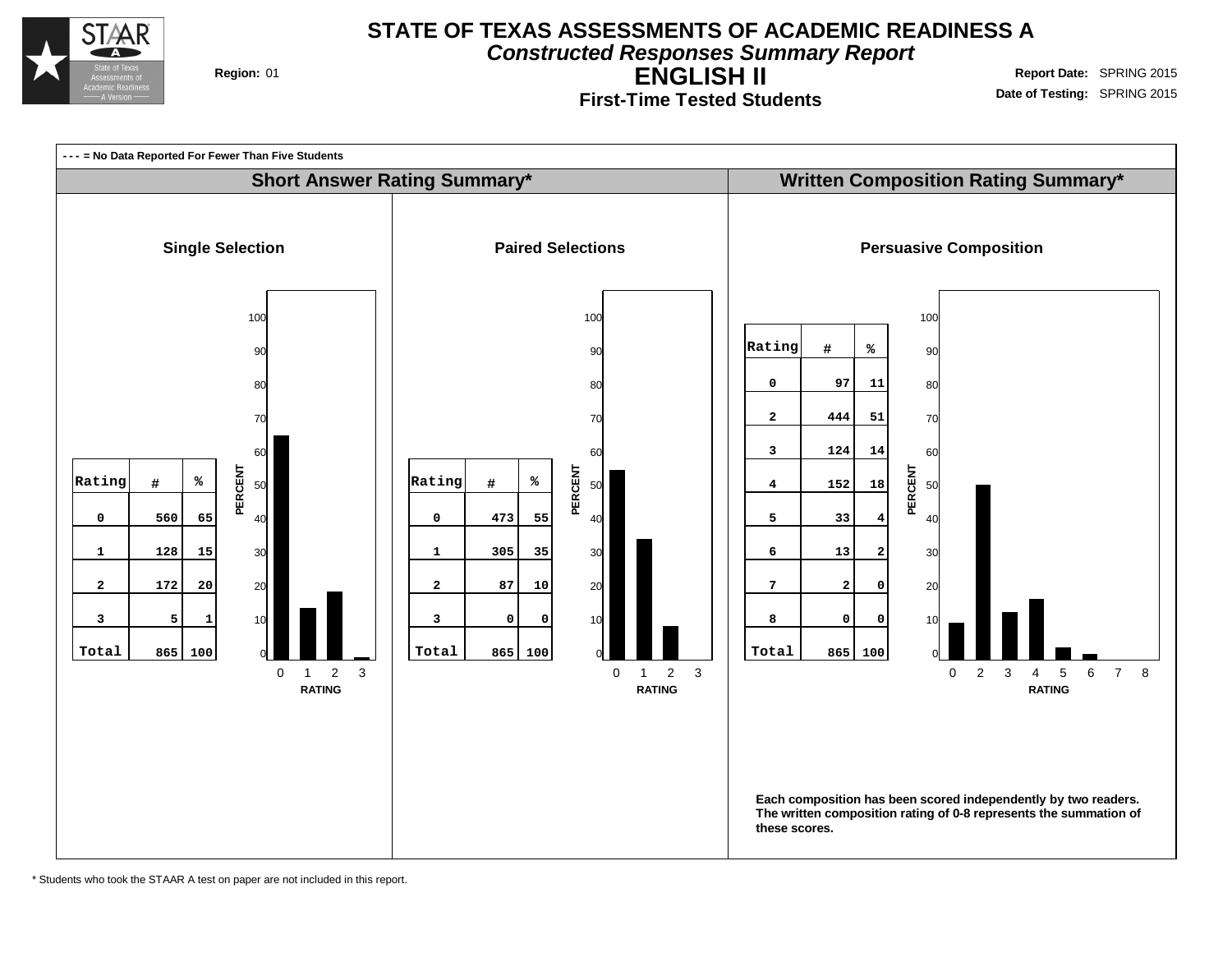

**Constructed Responses Summary Report**

**ENGLISH II**

**First-Time Tested Students**

**Region:** 01 **Region:** 01 **Region:** 01 **Report** Date: SPRING 2015 **Date of Testing:** SPRING 2015



\* Students who took the STAAR A test on paper are not included in this report.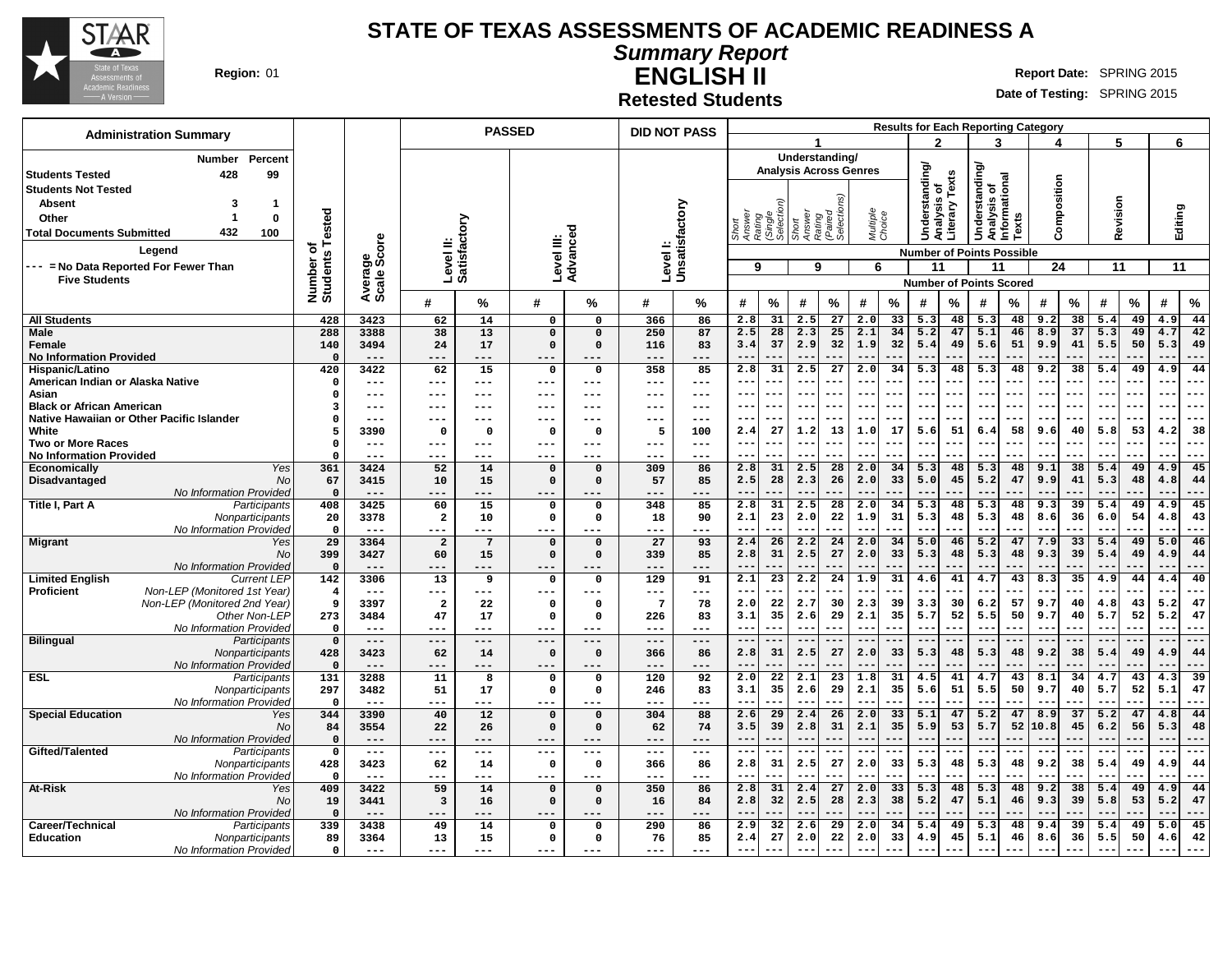

#### **STATE OF TEXAS ASSESSMENTS OF ACADEMIC READINESS A**

**Summary Report**

**ENGLISH II Region:** 01 **Report** Date: SPRING 2015

**Date of Testing:** SPRING 2015

**Results for Each Reporting Category**

**Retested Students**

| 3<br>2<br>5<br>6<br>Δ<br>Understanding/<br><b>Number</b><br>Percent<br>Understanding<br>Understanding<br><b>Analysis Across Genres</b><br>Texts<br>428<br>99<br><b>Students Tested</b><br>Analysis of<br>Informational<br>Composition<br><b>Students Not Tested</b><br>ō<br>ηS,<br>Revision<br>Analysis<br>Unsatisfactory<br><b>Absent</b><br>1<br>3<br>terary<br>Editing<br>ested<br>Rating<br>(Paired<br>Selection<br>Multiple<br>Choice<br>Answer<br>Rating<br>(Single<br>Selectio<br>Short<br>Answer<br>Texts<br>Other<br>0<br>Level II:<br>Satisfactory<br>432<br>100<br>ã<br><b>Total Documents Submitted</b><br>Advanceo<br>ige<br>Score<br>တ<br>Level III:<br>Level I:<br>৳<br>Legend<br><b>Number of Points Possible</b><br>Number o<br>Students<br>--- = No Data Reported For Fewer Than<br>11<br>11<br>9<br>9<br>6<br>11<br>24<br>11<br>Average:<br><b>Five Students</b><br><b>Number of Points Scored</b><br>$\%$<br>$\%$<br>%<br>%<br>℅<br>#<br>℅<br>#<br>℅<br>#<br>%<br>#<br>#<br>#<br>%<br>#<br>%<br>#<br>%<br>#<br>#<br>#<br>2.8<br>31<br>2.5<br>27<br>2.0<br>33<br>48<br>5.3<br>48<br>9.2<br>38<br>44<br><b>All Students</b><br>428<br>3423<br>62<br>14<br>$\mathbf 0$<br>366<br>86<br>5.3<br>5.4<br>49<br>4.9<br>$\mathbf 0$<br>288<br>$\overline{13}$<br>2.5<br>$\overline{28}$<br>2.3<br>25<br>2.1<br>34<br>5.2<br>47<br>5.1<br>46<br>8.9<br>37<br>49<br>42<br><b>Male</b><br>3388<br>38<br>250<br>87<br>5.3<br>4.7<br>$\mathbf 0$<br>$\Omega$<br>37<br>32<br>32<br>49<br>5.6<br>51<br>41<br>5.5<br>140<br>3.4<br>2.9<br>1.9<br>5.4<br>9.9<br>50<br>5.3<br>49<br>3494<br>24<br>17<br>$\Omega$<br>116<br>83<br>Female<br>$\Omega$<br><b>No Information Provided</b><br>$-$<br>---<br>$---$<br>$ -$<br>$\qquad \qquad -$<br>---<br>420<br>31<br>$\overline{5.3}$<br>44<br><b>Hispanic/Latino</b><br>3422<br>62<br>15<br>358<br>85<br>2.5<br>27<br>34<br>5.3<br>48<br>48<br>38<br>49<br>$\mathbf 0$<br>$\Omega$<br>2.8<br>2.0<br>9.2<br>5.4<br>4.9<br>American Indian or Alaska Native<br>$---$<br>$---$<br>---<br>$---$<br>---<br>$---$<br>---<br>$-$<br>---<br>--<br>$-$<br>$--$<br><br>$- -$<br>$-$<br>---<br>$- -$<br>---<br>---<br>---<br>Asian<br>---<br>$\Omega$<br>---<br>--<br>--<br>---<br>---<br>---<br>$---$<br>---<br>---<br>$---$<br><b>Black or African American</b><br>---<br>--<br>$- -$<br>$- -$<br>$- -$<br>---<br>Э<br>$- -$<br>--<br>$- -$<br><br>$- -$<br>---<br>---<br>---<br>---<br>---<br>---<br>---<br>---<br>---<br>$---$<br>---<br>Native Hawaiian or Other Pacific Islander<br>---<br>$\Omega$<br>---<br>--<br>$---$<br>--<br>---<br>---<br>---<br>---<br>---<br>$- - -$<br>27<br>51<br>58<br>5.8<br>53<br>13<br>17<br>5.6<br>9.6<br>40<br>4.2<br>38<br>White<br>3390<br>$\Omega$<br>$\Omega$<br>100<br>2.4<br>1.2<br>1.0<br>6.4<br>$\mathbf{o}$<br>$\Omega$<br>5<br><b>Two or More Races</b><br>---<br>$ -$<br>--<br>$-$<br>---<br>- 0<br>$---$<br>---<br>---<br>$\qquad \qquad -$<br>---<br>$---$<br>---<br><b>No Information Provided</b><br>$--$<br>$--$<br>$- -$<br>---<br>$---$<br>---<br>$---$<br>---<br>---<br>$\sim$ $\sim$<br>---<br>---<br>---<br>$- -$<br>$--$<br>---<br>---<br>$---$<br>---<br>---<br>--<br>---<br>---<br>Yes<br>361<br>3424<br>52<br>14<br>309<br>86<br>2.8<br>31<br>2.5<br>28<br>34<br>5.3<br>48<br>5.3<br>48<br>9.1<br>38<br>49<br>45<br>Economically<br>$\mathbf 0$<br>$\mathbf 0$<br>2.0<br>5.4<br>4.9<br>67<br>57<br>28<br>33<br>45<br>5.2<br>47<br>41<br>Disadvantaged<br>No<br>3415<br>10<br>15<br>$\Omega$<br>$\mathbf 0$<br>85<br>2.5<br>2.3<br>26<br>2.0<br>5.0<br>9.9<br>5.3<br>48<br>4.8<br>44<br>No Information Provided<br>$\mathbf 0$<br>---<br>$- -$<br>$ -$<br>$- - -$<br>---<br>---<br>---<br>---<br>$- -$<br>---<br>15<br>85<br>2.8<br>31<br>2.5<br>28<br>5.3<br>48<br>5.3<br>48<br>39<br>49<br>45<br>Title I, Part A<br>Participants<br>408<br>3425<br>60<br>$\mathsf{o}$<br>348<br>2.0<br>34<br>9.3<br>5.4<br>4.9<br>0<br>23<br>31<br>48<br>Nonparticipants<br>20<br>3378<br>$\overline{\mathbf{2}}$<br>$\Omega$<br>2.1<br>2.0<br>22<br>1.9<br>5.3<br>48<br>5.3<br>8.6<br>36<br>6.0<br>54<br>4.8<br>43<br>10<br>0<br>18<br>90<br>No Information Provideo<br>$\Omega$<br>$- -$<br>$- -$<br>$- -$<br>$- -$<br>---<br>$ -$<br>$- -$<br>$- - -$<br>$- - -$<br>---<br>$- -$<br>---<br>.<br>.<br>$- -$<br>---<br>---<br>$- - -$<br>$---$<br>---<br>$- - -$<br>---<br>29<br>27<br>26<br>2.2<br>24<br>5.2<br>47<br>33<br>46<br><b>Migrant</b><br>3364<br>$\overline{a}$<br>7<br>93<br>2.4<br>2.0<br>34<br>5.0<br>46<br>7.9<br>5.4<br>49<br>5.0<br>Yes<br>$\Omega$<br>$\Omega$<br>399<br>60<br>15<br>85<br>2.8<br>31<br>2.5<br>27<br>33<br>5.3<br>48<br>5.3<br>48<br>39<br>49<br>No<br>3427<br>$\Omega$<br>$\Omega$<br>339<br>2.0<br>9.3<br>5.4<br>4.9<br>44<br>No Information Provideo<br>$\Omega$<br>$- - -$<br>---<br>---<br>---<br>$- -$<br>--<br>---<br>---<br><b>Limited English</b><br>142<br>129<br>91<br>23<br>35<br><b>Current LEP</b><br>3306<br>13<br>9<br>$\mathbf 0$<br>0<br>2.1<br>2.2<br>24<br>31<br>41<br>4.7<br>43<br>8.3<br>40<br>1.9<br>44<br>4.4<br>4.6<br>4.9<br><b>Proficient</b><br>Non-LEP (Monitored 1st Year)<br>$\overline{\mathbf{4}}$<br>$---$<br>--<br>--<br>---<br>---<br>---<br>---<br>$---$<br>---<br>$\qquad \qquad -$<br>--<br>---<br>Non-LEP (Monitored 2nd Year)<br>22<br>57<br>5.2<br>9<br>7<br>2.0<br>2.7<br>30<br>2.3<br>39<br>3.3<br>30<br>6.2<br>9.7<br>40<br>47<br>3397<br>$\overline{a}$<br>22<br>78<br>4.8<br>43<br>$\Omega$<br>0<br>Other Non-LEP<br>35<br>35<br>52<br>50<br>52<br>5.2<br>273<br>3.1<br>2.6<br>29<br>2.1<br>5.7<br>5.5<br>9.7<br>40<br>5.7<br>47<br>47<br>226<br>83<br>3484<br>17<br>$\Omega$<br>0<br>No Information Provided<br>$\mathbf 0$<br>$- -$<br>$---$<br>---<br>---<br>$ -$<br>---<br>$- -$<br>---<br>$--$<br>.<br>$- -$<br>---<br>$- -$<br>---<br>$\qquad \qquad -$<br>---<br>$- - -$<br>---<br>---<br>---<br>---<br>$--$<br>---<br><b>Bilingual</b><br>---<br>$---$<br>$--$<br>---<br>$\mathbf 0$<br>$---$<br>$---$<br>$---$<br>---<br>$- -$<br>---<br>Participants<br>$---$<br>$---$<br>---<br>---<br>$---$<br>---<br>---<br>$--$<br>---<br>$---$<br>---<br>$---$<br>---<br>2.8<br>31<br>2.5<br>27<br>2.0<br>33<br>5.3<br>48<br>5.3<br>48<br>9.2<br>38<br>5.4<br>49<br>4.9<br>428<br>3423<br>62<br>366<br>44<br>Nonparticipants<br>14<br>$\Omega$<br>$\mathbf 0$<br>86<br>No Information Provideo<br>$\Omega$<br>$---$<br>---<br>---<br>---<br>---<br>$- -$<br>---<br><b>ESL</b><br>131<br>$\overline{11}$<br>$\overline{120}$<br>92<br>$\overline{22}$<br>2.1<br>31<br>4.7<br>43<br>34<br>$\overline{39}$<br>3288<br>8<br>$\Omega$<br>2.0<br>23<br>41<br>8.1<br>43<br>Participants<br>$\Omega$<br>1.8<br>4.5<br>4.7<br>4.3<br>35<br>51<br>50<br>52<br>297<br>3482<br>51<br>83<br>35<br>2.6<br>29<br>5.6<br>5.5<br>40<br>5.7<br>5.1<br>47<br>Nonparticipants<br>17<br>$\Omega$<br>0<br>246<br>3.1<br>2.1<br>9.7<br>No Information Provideo<br>$-$<br>$-$<br>$\mathbf{0}$<br>Ξ.<br>$---$<br>---<br>---<br>---<br>---<br>---<br>$---$<br><b>Special Education</b><br>29<br>2.4<br>33<br>47<br>5.2<br>47<br>37<br>5.2<br>44<br>344<br>3390<br>40<br>12<br>304<br>88<br>2.6<br>26<br>2.0<br>5.1<br>8.9<br>47<br>4.8<br>Yes<br>$\mathbf 0$<br>$\Omega$<br>35<br>39<br>2.8<br>31<br>2.1<br>5.9<br>53<br>5.7<br>52<br>45<br>5.3<br>No<br>84<br>3554<br>22<br>26<br>3.5<br>10.8<br>6.2<br>56<br>48<br>$\mathbf{o}$<br>$\Omega$<br>62<br>74<br>No Information Provided<br>$\Omega$<br>$- -$<br>$-$<br>$- -$<br>---<br>$---$<br>$---$<br>--<br><br>---<br>$---$<br>$---$<br>---<br>---<br>Gifted/Talented<br>$\mathbf{o}$<br>Participants<br>$-$<br>---<br>---<br>$--$<br>---<br>$---$<br>$---$<br>---<br>$---$<br>---<br>$---$<br>---<br>$ -$<br>--<br>. | 428<br>3423<br>31<br>33<br>48<br>48<br>38<br>4.9<br>Nonparticipants<br>62<br>14<br>$\mathbf 0$<br>0<br>366<br>86<br>2.8<br>2.5<br>27<br>2.0<br>5.3<br>5.3<br>9.2<br>5.4<br>49<br>44<br>No Information Provideo<br>$\mathbf 0$<br>$- - -$<br>$- -$<br>---<br>---<br>$---$<br>---<br>--<br>$- -$<br>$ -$<br>---<br>---<br>$- - -$<br>--<br>409<br>3422<br>59<br>14<br>350<br>86<br>2.8<br>31<br>2.4<br>27<br>33<br>5.3<br>48<br>5.3<br>48<br>9.2<br>38<br>49<br>44<br>At-Risk<br>Yes<br>$\mathbf 0$<br>$\Omega$<br>2.0<br>5.4<br>4.9<br>2.8<br>32<br>2.5<br>28<br>2.3<br>38<br>5.2<br>47<br>5.1<br>46<br>9.3<br>39<br>5.8<br>53<br>5.2<br>47<br>No<br>19<br>3441<br>3<br>16<br>$\mathbf{o}$<br>0<br>16<br>84<br>No Information Provideo<br>$\Omega$<br>$- -$<br>$- -$<br>$- - -$<br>$- -$<br>---<br>$- -$<br>---<br>---<br>$- -$<br>---<br>$- -$<br>---<br>$- -$<br>$---$<br>$- - -$<br>---<br>---<br>$---$<br>$- - -$<br>---<br>---<br>---<br>Career/Technical<br>32<br>2.6<br>29<br>5.3<br>48<br>39<br>45<br>339<br>3438<br>49<br>14<br>290<br>86<br>2.9<br>2.0<br>34<br>5.4<br>49<br>9.4<br>5.4<br>49<br>5.0<br>Participants<br>$\Omega$<br>$\Omega$ | <b>Administration Summary</b> |             |       |       | <b>PASSED</b> |     |     | <b>DID NOT PASS</b> |     |         |    |       |      |     |       |     |         |    | <b>Results for Each Reporting Category</b> |         |       |     |       |     |
|--------------------------------------------------------------------------------------------------------------------------------------------------------------------------------------------------------------------------------------------------------------------------------------------------------------------------------------------------------------------------------------------------------------------------------------------------------------------------------------------------------------------------------------------------------------------------------------------------------------------------------------------------------------------------------------------------------------------------------------------------------------------------------------------------------------------------------------------------------------------------------------------------------------------------------------------------------------------------------------------------------------------------------------------------------------------------------------------------------------------------------------------------------------------------------------------------------------------------------------------------------------------------------------------------------------------------------------------------------------------------------------------------------------------------------------------------------------------------------------------------------------------------------------------------------------------------------------------------------------------------------------------------------------------------------------------------------------------------------------------------------------------------------------------------------------------------------------------------------------------------------------------------------------------------------------------------------------------------------------------------------------------------------------------------------------------------------------------------------------------------------------------------------------------------------------------------------------------------------------------------------------------------------------------------------------------------------------------------------------------------------------------------------------------------------------------------------------------------------------------------------------------------------------------------------------------------------------------------------------------------------------------------------------------------------------------------------------------------------------------------------------------------------------------------------------------------------------------------------------------------------------------------------------------------------------------------------------------------------------------------------------------------------------------------------------------------------------------------------------------------------------------------------------------------------------------------------------------------------------------------------------------------------------------------------------------------------------------------------------------------------------------------------------------------------------------------------------------------------------------------------------------------------------------------------------------------------------------------------------------------------------------------------------------------------------------------------------------------------------------------------------------------------------------------------------------------------------------------------------------------------------------------------------------------------------------------------------------------------------------------------------------------------------------------------------------------------------------------------------------------------------------------------------------------------------------------------------------------------------------------------------------------------------------------------------------------------------------------------------------------------------------------------------------------------------------------------------------------------------------------------------------------------------------------------------------------------------------------------------------------------------------------------------------------------------------------------------------------------------------------------------------------------------------------------------------------------------------------------------------------------------------------------------------------------------------------------------------------------------------------------------------------------------------------------------------------------------------------------------------------------------------------------------------------------------------------------------------------------------------------------------------------------------------------------------------------------------------------------------------------------------------------------------------------------------------------------------------------------------------------------------------------------------------------------------------------------------------------------------------------------------------------------------------------------------------------------------------------------------------------------------------------------------------------------------------------------------------------------------------------------------------------------------------------------------------------------------------------------------------------------------------------------------------------------------------------------------------------------------------------------------------------------------------------------------------------------------------------------------------------------------------------------------------------------------------------------------------------------------------------------------------------------------------------------------------------------------------------------------------------------------------------------------------------------------------------------------------------------------------------------------------------------------------------------------------------------------------------------------------------------------------------------------------------------------------------------------------------------------------------------------------------------------------------------------------------------------------------------------------------------------------------------------------------------------------------------------------------------------------------------------------------------------------------------------------------------------------------------------------------------------------------------------------------------------------------------------------------------------------------------------------------------------------------------------------------------------------------------------------------------------------------------------------------------------------------------------------------------------------------------------------------------------------------------------------------------------------|-------------------------------------------------------------------------------------------------------------------------------------------------------------------------------------------------------------------------------------------------------------------------------------------------------------------------------------------------------------------------------------------------------------------------------------------------------------------------------------------------------------------------------------------------------------------------------------------------------------------------------------------------------------------------------------------------------------------------------------------------------------------------------------------------------------------------------------------------------------------------------------------------------------------------------------------------------------------------------------------------------------------------------------------------------------------------------------------------------------------------------------------------------|-------------------------------|-------------|-------|-------|---------------|-----|-----|---------------------|-----|---------|----|-------|------|-----|-------|-----|---------|----|--------------------------------------------|---------|-------|-----|-------|-----|
|                                                                                                                                                                                                                                                                                                                                                                                                                                                                                                                                                                                                                                                                                                                                                                                                                                                                                                                                                                                                                                                                                                                                                                                                                                                                                                                                                                                                                                                                                                                                                                                                                                                                                                                                                                                                                                                                                                                                                                                                                                                                                                                                                                                                                                                                                                                                                                                                                                                                                                                                                                                                                                                                                                                                                                                                                                                                                                                                                                                                                                                                                                                                                                                                                                                                                                                                                                                                                                                                                                                                                                                                                                                                                                                                                                                                                                                                                                                                                                                                                                                                                                                                                                                                                                                                                                                                                                                                                                                                                                                                                                                                                                                                                                                                                                                                                                                                                                                                                                                                                                                                                                                                                                                                                                                                                                                                                                                                                                                                                                                                                                                                                                                                                                                                                                                                                                                                                                                                                                                                                                                                                                                                                                                                                                                                                                                                                                                                                                                                                                                                                                                                                                                                                                                                                                                                                                                                                                                                                                                                                                                                                                                                                                                                                                                                                                                                                                                                                                                                                                                                                                                                                                                                                                                    |                                                                                                                                                                                                                                                                                                                                                                                                                                                                                                                                                                                                                                                                                                                                                                                                                                                                                                                                                                                                                                                                                                                                                       |                               |             |       |       |               |     |     |                     |     |         |    |       |      |     |       |     |         |    |                                            |         |       |     |       |     |
|                                                                                                                                                                                                                                                                                                                                                                                                                                                                                                                                                                                                                                                                                                                                                                                                                                                                                                                                                                                                                                                                                                                                                                                                                                                                                                                                                                                                                                                                                                                                                                                                                                                                                                                                                                                                                                                                                                                                                                                                                                                                                                                                                                                                                                                                                                                                                                                                                                                                                                                                                                                                                                                                                                                                                                                                                                                                                                                                                                                                                                                                                                                                                                                                                                                                                                                                                                                                                                                                                                                                                                                                                                                                                                                                                                                                                                                                                                                                                                                                                                                                                                                                                                                                                                                                                                                                                                                                                                                                                                                                                                                                                                                                                                                                                                                                                                                                                                                                                                                                                                                                                                                                                                                                                                                                                                                                                                                                                                                                                                                                                                                                                                                                                                                                                                                                                                                                                                                                                                                                                                                                                                                                                                                                                                                                                                                                                                                                                                                                                                                                                                                                                                                                                                                                                                                                                                                                                                                                                                                                                                                                                                                                                                                                                                                                                                                                                                                                                                                                                                                                                                                                                                                                                                                    |                                                                                                                                                                                                                                                                                                                                                                                                                                                                                                                                                                                                                                                                                                                                                                                                                                                                                                                                                                                                                                                                                                                                                       |                               |             |       |       |               |     |     |                     |     |         |    |       |      |     |       |     |         |    |                                            |         |       |     |       |     |
|                                                                                                                                                                                                                                                                                                                                                                                                                                                                                                                                                                                                                                                                                                                                                                                                                                                                                                                                                                                                                                                                                                                                                                                                                                                                                                                                                                                                                                                                                                                                                                                                                                                                                                                                                                                                                                                                                                                                                                                                                                                                                                                                                                                                                                                                                                                                                                                                                                                                                                                                                                                                                                                                                                                                                                                                                                                                                                                                                                                                                                                                                                                                                                                                                                                                                                                                                                                                                                                                                                                                                                                                                                                                                                                                                                                                                                                                                                                                                                                                                                                                                                                                                                                                                                                                                                                                                                                                                                                                                                                                                                                                                                                                                                                                                                                                                                                                                                                                                                                                                                                                                                                                                                                                                                                                                                                                                                                                                                                                                                                                                                                                                                                                                                                                                                                                                                                                                                                                                                                                                                                                                                                                                                                                                                                                                                                                                                                                                                                                                                                                                                                                                                                                                                                                                                                                                                                                                                                                                                                                                                                                                                                                                                                                                                                                                                                                                                                                                                                                                                                                                                                                                                                                                                                    |                                                                                                                                                                                                                                                                                                                                                                                                                                                                                                                                                                                                                                                                                                                                                                                                                                                                                                                                                                                                                                                                                                                                                       |                               |             |       |       |               |     |     |                     |     |         |    |       |      |     |       |     |         |    |                                            |         |       |     |       |     |
|                                                                                                                                                                                                                                                                                                                                                                                                                                                                                                                                                                                                                                                                                                                                                                                                                                                                                                                                                                                                                                                                                                                                                                                                                                                                                                                                                                                                                                                                                                                                                                                                                                                                                                                                                                                                                                                                                                                                                                                                                                                                                                                                                                                                                                                                                                                                                                                                                                                                                                                                                                                                                                                                                                                                                                                                                                                                                                                                                                                                                                                                                                                                                                                                                                                                                                                                                                                                                                                                                                                                                                                                                                                                                                                                                                                                                                                                                                                                                                                                                                                                                                                                                                                                                                                                                                                                                                                                                                                                                                                                                                                                                                                                                                                                                                                                                                                                                                                                                                                                                                                                                                                                                                                                                                                                                                                                                                                                                                                                                                                                                                                                                                                                                                                                                                                                                                                                                                                                                                                                                                                                                                                                                                                                                                                                                                                                                                                                                                                                                                                                                                                                                                                                                                                                                                                                                                                                                                                                                                                                                                                                                                                                                                                                                                                                                                                                                                                                                                                                                                                                                                                                                                                                                                                    |                                                                                                                                                                                                                                                                                                                                                                                                                                                                                                                                                                                                                                                                                                                                                                                                                                                                                                                                                                                                                                                                                                                                                       |                               |             |       |       |               |     |     |                     |     |         |    |       |      |     |       |     |         |    |                                            |         |       |     |       |     |
|                                                                                                                                                                                                                                                                                                                                                                                                                                                                                                                                                                                                                                                                                                                                                                                                                                                                                                                                                                                                                                                                                                                                                                                                                                                                                                                                                                                                                                                                                                                                                                                                                                                                                                                                                                                                                                                                                                                                                                                                                                                                                                                                                                                                                                                                                                                                                                                                                                                                                                                                                                                                                                                                                                                                                                                                                                                                                                                                                                                                                                                                                                                                                                                                                                                                                                                                                                                                                                                                                                                                                                                                                                                                                                                                                                                                                                                                                                                                                                                                                                                                                                                                                                                                                                                                                                                                                                                                                                                                                                                                                                                                                                                                                                                                                                                                                                                                                                                                                                                                                                                                                                                                                                                                                                                                                                                                                                                                                                                                                                                                                                                                                                                                                                                                                                                                                                                                                                                                                                                                                                                                                                                                                                                                                                                                                                                                                                                                                                                                                                                                                                                                                                                                                                                                                                                                                                                                                                                                                                                                                                                                                                                                                                                                                                                                                                                                                                                                                                                                                                                                                                                                                                                                                                                    |                                                                                                                                                                                                                                                                                                                                                                                                                                                                                                                                                                                                                                                                                                                                                                                                                                                                                                                                                                                                                                                                                                                                                       |                               |             |       |       |               |     |     |                     |     |         |    |       |      |     |       |     |         |    |                                            |         |       |     |       |     |
|                                                                                                                                                                                                                                                                                                                                                                                                                                                                                                                                                                                                                                                                                                                                                                                                                                                                                                                                                                                                                                                                                                                                                                                                                                                                                                                                                                                                                                                                                                                                                                                                                                                                                                                                                                                                                                                                                                                                                                                                                                                                                                                                                                                                                                                                                                                                                                                                                                                                                                                                                                                                                                                                                                                                                                                                                                                                                                                                                                                                                                                                                                                                                                                                                                                                                                                                                                                                                                                                                                                                                                                                                                                                                                                                                                                                                                                                                                                                                                                                                                                                                                                                                                                                                                                                                                                                                                                                                                                                                                                                                                                                                                                                                                                                                                                                                                                                                                                                                                                                                                                                                                                                                                                                                                                                                                                                                                                                                                                                                                                                                                                                                                                                                                                                                                                                                                                                                                                                                                                                                                                                                                                                                                                                                                                                                                                                                                                                                                                                                                                                                                                                                                                                                                                                                                                                                                                                                                                                                                                                                                                                                                                                                                                                                                                                                                                                                                                                                                                                                                                                                                                                                                                                                                                    |                                                                                                                                                                                                                                                                                                                                                                                                                                                                                                                                                                                                                                                                                                                                                                                                                                                                                                                                                                                                                                                                                                                                                       |                               |             |       |       |               |     |     |                     |     |         |    |       |      |     |       |     |         |    |                                            |         |       |     |       |     |
|                                                                                                                                                                                                                                                                                                                                                                                                                                                                                                                                                                                                                                                                                                                                                                                                                                                                                                                                                                                                                                                                                                                                                                                                                                                                                                                                                                                                                                                                                                                                                                                                                                                                                                                                                                                                                                                                                                                                                                                                                                                                                                                                                                                                                                                                                                                                                                                                                                                                                                                                                                                                                                                                                                                                                                                                                                                                                                                                                                                                                                                                                                                                                                                                                                                                                                                                                                                                                                                                                                                                                                                                                                                                                                                                                                                                                                                                                                                                                                                                                                                                                                                                                                                                                                                                                                                                                                                                                                                                                                                                                                                                                                                                                                                                                                                                                                                                                                                                                                                                                                                                                                                                                                                                                                                                                                                                                                                                                                                                                                                                                                                                                                                                                                                                                                                                                                                                                                                                                                                                                                                                                                                                                                                                                                                                                                                                                                                                                                                                                                                                                                                                                                                                                                                                                                                                                                                                                                                                                                                                                                                                                                                                                                                                                                                                                                                                                                                                                                                                                                                                                                                                                                                                                                                    |                                                                                                                                                                                                                                                                                                                                                                                                                                                                                                                                                                                                                                                                                                                                                                                                                                                                                                                                                                                                                                                                                                                                                       |                               |             |       |       |               |     |     |                     |     |         |    |       |      |     |       |     |         |    |                                            |         |       |     |       |     |
|                                                                                                                                                                                                                                                                                                                                                                                                                                                                                                                                                                                                                                                                                                                                                                                                                                                                                                                                                                                                                                                                                                                                                                                                                                                                                                                                                                                                                                                                                                                                                                                                                                                                                                                                                                                                                                                                                                                                                                                                                                                                                                                                                                                                                                                                                                                                                                                                                                                                                                                                                                                                                                                                                                                                                                                                                                                                                                                                                                                                                                                                                                                                                                                                                                                                                                                                                                                                                                                                                                                                                                                                                                                                                                                                                                                                                                                                                                                                                                                                                                                                                                                                                                                                                                                                                                                                                                                                                                                                                                                                                                                                                                                                                                                                                                                                                                                                                                                                                                                                                                                                                                                                                                                                                                                                                                                                                                                                                                                                                                                                                                                                                                                                                                                                                                                                                                                                                                                                                                                                                                                                                                                                                                                                                                                                                                                                                                                                                                                                                                                                                                                                                                                                                                                                                                                                                                                                                                                                                                                                                                                                                                                                                                                                                                                                                                                                                                                                                                                                                                                                                                                                                                                                                                                    |                                                                                                                                                                                                                                                                                                                                                                                                                                                                                                                                                                                                                                                                                                                                                                                                                                                                                                                                                                                                                                                                                                                                                       |                               |             |       |       |               |     |     |                     |     |         |    |       |      |     |       |     |         |    |                                            |         |       |     |       |     |
|                                                                                                                                                                                                                                                                                                                                                                                                                                                                                                                                                                                                                                                                                                                                                                                                                                                                                                                                                                                                                                                                                                                                                                                                                                                                                                                                                                                                                                                                                                                                                                                                                                                                                                                                                                                                                                                                                                                                                                                                                                                                                                                                                                                                                                                                                                                                                                                                                                                                                                                                                                                                                                                                                                                                                                                                                                                                                                                                                                                                                                                                                                                                                                                                                                                                                                                                                                                                                                                                                                                                                                                                                                                                                                                                                                                                                                                                                                                                                                                                                                                                                                                                                                                                                                                                                                                                                                                                                                                                                                                                                                                                                                                                                                                                                                                                                                                                                                                                                                                                                                                                                                                                                                                                                                                                                                                                                                                                                                                                                                                                                                                                                                                                                                                                                                                                                                                                                                                                                                                                                                                                                                                                                                                                                                                                                                                                                                                                                                                                                                                                                                                                                                                                                                                                                                                                                                                                                                                                                                                                                                                                                                                                                                                                                                                                                                                                                                                                                                                                                                                                                                                                                                                                                                                    |                                                                                                                                                                                                                                                                                                                                                                                                                                                                                                                                                                                                                                                                                                                                                                                                                                                                                                                                                                                                                                                                                                                                                       |                               |             |       |       |               |     |     |                     |     |         |    |       |      |     |       |     |         |    |                                            |         |       |     |       |     |
|                                                                                                                                                                                                                                                                                                                                                                                                                                                                                                                                                                                                                                                                                                                                                                                                                                                                                                                                                                                                                                                                                                                                                                                                                                                                                                                                                                                                                                                                                                                                                                                                                                                                                                                                                                                                                                                                                                                                                                                                                                                                                                                                                                                                                                                                                                                                                                                                                                                                                                                                                                                                                                                                                                                                                                                                                                                                                                                                                                                                                                                                                                                                                                                                                                                                                                                                                                                                                                                                                                                                                                                                                                                                                                                                                                                                                                                                                                                                                                                                                                                                                                                                                                                                                                                                                                                                                                                                                                                                                                                                                                                                                                                                                                                                                                                                                                                                                                                                                                                                                                                                                                                                                                                                                                                                                                                                                                                                                                                                                                                                                                                                                                                                                                                                                                                                                                                                                                                                                                                                                                                                                                                                                                                                                                                                                                                                                                                                                                                                                                                                                                                                                                                                                                                                                                                                                                                                                                                                                                                                                                                                                                                                                                                                                                                                                                                                                                                                                                                                                                                                                                                                                                                                                                                    |                                                                                                                                                                                                                                                                                                                                                                                                                                                                                                                                                                                                                                                                                                                                                                                                                                                                                                                                                                                                                                                                                                                                                       |                               |             |       |       |               |     |     |                     |     |         |    |       |      |     |       |     |         |    |                                            |         |       |     |       |     |
|                                                                                                                                                                                                                                                                                                                                                                                                                                                                                                                                                                                                                                                                                                                                                                                                                                                                                                                                                                                                                                                                                                                                                                                                                                                                                                                                                                                                                                                                                                                                                                                                                                                                                                                                                                                                                                                                                                                                                                                                                                                                                                                                                                                                                                                                                                                                                                                                                                                                                                                                                                                                                                                                                                                                                                                                                                                                                                                                                                                                                                                                                                                                                                                                                                                                                                                                                                                                                                                                                                                                                                                                                                                                                                                                                                                                                                                                                                                                                                                                                                                                                                                                                                                                                                                                                                                                                                                                                                                                                                                                                                                                                                                                                                                                                                                                                                                                                                                                                                                                                                                                                                                                                                                                                                                                                                                                                                                                                                                                                                                                                                                                                                                                                                                                                                                                                                                                                                                                                                                                                                                                                                                                                                                                                                                                                                                                                                                                                                                                                                                                                                                                                                                                                                                                                                                                                                                                                                                                                                                                                                                                                                                                                                                                                                                                                                                                                                                                                                                                                                                                                                                                                                                                                                                    |                                                                                                                                                                                                                                                                                                                                                                                                                                                                                                                                                                                                                                                                                                                                                                                                                                                                                                                                                                                                                                                                                                                                                       |                               |             |       |       |               |     |     |                     |     |         |    |       |      |     |       |     |         |    |                                            |         |       |     |       |     |
|                                                                                                                                                                                                                                                                                                                                                                                                                                                                                                                                                                                                                                                                                                                                                                                                                                                                                                                                                                                                                                                                                                                                                                                                                                                                                                                                                                                                                                                                                                                                                                                                                                                                                                                                                                                                                                                                                                                                                                                                                                                                                                                                                                                                                                                                                                                                                                                                                                                                                                                                                                                                                                                                                                                                                                                                                                                                                                                                                                                                                                                                                                                                                                                                                                                                                                                                                                                                                                                                                                                                                                                                                                                                                                                                                                                                                                                                                                                                                                                                                                                                                                                                                                                                                                                                                                                                                                                                                                                                                                                                                                                                                                                                                                                                                                                                                                                                                                                                                                                                                                                                                                                                                                                                                                                                                                                                                                                                                                                                                                                                                                                                                                                                                                                                                                                                                                                                                                                                                                                                                                                                                                                                                                                                                                                                                                                                                                                                                                                                                                                                                                                                                                                                                                                                                                                                                                                                                                                                                                                                                                                                                                                                                                                                                                                                                                                                                                                                                                                                                                                                                                                                                                                                                                                    |                                                                                                                                                                                                                                                                                                                                                                                                                                                                                                                                                                                                                                                                                                                                                                                                                                                                                                                                                                                                                                                                                                                                                       |                               |             |       |       |               |     |     |                     |     |         |    |       |      |     |       |     |         |    |                                            |         |       |     |       |     |
|                                                                                                                                                                                                                                                                                                                                                                                                                                                                                                                                                                                                                                                                                                                                                                                                                                                                                                                                                                                                                                                                                                                                                                                                                                                                                                                                                                                                                                                                                                                                                                                                                                                                                                                                                                                                                                                                                                                                                                                                                                                                                                                                                                                                                                                                                                                                                                                                                                                                                                                                                                                                                                                                                                                                                                                                                                                                                                                                                                                                                                                                                                                                                                                                                                                                                                                                                                                                                                                                                                                                                                                                                                                                                                                                                                                                                                                                                                                                                                                                                                                                                                                                                                                                                                                                                                                                                                                                                                                                                                                                                                                                                                                                                                                                                                                                                                                                                                                                                                                                                                                                                                                                                                                                                                                                                                                                                                                                                                                                                                                                                                                                                                                                                                                                                                                                                                                                                                                                                                                                                                                                                                                                                                                                                                                                                                                                                                                                                                                                                                                                                                                                                                                                                                                                                                                                                                                                                                                                                                                                                                                                                                                                                                                                                                                                                                                                                                                                                                                                                                                                                                                                                                                                                                                    |                                                                                                                                                                                                                                                                                                                                                                                                                                                                                                                                                                                                                                                                                                                                                                                                                                                                                                                                                                                                                                                                                                                                                       |                               |             |       |       |               |     |     |                     |     |         |    |       |      |     |       |     |         |    |                                            |         |       |     |       |     |
|                                                                                                                                                                                                                                                                                                                                                                                                                                                                                                                                                                                                                                                                                                                                                                                                                                                                                                                                                                                                                                                                                                                                                                                                                                                                                                                                                                                                                                                                                                                                                                                                                                                                                                                                                                                                                                                                                                                                                                                                                                                                                                                                                                                                                                                                                                                                                                                                                                                                                                                                                                                                                                                                                                                                                                                                                                                                                                                                                                                                                                                                                                                                                                                                                                                                                                                                                                                                                                                                                                                                                                                                                                                                                                                                                                                                                                                                                                                                                                                                                                                                                                                                                                                                                                                                                                                                                                                                                                                                                                                                                                                                                                                                                                                                                                                                                                                                                                                                                                                                                                                                                                                                                                                                                                                                                                                                                                                                                                                                                                                                                                                                                                                                                                                                                                                                                                                                                                                                                                                                                                                                                                                                                                                                                                                                                                                                                                                                                                                                                                                                                                                                                                                                                                                                                                                                                                                                                                                                                                                                                                                                                                                                                                                                                                                                                                                                                                                                                                                                                                                                                                                                                                                                                                                    |                                                                                                                                                                                                                                                                                                                                                                                                                                                                                                                                                                                                                                                                                                                                                                                                                                                                                                                                                                                                                                                                                                                                                       |                               |             |       |       |               |     |     |                     |     |         |    |       |      |     |       |     |         |    |                                            |         |       |     |       |     |
|                                                                                                                                                                                                                                                                                                                                                                                                                                                                                                                                                                                                                                                                                                                                                                                                                                                                                                                                                                                                                                                                                                                                                                                                                                                                                                                                                                                                                                                                                                                                                                                                                                                                                                                                                                                                                                                                                                                                                                                                                                                                                                                                                                                                                                                                                                                                                                                                                                                                                                                                                                                                                                                                                                                                                                                                                                                                                                                                                                                                                                                                                                                                                                                                                                                                                                                                                                                                                                                                                                                                                                                                                                                                                                                                                                                                                                                                                                                                                                                                                                                                                                                                                                                                                                                                                                                                                                                                                                                                                                                                                                                                                                                                                                                                                                                                                                                                                                                                                                                                                                                                                                                                                                                                                                                                                                                                                                                                                                                                                                                                                                                                                                                                                                                                                                                                                                                                                                                                                                                                                                                                                                                                                                                                                                                                                                                                                                                                                                                                                                                                                                                                                                                                                                                                                                                                                                                                                                                                                                                                                                                                                                                                                                                                                                                                                                                                                                                                                                                                                                                                                                                                                                                                                                                    |                                                                                                                                                                                                                                                                                                                                                                                                                                                                                                                                                                                                                                                                                                                                                                                                                                                                                                                                                                                                                                                                                                                                                       |                               |             |       |       |               |     |     |                     |     |         |    |       |      |     |       |     |         |    |                                            |         |       |     |       |     |
|                                                                                                                                                                                                                                                                                                                                                                                                                                                                                                                                                                                                                                                                                                                                                                                                                                                                                                                                                                                                                                                                                                                                                                                                                                                                                                                                                                                                                                                                                                                                                                                                                                                                                                                                                                                                                                                                                                                                                                                                                                                                                                                                                                                                                                                                                                                                                                                                                                                                                                                                                                                                                                                                                                                                                                                                                                                                                                                                                                                                                                                                                                                                                                                                                                                                                                                                                                                                                                                                                                                                                                                                                                                                                                                                                                                                                                                                                                                                                                                                                                                                                                                                                                                                                                                                                                                                                                                                                                                                                                                                                                                                                                                                                                                                                                                                                                                                                                                                                                                                                                                                                                                                                                                                                                                                                                                                                                                                                                                                                                                                                                                                                                                                                                                                                                                                                                                                                                                                                                                                                                                                                                                                                                                                                                                                                                                                                                                                                                                                                                                                                                                                                                                                                                                                                                                                                                                                                                                                                                                                                                                                                                                                                                                                                                                                                                                                                                                                                                                                                                                                                                                                                                                                                                                    |                                                                                                                                                                                                                                                                                                                                                                                                                                                                                                                                                                                                                                                                                                                                                                                                                                                                                                                                                                                                                                                                                                                                                       |                               |             |       |       |               |     |     |                     |     |         |    |       |      |     |       |     |         |    |                                            |         |       |     |       |     |
|                                                                                                                                                                                                                                                                                                                                                                                                                                                                                                                                                                                                                                                                                                                                                                                                                                                                                                                                                                                                                                                                                                                                                                                                                                                                                                                                                                                                                                                                                                                                                                                                                                                                                                                                                                                                                                                                                                                                                                                                                                                                                                                                                                                                                                                                                                                                                                                                                                                                                                                                                                                                                                                                                                                                                                                                                                                                                                                                                                                                                                                                                                                                                                                                                                                                                                                                                                                                                                                                                                                                                                                                                                                                                                                                                                                                                                                                                                                                                                                                                                                                                                                                                                                                                                                                                                                                                                                                                                                                                                                                                                                                                                                                                                                                                                                                                                                                                                                                                                                                                                                                                                                                                                                                                                                                                                                                                                                                                                                                                                                                                                                                                                                                                                                                                                                                                                                                                                                                                                                                                                                                                                                                                                                                                                                                                                                                                                                                                                                                                                                                                                                                                                                                                                                                                                                                                                                                                                                                                                                                                                                                                                                                                                                                                                                                                                                                                                                                                                                                                                                                                                                                                                                                                                                    |                                                                                                                                                                                                                                                                                                                                                                                                                                                                                                                                                                                                                                                                                                                                                                                                                                                                                                                                                                                                                                                                                                                                                       |                               |             |       |       |               |     |     |                     |     |         |    |       |      |     |       |     |         |    |                                            |         |       |     |       |     |
|                                                                                                                                                                                                                                                                                                                                                                                                                                                                                                                                                                                                                                                                                                                                                                                                                                                                                                                                                                                                                                                                                                                                                                                                                                                                                                                                                                                                                                                                                                                                                                                                                                                                                                                                                                                                                                                                                                                                                                                                                                                                                                                                                                                                                                                                                                                                                                                                                                                                                                                                                                                                                                                                                                                                                                                                                                                                                                                                                                                                                                                                                                                                                                                                                                                                                                                                                                                                                                                                                                                                                                                                                                                                                                                                                                                                                                                                                                                                                                                                                                                                                                                                                                                                                                                                                                                                                                                                                                                                                                                                                                                                                                                                                                                                                                                                                                                                                                                                                                                                                                                                                                                                                                                                                                                                                                                                                                                                                                                                                                                                                                                                                                                                                                                                                                                                                                                                                                                                                                                                                                                                                                                                                                                                                                                                                                                                                                                                                                                                                                                                                                                                                                                                                                                                                                                                                                                                                                                                                                                                                                                                                                                                                                                                                                                                                                                                                                                                                                                                                                                                                                                                                                                                                                                    |                                                                                                                                                                                                                                                                                                                                                                                                                                                                                                                                                                                                                                                                                                                                                                                                                                                                                                                                                                                                                                                                                                                                                       |                               |             |       |       |               |     |     |                     |     |         |    |       |      |     |       |     |         |    |                                            |         |       |     |       |     |
|                                                                                                                                                                                                                                                                                                                                                                                                                                                                                                                                                                                                                                                                                                                                                                                                                                                                                                                                                                                                                                                                                                                                                                                                                                                                                                                                                                                                                                                                                                                                                                                                                                                                                                                                                                                                                                                                                                                                                                                                                                                                                                                                                                                                                                                                                                                                                                                                                                                                                                                                                                                                                                                                                                                                                                                                                                                                                                                                                                                                                                                                                                                                                                                                                                                                                                                                                                                                                                                                                                                                                                                                                                                                                                                                                                                                                                                                                                                                                                                                                                                                                                                                                                                                                                                                                                                                                                                                                                                                                                                                                                                                                                                                                                                                                                                                                                                                                                                                                                                                                                                                                                                                                                                                                                                                                                                                                                                                                                                                                                                                                                                                                                                                                                                                                                                                                                                                                                                                                                                                                                                                                                                                                                                                                                                                                                                                                                                                                                                                                                                                                                                                                                                                                                                                                                                                                                                                                                                                                                                                                                                                                                                                                                                                                                                                                                                                                                                                                                                                                                                                                                                                                                                                                                                    |                                                                                                                                                                                                                                                                                                                                                                                                                                                                                                                                                                                                                                                                                                                                                                                                                                                                                                                                                                                                                                                                                                                                                       |                               |             |       |       |               |     |     |                     |     |         |    |       |      |     |       |     |         |    |                                            |         |       |     |       |     |
|                                                                                                                                                                                                                                                                                                                                                                                                                                                                                                                                                                                                                                                                                                                                                                                                                                                                                                                                                                                                                                                                                                                                                                                                                                                                                                                                                                                                                                                                                                                                                                                                                                                                                                                                                                                                                                                                                                                                                                                                                                                                                                                                                                                                                                                                                                                                                                                                                                                                                                                                                                                                                                                                                                                                                                                                                                                                                                                                                                                                                                                                                                                                                                                                                                                                                                                                                                                                                                                                                                                                                                                                                                                                                                                                                                                                                                                                                                                                                                                                                                                                                                                                                                                                                                                                                                                                                                                                                                                                                                                                                                                                                                                                                                                                                                                                                                                                                                                                                                                                                                                                                                                                                                                                                                                                                                                                                                                                                                                                                                                                                                                                                                                                                                                                                                                                                                                                                                                                                                                                                                                                                                                                                                                                                                                                                                                                                                                                                                                                                                                                                                                                                                                                                                                                                                                                                                                                                                                                                                                                                                                                                                                                                                                                                                                                                                                                                                                                                                                                                                                                                                                                                                                                                                                    |                                                                                                                                                                                                                                                                                                                                                                                                                                                                                                                                                                                                                                                                                                                                                                                                                                                                                                                                                                                                                                                                                                                                                       |                               |             |       |       |               |     |     |                     |     |         |    |       |      |     |       |     |         |    |                                            |         |       |     |       |     |
|                                                                                                                                                                                                                                                                                                                                                                                                                                                                                                                                                                                                                                                                                                                                                                                                                                                                                                                                                                                                                                                                                                                                                                                                                                                                                                                                                                                                                                                                                                                                                                                                                                                                                                                                                                                                                                                                                                                                                                                                                                                                                                                                                                                                                                                                                                                                                                                                                                                                                                                                                                                                                                                                                                                                                                                                                                                                                                                                                                                                                                                                                                                                                                                                                                                                                                                                                                                                                                                                                                                                                                                                                                                                                                                                                                                                                                                                                                                                                                                                                                                                                                                                                                                                                                                                                                                                                                                                                                                                                                                                                                                                                                                                                                                                                                                                                                                                                                                                                                                                                                                                                                                                                                                                                                                                                                                                                                                                                                                                                                                                                                                                                                                                                                                                                                                                                                                                                                                                                                                                                                                                                                                                                                                                                                                                                                                                                                                                                                                                                                                                                                                                                                                                                                                                                                                                                                                                                                                                                                                                                                                                                                                                                                                                                                                                                                                                                                                                                                                                                                                                                                                                                                                                                                                    |                                                                                                                                                                                                                                                                                                                                                                                                                                                                                                                                                                                                                                                                                                                                                                                                                                                                                                                                                                                                                                                                                                                                                       |                               |             |       |       |               |     |     |                     |     |         |    |       |      |     |       |     |         |    |                                            |         |       |     |       |     |
|                                                                                                                                                                                                                                                                                                                                                                                                                                                                                                                                                                                                                                                                                                                                                                                                                                                                                                                                                                                                                                                                                                                                                                                                                                                                                                                                                                                                                                                                                                                                                                                                                                                                                                                                                                                                                                                                                                                                                                                                                                                                                                                                                                                                                                                                                                                                                                                                                                                                                                                                                                                                                                                                                                                                                                                                                                                                                                                                                                                                                                                                                                                                                                                                                                                                                                                                                                                                                                                                                                                                                                                                                                                                                                                                                                                                                                                                                                                                                                                                                                                                                                                                                                                                                                                                                                                                                                                                                                                                                                                                                                                                                                                                                                                                                                                                                                                                                                                                                                                                                                                                                                                                                                                                                                                                                                                                                                                                                                                                                                                                                                                                                                                                                                                                                                                                                                                                                                                                                                                                                                                                                                                                                                                                                                                                                                                                                                                                                                                                                                                                                                                                                                                                                                                                                                                                                                                                                                                                                                                                                                                                                                                                                                                                                                                                                                                                                                                                                                                                                                                                                                                                                                                                                                                    |                                                                                                                                                                                                                                                                                                                                                                                                                                                                                                                                                                                                                                                                                                                                                                                                                                                                                                                                                                                                                                                                                                                                                       |                               |             |       |       |               |     |     |                     |     |         |    |       |      |     |       |     |         |    |                                            |         |       |     |       |     |
|                                                                                                                                                                                                                                                                                                                                                                                                                                                                                                                                                                                                                                                                                                                                                                                                                                                                                                                                                                                                                                                                                                                                                                                                                                                                                                                                                                                                                                                                                                                                                                                                                                                                                                                                                                                                                                                                                                                                                                                                                                                                                                                                                                                                                                                                                                                                                                                                                                                                                                                                                                                                                                                                                                                                                                                                                                                                                                                                                                                                                                                                                                                                                                                                                                                                                                                                                                                                                                                                                                                                                                                                                                                                                                                                                                                                                                                                                                                                                                                                                                                                                                                                                                                                                                                                                                                                                                                                                                                                                                                                                                                                                                                                                                                                                                                                                                                                                                                                                                                                                                                                                                                                                                                                                                                                                                                                                                                                                                                                                                                                                                                                                                                                                                                                                                                                                                                                                                                                                                                                                                                                                                                                                                                                                                                                                                                                                                                                                                                                                                                                                                                                                                                                                                                                                                                                                                                                                                                                                                                                                                                                                                                                                                                                                                                                                                                                                                                                                                                                                                                                                                                                                                                                                                                    |                                                                                                                                                                                                                                                                                                                                                                                                                                                                                                                                                                                                                                                                                                                                                                                                                                                                                                                                                                                                                                                                                                                                                       |                               |             |       |       |               |     |     |                     |     |         |    |       |      |     |       |     |         |    |                                            |         |       |     |       |     |
|                                                                                                                                                                                                                                                                                                                                                                                                                                                                                                                                                                                                                                                                                                                                                                                                                                                                                                                                                                                                                                                                                                                                                                                                                                                                                                                                                                                                                                                                                                                                                                                                                                                                                                                                                                                                                                                                                                                                                                                                                                                                                                                                                                                                                                                                                                                                                                                                                                                                                                                                                                                                                                                                                                                                                                                                                                                                                                                                                                                                                                                                                                                                                                                                                                                                                                                                                                                                                                                                                                                                                                                                                                                                                                                                                                                                                                                                                                                                                                                                                                                                                                                                                                                                                                                                                                                                                                                                                                                                                                                                                                                                                                                                                                                                                                                                                                                                                                                                                                                                                                                                                                                                                                                                                                                                                                                                                                                                                                                                                                                                                                                                                                                                                                                                                                                                                                                                                                                                                                                                                                                                                                                                                                                                                                                                                                                                                                                                                                                                                                                                                                                                                                                                                                                                                                                                                                                                                                                                                                                                                                                                                                                                                                                                                                                                                                                                                                                                                                                                                                                                                                                                                                                                                                                    |                                                                                                                                                                                                                                                                                                                                                                                                                                                                                                                                                                                                                                                                                                                                                                                                                                                                                                                                                                                                                                                                                                                                                       |                               |             |       |       |               |     |     |                     |     |         |    |       |      |     |       |     |         |    |                                            |         |       |     |       |     |
|                                                                                                                                                                                                                                                                                                                                                                                                                                                                                                                                                                                                                                                                                                                                                                                                                                                                                                                                                                                                                                                                                                                                                                                                                                                                                                                                                                                                                                                                                                                                                                                                                                                                                                                                                                                                                                                                                                                                                                                                                                                                                                                                                                                                                                                                                                                                                                                                                                                                                                                                                                                                                                                                                                                                                                                                                                                                                                                                                                                                                                                                                                                                                                                                                                                                                                                                                                                                                                                                                                                                                                                                                                                                                                                                                                                                                                                                                                                                                                                                                                                                                                                                                                                                                                                                                                                                                                                                                                                                                                                                                                                                                                                                                                                                                                                                                                                                                                                                                                                                                                                                                                                                                                                                                                                                                                                                                                                                                                                                                                                                                                                                                                                                                                                                                                                                                                                                                                                                                                                                                                                                                                                                                                                                                                                                                                                                                                                                                                                                                                                                                                                                                                                                                                                                                                                                                                                                                                                                                                                                                                                                                                                                                                                                                                                                                                                                                                                                                                                                                                                                                                                                                                                                                                                    |                                                                                                                                                                                                                                                                                                                                                                                                                                                                                                                                                                                                                                                                                                                                                                                                                                                                                                                                                                                                                                                                                                                                                       |                               |             |       |       |               |     |     |                     |     |         |    |       |      |     |       |     |         |    |                                            |         |       |     |       |     |
|                                                                                                                                                                                                                                                                                                                                                                                                                                                                                                                                                                                                                                                                                                                                                                                                                                                                                                                                                                                                                                                                                                                                                                                                                                                                                                                                                                                                                                                                                                                                                                                                                                                                                                                                                                                                                                                                                                                                                                                                                                                                                                                                                                                                                                                                                                                                                                                                                                                                                                                                                                                                                                                                                                                                                                                                                                                                                                                                                                                                                                                                                                                                                                                                                                                                                                                                                                                                                                                                                                                                                                                                                                                                                                                                                                                                                                                                                                                                                                                                                                                                                                                                                                                                                                                                                                                                                                                                                                                                                                                                                                                                                                                                                                                                                                                                                                                                                                                                                                                                                                                                                                                                                                                                                                                                                                                                                                                                                                                                                                                                                                                                                                                                                                                                                                                                                                                                                                                                                                                                                                                                                                                                                                                                                                                                                                                                                                                                                                                                                                                                                                                                                                                                                                                                                                                                                                                                                                                                                                                                                                                                                                                                                                                                                                                                                                                                                                                                                                                                                                                                                                                                                                                                                                                    |                                                                                                                                                                                                                                                                                                                                                                                                                                                                                                                                                                                                                                                                                                                                                                                                                                                                                                                                                                                                                                                                                                                                                       |                               |             |       |       |               |     |     |                     |     |         |    |       |      |     |       |     |         |    |                                            |         |       |     |       |     |
|                                                                                                                                                                                                                                                                                                                                                                                                                                                                                                                                                                                                                                                                                                                                                                                                                                                                                                                                                                                                                                                                                                                                                                                                                                                                                                                                                                                                                                                                                                                                                                                                                                                                                                                                                                                                                                                                                                                                                                                                                                                                                                                                                                                                                                                                                                                                                                                                                                                                                                                                                                                                                                                                                                                                                                                                                                                                                                                                                                                                                                                                                                                                                                                                                                                                                                                                                                                                                                                                                                                                                                                                                                                                                                                                                                                                                                                                                                                                                                                                                                                                                                                                                                                                                                                                                                                                                                                                                                                                                                                                                                                                                                                                                                                                                                                                                                                                                                                                                                                                                                                                                                                                                                                                                                                                                                                                                                                                                                                                                                                                                                                                                                                                                                                                                                                                                                                                                                                                                                                                                                                                                                                                                                                                                                                                                                                                                                                                                                                                                                                                                                                                                                                                                                                                                                                                                                                                                                                                                                                                                                                                                                                                                                                                                                                                                                                                                                                                                                                                                                                                                                                                                                                                                                                    |                                                                                                                                                                                                                                                                                                                                                                                                                                                                                                                                                                                                                                                                                                                                                                                                                                                                                                                                                                                                                                                                                                                                                       |                               |             |       |       |               |     |     |                     |     |         |    |       |      |     |       |     |         |    |                                            |         |       |     |       |     |
|                                                                                                                                                                                                                                                                                                                                                                                                                                                                                                                                                                                                                                                                                                                                                                                                                                                                                                                                                                                                                                                                                                                                                                                                                                                                                                                                                                                                                                                                                                                                                                                                                                                                                                                                                                                                                                                                                                                                                                                                                                                                                                                                                                                                                                                                                                                                                                                                                                                                                                                                                                                                                                                                                                                                                                                                                                                                                                                                                                                                                                                                                                                                                                                                                                                                                                                                                                                                                                                                                                                                                                                                                                                                                                                                                                                                                                                                                                                                                                                                                                                                                                                                                                                                                                                                                                                                                                                                                                                                                                                                                                                                                                                                                                                                                                                                                                                                                                                                                                                                                                                                                                                                                                                                                                                                                                                                                                                                                                                                                                                                                                                                                                                                                                                                                                                                                                                                                                                                                                                                                                                                                                                                                                                                                                                                                                                                                                                                                                                                                                                                                                                                                                                                                                                                                                                                                                                                                                                                                                                                                                                                                                                                                                                                                                                                                                                                                                                                                                                                                                                                                                                                                                                                                                                    |                                                                                                                                                                                                                                                                                                                                                                                                                                                                                                                                                                                                                                                                                                                                                                                                                                                                                                                                                                                                                                                                                                                                                       |                               |             |       |       |               |     |     |                     |     |         |    |       |      |     |       |     |         |    |                                            |         |       |     |       |     |
|                                                                                                                                                                                                                                                                                                                                                                                                                                                                                                                                                                                                                                                                                                                                                                                                                                                                                                                                                                                                                                                                                                                                                                                                                                                                                                                                                                                                                                                                                                                                                                                                                                                                                                                                                                                                                                                                                                                                                                                                                                                                                                                                                                                                                                                                                                                                                                                                                                                                                                                                                                                                                                                                                                                                                                                                                                                                                                                                                                                                                                                                                                                                                                                                                                                                                                                                                                                                                                                                                                                                                                                                                                                                                                                                                                                                                                                                                                                                                                                                                                                                                                                                                                                                                                                                                                                                                                                                                                                                                                                                                                                                                                                                                                                                                                                                                                                                                                                                                                                                                                                                                                                                                                                                                                                                                                                                                                                                                                                                                                                                                                                                                                                                                                                                                                                                                                                                                                                                                                                                                                                                                                                                                                                                                                                                                                                                                                                                                                                                                                                                                                                                                                                                                                                                                                                                                                                                                                                                                                                                                                                                                                                                                                                                                                                                                                                                                                                                                                                                                                                                                                                                                                                                                                                    |                                                                                                                                                                                                                                                                                                                                                                                                                                                                                                                                                                                                                                                                                                                                                                                                                                                                                                                                                                                                                                                                                                                                                       |                               |             |       |       |               |     |     |                     |     |         |    |       |      |     |       |     |         |    |                                            |         |       |     |       |     |
|                                                                                                                                                                                                                                                                                                                                                                                                                                                                                                                                                                                                                                                                                                                                                                                                                                                                                                                                                                                                                                                                                                                                                                                                                                                                                                                                                                                                                                                                                                                                                                                                                                                                                                                                                                                                                                                                                                                                                                                                                                                                                                                                                                                                                                                                                                                                                                                                                                                                                                                                                                                                                                                                                                                                                                                                                                                                                                                                                                                                                                                                                                                                                                                                                                                                                                                                                                                                                                                                                                                                                                                                                                                                                                                                                                                                                                                                                                                                                                                                                                                                                                                                                                                                                                                                                                                                                                                                                                                                                                                                                                                                                                                                                                                                                                                                                                                                                                                                                                                                                                                                                                                                                                                                                                                                                                                                                                                                                                                                                                                                                                                                                                                                                                                                                                                                                                                                                                                                                                                                                                                                                                                                                                                                                                                                                                                                                                                                                                                                                                                                                                                                                                                                                                                                                                                                                                                                                                                                                                                                                                                                                                                                                                                                                                                                                                                                                                                                                                                                                                                                                                                                                                                                                                                    |                                                                                                                                                                                                                                                                                                                                                                                                                                                                                                                                                                                                                                                                                                                                                                                                                                                                                                                                                                                                                                                                                                                                                       |                               |             |       |       |               |     |     |                     |     |         |    |       |      |     |       |     |         |    |                                            |         |       |     |       |     |
|                                                                                                                                                                                                                                                                                                                                                                                                                                                                                                                                                                                                                                                                                                                                                                                                                                                                                                                                                                                                                                                                                                                                                                                                                                                                                                                                                                                                                                                                                                                                                                                                                                                                                                                                                                                                                                                                                                                                                                                                                                                                                                                                                                                                                                                                                                                                                                                                                                                                                                                                                                                                                                                                                                                                                                                                                                                                                                                                                                                                                                                                                                                                                                                                                                                                                                                                                                                                                                                                                                                                                                                                                                                                                                                                                                                                                                                                                                                                                                                                                                                                                                                                                                                                                                                                                                                                                                                                                                                                                                                                                                                                                                                                                                                                                                                                                                                                                                                                                                                                                                                                                                                                                                                                                                                                                                                                                                                                                                                                                                                                                                                                                                                                                                                                                                                                                                                                                                                                                                                                                                                                                                                                                                                                                                                                                                                                                                                                                                                                                                                                                                                                                                                                                                                                                                                                                                                                                                                                                                                                                                                                                                                                                                                                                                                                                                                                                                                                                                                                                                                                                                                                                                                                                                                    |                                                                                                                                                                                                                                                                                                                                                                                                                                                                                                                                                                                                                                                                                                                                                                                                                                                                                                                                                                                                                                                                                                                                                       |                               |             |       |       |               |     |     |                     |     |         |    |       |      |     |       |     |         |    |                                            |         |       |     |       |     |
|                                                                                                                                                                                                                                                                                                                                                                                                                                                                                                                                                                                                                                                                                                                                                                                                                                                                                                                                                                                                                                                                                                                                                                                                                                                                                                                                                                                                                                                                                                                                                                                                                                                                                                                                                                                                                                                                                                                                                                                                                                                                                                                                                                                                                                                                                                                                                                                                                                                                                                                                                                                                                                                                                                                                                                                                                                                                                                                                                                                                                                                                                                                                                                                                                                                                                                                                                                                                                                                                                                                                                                                                                                                                                                                                                                                                                                                                                                                                                                                                                                                                                                                                                                                                                                                                                                                                                                                                                                                                                                                                                                                                                                                                                                                                                                                                                                                                                                                                                                                                                                                                                                                                                                                                                                                                                                                                                                                                                                                                                                                                                                                                                                                                                                                                                                                                                                                                                                                                                                                                                                                                                                                                                                                                                                                                                                                                                                                                                                                                                                                                                                                                                                                                                                                                                                                                                                                                                                                                                                                                                                                                                                                                                                                                                                                                                                                                                                                                                                                                                                                                                                                                                                                                                                                    |                                                                                                                                                                                                                                                                                                                                                                                                                                                                                                                                                                                                                                                                                                                                                                                                                                                                                                                                                                                                                                                                                                                                                       |                               |             |       |       |               |     |     |                     |     |         |    |       |      |     |       |     |         |    |                                            |         |       |     |       |     |
|                                                                                                                                                                                                                                                                                                                                                                                                                                                                                                                                                                                                                                                                                                                                                                                                                                                                                                                                                                                                                                                                                                                                                                                                                                                                                                                                                                                                                                                                                                                                                                                                                                                                                                                                                                                                                                                                                                                                                                                                                                                                                                                                                                                                                                                                                                                                                                                                                                                                                                                                                                                                                                                                                                                                                                                                                                                                                                                                                                                                                                                                                                                                                                                                                                                                                                                                                                                                                                                                                                                                                                                                                                                                                                                                                                                                                                                                                                                                                                                                                                                                                                                                                                                                                                                                                                                                                                                                                                                                                                                                                                                                                                                                                                                                                                                                                                                                                                                                                                                                                                                                                                                                                                                                                                                                                                                                                                                                                                                                                                                                                                                                                                                                                                                                                                                                                                                                                                                                                                                                                                                                                                                                                                                                                                                                                                                                                                                                                                                                                                                                                                                                                                                                                                                                                                                                                                                                                                                                                                                                                                                                                                                                                                                                                                                                                                                                                                                                                                                                                                                                                                                                                                                                                                                    |                                                                                                                                                                                                                                                                                                                                                                                                                                                                                                                                                                                                                                                                                                                                                                                                                                                                                                                                                                                                                                                                                                                                                       |                               |             |       |       |               |     |     |                     |     |         |    |       |      |     |       |     |         |    |                                            |         |       |     |       |     |
|                                                                                                                                                                                                                                                                                                                                                                                                                                                                                                                                                                                                                                                                                                                                                                                                                                                                                                                                                                                                                                                                                                                                                                                                                                                                                                                                                                                                                                                                                                                                                                                                                                                                                                                                                                                                                                                                                                                                                                                                                                                                                                                                                                                                                                                                                                                                                                                                                                                                                                                                                                                                                                                                                                                                                                                                                                                                                                                                                                                                                                                                                                                                                                                                                                                                                                                                                                                                                                                                                                                                                                                                                                                                                                                                                                                                                                                                                                                                                                                                                                                                                                                                                                                                                                                                                                                                                                                                                                                                                                                                                                                                                                                                                                                                                                                                                                                                                                                                                                                                                                                                                                                                                                                                                                                                                                                                                                                                                                                                                                                                                                                                                                                                                                                                                                                                                                                                                                                                                                                                                                                                                                                                                                                                                                                                                                                                                                                                                                                                                                                                                                                                                                                                                                                                                                                                                                                                                                                                                                                                                                                                                                                                                                                                                                                                                                                                                                                                                                                                                                                                                                                                                                                                                                                    |                                                                                                                                                                                                                                                                                                                                                                                                                                                                                                                                                                                                                                                                                                                                                                                                                                                                                                                                                                                                                                                                                                                                                       |                               |             |       |       |               |     |     |                     |     |         |    |       |      |     |       |     |         |    |                                            |         |       |     |       |     |
|                                                                                                                                                                                                                                                                                                                                                                                                                                                                                                                                                                                                                                                                                                                                                                                                                                                                                                                                                                                                                                                                                                                                                                                                                                                                                                                                                                                                                                                                                                                                                                                                                                                                                                                                                                                                                                                                                                                                                                                                                                                                                                                                                                                                                                                                                                                                                                                                                                                                                                                                                                                                                                                                                                                                                                                                                                                                                                                                                                                                                                                                                                                                                                                                                                                                                                                                                                                                                                                                                                                                                                                                                                                                                                                                                                                                                                                                                                                                                                                                                                                                                                                                                                                                                                                                                                                                                                                                                                                                                                                                                                                                                                                                                                                                                                                                                                                                                                                                                                                                                                                                                                                                                                                                                                                                                                                                                                                                                                                                                                                                                                                                                                                                                                                                                                                                                                                                                                                                                                                                                                                                                                                                                                                                                                                                                                                                                                                                                                                                                                                                                                                                                                                                                                                                                                                                                                                                                                                                                                                                                                                                                                                                                                                                                                                                                                                                                                                                                                                                                                                                                                                                                                                                                                                    |                                                                                                                                                                                                                                                                                                                                                                                                                                                                                                                                                                                                                                                                                                                                                                                                                                                                                                                                                                                                                                                                                                                                                       |                               |             |       |       |               |     |     |                     |     |         |    |       |      |     |       |     |         |    |                                            |         |       |     |       |     |
|                                                                                                                                                                                                                                                                                                                                                                                                                                                                                                                                                                                                                                                                                                                                                                                                                                                                                                                                                                                                                                                                                                                                                                                                                                                                                                                                                                                                                                                                                                                                                                                                                                                                                                                                                                                                                                                                                                                                                                                                                                                                                                                                                                                                                                                                                                                                                                                                                                                                                                                                                                                                                                                                                                                                                                                                                                                                                                                                                                                                                                                                                                                                                                                                                                                                                                                                                                                                                                                                                                                                                                                                                                                                                                                                                                                                                                                                                                                                                                                                                                                                                                                                                                                                                                                                                                                                                                                                                                                                                                                                                                                                                                                                                                                                                                                                                                                                                                                                                                                                                                                                                                                                                                                                                                                                                                                                                                                                                                                                                                                                                                                                                                                                                                                                                                                                                                                                                                                                                                                                                                                                                                                                                                                                                                                                                                                                                                                                                                                                                                                                                                                                                                                                                                                                                                                                                                                                                                                                                                                                                                                                                                                                                                                                                                                                                                                                                                                                                                                                                                                                                                                                                                                                                                                    |                                                                                                                                                                                                                                                                                                                                                                                                                                                                                                                                                                                                                                                                                                                                                                                                                                                                                                                                                                                                                                                                                                                                                       |                               |             |       |       |               |     |     |                     |     |         |    |       |      |     |       |     |         |    |                                            |         |       |     |       |     |
|                                                                                                                                                                                                                                                                                                                                                                                                                                                                                                                                                                                                                                                                                                                                                                                                                                                                                                                                                                                                                                                                                                                                                                                                                                                                                                                                                                                                                                                                                                                                                                                                                                                                                                                                                                                                                                                                                                                                                                                                                                                                                                                                                                                                                                                                                                                                                                                                                                                                                                                                                                                                                                                                                                                                                                                                                                                                                                                                                                                                                                                                                                                                                                                                                                                                                                                                                                                                                                                                                                                                                                                                                                                                                                                                                                                                                                                                                                                                                                                                                                                                                                                                                                                                                                                                                                                                                                                                                                                                                                                                                                                                                                                                                                                                                                                                                                                                                                                                                                                                                                                                                                                                                                                                                                                                                                                                                                                                                                                                                                                                                                                                                                                                                                                                                                                                                                                                                                                                                                                                                                                                                                                                                                                                                                                                                                                                                                                                                                                                                                                                                                                                                                                                                                                                                                                                                                                                                                                                                                                                                                                                                                                                                                                                                                                                                                                                                                                                                                                                                                                                                                                                                                                                                                                    |                                                                                                                                                                                                                                                                                                                                                                                                                                                                                                                                                                                                                                                                                                                                                                                                                                                                                                                                                                                                                                                                                                                                                       |                               |             |       |       |               |     |     |                     |     |         |    |       |      |     |       |     |         |    |                                            |         |       |     |       |     |
|                                                                                                                                                                                                                                                                                                                                                                                                                                                                                                                                                                                                                                                                                                                                                                                                                                                                                                                                                                                                                                                                                                                                                                                                                                                                                                                                                                                                                                                                                                                                                                                                                                                                                                                                                                                                                                                                                                                                                                                                                                                                                                                                                                                                                                                                                                                                                                                                                                                                                                                                                                                                                                                                                                                                                                                                                                                                                                                                                                                                                                                                                                                                                                                                                                                                                                                                                                                                                                                                                                                                                                                                                                                                                                                                                                                                                                                                                                                                                                                                                                                                                                                                                                                                                                                                                                                                                                                                                                                                                                                                                                                                                                                                                                                                                                                                                                                                                                                                                                                                                                                                                                                                                                                                                                                                                                                                                                                                                                                                                                                                                                                                                                                                                                                                                                                                                                                                                                                                                                                                                                                                                                                                                                                                                                                                                                                                                                                                                                                                                                                                                                                                                                                                                                                                                                                                                                                                                                                                                                                                                                                                                                                                                                                                                                                                                                                                                                                                                                                                                                                                                                                                                                                                                                                    |                                                                                                                                                                                                                                                                                                                                                                                                                                                                                                                                                                                                                                                                                                                                                                                                                                                                                                                                                                                                                                                                                                                                                       |                               |             |       |       |               |     |     |                     |     |         |    |       |      |     |       |     |         |    |                                            |         |       |     |       |     |
|                                                                                                                                                                                                                                                                                                                                                                                                                                                                                                                                                                                                                                                                                                                                                                                                                                                                                                                                                                                                                                                                                                                                                                                                                                                                                                                                                                                                                                                                                                                                                                                                                                                                                                                                                                                                                                                                                                                                                                                                                                                                                                                                                                                                                                                                                                                                                                                                                                                                                                                                                                                                                                                                                                                                                                                                                                                                                                                                                                                                                                                                                                                                                                                                                                                                                                                                                                                                                                                                                                                                                                                                                                                                                                                                                                                                                                                                                                                                                                                                                                                                                                                                                                                                                                                                                                                                                                                                                                                                                                                                                                                                                                                                                                                                                                                                                                                                                                                                                                                                                                                                                                                                                                                                                                                                                                                                                                                                                                                                                                                                                                                                                                                                                                                                                                                                                                                                                                                                                                                                                                                                                                                                                                                                                                                                                                                                                                                                                                                                                                                                                                                                                                                                                                                                                                                                                                                                                                                                                                                                                                                                                                                                                                                                                                                                                                                                                                                                                                                                                                                                                                                                                                                                                                                    |                                                                                                                                                                                                                                                                                                                                                                                                                                                                                                                                                                                                                                                                                                                                                                                                                                                                                                                                                                                                                                                                                                                                                       |                               |             |       |       |               |     |     |                     |     |         |    |       |      |     |       |     |         |    |                                            |         |       |     |       |     |
|                                                                                                                                                                                                                                                                                                                                                                                                                                                                                                                                                                                                                                                                                                                                                                                                                                                                                                                                                                                                                                                                                                                                                                                                                                                                                                                                                                                                                                                                                                                                                                                                                                                                                                                                                                                                                                                                                                                                                                                                                                                                                                                                                                                                                                                                                                                                                                                                                                                                                                                                                                                                                                                                                                                                                                                                                                                                                                                                                                                                                                                                                                                                                                                                                                                                                                                                                                                                                                                                                                                                                                                                                                                                                                                                                                                                                                                                                                                                                                                                                                                                                                                                                                                                                                                                                                                                                                                                                                                                                                                                                                                                                                                                                                                                                                                                                                                                                                                                                                                                                                                                                                                                                                                                                                                                                                                                                                                                                                                                                                                                                                                                                                                                                                                                                                                                                                                                                                                                                                                                                                                                                                                                                                                                                                                                                                                                                                                                                                                                                                                                                                                                                                                                                                                                                                                                                                                                                                                                                                                                                                                                                                                                                                                                                                                                                                                                                                                                                                                                                                                                                                                                                                                                                                                    |                                                                                                                                                                                                                                                                                                                                                                                                                                                                                                                                                                                                                                                                                                                                                                                                                                                                                                                                                                                                                                                                                                                                                       |                               |             |       |       |               |     |     |                     |     |         |    |       |      |     |       |     |         |    |                                            |         |       |     |       |     |
|                                                                                                                                                                                                                                                                                                                                                                                                                                                                                                                                                                                                                                                                                                                                                                                                                                                                                                                                                                                                                                                                                                                                                                                                                                                                                                                                                                                                                                                                                                                                                                                                                                                                                                                                                                                                                                                                                                                                                                                                                                                                                                                                                                                                                                                                                                                                                                                                                                                                                                                                                                                                                                                                                                                                                                                                                                                                                                                                                                                                                                                                                                                                                                                                                                                                                                                                                                                                                                                                                                                                                                                                                                                                                                                                                                                                                                                                                                                                                                                                                                                                                                                                                                                                                                                                                                                                                                                                                                                                                                                                                                                                                                                                                                                                                                                                                                                                                                                                                                                                                                                                                                                                                                                                                                                                                                                                                                                                                                                                                                                                                                                                                                                                                                                                                                                                                                                                                                                                                                                                                                                                                                                                                                                                                                                                                                                                                                                                                                                                                                                                                                                                                                                                                                                                                                                                                                                                                                                                                                                                                                                                                                                                                                                                                                                                                                                                                                                                                                                                                                                                                                                                                                                                                                                    |                                                                                                                                                                                                                                                                                                                                                                                                                                                                                                                                                                                                                                                                                                                                                                                                                                                                                                                                                                                                                                                                                                                                                       |                               |             |       |       |               |     |     |                     |     |         |    |       |      |     |       |     |         |    |                                            |         |       |     |       |     |
|                                                                                                                                                                                                                                                                                                                                                                                                                                                                                                                                                                                                                                                                                                                                                                                                                                                                                                                                                                                                                                                                                                                                                                                                                                                                                                                                                                                                                                                                                                                                                                                                                                                                                                                                                                                                                                                                                                                                                                                                                                                                                                                                                                                                                                                                                                                                                                                                                                                                                                                                                                                                                                                                                                                                                                                                                                                                                                                                                                                                                                                                                                                                                                                                                                                                                                                                                                                                                                                                                                                                                                                                                                                                                                                                                                                                                                                                                                                                                                                                                                                                                                                                                                                                                                                                                                                                                                                                                                                                                                                                                                                                                                                                                                                                                                                                                                                                                                                                                                                                                                                                                                                                                                                                                                                                                                                                                                                                                                                                                                                                                                                                                                                                                                                                                                                                                                                                                                                                                                                                                                                                                                                                                                                                                                                                                                                                                                                                                                                                                                                                                                                                                                                                                                                                                                                                                                                                                                                                                                                                                                                                                                                                                                                                                                                                                                                                                                                                                                                                                                                                                                                                                                                                                                                    |                                                                                                                                                                                                                                                                                                                                                                                                                                                                                                                                                                                                                                                                                                                                                                                                                                                                                                                                                                                                                                                                                                                                                       |                               |             |       |       |               |     |     |                     |     |         |    |       |      |     |       |     |         |    |                                            |         |       |     |       |     |
|                                                                                                                                                                                                                                                                                                                                                                                                                                                                                                                                                                                                                                                                                                                                                                                                                                                                                                                                                                                                                                                                                                                                                                                                                                                                                                                                                                                                                                                                                                                                                                                                                                                                                                                                                                                                                                                                                                                                                                                                                                                                                                                                                                                                                                                                                                                                                                                                                                                                                                                                                                                                                                                                                                                                                                                                                                                                                                                                                                                                                                                                                                                                                                                                                                                                                                                                                                                                                                                                                                                                                                                                                                                                                                                                                                                                                                                                                                                                                                                                                                                                                                                                                                                                                                                                                                                                                                                                                                                                                                                                                                                                                                                                                                                                                                                                                                                                                                                                                                                                                                                                                                                                                                                                                                                                                                                                                                                                                                                                                                                                                                                                                                                                                                                                                                                                                                                                                                                                                                                                                                                                                                                                                                                                                                                                                                                                                                                                                                                                                                                                                                                                                                                                                                                                                                                                                                                                                                                                                                                                                                                                                                                                                                                                                                                                                                                                                                                                                                                                                                                                                                                                                                                                                                                    |                                                                                                                                                                                                                                                                                                                                                                                                                                                                                                                                                                                                                                                                                                                                                                                                                                                                                                                                                                                                                                                                                                                                                       |                               |             |       |       |               |     |     |                     |     |         |    |       |      |     |       |     |         |    |                                            |         |       |     |       |     |
|                                                                                                                                                                                                                                                                                                                                                                                                                                                                                                                                                                                                                                                                                                                                                                                                                                                                                                                                                                                                                                                                                                                                                                                                                                                                                                                                                                                                                                                                                                                                                                                                                                                                                                                                                                                                                                                                                                                                                                                                                                                                                                                                                                                                                                                                                                                                                                                                                                                                                                                                                                                                                                                                                                                                                                                                                                                                                                                                                                                                                                                                                                                                                                                                                                                                                                                                                                                                                                                                                                                                                                                                                                                                                                                                                                                                                                                                                                                                                                                                                                                                                                                                                                                                                                                                                                                                                                                                                                                                                                                                                                                                                                                                                                                                                                                                                                                                                                                                                                                                                                                                                                                                                                                                                                                                                                                                                                                                                                                                                                                                                                                                                                                                                                                                                                                                                                                                                                                                                                                                                                                                                                                                                                                                                                                                                                                                                                                                                                                                                                                                                                                                                                                                                                                                                                                                                                                                                                                                                                                                                                                                                                                                                                                                                                                                                                                                                                                                                                                                                                                                                                                                                                                                                                                    |                                                                                                                                                                                                                                                                                                                                                                                                                                                                                                                                                                                                                                                                                                                                                                                                                                                                                                                                                                                                                                                                                                                                                       |                               |             |       |       |               |     |     |                     |     |         |    |       |      |     |       |     |         |    |                                            |         |       |     |       |     |
|                                                                                                                                                                                                                                                                                                                                                                                                                                                                                                                                                                                                                                                                                                                                                                                                                                                                                                                                                                                                                                                                                                                                                                                                                                                                                                                                                                                                                                                                                                                                                                                                                                                                                                                                                                                                                                                                                                                                                                                                                                                                                                                                                                                                                                                                                                                                                                                                                                                                                                                                                                                                                                                                                                                                                                                                                                                                                                                                                                                                                                                                                                                                                                                                                                                                                                                                                                                                                                                                                                                                                                                                                                                                                                                                                                                                                                                                                                                                                                                                                                                                                                                                                                                                                                                                                                                                                                                                                                                                                                                                                                                                                                                                                                                                                                                                                                                                                                                                                                                                                                                                                                                                                                                                                                                                                                                                                                                                                                                                                                                                                                                                                                                                                                                                                                                                                                                                                                                                                                                                                                                                                                                                                                                                                                                                                                                                                                                                                                                                                                                                                                                                                                                                                                                                                                                                                                                                                                                                                                                                                                                                                                                                                                                                                                                                                                                                                                                                                                                                                                                                                                                                                                                                                                                    |                                                                                                                                                                                                                                                                                                                                                                                                                                                                                                                                                                                                                                                                                                                                                                                                                                                                                                                                                                                                                                                                                                                                                       |                               |             |       |       |               |     |     |                     |     |         |    |       |      |     |       |     |         |    |                                            |         |       |     |       |     |
|                                                                                                                                                                                                                                                                                                                                                                                                                                                                                                                                                                                                                                                                                                                                                                                                                                                                                                                                                                                                                                                                                                                                                                                                                                                                                                                                                                                                                                                                                                                                                                                                                                                                                                                                                                                                                                                                                                                                                                                                                                                                                                                                                                                                                                                                                                                                                                                                                                                                                                                                                                                                                                                                                                                                                                                                                                                                                                                                                                                                                                                                                                                                                                                                                                                                                                                                                                                                                                                                                                                                                                                                                                                                                                                                                                                                                                                                                                                                                                                                                                                                                                                                                                                                                                                                                                                                                                                                                                                                                                                                                                                                                                                                                                                                                                                                                                                                                                                                                                                                                                                                                                                                                                                                                                                                                                                                                                                                                                                                                                                                                                                                                                                                                                                                                                                                                                                                                                                                                                                                                                                                                                                                                                                                                                                                                                                                                                                                                                                                                                                                                                                                                                                                                                                                                                                                                                                                                                                                                                                                                                                                                                                                                                                                                                                                                                                                                                                                                                                                                                                                                                                                                                                                                                                    |                                                                                                                                                                                                                                                                                                                                                                                                                                                                                                                                                                                                                                                                                                                                                                                                                                                                                                                                                                                                                                                                                                                                                       |                               |             |       |       |               |     |     |                     |     |         |    |       |      |     |       |     |         |    |                                            |         |       |     |       |     |
|                                                                                                                                                                                                                                                                                                                                                                                                                                                                                                                                                                                                                                                                                                                                                                                                                                                                                                                                                                                                                                                                                                                                                                                                                                                                                                                                                                                                                                                                                                                                                                                                                                                                                                                                                                                                                                                                                                                                                                                                                                                                                                                                                                                                                                                                                                                                                                                                                                                                                                                                                                                                                                                                                                                                                                                                                                                                                                                                                                                                                                                                                                                                                                                                                                                                                                                                                                                                                                                                                                                                                                                                                                                                                                                                                                                                                                                                                                                                                                                                                                                                                                                                                                                                                                                                                                                                                                                                                                                                                                                                                                                                                                                                                                                                                                                                                                                                                                                                                                                                                                                                                                                                                                                                                                                                                                                                                                                                                                                                                                                                                                                                                                                                                                                                                                                                                                                                                                                                                                                                                                                                                                                                                                                                                                                                                                                                                                                                                                                                                                                                                                                                                                                                                                                                                                                                                                                                                                                                                                                                                                                                                                                                                                                                                                                                                                                                                                                                                                                                                                                                                                                                                                                                                                                    |                                                                                                                                                                                                                                                                                                                                                                                                                                                                                                                                                                                                                                                                                                                                                                                                                                                                                                                                                                                                                                                                                                                                                       |                               |             |       |       |               |     |     |                     |     |         |    |       |      |     |       |     |         |    |                                            |         |       |     |       |     |
|                                                                                                                                                                                                                                                                                                                                                                                                                                                                                                                                                                                                                                                                                                                                                                                                                                                                                                                                                                                                                                                                                                                                                                                                                                                                                                                                                                                                                                                                                                                                                                                                                                                                                                                                                                                                                                                                                                                                                                                                                                                                                                                                                                                                                                                                                                                                                                                                                                                                                                                                                                                                                                                                                                                                                                                                                                                                                                                                                                                                                                                                                                                                                                                                                                                                                                                                                                                                                                                                                                                                                                                                                                                                                                                                                                                                                                                                                                                                                                                                                                                                                                                                                                                                                                                                                                                                                                                                                                                                                                                                                                                                                                                                                                                                                                                                                                                                                                                                                                                                                                                                                                                                                                                                                                                                                                                                                                                                                                                                                                                                                                                                                                                                                                                                                                                                                                                                                                                                                                                                                                                                                                                                                                                                                                                                                                                                                                                                                                                                                                                                                                                                                                                                                                                                                                                                                                                                                                                                                                                                                                                                                                                                                                                                                                                                                                                                                                                                                                                                                                                                                                                                                                                                                                                    |                                                                                                                                                                                                                                                                                                                                                                                                                                                                                                                                                                                                                                                                                                                                                                                                                                                                                                                                                                                                                                                                                                                                                       |                               |             |       |       |               |     |     |                     |     |         |    |       |      |     |       |     |         |    |                                            |         |       |     |       |     |
|                                                                                                                                                                                                                                                                                                                                                                                                                                                                                                                                                                                                                                                                                                                                                                                                                                                                                                                                                                                                                                                                                                                                                                                                                                                                                                                                                                                                                                                                                                                                                                                                                                                                                                                                                                                                                                                                                                                                                                                                                                                                                                                                                                                                                                                                                                                                                                                                                                                                                                                                                                                                                                                                                                                                                                                                                                                                                                                                                                                                                                                                                                                                                                                                                                                                                                                                                                                                                                                                                                                                                                                                                                                                                                                                                                                                                                                                                                                                                                                                                                                                                                                                                                                                                                                                                                                                                                                                                                                                                                                                                                                                                                                                                                                                                                                                                                                                                                                                                                                                                                                                                                                                                                                                                                                                                                                                                                                                                                                                                                                                                                                                                                                                                                                                                                                                                                                                                                                                                                                                                                                                                                                                                                                                                                                                                                                                                                                                                                                                                                                                                                                                                                                                                                                                                                                                                                                                                                                                                                                                                                                                                                                                                                                                                                                                                                                                                                                                                                                                                                                                                                                                                                                                                                                    |                                                                                                                                                                                                                                                                                                                                                                                                                                                                                                                                                                                                                                                                                                                                                                                                                                                                                                                                                                                                                                                                                                                                                       |                               |             |       |       |               |     |     |                     |     |         |    |       |      |     |       |     |         |    |                                            |         |       |     |       |     |
|                                                                                                                                                                                                                                                                                                                                                                                                                                                                                                                                                                                                                                                                                                                                                                                                                                                                                                                                                                                                                                                                                                                                                                                                                                                                                                                                                                                                                                                                                                                                                                                                                                                                                                                                                                                                                                                                                                                                                                                                                                                                                                                                                                                                                                                                                                                                                                                                                                                                                                                                                                                                                                                                                                                                                                                                                                                                                                                                                                                                                                                                                                                                                                                                                                                                                                                                                                                                                                                                                                                                                                                                                                                                                                                                                                                                                                                                                                                                                                                                                                                                                                                                                                                                                                                                                                                                                                                                                                                                                                                                                                                                                                                                                                                                                                                                                                                                                                                                                                                                                                                                                                                                                                                                                                                                                                                                                                                                                                                                                                                                                                                                                                                                                                                                                                                                                                                                                                                                                                                                                                                                                                                                                                                                                                                                                                                                                                                                                                                                                                                                                                                                                                                                                                                                                                                                                                                                                                                                                                                                                                                                                                                                                                                                                                                                                                                                                                                                                                                                                                                                                                                                                                                                                                                    |                                                                                                                                                                                                                                                                                                                                                                                                                                                                                                                                                                                                                                                                                                                                                                                                                                                                                                                                                                                                                                                                                                                                                       |                               |             |       |       |               |     |     |                     |     |         |    |       |      |     |       |     |         |    |                                            |         |       |     |       |     |
|                                                                                                                                                                                                                                                                                                                                                                                                                                                                                                                                                                                                                                                                                                                                                                                                                                                                                                                                                                                                                                                                                                                                                                                                                                                                                                                                                                                                                                                                                                                                                                                                                                                                                                                                                                                                                                                                                                                                                                                                                                                                                                                                                                                                                                                                                                                                                                                                                                                                                                                                                                                                                                                                                                                                                                                                                                                                                                                                                                                                                                                                                                                                                                                                                                                                                                                                                                                                                                                                                                                                                                                                                                                                                                                                                                                                                                                                                                                                                                                                                                                                                                                                                                                                                                                                                                                                                                                                                                                                                                                                                                                                                                                                                                                                                                                                                                                                                                                                                                                                                                                                                                                                                                                                                                                                                                                                                                                                                                                                                                                                                                                                                                                                                                                                                                                                                                                                                                                                                                                                                                                                                                                                                                                                                                                                                                                                                                                                                                                                                                                                                                                                                                                                                                                                                                                                                                                                                                                                                                                                                                                                                                                                                                                                                                                                                                                                                                                                                                                                                                                                                                                                                                                                                                                    |                                                                                                                                                                                                                                                                                                                                                                                                                                                                                                                                                                                                                                                                                                                                                                                                                                                                                                                                                                                                                                                                                                                                                       |                               |             |       |       |               |     |     |                     |     |         |    |       |      |     |       |     |         |    |                                            |         |       |     |       |     |
|                                                                                                                                                                                                                                                                                                                                                                                                                                                                                                                                                                                                                                                                                                                                                                                                                                                                                                                                                                                                                                                                                                                                                                                                                                                                                                                                                                                                                                                                                                                                                                                                                                                                                                                                                                                                                                                                                                                                                                                                                                                                                                                                                                                                                                                                                                                                                                                                                                                                                                                                                                                                                                                                                                                                                                                                                                                                                                                                                                                                                                                                                                                                                                                                                                                                                                                                                                                                                                                                                                                                                                                                                                                                                                                                                                                                                                                                                                                                                                                                                                                                                                                                                                                                                                                                                                                                                                                                                                                                                                                                                                                                                                                                                                                                                                                                                                                                                                                                                                                                                                                                                                                                                                                                                                                                                                                                                                                                                                                                                                                                                                                                                                                                                                                                                                                                                                                                                                                                                                                                                                                                                                                                                                                                                                                                                                                                                                                                                                                                                                                                                                                                                                                                                                                                                                                                                                                                                                                                                                                                                                                                                                                                                                                                                                                                                                                                                                                                                                                                                                                                                                                                                                                                                                                    |                                                                                                                                                                                                                                                                                                                                                                                                                                                                                                                                                                                                                                                                                                                                                                                                                                                                                                                                                                                                                                                                                                                                                       |                               |             |       |       |               |     |     |                     |     |         |    |       |      |     |       |     |         |    |                                            |         |       |     |       |     |
|                                                                                                                                                                                                                                                                                                                                                                                                                                                                                                                                                                                                                                                                                                                                                                                                                                                                                                                                                                                                                                                                                                                                                                                                                                                                                                                                                                                                                                                                                                                                                                                                                                                                                                                                                                                                                                                                                                                                                                                                                                                                                                                                                                                                                                                                                                                                                                                                                                                                                                                                                                                                                                                                                                                                                                                                                                                                                                                                                                                                                                                                                                                                                                                                                                                                                                                                                                                                                                                                                                                                                                                                                                                                                                                                                                                                                                                                                                                                                                                                                                                                                                                                                                                                                                                                                                                                                                                                                                                                                                                                                                                                                                                                                                                                                                                                                                                                                                                                                                                                                                                                                                                                                                                                                                                                                                                                                                                                                                                                                                                                                                                                                                                                                                                                                                                                                                                                                                                                                                                                                                                                                                                                                                                                                                                                                                                                                                                                                                                                                                                                                                                                                                                                                                                                                                                                                                                                                                                                                                                                                                                                                                                                                                                                                                                                                                                                                                                                                                                                                                                                                                                                                                                                                                                    |                                                                                                                                                                                                                                                                                                                                                                                                                                                                                                                                                                                                                                                                                                                                                                                                                                                                                                                                                                                                                                                                                                                                                       |                               |             |       |       |               |     |     |                     |     |         | 27 |       |      | 33  |       | 45  |         | 46 |                                            | 36      |       |     |       |     |
|                                                                                                                                                                                                                                                                                                                                                                                                                                                                                                                                                                                                                                                                                                                                                                                                                                                                                                                                                                                                                                                                                                                                                                                                                                                                                                                                                                                                                                                                                                                                                                                                                                                                                                                                                                                                                                                                                                                                                                                                                                                                                                                                                                                                                                                                                                                                                                                                                                                                                                                                                                                                                                                                                                                                                                                                                                                                                                                                                                                                                                                                                                                                                                                                                                                                                                                                                                                                                                                                                                                                                                                                                                                                                                                                                                                                                                                                                                                                                                                                                                                                                                                                                                                                                                                                                                                                                                                                                                                                                                                                                                                                                                                                                                                                                                                                                                                                                                                                                                                                                                                                                                                                                                                                                                                                                                                                                                                                                                                                                                                                                                                                                                                                                                                                                                                                                                                                                                                                                                                                                                                                                                                                                                                                                                                                                                                                                                                                                                                                                                                                                                                                                                                                                                                                                                                                                                                                                                                                                                                                                                                                                                                                                                                                                                                                                                                                                                                                                                                                                                                                                                                                                                                                                                                    |                                                                                                                                                                                                                                                                                                                                                                                                                                                                                                                                                                                                                                                                                                                                                                                                                                                                                                                                                                                                                                                                                                                                                       | No Information Provided       | $\mathbf 0$ | $---$ | $---$ | ---           | --- | --- | $---$               | --- | $- - -$ |    | $- -$ | $ -$ | --- | $- -$ | --- | $- - -$ |    | $ -$                                       | $- - -$ | $- -$ | --- | $- -$ | --- |
| 89<br>15<br>76<br>85<br>2.4<br>2.0<br>22<br>2.0<br>4.9<br>5.1<br>8.6<br>5.5<br>50<br>4.6<br>42<br><b>Education</b><br>Nonparticipants<br>3364<br>13<br>$\Omega$<br>0<br>---                                                                                                                                                                                                                                                                                                                                                                                                                                                                                                                                                                                                                                                                                                                                                                                                                                                                                                                                                                                                                                                                                                                                                                                                                                                                                                                                                                                                                                                                                                                                                                                                                                                                                                                                                                                                                                                                                                                                                                                                                                                                                                                                                                                                                                                                                                                                                                                                                                                                                                                                                                                                                                                                                                                                                                                                                                                                                                                                                                                                                                                                                                                                                                                                                                                                                                                                                                                                                                                                                                                                                                                                                                                                                                                                                                                                                                                                                                                                                                                                                                                                                                                                                                                                                                                                                                                                                                                                                                                                                                                                                                                                                                                                                                                                                                                                                                                                                                                                                                                                                                                                                                                                                                                                                                                                                                                                                                                                                                                                                                                                                                                                                                                                                                                                                                                                                                                                                                                                                                                                                                                                                                                                                                                                                                                                                                                                                                                                                                                                                                                                                                                                                                                                                                                                                                                                                                                                                                                                                                                                                                                                                                                                                                                                                                                                                                                                                                                                                                                                                                                                        |                                                                                                                                                                                                                                                                                                                                                                                                                                                                                                                                                                                                                                                                                                                                                                                                                                                                                                                                                                                                                                                                                                                                                       |                               |             |       |       |               |     |     |                     |     |         |    |       |      |     |       |     |         |    |                                            |         |       |     |       |     |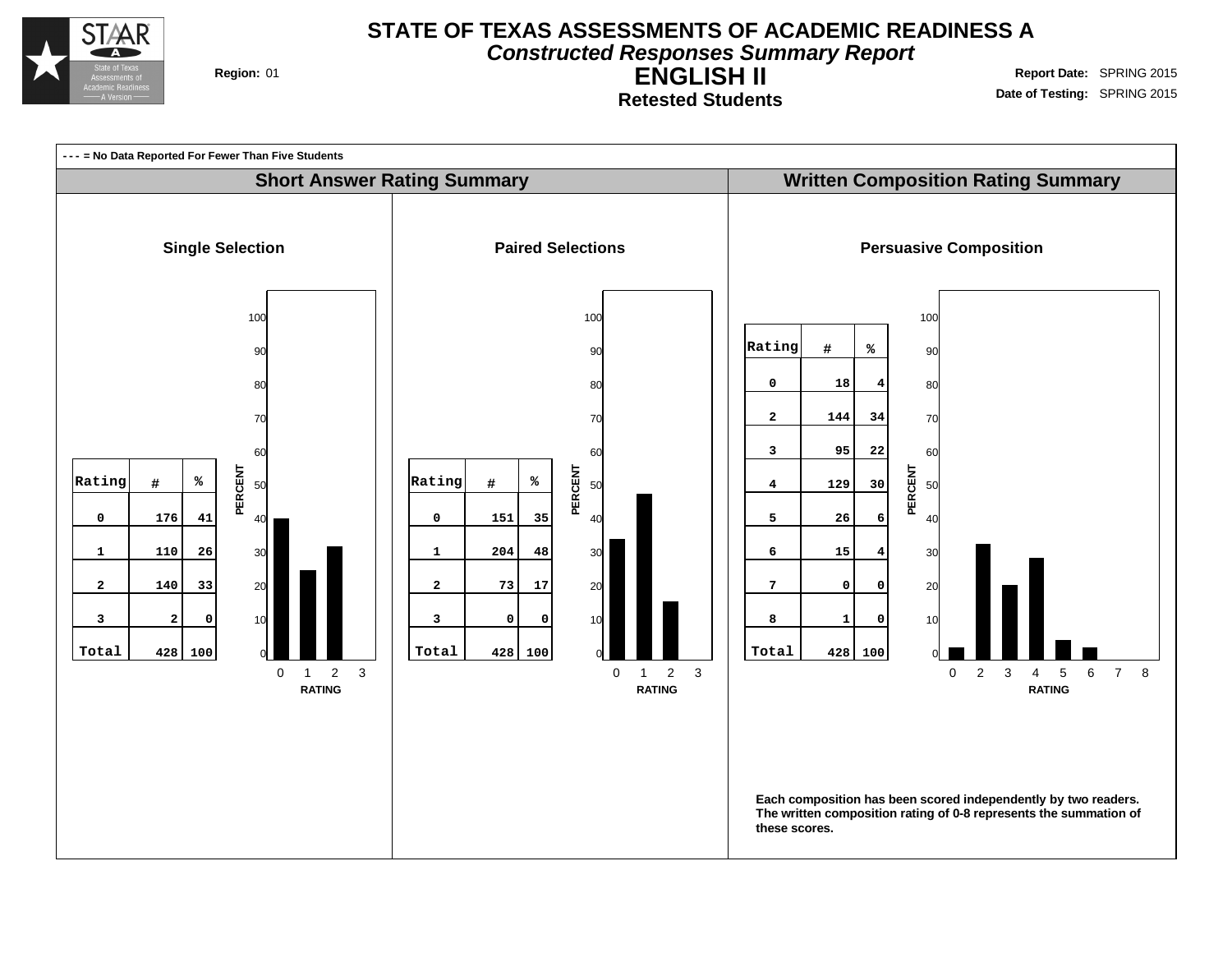

**Constructed Responses Summary Report**

**Retested Students**

**ENGLISH II Region:** 01 **Report** Date: SPRING 2015 **Date of Testing:** SPRING 2015

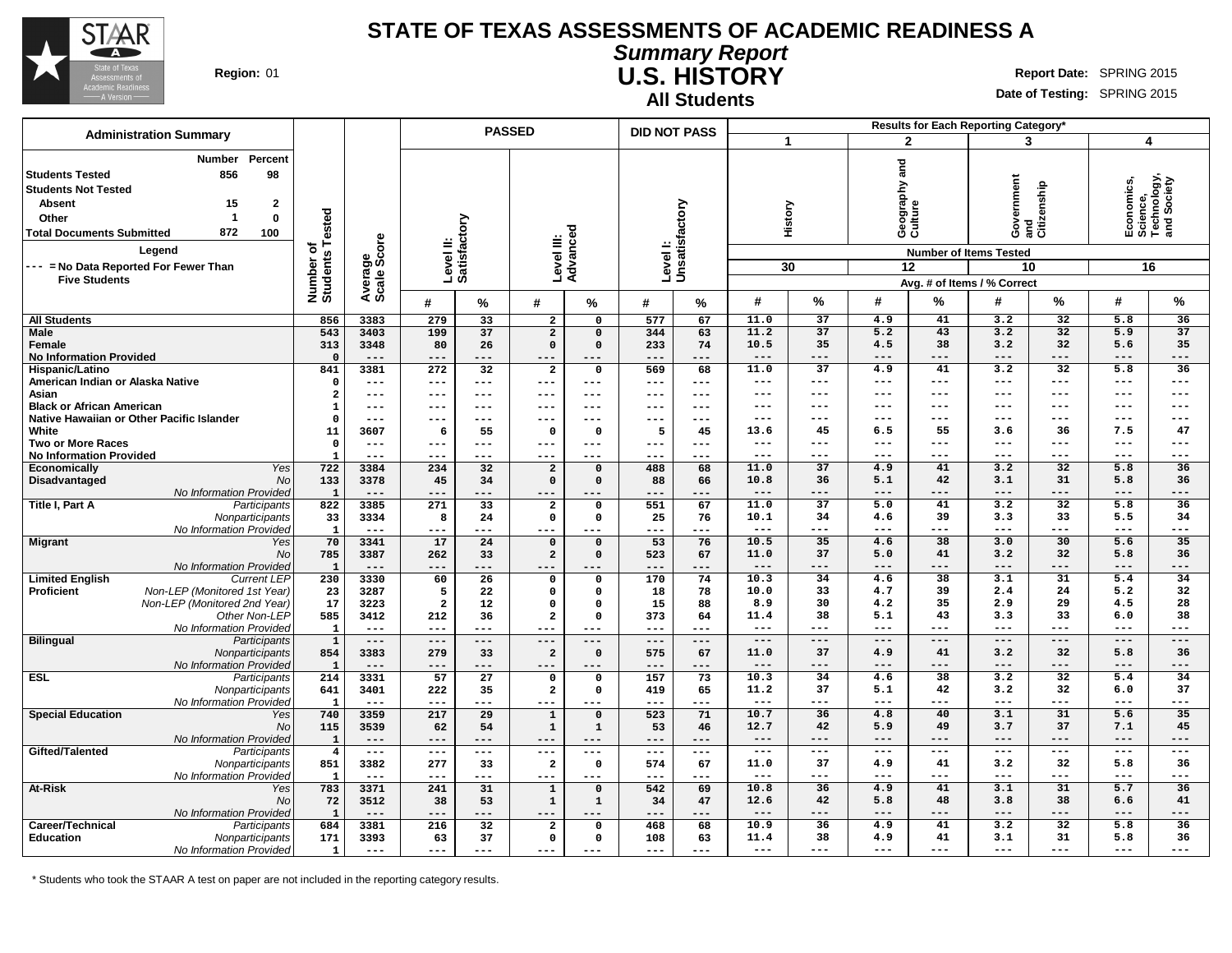

**Summary Report U.S. HISTORY Region:** 01 **Report Date: SPRING 2015 Report** Date: SPRING 2015

**All Students**

**Date of Testing:** SPRING 2015

|                                                                                                                                                                                     | <b>Administration Summary</b>                                                                     |                              |                        |                           |                 | <b>PASSED</b>           |                         | <b>DID NOT PASS</b> |                      |               |                 |                             |                       | Results for Each Reporting Category*                                            |                                  |                                                            |                 |
|-------------------------------------------------------------------------------------------------------------------------------------------------------------------------------------|---------------------------------------------------------------------------------------------------|------------------------------|------------------------|---------------------------|-----------------|-------------------------|-------------------------|---------------------|----------------------|---------------|-----------------|-----------------------------|-----------------------|---------------------------------------------------------------------------------|----------------------------------|------------------------------------------------------------|-----------------|
|                                                                                                                                                                                     |                                                                                                   |                              |                        |                           |                 |                         |                         |                     |                      |               |                 |                             | $\overline{2}$        |                                                                                 | 3                                | 4                                                          |                 |
| <b>Students Tested</b><br><b>Students Not Tested</b><br><b>Absent</b><br>Other<br><b>Total Documents Submitted</b><br>--- = No Data Reported For Fewer Than<br><b>Five Students</b> | Percent<br>Number<br>98<br>856<br>15<br>$\mathbf{2}$<br>$\mathbf 0$<br>-1<br>872<br>100<br>Legend | Number of<br>Students Tested | Average<br>Scale Score | Level II:<br>Satisfactory |                 | Level III:<br>Advanced  |                         | Level I:            | Unsatisfactory       |               | History<br>30   | and<br>Geography<br>Culture | 12                    | overnment<br><b>Number of Items Tested</b><br>10<br>Avg. # of Items / % Correct | Government<br>and<br>Citizenship | Economics,<br>Science,<br>Technology,<br>and Society<br>16 |                 |
|                                                                                                                                                                                     |                                                                                                   |                              |                        | #                         | %               | #                       | %                       | #                   | %                    | #             | %               | #                           | %                     | #                                                                               | %                                | #                                                          | %               |
| <b>All Students</b>                                                                                                                                                                 |                                                                                                   | 856                          | 3383                   | 279                       | 33              | $\overline{\mathbf{2}}$ | $\mathbf 0$             | 577                 | 67                   | 11.0          | $\overline{37}$ | 4.9                         | 41                    | 3.2                                                                             | $\overline{32}$                  | 5.8                                                        | 36              |
| <b>Male</b>                                                                                                                                                                         |                                                                                                   | 543                          | 3403                   | 199                       | 37              | $\overline{2}$          | $\mathbf 0$             | 344                 | 63                   | 11.2          | 37              | 5.2                         | 43                    | 3.2                                                                             | 32                               | 5.9                                                        | 37              |
| Female                                                                                                                                                                              |                                                                                                   | 313                          | 3348                   | 80                        | 26              | $\Omega$                | $\Omega$                | 233                 | 74                   | 10.5          | 35              | 4.5                         | 38                    | 3.2                                                                             | 32                               | 5.6                                                        | 35              |
| <b>No Information Provided</b>                                                                                                                                                      |                                                                                                   | $\Omega$                     | $---$                  | $---$                     | ---             | ---                     | ---                     | ---                 | ---                  | ---           | ---             | ---                         | ---                   | ---                                                                             |                                  | ---                                                        | ---             |
| Hispanic/Latino                                                                                                                                                                     |                                                                                                   | 841                          | 3381                   | 272                       | 32              | $\overline{\mathbf{2}}$ | 0                       | 569                 | 68                   | 11.0          | $\overline{37}$ | 4.9                         | 41                    | 3.2                                                                             | $\overline{32}$                  | 5.8                                                        | $\overline{36}$ |
| American Indian or Alaska Native                                                                                                                                                    |                                                                                                   | $\Omega$                     | $\qquad \qquad - -$    | $\qquad \qquad - -$       | ---             | ---                     | $\qquad \qquad - -$     | ---                 | $\sim$ $\sim$ $\sim$ | $---$         | $---$           | $---$                       | $\qquad \qquad - -$   | ---                                                                             | $---$                            | ---                                                        | $---$           |
| Asian                                                                                                                                                                               |                                                                                                   | $\overline{\mathbf{2}}$      | $---$                  | $---$                     | ---             | ---                     | ---                     | ---                 | $- - -$              | ---           | $---$           | ---                         | $---$                 | ---                                                                             | $--$                             | ---                                                        | $---$           |
| <b>Black or African American</b>                                                                                                                                                    |                                                                                                   | 1                            | $---$                  | $---$                     | ---             | ---                     | $---$                   | ---                 | $---$                | ---           | $--$            | ---                         | $---$                 | ---                                                                             | ---                              | ---                                                        | $---$           |
| Native Hawaiian or Other Pacific Islander                                                                                                                                           |                                                                                                   | $\Omega$                     | $---$                  | $---$                     | ---             | ---                     | $- - -$                 | ---                 | $---$                | ---           | $--$            | ---                         | $---$                 | ---                                                                             | ---                              | ---                                                        | $---$           |
| White                                                                                                                                                                               |                                                                                                   | 11                           | 3607                   | 6                         | 55              | $\mathbf 0$             | $\mathbf 0$             | 5                   | 45                   | 13.6          | 45              | 6.5                         | 55                    | 3.6                                                                             | 36                               | 7.5                                                        | 47              |
| <b>Two or More Races</b>                                                                                                                                                            |                                                                                                   | $\mathbf 0$                  | $---$                  | $---$                     | ---             | ---                     | $---$                   | ---                 | $---$                | ---           | $---$           | ---                         | $---$                 | ---                                                                             | $---$                            | ---                                                        | $---$           |
| <b>No Information Provided</b>                                                                                                                                                      |                                                                                                   | $\mathbf{1}$                 | $---$                  | $---$                     | ---             | ---                     | $- - -$                 | ---                 | $--$                 | ---           | ---             | ---                         | ---                   | ---                                                                             |                                  | ---                                                        | $---$           |
| Economically                                                                                                                                                                        | Yes                                                                                               | 722                          | 3384                   | 234                       | 32              | $\overline{2}$          | $\mathbf 0$             | 488                 | 68                   | 11.0          | $\overline{37}$ | 4.9                         | 41                    | 3.2                                                                             | $\overline{32}$                  | 5.8                                                        | 36              |
| Disadvantaged                                                                                                                                                                       | No                                                                                                | 133                          | 3378                   | 45                        | 34              | $\Omega$                | $\Omega$                | 88                  | 66                   | 10.8          | 36              | 5.1                         | 42                    | 3.1                                                                             | 31                               | 5.8                                                        | 36              |
|                                                                                                                                                                                     | No Information Provided                                                                           | $\mathbf{1}$                 | $---$                  | $---$                     | ---             | ---                     |                         | ---                 | ---                  | $---$         | $---$           | ---                         | $---$                 | ---                                                                             | ---                              | ---                                                        | $---$           |
| Title I, Part A                                                                                                                                                                     | Participants                                                                                      | 822                          | 3385                   | 271                       | 33              | $\overline{a}$          | $\mathbf 0$             | 551                 | 67                   | 11.0          | 37              | 5.0                         | 41                    | 3.2                                                                             | 32                               | 5.8                                                        | 36              |
|                                                                                                                                                                                     | Nonparticipants                                                                                   | 33                           | 3334                   | 8                         | 24              | $\mathbf 0$             | 0                       | 25                  | 76                   | 10.1          | 34              | 4.6                         | 39                    | 3.3                                                                             | 33                               | 5.5                                                        | 34              |
|                                                                                                                                                                                     | No Information Provided                                                                           | $\mathbf{1}$                 | $---$                  | $---$                     | ---             | ---                     | $---$                   | ---                 | ---                  | $---$         | ---             | ---                         | $---$                 | ---                                                                             | ---                              | ---                                                        | $---$           |
| <b>Migrant</b>                                                                                                                                                                      | Yes                                                                                               | 70                           | 3341                   | 17                        | 24              | $\mathbf 0$             | $\Omega$                | 53                  | 76                   | 10.5          | 35              | 4.6                         | 38                    | 3.0                                                                             | 30                               | 5.6                                                        | 35              |
|                                                                                                                                                                                     | No                                                                                                | 785                          | 3387                   | 262                       | 33              | $\overline{a}$          | $\mathbf 0$             | 523                 | 67                   | 11.0          | 37              | 5.0                         | 41                    | 3.2                                                                             | 32                               | 5.8                                                        | 36              |
|                                                                                                                                                                                     | No Information Provided                                                                           | 1                            | $---$                  | $---$                     | ---             | ---                     |                         | ---                 | ---                  | $---$         | $---$           | $---$                       | $---$                 | ---                                                                             | ---                              | ---                                                        | $---$           |
| <b>Limited English</b>                                                                                                                                                              | <b>Current LEP</b>                                                                                | 230                          | 3330                   | 60                        | 26              | $\mathbf 0$             | 0                       | 170                 | 74                   | 10.3          | 34              | 4.6                         | 38                    | 3.1                                                                             | 31                               | 5.4                                                        | 34              |
| <b>Proficient</b>                                                                                                                                                                   | Non-LEP (Monitored 1st Year)                                                                      | 23                           | 3287                   | 5                         | 22              | $\mathbf 0$             | $\mathbf 0$             | 18                  | 78                   | 10.0          | 33              | 4.7                         | 39                    | 2.4                                                                             | 24                               | 5.2                                                        | 32              |
|                                                                                                                                                                                     | Non-LEP (Monitored 2nd Year)                                                                      | 17                           | 3223                   | $\overline{2}$            | 12              | $\mathbf 0$             | $\mathbf 0$             | 15                  | 88                   | 8.9           | 30              | 4.2                         | 35                    | 2.9                                                                             | 29                               | 4.5                                                        | 28              |
|                                                                                                                                                                                     | Other Non-LEP                                                                                     | 585                          | 3412                   | 212                       | 36              | $\overline{2}$          | $\mathbf 0$             | 373                 | 64                   | 11.4          | 38              | 5.1                         | 43                    | 3.3                                                                             | 33                               | 6.0                                                        | 38              |
|                                                                                                                                                                                     | No Information Provided                                                                           | $\mathbf{1}$                 | $---$                  | $---$                     | $---$           | $---$                   | $---$                   | ---                 | $---$                | $---$         | $---$           | $---$                       | $---$                 | $---$                                                                           | $--$                             | $---$                                                      | $---$           |
| <b>Bilingual</b>                                                                                                                                                                    | Participants                                                                                      | $\mathbf 1$                  | $---$                  | $---$                     | $- - -$         | ---                     | $---$                   | $---$               | $\frac{1}{2}$        | $---$         | $---$           | $---$                       | $---$                 | $---$                                                                           | $---$                            | $---$                                                      | $---$           |
|                                                                                                                                                                                     | Nonparticipants                                                                                   | 854                          | 3383                   | 279                       | 33              | $\overline{a}$          | $\mathbf 0$             | 575                 | 67                   | 11.0          | 37              | 4.9                         | 41                    | 3.2                                                                             | 32                               | 5.8                                                        | 36              |
|                                                                                                                                                                                     | No Information Provided                                                                           | $\mathbf{1}$                 | $---$                  | $---$                     | ---             | ---                     | $- - -$                 | $---$               | $---$                | $---$         | $---$           | $---$                       | $---$                 | ---                                                                             | ---                              | ---                                                        | $---$           |
| <b>ESL</b>                                                                                                                                                                          | Participants                                                                                      | 214                          | 3331                   | 57                        | $\overline{27}$ | $\mathsf{o}$            | $\Omega$                | 157                 | 73                   | 10.3          | 34<br>37        | 4.6                         | $\overline{38}$<br>42 | 3.2                                                                             | 32<br>32                         | 5.4                                                        | 34              |
|                                                                                                                                                                                     | Nonparticipants                                                                                   | 641                          | 3401                   | 222                       | 35              | $\overline{\mathbf{2}}$ | 0                       | 419                 | 65                   | 11.2<br>$---$ | $---$           | 5.1<br>---                  | $---$                 | 3.2<br>---                                                                      | $---$                            | 6.0<br>---                                                 | 37<br>$---$     |
|                                                                                                                                                                                     | No Information Provideo                                                                           | $\mathbf{1}$                 | $---$                  | $---$                     | ---             | ---                     | $---$                   | ---                 | $---$                | 10.7          | 36              | 4.8                         | 40                    | 3.1                                                                             | 31                               |                                                            | 35              |
| <b>Special Education</b>                                                                                                                                                            | Yes                                                                                               | 740                          | 3359                   | 217                       | 29              | $\mathbf{1}$            | $\Omega$                | 523                 | 71                   |               | 42              | 5.9                         | 49                    | 3.7                                                                             | 37                               | 5.6                                                        | 45              |
|                                                                                                                                                                                     | No                                                                                                | 115                          | 3539<br>$- - -$        | 62<br>$- - -$             | 54<br>---       | $\mathbf{1}$<br>---     | $\mathbf{1}$<br>$- - -$ | 53<br>---           | 46<br>$- - -$        | 12.7<br>$---$ | $- - -$         | $---$                       | $- - -$               | $---$                                                                           | ---                              | 7.1<br>---                                                 | $---$           |
|                                                                                                                                                                                     | No Information Provided                                                                           | $\mathbf{1}$                 | $---$                  | $---$                     | ---             | ---                     | $---$                   | ---                 | $- - -$              | ---           | $---$           | ---                         | $---$                 | ---                                                                             | $---$                            | ---                                                        | $---$           |
| Gifted/Talented                                                                                                                                                                     | Participants                                                                                      | $\overline{\mathbf{4}}$      | 3382                   | 277                       | 33              | $\overline{2}$          | $\mathbf 0$             |                     | 67                   | 11.0          | 37              | 4.9                         | 41                    | 3.2                                                                             | 32                               | 5.8                                                        | 36              |
|                                                                                                                                                                                     | Nonparticipants<br>No Information Provided                                                        | 851<br>$\mathbf{1}$          | $---$                  | $---$                     | ---             | $---$                   | $- - -$                 | 574<br>---          | $---$                | $---$         | $---$           | $---$                       | $---$                 | ---                                                                             | $--$                             | ---                                                        | $---$           |
| At-Risk                                                                                                                                                                             |                                                                                                   | 783                          | 3371                   | 241                       | 31              | $\mathbf{1}$            | $\mathbf 0$             | 542                 | 69                   | 10.8          | 36              | 4.9                         | 41                    | 3.1                                                                             | 31                               | 5.7                                                        | 36              |
|                                                                                                                                                                                     | Yes<br>No                                                                                         |                              |                        |                           |                 |                         |                         |                     |                      | 12.6          | 42              | 5.8                         | 48                    | 3.8                                                                             | 38                               | 6.6                                                        | 41              |
|                                                                                                                                                                                     | No Information Provided                                                                           | 72<br>$\mathbf{1}$           | 3512<br>$---$          | 38                        | 53<br>---       | $\mathbf{1}$            | $\mathbf 1$<br>---      | 34<br>---           | 47<br>---            | $---$         | $---$           | $---$                       | $---$                 | ---                                                                             | $---$                            | ---                                                        | $---$           |
| Career/Technical                                                                                                                                                                    | Participants                                                                                      | 684                          | 3381                   | ---<br>216                | 32              | $\overline{a}$          | $\mathsf{o}\,$          | 468                 | 68                   | 10.9          | 36              | 4.9                         | 41                    | 3.2                                                                             | 32                               | 5.8                                                        | 36              |
| Education                                                                                                                                                                           |                                                                                                   | 171                          | 3393                   | 63                        | 37              | $\Omega$                | $\mathbf 0$             | 108                 | 63                   | 11.4          | 38              | 4.9                         | 41                    | 3.1                                                                             | 31                               | 5.8                                                        | 36              |
|                                                                                                                                                                                     | Nonparticipants<br>No Information Provided                                                        | $\mathbf{1}$                 | $---$                  | ---                       | ---             |                         | $---$                   | ---                 | $---$                | $---$         | $---$           | $---$                       | $---$                 | $---$                                                                           | $---$                            | $---$                                                      | $---$           |
|                                                                                                                                                                                     |                                                                                                   |                              |                        |                           |                 | ---                     |                         |                     |                      |               |                 |                             |                       |                                                                                 |                                  |                                                            |                 |

\* Students who took the STAAR A test on paper are not included in the reporting category results.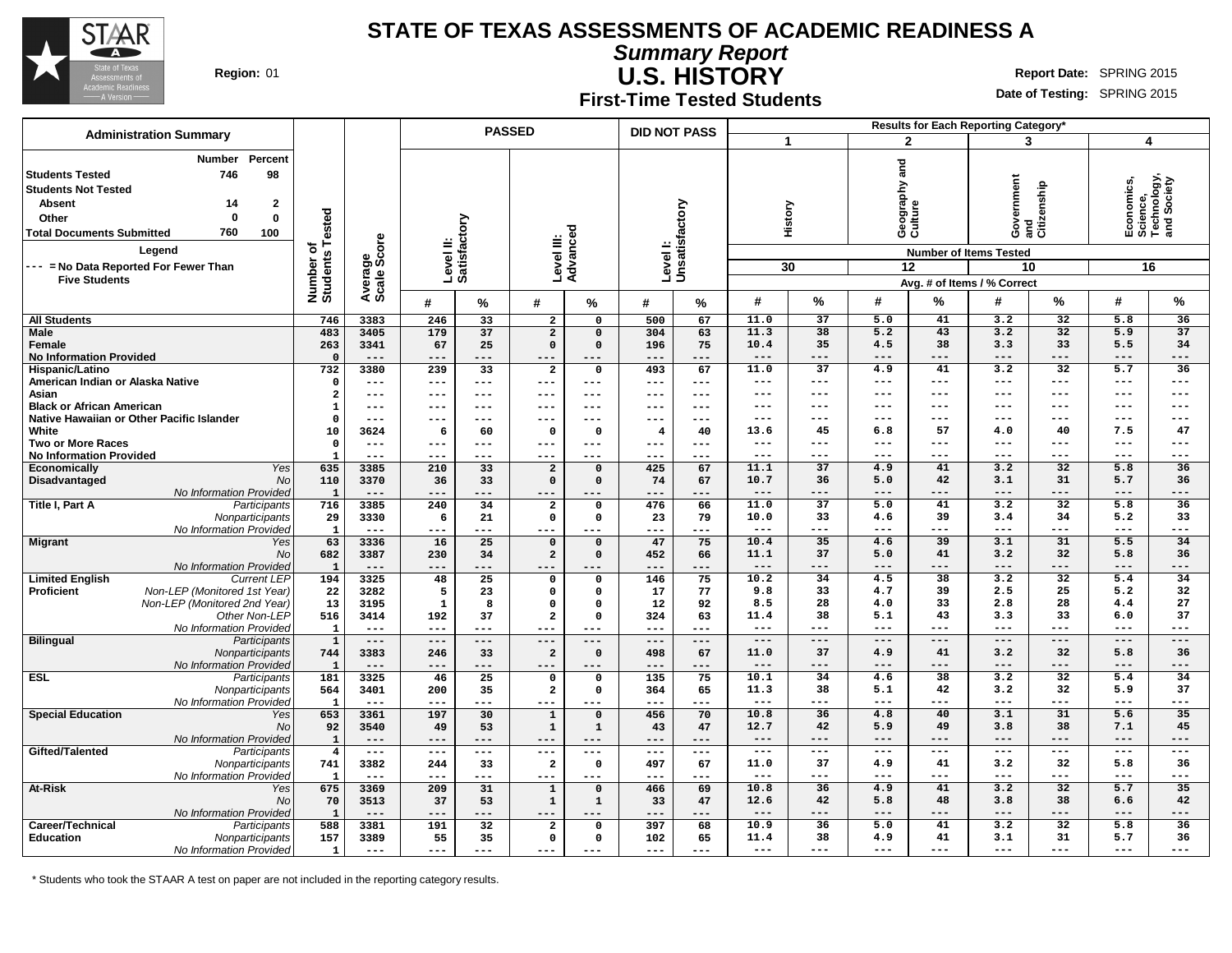

**Summary Report U.S. HISTORY**

**Region:** 01 **Report Date: SPRING 2015 Report** Date: SPRING 2015

#### **First-Time Tested Students**

**Date of Testing:** SPRING 2015

|                                                                                                                                                                                                                                                                                                          |                                      |                        |                           |               | <b>PASSED</b>              |                           | <b>DID NOT PASS</b>       |            |                      |                 |                                |                 | Results for Each Reporting Category'                                             |                         |                                                            |                          |
|----------------------------------------------------------------------------------------------------------------------------------------------------------------------------------------------------------------------------------------------------------------------------------------------------------|--------------------------------------|------------------------|---------------------------|---------------|----------------------------|---------------------------|---------------------------|------------|----------------------|-----------------|--------------------------------|-----------------|----------------------------------------------------------------------------------|-------------------------|------------------------------------------------------------|--------------------------|
| <b>Administration Summary</b>                                                                                                                                                                                                                                                                            |                                      |                        |                           |               |                            |                           |                           |            | $\blacktriangleleft$ |                 | $\overline{2}$                 |                 | 3                                                                                |                         | $\overline{\mathbf{4}}$                                    |                          |
| Percent<br><b>Number</b><br>98<br><b>Students Tested</b><br>746<br><b>Students Not Tested</b><br>$\mathbf{2}$<br><b>Absent</b><br>14<br>$\mathbf 0$<br>$\mathbf 0$<br>Other<br>760<br>100<br><b>Total Documents Submitted</b><br>Legend<br>--- = No Data Reported For Fewer Than<br><b>Five Students</b> | Tested<br>৳<br>Number o'<br>Students | Average<br>Scale Score | Level II:<br>Satisfactory |               | Level III:                 | Advanced                  | Levell:<br>Unsatisfactory |            |                      | History<br>30   | Geography and<br>Culture<br>12 |                 | Government<br><b>Number of Items Tested</b><br>10<br>Avg. # of Items / % Correct | cenship<br>and<br>Citiz | Economics,<br>Science,<br>Technology,<br>and Society<br>16 |                          |
|                                                                                                                                                                                                                                                                                                          |                                      |                        | #                         | %             | #                          | $\%$                      | #                         | $\%$       | #                    | %               | #                              | $\%$            | #                                                                                | %                       | #                                                          | %                        |
| <b>All Students</b>                                                                                                                                                                                                                                                                                      | 746                                  | 3383                   | 246                       | 33            | $\overline{a}$             | 0                         | 500                       | 67         | 11.0                 | 37              | 5.0                            | 41              | 3.2                                                                              | 32                      | 5.8                                                        | 36                       |
| <b>Male</b>                                                                                                                                                                                                                                                                                              | 483                                  | 3405                   | 179                       | 37            | $\overline{2}$             | $\Omega$                  | 304                       | 63         | 11.3                 | 38              | 5.2                            | 43              | 3.2                                                                              | 32                      | 5.9                                                        | 37                       |
| Female                                                                                                                                                                                                                                                                                                   | 263                                  | 3341                   | 67                        | 25            | $\Omega$                   | $\Omega$                  | 196                       | 75         | 10.4                 | 35              | 4.5                            | 38              | 3.3                                                                              | 33                      | 5.5                                                        | 34                       |
| <b>No Information Provided</b>                                                                                                                                                                                                                                                                           | $\mathbf 0$                          | $---$                  | ---                       | ---           | ---                        | $---$                     | $---$                     | $---$      | $---$                | $---$           | $---$                          | $---$           | ---                                                                              | $---$                   | ---                                                        | $---$                    |
| Hispanic/Latino                                                                                                                                                                                                                                                                                          | 732                                  | 3380                   | 239                       | 33            | $\overline{\mathbf{2}}$    | 0                         | 493                       | 67         | 11.0                 | $\overline{37}$ | 4.9                            | 41              | 3.2                                                                              | 32                      | 5.7                                                        | 36                       |
| American Indian or Alaska Native                                                                                                                                                                                                                                                                         | $\mathbf 0$                          | $---$                  | $---$                     | $---$         | $---$                      | $---$                     | $---$                     | $---$      | ---                  | $---$           | ---                            | $---$           | ---                                                                              | $---$                   | ---                                                        | $---$                    |
| Asian                                                                                                                                                                                                                                                                                                    | $\overline{\mathbf{2}}$              | $---$                  | ---                       | $---$         | ---                        | $---$                     | $---$                     | $---$      | $---$                | $--$            | ---                            | $---$           | ---                                                                              | $- - -$                 | ---                                                        | $---$                    |
| <b>Black or African American</b>                                                                                                                                                                                                                                                                         | $\mathbf{1}$                         | $---$                  | ---                       | $--$          | ---                        | ---                       |                           | $--$       | ---                  | $---$           | ---                            | $---$           | ---                                                                              | ---                     | ---                                                        | $---$                    |
| Native Hawaiian or Other Pacific Islander                                                                                                                                                                                                                                                                | $\mathfrak{g}$                       | $---$                  | ---                       |               | ---                        | ---                       | ---                       | $---$      | $---$                | $---$           | ---                            | $---$<br>57     | ---                                                                              | ---                     | ---                                                        | $---$<br>47              |
| White<br><b>Two or More Races</b>                                                                                                                                                                                                                                                                        | 10<br>$\mathbf 0$                    | 3624<br>$---$          | - 6<br>---                | 60            | 0<br>---                   | $\Omega$<br>---           | 4<br>---                  | 40<br>---  | 13.6<br>$---$        | 45<br>$- - -$   | 6.8<br>---                     | $---$           | 4.0<br>---                                                                       | 40<br>$- - -$           | 7.5<br>---                                                 | $---$                    |
| <b>No Information Provided</b>                                                                                                                                                                                                                                                                           | -1                                   | $---$                  | $---$                     | $- - -$       | ---                        | $---$                     | $---$                     | $--$       | $- - -$              | $- - -$         | ---                            | $- - -$         | ---                                                                              | $- - -$                 | ---                                                        | $- - -$                  |
| Yes<br><b>Economically</b>                                                                                                                                                                                                                                                                               | 635                                  | 3385                   | 210                       | 33            | $\overline{a}$             | $\mathbf 0$               | 425                       | 67         | 11.1                 | 37              | 4.9                            | 41              | 3.2                                                                              | 32                      | 5.8                                                        | 36                       |
| Disadvantaged<br><b>No</b>                                                                                                                                                                                                                                                                               | 110                                  | 3370                   | 36                        | 33            | $\Omega$                   | $\Omega$                  | 74                        | 67         | 10.7                 | 36              | 5.0                            | 42              | 3.1                                                                              | 31                      | 5.7                                                        | 36                       |
| <b>No Information Provided</b>                                                                                                                                                                                                                                                                           | $\mathbf{1}$                         | $---$                  | ---                       |               |                            |                           |                           | ---        | $---$                | $--$            | ---                            | $- - -$         | ---                                                                              | $- - -$                 | ---                                                        | $---$                    |
| Title I, Part A<br>Participants                                                                                                                                                                                                                                                                          | 716                                  | 3385                   | 240                       | 34            | $\overline{\mathbf{2}}$    | 0                         | 476                       | 66         | 11.0                 | 37              | 5.0                            | 41              | 3.2                                                                              | 32                      | 5.8                                                        | 36                       |
| Nonparticipants                                                                                                                                                                                                                                                                                          | 29                                   | 3330                   | 6                         | 21            | $\mathbf 0$                | $\Omega$                  | 23                        | 79         | 10.0                 | 33              | 4.6                            | 39              | 3.4                                                                              | 34                      | 5.2                                                        | 33                       |
| No Information Provided                                                                                                                                                                                                                                                                                  | $\mathbf{1}$                         | $\qquad \qquad - -$    | $---$                     | ---           | ---                        | ---                       | $---$                     | ---        | $---$                | $---$           | $---$                          | $---$           | ---                                                                              | $---$                   | $---$                                                      | $---$                    |
| <b>Migrant</b><br>Yes                                                                                                                                                                                                                                                                                    | 63                                   | 3336                   | 16                        | 25            | $\mathbf 0$                | $\mathbf 0$               | 47                        | 75         | 10.4                 | 35              | 4.6                            | 39              | 3.1                                                                              | 31                      | 5.5                                                        | 34                       |
| <b>No</b>                                                                                                                                                                                                                                                                                                | 682                                  | 3387                   | 230                       | 34            | $\overline{a}$             | $\mathbf 0$               | 452                       | 66         | 11.1                 | 37              | 5.0                            | 41              | 3.2                                                                              | 32                      | 5.8                                                        | 36                       |
| No Information Provided                                                                                                                                                                                                                                                                                  | $\mathbf{1}$                         | $---$                  | ---                       | ---           | ---                        | $- -$                     | $- - -$                   | ---        | $---$                | $---$           | $---$                          | $---$           | ---                                                                              | $- - -$                 | ---                                                        | $---$                    |
| <b>Limited English</b><br><b>Current LEP</b>                                                                                                                                                                                                                                                             | 194                                  | 3325                   | 48                        | 25            | 0                          | $\mathsf{o}\,$            | 146                       | 75         | 10.2                 | 34              | 4.5                            | 38              | 3.2                                                                              | 32                      | 5.4                                                        | 34                       |
| Non-LEP (Monitored 1st Year)<br>Proficient                                                                                                                                                                                                                                                               | 22                                   | 3282                   | 5                         | 23            | $\mathbf 0$                | $\mathbf 0$               | 17                        | 77         | 9.8                  | 33              | 4.7                            | 39              | 2.5                                                                              | 25                      | 5.2                                                        | 32                       |
| Non-LEP (Monitored 2nd Year)                                                                                                                                                                                                                                                                             | 13                                   | 3195                   | $\mathbf 1$<br>192        | 8             | $\Omega$<br>$\overline{a}$ | $\Omega$                  | 12<br>324                 | 92<br>63   | 8.5<br>11.4          | 28<br>38        | 4.0<br>5.1                     | 33<br>43        | 2.8<br>3.3                                                                       | 28<br>33                | 4.4<br>6.0                                                 | 27<br>37                 |
| Other Non-LEP<br>No Information Provided                                                                                                                                                                                                                                                                 | 516<br>$\mathbf{1}$                  | 3414<br>$---$          | $- - -$                   | 37<br>$- - -$ | $---$                      | $\Omega$<br>$- - -$       | $- - -$                   | $- - -$    | $---$                | $---$           | $---$                          | $---$           | $---$                                                                            | $---$                   | $---$                                                      | $---$                    |
| <b>Bilingual</b><br>Participants                                                                                                                                                                                                                                                                         | $\mathbf{1}$                         | $---$                  | $---$                     | $---$         | ---                        | $---$                     | $---$                     | $- - -$    | $---$                | $---$           | $---$                          | $---$           | $---$                                                                            | $---$                   | $---$                                                      | $---$                    |
| Nonparticipants                                                                                                                                                                                                                                                                                          | 744                                  | 3383                   | 246                       | 33            | $\overline{a}$             | $\mathbf 0$               | 498                       | 67         | 11.0                 | 37              | 4.9                            | 41              | 3.2                                                                              | 32                      | 5.8                                                        | 36                       |
| No Information Provided                                                                                                                                                                                                                                                                                  | $\mathbf{1}$                         | $---$                  | $---$                     | ---           | ---                        | $- - -$                   | $---$                     | $---$      | $---$                | $---$           | ---                            | $---$           | ---                                                                              | $---$                   | ---                                                        | $---$                    |
| <b>ESL</b><br>Participants                                                                                                                                                                                                                                                                               | 181                                  | 3325                   | 46                        | 25            | $\Omega$                   | $\mathbf 0$               | 135                       | 75         | 10.1                 | 34              | 4.6                            | $\overline{38}$ | 3.2                                                                              | 32                      | 5.4                                                        | 34                       |
| Nonparticipants                                                                                                                                                                                                                                                                                          | 564                                  | 3401                   | 200                       | 35            | $\mathbf{2}$               | 0                         | 364                       | 65         | 11.3                 | 38              | 5.1                            | 42              | 3.2                                                                              | 32                      | 5.9                                                        | 37                       |
| No Information Provided                                                                                                                                                                                                                                                                                  | $\mathbf{1}$                         | $- - -$                | ---                       | $- - -$       | $---$                      | $\frac{1}{2}$             | $- - -$                   | $- - -$    | $---$                | $---$           | ---                            | $---$           | ---                                                                              | $---$                   | ---                                                        | $---$                    |
| <b>Special Education</b><br>Yes                                                                                                                                                                                                                                                                          | 653                                  | 3361                   | 197                       | 30            | $\mathbf 1$                | $\mathbf 0$               | 456                       | 70         | 10.8                 | 36              | 4.8                            | 40              | 3.1                                                                              | 31                      | 5.6                                                        | 35                       |
| No                                                                                                                                                                                                                                                                                                       | 92                                   | 3540                   | 49                        | 53            | $\mathbf 1$                | $\mathbf 1$               | 43                        | 47         | 12.7                 | 42              | 5.9                            | 49              | 3.8                                                                              | 38                      | 7.1                                                        | 45                       |
| No Information Provided                                                                                                                                                                                                                                                                                  | $\mathbf{1}$                         | $---$                  | $---$                     | $- - -$       | ---                        | $- - -$                   | $- - -$                   | $- - -$    | $---$                | $---$           | ---                            | $---$           | $---$                                                                            | $---$                   | $---$                                                      | $---$                    |
| Gifted/Talented<br>Participants                                                                                                                                                                                                                                                                          | $\overline{4}$                       | $---$                  | $---$                     | $---$         | $---$                      | $---$                     | $- - -$                   | $---$      | $---$                | $---$           | ---                            | $---$           | ---                                                                              | $---$                   | ---                                                        | $---$                    |
| Nonparticipants                                                                                                                                                                                                                                                                                          | 741                                  | 3382                   | 244                       | 33            | $\overline{\mathbf{2}}$    | 0                         | 497                       | 67         | 11.0                 | 37<br>$---$     | 4.9                            | 41<br>$---$     | 3.2                                                                              | 32<br>---               | 5.8<br>---                                                 | 36                       |
| No Information Provided                                                                                                                                                                                                                                                                                  | $\mathbf{1}$<br>675                  | $---$<br>3369          | $---$<br>209              | ---<br>31     | ---<br>$\mathbf 1$         | $\frac{1}{2}$<br>$\Omega$ | $---$                     | $--$<br>69 | $---$<br>10.8        | 36              | ---<br>4.9                     | 41              | ---<br>3.2                                                                       | $\overline{32}$         | 5.7                                                        | $---$<br>$\overline{35}$ |
| At-Risk<br>Yes<br><b>No</b>                                                                                                                                                                                                                                                                              | 70                                   | 3513                   | 37                        | 53            | $\mathbf{1}$               | $\mathbf 1$               | 466<br>33                 | 47         | 12.6                 | 42              | 5.8                            | 48              | 3.8                                                                              | 38                      | 6.6                                                        | 42                       |
| No Information Provided                                                                                                                                                                                                                                                                                  | -1                                   | $---$                  |                           |               | ---                        |                           | ---                       | ---        | $---$                | ---             | ---                            | ---             | ---                                                                              | ---                     | ---                                                        | ---                      |
| Career/Technical<br>Participants                                                                                                                                                                                                                                                                         | 588                                  | 3381                   | 191                       | 32            | $\overline{\mathbf{2}}$    | $\mathsf{o}\,$            | 397                       | 68         | 10.9                 | 36              | 5.0                            | 41              | 3.2                                                                              | 32                      | 5.8                                                        | 36                       |
| <b>Education</b><br>Nonparticipants                                                                                                                                                                                                                                                                      | 157                                  | 3389                   | 55                        | 35            | $\Omega$                   | 0                         | 102                       | 65         | 11.4                 | 38              | 4.9                            | 41              | 3.1                                                                              | 31                      | 5.7                                                        | 36                       |
| No Information Provided                                                                                                                                                                                                                                                                                  | $\mathbf{1}$                         | $\qquad \qquad - -$    | $---$                     | $---$         | $---$                      | $\frac{1}{2}$             | $---$                     | $---$      | $---$                | $---$           | ---                            | $---$           | ---                                                                              | ---                     | ---                                                        | $---$                    |

\* Students who took the STAAR A test on paper are not included in the reporting category results.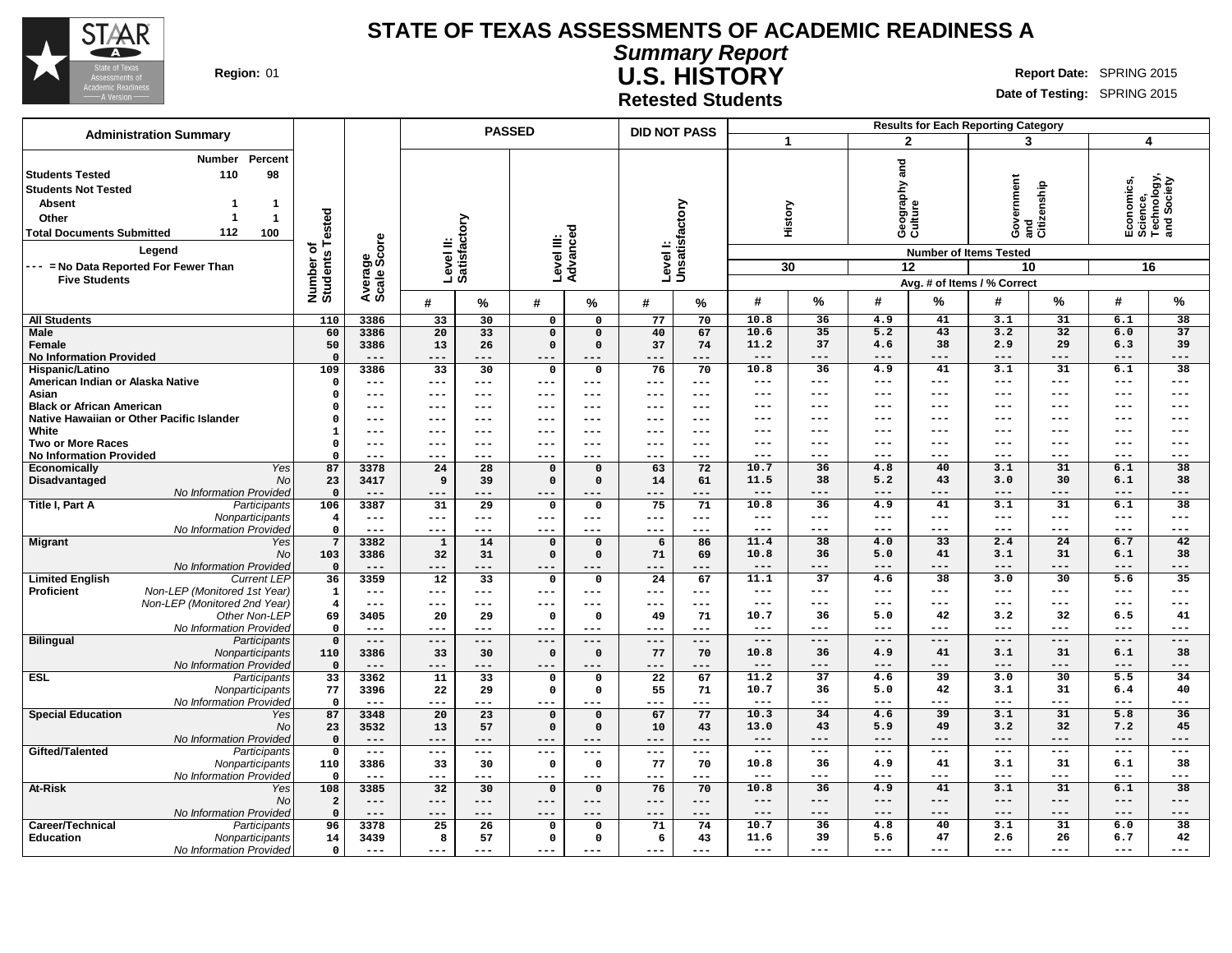

**Summary Report U.S. HISTORY Region:** 01 **Report** Date: SPRING 2015

**Date of Testing:** SPRING 2015

**Retested Students**

|                                                                                                                                                                                                                                                                                        |                                            |                                                           |                           |                 | <b>PASSED</b>           |                                         | <b>DID NOT PASS</b>       |               |                      |                     |                                |                | <b>Results for Each Reporting Category</b>                                       |                        |                                                            |                          |
|----------------------------------------------------------------------------------------------------------------------------------------------------------------------------------------------------------------------------------------------------------------------------------------|--------------------------------------------|-----------------------------------------------------------|---------------------------|-----------------|-------------------------|-----------------------------------------|---------------------------|---------------|----------------------|---------------------|--------------------------------|----------------|----------------------------------------------------------------------------------|------------------------|------------------------------------------------------------|--------------------------|
| <b>Administration Summary</b>                                                                                                                                                                                                                                                          |                                            |                                                           |                           |                 |                         |                                         |                           |               | $\blacktriangleleft$ |                     | $\mathbf{2}$                   |                | 3                                                                                |                        | 4                                                          |                          |
| <b>Number</b><br>Percent<br>98<br><b>Students Tested</b><br>110<br><b>Students Not Tested</b><br><b>Absent</b><br>-1<br>-1<br>$\mathbf{1}$<br>Other<br>-1<br>112<br>100<br><b>Total Documents Submitted</b><br>Legend<br>--- = No Data Reported For Fewer Than<br><b>Five Students</b> | <b>Tested</b><br>৳<br>Number o<br>Students | Average<br>Scale Score                                    | Level II:<br>Satisfactory |                 | Level III:              | Advanced                                | Levell:<br>Unsatisfactory |               |                      | History<br>30       | Geography and<br>Culture<br>12 |                | Government<br><b>Number of Items Tested</b><br>10<br>Avg. # of Items / % Correct | enship<br>and<br>Citiz | Economics,<br>Science,<br>Technology,<br>and Society<br>16 |                          |
|                                                                                                                                                                                                                                                                                        |                                            |                                                           | #                         | %               | #                       | %                                       | #                         | $\%$          | #                    | %                   | #                              | %              | #                                                                                | %                      | #                                                          | $\%$                     |
| <b>All Students</b>                                                                                                                                                                                                                                                                    | 110                                        | 3386                                                      | 33                        | 30              | $\mathbf 0$             | $\mathbf 0$                             | 77                        | 70            | 10.8                 | 36                  | 4.9                            | 41             | 3.1                                                                              | $\overline{31}$        | 6.1                                                        | $\overline{38}$          |
| <b>Male</b>                                                                                                                                                                                                                                                                            | 60                                         | 3386                                                      | $\overline{20}$           | $\overline{33}$ | $\overline{0}$          | $\overline{0}$                          | 40                        | 67            | 10.6                 | 35                  | 5.2                            | 43             | 3.2                                                                              | 32                     | 6.0                                                        | 37                       |
| Female                                                                                                                                                                                                                                                                                 | 50                                         | 3386                                                      | 13                        | 26              | $\Omega$                | $\Omega$                                | 37                        | 74            | 11.2                 | 37                  | 4.6                            | 38             | 2.9                                                                              | 29                     | 6.3                                                        | 39                       |
| <b>No Information Provided</b>                                                                                                                                                                                                                                                         | $\mathbf{0}$                               | $---$                                                     | ---                       | ---             | ---                     | $---$                                   | $---$                     | ---           | $---$                | $---$               | ---                            | $- - -$        | ---                                                                              | $- - -$                | ---                                                        | $---$                    |
| Hispanic/Latino                                                                                                                                                                                                                                                                        | 109<br>$\Omega$                            | 3386                                                      | $\overline{33}$           | 30              | $\mathbf 0$             | 0                                       | 76                        | 70            | 10.8<br>$---$        | 36<br>$---$         | 4.9<br>$---$                   | 41<br>$---$    | 3.1<br>$---$                                                                     | 31<br>$---$            | 6.1<br>$---$                                               | 38<br>$---$              |
| American Indian or Alaska Native<br>Asian                                                                                                                                                                                                                                              |                                            | $--$                                                      | ---                       | $---$           | ---                     | $---$                                   | $---$<br>---              | $--$          | ---                  | $---$               | $---$                          | $---$          | ---                                                                              | ---                    | ---                                                        | $---$                    |
| <b>Black or African American</b>                                                                                                                                                                                                                                                       | 0<br>0                                     | $---$<br>$---$                                            | ---<br>---                | $---$<br>$---$  | ---<br>---              | ---<br>---                              |                           | ---<br>---    | ---                  | $--$                | ---                            | $--$           | ---                                                                              | $- - -$                | ---                                                        | $---$                    |
| Native Hawaiian or Other Pacific Islander                                                                                                                                                                                                                                              | 0                                          | $---$                                                     | ---                       | $---$           | ---                     | ---                                     | ---                       | $---$         | ---                  | $- - -$             | ---                            | $---$          | ---                                                                              | ---                    | ---                                                        | $---$                    |
| White                                                                                                                                                                                                                                                                                  | -1                                         | $\qquad \qquad -$                                         | ---                       | $- - -$         | ---                     | $---$                                   | $- - -$                   | $- - -$       | ---                  | $- - -$             | ---                            | ---            | ---                                                                              | $- - -$                | ---                                                        | $---$                    |
| <b>Two or More Races</b>                                                                                                                                                                                                                                                               | $\mathbf 0$                                | $---$                                                     | ---                       | $- - -$         | ---                     | $\frac{1}{2}$                           | $- - -$                   | $- - -$       | ---                  | $- - -$             | ---                            | $---$          | ---                                                                              | $- - -$                | ---                                                        | $---$                    |
| <b>No Information Provided</b>                                                                                                                                                                                                                                                         | $\Omega$                                   | $---$                                                     | $---$                     | $---$           | ---                     | $---$                                   | $- - -$                   | $- - -$       | ---                  | $--$                | $---$                          | $---$          | ---                                                                              | ---                    | ---                                                        | $---$                    |
| Yes<br>Economically                                                                                                                                                                                                                                                                    | 87                                         | 3378                                                      | $\overline{24}$           | $\overline{28}$ | $\Omega$                | $\Omega$                                | 63                        | 72            | 10.7                 | 36                  | 4.8                            | 40             | 3.1                                                                              | 31                     | 6.1                                                        | 38                       |
| Disadvantaged<br>No                                                                                                                                                                                                                                                                    | 23                                         | 3417                                                      | 9                         | 39              | $\Omega$                | $\Omega$                                | 14                        | 61            | 11.5                 | 38                  | 5.2                            | 43             | 3.0                                                                              | 30                     | 6.1                                                        | 38                       |
| No Information Provided<br>Title I, Part A<br>Participants                                                                                                                                                                                                                             | $\mathbf 0$                                | $---$<br>3387                                             | ---<br>31                 | $---$<br>29     | ---                     | $---$<br>$\mathbf 0$                    | ---<br>75                 | ---<br>71     | $---$<br>10.8        | $--$<br>36          | $---$<br>4.9                   | $---$<br>41    | ---<br>3.1                                                                       | $---$<br>31            | ---<br>6.1                                                 | $---$<br>$\overline{38}$ |
| Nonparticipants                                                                                                                                                                                                                                                                        | 106<br>$\overline{4}$                      | $- -$                                                     | $---$                     | $---$           | $\mathbf 0$<br>---      | $---$                                   | $---$                     | $---$         | ---                  | $---$               | $---$                          | $---$          | ---                                                                              | $---$                  | ---                                                        | $---$                    |
| No Information Provided                                                                                                                                                                                                                                                                | $\mathbf 0$                                | $---$                                                     | $---$                     | $---$           | ---                     | $---$                                   | $- - -$                   | ---           | $---$                | $\qquad \qquad - -$ | $---$                          | $---$          | ---                                                                              | $---$                  | ---                                                        | $---$                    |
| <b>Migrant</b><br>Yes                                                                                                                                                                                                                                                                  | $7\overline{ }$                            | 3382                                                      | $\mathbf{1}$              | 14              | $\mathbf 0$             | $\mathbf 0$                             | 6                         | 86            | 11.4                 | 38                  | 4.0                            | 33             | 2.4                                                                              | 24                     | 6.7                                                        | 42                       |
| <b>No</b>                                                                                                                                                                                                                                                                              | 103                                        | 3386                                                      | 32                        | 31              | $\Omega$                | $\Omega$                                | 71                        | 69            | 10.8                 | 36                  | 5.0                            | 41             | 3.1                                                                              | 31                     | 6.1                                                        | 38                       |
| No Information Provided                                                                                                                                                                                                                                                                | $\overline{\mathbf{0}}$                    | $---$                                                     | ---                       | $---$           | $---$                   | ---                                     | $---$                     | ---           | ---                  | $--$                | ---                            | $---$          | ---                                                                              | ---                    | ---                                                        | $---$                    |
| <b>Limited English</b><br><b>Current LEP</b>                                                                                                                                                                                                                                           | 36                                         | 3359                                                      | $\overline{12}$           | 33              | $\mathbf 0$             | $\mathbf 0$                             | $\overline{24}$           | 67            | 11.1                 | $\overline{37}$     | 4.6                            | 38             | 3.0                                                                              | 30                     | $\overline{5.6}$                                           | 35                       |
| Non-LEP (Monitored 1st Year)<br><b>Proficient</b>                                                                                                                                                                                                                                      | $\mathbf{1}$                               | $\frac{1}{2}$                                             | ---                       | $---$           | ---                     | $- - -$                                 | $---$                     | $\frac{1}{2}$ | $---$<br>$---$       | $---$<br>$---$      | $---$                          | $---$<br>$---$ | ---                                                                              | $--$<br>$--$           | ---<br>---                                                 | $---$<br>$---$           |
| Non-LEP (Monitored 2nd Year)<br>Other Non-LEF                                                                                                                                                                                                                                          | $\overline{4}$<br>69                       | $\qquad \qquad -$                                         | ---                       | $---$           | ---<br>$\Omega$         | ---<br>$\Omega$                         | $---$                     | $---$<br>71   | 10.7                 | 36                  | $---$<br>5.0                   | 42             | ---<br>3.2                                                                       | 32                     | 6.5                                                        | 41                       |
| No Information Provided                                                                                                                                                                                                                                                                | $\mathbf 0$                                | 3405<br>$- -$                                             | 20<br>---                 | 29<br>$---$     | ---                     | $- - -$                                 | 49<br>$---$               | ---           | $---$                | $---$               | $---$                          | $---$          | ---                                                                              | $---$                  | ---                                                        | $---$                    |
| <b>Bilingual</b><br>Participants                                                                                                                                                                                                                                                       | $\mathbf{0}$                               | $---$                                                     | $---$                     | $---$           | ---                     | $---$                                   | $---$                     | $- - -$       | $---$                | $---$               | $---$                          | $---$          | ---                                                                              | $---$                  | $---$                                                      | $---$                    |
| Nonparticipants                                                                                                                                                                                                                                                                        | 110                                        | 3386                                                      | 33                        | 30              | $\Omega$                | $\Omega$                                | 77                        | 70            | 10.8                 | 36                  | 4.9                            | 41             | 3.1                                                                              | 31                     | 6.1                                                        | 38                       |
| No Information Provideo                                                                                                                                                                                                                                                                | $\mathbf 0$                                | $---$                                                     | ---                       | ---             | ---                     | ---                                     | $---$                     | ---           | $---$                | $---$               | ---                            | $---$          | ---                                                                              | $---$                  | ---                                                        | $---$                    |
| <b>ESL</b><br>Participants                                                                                                                                                                                                                                                             | 33                                         | 3362                                                      | 11                        | 33              | $\mathbf 0$             | 0                                       | $\overline{22}$           | 67            | 11.2                 | $\overline{37}$     | 4.6                            | 39             | 3.0                                                                              | 30                     | 5.5                                                        | 34                       |
| Nonparticipants                                                                                                                                                                                                                                                                        | 77                                         | 3396                                                      | 22                        | 29              | $\mathbf{o}$            | $\mathbf 0$                             | 55                        | 71            | 10.7<br>$---$        | 36                  | 5.0<br>$---$                   | 42<br>$---$    | 3.1<br>---                                                                       | 31<br>$- - -$          | 6.4<br>---                                                 | 40                       |
| No Information Provided                                                                                                                                                                                                                                                                | $\Omega$                                   |                                                           | ---                       | ---             | ---                     | ---                                     |                           | ---           | 10.3                 | $- - -$<br>34       |                                | 39             | 3.1                                                                              | 31                     |                                                            | $---$<br>36              |
| <b>Special Education</b><br>Yes<br>No                                                                                                                                                                                                                                                  | 87<br>23                                   | 3348<br>3532                                              | 20<br>13                  | 23<br>57        | $\mathbf 0$<br>$\Omega$ | $\mathbf 0$<br>$\Omega$                 | 67<br>10                  | 77<br>43      | 13.0                 | 43                  | 4.6<br>5.9                     | 49             | 3.2                                                                              | 32                     | 5.8<br>7.2                                                 | 45                       |
| No Information Provided                                                                                                                                                                                                                                                                | $\overline{\mathbf{0}}$                    | $---$                                                     | $---$                     | $---$           | ---                     | ---                                     | $---$                     | ---           | $---$                | $---$               | $---$                          | $---$          | ---                                                                              | $---$                  | $---$                                                      | $---$                    |
| Gifted/Talented<br>Participants                                                                                                                                                                                                                                                        | $\Omega$                                   | $\hspace{0.05cm}$ - $\hspace{0.05cm}$ - $\hspace{0.05cm}$ | ---                       | $---$           | ---                     | $\hspace{0.05cm}$ – $\hspace{0.05cm}$ – | $---$                     | $---$         | $---$                | $---$               | $---$                          | $---$          | $---$                                                                            | $---$                  | $---$                                                      | $---$                    |
| Nonparticipants                                                                                                                                                                                                                                                                        | 110                                        | 3386                                                      | 33                        | 30              | $\mathbf 0$             | $\mathbf 0$                             | 77                        | 70            | 10.8                 | 36                  | 4.9                            | 41             | 3.1                                                                              | 31                     | 6.1                                                        | 38                       |
| No Information Provideo                                                                                                                                                                                                                                                                | $\mathbf 0$                                | $---$                                                     | ---                       | $---$           | ---                     | $---$                                   | $---$                     | $---$         | $---$                | $---$               | $---$                          | $---$          | ---                                                                              | $- - -$                | ---                                                        | $---$                    |
| <b>At-Risk</b><br>Yes                                                                                                                                                                                                                                                                  | 108                                        | 3385                                                      | $\overline{32}$           | 30              | $\mathbf 0$             | $\mathbf 0$                             | 76                        | 70            | 10.8                 | 36                  | 4.9                            | 41             | 3.1                                                                              | $\overline{31}$        | 6.1                                                        | $\overline{38}$          |
| No                                                                                                                                                                                                                                                                                     | $\overline{2}$                             | $- -$                                                     | ---                       | $---$           | ---                     | $---$                                   | $---$                     | $- - -$       | $---$                | $---$               | $---$                          | $---$          | ---                                                                              | $---$                  | ---                                                        | $---$                    |
| No Information Provided                                                                                                                                                                                                                                                                | $\Omega$                                   | $---$                                                     | $---$                     | $---$           | ---                     | $---$                                   | $---$                     | $---$         | $---$                | $---$               | $-- -$                         | ---            | ---                                                                              | ---                    | ---                                                        | $---$                    |
| Career/Technical<br>Participants                                                                                                                                                                                                                                                       | 96                                         | 3378                                                      | 25                        | 26<br>57        | $\mathbf 0$<br>0        | $\Omega$<br>$\Omega$                    | 71                        | 74            | 10.7<br>11.6         | 36<br>39            | 4.8<br>5.6                     | 40<br>47       | 3.1<br>2.6                                                                       | 31<br>26               | 6.0<br>6.7                                                 | 38<br>42                 |
| <b>Education</b><br>Nonparticipants<br>No Information Provided                                                                                                                                                                                                                         | 14<br>$\mathbf 0$                          | 3439<br>$- - -$                                           | 8<br>$---$                | $- - -$         | ---                     | $- - -$                                 | 6<br>$- - -$              | 43<br>---     | $---$                | ---                 | $---$                          | $---$          | ---                                                                              |                        | ---                                                        | ---                      |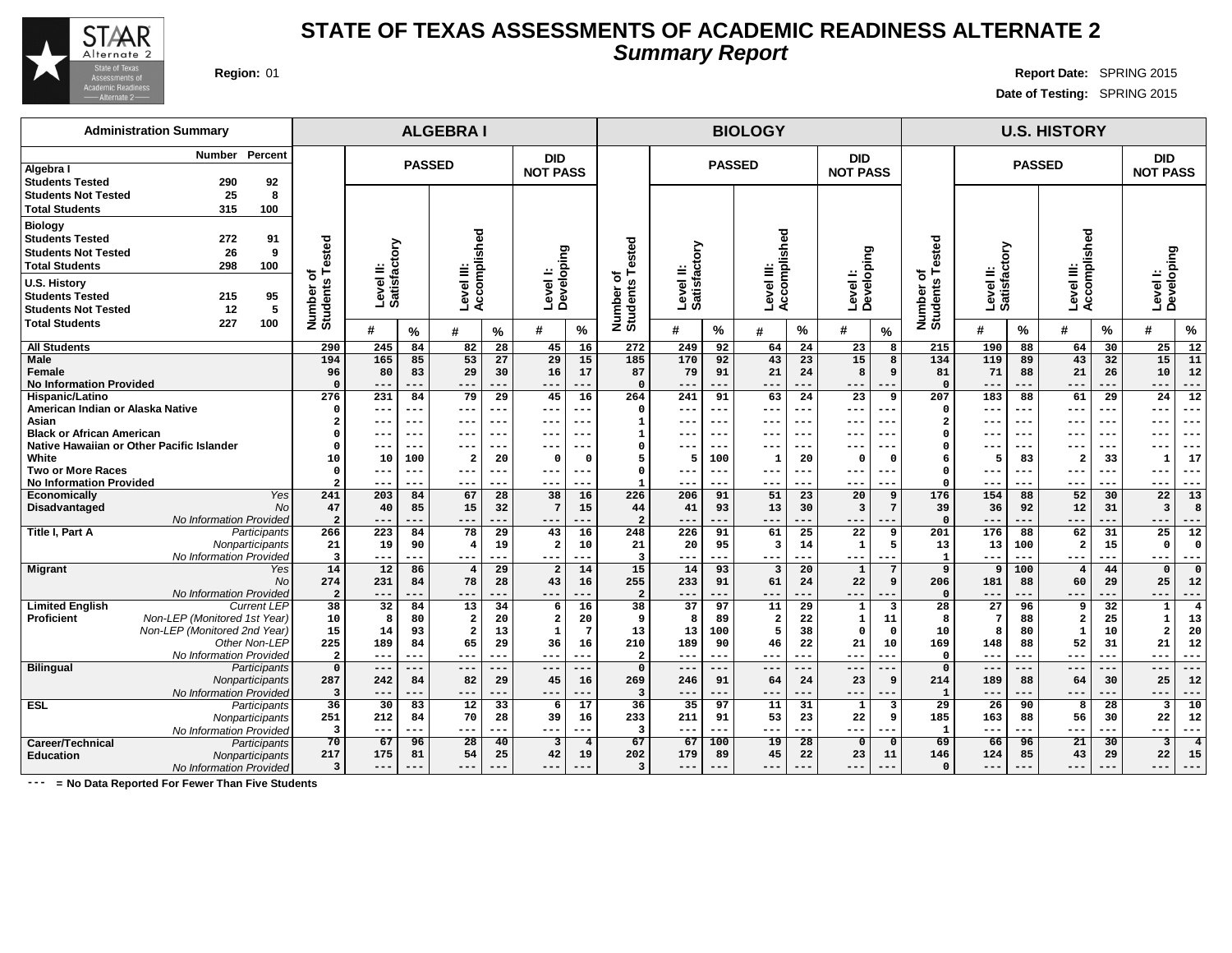

## **STATE OF TEXAS ASSESSMENTS OF ACADEMIC READINESS ALTERNATE 2 Summary Report**

**Region:** 01 **Region:** 01 **Report Date:** SPRING 2015 **Date of Testing:** SPRING 2015

| <b>Administration Summary</b>                                                                                                         |                                |                           |                 | <b>ALGEBRAI</b>                   |                   |                                  |                       |                               |                       |                 | <b>BIOLOGY</b>          |                        |                               |                            |                       |                    |                           | <b>U.S. HISTORY</b>  |                 |                                  |                        |
|---------------------------------------------------------------------------------------------------------------------------------------|--------------------------------|---------------------------|-----------------|-----------------------------------|-------------------|----------------------------------|-----------------------|-------------------------------|-----------------------|-----------------|-------------------------|------------------------|-------------------------------|----------------------------|-----------------------|--------------------|---------------------------|----------------------|-----------------|----------------------------------|------------------------|
| Percent<br>Number<br>Algebra I<br><b>Students Tested</b><br>290<br>92                                                                 |                                |                           | <b>PASSED</b>   |                                   |                   | <b>DID</b><br><b>NOT PASS</b>    |                       |                               |                       | <b>PASSED</b>   |                         |                        | <b>DID</b><br><b>NOT PASS</b> |                            |                       |                    | <b>PASSED</b>             |                      |                 | <b>DID</b><br><b>NOT PASS</b>    |                        |
| 8<br><b>Students Not Tested</b><br>25<br><b>Total Students</b><br>315<br>100                                                          |                                |                           |                 |                                   |                   |                                  |                       |                               |                       |                 |                         |                        |                               |                            |                       |                    |                           |                      |                 |                                  |                        |
| <b>Biology</b><br><b>Students Tested</b><br>272<br>91<br><b>Students Not Tested</b><br>26<br>9<br><b>Total Students</b><br>298<br>100 | ested<br>۴<br>৳                | Level II:<br>Satisfactory |                 | complished<br>≝                   |                   |                                  |                       | ested                         | ξā                    |                 | Accomplished            |                        |                               |                            | Tested<br>৳           | sfactory<br>≝      |                           | Accomplished         |                 |                                  |                        |
| <b>U.S. History</b><br><b>Students Tested</b><br>215<br>95<br>5<br>12<br><b>Students Not Tested</b>                                   | Number of<br>Students          |                           |                 | Level<br>ई                        |                   | Level I:<br>Developing           |                       | ਠ<br>Number o<br>Students     | Levelll:<br>Satisfact |                 | Level III:              |                        | Level I:<br>Developing        |                            | Number of<br>Students | Level<br>Satisfa   |                           | Level III:           |                 | Level I:<br>Developing           |                        |
| <b>Total Students</b><br>227<br>100                                                                                                   |                                | #                         | $\%$            | #                                 | $\%$              | #                                | $\%$                  |                               | $\boldsymbol{\#}$     | $\%$            | $\boldsymbol{\#}$       | $\%$                   | #                             | $\%$                       |                       | #                  | %                         | #                    | $\%$            | #                                | $\%$                   |
| <b>All Students</b>                                                                                                                   | 290                            | 245                       | 84              | 82                                | 28                | 45                               | 16                    | 272                           | 249                   | 92              | 64                      | $\overline{24}$        | 23                            | 8                          | 215                   | 190                | 88                        | 64                   | 30              | 25                               | 12                     |
| Male<br>Female<br><b>No Information Provided</b>                                                                                      | 194<br>96<br>$\Omega$          | 165<br>80<br>$---$        | 85<br>83<br>--- | 53<br>29<br>$- - -$               | 27<br>30<br>$- -$ | 29<br>16<br>$- -$                | 15<br>17<br>---       | 185<br>87<br>$\mathbf 0$      | 170<br>79<br>$- - -$  | 92<br>91<br>--- | 43<br>21<br>$---$       | 23<br>24<br>---        | 15<br>8<br>---                | $\mathbf{a}$<br>9<br>$- -$ | 134<br>81<br>$\Omega$ | 119<br>71<br>$- -$ | 89<br>88<br>---           | 43<br>21<br>---      | 32<br>26<br>--- | 15<br>10<br>$- -$                | 11<br>12<br>---        |
| <b>Hispanic/Latino</b>                                                                                                                | 276                            | 231                       | 84              | 79                                | 29                | 45                               | 16                    | 264                           | 241                   | 91              | 63                      | 24                     | 23                            | 9                          | 207                   | 183                | 88                        | 61                   | 29              | 24                               | 12                     |
| American Indian or Alaska Native                                                                                                      | $\Omega$                       | ---                       | ---             | ---                               | --                | ---                              |                       | 0                             | $---$                 | ---             | ---                     | ---                    | ---                           | $- -$                      | $\Omega$              |                    | ---                       | ---                  | ---             | $---$                            | ---                    |
| Asian<br><b>Black or African American</b>                                                                                             |                                | ---                       | ---<br>---      | ---                               | --<br>--          | $- - -$<br>---                   |                       | 1<br>$\mathbf{1}$             | ---                   | $- -$<br>---    | $- -$                   | ---<br>---             | ---                           | $- -$<br>$- -$             | -2<br>$\Omega$        | --                 | $- - -$<br>---            | $- - -$              | $- - -$<br>---  | $- - -$                          | ---<br>---             |
| Native Hawaiian or Other Pacific Islander                                                                                             | 0                              | ---<br>---                | ---             | ---<br>---                        |                   | ---                              | $--$                  | 0                             | $---$<br>---          | ---             | ---<br>---              | ---                    | ---<br>---                    |                            | $\Omega$              | $- -$              | ---                       | $---$<br>---         | ---             | $---$<br>$---$                   | ---                    |
| White                                                                                                                                 | 10                             | 10                        | 100             | $\overline{a}$                    | 20                | $\Omega$                         | $\Omega$              | 5                             | 5                     | 100             | -1                      | 20                     | $\Omega$                      | $\Omega$                   | 6                     | 5                  | 83                        | $\overline{2}$       | 33              | $\mathbf{1}$                     | 17                     |
| <b>Two or More Races</b>                                                                                                              | $\mathbf{o}$                   | $---$                     | ---             | ---                               | --                | ---                              |                       | 0                             | $--$                  |                 | $---$                   | ---                    | ---                           | $--$                       | $\Omega$              |                    | ---                       | $---$                | ---             | $--$                             | ---                    |
| <b>No Information Provided</b>                                                                                                        | $\overline{2}$                 | ---                       | ---             | ---                               |                   | ---                              |                       | -1                            | $--$                  | ---             | ---                     | ---                    | --                            |                            | $\Omega$              |                    | .                         | ---                  | ---             | ---                              | ---                    |
| Yes<br>Economically<br>Disadvantaged<br><b>No</b>                                                                                     | 241<br>47                      | 203<br>40                 | 84<br>85        | 67<br>15                          | 28<br>32          | 38                               | 16<br>15              | 226<br>44                     | 206<br>41             | 91<br>93        | 51<br>13                | 23<br>30               | 20<br>$\overline{3}$          | 9                          | 176<br>39             | 154<br>36          | 88<br>92                  | 52<br>12             | 30<br>31        | 22<br>$\overline{3}$             | 13<br>$\boldsymbol{8}$ |
| No Information Provided                                                                                                               | $\overline{2}$                 | ---                       | ---             | $---$                             | ---               | $--$                             |                       | $\overline{a}$                | $---$                 | ---             | $---$                   | ---                    | ---                           | $--$                       | $\Omega$              | $- -$              | ---                       | ---                  | ---             | $---$                            | ---                    |
| Title I, Part A<br>Participants<br>Nonparticipants                                                                                    | 266<br>21                      | 223<br>19                 | 84<br>90        | $\overline{78}$<br>$\overline{4}$ | 29<br>19          | 43<br>$\overline{a}$             | 16<br>10              | 248<br>21                     | 226<br>20             | 91<br>95        | 61<br>$\overline{3}$    | $\overline{25}$<br>14  | 22<br>$\mathbf 1$             | 9<br>5                     | 201<br>13             | 176<br>13          | 88<br>100                 | 62<br>$\overline{a}$ | 31<br>15        | $\overline{25}$<br>$\Omega$      | 12<br><b>C</b>         |
| No Information Provided                                                                                                               | $\overline{\mathbf{3}}$        | ---                       | ---             | $--$                              | --                | $- - -$                          |                       | $\overline{\mathbf{3}}$       | ---                   | ---             | ---                     | ---                    | $--$                          | $- -$                      | $\mathbf{1}$          | $- -$              |                           | $---$                | ---             | $- - -$                          |                        |
| <b>Migrant</b><br>Yes                                                                                                                 | 14                             | $\overline{12}$           | 86              | $\overline{4}$<br>78              | 29                | $\overline{2}$                   | 14                    | 15                            | 14                    | 93              | $\overline{\mathbf{3}}$ | $\overline{20}$        | $\mathbf{1}$                  |                            | 9                     | 9                  | 100                       | $\overline{4}$       | 44              | $\mathbf{0}$                     | $\Omega$               |
| <b>No</b><br>No Information Provided                                                                                                  | 274<br>$\overline{a}$          | 231<br>---                | 84<br>---       | ---                               | 28                | 43<br>---                        | 16                    | 255<br>$\overline{a}$         | 233<br>$---$          | 91<br>---       | 61<br>---               | 24<br>---              | 22<br>---                     | 9                          | 206<br>$\Omega$       | 181                | 88<br>---                 | 60<br>---            | 29<br>---       | 25<br>---                        | 12<br>---              |
| <b>Limited English</b><br><b>Current LEP</b>                                                                                          | 38                             | 32                        | 84              | 13                                | 34                | 6                                | 16                    | 38                            | 37                    | 97              | 11                      | 29                     | $\mathbf{1}$                  | $\overline{\mathbf{3}}$    | 28                    | 27                 | 96                        | 9                    | 32              | $\mathbf 1$                      | $\overline{4}$         |
| Non-LEP (Monitored 1st Year)<br>Proficient                                                                                            | 10                             | 8                         | 80              | $\overline{\mathbf{2}}$           | 20                | $\mathbf{2}$                     | 20                    | 9                             | 8                     | 89              | $\overline{\mathbf{2}}$ | 22                     | $\mathbf 1$                   | 11                         | 8                     | $7\phantom{.0}$    | 88                        | $\overline{a}$       | 25              | $\mathbf 1$                      | 13                     |
| Non-LEP (Monitored 2nd Year)                                                                                                          | 15                             | 14                        | 93              | $\overline{\mathbf{2}}$           | 13                | 1                                | $7\phantom{.0}$       | 13                            | 13                    | 100             | 5                       | 38                     | 0                             | $\mathbf 0$                | 10                    | 8                  | 80                        | $\mathbf 1$          | 10              | $\overline{\mathbf{2}}$          | 20                     |
| Other Non-LEP<br>No Information Provided                                                                                              | 225<br>$\overline{\mathbf{2}}$ | 189<br>$---$              | 84<br>---       | 65<br>---                         | 29<br>$--$        | 36<br>$---$                      | 16<br>---             | 210<br>$\mathbf{2}$           | 189<br>$---$          | 90<br>---       | 46<br>$---$             | 22<br>---              | 21<br>---                     | 10<br>$---$                | 169<br>$\Omega$       | 148<br>$---$       | 88<br>$\qquad \qquad - -$ | 52<br>---            | 31<br>---       | 21<br>$---$                      | 12<br>---              |
| Bilingual<br>Participants                                                                                                             | $\mathbf 0$                    | $---$                     | ---             | $-- -$                            | $- -$             | $---$                            |                       | $\mathbf 0$                   | $---$                 | ---             | $---$                   | ---                    | ---                           |                            | $\Omega$              | $--$               | ---                       | $---$                | ---             | $---$                            | ---                    |
| Nonparticipants                                                                                                                       | 287                            | 242                       | 84              | 82                                | 29                | 45                               | 16                    | 269                           | 246                   | 91              | 64                      | 24                     | 23                            | 9                          | 214                   | 189                | 88                        | 64                   | 30              | 25                               | 12                     |
| No Information Provided                                                                                                               | $\overline{\mathbf{3}}$        | ---                       | ---             | ---                               | --                | $--$                             |                       | 3                             | $---$                 | ---             | $---$                   | ---                    | ---                           | ---                        | $\mathbf{1}$          | $- -$              | $- -$                     | ---                  | ---             | $---$                            | ---                    |
| <b>ESL</b><br>Participants                                                                                                            | 36                             | 30                        | 83              | $\overline{12}$                   | 33                | 6                                | 17                    | 36                            | $\overline{35}$       | 97              | 11                      | 31                     | $\mathbf{1}$                  | $\overline{\mathbf{3}}$    | $\overline{29}$       | 26                 | 90                        | 8                    | 28              | $\overline{\mathbf{3}}$          | 10                     |
| Nonparticipants                                                                                                                       | 251<br>$\overline{\mathbf{3}}$ | 212                       | 84              | 70                                | 28                | 39                               | 16                    | 233                           | 211                   | 91              | 53                      | 23                     | 22                            | 9                          | 185<br>$\mathbf{1}$   | 163                | 88                        | 56                   | 30              | 22                               | 12                     |
| No Information Provided<br>Career/Technical                                                                                           | 70                             | $--$<br>67                | ---<br>96       | $---$<br>$\overline{28}$          | ÷<br>40           | $---$<br>$\overline{\mathbf{3}}$ | ---<br>$\overline{4}$ | $\overline{\mathbf{3}}$<br>67 | $---$<br>67           | ---<br>100      | $---$<br>19             | ---<br>$\overline{28}$ | ---<br>0                      | $- -$<br>$\Omega$          | 69                    | $- -$<br>66        | ---<br>96                 | $---$<br>21          | 30              | $---$<br>$\overline{\mathbf{3}}$ | ---<br>$\overline{4}$  |
| Participants<br><b>Education</b><br>Nonparticipants<br>No Information Provided                                                        | 217<br>3                       | 175<br>---                | 81<br>---       | 54<br>---                         | 25                | 42<br>---                        | 19                    | 202<br>3                      | 179<br>$---$          | 89              | 45<br>$---$             | 22<br>---              | 23<br>---                     | 11<br>$---$                | 146<br>$\mathbf 0$    | 124                | 85                        | 43<br>---            | 29<br>---       | 22<br>$---$                      | 15                     |

**--- = No Data Reported For Fewer Than Five Students**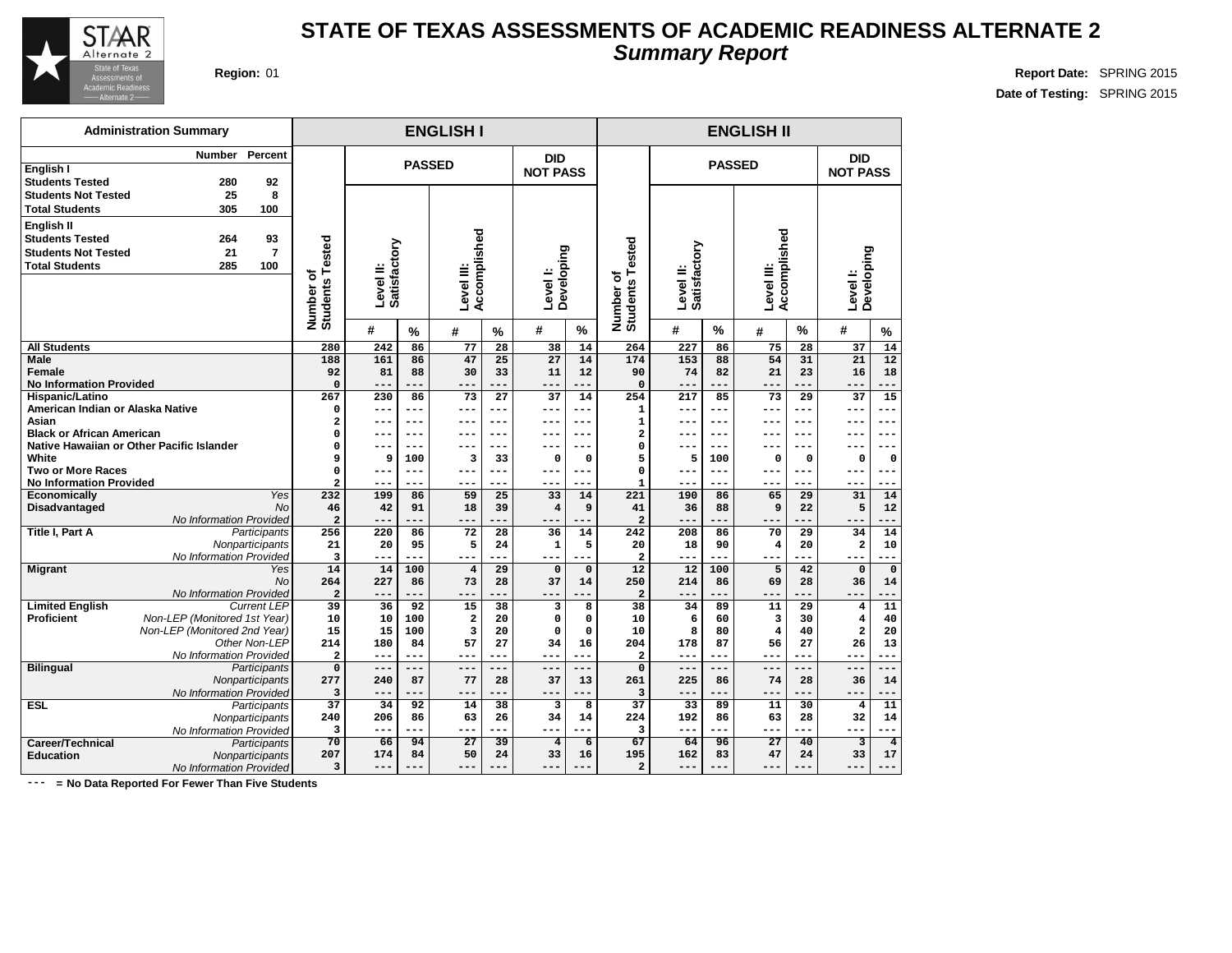

**English I**

**Administration Summary**

**Students Tested 280 92**

### **STATE OF TEXAS ASSESSMENTS OF ACADEMIC READINESS ALTERNATE 2 Summary Report**

**PASSED**

**DID NOT PASS**

**ENGLISH I ENGLISH II**

**DID NOT PASS**

**Region:** 01 **Report Date:** SPRING 2015 **Date of Testing:** SPRING 2015

**Number Percent**

| <b>Students Not Tested</b><br><b>Total Students</b>                                         | 25<br>8<br>305<br>100                           |                                              |                           |             |                            |           |                        |                    |                                   |                           |            |                            |             |                        |                     |
|---------------------------------------------------------------------------------------------|-------------------------------------------------|----------------------------------------------|---------------------------|-------------|----------------------------|-----------|------------------------|--------------------|-----------------------------------|---------------------------|------------|----------------------------|-------------|------------------------|---------------------|
| English II<br><b>Students Tested</b><br><b>Students Not Tested</b><br><b>Total Students</b> | 93<br>264<br>$\overline{7}$<br>21<br>100<br>285 | ested<br>۴<br>٥<br><b>Students</b><br>Number | Level II:<br>Satisfactory |             | Accomplished<br>Level III: |           | Developing<br>Level I: |                    | ested<br>Number of<br>Students Te | Level II:<br>Satisfactory |            | Accomplished<br>Level III: |             | Developing<br>Level I: |                     |
|                                                                                             |                                                 |                                              | #                         | $\%$        | #                          | %         | #                      | $\%$               |                                   | #                         | $\%$       | #                          | $\%$        | #                      | $\frac{0}{0}$       |
| <b>All Students</b>                                                                         |                                                 | 280                                          | 242                       | 86          | $\overline{77}$            | 28        | 38                     | 14                 | 264                               | 227                       | 86         | 75                         | 28          | 37                     | 14                  |
| Male                                                                                        |                                                 | 188                                          | 161                       | 86          | 47                         | 25        | $\overline{27}$        | 14                 | 174                               | $\overline{153}$          | 88         | 54                         | 31          | 21                     | $\overline{12}$     |
| Female                                                                                      |                                                 | 92                                           | 81                        | 88          | 30                         | 33        | 11                     | 12                 | 90                                | 74                        | 82         | 21                         | 23          | 16                     | 18                  |
| <b>No Information Provided</b>                                                              |                                                 | $\mathbf 0$                                  | ---                       |             | ---                        |           | ---                    | ---                | 0                                 | ---                       | ---        | ---                        | ---         | ---                    | ---                 |
| <b>Hispanic/Latino</b>                                                                      |                                                 | 267                                          | 230                       | 86          | 73                         | 27        | 37                     | 14                 | 254                               | 217                       | 85         | 73                         | 29          | 37                     | $\overline{15}$     |
| American Indian or Alaska Native                                                            |                                                 | $\Omega$                                     | $---$                     | $---$       | $---$                      | $---$     | ---                    | ---                | $\mathbf 1$                       | $---$                     | ---        | ---                        |             | ---                    | ---                 |
| Asian                                                                                       |                                                 | 2                                            | ---                       | $---$       | $--$                       | $---$     | ---                    | $--$               | 1                                 | ---                       | ---        | ---                        | ---         | $- - -$                | ---                 |
| <b>Black or African American</b>                                                            | Native Hawaiian or Other Pacific Islander       | $\mathbf 0$<br>$\mathbf 0$                   | ---                       | $--$        | $--$                       | $--$      | ---                    | $--$               | 2                                 | ---                       | ---        | ---                        | ---         | ---                    | ---                 |
| White                                                                                       |                                                 | 9                                            | ---<br>9                  | $--$<br>100 | з                          | 33        | --<br>O                | ---<br>$\mathbf 0$ | 0<br>5                            | ---<br>5                  | ---<br>100 | ---<br>$\mathbf 0$         | $\mathbf 0$ | 0                      | $\mathbf 0$         |
| <b>Two or More Races</b>                                                                    |                                                 | $\Omega$                                     | $- - -$                   | $---$       | $--$                       | ---       | ---                    | $--$               | 0                                 | $--$                      | $---$      | ---                        | $--$        | ---                    | $--$                |
| <b>No Information Provided</b>                                                              |                                                 | $\overline{a}$                               | $- - -$                   | ---         | ---                        |           | ---                    | ---                | $\mathbf{1}$                      | ---                       | ---        | ---                        |             | ---                    |                     |
| Economically                                                                                | <b>Yes</b>                                      | 232                                          | 199                       | 86          | 59                         | 25        | 33                     | 14                 | 221                               | 190                       | 86         | 65                         | 29          | 31                     | 14                  |
| <b>Disadvantaged</b>                                                                        | No                                              | 46                                           | 42                        | 91          | 18                         | 39        | 4                      | 9                  | 41                                | 36                        | 88         | 9                          | 22          | 5                      | 12                  |
|                                                                                             | No Information Provided                         | $\overline{a}$                               | $---$                     | ---         | $---$                      | ---       | ---                    | ---                | $\overline{a}$                    | ---                       | .          | ---                        | ---         | $---$                  |                     |
| <b>Title I, Part A</b>                                                                      | <b>Participants</b>                             | 256                                          | 220                       | 86          | 72                         | 28        | 36                     | 14                 | $\overline{242}$                  | 208                       | 86         | 70                         | 29          | 34                     | 14                  |
|                                                                                             | Nonparticipants                                 | 21                                           | 20                        | 95          | 5                          | 24        | $\mathbf{1}$           | 5                  | 20                                | 18                        | 90         | $\overline{\mathbf{4}}$    | 20          | $\overline{a}$         | 10                  |
|                                                                                             | No Information Provided                         | 3                                            | $---$                     | $- - -$     | $--$                       | ---       | ---                    | ---                | $\overline{a}$                    | ---                       | ---        | ---                        | ---         | ---                    | ---                 |
| <b>Migrant</b>                                                                              | Yes                                             | 14                                           | 14                        | 100         | $\overline{\mathbf{4}}$    | 29        | $\Omega$               | $\Omega$           | 12                                | 12                        | 100        | 5                          | 42          | $\Omega$               | $\Omega$            |
|                                                                                             | No                                              | 264                                          | 227                       | 86          | 73                         | 28        | 37                     | 14                 | 250                               | 214                       | 86         | 69                         | 28          | 36                     | 14                  |
|                                                                                             | No Information Provided                         | $\overline{a}$                               | $---$                     | ---         | $---$                      |           | ---                    | ---                | $\overline{a}$                    | ---                       | ---        | ---                        | ---         | ---                    |                     |
| <b>Limited English</b>                                                                      | <b>Current LEP</b>                              | 39                                           | 36                        | 92          | 15                         | 38        | 3                      | 8                  | 38                                | 34                        | 89         | 11                         | 29          | $\overline{4}$         | 11                  |
| <b>Proficient</b>                                                                           | Non-LEP (Monitored 1st Year)                    | 10                                           | 10                        | 100         | $\overline{\mathbf{2}}$    | 20        | O                      | 0                  | 10                                | 6                         | 60         | 3                          | 30          | $\overline{4}$         | 40                  |
|                                                                                             | Non-LEP (Monitored 2nd Year)                    | 15                                           | 15                        | 100         | 3<br>57                    | 20        | 0                      | $\Omega$           | 10                                | 8                         | 80         | $\overline{\mathbf{4}}$    | 40          | $\overline{a}$<br>26   | 20                  |
|                                                                                             | Other Non-LEP<br>No Information Provided        | 214<br>$\overline{\mathbf{2}}$               | 180<br>$---$              | 84<br>$---$ | $---$                      | 27<br>--- | 34<br>---              | 16<br>$---$        | 204<br>$\overline{a}$             | 178<br>$--$               | 87<br>---  | 56<br>$---$                | 27<br>---   | $---$                  | 13<br>---           |
| <b>Bilingual</b>                                                                            | Participants                                    | $\mathbf 0$                                  | $---$                     | $---$       | $- - -$                    | $- - -$   | $---$                  | $---$              | 0                                 | $---$                     | $- - -$    | $- - -$                    | $- - -$     | $---$                  | $- - -$             |
|                                                                                             | Nonparticipants                                 | 277                                          | 240                       | 87          | 77                         | 28        | 37                     | 13                 | 261                               | 225                       | 86         | 74                         | 28          | 36                     | 14                  |
|                                                                                             | No Information Provided                         | 3                                            | $-- -$                    | ---         | $- - -$                    |           | $- -$                  | ---                | 3                                 | $---$                     | ---        | ---                        |             | ---                    |                     |
| <b>ESL</b>                                                                                  | Participants                                    | 37                                           | 34                        | 92          | 14                         | 38        | 3                      | 8                  | 37                                | 33                        | 89         | 11                         | 30          | $\overline{4}$         | 11                  |
|                                                                                             | Nonparticipants                                 | 240                                          | 206                       | 86          | 63                         | 26        | 34                     | 14                 | 224                               | 192                       | 86         | 63                         | 28          | 32                     | 14                  |
|                                                                                             | No Information Provided                         | 3                                            | $- - -$                   | ---         | $---$                      | $---$     | $---$                  | ---                | 3                                 | $--$                      | ---        | ---                        | ---         | $---$                  | $\qquad \qquad - -$ |
| <b>Career/Technical</b>                                                                     | Participants                                    | 70                                           | 66                        | 94          | $\overline{27}$            | 39        | $\overline{4}$         | $6\overline{6}$    | 67                                | 64                        | 96         | $\overline{27}$            | 40          | $\overline{3}$         | $\overline{4}$      |
| <b>Education</b>                                                                            | Nonparticipants                                 | 207                                          | 174                       | 84          | 50                         | 24        | 33                     | 16                 | 195                               | 162                       | 83         | 47                         | 24          | 33                     | 17                  |
|                                                                                             | No Information Provided                         | 3                                            | $---$                     |             | ---                        |           | $---$                  | ---                | $\overline{a}$                    | ---                       | ---        | ---                        |             | $---$                  |                     |
|                                                                                             |                                                 |                                              |                           |             |                            |           |                        |                    |                                   |                           |            |                            |             |                        |                     |

**PASSED**

**--- = No Data Reported For Fewer Than Five Students**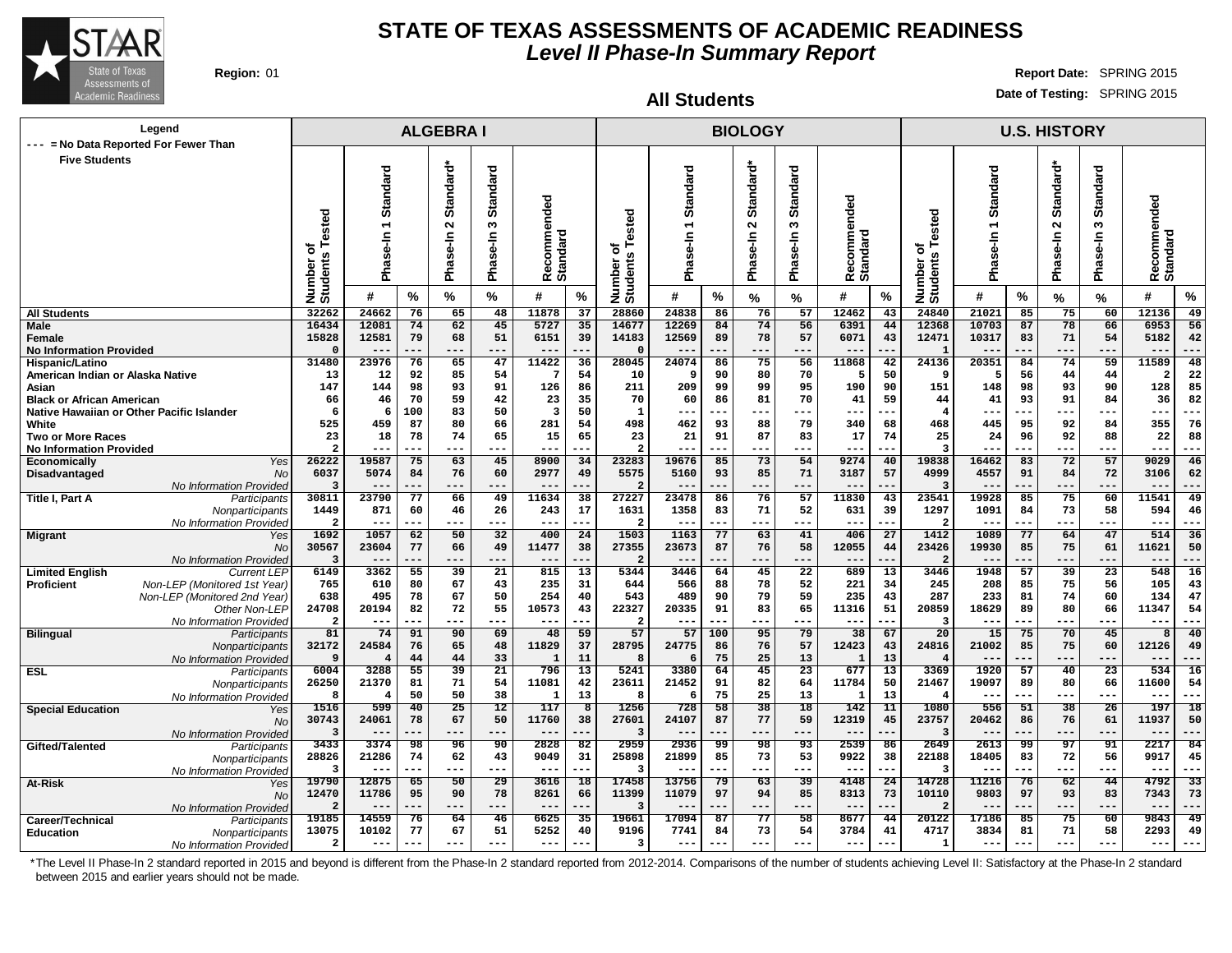

#### **All Students**

**Region:** 01 **Report Date:** SPRING 2015 **Date of Testing:** SPRING 2015

| Legend                                                                  |                         |                         |           | <b>ALGEBRAI</b>          |                        |                         |                               |                                 |                  |                        | <b>BIOLOGY</b> |                        |                          |                       |                              |               |           | <b>U.S. HISTORY</b> |                 |                         |                        |
|-------------------------------------------------------------------------|-------------------------|-------------------------|-----------|--------------------------|------------------------|-------------------------|-------------------------------|---------------------------------|------------------|------------------------|----------------|------------------------|--------------------------|-----------------------|------------------------------|---------------|-----------|---------------------|-----------------|-------------------------|------------------------|
| --- = No Data Reported For Fewer Than                                   |                         |                         |           |                          |                        |                         |                               |                                 |                  |                        |                |                        |                          |                       |                              |               |           |                     |                 |                         |                        |
| <b>Five Students</b>                                                    |                         |                         |           |                          |                        |                         |                               |                                 |                  |                        |                | ठ                      |                          |                       |                              |               |           |                     |                 |                         |                        |
|                                                                         |                         |                         |           |                          |                        |                         |                               |                                 |                  |                        |                |                        |                          |                       |                              |               |           |                     |                 |                         |                        |
|                                                                         |                         | Standard                |           | Standard*                | <b>Standard</b>        |                         |                               |                                 | Standard         |                        | Standard*      | Standar                |                          |                       |                              | Standard      |           | Standard*           | <b>Standard</b> |                         |                        |
|                                                                         |                         |                         |           |                          |                        | ecommended              |                               |                                 |                  |                        |                |                        | nded                     |                       |                              |               |           |                     |                 | ecommended              |                        |
|                                                                         | sted                    | $\overline{ }$          |           | $\sim$                   | S                      |                         |                               | ested                           |                  |                        | $\sim$         | w                      |                          |                       |                              | ٣             |           | $\sim$              | w               |                         |                        |
|                                                                         |                         |                         |           |                          |                        |                         |                               |                                 | $s_{e-1}$        |                        | Ise-In         | ise-In                 | omme                     |                       |                              |               |           |                     |                 |                         |                        |
|                                                                         | ৳<br><b>SC</b>          |                         |           |                          |                        |                         |                               | ৳                               |                  |                        |                |                        |                          |                       |                              |               |           |                     |                 |                         |                        |
|                                                                         |                         | Phase-In                |           | Phase-In                 | Phase-In               | <b>Standard</b><br>œ    |                               |                                 | <b>Big</b>       |                        | Pha            | Pha                    | Recomme<br>Standard      |                       |                              | Phase-In      |           | Phase-In            | Phase-In        | <b>Standard</b><br>œ    |                        |
|                                                                         | Number<br>Students      | #                       | $\%$      | %                        | %                      | #                       | %                             | Number o<br>Students            | #                | ℅                      | %              | %                      | #                        | %                     | Number of<br>Students Tested | #             | %         | %                   | %               | #                       | %                      |
| <b>All Students</b>                                                     | 32262                   | 24662                   | 76        | 65                       | 48                     | 11878                   | 37                            | 28860                           | 24838            | 86                     | 76             | 57                     | 12462                    | 43                    | 24840                        | 21021         | 85        | 75                  | 60              | 12136                   | 49                     |
| <b>Male</b>                                                             | 16434                   | 12081                   | 74        | 62                       | 45                     | 5727                    | 35                            | 14677                           | 12269            | 84                     | 74             | 56                     | 6391                     | 44                    | 12368                        | 10703         | 87        | 78                  | 66              | 6953                    | 56                     |
| Female                                                                  | 15828                   | 12581                   | 79        | 68                       | 51                     | 6151                    | 39                            | 14183                           | 12569            | 89                     | 78             | 57                     | 6071                     | 43                    | 12471                        | 10317         | 83        | 71                  | 54              | 5182                    | 42                     |
| <b>No Information Provided</b>                                          | $\mathfrak{g}$          | $\qquad \qquad -$       | ---       | ---<br>65                | ---                    | $--$                    |                               | $\Omega$                        | $--$<br>24074    | ---                    | ---            | ---                    | $- -$                    | --                    | $\mathbf{1}$                 |               | .         | $---$               | ---             | $- -$                   | ---                    |
| Hispanic/Latino<br>American Indian or Alaska Native                     | 31480<br>13             | 23976<br>12             | 76<br>92  | 85                       | 47<br>54               | 11422<br>7              | 36<br>54                      | 28045<br>10                     | 9                | 86<br>90               | 75<br>80       | 56<br>70               | 11868<br>5               | 42<br>50              | 24136<br>-9                  | 20351<br>5    | 84<br>56  | 74<br>44            | 59<br>44        | 11589<br>$\overline{2}$ | 48<br>22               |
| Asian                                                                   | 147                     | 144                     | 98        | 93                       | 91                     | 126                     | 86                            | 211                             | 209              | 99                     | 99             | 95                     | 190                      | 90                    | 151                          | 148           | 98        | 93                  | 90              | 128                     | 85                     |
| <b>Black or African American</b>                                        | 66                      | 46                      | 70        | 59                       | 42                     | 23                      | 35                            | 70                              | 60               | 86                     | 81             | 70                     | 41                       | 59                    | 44                           | 41            | 93        | 91                  | 84              | 36                      | 82                     |
| Native Hawaiian or Other Pacific Islander                               | 6                       | 6                       | 100       | 83                       | 50                     | $\overline{\mathbf{3}}$ | 50                            | 1                               | $---$            | ---                    | ---            | ---                    | ---                      | ---                   | $\overline{\mathbf{4}}$      | ---           | ---       | ---                 | ---             | $- - -$                 | ---                    |
| White                                                                   | 525<br>23               | 459<br>18               | 87<br>78  | 80<br>74                 | 66<br>65               | 281<br>15               | 54<br>65                      | 498<br>23                       | 462<br>21        | 93<br>91               | 88<br>87       | 79<br>83               | 340                      | 68<br>74              | 468<br>25                    | 445<br>24     | 95        | 92<br>92            | 84<br>88        | 355<br>22               | 76<br>88               |
| <b>Two or More Races</b><br><b>No Information Provided</b>              | $\mathcal{P}$           | ---                     |           | $- - -$                  | ---                    | $- - -$                 |                               | $\overline{2}$                  | $- - -$          |                        | ---            | ---                    | 17<br>---                | $- -$                 | 3                            |               | 96<br>--- | ---                 | ---             | $- - -$                 | ---                    |
| Economically<br>Yes                                                     | 26222                   | 19587                   | 75        | 63                       | 45                     | 8900                    | 34                            | 23283                           | 19676            | 85                     | 73             | 54                     | 9274                     | 40                    | 19838                        | 16462         | 83        | 72                  | 57              | 9029                    | 46                     |
| Disadvantaged<br>No                                                     | 6037                    | 5074                    | 84        | 76                       | 60                     | 2977                    | 49                            | 5575                            | 5160             | 93                     | 85             | 71                     | 3187                     | 57                    | 4999                         | 4557          | 91        | 84                  | 72              | 3106                    | 62                     |
| No Information Provided                                                 | 3                       | $- -$                   | ---       | ---                      | ---                    | $- -$                   |                               | 2                               | $- -$            | ---                    | ---            | ---                    | $- -$                    | $- -$                 | -3                           |               | $- -$     | ---                 | ---             | $- -$                   | ---                    |
| Title I, Part A<br>Participants<br>Nonparticipants                      | 30811<br>1449           | 23790<br>871            | 77<br>60  | 66<br>46                 | 49<br>26               | 11634<br>243            | 38<br>17                      | 27227<br>1631                   | 23478<br>1358    | 86<br>83               | 76<br>71       | 57<br>52               | 11830<br>631             | 43<br>39              | 23541<br>1297                | 19928<br>1091 | 85<br>84  | 75<br>73            | 60<br>58        | 11541<br>594            | 49<br>46               |
| No Information Provided                                                 | $\overline{2}$          | ---                     |           | $---$                    | ---                    | ---                     | ---                           | $\overline{2}$                  | $---$            | ---                    | ---            | ---                    | ---                      | $- -$                 | $\overline{\mathbf{2}}$      |               | ---       | ---                 | ---             | $---$                   | ---                    |
| <b>Migrant</b><br>Yes                                                   | 1692                    | 1057                    | 62        | 50                       | 32                     | 400                     | 24                            | 1503                            | 1163             | 77                     | 63             | 41                     | 406                      | 27                    | 1412                         | 1089          | 77        | 64                  | 47              | 514                     | 36                     |
| <b>No</b>                                                               | 30567                   | 23604                   | 77        | 66                       | 49                     | 11477                   | 38                            | 27355                           | 23673            | 87                     | 76             | 58                     | 12055                    | 44                    | 23426                        | 19930         | 85        | 75                  | 61              | 11621                   | 50                     |
| No Information Provided<br><b>Limited English</b><br><b>Current LEP</b> | 3<br>6149               | 3362                    | 55        | ---<br>39                | ---<br>$\overline{21}$ | $\sim$ $\sim$<br>815    | $\overline{13}$               | $\overline{\mathbf{2}}$<br>5344 | 3446             | 64                     | ---<br>45      | ---<br>$\overline{22}$ | $\qquad \qquad -$<br>689 | $\overline{13}$       | - 2<br>3446                  | 1948          | 57        | ---<br>39           | ---<br>23       | $- -$<br>548            | 16                     |
| Non-LEP (Monitored 1st Year)<br><b>Proficient</b>                       | 765                     | 610                     | 80        | 67                       | 43                     | 235                     | 31                            | 644                             | 566              | 88                     | 78             | 52                     | 221                      | 34                    | 245                          | 208           | 85        | 75                  | 56              | 105                     | 43                     |
| Non-LEP (Monitored 2nd Year)                                            | 638                     | 495                     | 78        | 67                       | 50                     | 254                     | 40                            | 543                             | 489              | 90                     | 79             | 59                     | 235                      | 43                    | 287                          | 233           | 81        | 74                  | 60              | 134                     | 47                     |
| Other Non-LEP                                                           | 24708                   | 20194                   | 82        | 72                       | 55                     | 10573                   | 43                            | 22327                           | 20335            | 91                     | 83             | 65                     | 11316                    | 51                    | 20859                        | 18629         | 89        | 80                  | 66              | 11347                   | 54                     |
| No Information Provided                                                 | $\overline{2}$          | ---                     |           |                          | ---                    | $--$                    |                               | $\overline{2}$                  | $--$             |                        |                | ---                    | $-$                      | --                    | з                            |               |           | ---                 |                 | $---$                   |                        |
| <b>Bilingual</b><br>Participants<br>Nonparticipants                     | 81<br>32172             | 74<br>24584             | 91<br>76  | 90<br>65                 | 69<br>48               | 48<br>11829             | 59<br>37                      | 57<br>28795                     | 57<br>24775      | 100<br>86              | 95<br>76       | 79<br>57               | 38<br>12423              | 67<br>43              | $\overline{20}$<br>24816     | 15<br>21002   | 75<br>85  | 70<br>75            | 45<br>60        | 8<br>12126              | 40<br>49               |
| No Information Provided                                                 | 9                       | $\overline{4}$          | 44        | 44                       | 33                     | $\mathbf{1}$            | 11                            | 8                               | 6                | 75                     | 25             | 13                     | $\mathbf{1}$             | 13                    |                              |               | ---       | ---                 | ---             | $- -$                   |                        |
| <b>ESL</b><br>Participants                                              | 6004                    | 3288                    | 55        | 39                       | 21                     | 796                     | 13                            | 5241                            | 3380             | 64                     | 45             | 23                     | 677                      | 13                    | 3369                         | 1920          | 57        | 40                  | 23              | 534                     | 16                     |
| Nonparticipants                                                         | 26250                   | 21370                   | 81        | 71                       | 54                     | 11081                   | 42                            | 23611                           | 21452            | 91                     | 82             | 64                     | 11784                    | 50                    | 21467                        | 19097         | 89        | 80                  | 66              | 11600                   | 54                     |
| No Information Provideo                                                 | 8                       | $\overline{\mathbf{4}}$ | 50        | 50                       | 38                     | $\mathbf{1}$            | 13                            | 8                               | 6                | 75                     | 25             | 13                     | $\mathbf{1}$             | 13                    |                              | $- -$         | ---       | ---                 | $--$            | $- - -$                 | $--$                   |
| <b>Special Education</b><br>Yes<br><b>No</b>                            | 1516<br>30743           | 599<br>24061            | 40<br>78  | 25<br>67                 | 12<br>50               | 117<br>11760            | $\overline{\mathbf{8}}$<br>38 | 1256<br>27601                   | 728<br>24107     | 58<br>87               | 38<br>77       | 18<br>59               | 142<br>12319             | 11<br>45              | 1080<br>23757                | 556<br>20462  | 51<br>86  | 38<br>76            | 26<br>61        | 197<br>11937            | 18<br>50               |
| No Information Provided                                                 | $\overline{\mathbf{3}}$ | $--$                    | ---       | $---$                    | $---$                  | $- -$                   |                               | 3                               | $- -$            |                        | ---            | ---                    | $- -$                    | ---                   | $\overline{3}$               |               | ---       | $---$               | ---             | $---$                   | ---                    |
| Gifted/Talented<br>Participants                                         | 3433                    | 3374                    | 98        | 96                       | 90                     | 2828                    | 82                            | 2959                            | 2936             | 99                     | 98             | 93                     | 2539                     | 86                    | 2649                         | 2613          | 99        | $\overline{97}$     | 91              | 2217                    | 84                     |
| Nonparticipants                                                         | 28826                   | 21286                   | 74        | 62                       | 43                     | 9049                    | 31                            | 25898                           | 21899            | 85                     | 73             | 53                     | 9922                     | 38                    | 22188                        | 18405         | 83        | 72                  | 56              | 9917                    | 45                     |
| No Information Provided                                                 | 3<br>19790              | ---<br>12875            | ---<br>65 | $---$<br>$\overline{50}$ | ---<br>$\overline{29}$ | $- - -$<br>3616         | ---<br>$\overline{18}$        | 3<br>17458                      | $- - -$<br>13756 | ---<br>$\overline{79}$ | ---<br>63      | ---<br>$\overline{39}$ | $--$<br>4148             | --<br>$\overline{24}$ | -3<br>14728                  | $ -$<br>11216 | ---<br>76 | ---<br>62           | ---<br>44       | $--$<br>4792            | ---<br>$\overline{33}$ |
| At-Risk<br>Yes<br><b>No</b>                                             | 12470                   | 11786                   | 95        | 90                       | 78                     | 8261                    | 66                            | 11399                           | 11079            | 97                     | 94             | 85                     | 8313                     | 73                    | 10110                        | 9803          | 97        | 93                  | 83              | 7343                    | 73                     |
| No Information Provided                                                 | 2                       | ---                     | ---       | ---                      | ---                    | $--$                    | ---                           | 3                               | $---$            | ---                    | ---            | ---                    | $---$                    | $- -$                 | $\overline{2}$               |               | ---       | ---                 | ---             | $---$                   | ---                    |
| Career/Technical<br>Participants                                        | 19185                   | 14559                   | 76        | 64                       | 46                     | 6625                    | 35                            | 19661                           | 17094            | 87                     | 77             | 58                     | 8677                     | 44                    | 20122                        | 17186         | 85        | 75                  | 60              | 9843                    | 49                     |
| <b>Education</b><br>Nonparticipants                                     | 13075                   | 10102                   | 77        | 67                       | 51                     | 5252                    | 40                            | 9196                            | 7741             | 84                     | 73             | 54                     | 3784                     | 41                    | 4717                         | 3834          | 81        | 71                  | 58              | 2293                    | 49                     |
| No Information Provided                                                 | $\mathbf{z}$            | ---                     | ---       | $- - -$                  | ---                    | $- - -$                 |                               | 3                               | $- -$            |                        | ---            | ---                    | $---$                    |                       | $\mathbf{1}$                 | $- -$         |           | ---                 | ---             | $--$                    |                        |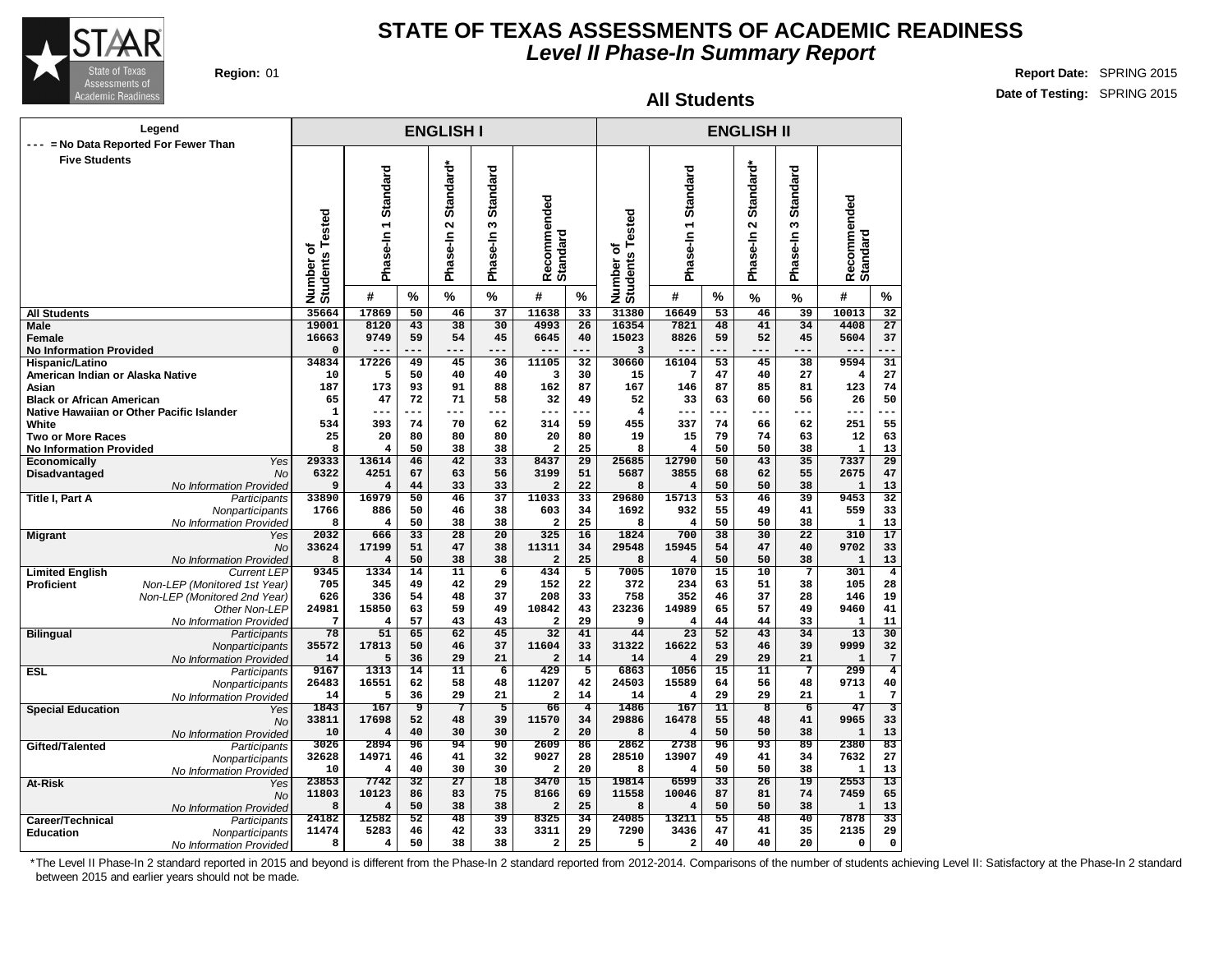

#### **All Students**

**Region:** 01 **Report Date:** SPRING 2015 **Date of Testing:** SPRING 2015

|                                           | Legend                                                       |                              |                     |                 | <b>ENGLISH I</b>  |                 |                                 |                      |                          |                                 |                 | <b>ENGLISH II</b>       |                 |                         |                         |
|-------------------------------------------|--------------------------------------------------------------|------------------------------|---------------------|-----------------|-------------------|-----------------|---------------------------------|----------------------|--------------------------|---------------------------------|-----------------|-------------------------|-----------------|-------------------------|-------------------------|
| --- = No Data Reported For Fewer Than     |                                                              |                              |                     |                 |                   |                 |                                 |                      |                          |                                 |                 |                         |                 |                         |                         |
| <b>Five Students</b>                      |                                                              |                              |                     |                 |                   |                 |                                 |                      |                          |                                 |                 |                         |                 |                         |                         |
|                                           |                                                              |                              | Phase-In 1 Standard |                 | Standard*         | <b>Standard</b> |                                 |                      |                          | Standard                        |                 | Standard*               | <b>Standard</b> |                         |                         |
|                                           |                                                              |                              |                     |                 |                   |                 |                                 |                      |                          |                                 |                 |                         |                 |                         |                         |
|                                           |                                                              |                              |                     |                 | $\mathbf{\Omega}$ | ო               | Recommended<br>Standard         |                      | Tested                   |                                 |                 | $\mathbf{\Omega}$       | ო               | Recommended<br>Standard |                         |
|                                           |                                                              |                              |                     |                 |                   |                 |                                 |                      |                          |                                 |                 |                         |                 |                         |                         |
|                                           |                                                              |                              |                     |                 | se-In             | se-In           |                                 |                      |                          |                                 |                 |                         |                 |                         |                         |
|                                           |                                                              |                              |                     |                 | Pha               | Pha             |                                 |                      |                          | Phase-In1                       |                 | Phase-In                | Phase-In        |                         |                         |
|                                           |                                                              |                              |                     |                 |                   |                 |                                 |                      |                          |                                 |                 |                         |                 |                         |                         |
|                                           |                                                              | Number of<br>Students Tested | #                   | %               | $\frac{0}{0}$     | $\frac{9}{6}$   | #                               | %                    | Number of<br>Students Tr | #                               | %               | $\%$                    | %               | #                       | %                       |
| <b>All Students</b>                       |                                                              | 35664                        | 17869               | 50              | 46                | 37              | 11638                           | 33                   | 31380                    | 16649                           | 53              | 46                      | 39              | 10013                   | 32                      |
| Male                                      |                                                              | 19001                        | 8120                | 43              | 38                | 30              | 4993                            | 26                   | 16354                    | 7821                            | 48              | 41                      | 34              | 4408                    | 27                      |
| Female<br><b>No Information Provided</b>  |                                                              | 16663<br>$\Omega$            | 9749<br>$- -$       | 59<br>$- -$     | 54<br>$- - -$     | 45<br>---       | 6645                            | 40<br>---            | 15023<br>3               | 8826                            | 59              | 52                      | 45              | 5604                    | 37                      |
| Hispanic/Latino                           |                                                              | 34834                        | 17226               | 49              | 45                | 36              | 11105                           | 32                   | 30660                    | 16104                           | 53              | 45                      | 38              | 9594                    | 31                      |
| American Indian or Alaska Native          |                                                              | 10                           | 5                   | 50              | 40                | 40              | з                               | 30                   | 15                       | 7                               | 47              | 40                      | 27              | $\overline{\mathbf{4}}$ | 27                      |
| Asian                                     |                                                              | 187                          | 173                 | 93              | 91                | 88              | 162                             | 87                   | 167                      | 146                             | 87              | 85                      | 81              | 123                     | 74                      |
| <b>Black or African American</b>          |                                                              | 65                           | 47                  | 72              | 71                | 58              | 32                              | 49                   | 52                       | 33                              | 63              | 60                      | 56              | 26                      | 50                      |
| Native Hawaiian or Other Pacific Islander |                                                              | $\mathbf{1}$                 | ---                 | ---             | ---               | ---             | $- - -$                         | ---                  | $\overline{4}$           | ---                             | ---             | $- - -$                 | $- - -$         | ---                     |                         |
| White<br><b>Two or More Races</b>         |                                                              | 534<br>25                    | 393<br>20           | 74<br>80        | 70<br>80          | 62<br>80        | 314<br>20                       | 59<br>80             | 455<br>19                | 337<br>15                       | 74<br>79        | 66<br>74                | 62<br>63        | 251<br>12               | 55<br>63                |
| <b>No Information Provided</b>            |                                                              | 8                            | 4                   | 50              | 38                | 38              | $\overline{a}$                  | 25                   | 8                        | 4                               | 50              | 50                      | 38              | $\mathbf{1}$            | 13                      |
| Economically                              | Yes                                                          | 29333                        | 13614               | 46              | 42                | 33              | 8437                            | $\overline{29}$      | 25685                    | 12790                           | 50              | 43                      | 35              | 7337                    | $\overline{29}$         |
| Disadvantaged                             | <b>No</b>                                                    | 6322                         | 4251                | 67              | 63                | 56              | 3199                            | 51                   | 5687                     | 3855                            | 68              | 62                      | 55              | 2675                    | 47                      |
|                                           | No Information Provided                                      | 9                            | 4                   | 44              | 33                | 33              | $\overline{\mathbf{2}}$         | 22                   | 8                        | 4                               | 50              | 50                      | 38              | $\mathbf{1}$            | 13                      |
| Title I, Part A                           | Participants                                                 | 33890                        | 16979               | 50<br>50        | 46<br>46          | 37<br>38        | 11033                           | 33<br>34             | 29680<br>1692            | 15713<br>932                    | 53<br>55        | 46<br>49                | 39<br>41        | 9453<br>559             | $\overline{32}$<br>33   |
|                                           | Nonparticipants<br>No Information Provided                   | 1766<br>8                    | 886<br>4            | 50              | 38                | 38              | 603<br>$\mathbf{2}$             | 25                   | 8                        | 4                               | 50              | 50                      | 38              | $\mathbf{1}$            | 13                      |
| <b>Migrant</b>                            | Yes                                                          | 2032                         | 666                 | 33              | $\overline{28}$   | $\overline{20}$ | 325                             | 16                   | 1824                     | 700                             | 38              | 30                      | $\overline{22}$ | 310                     | 17                      |
|                                           | No                                                           | 33624                        | 17199               | 51              | 47                | 38              | 11311                           | 34                   | 29548                    | 15945                           | 54              | 47                      | 40              | 9702                    | 33                      |
|                                           | No Information Provided                                      | 8                            | 4                   | 50              | 38                | 38              | $\overline{\mathbf{2}}$         | 25                   | 8                        | 4                               | 50              | 50                      | 38              | $\mathbf{1}$            | 13                      |
| <b>Limited English</b>                    | <b>Current LEP</b>                                           | 9345                         | 1334                | 14              | $\overline{11}$   | 6               | 434                             | 5                    | 7005                     | 1070                            | 15              | 10                      | 7               | 301                     | $\overline{\mathbf{4}}$ |
| <b>Proficient</b>                         | Non-LEP (Monitored 1st Year)<br>Non-LEP (Monitored 2nd Year) | 705<br>626                   | 345<br>336          | 49<br>54        | 42<br>48          | 29<br>37        | 152<br>208                      | 22<br>33             | 372<br>758               | 234<br>352                      | 63<br>46        | 51<br>37                | 38<br>28        | 105<br>146              | 28<br>19                |
|                                           | Other Non-LEP                                                | 24981                        | 15850               | 63              | 59                | 49              | 10842                           | 43                   | 23236                    | 14989                           | 65              | 57                      | 49              | 9460                    | 41                      |
|                                           | No Information Provided                                      | 7                            | 4                   | 57              | 43                | 43              | $\mathbf{2}$                    | 29                   | 9                        | 4                               | 44              | 44                      | 33              | $\mathbf{1}$            | 11                      |
| <b>Bilingual</b>                          | Participants                                                 | 78                           | 51                  | 65              | 62                | 45              | 32                              | 41                   | 44                       | $\overline{23}$                 | 52              | 43                      | 34              | 13                      | 30                      |
|                                           | Nonparticipants                                              | 35572                        | 17813               | 50              | 46                | 37              | 11604                           | 33                   | 31322                    | 16622                           | 53              | 46                      | 39              | 9999                    | 32                      |
| <b>ESL</b>                                | No Information Provided                                      | 14<br>9167                   | 5<br>1313           | 36<br>14        | 29<br>11          | 21<br>6         | $\overline{a}$<br>429           | 14<br>$\overline{5}$ | 14<br>6863               | $\overline{\mathbf{4}}$<br>1056 | 29<br>15        | 29<br>11                | 21<br>7         | ${\bf 1}$<br>299        | 7<br>4                  |
|                                           | Participants<br>Nonparticipants                              | 26483                        | 16551               | 62              | 58                | 48              | 11207                           | 42                   | 24503                    | 15589                           | 64              | 56                      | 48              | 9713                    | 40                      |
|                                           | No Information Provided                                      | 14                           | 5                   | 36              | 29                | 21              | $\mathbf{2}$                    | 14                   | 14                       | 4                               | 29              | 29                      | 21              | $\mathbf{1}$            | 7                       |
| <b>Special Education</b>                  | Yes                                                          | 1843                         | 167                 | 9               | 7                 | 5               | 66                              | $\overline{4}$       | 1486                     | 167                             | 11              | $\overline{\mathbf{8}}$ | $\overline{6}$  | 47                      | 3                       |
|                                           | <b>No</b>                                                    | 33811                        | 17698               | 52              | 48                | 39              | 11570                           | 34                   | 29886                    | 16478                           | 55              | 48                      | 41              | 9965                    | 33                      |
|                                           | No Information Provided                                      | 10                           |                     | 40              | 30                | 30              | $\overline{a}$                  | 20                   | 8                        | 4                               | 50              | 50                      | 38              | $\mathbf{1}$            | 13                      |
| Gifted/Talented                           | Participants                                                 | 3026<br>32628                | 2894<br>14971       | 96<br>46        | 94<br>41          | 90<br>32        | 2609<br>9027                    | 86<br>28             | 2862<br>28510            | 2738<br>13907                   | 96<br>49        | 93<br>41                | 89<br>34        | 2380<br>7632            | $\overline{83}$<br>27   |
|                                           | Nonparticipants<br>No Information Provided                   | 10                           | 4                   | 40              | 30                | 30              | $\overline{\mathbf{2}}$         | 20                   | 8                        | 4                               | 50              | 50                      | 38              | 1                       | 13                      |
| At-Risk                                   | Yes                                                          | 23853                        | 7742                | $\overline{32}$ | $\overline{27}$   | $\overline{18}$ | 3470                            | $\overline{15}$      | 19814                    | 6599                            | $\overline{33}$ | $\overline{26}$         | $\overline{19}$ | 2553                    | $\overline{13}$         |
|                                           | <b>No</b>                                                    | 11803                        | 10123               | 86              | 83                | 75              | 8166                            | 69                   | 11558                    | 10046                           | 87              | 81                      | 74              | 7459                    | 65                      |
|                                           | No Information Provided                                      | 8                            | 4                   | 50              | 38                | 38              | $\overline{a}$                  | 25                   | 8                        | 4                               | 50              | 50                      | 38              | $\mathbf{1}$            | 13                      |
| Career/Technical                          | Participants                                                 | 24182                        | 12582               | 52              | 48                | 39              | 8325                            | 34                   | 24085                    | 13211                           | 55<br>47        | 48                      | 40              | 7878                    | 33<br>29                |
| <b>Education</b>                          | Nonparticipants                                              | 11474<br>8                   | 5283<br>4           | 46<br>50        | 42<br>38          | 33<br>38        | 3311<br>$\overline{\mathbf{2}}$ | 29<br>25             | 7290<br>5                | 3436<br>$\mathbf{2}$            | 40              | 41<br>40                | 35<br>20        | 2135<br>$\Omega$        | 0                       |
|                                           | No Information Provided                                      |                              |                     |                 |                   |                 |                                 |                      |                          |                                 |                 |                         |                 |                         |                         |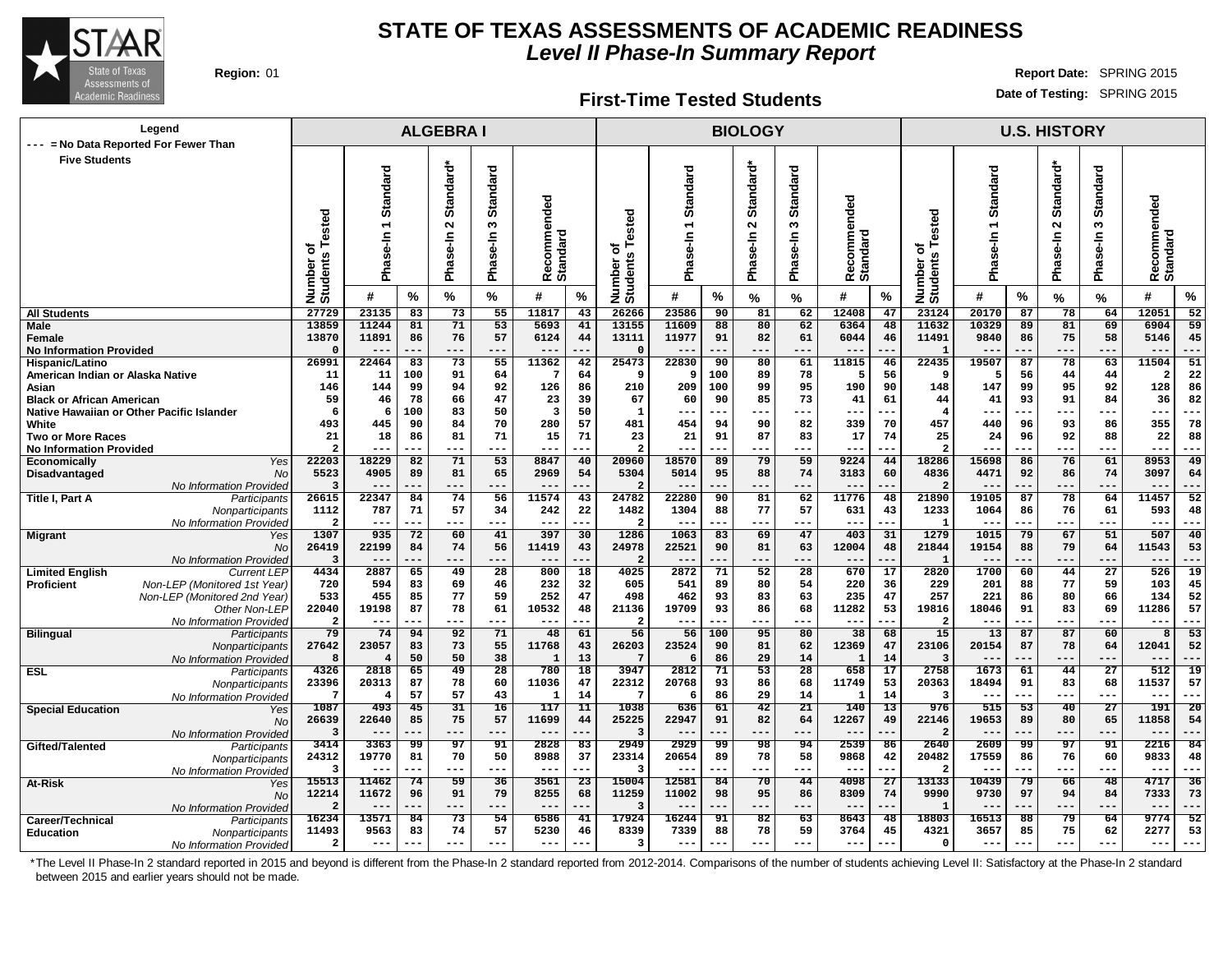

#### **First-Time Tested Students**

**Region:** 01 **Report Date:** SPRING 2015 **Date of Testing:** SPRING 2015

| Legend<br>--- = No Data Reported For Fewer Than                               |                                     |                                        |           | <b>ALGEBRAI</b>                 |                                  |                               |                 |                                    |                                      |                 | <b>BIOLOGY</b>                            |                                    |                                 |                 |                               |                                        |           | <b>U.S. HISTORY</b>             |                                  |                         |                 |
|-------------------------------------------------------------------------------|-------------------------------------|----------------------------------------|-----------|---------------------------------|----------------------------------|-------------------------------|-----------------|------------------------------------|--------------------------------------|-----------------|-------------------------------------------|------------------------------------|---------------------------------|-----------------|-------------------------------|----------------------------------------|-----------|---------------------------------|----------------------------------|-------------------------|-----------------|
| <b>Five Students</b>                                                          |                                     |                                        |           |                                 |                                  |                               |                 |                                    |                                      |                 |                                           |                                    |                                 |                 |                               |                                        |           |                                 |                                  |                         |                 |
|                                                                               | ested<br>৳<br>Number of<br>Students | Standard<br>$\overline{ }$<br>Phase-In |           | Standard*<br>$\sim$<br>Phase-In | <b>Standard</b><br>S<br>Phase-In | Recommended<br>Standard       |                 | ested<br>৳<br>Number o<br>Students | andard<br>あ<br>$\overline{5}$<br>Pha |                 | ᡠ<br><b>Standar</b><br>$\sim$<br>Phase-In | Standard<br>S<br>se-In<br>.<br>Pha | ommended<br>Recomme<br>Standard |                 | Number of<br>Students Tested  | Standard<br>$\overline{ }$<br>Phase-In |           | Standard*<br>$\sim$<br>Phase-In | <b>Standard</b><br>w<br>Phase-In | Recommended<br>Standard |                 |
|                                                                               |                                     | #                                      | %         | $\frac{0}{0}$                   | %                                | #                             | $\%$            |                                    | #                                    | ℅               | %                                         | %                                  | #                               | $\%$            |                               | #                                      | ℅         | $\%$                            | %                                | #                       | %               |
| <b>All Students</b>                                                           | 27729                               | 23135                                  | 83        | 73                              | 55                               | 11817                         | 43              | 26266                              | 23586                                | 90              | 81                                        | 62                                 | 12408                           | 47              | 23124                         | 20170                                  | 87        | 78                              | 64                               | 12051                   | 52              |
| <b>Male</b><br>Female                                                         | 13859<br>13870                      | 11244<br>11891                         | 81<br>86  | 71<br>76                        | 53<br>57                         | 5693<br>6124                  | 41<br>44        | 13155<br>13111                     | 11609<br>11977                       | 88<br>91        | 80<br>82                                  | 62<br>61                           | 6364<br>6044                    | 48<br>46        | 11632<br>11491                | 10329<br>9840                          | 89<br>86  | 81<br>75                        | 69<br>58                         | 6904<br>5146            | 59<br>45        |
| <b>No Information Provided</b>                                                | $\Omega$                            | $- -$                                  |           | $- - -$                         | ---                              |                               |                 | $\Omega$                           |                                      |                 | .                                         | ---                                | $- -$                           |                 |                               |                                        |           | ---                             | ---                              |                         | ---             |
| Hispanic/Latino                                                               | 26991                               | 22464                                  | 83        | 73                              | 55                               | 11362                         | 42              | 25473                              | 22830                                | 90              | 80                                        | 61                                 | 11815                           | 46              | 22435                         | 19507                                  | 87        | 78                              | 63                               | 11504                   | 51              |
| American Indian or Alaska Native                                              | 11                                  | 11                                     | 100       | 91                              | 64                               | -7                            | 64              | 9                                  | 9                                    | 100             | 89                                        | 78                                 | 5                               | 56              | -9                            | 5                                      | 56        | 44                              | 44                               | 2                       | 22              |
| Asian                                                                         | 146                                 | 144                                    | 99        | 94                              | 92                               | 126                           | 86              | 210                                | 209                                  | 100             | 99                                        | 95                                 | 190                             | 90              | 148                           | 147                                    | 99        | 95                              | 92                               | 128                     | 86              |
| <b>Black or African American</b><br>Native Hawaiian or Other Pacific Islander | 59<br>6                             | 46<br>6                                | 78<br>100 | 66<br>83                        | 47<br>50                         | 23<br>$\overline{\mathbf{3}}$ | 39<br>50        | 67<br>$\mathbf{1}$                 | 60<br>---                            | 90<br>---       | 85<br>---                                 | 73<br>---                          | 41<br>---                       | 61<br>--        | 44<br>$\overline{\mathbf{4}}$ | 41<br>--                               | 93<br>--- | 91<br>---                       | 84<br>---                        | 36<br>$--$              | 82<br>---       |
| White                                                                         | 493                                 | 445                                    | 90        | 84                              | 70                               | 280                           | 57              | 481                                | 454                                  | 94              | 90                                        | 82                                 | 339                             | 70              | 457                           | 440                                    | 96        | 93                              | 86                               | 355                     | 78              |
| <b>Two or More Races</b>                                                      | 21                                  | 18                                     | 86        | 81                              | 71                               | 15                            | 71              | 23                                 | 21                                   | 91              | 87                                        | 83                                 | 17                              | 74              | 25                            | 24                                     | 96        | 92                              | 88                               | 22                      | 88              |
| <b>No Information Provided</b>                                                | $\overline{2}$                      |                                        |           | $--$                            | ---                              | $--$                          |                 | $\overline{\mathbf{2}}$            |                                      |                 | ÷÷                                        | ---                                | $--$                            | --              | 2                             |                                        | ---       | ---                             | ---                              | $--$                    | ---             |
| Economically<br>Yes                                                           | 22203                               | 18229                                  | 82        | 71                              | $\overline{53}$                  | 8847                          | 40              | 20960                              | 18570                                | 89              | 79                                        | 59                                 | 9224                            | 44              | 18286                         | 15698                                  | 86        | 76                              | 61                               | 8953                    | 49              |
| Disadvantaged<br>No                                                           | 5523<br>3                           | 4905                                   | 89        | 81                              | 65                               | 2969                          | 54              | 5304                               | 5014                                 | 95<br>---       | 88<br>---                                 | 74                                 | 3183                            | 60              | 4836<br>$\overline{2}$        | 4471                                   | 92        | 86                              | 74<br>---                        | 3097<br>$- -$           | 64              |
| No Information Provideo<br>Title I, Part A<br>Participants                    | 26615                               | $---$<br>22347                         | ---<br>84 | ---<br>74                       | 56                               | $- -$<br>11574                | ---<br>43       | $\overline{2}$<br>24782            | $- -$<br>22280                       | 90              | 81                                        | ---<br>62                          | $---$<br>11776                  | 48              | 21890                         | 19105                                  | .<br>87   | ---<br>78                       | 64                               | 11457                   | ---<br>52       |
| Nonparticipants                                                               | 1112                                | 787                                    | 71        | 57                              | 34                               | 242                           | 22              | 1482                               | 1304                                 | 88              | 77                                        | 57                                 | 631                             | 43              | 1233                          | 1064                                   | 86        | 76                              | 61                               | 593                     | 48              |
| No Information Provideo                                                       | $\overline{\mathbf{2}}$             | ---                                    | ---       | $- - -$                         | ---                              | $---$                         | ---             | $\overline{\mathbf{2}}$            | $---$                                |                 | ---                                       | ---                                | $---$                           | --              |                               |                                        | ---       | ---                             | ---                              | $---$                   | ---             |
| <b>Migrant</b><br>Yes                                                         | 1307                                | 935                                    | 72        | 60                              | 41                               | 397                           | 30              | 1286                               | 1063                                 | 83              | 69                                        | 47                                 | 403                             | 31              | 1279                          | 1015                                   | 79        | 67                              | 51                               | 507                     | 40              |
| No                                                                            | 26419                               | 22199                                  | 84        | 74                              | 56                               | 11419                         | 43              | 24978                              | 22521                                | 90              | 81                                        | 63                                 | 12004                           | 48              | 21844                         | 19154                                  | 88        | 79                              | 64                               | 11543                   | 53              |
| No Information Provided<br><b>Limited English</b><br><b>Current LEP</b>       | -3<br>4434                          | 2887                                   | 65        | ---<br>49                       | 28                               | $---$<br>800                  | 18              | $\overline{2}$<br>4025             | 2872                                 | 71              | 52                                        | ---<br>28                          | $- -$<br>670                    | 17              | 2820                          | 1700                                   | 60        | ---<br>44                       | <br>$\overline{27}$              | $--$<br>526             | 19              |
| Non-LEP (Monitored 1st Year)<br><b>Proficient</b>                             | 720                                 | 594                                    | 83        | 69                              | 46                               | 232                           | 32              | 605                                | 541                                  | 89              | 80                                        | 54                                 | 220                             | 36              | 229                           | 201                                    | 88        | 77                              | 59                               | 103                     | 45              |
| Non-LEP (Monitored 2nd Year)                                                  | 533                                 | 455                                    | 85        | 77                              | 59                               | 252                           | 47              | 498                                | 462                                  | 93              | 83                                        | 63                                 | 235                             | 47              | 257                           | 221                                    | 86        | 80                              | 66                               | 134                     | 52              |
| Other Non-LEP                                                                 | 22040                               | 19198                                  | 87        | 78                              | 61                               | 10532                         | 48              | 21136                              | 19709                                | 93              | 86                                        | 68                                 | 11282                           | 53              | 19816                         | 18046                                  | 91        | 83                              | 69                               | 11286                   | 57              |
| No Information Provided                                                       | $\overline{a}$                      | $---$                                  |           | ---                             | ---                              | $---$                         | ---             | $\overline{\mathbf{2}}$            | $---$                                | ---             | ---                                       | ---                                | $--$                            | ---             |                               | ---                                    | ---       | ---                             | ---                              | $---$                   | ---             |
| <b>Bilingual</b><br>Participants                                              | 79<br>27642                         | 74                                     | 94        | 92                              | 71                               | 48                            | 61              | 56                                 | 56                                   | 100             | 95                                        | 80                                 | 38                              | 68              | 15                            | 13                                     | 87        | 87                              | 60                               | 8                       | 53              |
| Nonparticipants<br>No Information Provided                                    | 8                                   | 23057<br>$\overline{4}$                | 83<br>50  | 73<br>50                        | 55<br>38                         | 11768<br>$\mathbf{1}$         | 43<br>13        | 26203<br>$7\phantom{.0}$           | 23524<br>6                           | 90<br>86        | 81<br>29                                  | 62<br>14                           | 12369<br>1                      | 47<br>14        | 23106<br>$\overline{3}$       | 20154                                  | 87<br>--- | 78<br>---                       | 64<br>---                        | 12041<br>$--$           | 52<br>---       |
| <b>ESL</b><br>Participants                                                    | 4326                                | 2818                                   | 65        | 49                              | 28                               | 780                           | 18              | 3947                               | 2812                                 | 71              | 53                                        | 28                                 | 658                             | 17              | 2758                          | 1673                                   | 61        | 44                              | 27                               | 512                     | $\overline{19}$ |
| Nonparticipants                                                               | 23396                               | 20313                                  | 87        | 78                              | 60                               | 11036                         | 47              | 22312                              | 20768                                | 93              | 86                                        | 68                                 | 11749                           | 53              | 20363                         | 18494                                  | 91        | 83                              | 68                               | 11537                   | 57              |
| No Information Provided                                                       | -7                                  | $\overline{4}$                         | 57        | 57                              | 43                               | $\mathbf{1}$                  | 14              | $7\phantom{.0}$                    | 6                                    | 86              | 29                                        | 14                                 | $\mathbf{1}$                    | 14              | $\overline{3}$                | $- - -$                                | ---       | ---                             | $---$                            | $- - -$                 | $--$            |
| <b>Special Education</b><br>Yes                                               | 1087                                | 493<br>22640                           | 45        | 31                              | 16                               | 117                           | 11              | 1038                               | 636                                  | 61<br>91        | 42                                        | 21                                 | 140                             | $\overline{13}$ | 976                           | 515                                    | 53        | 40                              | 27                               | 191                     | $\overline{20}$ |
| No                                                                            | 26639<br>3                          | $- -$                                  | 85        | 75<br>---                       | 57<br>---                        | 11699<br>$---$                | 44              | 25225<br>$\overline{3}$            | 22947                                |                 | 82<br>---                                 | 64<br>---                          | 12267<br>$- -$                  | 49              | 22146<br>$\overline{2}$       | 19653                                  | 89        | 80<br>---                       | 65<br>---                        | 11858<br>$---$          | 54<br>---       |
| No Information Provideo<br>Gifted/Talented<br>Participants                    | 3414                                | 3363                                   | 99        | 97                              | 91                               | 2828                          | 83              | 2949                               | 2929                                 | -99             | 98                                        | 94                                 | 2539                            | 86              | 2640                          | 2609                                   | 99        | 97                              | 91                               | 2216                    | 84              |
| Nonparticipants                                                               | 24312                               | 19770                                  | 81        | 70                              | 50                               | 8988                          | 37              | 23314                              | 20654                                | 89              | 78                                        | 58                                 | 9868                            | 42              | 20482                         | 17559                                  | 86        | 76                              | 60                               | 9833                    | 48              |
| No Information Provided                                                       | $\overline{\mathbf{3}}$             | $---$                                  | ---       | $---$                           | ---                              | $---$                         | ---             | $\overline{\mathbf{3}}$            | $- - -$                              | $---$           | ---                                       | $---$                              | $---$                           | ---             | 2                             | $ -$                                   | ---       | ---                             | $---$                            | $---$                   | $- - -$         |
| At-Risk<br>Yes                                                                | 15513                               | 11462                                  | 74        | $\overline{59}$                 | $\overline{36}$                  | 3561                          | $\overline{23}$ | 15004                              | 12581                                | $\overline{84}$ | 70                                        | 44                                 | 4098                            | $\overline{27}$ | 13133                         | 10439                                  | 79        | 66                              | $\overline{48}$                  | 4717                    | $\overline{36}$ |
| No                                                                            | 12214                               | 11672                                  | 96        | 91                              | 79                               | 8255                          | 68              | 11259                              | 11002                                | 98              | 95                                        | 86                                 | 8309                            | 74              | 9990                          | 9730                                   | 97        | 94                              | 84                               | 7333                    | 73              |
| No Information Provideo                                                       | $\overline{a}$<br>16234             | $--$<br>13571                          | 84        | ---<br>73                       | ---<br>54                        | $- - -$<br>6586               | 41              | 3<br>17924                         | $--$<br>16244                        | 91              | ---<br>82                                 | ---<br>63                          | $---$<br>8643                   | 48              | 18803                         | 16513                                  | 88        | ---<br>79                       | ---<br>64                        | $- -$<br>9774           | 52              |
| Career/Technical<br>Participants<br><b>Education</b><br>Nonparticipants       | 11493                               | 9563                                   | 83        | 74                              | 57                               | 5230                          | 46              | 8339                               | 7339                                 | 88              | 78                                        | 59                                 | 3764                            | 45              | 4321                          | 3657                                   | 85        | 75                              | 62                               | 2277                    | 53              |
| No Information Provided                                                       | $\overline{a}$                      | $--$                                   | ---       | $---$                           | $---$                            | $---$                         | ---             | 3                                  | $--$                                 | ---             | $---$                                     | $---$                              | $- - -$                         | ---             | $\mathbf 0$                   | --                                     | ---       | ---                             | $---$                            | $---$                   | ---             |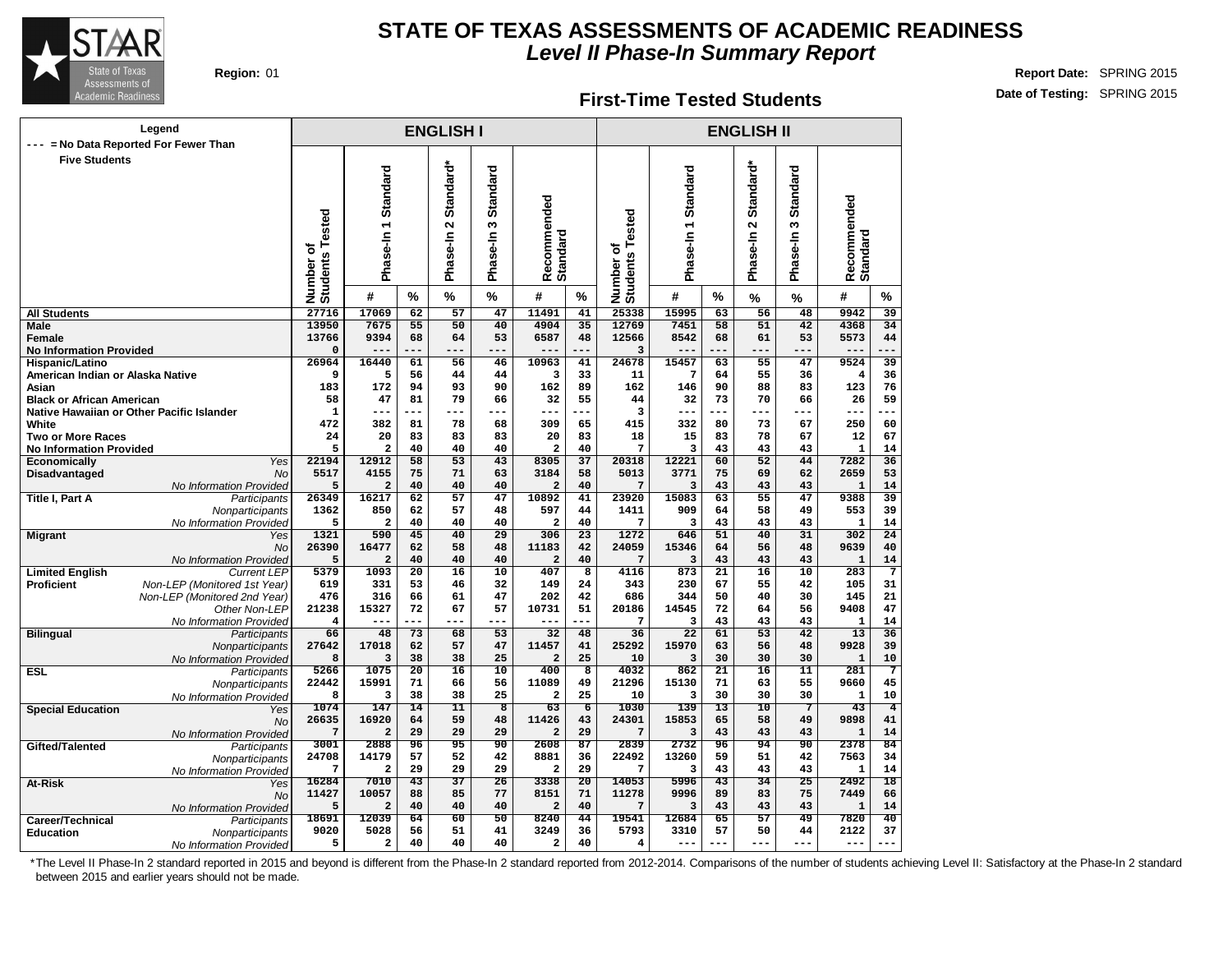

#### **First-Time Tested Students**

**Region:** 01 **Report Date:** SPRING 2015 **Date of Testing:** SPRING 2015

|                                                     | Legend<br>= No Data Reported For Fewer Than |                              |                         |                       | <b>ENGLISH I</b>                           |                                      |                         |                 |                                          |                        |                 | <b>ENGLISH II</b>                             |                           |                                 |                 |
|-----------------------------------------------------|---------------------------------------------|------------------------------|-------------------------|-----------------------|--------------------------------------------|--------------------------------------|-------------------------|-----------------|------------------------------------------|------------------------|-----------------|-----------------------------------------------|---------------------------|---------------------------------|-----------------|
| <b>Five Students</b>                                |                                             | Number of<br>Students Tested | Phase-In 1 Standard     |                       | Standard*<br>$\mathbf{\Omega}$<br>Phase-In | Standard<br>w<br>$Se-In$<br>.<br>Pha | Recommended<br>Standard |                 | ested<br>۴<br>ō<br>Number of<br>Students | Standard<br>Phase-In 1 |                 | Standard*<br>$\mathbf{\tilde{z}}$<br>Phase-In | Standard<br>S<br>Phase-In | Recommended<br>Standard         |                 |
|                                                     |                                             |                              | #                       | %                     | %                                          | $\frac{0}{0}$                        | #                       | %               |                                          | #                      | %               | %                                             | %                         | #                               | %               |
| <b>All Students</b>                                 |                                             | 27716                        | 17069                   | $\overline{62}$       | $\overline{57}$                            | 47                                   | 11491                   | 41              | 25338                                    | 15995                  | 63              | $\overline{56}$                               | $\overline{48}$           | 9942                            | 39              |
| Male                                                |                                             | 13950                        | 7675                    | 55                    | 50                                         | 40                                   | 4904                    | 35              | 12769                                    | 7451                   | 58              | 51                                            | 42                        | 4368                            | 34              |
| Female                                              |                                             | 13766                        | 9394                    | 68                    | 64                                         | 53                                   | 6587                    | 48              | 12566                                    | 8542                   | 68              | 61                                            | 53                        | 5573                            | 44              |
| <b>No Information Provided</b>                      |                                             | $\Omega$                     | $---$                   | ---                   | ---                                        | ---                                  | ---                     | ---             | 3                                        |                        |                 | $- - -$                                       | $- - -$                   | $---$                           |                 |
| Hispanic/Latino<br>American Indian or Alaska Native |                                             | 26964<br>9                   | 16440<br>5              | 61<br>56              | 56<br>44                                   | 46<br>44                             | 10963<br>3              | 41<br>33        | 24678<br>11                              | 15457<br>7             | 63<br>64        | 55<br>55                                      | 47<br>36                  | 9524<br>$\overline{\mathbf{4}}$ | 39<br>36        |
| Asian                                               |                                             | 183                          | 172                     | 94                    | 93                                         | 90                                   | 162                     | 89              | 162                                      | 146                    | 90              | 88                                            | 83                        | 123                             | 76              |
| <b>Black or African American</b>                    |                                             | 58                           | 47                      | 81                    | 79                                         | 66                                   | 32                      | 55              | 44                                       | 32                     | 73              | 70                                            | 66                        | 26                              | 59              |
|                                                     | Native Hawaiian or Other Pacific Islander   | $\mathbf{1}$                 | ---                     | ---                   | ---                                        | ---                                  | ---                     | ---             | 3                                        | ---                    | ---             | $---$                                         | ---                       | ---                             |                 |
| White                                               |                                             | 472                          | 382                     | 81                    | 78                                         | 68                                   | 309                     | 65              | 415                                      | 332                    | 80              | 73                                            | 67                        | 250                             | 60              |
| <b>Two or More Races</b>                            |                                             | 24                           | 20                      | 83                    | 83                                         | 83                                   | 20                      | 83              | 18                                       | 15                     | 83              | 78                                            | 67                        | 12                              | 67              |
| <b>No Information Provided</b>                      |                                             | 5                            | $\overline{\mathbf{2}}$ | 40                    | 40                                         | 40                                   | $\mathbf{2}$            | 40              | 7                                        | 3                      | 43              | 43                                            | 43                        | $\mathbf{1}$                    | 14              |
| Economically                                        | Yes                                         | 22194                        | 12912                   | 58                    | 53                                         | 43                                   | 8305                    | 37              | 20318                                    | 12221                  | 60              | 52                                            | 44                        | 7282                            | $\overline{36}$ |
| Disadvantaged                                       | <b>No</b>                                   | 5517                         | 4155                    | 75                    | 71                                         | 63                                   | 3184                    | 58              | 5013                                     | 3771                   | 75              | 69                                            | 62                        | 2659                            | 53              |
|                                                     | No Information Provided                     | 5                            | $\overline{a}$          | 40                    | 40                                         | 40                                   | $\overline{a}$          | 40              | 7                                        | 3                      | 43              | 43                                            | 43                        | $\mathbf{1}$                    | 14              |
| Title I, Part A                                     | Participants                                | 26349                        | 16217                   | 62                    | 57                                         | 47                                   | 10892                   | 41              | 23920                                    | 15083                  | 63              | 55                                            | 47                        | 9388                            | 39              |
|                                                     | Nonparticipants                             | 1362<br>5                    | 850<br>$\mathbf{2}$     | 62<br>40              | 57<br>40                                   | 48<br>40                             | 597<br>2                | 44<br>40        | 1411<br>7                                | 909<br>3               | 64<br>43        | 58<br>43                                      | 49<br>43                  | 553<br>$\mathbf 1$              | 39<br>14        |
| <b>Migrant</b>                                      | No Information Provided<br>Yes              | 1321                         | 590                     | 45                    | 40                                         | 29                                   | 306                     | 23              | 1272                                     | 646                    | 51              | 40                                            | 31                        | 302                             | 24              |
|                                                     | <b>No</b>                                   | 26390                        | 16477                   | 62                    | 58                                         | 48                                   | 11183                   | 42              | 24059                                    | 15346                  | 64              | 56                                            | 48                        | 9639                            | 40              |
|                                                     | No Information Provided                     | 5                            | $\overline{\mathbf{2}}$ | 40                    | 40                                         | 40                                   | $\mathbf{2}$            | 40              | 7                                        | 3                      | 43              | 43                                            | 43                        | $\mathbf{1}$                    | 14              |
| <b>Limited English</b>                              | Current LEP                                 | 5379                         | 1093                    | $\overline{20}$       | 16                                         | $\overline{10}$                      | 407                     | 8               | 4116                                     | 873                    | $\overline{21}$ | 16                                            | 10                        | 283                             | 7               |
| <b>Proficient</b>                                   | Non-LEP (Monitored 1st Year)                | 619                          | 331                     | 53                    | 46                                         | 32                                   | 149                     | 24              | 343                                      | 230                    | 67              | 55                                            | 42                        | 105                             | 31              |
|                                                     | Non-LEP (Monitored 2nd Year)                | 476                          | 316                     | 66                    | 61                                         | 47                                   | 202                     | 42              | 686                                      | 344                    | 50              | 40                                            | 30                        | 145                             | 21              |
|                                                     | Other Non-LEP                               | 21238                        | 15327                   | 72                    | 67                                         | 57                                   | 10731                   | 51              | 20186                                    | 14545                  | 72              | 64                                            | 56                        | 9408                            | 47              |
|                                                     | No Information Provided                     | 4                            |                         | ---                   | ---                                        | ---                                  | ---                     |                 | 7                                        | 3                      | 43              | 43                                            | 43                        | $\mathbf 1$                     | 14              |
| <b>Bilingual</b>                                    | Participants                                | 66                           | 48                      | 73                    | 68                                         | 53                                   | 32                      | 48              | 36                                       | $\overline{22}$        | 61              | 53                                            | $\overline{42}$           | 13                              | 36              |
|                                                     | Nonparticipants                             | 27642                        | 17018                   | 62                    | 57                                         | 47                                   | 11457                   | 41              | 25292                                    | 15970                  | 63              | 56                                            | 48                        | 9928                            | 39              |
|                                                     | No Information Provided                     | 8                            | 3                       | 38                    | 38                                         | 25                                   | $\overline{\mathbf{2}}$ | 25              | 10                                       | 3                      | 30              | 30                                            | 30                        | $\mathbf{1}$                    | 10              |
| <b>ESL</b>                                          | Participants                                | 5266<br>22442                | 1075<br>15991           | $\overline{20}$<br>71 | $\overline{16}$<br>66                      | 10<br>56                             | 400<br>11089            | 8<br>49         | 4032<br>21296                            | 862<br>15130           | 21<br>71        | 16<br>63                                      | 11<br>55                  | 281<br>9660                     | 7<br>45         |
|                                                     | Nonparticipants                             | 8                            | з                       | 38                    | 38                                         | 25                                   | 2                       | 25              | 10                                       | 3                      | 30              | 30                                            | 30                        | $\mathbf{1}$                    | 10              |
| <b>Special Education</b>                            | No Information Provided<br>Yes              | 1074                         | 147                     | 14                    | 11                                         | 8                                    | 63                      | $\overline{6}$  | 1030                                     | 139                    | 13              | 10                                            | 7                         | 43                              | $\overline{4}$  |
|                                                     | <b>No</b>                                   | 26635                        | 16920                   | 64                    | 59                                         | 48                                   | 11426                   | 43              | 24301                                    | 15853                  | 65              | 58                                            | 49                        | 9898                            | 41              |
|                                                     | No Information Provided                     | 7                            | $\overline{2}$          | 29                    | 29                                         | 29                                   | 2                       | 29              | 7                                        | 3                      | 43              | 43                                            | 43                        | $\mathbf{1}$                    | 14              |
| Gifted/Talented                                     | Participants                                | 3001                         | 2888                    | 96                    | 95                                         | 90                                   | 2608                    | $\overline{87}$ | 2839                                     | 2732                   | 96              | 94                                            | 90                        | 2378                            | 84              |
|                                                     | Nonparticipants                             | 24708                        | 14179                   | 57                    | 52                                         | 42                                   | 8881                    | 36              | 22492                                    | 13260                  | 59              | 51                                            | 42                        | 7563                            | 34              |
|                                                     | No Information Provided                     | 7                            | $\mathbf{2}$            | 29                    | 29                                         | 29                                   | 2                       | 29              | 7                                        | 3                      | 43              | 43                                            | 43                        | 1                               | 14              |
| At-Risk                                             | Yes                                         | 16284                        | 7010                    | $\overline{43}$       | $\overline{37}$                            | $\overline{26}$                      | 3338                    | $\overline{20}$ | 14053                                    | 5996                   | $\overline{43}$ | 34                                            | $\overline{25}$           | 2492                            | $\overline{18}$ |
|                                                     | <b>No</b>                                   | 11427                        | 10057                   | 88                    | 85                                         | 77                                   | 8151                    | 71              | 11278                                    | 9996                   | 89              | 83                                            | 75                        | 7449                            | 66              |
|                                                     | No Information Provided                     | 5                            | $\mathbf{2}$            | 40                    | 40                                         | 40                                   | $\overline{a}$          | 40              | 7                                        | 3                      | 43              | 43                                            | 43                        | $\mathbf{1}$                    | 14              |
| Career/Technical                                    | Participants                                | 18691                        | 12039                   | 64                    | 60                                         | 50                                   | 8240                    | 44              | 19541                                    | 12684                  | 65              | 57                                            | 49                        | 7820                            | 40              |
| <b>Education</b>                                    | Nonparticipants                             | 9020                         | 5028                    | 56                    | 51                                         | 41                                   | 3249                    | 36              | 5793                                     | 3310                   | 57              | 50                                            | 44                        | 2122                            | 37              |
|                                                     | No Information Provided                     | 5                            | 2                       | 40                    | 40                                         | 40                                   | $\mathbf{2}$            | 40              | $\overline{\mathbf{4}}$                  | $---$                  | ---             | $---$                                         | $---$                     | $---$                           | ---             |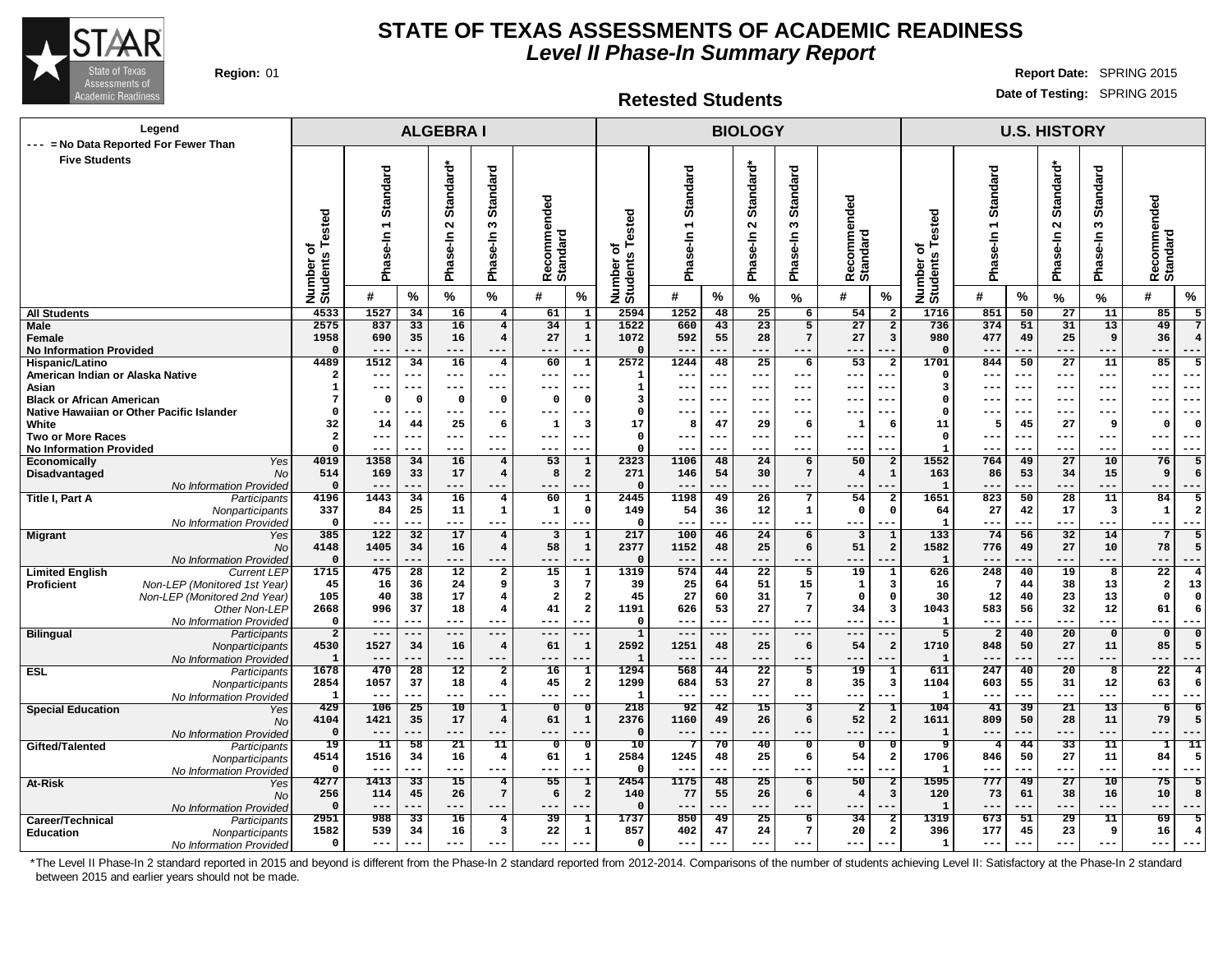

#### **Retested Students**

**Region:** 01 **Report Date:** SPRING 2015 **Date of Testing:** SPRING 2015

| Legend<br>--- = No Data Reported For Fewer Than                               |                                  |                                        |                    | <b>ALGEBRAI</b>                            |                                                    |                                |                                    |                                    |                     |            | <b>BIOLOGY</b>                             |                                                      |                                     |                                                            |                                        |                 | <b>U.S. HISTORY</b>                        |                                  |                                       |
|-------------------------------------------------------------------------------|----------------------------------|----------------------------------------|--------------------|--------------------------------------------|----------------------------------------------------|--------------------------------|------------------------------------|------------------------------------|---------------------|------------|--------------------------------------------|------------------------------------------------------|-------------------------------------|------------------------------------------------------------|----------------------------------------|-----------------|--------------------------------------------|----------------------------------|---------------------------------------|
| <b>Five Students</b>                                                          | ested<br>৳<br>Number<br>Students | Standard<br>$\overline{ }$<br>Phase-In |                    | Standard*<br>$\mathbf{\Omega}$<br>Phase-In | <b>Standard</b><br>S<br>Phase-In                   | Recommended<br><b>Standard</b> |                                    | ested<br>৳<br>Number o<br>Students | Standard<br>Pha     |            | Standard*<br>$\mathbf{\Omega}$<br>Phase-In | <b>Standard</b><br>$\boldsymbol{\omega}$<br>Phase-In | nded<br>omme<br>Recomme<br>Standard | Number of<br>Students Tested                               | Standard<br>$\overline{ }$<br>Phase-In |                 | Standard*<br>$\mathbf{\Omega}$<br>Phase-In | <b>Standard</b><br>S<br>Phase-In | Recommended<br><b>Standard</b>        |
|                                                                               |                                  | #                                      | $\%$               | $\%$                                       | %                                                  | #                              | %                                  |                                    | #                   | %          | %                                          | %                                                    | #<br>%                              |                                                            | #                                      | %               | $\%$                                       | $\%$                             | $\%$<br>#                             |
| <b>All Students</b>                                                           | 4533                             | 1527                                   | 34                 | 16                                         | $\overline{4}$                                     | 61                             | $\overline{1}$                     | 2594                               | 1252                | 48         | 25                                         | $6\overline{}$                                       | 54                                  | 1716<br>$\overline{2}$                                     | 851                                    | 50              | $\overline{27}$                            | 11                               | 85                                    |
| Male<br>Female<br><b>No Information Provided</b>                              | 2575<br>1958<br>$\Omega$         | 837<br>690<br>---                      | 33<br>35           | 16<br>16<br>---                            | $\overline{\mathbf{4}}$<br>$\overline{\mathbf{4}}$ | 34<br>27<br>$-$                | $\overline{1}$<br>$\mathbf{1}$     | 1522<br>1072<br>$\mathbf{o}$       | 660<br>592<br>$- -$ | 43<br>55   | 23<br>28<br>---                            | 5<br>7<br>---                                        | 27<br>27                            | 736<br>$\overline{a}$<br>980<br>$\overline{3}$<br>$\Omega$ | 374<br>477                             | 51<br>49        | 31<br>25<br>---                            | 13<br>9                          | 49<br>36<br>---                       |
| Hispanic/Latino                                                               | 4489                             | 1512                                   | 34                 | 16                                         | $\overline{4}$                                     | 60                             | $\mathbf{1}$                       | 2572                               | 1244                | 48         | 25                                         | 6                                                    | 53                                  | 1701<br>$\overline{a}$                                     | 844                                    | 50              | 27                                         | 11                               | 85<br>-5                              |
| American Indian or Alaska Native                                              | $\overline{\mathbf{2}}$          | ---                                    | ---                | ---                                        | $--$                                               | $---$                          |                                    | 1                                  | ---                 |            | ---                                        | ---                                                  | ---<br>--                           | $\Omega$                                                   |                                        | ---             | ---                                        | ---                              | $--$                                  |
| Asian                                                                         | $\mathbf{1}$<br>7                | ---                                    | ---                | ---                                        | $---$                                              | ---<br>$\Omega$                | --                                 | 1                                  | $---$               | $- -$      | ---                                        | ---                                                  | --<br>---<br>--                     | -3<br>$\Omega$                                             | ---                                    | ---             | ---                                        | $--$                             | $- - -$<br>---                        |
| <b>Black or African American</b><br>Native Hawaiian or Other Pacific Islander | $\Omega$                         | $\mathbf 0$<br>---                     | $\mathbf 0$<br>--- | $\Omega$<br>---                            | $\Omega$<br>$---$                                  | $- - -$                        | 0<br>---                           | 3<br>$^{\circ}$                    | ---<br>$---$        | ---<br>--- | ---<br>---                                 | ---<br>---                                           | ---<br>$--$<br>---                  | $\Omega$                                                   | ---                                    | ---<br>---      | ---<br>$--$                                | ---<br>$--$                      | $- - \cdot$<br>---<br>$--$<br>$- - -$ |
| White                                                                         | 32                               | 14                                     | 44                 | 25                                         | -6                                                 | 1                              | 3                                  | 17                                 | 8                   | 47         | 29                                         | -6                                                   | $\mathbf{1}$<br>-6                  | 11                                                         | 5                                      | 45              | 27                                         | 9                                | - 0<br>$\Omega$                       |
| <b>Two or More Races</b>                                                      | $\overline{a}$                   | ---                                    | ---                | ---                                        | $- - -$                                            | $---$                          | $--$                               | $\Omega$                           | $---$               | $- - -$    | $--$                                       | $--$                                                 | $- -$<br>---                        | $\Omega$                                                   | $- - -$                                | ---             | ---                                        | $---$                            | $- - -$<br>$- - -$                    |
| <b>No Information Provided</b>                                                | $\Omega$                         | ---                                    | ---                | ---                                        | $- - -$                                            | $--$                           |                                    | $\Omega$                           | ---                 | ---        | ---                                        | ---                                                  | ---                                 | -1                                                         | ---                                    | ---             | ---                                        | $--$                             | $- - -$<br>---                        |
| Economically<br>Yes                                                           | 4019                             | 1358                                   | 34                 | 16                                         | $\overline{\mathbf{4}}$                            | $\overline{53}$                | $\mathbf 1$                        | 2323                               | 1106                | 48         | 24                                         | 6                                                    | 50                                  | 1552<br>$\overline{a}$                                     | 764                                    | 49              | $\overline{27}$                            | 10                               | 76<br>5                               |
| Disadvantaged<br>No<br>No Information Provided                                | 514<br>$\mathbf 0$               | 169<br>$---$                           | 33<br>---          | 17<br>---                                  | $\overline{\mathbf{4}}$<br>---                     | 8<br>---                       | $\overline{\mathbf{2}}$<br>---     | 271<br>$\Omega$                    | 146<br>$---$        | 54<br>---  | 30<br>---                                  | $7\phantom{.0}$<br>---                               | $\overline{4}$<br>---<br>---        | $\mathbf{1}$<br>163<br>$\mathbf{1}$                        | 86<br>---                              | 53<br>---       | 34<br>---                                  | 15<br>$---$                      | 9<br>6<br>$---$<br>---                |
| Title I, Part A<br>Participants                                               | 4196                             | 1443                                   | 34                 | 16                                         | $\overline{\mathbf{4}}$                            | 60                             | $\mathbf{1}$                       | 2445                               | 1198                | 49         | 26                                         | $\overline{7}$                                       | 54                                  | 1651<br>$\overline{\mathbf{2}}$                            | 823                                    | 50              | 28                                         | 11                               | 84<br>5                               |
| Nonparticipants                                                               | 337                              | 84                                     | 25                 | 11                                         | 1                                                  | $\mathbf 1$                    | $\mathbf 0$                        | 149                                | 54                  | 36         | 12                                         | 1                                                    | $\mathsf{o}\,$                      | $\mathbf 0$<br>64                                          | 27                                     | 42              | 17                                         | $\overline{\mathbf{3}}$          | ${\bf 1}$<br>$\overline{a}$           |
| No Information Provided                                                       | $\mathbf 0$                      | ---                                    | ---                | ---                                        | ---                                                | ---                            |                                    | $\mathbf 0$                        | $--$                |            | ---                                        | ---                                                  | ---                                 | $\mathbf{1}$                                               | ---                                    | ---             | ---                                        | ---                              | $--$                                  |
| <b>Migrant</b><br>Yes                                                         | 385                              | 122                                    | 32                 | 17                                         | $\overline{\mathbf{4}}$                            | 3                              | $\mathbf 1$                        | 217                                | 100                 | 46         | 24                                         | 6                                                    | $\overline{3}$                      | $\overline{133}$<br>1                                      | 74                                     | 56              | 32                                         | 14                               | $7\phantom{.0}$<br>5                  |
| <b>No</b><br>No Information Provided                                          | 4148<br>$\mathbf 0$              | 1405<br>$---$                          | 34<br>---          | 16<br>---                                  | $\overline{4}$<br>---                              | 58<br>---                      | $\mathbf 1$                        | 2377<br>$\mathbf 0$                | 1152<br>$- -$       | 48         | 25<br>---                                  | 6<br>---                                             | 51<br>$- -$                         | $\overline{\mathbf{2}}$<br>1582<br>$\mathbf{1}$            | 776                                    | 49<br>.         | 27<br>---                                  | 10<br>---                        | 78<br>5<br>---                        |
| <b>Limited English</b><br><b>Current LEP</b>                                  | 1715                             | 475                                    | $\overline{28}$    | $\overline{12}$                            | $\overline{\mathbf{2}}$                            | 15                             | $\mathbf{1}$                       | 1319                               | 574                 | 44         | $\overline{22}$                            | 5                                                    | 19                                  | 626                                                        | 248                                    | 40              | 19                                         | 8                                | $\overline{22}$<br>$\overline{4}$     |
| Non-LEP (Monitored 1st Year)<br>Proficient                                    | 45                               | 16                                     | 36                 | 24                                         | 9                                                  | 3                              | $7\overline{ }$                    | 39                                 | 25                  | 64         | 51                                         | 15                                                   | 1                                   | 3<br>16                                                    | 7                                      | 44              | 38                                         | 13                               | $\overline{a}$<br>13                  |
| Non-LEP (Monitored 2nd Year)                                                  | 105                              | 40                                     | 38                 | 17                                         | 4                                                  | $\overline{2}$                 | $\overline{a}$                     | 45                                 | 27                  | 60         | 31                                         | $\overline{7}$                                       | $\Omega$                            | 30<br>$\Omega$                                             | 12                                     | 40              | 23                                         | 13                               | $\Omega$<br>$\Omega$                  |
| Other Non-LEP                                                                 | 2668<br>$\mathbf 0$              | 996<br>$---$                           | 37<br>---          | 18<br>---                                  | 4<br>$--$                                          | 41<br>---                      | $\overline{\mathbf{2}}$<br>$- - -$ | 1191<br>$\Omega$                   | 626<br>$---$        | 53<br>---  | 27<br>$- -$                                | $\overline{7}$<br>$---$                              | 34<br>$- -$<br>---                  | 1043<br>3                                                  | 583<br>$- -$                           | 56<br>---       | 32<br>---                                  | 12<br>$---$                      | 61<br>6<br>$--$                       |
| No Information Provided<br><b>Bilingual</b><br>Participants                   | $\overline{a}$                   | $---$                                  | ---                | $---$                                      | $--$                                               | $---$                          |                                    | $\mathbf{1}$                       | $---$               | ---        | $--$                                       | $---$                                                | $- -$<br>$- -$                      | 5                                                          | $\overline{2}$                         | 40              | 20                                         | $\mathbf 0$                      | $\mathbf 0$<br>$\Omega$               |
| Nonparticipants                                                               | 4530                             | 1527                                   | 34                 | 16                                         | $\overline{\mathbf{4}}$                            | 61                             | $\mathbf{1}$                       | 2592                               | 1251                | 48         | 25                                         | 6                                                    | 54                                  | 1710<br>$\overline{a}$                                     | 848                                    | 50              | 27                                         | 11                               | 85<br>5                               |
| No Information Provideo                                                       | 1                                | $---$                                  | ---                | ---                                        | $---$                                              | ---                            | ---                                | $\mathbf{1}$                       | ---                 | ---        | ---                                        | ---                                                  | $- -$<br>$- -$                      | $\mathbf{1}$                                               |                                        | ---             | ---                                        | ---                              | $---$<br>---                          |
| <b>ESL</b><br>Participants                                                    | 1678                             | 470                                    | 28                 | 12                                         | $\overline{a}$                                     | 16                             | $\mathbf{1}$                       | 1294                               | 568                 | 44         | $\overline{22}$                            | 5                                                    | 19                                  | 611<br>$\mathbf{1}$                                        | 247                                    | 40              | 20                                         | $\overline{\mathbf{8}}$          | $\overline{22}$<br>4                  |
| Nonparticipants                                                               | 2854<br>1                        | 1057<br>$---$                          | 37<br>---          | 18<br>---                                  | $\overline{\mathbf{4}}$<br>$---$                   | 45<br>$---$                    | $\mathbf{2}$<br>---                | 1299<br>$\mathbf{1}$               | 684<br>$---$        | 53<br>---  | 27<br>$\frac{1}{2}$                        | 8<br>---                                             | 35<br>---<br>---                    | $\overline{\mathbf{3}}$<br>1104<br>$\mathbf{1}$            | 603<br>---                             | 55<br>---       | 31<br>---                                  | 12<br>$---$                      | 63<br>6<br>$- - -$<br>---             |
| No Information Provided<br><b>Special Education</b><br>Yes                    | 429                              | 106                                    | 25                 | 10                                         | 1                                                  | $\overline{0}$                 | $\overline{\mathfrak{o}}$          | 218                                | 92                  | 42         | 15                                         | 3                                                    | $\overline{2}$                      | 104<br>$\mathbf 1$                                         | 41                                     | 39              | 21                                         | 13                               | $\overline{6}$<br>$\overline{6}$      |
| <b>No</b>                                                                     | 4104                             | 1421                                   | 35                 | 17                                         | $\overline{4}$                                     | 61                             | $\mathbf 1$                        | 2376                               | 1160                | 49         | 26                                         | 6                                                    | 52                                  | $\overline{a}$<br>1611                                     | 809                                    | 50              | 28                                         | 11                               | 79<br>5                               |
| No Information Provided                                                       | $\mathbf 0$                      | $---$                                  | ---                | ---                                        | $---$                                              | ---                            |                                    | $\mathbf 0$                        | $---$               |            | ---                                        | ---                                                  | $- -$                               | $\mathbf{1}$                                               | --                                     | ---             | ---                                        | ---                              | $---$                                 |
| Gifted/Talented<br>Participants                                               | 19                               | $\overline{11}$                        | 58                 | 21                                         | 11                                                 | $\mathbf{o}$                   | $\overline{\mathbf{0}}$            | 10                                 | 7                   | 70         | 40                                         | $\mathbf{o}$                                         | $\mathbf 0$                         | ஏ<br>$\Omega$                                              | $\overline{4}$                         | 44              | 33                                         | $\overline{11}$                  | 11<br>1                               |
| Nonparticipants                                                               | 4514<br>$\mathbf 0$              | 1516<br>$---$                          | 34<br>---          | 16<br>---                                  | $\overline{4}$<br>$---$                            | 61<br>---                      | $\mathbf{1}$<br>---                | 2584<br>$\mathbf{o}$               | 1245<br>$- - -$     | 48<br>---  | 25<br>---                                  | 6<br>---                                             | 54<br>---<br>---                    | 1706<br>$\overline{\mathbf{2}}$<br>-1                      | 846<br>$- -$                           | 50<br>---       | 27<br>---                                  | 11<br>$---$                      | 84<br>5<br>$---$<br>---               |
| No Information Provideo<br>At-Risk<br>Yes                                     | 4277                             | 1413                                   | $\overline{33}$    | $\overline{15}$                            | $\overline{4}$                                     | 55                             | $\overline{1}$                     | 2454                               | 1175                | 48         | $\overline{25}$                            | 6                                                    | $\overline{50}$                     | 1595<br>$\overline{2}$                                     | 777                                    | $\overline{49}$ | $\overline{27}$                            | 10                               | 75<br>5                               |
| <b>No</b>                                                                     | 256                              | 114                                    | 45                 | 26                                         | $7\phantom{.0}$                                    | 6                              | $\overline{a}$                     | 140                                | 77                  | 55         | 26                                         | 6                                                    | $\overline{4}$                      | $\overline{\mathbf{3}}$<br>120                             | 73                                     | 61              | 38                                         | 16                               | 10<br>8                               |
| No Information Provided                                                       | $\Omega$                         | $---$                                  | ---                | ---                                        | $---$                                              | ---                            |                                    | $\Omega$                           | ---                 | ---        | ---                                        | ---                                                  | $---$<br>---                        | $\mathbf{1}$                                               | ---                                    | ---             | ---                                        | ---                              | $---$                                 |
| Career/Technical<br>Participants                                              | 2951                             | 988                                    | 33                 | 16                                         | 4                                                  | 39                             | 1                                  | 1737                               | 850                 | 49         | 25                                         | 6                                                    | 34                                  | 1319<br>2                                                  | 673                                    | 51              | 29                                         | 11                               | 69<br>5                               |
| <b>Education</b><br>Nonparticipants<br>No Information Provided                | 1582<br>$\mathbf{o}$             | 539<br>---                             | 34<br>---          | 16<br>---                                  | 3<br>$- - -$                                       | 22<br>---                      | $\mathbf{1}$                       | 857<br>$\Omega$                    | 402<br>$---$        | 47         | 24<br>---                                  | $7\phantom{.0}$<br>---                               | 20<br>---                           | $\overline{a}$<br>396<br>1                                 | 177<br>$- -$                           | 45<br>---       | 23<br>---                                  | 9<br>---                         | 16<br>$---$                           |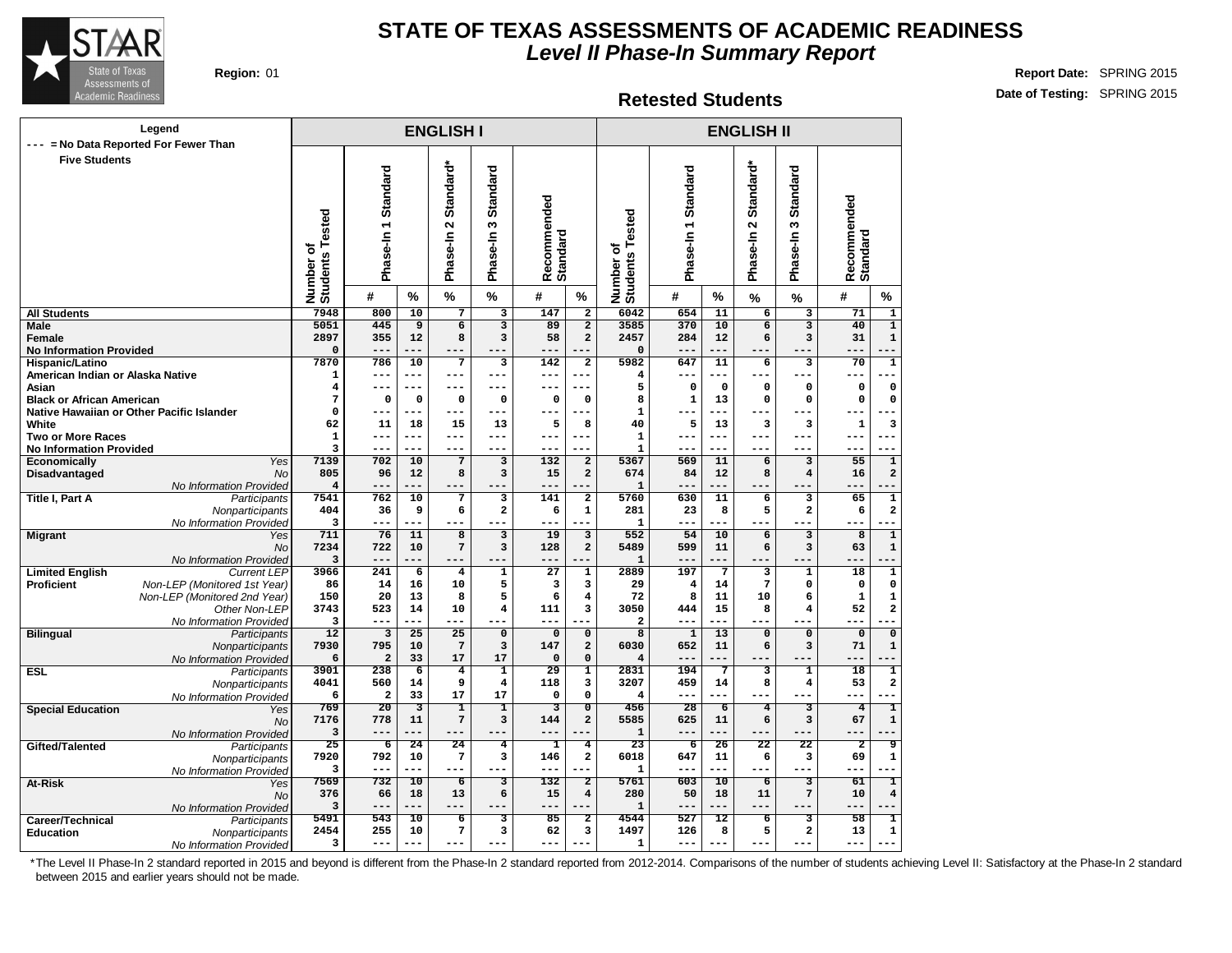

#### **Retested Students**

**Region:** 01 **Report Date:** SPRING 2015 **Date of Testing:** SPRING 2015

|                                                   | Legend                                        |                                      |                                |                         | <b>ENGLISH I</b>                |                                    |                                |                              |                                        |                         |                    | <b>ENGLISH II</b>                          |                           |                                             |  |
|---------------------------------------------------|-----------------------------------------------|--------------------------------------|--------------------------------|-------------------------|---------------------------------|------------------------------------|--------------------------------|------------------------------|----------------------------------------|-------------------------|--------------------|--------------------------------------------|---------------------------|---------------------------------------------|--|
| ---                                               | = No Data Reported For Fewer Than             |                                      |                                |                         |                                 |                                    |                                |                              |                                        |                         |                    |                                            |                           |                                             |  |
| <b>Five Students</b>                              |                                               | Tested<br>ō<br>Number of<br>Students | Phase-In 1 Standard            |                         | Standard*<br>$\sim$<br>Phase-In | Standard<br>w<br>Phase-In          | Recommended<br>Standard        |                              | ested<br>۴<br>Number of<br>Students To | Standard<br>Phase-In1   |                    | Standard*<br>$\mathbf{\Omega}$<br>Phase-In | Standard<br>w<br>Phase-In | Recommended<br>Standard                     |  |
|                                                   |                                               |                                      | #                              | $\%$                    | $\%$                            | $\%$                               | #                              | %                            |                                        | #                       | %                  | $\%$                                       | %                         | #<br>%                                      |  |
| <b>All Students</b>                               |                                               | 7948                                 | 800                            | 10                      | $\overline{7}$                  | $\overline{\mathbf{3}}$            | 147                            | $\overline{2}$               | 6042                                   | 654                     | 11                 | $\overline{6}$                             | 3                         | $\overline{71}$<br>$\overline{\mathbf{1}}$  |  |
| Male                                              |                                               | 5051                                 | 445                            | $\overline{9}$          | $\overline{6}$                  | $\overline{\mathbf{3}}$            | 89                             | $\overline{2}$               | 3585                                   | 370                     | 10                 | $\overline{\mathbf{6}}$                    | $\overline{\mathbf{3}}$   | $\overline{1}$<br>40                        |  |
| Female                                            |                                               | 2897                                 | 355<br>$---$                   | 12<br>---               | 8<br>$---$                      | 3                                  | 58                             | $\mathbf{2}$                 | 2457                                   | 284<br>---              | 12                 | 6                                          | 3                         | 31<br>$\mathbf{1}$                          |  |
| <b>No Information Provided</b><br>Hispanic/Latino |                                               | 0<br>7870                            | 786                            | 10                      | 7                               | $\overline{\mathbf{3}}$            | 142                            | $\mathbf{2}$                 | $\mathbf 0$<br>5982                    | 647                     | 11                 | 6                                          | 3                         | 70<br>$\overline{\mathbf{1}}$               |  |
| American Indian or Alaska Native                  |                                               | 1                                    | $---$                          | $---$                   | $---$                           | $---$                              | ---                            | ---                          | 4                                      | ---                     | $---$              |                                            | $---$                     | ---<br>.                                    |  |
| Asian                                             |                                               | 4                                    | $---$                          | $---$                   | $---$                           | ---                                | ---                            | ---                          | 5                                      | 0                       | $\mathbf 0$        | 0                                          | 0                         | $\mathsf{o}\xspace$<br>0                    |  |
| <b>Black or African American</b>                  |                                               | 7                                    | $\mathbf 0$                    | $\mathsf{o}\,$          | 0                               | $\mathsf{o}\xspace$                | 0                              | $\mathsf{o}\xspace$          | 8                                      | $\mathbf 1$             | 13                 | 0                                          | $\pmb{0}$                 | 0<br>$\mathbf 0$                            |  |
|                                                   | Native Hawaiian or Other Pacific Islander     | 0                                    | ---                            | ---                     | $---$                           | ---                                |                                | ---                          | $\mathbf{1}$                           | ---                     |                    | $--$                                       | $---$                     |                                             |  |
| White                                             |                                               | 62                                   | 11                             | 18                      | 15                              | 13                                 | 5                              | 8                            | 40                                     | 5                       | 13                 | 3                                          | 3                         | 3<br>1                                      |  |
| <b>Two or More Races</b>                          |                                               | $\mathbf{1}$<br>3                    | $---$<br>---                   | $---$<br>$- - -$        | $---$<br>$---$                  | $---$<br>$---$                     | ---<br>---                     | $---$<br>$---$               | $\mathbf{1}$                           | ---<br>---              | $- - -$<br>$- - -$ | $---$<br>$---$                             | $---$<br>$---$            | ---<br>÷<br>$-$<br>---                      |  |
| <b>No Information Provided</b><br>Economically    | Yes                                           | 7139                                 | 702                            | 10                      | $\overline{7}$                  | 3                                  | 132                            | $\mathbf{2}$                 | $\mathbf{1}$<br>5367                   | 569                     | 11                 | 6                                          | 3                         | $\overline{55}$<br>$\overline{\mathbf{1}}$  |  |
| Disadvantaged                                     | <b>No</b>                                     | 805                                  | 96                             | 12                      | 8                               | 3                                  | 15                             | $\overline{a}$               | 674                                    | 84                      | 12                 | 8                                          | $\overline{\bf 4}$        | $\overline{\mathbf{2}}$<br>16               |  |
|                                                   | No Information Provided                       | $\overline{\mathbf{4}}$              | $---$                          | ---                     | $---$                           | $- - -$                            | ---                            |                              | 1                                      | ---                     | ---                | $---$                                      |                           | ---<br>$\overline{\phantom{a}}$             |  |
| <b>Title I, Part A</b>                            | Participants                                  | 7541                                 | 762                            | 10                      | 7                               | $\overline{\mathbf{3}}$            | 141                            | $\overline{2}$               | 5760                                   | 630                     | 11                 | 6                                          | 3                         | 65<br>$\overline{\mathbf{1}}$               |  |
|                                                   | Nonparticipants                               | 404                                  | 36                             | 9                       | 6                               | $\mathbf{2}$                       | 6                              | $\mathbf 1$                  | 281                                    | 23                      | 8                  | 5                                          | $\overline{\mathbf{2}}$   | $\overline{\mathbf{2}}$<br>6                |  |
|                                                   | No Information Provided                       | 3                                    | $---$                          | ---                     | $---$                           | $---$                              | ---                            |                              | $\mathbf{1}$                           | ---                     | $---$              | $---$                                      | $---$                     | ò.<br>---                                   |  |
| <b>Migrant</b>                                    | Yes                                           | 711                                  | 76                             | 11                      | $\overline{\mathbf{8}}$         | $\overline{\mathbf{3}}$            | 19                             | $\overline{3}$               | 552                                    | 54                      | 10                 | $\overline{6}$                             | $\overline{\mathbf{3}}$   | $\overline{1}$<br>$\overline{8}$            |  |
|                                                   | <b>No</b>                                     | 7234                                 | 722                            | 10                      | $\overline{7}$                  | 3                                  | 128                            | $\overline{a}$               | 5489                                   | 599                     | 11                 | 6                                          | 3                         | $\mathbf{1}$<br>63                          |  |
| <b>Limited English</b>                            | No Information Provided<br><b>Current LEP</b> | 3<br>3966                            | $---$<br>241                   | ---<br>$\overline{6}$   | $---$<br>$\overline{4}$         | $\overline{1}$                     | $\overline{27}$                | $\overline{1}$               | $\mathbf{1}$<br>2889                   | ---<br>197              | $\overline{7}$     | 3                                          | $\overline{\mathbf{1}}$   | ---<br>ī<br>$\overline{18}$                 |  |
| <b>Proficient</b>                                 | Non-LEP (Monitored 1st Year)                  | 86                                   | 14                             | 16                      | 10                              | 5                                  | 3                              | 3                            | 29                                     | $\overline{\mathbf{4}}$ | 14                 | $7\phantom{.0}$                            | 0                         | 0<br>$\mathbf 0$                            |  |
|                                                   | Non-LEP (Monitored 2nd Year)                  | 150                                  | 20                             | 13                      | 8                               | 5                                  | 6                              | $\overline{\bf 4}$           | 72                                     | 8                       | 11                 | 10                                         | 6                         | $\mathbf{1}$<br>$\mathbf 1$                 |  |
|                                                   | Other Non-LEP                                 | 3743                                 | 523                            | 14                      | 10                              | $\overline{\mathbf{4}}$            | 111                            | 3                            | 3050                                   | 444                     | 15                 | 8                                          | $\overline{\bf 4}$        | $\mathbf{2}$<br>52                          |  |
|                                                   | No Information Provided                       | 3                                    | ---                            | $- - -$                 | ---                             |                                    |                                |                              | $\overline{a}$                         | ---                     |                    |                                            |                           | ---                                         |  |
| <b>Bilingual</b>                                  | Participants                                  | $\overline{12}$                      | 3                              | $\overline{25}$         | $\overline{25}$                 | $\overline{0}$                     | $\mathbf 0$                    | $\overline{0}$               | $\overline{8}$                         | $\mathbf{1}$            | 13                 | $\overline{0}$                             | $\overline{0}$            | $\overline{\mathfrak{o}}$<br>$\overline{0}$ |  |
|                                                   | Nonparticipants                               | 7930                                 | 795                            | 10                      | $\sqrt{7}$                      | 3                                  | 147                            | $\mathbf{2}$                 | 6030                                   | 652                     | 11                 | 6                                          | 3                         | 71<br>$\mathbf 1$                           |  |
|                                                   | No Information Provided                       | 6<br>3901                            | $\overline{\mathbf{2}}$<br>238 | 33<br>$\overline{6}$    | 17<br>$\overline{4}$            | 17<br>$\overline{\mathbf{1}}$      | $\mathbf 0$<br>$\overline{29}$ | 0<br>$\overline{\mathbf{1}}$ | $\overline{4}$<br>2831                 | ---<br>194              | $\overline{7}$     | з                                          | 1                         | ---<br>ī<br>18                              |  |
| <b>ESL</b>                                        | Participants<br>Nonparticipants               | 4041                                 | 560                            | 14                      | 9                               | $\bf{4}$                           | 118                            | 3                            | 3207                                   | 459                     | 14                 | 8                                          | $\overline{\bf 4}$        | 2<br>53                                     |  |
|                                                   | No Information Provided                       | 6                                    | $\overline{\mathbf{2}}$        | 33                      | 17                              | 17                                 | $\mathbf 0$                    | 0                            | $\overline{4}$                         | ---                     | ---                | $---$                                      | $---$                     | ---                                         |  |
| <b>Special Education</b>                          | Yes                                           | 769                                  | 20                             | $\overline{\mathbf{3}}$ | I                               | T                                  | 3                              | $\overline{\mathfrak{o}}$    | 456                                    | 28                      | $\overline{6}$     | $\overline{4}$                             | 3                         | ī<br>$\overline{4}$                         |  |
|                                                   | <b>No</b>                                     | 7176                                 | 778                            | 11                      | $\overline{7}$                  | $\mathbf{3}$                       | 144                            | $\mathbf{z}$                 | 5585                                   | 625                     | 11                 | 6                                          | 3                         | $\mathbf 1$<br>67                           |  |
|                                                   | No Information Provided                       | 3                                    | ---                            | --                      | ---                             |                                    |                                |                              | $\mathbf{1}$                           | ---                     |                    |                                            |                           | --                                          |  |
| Gifted/Talented                                   | Participants                                  | 25                                   | 6                              | 24                      | 24                              | $\overline{4}$                     | T                              | 4                            | $\overline{23}$                        | 6                       | 26                 | 22                                         | 22                        | $\overline{2}$<br>ब्र                       |  |
|                                                   | Nonparticipants                               | 7920                                 | 792                            | 10                      | 7                               | 3                                  | 146                            | $\mathbf{2}$                 | 6018                                   | 647                     | 11<br>$- - -$      | 6                                          | 3                         | 69<br>$\mathbf 1$                           |  |
|                                                   | No Information Provided                       | 3<br>7569                            | $---$<br>732                   | ---<br>10               | $---$<br>$\overline{6}$         | $- - -$<br>$\overline{\mathbf{3}}$ | ---<br>$\overline{132}$        | $\overline{2}$               | 1<br>5761                              | ---<br>603              | $\overline{10}$    | $---$<br>$\overline{6}$                    | $- - -$<br>3              | ---<br>61<br>T                              |  |
| At-Risk                                           | Yes                                           | 376                                  | 66                             | 18                      | 13                              | 6                                  | 15                             | $\overline{\mathbf{4}}$      | 280                                    | 50                      | 18                 | 11                                         | 7                         | $\overline{\mathbf{4}}$<br>10               |  |
|                                                   | <b>No</b><br>No Information Provided          | 3                                    | $---$                          | ---                     | ---                             |                                    | ---                            |                              | 1                                      | ---                     | ---                |                                            |                           | ---                                         |  |
| Career/Technical                                  | Participants                                  | 5491                                 | 543                            | 10                      | $\overline{6}$                  | 3                                  | 85                             | $\overline{2}$               | 4544                                   | 527                     | 12                 | $\overline{6}$                             | 3                         | 58<br>T                                     |  |
| <b>Education</b>                                  | Nonparticipants                               | 2454                                 | 255                            | 10                      | 7                               | 3                                  | 62                             | 3                            | 1497                                   | 126                     | 8                  | 5                                          | $\overline{\mathbf{2}}$   | $\mathbf 1$<br>13                           |  |
|                                                   | No Information Provided                       | 3                                    | $---$                          | ---                     | $---$                           | $- - -$                            | ---                            | ---                          | 1                                      | ---                     | ---                | $- - -$                                    | $- - -$                   | ---<br>$- - -$                              |  |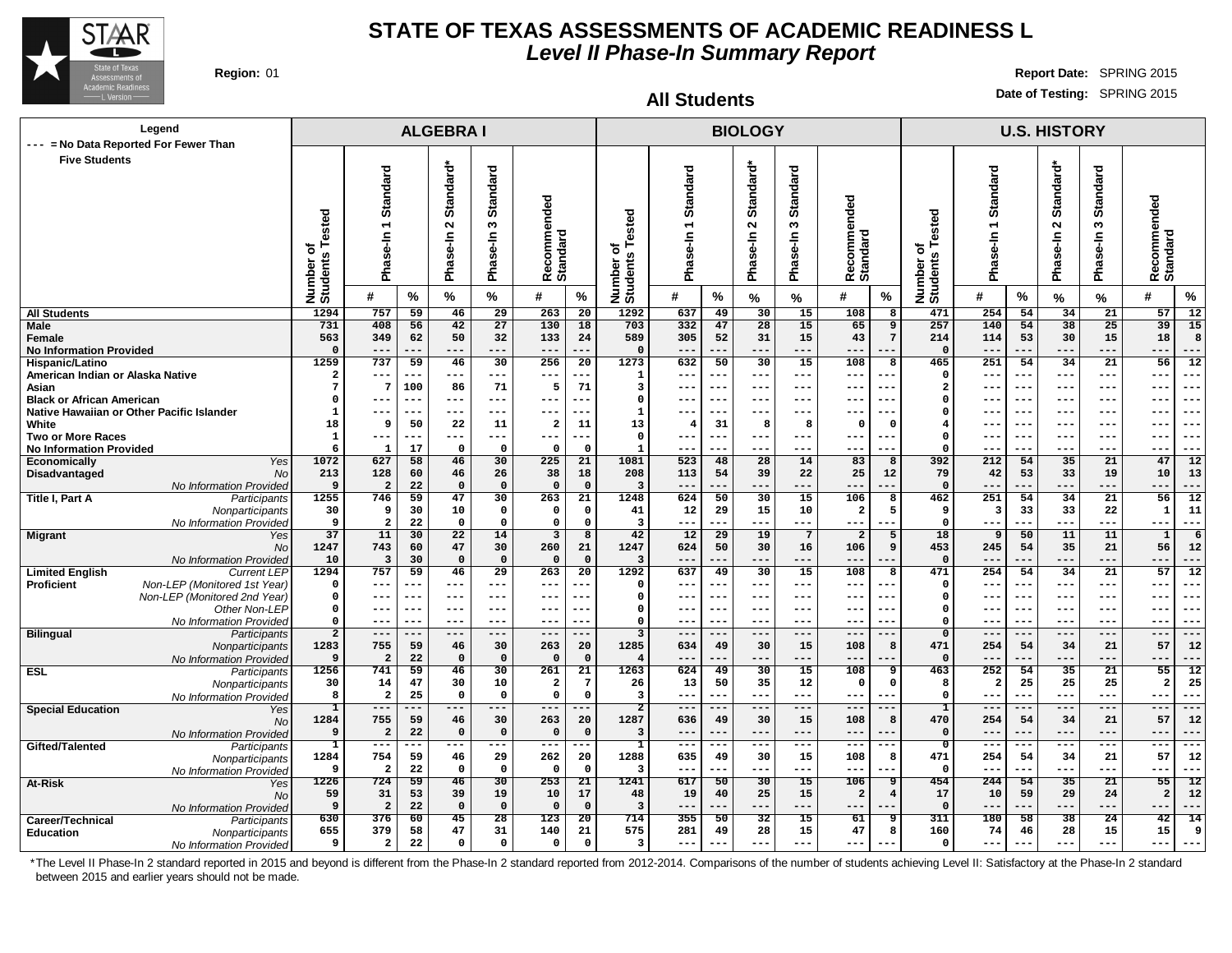

**Region:** 01 **Report Date:** SPRING 2015 **Date of Testing:** SPRING 2015

**All Students**

| Legend                                                     |                                 |                               |                       | <b>ALGEBRAI</b>             |                                 |                                   |                                 |                         |                |                        | <b>BIOLOGY</b>           |                          |                         |                   |                              |                |                 | <b>U.S. HISTORY</b>    |                            |                                       |  |
|------------------------------------------------------------|---------------------------------|-------------------------------|-----------------------|-----------------------------|---------------------------------|-----------------------------------|---------------------------------|-------------------------|----------------|------------------------|--------------------------|--------------------------|-------------------------|-------------------|------------------------------|----------------|-----------------|------------------------|----------------------------|---------------------------------------|--|
| --- = No Data Reported For Fewer Than                      |                                 |                               |                       |                             |                                 |                                   |                                 |                         |                |                        |                          |                          |                         |                   |                              |                |                 |                        |                            |                                       |  |
| <b>Five Students</b>                                       |                                 |                               |                       |                             |                                 |                                   |                                 |                         |                |                        |                          |                          |                         |                   |                              |                |                 |                        |                            |                                       |  |
|                                                            |                                 | Standard                      |                       | Standard*                   | <b>Standard</b>                 |                                   |                                 |                         | ठ              |                        | Standard*                | ਰ                        |                         |                   |                              | Standard       |                 | Standard*              | ರ                          |                                       |  |
|                                                            |                                 |                               |                       |                             |                                 |                                   |                                 |                         | <b>Standar</b> |                        |                          | <b>Standar</b>           |                         |                   |                              |                |                 |                        | <b>Standar</b>             |                                       |  |
|                                                            |                                 |                               |                       |                             |                                 |                                   |                                 |                         |                |                        |                          |                          |                         |                   |                              |                |                 |                        |                            |                                       |  |
|                                                            |                                 | $\overline{\phantom{0}}$      |                       | $\mathbf{\Omega}$           | $\boldsymbol{\omega}$           |                                   |                                 |                         |                |                        | $\mathbf{\Omega}$        | $\boldsymbol{\omega}$    |                         |                   |                              | $\overline{ }$ |                 | $\sim$                 | S                          |                                       |  |
|                                                            | ested                           |                               |                       |                             |                                 |                                   |                                 | ested                   |                |                        |                          |                          |                         |                   |                              |                |                 |                        |                            |                                       |  |
|                                                            | ৳                               |                               |                       |                             |                                 |                                   |                                 | ৳                       | se-In          |                        |                          |                          |                         |                   |                              |                |                 |                        | ise-In                     |                                       |  |
|                                                            |                                 | Phase-In                      |                       | Phase-In                    | Phase-In                        | ecommended<br>Recomme<br>Standard |                                 |                         |                |                        | Phase-In                 | Phase-In                 | ecommended              |                   |                              | Phase-In       |                 | Phase-In               |                            | ecommended<br><b>Standard</b>         |  |
|                                                            |                                 |                               |                       |                             |                                 |                                   |                                 |                         | Pha            |                        |                          |                          | Recomme<br>Standard     |                   |                              |                |                 |                        | Pha                        | ě                                     |  |
|                                                            | Number o<br>Students            | #                             | $\%$                  | %                           | $\%$                            | #                                 | $\%$                            | Number o<br>Students    | #              | %                      | $\frac{9}{6}$            | %                        | #                       | $\%$              | Number of<br>Students Tested | #              | %               | %                      | $\frac{9}{6}$              | $\%$<br>#                             |  |
| <b>All Students</b>                                        | 1294                            | 757                           | 59                    | 46                          | 29                              | 263                               | 20                              | 1292                    | 637            | 49                     | 30                       | 15                       | 108                     | 8                 | 471                          | 254            | 54              | 34                     | 21                         | 57<br>12                              |  |
| Male                                                       | 731                             | 408                           | 56                    | 42                          | $\overline{27}$                 | 130                               | 18                              | 703                     | 332            | 47                     | 28                       | 15                       | 65                      | $\overline{9}$    | 257                          | 140            | 54              | 38                     | $\overline{25}$            | 39<br>15                              |  |
| Female                                                     | 563                             | 349                           | 62                    | 50                          | 32                              | 133                               | 24                              | 589                     | 305            | 52                     | 31                       | 15                       | 43                      | $7\overline{ }$   | 214                          | 114            | 53              | 30                     | 15                         | 18<br>8                               |  |
| <b>No Information Provided</b>                             | $\mathbf 0$                     | $---$                         | ---                   | $---$                       | ---                             | $---$                             | ---                             | $\Omega$                | ---            | ---                    | $---$                    | $-- -$                   | $---$                   | ---               | $\Omega$                     | $--$           | ---             | ---                    | $---$                      | $---$<br>---                          |  |
| Hispanic/Latino<br>American Indian or Alaska Native        | 1259<br>$\overline{\mathbf{2}}$ | 737<br>$---$                  | 59<br>$---$           | 46<br>$---$                 | 30<br>---                       | 256<br>$---$                      | 20<br>---                       | 1273<br>$\mathbf{1}$    | 632<br>---     | 50<br>---              | 30<br>$---$              | 15<br>$---$              | 108<br>$- - -$          | 8<br>$- -$        | 465<br>$\Omega$              | 251<br>$- - -$ | 54<br>$---$     | 34<br>---              | 21<br>$- - -$              | 56<br>12<br>$- - -$<br>$- -$          |  |
| Asian                                                      | 7                               | $7\phantom{.0}$               | 100                   | 86                          | 71                              | 5                                 | 71                              | 3                       | ---            | ---                    | $--$                     | $- - -$                  | ---                     | ---               | $\overline{2}$               | $- -$          | $- - -$         | ---                    | $- - -$                    | $- - -$<br>---                        |  |
| <b>Black or African American</b>                           | $\Omega$                        | $---$                         | ---                   | $---$                       | $---$                           | ---                               | ---                             | $\Omega$                | ---            | $--$                   | $--$                     | $- - -$                  | $- -$                   | ---               | $\Omega$                     | $- -$          | $- - -$         | ---                    | $- - -$                    | $- - -$<br>$- - -$                    |  |
| Native Hawaiian or Other Pacific Islander                  | 1                               | ---                           | ---                   | $--$                        | ---                             | ---                               |                                 | 1                       | ---            | ---                    | $- - -$                  | $--$                     | ---                     | $- -$             | $\Omega$                     | $- -$          | $- - -$         | ---                    | $- - -$                    | $--$<br>---                           |  |
| White                                                      | 18                              | 9                             | 50                    | 22                          | 11                              | $\mathbf{2}$                      | 11                              | 13                      | 4              | 31                     | 8                        | 8                        | $\Omega$                | $\Omega$          | $\overline{4}$               | $- -$          | $- - -$         | ---                    | $- - -$                    | $--$<br>$- -$                         |  |
| <b>Two or More Races</b>                                   | $\mathbf 1$                     | $---$<br>$\mathbf{1}$         | ---<br>17             | $---$<br>$\Omega$           | $---$                           | $---$<br>0                        | ---<br>$\Omega$                 | $\mathbf 0$<br>1        | ---<br>---     | $---$<br>---           | $---$                    | $---$<br>---             | ---<br>--               | ---<br>--         | $\Omega$<br>$\Omega$         | $--$           | ---<br>---      | ---<br>---             | $---$<br>$- - -$           | $---$<br>---<br>$---$<br>---          |  |
| <b>No Information Provided</b><br>Yes<br>Economically      | 6<br>1072                       | 627                           | 58                    | 46                          | $\mathbf 0$<br>30               | 225                               | 21                              | 1081                    | 523            | 48                     | 28                       | 14                       | 83                      | 8                 | 392                          | 212            | 54              | 35                     | 21                         | 47<br>$\overline{12}$                 |  |
| <b>No</b><br>Disadvantaged                                 | 213                             | 128                           | 60                    | 46                          | 26                              | 38                                | 18                              | 208                     | 113            | 54                     | 39                       | 22                       | 25                      | 12                | 79                           | 42             | 53              | 33                     | 19                         | 10<br>13                              |  |
| No Information Provided                                    | 9                               | $\overline{\mathbf{2}}$       | 22                    | $\Omega$                    | $\Omega$                        | $\Omega$                          | $\Omega$                        | 3                       | ---            |                        | ---                      | ---                      | --                      |                   | $\Omega$                     | ---            | ---             | ---                    | ---                        | ---<br>---                            |  |
| Title I, Part A<br>Participants                            | 1255                            | 746                           | 59                    | 47                          | 30                              | 263                               | 21                              | 1248                    | 624            | 50                     | 30                       | $\overline{15}$          | 106                     | 8                 | 462                          | 251            | 54              | 34                     | 21                         | $\overline{56}$<br>12                 |  |
| Nonparticipants                                            | 30                              | 9                             | 30                    | 10                          | $\mathbf 0$                     | 0                                 | $\mathbf 0$                     | 41<br>$\overline{3}$    | 12             | 29                     | 15                       | 10                       | $\overline{\mathbf{2}}$ | 5                 | 9                            | 3              | 33              | 33                     | 22                         | 11<br>$\mathbf{1}$                    |  |
| No Information Provided<br><b>Migrant</b><br>Yes           | 9<br>37                         | $\overline{\mathbf{2}}$<br>11 | 22<br>30              | $\Omega$<br>$\overline{22}$ | $\mathbf 0$<br>14               | $\mathbf 0$<br>3                  | $\mathbf 0$<br>8                | 42                      | $- - -$<br>12  | .<br>29                | $--$<br>19               | ---<br>$7\phantom{.0}$   | ---<br>$\overline{a}$   | 5                 | $\Omega$<br>18               | 9              | .<br>50         | ---<br>11              | $---$<br>11                | $---$<br>$\mathbf 1$<br>6             |  |
| <b>No</b>                                                  | 1247                            | 743                           | 60                    | 47                          | 30                              | 260                               | 21                              | 1247                    | 624            | 50                     | 30                       | 16                       | 106                     | 9                 | 453                          | 245            | 54              | 35                     | 21                         | 56<br>12                              |  |
| No Information Provided                                    | 10                              | 3                             | 30                    | $\Omega$                    | $\Omega$                        | $\Omega$                          | $\mathbf 0$                     | $\overline{3}$          | $---$          | ---                    | $---$                    | ---                      | $- -$                   | ---               | $\Omega$                     | $- -$          | $---$           | $---$                  | $- - -$                    | $---$<br>$- - -$                      |  |
| <b>Limited English</b><br><b>Current LEP</b>               | 1294                            | 757                           | 59                    | 46                          | 29                              | 263                               | 20                              | 1292                    | 637            | 49                     | 30                       | 15                       | 108                     | R                 | 471                          | 254            | 54              | 34                     | 21                         | 57<br>12                              |  |
| Non-LEP (Monitored 1st Year)<br><b>Proficient</b>          | 0                               | $---$                         | ---                   | $---$                       | ---                             | ---                               |                                 | $\Omega$                | ---            | ---                    | $---$                    | $---$                    | $- -$                   | ---               | $\Omega$                     | $- -$          | $- - -$         | ---                    | $- - -$                    | $- - -$<br>---                        |  |
| Non-LEP (Monitored 2nd Year)                               | $\Omega$<br>$\Omega$            | ---                           | $- - -$<br>---        | $---$<br>$---$              | ---                             | ---                               | ---                             | $\Omega$<br>$\Omega$    | ---<br>---     | ---<br>$- - -$         | $---$<br>$- - -$         | $-- -$                   | $- -$                   | $- -$<br>$- -$    | $\Omega$<br>$\mathbf 0$      | $- -$<br>$- -$ | $- - -$         | ---                    | $- - -$<br>$- - -$         | $- -$<br>---<br>$- -$                 |  |
| Other Non-LEP<br>No Information Provided                   | $\Omega$                        | $--$<br>$---$                 | ---                   | $- - -$                     | ---<br>---                      | $--$<br>---                       | --                              | $\Omega$                | ---            | ---                    | $- - -$                  | $--$<br>$- - -$          | $- -$<br>$- -$          | ---               | $\Omega$                     | $- -$          | $--$<br>$- - -$ | ---<br>---             | $- - -$                    | $---$<br>$- - -$<br>---               |  |
| <b>Bilingual</b><br>Participants                           | $\overline{2}$                  | $---$                         | $- - -$               | $---$                       | $---$                           | $---$                             | $- - -$                         | $\overline{\mathbf{3}}$ | $---$          | ---                    | $- - -$                  | $---$                    | $- - -$                 | $- - -$           | $\mathbf 0$                  | $---$          | $---$           | $---$                  | $---$                      | $---$<br>$- - -$                      |  |
| Nonparticipants                                            | 1283                            | 755                           | 59                    | 46                          | 30                              | 263                               | 20                              | 1285                    | 634            | 49                     | 30                       | 15                       | 108                     | 8                 | 471                          | 254            | 54              | 34                     | 21                         | 57<br>12                              |  |
| No Information Provided                                    | 9                               | $\overline{a}$                | 22                    | $\Omega$                    | $\mathbf 0$                     | $\Omega$                          | $\Omega$                        | $\overline{\mathbf{4}}$ |                |                        |                          | ---                      | $ -$                    | ---               | $\Omega$                     |                |                 | --                     | ---                        | $--$<br>---                           |  |
| <b>ESL</b><br>Participants                                 | 1256                            | 741                           | 59                    | 46                          | 30                              | 261                               | 21                              | 1263                    | 624            | 49                     | 30                       | 15                       | 108                     | 9                 | 463                          | 252            | 54              | 35                     | 21                         | 55<br>12                              |  |
| Nonparticipants                                            | 30<br>8                         | 14<br>$\overline{\mathbf{2}}$ | 47<br>25              | 30<br>$\Omega$              | 10<br>$\Omega$                  | $\mathbf{2}$<br>$\mathbf 0$       | $7\phantom{.0}$<br>$\Omega$     | 26<br>$\overline{3}$    | 13<br>$- - -$  | 50<br>---              | 35<br>$--$               | 12<br>$---$              | $\mathbf{o}$<br>$--$    | $^{\circ}$<br>$-$ | 8<br>$\Omega$                | -2<br>$- -$    | 25<br>--        | 25<br>---              | 25<br>$- - -$              | $\overline{a}$<br>25<br>$--$<br>---   |  |
| No Information Provided<br><b>Special Education</b><br>Yes | T                               | $---$                         |                       | $--$                        | ---                             | ---                               |                                 | $\overline{2}$          |                |                        |                          | ---                      |                         |                   | ı                            | $ -$           | $--$            | --                     | ---                        | $--$<br>==                            |  |
| <b>No</b>                                                  | 1284                            | 755                           | 59                    | 46                          | 30                              | 263                               | 20                              | 1287                    | 636            | 49                     | 30                       | 15                       | 108                     | 8                 | 470                          | 254            | 54              | 34                     | 21                         | 57<br>12                              |  |
| No Information Provided                                    | 9                               | $\overline{a}$                | 22                    | $\Omega$                    | $\Omega$                        | $\Omega$                          | $\mathbf 0$                     | 3                       | $- -$          |                        | $--$                     | ---                      | --                      |                   | $\Omega$                     | $ -$           | --              | ---                    | $---$                      | $---$<br>---                          |  |
| Gifted/Talented<br>Participants                            | $\mathbf{1}$                    | $---$                         | ---                   | $---$                       | ---                             | $---$                             | ---                             | 1                       | ---            | ---                    | $- - -$                  | ---                      | $- - -$                 | $- - -$           | $\mathbf{o}$                 | $- - -$        | $---$           | ---                    | ---                        | $- - -$<br>---                        |  |
| Nonparticipants                                            | 1284                            | 754                           | 59                    | 46                          | 29                              | 262                               | 20                              | 1288                    | 635            | 49                     | 30                       | 15                       | 108                     | 8                 | 471                          | 254            | 54              | 34                     | 21                         | 57<br>12                              |  |
| No Information Provided                                    | 9<br>1226                       | $\overline{a}$<br>724         | 22<br>$\overline{59}$ | $\Omega$<br>$\overline{46}$ | $\mathbf{o}$<br>$\overline{30}$ | 0<br>253                          | $\mathbf{o}$<br>$\overline{21}$ | 3<br>1241               | ---<br>617     | ---<br>$\overline{50}$ | $---$<br>$\overline{30}$ | $---$<br>$\overline{15}$ | $- -$<br>106            | ---<br>9          | $\Omega$<br>454              | $- - -$<br>244 | ---<br>54       | ---<br>$\overline{35}$ | $- - -$<br>$\overline{21}$ | $---$<br>---<br>55<br>$\overline{12}$ |  |
| At-Risk<br>Yes<br><b>No</b>                                | 59                              | 31                            | 53                    | 39                          | 19                              | 10                                | 17                              | 48                      | 19             | 40                     | 25                       | 15                       | $\overline{2}$          | $\overline{4}$    | 17                           | 10             | 59              | 29                     | 24                         | $\overline{a}$<br>12                  |  |
| No Information Provided                                    | 9                               | $\overline{\mathbf{2}}$       | 22                    | $\Omega$                    | $\mathbf 0$                     | $\mathbf 0$                       | $\mathbf 0$                     | $\overline{3}$          | ---            | ---                    | $- - -$                  | ---                      | ---                     | ---               | $\Omega$                     | $--$           | $---$           | ---                    | ---                        | ---                                   |  |
| Career/Technical<br>Participants                           | 630                             | 376                           | 60                    | 45                          | 28                              | 123                               | 20                              | 714                     | 355            | 50                     | 32                       | 15                       | 61                      | ٩                 | 311                          | 180            | 58              | $\overline{38}$        | 24                         | 42<br>14                              |  |
| <b>Education</b><br>Nonparticipants                        | 655                             | 379                           | 58                    | 47                          | 31                              | 140                               | 21                              | 575                     | 281            | 49                     | 28                       | 15                       | 47                      | 8                 | 160                          | 74             | 46              | 28                     | 15                         | 15<br>9                               |  |
| No Information Provided                                    | 9                               | $\overline{a}$                | 22                    | $\Omega$                    | $\Omega$                        | 0                                 | $\mathbf 0$                     | $\overline{\mathbf{3}}$ | ---            |                        | $---$                    | ---                      | $- -$                   |                   | $\Omega$                     | ---            |                 | ---                    | $---$                      | $---$                                 |  |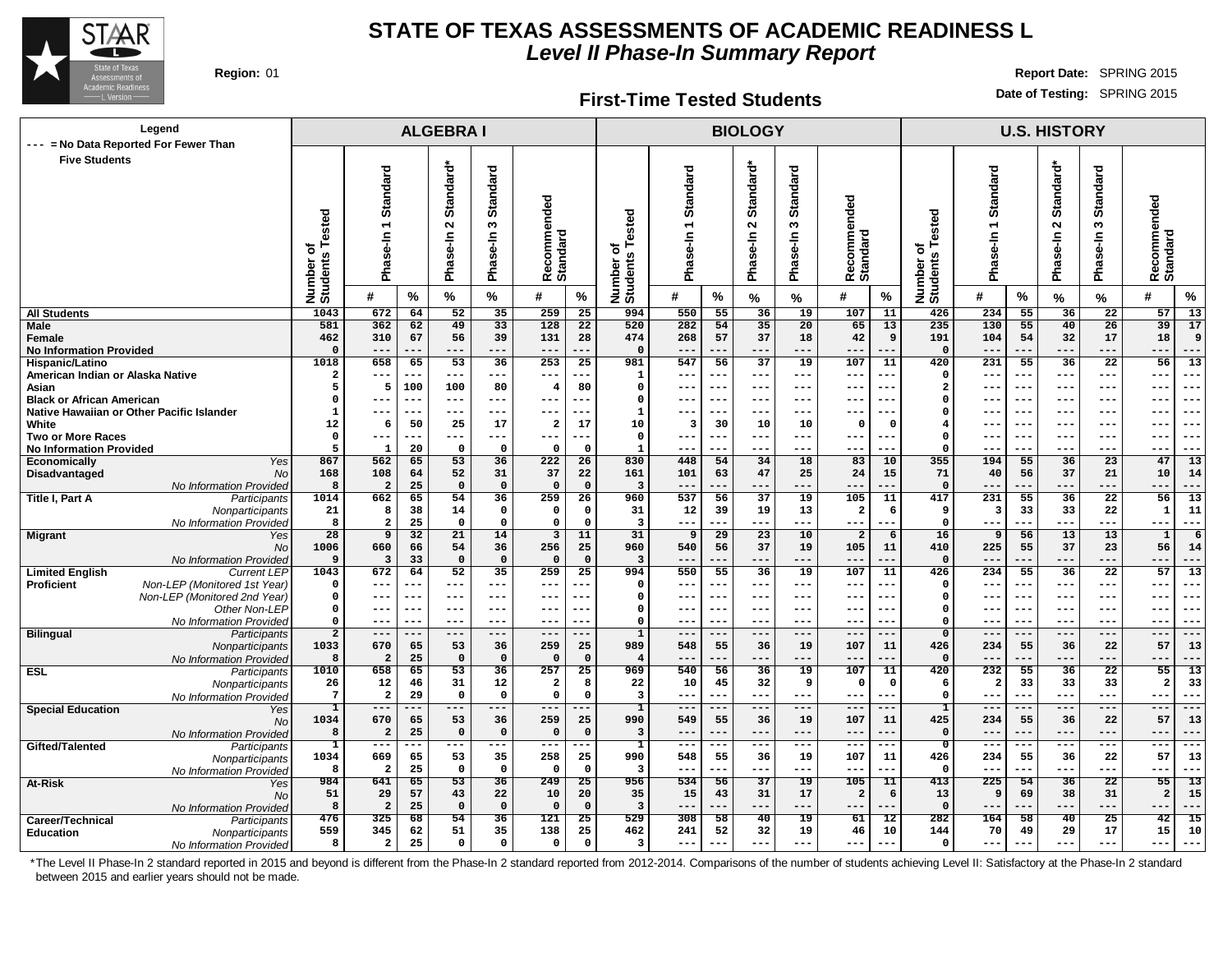

#### **First-Time Tested Students**

**Region:** 01 **Report Date:** SPRING 2015 **Date of Testing:** SPRING 2015

| Legend<br>--- = No Data Reported For Fewer Than                             |                                         |                                        |           | <b>ALGEBRAI</b>                            |                                  |                                        |                   |                                    |                           |           | <b>BIOLOGY</b>                  |                                  |                                 |                        |                              |                                                  |                     | <b>U.S. HISTORY</b>     |                                                      |                                                        |
|-----------------------------------------------------------------------------|-----------------------------------------|----------------------------------------|-----------|--------------------------------------------|----------------------------------|----------------------------------------|-------------------|------------------------------------|---------------------------|-----------|---------------------------------|----------------------------------|---------------------------------|------------------------|------------------------------|--------------------------------------------------|---------------------|-------------------------|------------------------------------------------------|--------------------------------------------------------|
| <b>Five Students</b>                                                        | sted<br>Φ<br>৳<br>Number of<br>Students | Standard<br>$\overline{ }$<br>Phase-In |           | Standard*<br>$\mathbf{\Omega}$<br>Phase-In | <b>Standard</b><br>S<br>Phase-In | ommended<br><b>Standard</b><br>မွ<br>œ |                   | ested<br>৳<br>Number o<br>Students | Standard<br>n<br>ھيو<br>م |           | Standard*<br>$\sim$<br>Phase-In | <b>Standard</b><br>S<br>Phase-In | ommended<br>Recomme<br>Standard |                        | Number of<br>Students Tested | Standard<br>$\overline{\phantom{0}}$<br>Phase-In |                     | Standard*<br>Phase-In 2 | <b>Standard</b><br>$\boldsymbol{\omega}$<br>Phase-In | Recommended<br>Standard                                |
|                                                                             |                                         | #                                      | %         | %                                          | %                                | #                                      | %                 |                                    | #                         | %         | %                               | %                                | #                               | $\%$                   |                              | #                                                | %                   | %                       | $\%$                                                 | #<br>%                                                 |
| <b>All Students</b>                                                         | 1043                                    | 672                                    | 64        | 52                                         | 35                               | 259                                    | 25                | 994                                | 550                       | 55        | 36                              | 19                               | 107                             | 11                     | 426                          | 234                                              | 55                  | 36                      | 22                                                   | $\overline{13}$<br>57                                  |
| Male                                                                        | 581                                     | 362                                    | 62        | 49                                         | 33                               | 128                                    | 22                | 520                                | 282                       | 54        | 35                              | 20                               | 65                              | 13                     | 235                          | 130                                              | 55                  | 40                      | 26                                                   | 39<br>17                                               |
| Female                                                                      | 462<br>$\Omega$                         | 310                                    | 67        | 56                                         | 39                               | 131                                    | 28                | 474<br>$\Omega$                    | 268                       | 57        | 37                              | 18                               | 42                              | 9                      | 191<br>$\Omega$              | 104                                              | 54                  | 32                      | 17                                                   | 18<br>9                                                |
| <b>No Information Provided</b><br>Hispanic/Latino                           | 1018                                    | ---<br>658                             | ---<br>65 | $---$<br>53                                | $---$<br>$\overline{36}$         | $---$<br>$\overline{253}$              | 25                | 981                                | $---$<br>547              | 56        | $---$<br>$\overline{37}$        | ---<br>19                        | ---<br>107                      | ---<br>11              | $\overline{420}$             | 231                                              | 55                  | $---$<br>36             | ---<br>$\overline{22}$                               | $---$<br>---<br>56<br>13                               |
| American Indian or Alaska Native                                            | $\mathbf{2}$                            | ---                                    | ---       | $--$                                       | ---                              | $---$                                  | .                 | 1                                  | $---$                     |           | $---$                           | ---                              | ---                             | ---                    | $\Omega$                     | $- -$                                            | $\qquad \qquad - -$ | ---                     | $--$                                                 | $--$<br>$--$                                           |
| Asian                                                                       | 5                                       | 5                                      | 100       | 100                                        | 80                               | $\overline{4}$                         | 80                | $\Omega$                           | $---$                     |           | ---                             | ---                              | $- -$                           |                        | $\overline{\mathbf{2}}$      |                                                  | $- -$               | ---                     | $- -$                                                | $- -$<br>--                                            |
| <b>Black or African American</b>                                            | O                                       | ---                                    | ---       | $- - -$                                    | $--$                             | $---$                                  |                   | $\mathbf 0$                        | $---$                     | $---$     | $--$                            | ---                              | ---                             | $-$                    | 0                            |                                                  | $---$               | $--$                    | ---                                                  | $--$<br>$--$                                           |
| Native Hawaiian or Other Pacific Islander                                   | $\mathbf{1}$                            | ---                                    | $-$       |                                            |                                  | ---                                    |                   | $\mathbf{1}$                       |                           |           |                                 | ---                              |                                 |                        | - 0                          |                                                  |                     |                         |                                                      |                                                        |
| White                                                                       | 12                                      | 6                                      | 50        | 25                                         | 17                               | $\overline{2}$                         | 17                | 10                                 | $\overline{\mathbf{3}}$   | 30        | 10                              | 10                               | 0                               | $\Omega$               |                              |                                                  | $- -$               | ---                     | ---                                                  | $--$                                                   |
| <b>Two or More Races</b>                                                    | $^{\circ}$                              | ---                                    | ---       | $- - -$                                    | $---$                            | $---$                                  | ---               | $\mathbf{o}$                       | $---$                     |           | $---$                           | ---                              | $- -$                           | $- -$                  | $\Omega$                     |                                                  | $- -$               | ---                     | ---                                                  | $- -$<br>---                                           |
| <b>No Information Provided</b>                                              | 5                                       | $\mathbf{1}$                           | 20        | $\Omega$<br>53                             | $\Omega$                         | $\Omega$                               | $\Omega$          | $\mathbf{1}$<br>830                | $---$                     |           |                                 | ---                              | --                              | --                     | $\Omega$<br>355              | --                                               | ---                 | ---                     | $---$                                                | ---<br>$- - -$                                         |
| <b>Economically</b><br>Yes<br>Disadvantaged<br><b>No</b>                    | 867<br>168                              | 562<br>108                             | 65<br>64  | 52                                         | 36<br>31                         | 222<br>37                              | 26<br>22          | 161                                | 448<br>101                | 54<br>63  | 34<br>47                        | 18<br>25                         | 83<br>24                        | 10<br>15               | 71                           | 194<br>40                                        | 55<br>56            | 36<br>37                | 23<br>21                                             | 13<br>47<br>10<br>14                                   |
| No Information Provided                                                     | 8                                       | $\overline{\mathbf{2}}$                | 25        | $\mathbf 0$                                | $\mathbf 0$                      | $\mathbf 0$                            | $\mathbf 0$       | 3                                  | $---$                     |           | ---                             | ---                              | $- -$                           |                        | $\mathbf 0$                  |                                                  | ---                 | ---                     | ---                                                  | ---<br>---                                             |
| Title I, Part A<br>Participants                                             | 1014                                    | 662                                    | 65        | 54                                         | 36                               | 259                                    | 26                | 960                                | 537                       | 56        | 37                              | 19                               | 105                             | 11                     | 417                          | 231                                              | 55                  | 36                      | 22                                                   | 13<br>56                                               |
| Nonparticipants                                                             | 21                                      | -8                                     | 38        | 14                                         | $\mathbf 0$                      | $\mathbf 0$                            | $\mathbf 0$       | 31                                 | 12                        | 39        | 19                              | 13                               | $\overline{\mathbf{2}}$         | 6                      | 9                            | 3                                                | 33                  | 33                      | 22                                                   | 1<br>11                                                |
| No Information Provided                                                     | 8                                       | 2                                      | 25        | $\mathbf 0$                                | $\mathbf 0$                      | $\mathbf{o}$                           | $\mathbf 0$       | 3                                  | $\qquad \qquad - -$       | ---       | ---                             | ---                              | ---                             | ---                    | $\mathbf 0$                  | ---                                              | ---                 | $---$                   | $---$                                                | $---$<br>---                                           |
| <b>Migrant</b><br>Yes                                                       | 28                                      | 9                                      | 32        | 21                                         | 14                               | $\mathbf{3}$                           | 11                | 31                                 | 9                         | 29        | 23                              | 10                               | $\overline{a}$                  | 6                      | 16                           | 9                                                | 56                  | 13                      | 13                                                   | $\mathbf{1}$<br>6                                      |
| <b>No</b>                                                                   | 1006                                    | 660                                    | 66        | 54                                         | 36                               | 256                                    | 25                | 960                                | 540                       | 56        | 37                              | 19                               | 105                             | 11                     | 410                          | 225                                              | 55                  | 37                      | 23                                                   | 56<br>14                                               |
| No Information Provided<br><b>Current LEP</b>                               | 9<br>1043                               | $\overline{\mathbf{3}}$<br>672         | 33<br>64  | $\mathbf 0$<br>52                          | $\mathbf 0$                      | $\Omega$                               | $\mathbf 0$       | $\overline{\mathbf{3}}$<br>994     | $---$<br>550              | 55        | ---<br>36                       | $---$<br>19                      | $- -$<br>107                    | $- -$<br>11            | $\Omega$<br>426              | --<br>234                                        | ---<br>55           | $---$<br>36             | ---<br>22                                            | $---$<br>---                                           |
| <b>Limited English</b><br>Non-LEP (Monitored 1st Year)<br><b>Proficient</b> | $\Omega$                                | ---                                    | ---       | $---$                                      | 35<br>$---$                      | 259<br>$\frac{1}{2}$                   | 25<br>---         | $\mathbf 0$                        | $---$                     | ---       | $---$                           | ---                              | ---                             | ---                    | 0                            | --                                               | ---                 | $---$                   | $--$                                                 | 57<br>13<br>$--$<br>---                                |
| Non-LEP (Monitored 2nd Year)                                                | 0                                       | $- - -$                                | ---       | $---$                                      | $---$                            | $---$                                  | ---               | $\mathbf 0$                        | $---$                     | $--$      | $---$                           | ---                              | ---                             | $-$                    | $\mathbf 0$                  | ---                                              | $---$               | $---$                   | $--$                                                 | $--$<br>$--$                                           |
| Other Non-LEP                                                               | 0                                       | ---                                    | ---       | $--$                                       | $--$                             | $---$                                  |                   | $\mathbf 0$                        | $---$                     | ---       | $- - -$                         | ---                              | ---                             | $- -$                  | $\Omega$                     | --                                               | $--$                | $--$                    | $--$                                                 | $- -$<br>--                                            |
| No Information Provided                                                     | 0                                       | $- - -$                                | ---       | $---$                                      | $---$                            | $\frac{1}{2}$                          | ---               | $\Omega$                           | $---$                     | $- - -$   | $---$                           | ---                              | ---                             | $- -$                  | $\Omega$                     | ---                                              | $---$               | $---$                   | $--$                                                 | $- -$<br>$- - -$                                       |
| <b>Bilingual</b><br>Participants                                            | $\overline{2}$                          | $---$                                  | ---       | $---$                                      | $---$                            | $---$                                  | ---               | $\overline{1}$                     | $---$                     | ---       | $---$                           | ---                              | $\qquad \qquad -$               | $- -$                  | $\overline{0}$               | ---                                              | ---                 | $---$                   | $---$                                                | $---$<br>$--$                                          |
| Nonparticipants                                                             | 1033                                    | 670                                    | 65        | 53                                         | 36                               | 259                                    | 25                | 989                                | 548                       | 55        | 36                              | 19                               | 107                             | 11                     | 426                          | 234                                              | 55                  | 36                      | 22                                                   | 57<br>13                                               |
| No Information Provided<br><b>ESL</b>                                       | 8<br>1010                               | $\overline{\mathbf{2}}$<br>658         | 25<br>65  | $\mathbf 0$<br>53                          | $\Omega$<br>36                   | $\Omega$<br>257                        | $\mathbf 0$<br>25 | $\overline{\mathbf{4}}$<br>969     | $---$<br>540              | 56        | ---<br>36                       | $---$<br>19                      | $- -$<br>107                    | ---<br>11              | $\mathbf{0}$<br>420          | 232                                              | ---<br>55           | $---$<br>36             | $---$<br>$\overline{22}$                             | $- -$<br>---<br>55<br>13                               |
| Participants<br>Nonparticipants                                             | 26                                      | 12                                     | 46        | 31                                         | 12                               | $\overline{\mathbf{2}}$                | 8                 | 22                                 | 10                        | 45        | 32                              | 9                                | $\mathbf 0$                     | $\mathbf 0$            | 6                            | $\overline{a}$                                   | 33                  | 33                      | 33                                                   | $\overline{\mathbf{2}}$<br>33                          |
| No Information Provided                                                     | $\overline{7}$                          | $\overline{\mathbf{2}}$                | 29        | $\mathbf{o}$                               | $\mathbf 0$                      | $\mathbf 0$                            | $\mathbf 0$       | $\overline{\mathbf{3}}$            | $---$                     | ---       | $---$                           | ---                              | $--$                            | $- -$                  | $\mathbf 0$                  | --                                               | ---                 | ---                     | $--$                                                 | $---$<br>---                                           |
| <b>Special Education</b><br>Yes                                             | ı                                       | $---$                                  | ---       | $---$                                      | $---$                            | $---$                                  | . <b>. .</b>      | T                                  | $---$                     | ---       | $---$                           | ---                              | $---$                           | $---$                  | 1                            | $---$                                            | ---                 | $- - -$                 | $---$                                                | $---$<br>$---$                                         |
| <b>No</b>                                                                   | 1034                                    | 670                                    | 65        | 53                                         | 36                               | 259                                    | 25                | 990                                | 549                       | 55        | 36                              | 19                               | 107                             | 11                     | 425                          | 234                                              | 55                  | 36                      | 22                                                   | 57<br>13                                               |
| No Information Provided                                                     | 8                                       | $\overline{2}$                         | 25        | $\mathbf 0$                                | $\Omega$                         | $\Omega$                               | $\mathbf 0$       | $\overline{\mathbf{3}}$            | $---$                     | ---       | $- -$                           | $---$                            | $- -$                           | $- -$                  | $\mathbf 0$                  | $- -$                                            | ---                 | $---$                   | $---$                                                | $---$<br>$- - -$                                       |
| Gifted/Talented<br>Participants                                             | 1                                       | $---$                                  | ---       | $---$                                      | ---                              | $---$                                  | .                 | T                                  | $- - -$                   | ---       | ---                             | ---                              | $- -$                           | $- -$                  | ত                            | ---                                              | $---$               | $--$                    | $- - -$                                              | $- - -$<br>$- - -$                                     |
| Nonparticipants                                                             | 1034                                    | 669<br>$\overline{2}$                  | 65        | 53                                         | 35                               | 258<br>$\Omega$                        | 25<br>$\mathbf 0$ | 990                                | 548                       | 55<br>--- | 36                              | 19                               | 107                             | 11                     | 426                          | 234                                              | 55                  | 36                      | 22                                                   | 57<br>13                                               |
| No Information Provideo                                                     | 8<br>984                                | 641                                    | 25<br>65  | $\mathbf{o}$<br>53                         | $\mathbf{o}$<br>36               | 249                                    | $\overline{25}$   | $\overline{\mathbf{3}}$<br>956     | $---$<br>534              | 56        | ---<br>$\overline{37}$          | ---<br>$\overline{19}$           | ---<br>105                      | ---<br>$\overline{11}$ | $\mathbf 0$<br>413           | ---<br>225                                       | ---<br>54           | $---$<br>36             | ---<br>$\overline{22}$                               | $---$<br>$- - -$<br>$\overline{55}$<br>$\overline{13}$ |
| At-Risk<br>Yes<br><b>No</b>                                                 | 51                                      | 29                                     | 57        | 43                                         | 22                               | 10                                     | 20                | 35                                 | 15                        | 43        | 31                              | 17                               | $\overline{a}$                  | 6                      | 13                           | 9                                                | 69                  | 38                      | 31                                                   | 15<br>$\overline{a}$                                   |
| No Information Provided                                                     | 8                                       | $\overline{2}$                         | 25        | $\mathbf 0$                                | $\Omega$                         | $\Omega$                               | $\mathbf 0$       | $\overline{\mathbf{3}}$            | $---$                     | ---       | ---                             | ---                              | ---                             | ---                    | $\mathbf{0}$                 | ---                                              | ---                 | ---                     | ---                                                  | ---                                                    |
| Career/Technical<br>Participants                                            | 476                                     | 325                                    | 68        | 54                                         | $\overline{36}$                  | 121                                    | $\overline{25}$   | 529                                | 308                       | 58        | 40                              | 19                               | 61                              | 12                     | 282                          | 164                                              | 58                  | 40                      | $\overline{25}$                                      | 42<br>15                                               |
| <b>Education</b><br>Nonparticipants                                         | 559                                     | 345                                    | 62        | 51                                         | 35                               | 138                                    | 25                | 462                                | 241                       | 52        | 32                              | 19                               | 46                              | 10                     | 144                          | 70                                               | 49                  | 29                      | 17                                                   | 15<br>10                                               |
| No Information Provided                                                     | 8                                       | $\overline{2}$                         | 25        | $\Omega$                                   | $\mathbf 0$                      | $\Omega$                               | $\mathbf 0$       | 3                                  | $---$                     |           | ---                             | ---                              | $- -$                           |                        | $\Omega$                     | ---                                              | ---                 | ---                     | ---                                                  | $---$                                                  |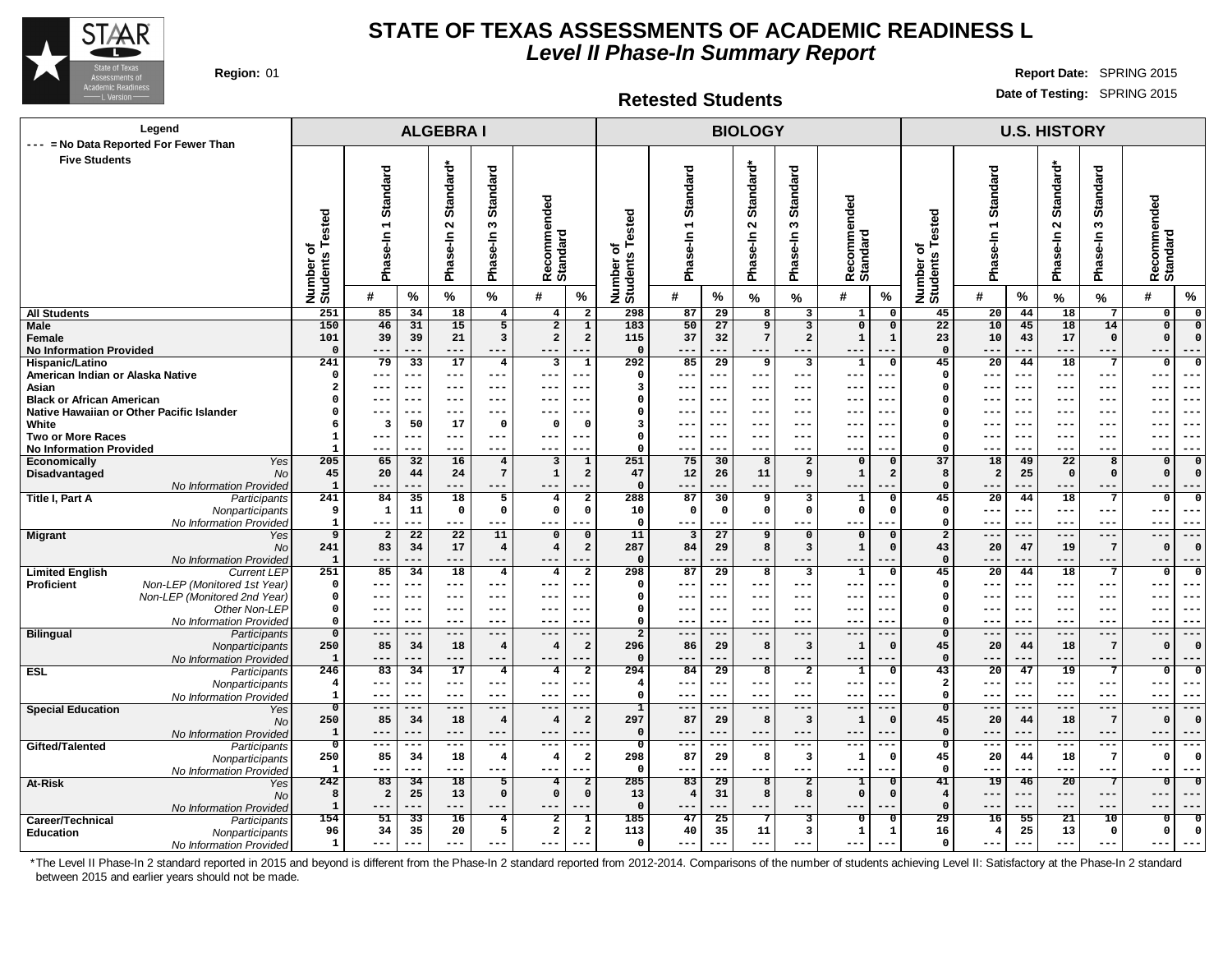

**Retested Students**

**Region:** 01 **Report Date:** SPRING 2015 **Date of Testing:** SPRING 2015

| Legend                                                                     |                                  |                                |                       | <b>ALGEBRAI</b>       |                                  |                               |                                        |                                  |                            |                 | <b>BIOLOGY</b>           |                                        |                                                |                                         |                          |                           | <b>U.S. HISTORY</b> |                          |                                           |
|----------------------------------------------------------------------------|----------------------------------|--------------------------------|-----------------------|-----------------------|----------------------------------|-------------------------------|----------------------------------------|----------------------------------|----------------------------|-----------------|--------------------------|----------------------------------------|------------------------------------------------|-----------------------------------------|--------------------------|---------------------------|---------------------|--------------------------|-------------------------------------------|
| --- = No Data Reported For Fewer Than<br><b>Five Students</b>              |                                  |                                |                       |                       |                                  |                               |                                        |                                  |                            |                 |                          |                                        |                                                |                                         |                          |                           |                     |                          |                                           |
|                                                                            |                                  |                                |                       |                       |                                  |                               |                                        |                                  |                            |                 |                          |                                        |                                                |                                         |                          |                           |                     |                          |                                           |
|                                                                            |                                  | Standard                       |                       | Standard*             | Standard                         |                               |                                        |                                  | Standard                   |                 | Standard*                | <b>Standard</b>                        |                                                |                                         | Standard                 |                           | Standard*           | Standard                 |                                           |
|                                                                            |                                  |                                |                       |                       |                                  |                               |                                        |                                  |                            |                 |                          |                                        | ommended                                       |                                         |                          |                           |                     |                          |                                           |
|                                                                            | ested                            | $\overline{\phantom{0}}$       |                       | $\mathbf{\Omega}$     | S                                |                               |                                        | ested                            |                            |                 | $\boldsymbol{\sim}$      | S                                      |                                                |                                         | $\overline{\phantom{0}}$ |                           | $\sim$              | S                        |                                           |
|                                                                            |                                  |                                |                       |                       |                                  |                               |                                        |                                  | se-In                      |                 |                          |                                        |                                                |                                         |                          |                           |                     |                          |                                           |
|                                                                            | ৳<br>w                           | Phase-In                       |                       | Phase-In              | Phase-In                         | Recommended<br>Standard       |                                        | ৳                                |                            |                 | Phase-In                 | Phase-In                               |                                                |                                         | Phase-In                 |                           | Phase-In            | Phase-In                 |                                           |
|                                                                            |                                  |                                |                       |                       |                                  |                               |                                        |                                  | Pha                        |                 |                          |                                        | Recomme<br>Standard                            |                                         |                          |                           |                     |                          | Recommended<br>Standard                   |
|                                                                            | Number<br>Students               | #                              | %                     | $\%$                  | $\%$                             | #                             | %                                      | Number o'<br>Students            | #                          | %               | %                        | %                                      | #<br>$\%$                                      | Number of<br>Students Tested            | #                        | %                         | %                   | $\%$                     | $\frac{9}{6}$<br>#                        |
| <b>All Students</b>                                                        | 251                              | 85                             | 34                    | 18                    | $4\overline{ }$                  | 4                             | $\overline{2}$                         | 298                              | 87                         | $\overline{29}$ | 8                        | $\overline{\mathbf{3}}$                | $\mathbf{1}$<br>$\Omega$                       | 45                                      | 20                       | 44                        | 18                  | $7\phantom{.0}$          | 0<br>$\Omega$                             |
| Male                                                                       | 150                              | 46                             | 31                    | 15                    | 5                                | $\overline{2}$                | $\overline{1}$                         | 183                              | 50                         | 27              | $\overline{9}$           | $\overline{\mathbf{3}}$                | $\overline{0}$<br>$\mathbf 0$                  | $\overline{22}$                         | 10                       | 45                        | 18                  | 14                       | $\overline{0}$<br>$\mathbf{o}$            |
| Female<br><b>No Information Provided</b>                                   | 101<br>$\Omega$                  | 39<br>---                      | 39<br>---             | 21<br>---             | 3<br>---                         | $\overline{a}$                | $\overline{\mathbf{2}}$                | 115<br>$\mathbf 0$               | 37<br>---                  | 32              | $\overline{7}$           | $\overline{2}$<br>---                  | $\mathbf 1$                                    | 23<br>$\mathbf{0}$                      | 10                       | 43                        | 17<br>---           | $\mathbf 0$<br>$---$     | $\Omega$<br>$---$                         |
| Hispanic/Latino                                                            | 241                              | 79                             | 33                    | 17                    | $\overline{4}$                   | 3                             | $\overline{1}$                         | 292                              | 85                         | 29              | 9                        | $\overline{\mathbf{3}}$                | $\overline{1}$<br>$\overline{0}$               | 45                                      | $\overline{20}$          | 44                        | $\overline{18}$     | $\overline{7}$           | $\mathbf{o}$<br>$\Omega$                  |
| American Indian or Alaska Native                                           | $\Omega$                         | ---                            | ---                   | $--$                  | $---$                            | $---$                         |                                        | $\Omega$                         | ---                        | ---             | $---$                    | ---                                    | $-$<br>---                                     | $\mathbf 0$                             | ---                      | ---                       | $--$                | ---                      | $--$<br>---                               |
| Asian<br><b>Black or African American</b>                                  | $\overline{a}$<br>0              | ---<br>---                     | ---                   | $---$<br>---          | $- - -$<br>$--$                  | $---$<br>$--$                 |                                        | 3<br>$\Omega$                    | $\qquad \qquad - -$<br>--- | $--$            | $---$<br>$--$            | $---$<br>---                           | $-$<br>---                                     | $\Omega$<br>$\Omega$                    | $--$                     | $--$<br>$\qquad \qquad -$ | $---$<br>---        | $- - -$<br>$--$          | ---<br>---<br>---<br>$-$                  |
| Native Hawaiian or Other Pacific Islander                                  | 0                                | ---                            | ---                   | ---                   | $---$                            | $---$                         | ---                                    | $\Omega$                         | $--$                       | $--$            | $--$                     | ---                                    | $\overline{\phantom{a}}$<br>---                | $\Omega$                                | $--$                     | $--$                      | $--$                | $- - -$                  | ---<br>$--$                               |
| White                                                                      | 6                                | 3                              | 50                    | 17                    | $\mathbf 0$                      | $\mathbf 0$                   | $\Omega$                               | 3                                | ---                        |                 | $\overline{\phantom{m}}$ | ---                                    |                                                | $\Omega$                                |                          | --                        | --                  | ---                      | --<br>$- -$                               |
| <b>Two or More Races</b><br><b>No Information Provided</b>                 | 1<br>$\mathbf{1}$                | ---<br>---                     | ---<br>---            | $---$<br>---          | $---$<br>$- - -$                 | $---$<br>$- - -$              | $---$                                  | $\Omega$<br>$\Omega$             | $--$<br>$- - -$            | ---<br>---      | $---$<br>$- - -$         | $---$<br>---                           | $\overline{\phantom{m}}$<br>$-- -$<br>---      | $\Omega$<br>$\Omega$                    | $- -$<br>$- -$           | $--$<br>---               | $---$<br>---        | $- - -$<br>$- - -$       | $---$<br>---<br>$- - -$<br>---            |
| Yes<br>Economically                                                        | 205                              | 65                             | 32                    | 16                    | $\overline{4}$                   | 3                             | $\mathbf{1}$                           | 251                              | 75                         | 30              | 8                        | $\overline{a}$                         | $\Omega$<br>$\mathbf 0$                        | 37                                      | 18                       | 49                        | 22                  | 8                        | $\Omega$<br>$\mathbf 0$                   |
| Disadvantaged<br><b>No</b>                                                 | 45                               | 20                             | 44                    | 24                    | $7\phantom{.0}$                  | $\mathbf 1$                   | $\overline{a}$                         | 47                               | 12                         | 26              | 11                       | 9                                      | $\mathbf{1}$<br>$\overline{2}$                 | 8                                       | $\overline{a}$           | 25                        | $\mathbf 0$         | $\mathbf 0$              | $\Omega$<br>$\Omega$                      |
| No Information Provided<br>Title I, Part A<br>Participants                 | $\mathbf{1}$<br>241              | ---<br>84                      | ---<br>35             | ---<br>18             | $---$<br>5                       | $---$<br>$\overline{4}$       | $\overline{a}$                         | $\Omega$<br>288                  | $---$<br>87                | ---<br>30       | ---<br>9                 | ---<br>3                               | ---<br>$\mathbf{1}$<br>$\Omega$                | $\Omega$<br>45                          | 20                       | ---<br>44                 | ---<br>18           | $---$<br>7               | $- - -$<br>---<br>$\Omega$<br>$\Omega$    |
| Nonparticipants                                                            | 9                                | 1                              | 11                    | $\mathbf{o}$          | $\mathbf 0$                      | $\mathbf 0$                   | 0                                      | 10                               | $\mathbf 0$                | $\mathbf 0$     | $\mathsf{o}\,$           | $\mathbf{o}$                           | $\mathbf 0$<br>$\Omega$                        | $\mathbf 0$                             | $--$                     | $- - -$                   | $--$                | ---                      | $- - -$<br>---                            |
| No Information Provided                                                    | $\mathbf{1}$                     | ---                            | ---                   | ---                   | $---$                            | $---$                         |                                        | $\mathbf 0$                      | ---                        |                 | $---$                    | ---                                    | ---                                            | $\mathbf 0$                             | $- -$                    | $- - -$                   | $- - -$             | $- - -$                  | $- - -$<br>--                             |
| <b>Migrant</b><br>Yes<br><b>No</b>                                         | $\overline{9}$<br>241            | $\overline{a}$<br>83           | $\overline{22}$<br>34 | $\overline{22}$<br>17 | 11<br>$\overline{4}$             | $\mathbf 0$<br>$\overline{4}$ | $\mathbf 0$<br>$\overline{\mathbf{2}}$ | 11<br>287                        | 3<br>84                    | 27<br>29        | 9<br>8                   | $\mathbf 0$<br>$\overline{\mathbf{3}}$ | $\mathbf 0$<br>$\mathbf 0$<br>$\mathbf 1$<br>0 | $\overline{\mathbf{2}}$<br>43           | ---<br>20                | $---$<br>47               | $---$<br>19         | $---$<br>$7\phantom{.0}$ | $---$<br>$---$<br>$\Omega$<br>$\Omega$    |
| No Information Provided                                                    | $\mathbf{1}$                     | ---                            | ---                   | ---                   | $---$                            | $---$                         |                                        | $\mathbf 0$                      | ---                        | ---             | $---$                    | ---                                    | ---<br>$- -$                                   | $\mathbf{0}$                            | ---                      | ---                       | ---                 | $---$                    | $---$<br>---                              |
| <b>Limited English</b><br><b>Current LEP</b>                               | 251                              | 85                             | 34                    | 18                    | $\overline{\mathbf{4}}$          | $\overline{4}$                | $\overline{2}$                         | 298                              | 87                         | $\overline{29}$ | 8                        | 3                                      | $\mathbf 1$<br>$\Omega$                        | 45                                      | $\overline{20}$          | 44                        | 18                  | $\overline{7}$           | $\mathbf 0$<br>$\Omega$                   |
| Non-LEP (Monitored 1st Year)<br>Proficient<br>Non-LEP (Monitored 2nd Year) | 0<br>0                           | ---<br>---                     | ---<br>$---$          | $---$<br>$---$        | $---$<br>$---$                   | $---$<br>$\qquad \qquad - -$  |                                        | $\Omega$<br>$\Omega$             | $---$<br>$---$             | ---<br>---      | $---$<br>$---$           | $---$<br>$---$                         | ---<br>$- -$<br>$- -$<br>---                   | $\Omega$<br>$\Omega$                    | $--$                     | ---<br>$---$              | ---<br>$---$        | $---$<br>$- - -$         | ---<br>---<br>$---$<br>$--$               |
| Other Non-LEP                                                              | 0                                | $---$                          | $---$                 | $- -$                 | $---$                            | $---$                         |                                        | $\Omega$                         | $- - -$                    | ---             | $- - -$                  | $---$                                  | $- -$<br>---                                   | $\mathbf 0$                             | $-$                      | $- - -$                   | $- - -$             | $---$                    | $- - -$<br>$- -$                          |
| No Information Provided                                                    | 0                                | ---                            | $- - -$               | $- - -$               | $---$                            | $---$                         |                                        | $\Omega$                         | $---$                      | $---$           | $---$                    | $---$                                  | $- -$<br>$- -$                                 | $\Omega$                                | $- -$                    | $---$                     | $---$               | $- - -$                  | $- - -$<br>--                             |
| <b>Bilingual</b><br>Participants                                           | $\overline{\mathbf{0}}$<br>250   | $---$<br>85                    | $---$<br>34           | $---$<br>18           | $---$<br>$\overline{4}$          | $---$<br>$\overline{4}$       | $\overline{a}$                         | $\overline{2}$<br>296            | $---$<br>86                | $---$<br>29     | $--$<br>8                | $---$<br>$\overline{\mathbf{3}}$       | $---$<br>$- -$<br>-1<br>$\Omega$               | $\mathbf{0}$<br>45                      | $- -$<br>20              | $---$<br>44               | $--$<br>18          | $---$<br>$7\phantom{.0}$ | $---$<br>$- - -$<br>$\Omega$<br>$\Omega$  |
| Nonparticipants<br>No Information Provided                                 | $\mathbf{1}$                     | ---                            | ---                   | ---                   | $---$                            | $---$                         |                                        | $\Omega$                         | $---$                      |                 | $---$                    | ---                                    | $- -$<br>$- -$                                 | $\Omega$                                |                          | $- -$                     | ---                 | $---$                    | $---$<br>---                              |
| <b>ESL</b><br>Participants                                                 | 246                              | 83                             | 34                    | 17                    | $\overline{4}$                   | 4                             | $\overline{a}$                         | 294                              | 84                         | 29              | 8                        | $\overline{a}$                         | 1<br>$\Omega$                                  | 43                                      | 20                       | 47                        | 19                  | $7\phantom{.0}$          | $^{\circ}$<br>$\Omega$                    |
| Nonparticipants                                                            | $\overline{4}$<br>$\mathbf{1}$   | ---<br>$\qquad \qquad - -$     | ---<br>---            | $---$<br>$--$         | $--$<br>$---$                    | $---$<br>$---$                | --                                     | 4<br>$^{\circ}$                  | ---<br>$---$               | ---<br>---      | $---$<br>$---$           | $---$<br>$---$                         | ---<br>$ -$<br>$-\,-$<br>---                   | $\overline{\mathbf{2}}$<br>$\mathbf 0$  | ---<br>$--$              | ---<br>$---$              | $--$<br>$---$       | ---<br>$-- -$            | $--$<br>--<br>---<br>$--$                 |
| No Information Provided<br><b>Special Education</b><br>Yes                 | $\overline{\mathfrak{o}}$        | $\overline{---}$               | $- - -$               | $---$                 | $---$                            | $\overline{---}$              | ---                                    | ı                                | $---$                      | ---             | $---$                    | $\overline{---}$                       | $---$<br>$- -$                                 | $\overline{0}$                          | ---                      | ---                       | $---$               | $\overline{---}$         | $---$<br>$---$                            |
| No.                                                                        | 250                              | 85                             | 34                    | 18                    | $\overline{4}$                   | $\overline{4}$                | $\overline{\mathbf{2}}$                | 297                              | 87                         | 29              | 8                        | $\overline{\mathbf{3}}$                | $\mathbf{1}$<br>$\Omega$                       | 45                                      | 20                       | 44                        | 18                  | $7\phantom{.0}$          | $\Omega$<br>$\Omega$                      |
| No Information Provided                                                    | $\mathbf 1$                      | ---                            | ---                   | $---$                 | $---$                            | $---$                         |                                        | $\Omega$                         | ---                        | --              | $---$                    | $---$                                  | $--$<br>--                                     | $\Omega$                                | $- -$                    | ---                       | ---                 | $--$                     | $---$<br>---                              |
| Gifted/Talented<br>Participants<br>Nonparticipants                         | $\overline{\mathfrak{o}}$<br>250 | $---$<br>85                    | ---<br>34             | $---$<br>18           | $---$<br>$\overline{\mathbf{4}}$ | $---$<br>$\overline{4}$       | $--$<br>$\mathbf{2}$                   | $\overline{\mathfrak{o}}$<br>298 | $--$<br>87                 | ---<br>29       | $---$<br>8               | $---$<br>$\overline{\mathbf{3}}$       | $---$<br>$- -$<br>$\mathbf{1}$<br>$\Omega$     | ᠊ᢆ<br>45                                | $--$<br>20               | $---$<br>44               | $---$<br>18         | $---$<br>$\overline{7}$  | $---$<br>---<br>$\mathbf 0$<br>$\Omega$   |
| No Information Provided                                                    | 1                                | ---                            | ---                   | ---                   | $---$                            | $---$                         | ---                                    | $\mathbf 0$                      | $--$                       | ---             | $---$                    | $---$                                  | $---$<br>--                                    | $\mathbf 0$                             | ---                      | ---                       | ---                 | $---$                    | $---$<br>$--$                             |
| At-Risk<br>Yes                                                             | 242                              | 83                             | $\overline{34}$       | $\overline{18}$       | $\overline{5}$                   | $\overline{4}$                | $\overline{2}$                         | 285                              | $\overline{83}$            | $\overline{29}$ | 8                        | $\overline{2}$                         | 1<br>0                                         | 41                                      | $\overline{19}$          | 46                        | $\overline{20}$     | $\overline{7}$           | $\overline{\mathbf{0}}$<br>$\overline{0}$ |
| <b>No</b><br>No Information Provided                                       | 8<br>$\mathbf{1}$                | $\overline{\mathbf{2}}$<br>--- | 25<br>---             | 13<br>---             | $\mathbf 0$<br>$---$             | $\mathbf 0$<br>$---$          | $\mathsf{o}\,$                         | 13<br>$\mathbf 0$                | $\overline{4}$<br>$---$    | 31<br>---       | 8<br>$---$               | 8<br>---                               | $\Omega$<br>$\Omega$<br>---                    | $\overline{\mathbf{4}}$<br>$\mathbf{0}$ | $- -$<br>---             | ---<br>---                | ---<br>---          | $---$<br>$---$           | $---$<br>---<br>$---$<br>---              |
| Career/Technical<br>Participants                                           | 154                              | 51                             | 33                    | 16                    | 4                                | 2                             | 1                                      | 185                              | 47                         | 25              |                          | 3                                      | 0                                              | 29                                      | 16                       | 55                        | 21                  | 10                       | $\mathbf{o}$<br>$\Omega$                  |
| <b>Education</b><br>Nonparticipants                                        | 96                               | 34                             | 35                    | 20                    | 5                                | $\overline{a}$                | $\overline{\mathbf{2}}$                | 113                              | 40                         | 35              | 11                       | 3                                      | 1<br>1                                         | 16                                      | $\overline{4}$           | 25                        | 13                  | $\mathbf 0$              | 0<br>$\Omega$                             |
| No Information Provided                                                    | $\mathbf{1}$                     | ---                            | ---                   | ---                   | $---$                            | $\qquad \qquad - -$           |                                        | $\Omega$                         | $---$                      |                 | ---                      | $---$                                  | $- -$<br>---                                   | $\Omega$                                | $- -$                    | ---                       | ---                 | $---$                    | $--$                                      |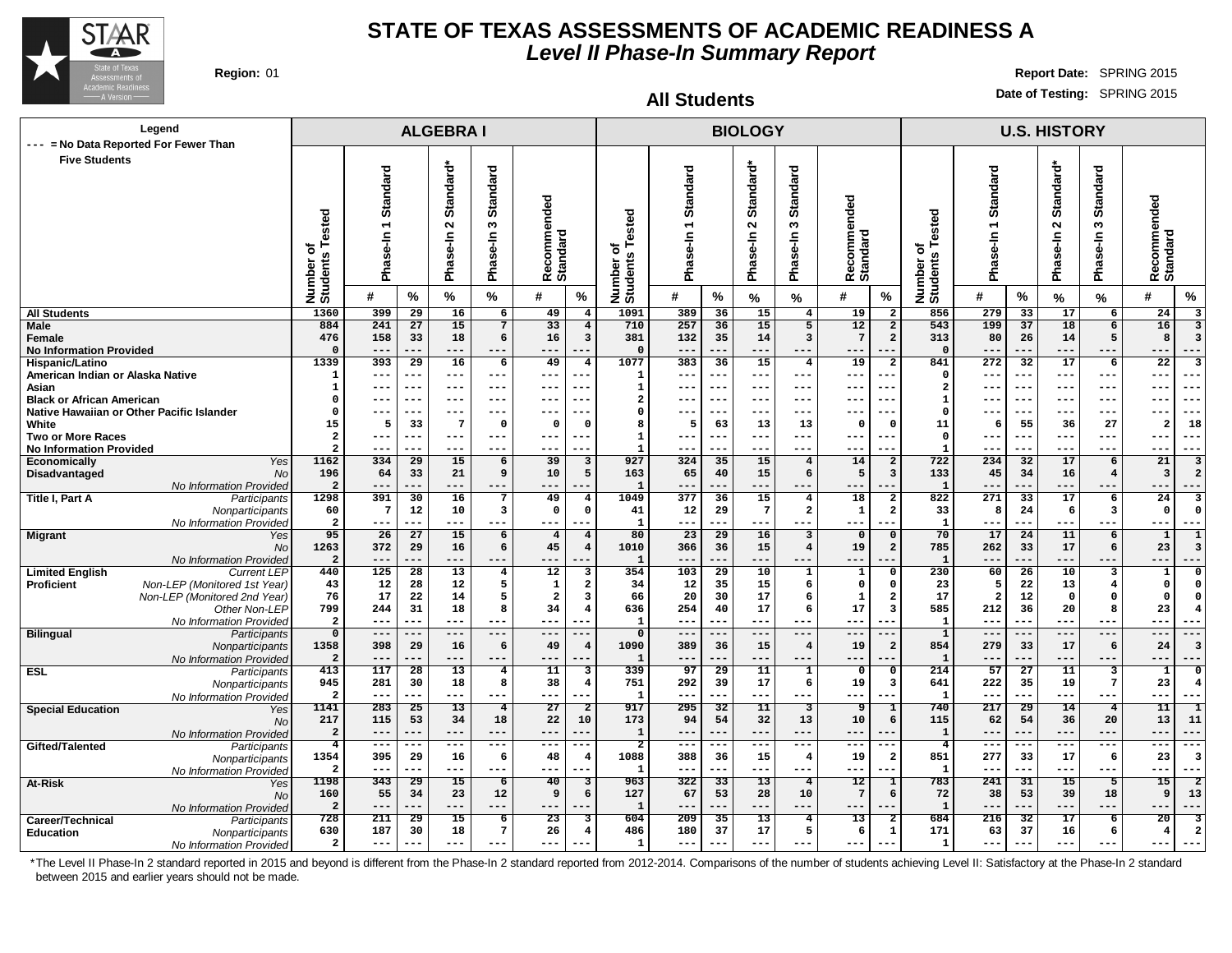

**Five Students**

**At-Risk** 

**Legend**

**--- = No Data Reported For Fewer Than**

### **STATE OF TEXAS ASSESSMENTS OF ACADEMIC READINESS A Level II Phase-In Summary Report**

Nonparticipants No Information Provided

#### **Region:** 01 **Report Date:** SPRING 2015 **Date of Testing:** SPRING 2015

**U.S. HISTORY**

 **277 33 17 6 23 3 --- --- --- --- --- --- 241 31 15 5 15 2**

**All Students**

**BIOLOGY**

 **388 36 15 4 19 2 --- --- --- --- --- --- 322 33 13 4 12 1**

| <b>Five Students</b>                                | sted<br>ω<br>ō<br><b>SD</b><br>Number<br>Students | Standard<br>$\overline{\phantom{0}}$<br>se-In<br>Pha |                 | ᠋ᡠ<br><b>Standar</b><br>$\sim$<br>se-In<br>Pha | <b>Standard</b><br>ω<br>se-In<br>Pha | ecommended<br>Recomme<br>Standard |                                | ested<br>৳<br>Number o<br>Students | Standard<br>$\overline{\phantom{0}}$<br>$s$ e-In<br>Pha |            | Standard*<br>$\sim$<br>Phase-In | <b>Standard</b><br>ຕ<br>se-In<br>Pha | Recommended<br>Standard |                         | ested<br>⊢<br>৳<br>Number of<br>Students | Standard<br>$\overline{\phantom{0}}$<br>se-In<br>Pha |                 | Standard*<br>$\sim$<br>se-In<br>ma<br>Ta | ъ<br><b>Standar</b><br>S<br>se-In<br>Pha | ecommended<br>Recomme<br>Standard |
|-----------------------------------------------------|---------------------------------------------------|------------------------------------------------------|-----------------|------------------------------------------------|--------------------------------------|-----------------------------------|--------------------------------|------------------------------------|---------------------------------------------------------|------------|---------------------------------|--------------------------------------|-------------------------|-------------------------|------------------------------------------|------------------------------------------------------|-----------------|------------------------------------------|------------------------------------------|-----------------------------------|
|                                                     |                                                   | #                                                    | $\%$            | %                                              | %                                    | #                                 | %                              |                                    | #                                                       | %          | %                               | %                                    | #                       | %                       |                                          | #                                                    | %               | $\%$                                     | %                                        | $\%$<br>#                         |
| <b>All Students</b>                                 | 1360                                              | 399                                                  | 29              | 16                                             | 6                                    | 49                                | $\overline{\mathbf{4}}$        | 1091                               | 389                                                     | 36         | 15                              | $4\overline{ }$                      | 19                      | $\overline{\mathbf{2}}$ | 856                                      | 279                                                  | 33              | 17                                       | 6                                        | 24                                |
| Male                                                | 884                                               | $\overline{241}$                                     | $\overline{27}$ | 15                                             | 7                                    | 33                                | $\overline{4}$                 | 710                                | 257                                                     | 36         | 15                              | $\overline{5}$                       | 12                      | $\overline{2}$          | 543                                      | 199                                                  | 37              | 18                                       | 6                                        | 16<br>3                           |
| Female                                              | 476                                               | 158                                                  | 33              | 18                                             | 6                                    | 16                                | $\mathbf{3}$                   | 381                                | 132                                                     | 35         | 14                              | $\mathbf{3}$                         | 7                       | $\overline{a}$          | 313                                      | 80                                                   | 26              | 14                                       | 5                                        | 8                                 |
| <b>No Information Provided</b>                      |                                                   | $---$                                                |                 | ---                                            | $---$                                | ---                               |                                | $\Omega$                           | ---                                                     | ---        | ---                             | ---                                  | ---                     |                         | $\Omega$                                 | $---$                                                | ---             | ---                                      | ---                                      | ---<br>$- -$                      |
| Hispanic/Latino<br>American Indian or Alaska Native | 1339                                              | 393<br>$---$                                         | 29<br>---       | 16<br>$---$                                    | 6<br>$--$                            | 49<br>---                         | $\overline{\mathbf{4}}$<br>--- | 1077<br>-1                         | 383<br>---                                              | 36<br>---  | 15<br>$- - -$                   | $\overline{4}$<br>$---$              | 19<br>---               | $\overline{a}$<br>---   | 841<br>$\Omega$                          | 272<br>$- - -$                                       | 32<br>$---$     | 17<br>---                                | 6<br>$- - -$                             | 22<br>---<br>$- - -$              |
| Asian                                               |                                                   |                                                      |                 | ---                                            | $--$                                 |                                   |                                |                                    |                                                         |            | ---                             | ---                                  |                         | --                      | $\overline{2}$                           |                                                      | ---             |                                          | $---$                                    | $--$                              |
| <b>Black or African American</b>                    | O                                                 | ---<br>---                                           | ---             | ---                                            | $--$                                 | ---<br>---                        | ---<br>.                       |                                    | ---                                                     | ---<br>--- | $---$                           | ---                                  | ---<br>---              | ---                     | 1                                        | ---<br>---                                           | ---             | ---<br>---                               | $--$                                     | --<br>---<br>$--$                 |
| Native Hawaiian or Other Pacific Islander           | <sup>0</sup>                                      | $---$                                                | ---             | ---                                            | $- - -$                              | ---                               | .                              |                                    | ---                                                     | ---        | ---                             | ---                                  | ---                     |                         | $\Omega$                                 | $--$                                                 | ---             | ---                                      | ---                                      | $--$<br>---                       |
| White                                               | 15                                                | 5                                                    | 33              | 7                                              | $\Omega$                             | 0                                 | - 0                            |                                    | 5                                                       | 63         | 13                              | 13                                   | $\Omega$                | $\Omega$                | 11                                       | 6                                                    | 55              | 36                                       | 27                                       | 18<br>2                           |
| <b>Two or More Races</b>                            | $\overline{2}$                                    | ---                                                  |                 | ---                                            | $--$                                 | ---                               | ---                            |                                    |                                                         | ---        | ---                             | ---                                  | ---                     |                         | $\Omega$                                 | ---                                                  | ---             | ---                                      | ---                                      | $---$<br>---                      |
| <b>No Information Provided</b>                      | $\overline{a}$                                    | $--$                                                 |                 | ---                                            | ---                                  | ---                               |                                |                                    | ---                                                     | ---        | ---                             | ---                                  | ---                     | --                      | $\mathbf{1}$                             | $---$                                                | ---             | ---                                      | ---                                      | ---<br>---                        |
| Economically<br>Yes                                 | $\overline{1162}$                                 | 334                                                  | 29              | 15                                             | 6                                    | 39                                | $\mathbf{3}$                   | 927                                | 324                                                     | 35         | 15                              | $\overline{4}$                       | 14                      | $\overline{a}$          | 722                                      | 234                                                  | 32              | 17                                       | 6                                        | 21<br>3                           |
| Disadvantaged<br>No                                 | 196                                               | 64                                                   | 33              | 21                                             | 9                                    | 10                                | 5                              | 163                                | 65                                                      | 40         | 15                              | 6                                    | 5                       | 3                       | 133                                      | 45                                                   | 34              | 16                                       | 4                                        | $\overline{\mathbf{3}}$           |
| No Information Provided                             |                                                   | $--$                                                 | ---             | $---$                                          | $---$                                | ---                               | ---                            | -1                                 | ---                                                     | ---        | ---                             | ---                                  | ---                     |                         | $\mathbf{1}$                             | $---$                                                | ---             | $---$                                    | $- - -$                                  | ---<br>$- - -$                    |
| <b>Title I, Part A</b><br>Participants              | 1298                                              | 391                                                  | 30              | 16                                             | 7                                    | 49                                | 4                              | 1049                               | 377                                                     | 36         | 15                              | $\overline{4}$                       | 18                      | $\mathbf{2}$            | 822                                      | 271                                                  | 33              | 17                                       | 6                                        | 24                                |
| Nonparticipants                                     | 60                                                | 7                                                    | 12              | 10                                             | 3                                    | $\mathbf 0$                       | $\mathbf 0$                    | 41                                 | 12                                                      | 29         | 7                               | $\overline{\mathbf{2}}$              | 1                       | $\overline{\mathbf{2}}$ | 33                                       | 8                                                    | 24              | 6                                        | з                                        | $\mathbf 0$                       |
| No Information Provided                             |                                                   | $---$                                                | ---             | ---                                            | $---$                                | ---                               | ---                            | $\mathbf{1}$                       | ---                                                     | ---        | ---                             | ---                                  | $---$                   |                         | $\mathbf{1}$                             | $---$                                                | ---             | ---                                      | ---                                      | ---<br>$---$                      |
| <b>Migrant</b><br>Yes                               | 95                                                | 26                                                   | 27              | 15                                             | 6                                    | $\overline{4}$                    | $\overline{4}$                 | 80                                 | 23                                                      | 29         | 16                              | $\overline{\mathbf{3}}$              | $\mathsf{o}$            | $\Omega$                | 70                                       | 17                                                   | 24              | ${\bf 11}$                               | 6                                        | $\mathbf{1}$                      |
| No                                                  | 1263                                              | 372                                                  | 29              | 16                                             | 6                                    | 45                                | $\overline{4}$                 | 1010                               | 366                                                     | 36         | 15                              | $\overline{4}$                       | 19                      | $\overline{a}$          | 785                                      | 262                                                  | 33              | 17                                       | 6                                        | 23                                |
| No Information Provided                             |                                                   | $---$                                                |                 | ---                                            | $---$                                | ---                               | ---                            | $\mathbf{I}$                       | ---                                                     | ---        | ---                             | ---                                  | ---                     | ---                     | 1                                        | $---$                                                | ---             | ---                                      | ---                                      | ---<br>---                        |
| <b>Current LEP</b><br><b>Limited English</b>        | 440                                               | 125                                                  | 28              | 13                                             | 4                                    | 12                                | 3                              | 354                                | 103                                                     | 29         | 10                              | $\mathbf{1}$                         | ${\bf 1}$               | 0                       | 230                                      | 60                                                   | $\overline{26}$ | 10                                       | 3                                        | $\Omega$<br>1                     |
| Non-LEP (Monitored 1st Year)<br><b>Proficient</b>   | 43                                                | 12                                                   | 28              | 12                                             | 5                                    | $\mathbf{1}$                      | $\overline{a}$                 | 34                                 | 12                                                      | 35         | 15                              | 6                                    | $\mathbf 0$             | $\Omega$                | 23                                       | 5                                                    | 22              | 13                                       | 4                                        | 0                                 |
| Non-LEP (Monitored 2nd Year)                        | 76                                                | 17                                                   | 22              | 14                                             | 5                                    | $\overline{2}$                    | $\overline{\mathbf{3}}$        | 66                                 | 20                                                      | 30         | 17                              | 6                                    | $\mathbf{1}$            | $\overline{\mathbf{2}}$ | 17                                       |                                                      | 12              | $\Omega$                                 | $\Omega$                                 | $\Omega$                          |
| Other Non-LEP                                       | 799                                               | 244                                                  | 31              | 18                                             | 8                                    | 34                                | $\overline{4}$                 | 636                                | 254                                                     | 40         | 17                              | 6                                    | 17                      | 3                       | 585                                      | 212                                                  | 36              | 20                                       | 8                                        | 23                                |
| No Information Provided                             | $\overline{\mathbf{2}}$                           | ---                                                  | ---             | $---$                                          | $---$                                | ---                               | ---                            | $\mathbf{1}$                       | ---                                                     | ---        | ---                             | ---                                  | $---$                   |                         | $\mathbf{1}$                             | $---$                                                | ---             | ---                                      | $- - -$                                  | ---<br>$--$                       |
| Participants<br><b>Bilingual</b>                    | $\Omega$                                          | $---$                                                | ---             | $---$                                          | $---$                                | ---                               | ---                            | $\Omega$                           | ---                                                     | ---        | $---$                           | $---$                                | $---$                   | ---                     | $\mathbf{1}$                             | $---$                                                | ---             | ---                                      | $---$                                    | ---<br>---                        |
| Nonparticipants                                     | 1358                                              | 398                                                  | 29              | 16                                             | 6                                    | 49                                | $\overline{4}$                 | 1090                               | 389                                                     | 36         | 15                              | $\overline{4}$                       | 19                      | $\overline{a}$          | 854                                      | 279                                                  | 33              | 17                                       | -6                                       | 24                                |
| No Information Provided                             | $\overline{a}$                                    | $---$                                                | ---             | $---$                                          | $---$                                | ---                               | ---                            | -1                                 | ---                                                     | ---        | ---                             | ---                                  | ---                     | ---                     | $\mathbf{1}$                             | $---$                                                | ---             | ---                                      | $---$                                    | ---<br>$---$                      |
| <b>ESL</b><br>Participants                          | 413                                               | 117                                                  | 28              | 13                                             | 4                                    | 11                                | $\mathbf{3}$                   | 339                                | 97                                                      | 29         | 11                              | 1                                    | $\Omega$                | 0                       | 214                                      | 57                                                   | 27              | 11                                       | 3                                        | 1                                 |
| Nonparticipants                                     | 945                                               | 281                                                  | 30              | 18                                             | 8                                    | 38                                | $\overline{4}$                 | 751                                | 292                                                     | 39         | 17                              | 6                                    | 19                      | 3                       | 641                                      | 222                                                  | 35              | 19                                       | 7                                        | 23                                |
| No Information Provided                             | $\overline{2}$                                    | ---                                                  |                 | ---                                            | $- - -$                              | ---                               | ---                            | $\mathbf{1}$                       | ---                                                     | ---        | ---                             | ---                                  | ---                     |                         | $\mathbf{1}$                             | $---$                                                | ---             | ---                                      | ---                                      | ---<br>$- -$                      |
| <b>Special Education</b><br>Yes                     | 1141                                              | 283                                                  | 25              | 13                                             | $\overline{4}$                       | 27                                |                                | 917                                | 295                                                     | 32         | 11                              | $\overline{\mathbf{3}}$              | ७                       |                         | 740                                      | 217                                                  | 29              | 14                                       | 4                                        | 11                                |
| <b>No</b>                                           | 217                                               | 115                                                  | 53              | 34                                             | 18                                   | 22                                | 10                             | 173                                | 94                                                      | 54         | 32                              | 13                                   | 10                      | 6                       | 115                                      | 62                                                   | 54              | 36                                       | 20                                       | 13<br>11                          |
| No Information Provided                             |                                                   | ---                                                  | ---             | $---$                                          | ---                                  | ---                               | ---                            | 1                                  | ---                                                     | ---        | ---                             | ---                                  | ---                     |                         | 1                                        | ---                                                  | ---             | ---                                      | ---                                      | ---<br>---                        |
| Gifted/Talented<br>Participants                     | 4                                                 | $\qquad \qquad -$                                    | ---             | $---$                                          | $---$                                | ---                               | ---                            | $\overline{\mathbf{2}}$            | ---                                                     | $---$      | $- - -$                         | $---$                                | $- - -$                 | ---                     | $\overline{4}$                           | $---$                                                | ---             | ---                                      | $---$                                    | $---$<br>$--$                     |

**ALGEBRA I**

 **395 29 16 6 48 4 --- --- --- --- --- --- 343 29 15 6 40 3**

 **67 53 28 10 7 6 --- --- --- --- --- --- 209 35 13 4 13 2 180 37 17 5 6 1 --- --- --- --- --- --- 38 53 39 18 9 13 --- --- --- --- --- --- 216 32 17 6 20 3 63 37 16 6 4 2 --- --- --- --- --- ---** No No Information Provided **Career/Technical** Participants<br> **Education** Monparticipants **Education** Nonparticipants No Information Provided **55 34 23 12 9 6 --- --- --- --- --- --- 211 29 15 6 23 3 187 30 18 7 26 4 --- --- --- --- --- ---**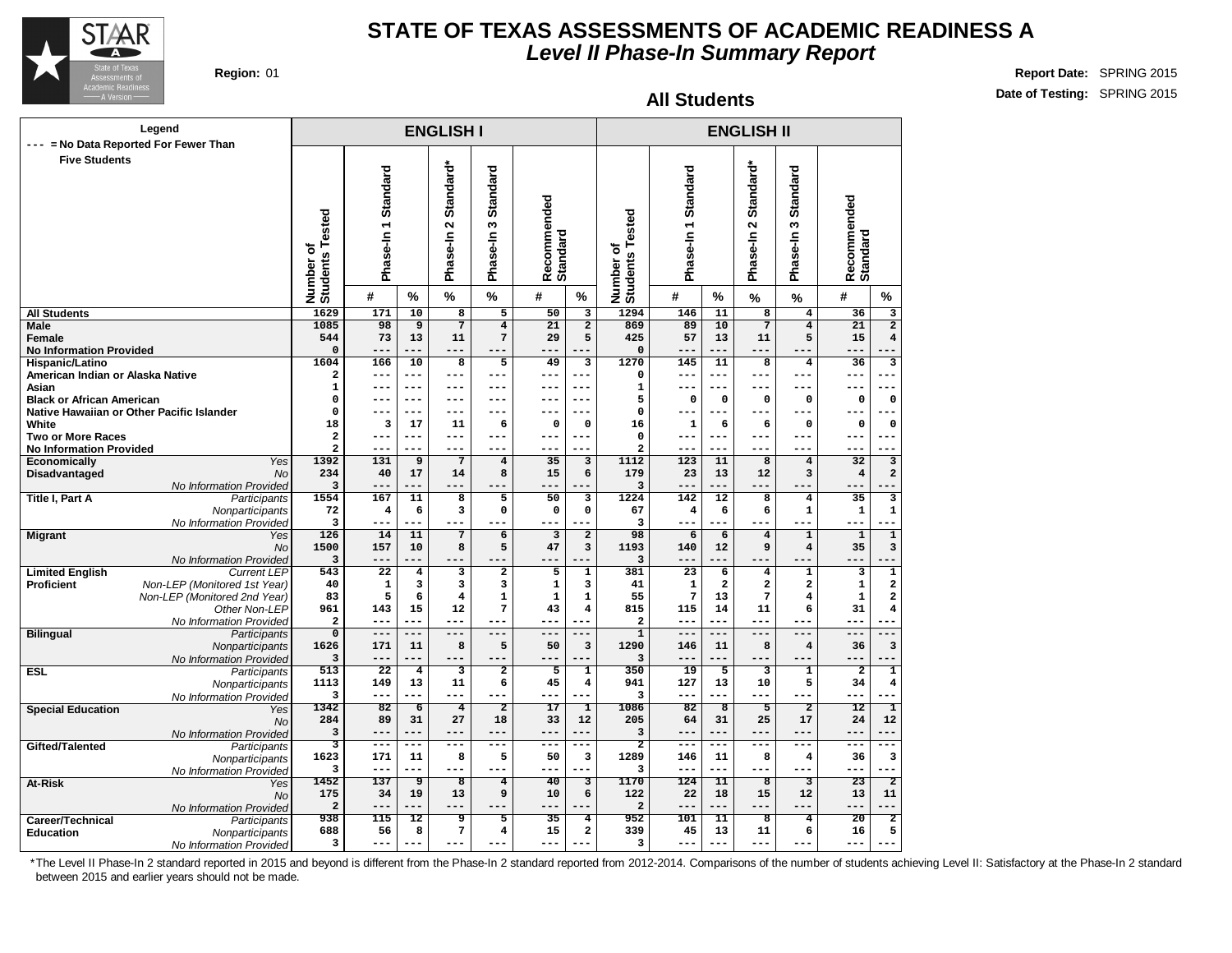

**Region:** 01 **Report Date:** SPRING 2015 **Date of Testing:** SPRING 2015

#### **All Students**

|                                                            | Legend                                     |                              |                     |                         | <b>ENGLISH I</b>           |                           |                         |                         |                              |                       |                         | <b>ENGLISH II</b>                                  |                                        |                                                    |
|------------------------------------------------------------|--------------------------------------------|------------------------------|---------------------|-------------------------|----------------------------|---------------------------|-------------------------|-------------------------|------------------------------|-----------------------|-------------------------|----------------------------------------------------|----------------------------------------|----------------------------------------------------|
| ---                                                        | = No Data Reported For Fewer Than          |                              |                     |                         |                            |                           |                         |                         |                              |                       |                         |                                                    |                                        |                                                    |
| <b>Five Students</b>                                       |                                            | Number of<br>Students Tested | Phase-In 1 Standard |                         | Standard*<br>2<br>Phase-In | Standard<br>∾<br>Phase-In | Recommended<br>Standard |                         | Number of<br>Students Tested | Standard<br>Phase-In1 |                         | Standard*<br>$\boldsymbol{\mathsf{N}}$<br>Phase-In | <b>Standard</b><br>S<br>Phase-In       | Recommended<br>Standard                            |
|                                                            |                                            |                              | #                   | %                       | $\%$                       | $\%$                      | #                       | $\%$                    |                              | #                     | %                       | $\%$                                               | $\frac{9}{6}$                          | #<br>%                                             |
| <b>All Students</b>                                        |                                            | 1629                         | 171                 | $\overline{10}$         | $\overline{8}$             | 5                         | $\overline{50}$         | $\overline{\mathbf{3}}$ | 1294                         | 146                   | $\overline{11}$         | $\overline{8}$                                     | $\overline{\mathbf{4}}$                | $\overline{36}$<br>3                               |
| <b>Male</b>                                                |                                            | 1085                         | 98                  | $\overline{9}$          | $\overline{7}$             | $\overline{4}$            | $\overline{21}$         | $\overline{2}$          | 869                          | 89                    | 10                      | $\overline{7}$                                     | $\overline{4}$                         | $\overline{2}$<br>21                               |
| <b>Female</b><br><b>No Information Provided</b>            |                                            | 544<br>$\mathbf 0$           | 73<br>$-$           | 13<br>---               | 11<br>---                  | 7<br>---                  | 29<br>$- -$             | 5                       | 425<br>$\mathbf 0$           | 57<br>$- -$           | 13                      | 11                                                 | 5                                      | $\overline{\mathbf{4}}$<br>15<br>---               |
| Hispanic/Latino                                            |                                            | 1604                         | 166                 | 10                      | $\overline{8}$             | $\overline{5}$            | 49                      | 3                       | 1270                         | 145                   | $\overline{11}$         | 8                                                  | 4                                      | 36<br>3                                            |
| American Indian or Alaska Native                           |                                            | 2                            | ---                 | ---                     | ---                        | ---                       | ---                     | ---                     | $\mathbf 0$                  | $--$                  | ---                     | $--$                                               | $---$                                  | ---<br>---                                         |
| Asian                                                      |                                            | $\mathbf{1}$                 | ---                 | $---$                   | ---                        | ---                       | ---                     | $---$                   | $\mathbf{1}$                 | $---$                 | $---$                   | $---$                                              | $---$                                  | $---$<br>---                                       |
| <b>Black or African American</b>                           |                                            | $\mathbf 0$                  | --                  | $--$                    | ---                        | ---                       | ---                     | $--$                    | 5                            | 0                     | $\mathbf 0$             | $\mathbf 0$                                        | $\mathbf 0$                            | 0<br>$\mathsf{o}\,$                                |
|                                                            | Native Hawaiian or Other Pacific Islander  | 0                            | ---                 | ---                     | ---                        | ---                       | ---                     | $---$                   | $\Omega$                     | ---                   | $---$                   | $--$                                               | ---                                    | ---                                                |
| White                                                      |                                            | 18                           | 3<br>$- -$          | 17<br>$---$             | 11<br>---                  | 6<br>$---$                | 0<br>---                | $\mathbf 0$<br>$---$    | 16<br>$\mathbf 0$            | 1<br>---              | 6<br>$- - -$            | 6<br>$- - -$                                       | $\mathbf 0$<br>$---$                   | 0<br>$\mathbf 0$<br>$---$<br>--                    |
| <b>Two or More Races</b><br><b>No Information Provided</b> |                                            | 2<br>$\overline{\mathbf{2}}$ | $- -$               | ---                     | ---                        | ---                       | ---                     |                         | 2                            | ---                   |                         | $- - -$                                            |                                        | ---                                                |
| Economically                                               | Yes                                        | 1392                         | 131                 | 9                       | $7\phantom{.0}$            | $\overline{\mathbf{4}}$   | 35                      | 3                       | 1112                         | 123                   | 11                      | 8                                                  | $\bf{4}$                               | 32<br>3                                            |
| Disadvantaged                                              | <b>No</b>                                  | 234                          | 40                  | 17                      | 14                         | 8                         | 15                      | 6                       | 179                          | 23                    | 13                      | 12                                                 | 3                                      | 2<br>$\overline{4}$                                |
|                                                            | No Information Provided                    | 3                            | ---                 | ---                     | ---                        | ---                       | ---                     |                         | 3                            | $---$                 | ---                     | $---$                                              | ---                                    | ---                                                |
| <b>Title I, Part A</b>                                     | Participants                               | 1554                         | 167                 | 11                      | $\overline{\mathbf{8}}$    | $\overline{5}$            | 50                      | 3                       | 1224                         | 142                   | $\overline{12}$         | 8                                                  | $\overline{\mathbf{4}}$                | $\overline{\mathbf{3}}$<br>35                      |
|                                                            | Nonparticipants                            | 72                           | 4                   | 6                       | 3                          | $\mathbf 0$               | $\mathbf 0$             | 0                       | 67                           | 4                     | 6                       | 6                                                  | $\mathbf 1$                            | $\mathbf 1$<br>1                                   |
|                                                            | No Information Provided                    | 3                            | ---                 | ---                     | ---                        | ---                       |                         |                         | 3                            | $- -$                 |                         |                                                    |                                        | ---                                                |
| <b>Migrant</b>                                             | Yes<br><b>No</b>                           | 126<br>1500                  | 14<br>157           | 11<br>10                | $\overline{7}$<br>8        | 6<br>5                    | 3<br>47                 | $\mathbf{2}$<br>3       | 98<br>1193                   | 6<br>140              | 6<br>12                 | $\bf{4}$<br>9                                      | $\mathbf 1$<br>$\overline{\mathbf{4}}$ | $\overline{\mathbf{1}}$<br>$\mathbf{1}$<br>3<br>35 |
|                                                            | No Information Provided                    | 3                            | $- - -$             | ---                     | ---                        | ---                       | ---                     |                         | 3                            | ---                   | ---                     |                                                    | $- - -$                                | $---$                                              |
| <b>Limited English</b>                                     | <b>Current LEP</b>                         | 543                          | $\overline{22}$     | $\bf{4}$                | 3                          | $\overline{\mathbf{2}}$   | 5                       | $\mathbf 1$             | 381                          | $\overline{23}$       | 6                       | $\overline{\bf 4}$                                 | $\mathbf 1$                            | $\overline{\mathbf{1}}$<br>3                       |
| Proficient                                                 | Non-LEP (Monitored 1st Year)               | 40                           | $\mathbf 1$         | 3                       | 3                          | 3                         | 1                       | з                       | 41                           | $\mathbf 1$           | $\mathbf{2}$            | 2                                                  | $\overline{\mathbf{2}}$                | $\mathbf 1$<br>2                                   |
|                                                            | Non-LEP (Monitored 2nd Year)               | 83                           | 5                   | 6                       | $\overline{\mathbf{4}}$    | $\mathbf{1}$              | 1                       | 1                       | 55                           | 7                     | 13                      | 7                                                  | $\bf{4}$                               | 2<br>$\mathbf 1$                                   |
|                                                            | Other Non-LEP                              | 961                          | 143                 | 15                      | 12                         | 7                         | 43                      | $\overline{\mathbf{4}}$ | 815                          | 115                   | 14                      | 11                                                 | 6                                      | 31<br>4                                            |
|                                                            | No Information Provided                    | 2                            | ---                 | $---$                   | ---                        | ---                       | $---$                   | $---$                   | $\mathbf{2}$                 | $---$                 | ---                     | $---$                                              | $---$                                  | ---                                                |
| <b>Bilingual</b>                                           | Participants<br>Nonparticipants            | $\overline{0}$<br>1626       | ---<br>171          | ---<br>11               | ---<br>8                   | ---<br>5                  | ---<br>50               | $---$<br>3              | $\overline{1}$<br>1290       | $-- -$<br>146         | ---<br>11               | $---$<br>8                                         | $---$<br>$\overline{\mathbf{4}}$       | ---<br>3<br>36                                     |
|                                                            | No Information Provided                    | 3                            | ---                 | ---                     | ---                        | ---                       | ---                     |                         | 3                            | $---$                 | ---                     | $- - -$                                            | $---$                                  | $---$                                              |
| <b>ESL</b>                                                 | Participants                               | 513                          | $\overline{22}$     | $\overline{\mathbf{4}}$ | 3                          | $\overline{2}$            | 5                       | $\mathbf 1$             | 350                          | 19                    | 5                       | 3                                                  | $\mathbf 1$                            | $\overline{\mathbf{2}}$<br>1                       |
|                                                            | Nonparticipants                            | 1113                         | 149                 | 13                      | 11                         | 6                         | 45                      | 4                       | 941                          | 127                   | 13                      | 10                                                 | 5                                      | 4<br>34                                            |
|                                                            | No Information Provided                    | 3                            |                     | ---                     | ---                        |                           | $-1$                    |                         | 3                            | $---$                 |                         | $- - -$                                            |                                        | ---                                                |
| <b>Special Education</b>                                   | Yes                                        | 1342                         | 82                  | $\overline{6}$          | $\overline{4}$             | $\overline{2}$            | 17                      | ı                       | 1086                         | 82                    | $\overline{\mathbf{8}}$ | 5                                                  | $\overline{2}$                         | 12<br>ı                                            |
|                                                            | <b>No</b>                                  | 284                          | 89                  | 31                      | 27                         | 18                        | 33                      | 12<br>$---$             | 205                          | 64                    | 31                      | 25                                                 | 17                                     | 12<br>24<br>$- - -$                                |
|                                                            | No Information Provided                    | 3<br>3                       | $-- -$<br>---       | ---<br>---              | ---<br>---                 | $---$<br>---              | ---<br>---              | ---                     | 3<br>$\overline{\mathbf{2}}$ | $---$<br>---          | ---<br>---              | $---$<br>$---$                                     | $---$<br>$---$                         | ---<br>---<br>$- - -$                              |
| Gifted/Talented                                            | Participants                               | 1623                         | 171                 | 11                      | 8                          | 5                         | 50                      | 3                       | 1289                         | 146                   | 11                      | 8                                                  | $\overline{\mathbf{4}}$                | 36<br>3                                            |
|                                                            | Nonparticipants<br>No Information Provided | 3                            | ---                 | ---                     | ---                        | ---                       | ---                     |                         | 3                            | ---                   | ---                     | $- - -$                                            | $- - -$                                | ---                                                |
| At-Risk                                                    | Yes                                        | 1452                         | 137                 | ॿ                       | $\overline{8}$             | $\overline{4}$            | $\overline{40}$         | 3                       | 1170                         | 124                   | $\overline{11}$         | $\overline{\mathbf{8}}$                            | 3                                      | $\overline{23}$<br>$\overline{\mathbf{2}}$         |
|                                                            | <b>No</b>                                  | 175                          | 34                  | 19                      | 13                         | 9                         | 10                      | 6                       | 122                          | 22                    | 18                      | 15                                                 | 12                                     | 13<br>11                                           |
|                                                            | No Information Provided                    | 2                            | --                  | ---                     | ---                        | ---                       |                         |                         | $\mathbf{2}$                 | $- - -$               | ---                     | $- - -$                                            |                                        | ---                                                |
| Career/Technical                                           | Participants                               | 938                          | 115                 | 12                      | 9                          | 5                         | 35                      | 4                       | 952                          | 101                   | 11                      | 8                                                  | 4                                      | 20<br>$\overline{2}$                               |
| <b>Education</b>                                           | Nonparticipants                            | 688                          | 56                  | 8                       | 7                          | $\overline{\mathbf{4}}$   | 15                      | $\mathbf{2}$            | 339                          | 45                    | 13                      | 11                                                 | 6                                      | 5<br>16                                            |
|                                                            | No Information Provided                    | 3                            | ---                 | ---                     | ---                        | ---                       | ---                     |                         | з                            | $---$                 | ---                     | $---$                                              | ---                                    | ---                                                |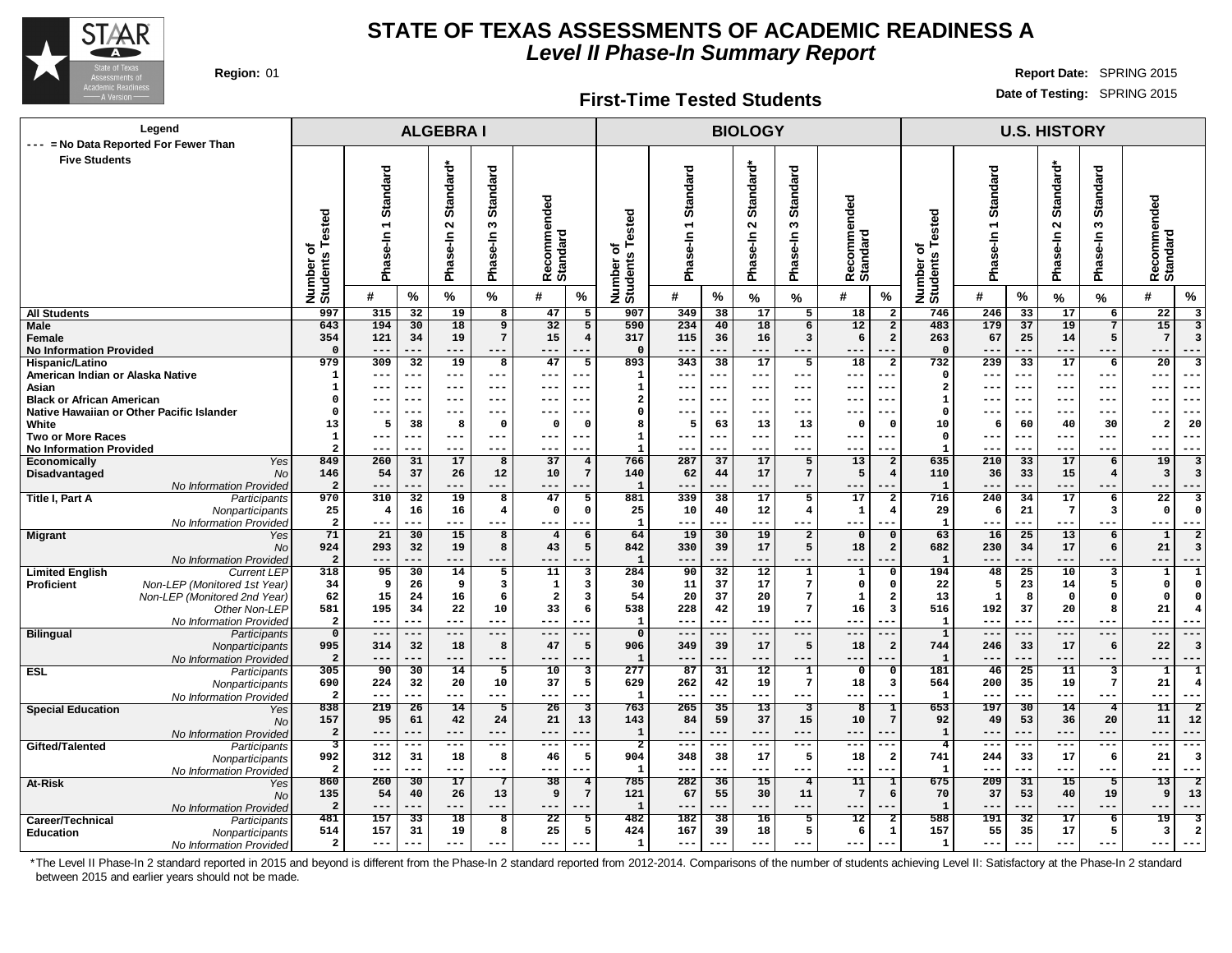

#### **First-Time Tested Students**

**Region:** 01 **Report Date:** SPRING 2015 **Date of Testing:** SPRING 2015

| Legend<br>--- = No Data Reported For Fewer Than   |                                         |                                        |                        | <b>ALGEBRAI</b>                            |                                  |                                        |                         |                                    |                     |           | <b>BIOLOGY</b>                  |                                  |                                 |                                |                              |                                                  |                 | <b>U.S. HISTORY</b>     |                                                      |                                                            |
|---------------------------------------------------|-----------------------------------------|----------------------------------------|------------------------|--------------------------------------------|----------------------------------|----------------------------------------|-------------------------|------------------------------------|---------------------|-----------|---------------------------------|----------------------------------|---------------------------------|--------------------------------|------------------------------|--------------------------------------------------|-----------------|-------------------------|------------------------------------------------------|------------------------------------------------------------|
| <b>Five Students</b>                              |                                         |                                        |                        |                                            |                                  |                                        |                         |                                    |                     |           |                                 |                                  |                                 |                                |                              |                                                  |                 |                         |                                                      |                                                            |
|                                                   | sted<br>Φ<br>৳<br>Number of<br>Students | Standard<br>$\overline{ }$<br>Phase-In |                        | Standard*<br>$\mathbf{\Omega}$<br>Phase-In | <b>Standard</b><br>S<br>Phase-In | ommended<br><b>Standard</b><br>မွ<br>œ |                         | ested<br>৳<br>Number o<br>Students | Standard<br>n<br>霞  |           | Standard*<br>$\sim$<br>Phase-In | <b>Standard</b><br>S<br>Phase-In | ommended<br>Recomme<br>Standard |                                | Number of<br>Students Tested | Standard<br>$\overline{\phantom{0}}$<br>Phase-In |                 | Standard*<br>Phase-In 2 | <b>Standard</b><br>$\boldsymbol{\omega}$<br>Phase-In | Recommended<br>Standard                                    |
|                                                   |                                         | #                                      | %                      | %                                          | %                                | #                                      | %                       |                                    | #                   | %         | %                               | %                                | #                               | $\%$                           |                              | #                                                | %               | %                       | $\%$                                                 | #<br>%                                                     |
| <b>All Students</b>                               | 997                                     | 315                                    | 32                     | 19                                         | 8                                | 47                                     | 5                       | 907                                | 349                 | 38        | 17                              | 5                                | 18                              | $\overline{\mathbf{2}}$        | 746                          | 246                                              | 33              | 17                      | 6                                                    | 22<br>3                                                    |
| Male                                              | 643                                     | 194                                    | 30                     | 18                                         | 9                                | 32                                     | 5                       | 590                                | 234                 | 40        | 18                              | 6                                | 12                              | $\overline{a}$                 | 483                          | 179                                              | 37              | 19                      | $\overline{7}$                                       | 15<br>$\overline{3}$                                       |
| Female                                            | 354                                     | 121                                    | 34                     | 19                                         | $7\overline{ }$                  | 15                                     | $\overline{\mathbf{4}}$ | 317<br>$\Omega$                    | 115                 | 36        | 16                              | 3                                | 6                               | $\overline{a}$                 | 263<br>$\Omega$              | 67                                               | 25              | 14                      | 5                                                    | $7\overline{ }$<br>$\overline{3}$                          |
| <b>No Information Provided</b><br>Hispanic/Latino | $\Omega$<br>979                         | ---<br>309                             | ---<br>$\overline{32}$ | $---$<br>19                                | $---$<br>8                       | $---$<br>47                            | 5                       | 893                                | $---$<br>343        | 38        | $---$<br>17                     | ---<br>5                         | $- -$<br>18                     | $\overline{a}$                 | 732                          | --<br>239                                        | ---<br>33       | $---$<br>17             | ---<br>6                                             | $---$<br>---<br>$\overline{20}$<br>$\overline{\mathbf{3}}$ |
| American Indian or Alaska Native                  | 1                                       | ---                                    | ---                    | $---$                                      | ---                              | $---$                                  | $- -$                   | 1                                  | $\qquad \qquad - -$ | $- - -$   | $---$                           | ---                              | ---                             | $- -$                          | $\Omega$                     | ---                                              | $---$           | ---                     | $--$                                                 | $---$<br>$--$                                              |
| Asian                                             | $\mathbf{1}$                            | ---                                    | ---                    | $- - -$                                    | $---$                            | $---$                                  |                         | $\mathbf{1}$                       | $---$               |           | ---                             | ---                              | $ -$                            |                                | $\overline{\mathbf{2}}$      | $=$ $-$                                          | $- -$           | $---$                   | $- -$                                                | $- -$<br>--                                                |
| <b>Black or African American</b>                  | O                                       | ---                                    | ---                    | $--$                                       | $--$                             | $---$                                  |                         | $\overline{a}$                     | $---$               | $---$     | $--$                            | ---                              | $-$<br>---                      |                                | -1                           |                                                  | $---$           | $--$                    | $---$                                                | $--$<br>$--$                                               |
| Native Hawaiian or Other Pacific Islander         | $\Omega$                                | $- -$                                  | $-$                    |                                            |                                  |                                        |                         | $\Omega$                           |                     |           |                                 | ---                              |                                 |                                | $\mathbf 0$                  |                                                  |                 |                         |                                                      |                                                            |
| White                                             | 13                                      | 5                                      | 38                     | 8                                          | $\Omega$                         | $\Omega$                               | $\Omega$                | 8                                  | 5                   | 63        | 13                              | 13                               | 0                               | $\Omega$                       | 10                           | 6                                                | 60              | 40                      | 30                                                   | 20<br>$\overline{2}$                                       |
| <b>Two or More Races</b>                          | 1                                       | ---                                    | ---                    | $- - -$                                    | $- - -$                          | $---$                                  |                         | $\mathbf{1}$                       | $---$               |           | $---$                           | ---                              | $- -$                           | $- -$                          | $\Omega$                     | --                                               | $- -$           | ---                     | $---$                                                | $- -$<br>---                                               |
| <b>No Information Provided</b>                    | $\overline{a}$                          | ---                                    | ---                    | ---                                        | ---                              | $---$                                  |                         | $\mathbf{1}$                       | $---$               |           |                                 | ---                              | --                              | --                             | $\mathbf{1}$                 | --                                               | ---             | $---$                   | $---$                                                | ---<br>$- - -$                                             |
| <b>Economically</b><br>Yes                        | 849                                     | 260                                    | 31                     | 17                                         | 8                                | 37                                     | $\overline{4}$          | 766                                | 287                 | 37        | 17                              | 5                                | 13                              | $\overline{\mathbf{2}}$        | 635                          | 210                                              | 33              | 17                      | 6                                                    | 19<br>3                                                    |
| Disadvantaged<br><b>No</b>                        | 146                                     | 54                                     | 37                     | 26                                         | 12                               | 10                                     | $\overline{7}$          | 140                                | 62                  | 44        | 17                              | $7\phantom{.0}$                  | 5                               | $\overline{\mathbf{4}}$        | 110                          | 36                                               | 33              | 15                      | $\overline{4}$                                       | $\overline{\mathbf{3}}$<br>з                               |
| No Information Provided                           | $\overline{a}$                          | ---                                    |                        | $---$                                      | ---                              | --                                     |                         | 1                                  | $---$               |           | ---                             | ---                              |                                 |                                | $\mathbf{1}$                 |                                                  |                 | ---                     | ---                                                  | $---$                                                      |
| <b>Title I, Part A</b><br>Participants            | 970                                     | 310                                    | 32                     | 19                                         | 8                                | 47                                     | 5                       | 881                                | 339                 | 38        | $\overline{17}$                 | 5                                | 17                              | $\overline{a}$                 | 716                          | 240                                              | 34              | 17                      | 6                                                    | $\overline{22}$<br>3                                       |
| Nonparticipants                                   | 25                                      | $\overline{\mathbf{4}}$                | 16                     | 16                                         | 4                                | $\mathbf 0$                            | $\mathbf 0$             | 25                                 | 10                  | 40        | 12                              | $\overline{4}$                   | $\mathbf{1}$                    | $\overline{4}$                 | 29                           | 6                                                | 21              | $7\phantom{.0}$         | $\mathbf{3}$                                         | $\mathbf 0$<br>$\Omega$                                    |
| No Information Provided                           | $\overline{\mathbf{2}}$<br>71           | ---<br>21                              | ---                    | $---$                                      | ---                              | $---$                                  | .                       | 1                                  | $---$<br>19         | ---       | ---                             | ---                              | ---                             | ---                            | $\mathbf{1}$                 | ---                                              | ---             | $---$<br>13             | $---$                                                | ---<br>$---$<br>$\overline{2}$                             |
| <b>Migrant</b><br>Yes<br><b>No</b>                | 924                                     | 293                                    | 30<br>32               | 15<br>19                                   | 8<br>8                           | $\overline{4}$<br>43                   | 6<br>5                  | 64<br>842                          | 330                 | 30<br>39  | 19<br>17                        | $\overline{a}$<br>5              | $\mathbf 0$<br>18               | $\mathbf 0$<br>$\overline{a}$  | 63<br>682                    | 16<br>230                                        | 25<br>34        | 17                      | 6<br>6                                               | $\mathbf{1}$<br>21<br>3                                    |
| No Information Provided                           | $\overline{a}$                          | ---                                    | ---                    | ---                                        | ---                              | ---                                    |                         | $\mathbf{1}$                       | $---$               |           | ---                             | ---                              | $- -$                           |                                | $\mathbf{1}$                 | --                                               | ---             | $---$                   | ---                                                  | $---$<br>---                                               |
| <b>Limited English</b><br><b>Current LEP</b>      | 318                                     | 95                                     | 30                     | 14                                         | 5                                | 11                                     | 3                       | 284                                | 90                  | 32        | $\overline{12}$                 | $\mathbf{1}$                     | $\mathbf{1}$                    | $\mathbf 0$                    | 194                          | 48                                               | 25              | 10                      | 3                                                    | $\mathbf{1}$<br>$\mathbf{1}$                               |
| Non-LEP (Monitored 1st Year)<br><b>Proficient</b> | 34                                      | 9                                      | 26                     | 9                                          | 3                                | $\mathbf 1$                            | 3                       | 30                                 | 11                  | 37        | 17                              | $\overline{7}$                   | 0                               | $\mathbf 0$                    | 22                           | 5                                                | 23              | 14                      | 5                                                    | $\mathbf{o}$<br>$\Omega$                                   |
| Non-LEP (Monitored 2nd Year)                      | 62                                      | 15                                     | 24                     | 16                                         | 6                                | $\overline{\mathbf{2}}$                | 3                       | 54                                 | 20                  | 37        | 20                              | $\overline{7}$                   | $\mathbf 1$                     | $\overline{a}$                 | 13                           | $\mathbf{1}$                                     | 8               | $\mathbf 0$             | $\mathbf 0$                                          | $\Omega$<br>$\Omega$                                       |
| Other Non-LEP                                     | 581                                     | 195                                    | 34                     | 22                                         | 10                               | 33                                     | 6                       | 538                                | 228                 | 42        | 19                              | $\overline{7}$                   | 16                              | $\overline{\mathbf{3}}$        | 516                          | 192                                              | 37              | 20                      | 8                                                    | 21<br>4                                                    |
| No Information Provided                           | $\overline{\mathbf{2}}$                 | $---$                                  | $- - -$                | $---$                                      | $---$                            | $---$                                  | ---                     | $\mathbf{1}$                       | $\qquad \qquad - -$ | ---       | $---$                           | $---$                            | $-$                             | ---                            | $\mathbf{1}$                 | $--$                                             | ---             | ---                     | $---$                                                | $---$<br>---                                               |
| <b>Bilingual</b><br>Participants                  | $\overline{0}$                          | $---$                                  | ---                    | $---$                                      | $---$                            | $---$                                  | ---                     | $\overline{0}$                     | $---$               | ---       | $---$                           | ---                              | $- -$                           | $- -$                          | $\overline{1}$               | $---$                                            | ---             | $---$                   | $---$                                                | $---$<br>---                                               |
| Nonparticipants                                   | 995                                     | 314                                    | 32                     | 18                                         | 8                                | 47                                     | 5                       | 906                                | 349                 | 39        | 17                              | 5                                | 18                              | $\overline{\mathbf{2}}$        | 744                          | 246                                              | 33              | 17                      | 6                                                    | 22<br>$\overline{3}$                                       |
| No Information Provided                           | $\overline{a}$                          | ---                                    | ---                    | $---$                                      | $---$                            | ---                                    |                         | $\mathbf 1$                        | $---$               |           | $---$                           | $---$                            | $- -$                           |                                | $\mathbf{1}$                 |                                                  | ---             | $---$                   | $---$                                                | $---$<br>---                                               |
| <b>ESL</b><br>Participants                        | 305                                     | $\overline{90}$                        | 30                     | 14                                         | 5                                | 10                                     | 3                       | 277                                | 87                  | 31        | 12                              | $\overline{1}$                   | $\mathbf 0$                     | $\mathbf 0$                    | 181                          | 46                                               | 25              | 11                      | 3                                                    | 1<br>1                                                     |
| Nonparticipants                                   | 690<br>$\overline{a}$                   | 224<br>---                             | 32<br>---              | 20<br>$---$                                | 10<br>$---$                      | 37<br>$---$                            | 5<br>---                | 629<br>$\mathbf{1}$                | 262<br>$---$        | 42<br>--- | 19<br>$---$                     | $\overline{7}$<br>---            | 18<br>$- -$                     | $\overline{\mathbf{3}}$<br>--- | 564<br>$\mathbf{1}$          | 200<br>--                                        | 35<br>---       | 19<br>---               | $7\phantom{.0}$<br>$--$                              | 21<br>4<br>$- - -$<br>$- -$                                |
| No Information Provided                           | 838                                     | 219                                    | 26                     | 14                                         | 5                                | 26                                     | $\overline{\mathbf{3}}$ | 763                                | 265                 | 35        | 13                              | $\overline{\mathbf{3}}$          | 8                               | I                              | 653                          | 197                                              | 30              | 14                      | $\overline{4}$                                       | 11<br>$\overline{2}$                                       |
| <b>Special Education</b><br>Yes<br><b>No</b>      | 157                                     | 95                                     | 61                     | 42                                         | 24                               | 21                                     | 13                      | 143                                | 84                  | 59        | 37                              | 15                               | 10                              | $7\phantom{.0}$                | 92                           | 49                                               | 53              | 36                      | 20                                                   | ${\bf 11}$<br>12                                           |
| No Information Provided                           | $\overline{a}$                          | ---                                    | ---                    | $---$                                      | $---$                            | $---$                                  |                         | $\mathbf 1$                        | $---$               | ---       | $---$                           | ---                              | $- -$<br>--                     |                                | $\mathbf{1}$                 | --                                               | ---             | $---$                   | $- - -$                                              | $---$<br>$- -$                                             |
| Gifted/Talented<br>Participants                   | 3                                       | $- - -$                                | ---                    | ---                                        | $---$                            | $\qquad \qquad - -$                    | ---                     | $\overline{2}$                     | $- - -$             | ---       | ---                             | ---                              | ---                             | $--$                           | $\overline{\mathbf{4}}$      | ---                                              | $---$           | $---$                   | $- - -$                                              | $- - -$<br>$- - -$                                         |
| Nonparticipants                                   | 992                                     | 312                                    | 31                     | 18                                         | 8                                | 46                                     | 5                       | 904                                | 348                 | 38        | 17                              | 5                                | 18                              | $\overline{a}$                 | 741                          | 244                                              | 33              | 17                      | 6                                                    | 21<br>3                                                    |
| No Information Provided                           | $\overline{a}$                          | ---                                    | ---                    | $---$                                      | $- -$                            | $---$                                  | $-$                     | $\mathbf{1}$                       | $---$               | ---       | ---                             | ---                              | ---                             | ---                            | $\mathbf{1}$                 | --                                               | ---             | $---$                   | $- - -$                                              | $---$<br>$- - -$                                           |
| At-Risk<br>Yes                                    | 860                                     | 260                                    | $\overline{30}$        | $\overline{17}$                            |                                  | $\overline{38}$                        | $\overline{4}$          | 785                                | 282                 | 36        | $\overline{15}$                 | $\overline{4}$                   | $\overline{11}$                 | 1                              | 675                          | 209                                              | $\overline{31}$ | $\overline{15}$         | 5                                                    | $\overline{13}$<br>$\overline{2}$                          |
| <b>No</b>                                         | 135                                     | 54                                     | 40                     | 26                                         | 13                               | 9                                      | $7\phantom{.0}$         | 121                                | 67                  | 55        | 30                              | 11                               | $\overline{7}$                  | 6                              | 70                           | 37                                               | 53              | 40                      | 19                                                   | 9<br>13                                                    |
| No Information Provided                           | $\overline{a}$                          | ---                                    | ---                    | $---$                                      | ---                              | ---                                    | $-$                     | $\mathbf 1$                        | $---$               | ---       | ---                             | ---                              | ---                             |                                | $\mathbf{1}$                 | ---                                              | ---             | ---                     | ---                                                  | ---<br>$--$                                                |
| Career/Technical<br>Participants                  | 481                                     | 157                                    | 33                     | $\overline{18}$                            | 8                                | $\overline{22}$                        | 5                       | 482                                | 182                 | 38        | 16                              | -5                               | 12                              |                                | 588                          | 191                                              | $\overline{32}$ | $\overline{17}$         | 6                                                    | $\overline{19}$                                            |
| <b>Education</b><br>Nonparticipants               | 514                                     | 157                                    | 31                     | 19                                         | 8                                | 25                                     | 5                       | 424                                | 167                 | 39        | 18                              | 5                                | 6                               | 1                              | 157                          | 55                                               | 35              | 17                      | 5                                                    | 3<br>$\overline{\mathbf{2}}$                               |
| No Information Provided                           | $\overline{a}$                          | ---                                    | ---                    | $---$                                      |                                  | ---                                    |                         | $\mathbf{1}$                       | $---$               |           | ---                             | ---                              | ---                             |                                | $\mathbf{1}$                 | ---                                              | ---             | ---                     | ---                                                  | $--$                                                       |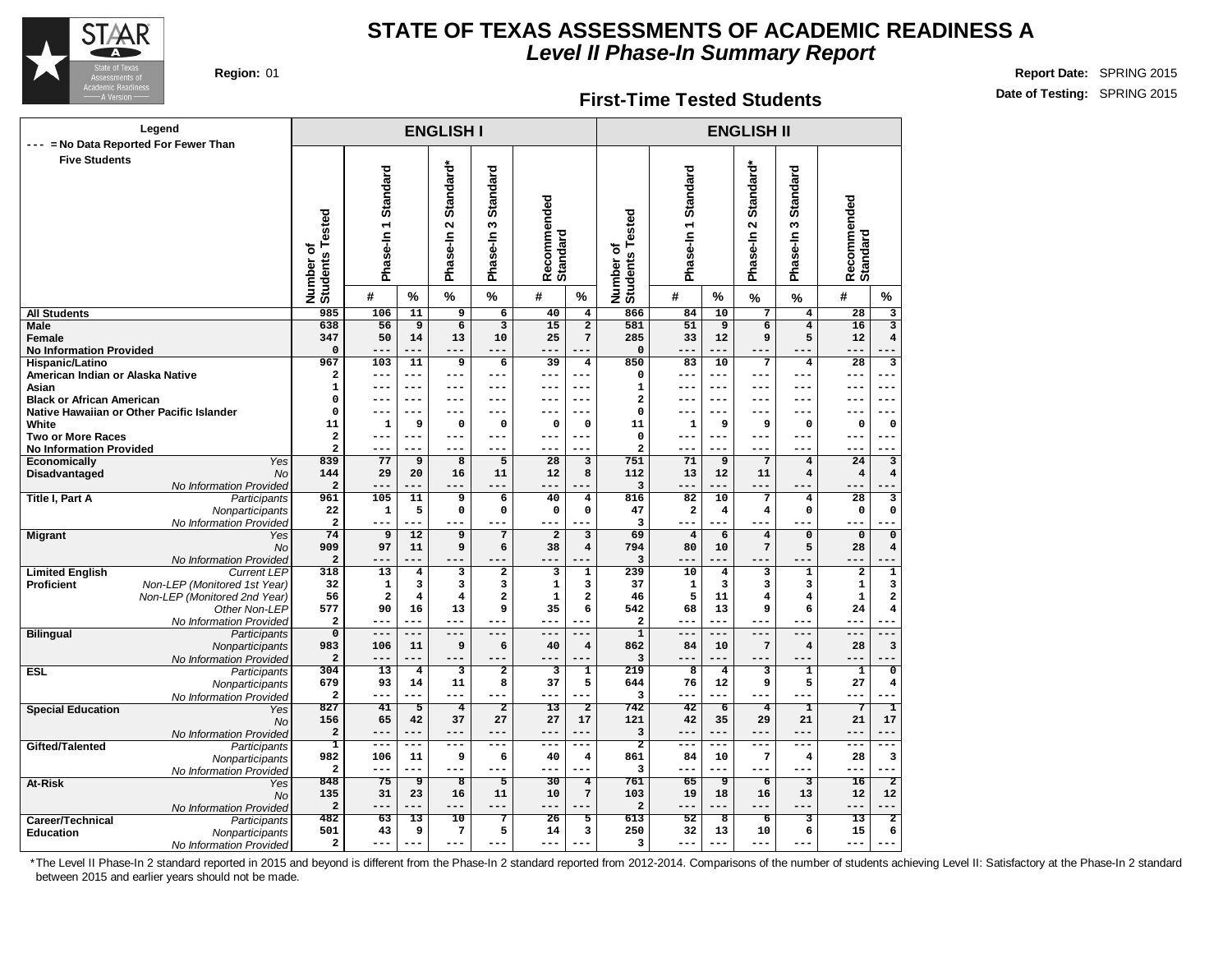

#### **First-Time Tested Students**

**Region:** 01 **Report Date:** SPRING 2015 **Date of Testing:** SPRING 2015

|                                           | Legend<br>--- = No Data Reported For Fewer Than |                                |                        |                         | <b>ENGLISH I</b>                              |                               |                         |                                  |                              |                               |                         | <b>ENGLISH II</b>                             |                                  |                         |                           |
|-------------------------------------------|-------------------------------------------------|--------------------------------|------------------------|-------------------------|-----------------------------------------------|-------------------------------|-------------------------|----------------------------------|------------------------------|-------------------------------|-------------------------|-----------------------------------------------|----------------------------------|-------------------------|---------------------------|
| <b>Five Students</b>                      |                                                 | Number of<br>Students Tested   | Phase-In 1 Standard    |                         | Standard*<br>$\mathbf{\tilde{z}}$<br>Phase-In | Standard<br>S<br>Phase-In     | Recommended<br>Standard |                                  | Number of<br>Students Tested | Phase-In 1 Standard           |                         | Standard*<br>$\mathbf{\tilde{z}}$<br>Phase-In | <b>Standard</b><br>S<br>Phase-In | Recommended<br>Standard |                           |
|                                           |                                                 |                                | #                      | %                       | $\%$                                          | $\frac{9}{6}$                 | #                       | $\%$                             |                              | #                             | %                       | $\%$                                          | $\frac{1}{2}$                    | #                       | %                         |
| <b>All Students</b>                       |                                                 | 985                            | 106                    | 11                      | 9                                             | $\overline{6}$                | 40                      | $\overline{4}$                   | 866                          | 84                            | 10                      | $\overline{7}$                                | $\overline{\mathbf{4}}$          | $\overline{28}$         | $\overline{\mathbf{3}}$   |
| <b>Male</b>                               |                                                 | 638                            | $\overline{56}$        | $\overline{9}$          | $\overline{6}$                                | $\overline{\mathbf{3}}$       | $\overline{15}$         | $\overline{2}$                   | 581                          | $\overline{51}$               | $\overline{9}$          | $\overline{6}$                                | $\overline{4}$                   | 16                      |                           |
| <b>Female</b>                             |                                                 | 347                            | 50                     | 14                      | 13                                            | 10                            | 25                      | 7                                | 285                          | 33                            | 12                      | 9                                             | 5                                | 12                      | $\overline{\mathbf{4}}$   |
| <b>No Information Provided</b>            |                                                 | $\mathbf 0$                    | $--$                   | ---                     | ---                                           | $---$                         | ---                     |                                  | $\mathbf 0$                  | $- -$                         |                         |                                               |                                  | ---                     |                           |
| Hispanic/Latino                           |                                                 | 967                            | 103                    | 11                      | 9                                             | 6                             | 39                      | 4                                | 850                          | 83                            | 10                      | $\overline{7}$                                | $\overline{\mathbf{4}}$          | $\overline{28}$         | 3                         |
| American Indian or Alaska Native<br>Asian |                                                 | $\mathbf{2}$<br>$\mathbf 1$    | ---<br>---             | $---$<br>$---$          | ---<br>---                                    | ---<br>---                    | ---<br>---              | ---<br>$---$                     | 0<br>$\mathbf{1}$            | ---<br>$--$                   | $---$<br>$---$          | $---$                                         | ---<br>$---$                     | ---<br>---              | ---                       |
| <b>Black or African American</b>          |                                                 | 0                              | ---                    | $---$                   | ---                                           | ---                           | ---                     | $---$                            | $\overline{a}$               | $- -$                         | $---$                   | $---$                                         | $---$                            | ---                     | ---                       |
|                                           | Native Hawaiian or Other Pacific Islander       | $\mathbf 0$                    |                        | $---$                   | ---                                           | ---                           | ---                     | $---$                            | 0                            | $ -$                          | $---$                   | $- - -$                                       | $---$                            | $---$                   | ---                       |
| White                                     |                                                 | 11                             | 1                      | 9                       | $\mathbf 0$                                   | $\mathbf 0$                   | 0                       | $\mathbf 0$                      | 11                           | $\mathbf 1$                   | 9                       | 9                                             | $\mathbf 0$                      | $\mathbf 0$             | 0                         |
| <b>Two or More Races</b>                  |                                                 | $\overline{a}$                 |                        | $---$                   | ---                                           | ---                           | ---                     | $---$                            | $\mathbf 0$                  |                               | $---$                   |                                               | ---                              | ---                     | ---                       |
| <b>No Information Provided</b>            |                                                 | $\overline{a}$                 |                        | ---                     | ---                                           | ---                           |                         | ---                              | $\overline{a}$               |                               |                         |                                               |                                  |                         |                           |
| Economically                              | Yes                                             | 839                            | 77                     | 9                       | 8                                             | 5                             | 28                      | 3                                | 751                          | 71                            | 9                       | $7\phantom{.0}$                               | $\bf{4}$                         | 24                      | $\overline{\mathbf{3}}$   |
| Disadvantaged                             | <b>No</b>                                       | 144                            | 29                     | 20                      | 16                                            | 11                            | 12                      | 8                                | 112                          | 13                            | 12                      | 11                                            | $\overline{\mathbf{4}}$          | $\overline{\mathbf{4}}$ | $\overline{\bf 4}$        |
|                                           | No Information Provided                         | $\mathbf 2$                    |                        |                         | ---                                           | ---                           | ---<br>40               |                                  | 3                            |                               |                         |                                               |                                  |                         |                           |
| <b>Title I, Part A</b>                    | Participants                                    | 961<br>22                      | 105<br>1               | 11<br>5                 | 9<br>$\mathbf 0$                              | $\overline{6}$<br>$\mathbf 0$ | $\mathbf 0$             | $\overline{\mathbf{4}}$<br>0     | 816<br>47                    | 82<br>$\overline{\mathbf{2}}$ | 10<br>$\overline{4}$    | $\overline{7}$<br>$\overline{4}$              | $\overline{\mathbf{4}}$<br>0     | 28<br>$\mathbf 0$       | 3<br>0                    |
|                                           | Nonparticipants<br>No Information Provided      | $\overline{\mathbf{2}}$        | ---                    | ---                     | $---$                                         | $---$                         | ---                     |                                  | 3                            | $---$                         | $---$                   | $- - -$                                       | $---$                            | ---                     |                           |
| <b>Migrant</b>                            | Yes                                             | $\overline{74}$                | $\overline{9}$         | $\overline{12}$         | $\overline{9}$                                | $\overline{7}$                | $\overline{2}$          | $\overline{\mathbf{3}}$          | 69                           | $\overline{4}$                | $\overline{6}$          | $\overline{4}$                                | $\overline{0}$                   | $\mathbf 0$             | $\overline{\mathfrak{o}}$ |
|                                           | <b>No</b>                                       | 909                            | 97                     | 11                      | 9                                             | 6                             | 38                      | $\overline{4}$                   | 794                          | 80                            | 10                      | $7\phantom{.0}$                               | 5                                | 28                      | $\overline{\bf 4}$        |
|                                           | No Information Provided                         | $\mathbf 2$                    |                        |                         |                                               |                               |                         |                                  | 3                            |                               |                         |                                               |                                  |                         |                           |
| <b>Limited English</b>                    | <b>Current LEP</b>                              | 318                            | 13                     | 4                       | 3                                             | $\overline{2}$                | 3                       | $\mathbf{1}$                     | 239                          | 10                            | $\overline{4}$          | 3                                             | $\mathbf 1$                      | $\mathbf 2$             | $\overline{1}$            |
| <b>Proficient</b>                         | Non-LEP (Monitored 1st Year)                    | 32                             | $\mathbf 1$            | 3                       | 3                                             | 3                             | 1                       | з                                | 37                           | $\mathbf 1$                   | 3                       | 3                                             | 3                                | $\mathbf 1$             | 3                         |
|                                           | Non-LEP (Monitored 2nd Year)                    | 56                             | $\mathbf{2}$           | $\overline{\mathbf{4}}$ | $\overline{\mathbf{4}}$                       | $\overline{\mathbf{2}}$       | $\mathbf{1}$            | $\overline{\mathbf{2}}$          | 46                           | 5                             | 11                      | $\overline{\bf 4}$                            | $\overline{\mathbf{4}}$          | $\mathbf{1}$            | $\overline{\mathbf{2}}$   |
|                                           | Other Non-LEP                                   | 577                            | 90                     | 16                      | 13                                            | 9                             | 35                      | 6                                | 542                          | 68                            | 13                      | 9                                             | 6                                | 24                      | $\overline{\bf 4}$        |
|                                           | No Information Provided                         | $\mathbf{2}$                   | ---                    | ---                     | $---$                                         | $---$                         | ---                     | ---                              | $\mathbf{2}$                 | $---$                         | $---$                   | $---$                                         | $---$                            | $---$                   |                           |
| <b>Bilingual</b>                          | Participants                                    | $\overline{0}$                 | $---$                  | $---$                   | $- - -$                                       | $---$                         | $---$                   | $---$                            | $\overline{1}$               | $---$                         | $-$                     | $---$                                         | $---$                            | $---$                   | $---$                     |
|                                           | Nonparticipants                                 | 983<br>$\overline{\mathbf{2}}$ | 106                    | 11<br>---               | 9                                             | 6                             | 40                      | $\overline{\mathbf{4}}$          | 862<br>3                     | 84                            | 10                      | $7\phantom{.0}$                               | $\overline{\mathbf{4}}$          | 28                      | 3                         |
| <b>ESL</b>                                | No Information Provided<br>Participants         | 304                            | 13                     | $\overline{4}$          | 3                                             | $\overline{2}$                | з                       | $\mathbf{1}$                     | 219                          | 8                             | $\overline{4}$          | 3                                             | $\mathbf{1}$                     | $\mathbf{1}$            | $\overline{\mathfrak{o}}$ |
|                                           | Nonparticipants                                 | 679                            | 93                     | 14                      | 11                                            | 8                             | 37                      | 5                                | 644                          | 76                            | 12                      | 9                                             | 5                                | 27                      | 4                         |
|                                           | No Information Provided                         | $\overline{\mathbf{2}}$        | ---                    | ---                     | ---                                           | $---$                         | ---                     |                                  | 3                            | $---$                         | $- - -$                 | $- - -$                                       | $---$                            | $---$                   | $-1$                      |
| <b>Special Education</b>                  | Yes                                             | 827                            | 41                     | 5                       | $\overline{4}$                                | $\overline{2}$                | 13                      | $\overline{2}$                   | 742                          | 42                            | $\overline{6}$          | $\overline{4}$                                | ı                                | 7                       | ī                         |
|                                           | <b>No</b>                                       | 156                            | 65                     | 42                      | 37                                            | 27                            | 27                      | 17                               | 121                          | 42                            | 35                      | 29                                            | 21                               | 21                      | 17                        |
|                                           | No Information Provided                         | $\overline{\mathbf{2}}$        | $- -$                  | ---                     | ---                                           | $---$                         | $- -$                   | ---                              | $\overline{3}$               | $---$                         | $- - -$                 | $- - -$                                       | ---                              | ---                     | $- - -$                   |
| Gifted/Talented                           | Participants                                    | T                              | ---                    | $--$                    | ---                                           | $---$                         | ---                     | ---                              | $\overline{2}$               | $- -$                         | $---$                   | $---$                                         | ---                              | ---                     |                           |
|                                           | Nonparticipants                                 | 982                            | 106                    | 11                      | 9                                             | 6                             | 40                      | $\overline{\mathbf{4}}$          | 861                          | 84                            | 10                      | $\overline{7}$                                | $\overline{\mathbf{4}}$          | 28                      | 3                         |
|                                           | No Information Provided                         | $\overline{\mathbf{2}}$<br>848 | ---<br>$\overline{75}$ | ---                     | ---<br>ड                                      | $---$<br>丂                    | $ -$<br>$\overline{30}$ |                                  | 3<br>761                     | $- -$                         | $- - -$<br>ॿ            | $- - -$                                       |                                  | ---<br>$\overline{16}$  | $\overline{2}$            |
| At-Risk                                   | Yes                                             | 135                            | 31                     | 9<br>23                 | 16                                            | 11                            | 10                      | $\overline{4}$<br>$\overline{7}$ | 103                          | 65<br>19                      | 18                      | $\overline{6}$<br>16                          | 3<br>13                          | 12                      | 12                        |
|                                           | No                                              | $\mathbf 2$                    | ---                    | ---                     | ---                                           | ---                           | ---                     |                                  | $\mathbf{2}$                 |                               | ---                     |                                               | ---                              | ---                     | $---$                     |
| Career/Technical                          | No Information Provided<br>Participants         | 482                            | 63                     | 13                      | $\overline{10}$                               | 7                             | $\overline{26}$         | 5                                | 613                          | 52                            | $\overline{\mathbf{g}}$ | $\overline{6}$                                | 3                                | 13                      | $\overline{2}$            |
| <b>Education</b>                          | Nonparticipants                                 | 501                            | 43                     | 9                       | $\overline{7}$                                | 5                             | 14                      | 3                                | 250                          | 32                            | 13                      | 10                                            | 6                                | 15                      | 6                         |
|                                           | No Information Provided                         | $\overline{\mathbf{c}}$        |                        | $ -$                    | ---                                           | ---                           |                         |                                  | 3                            |                               |                         |                                               |                                  | ---                     |                           |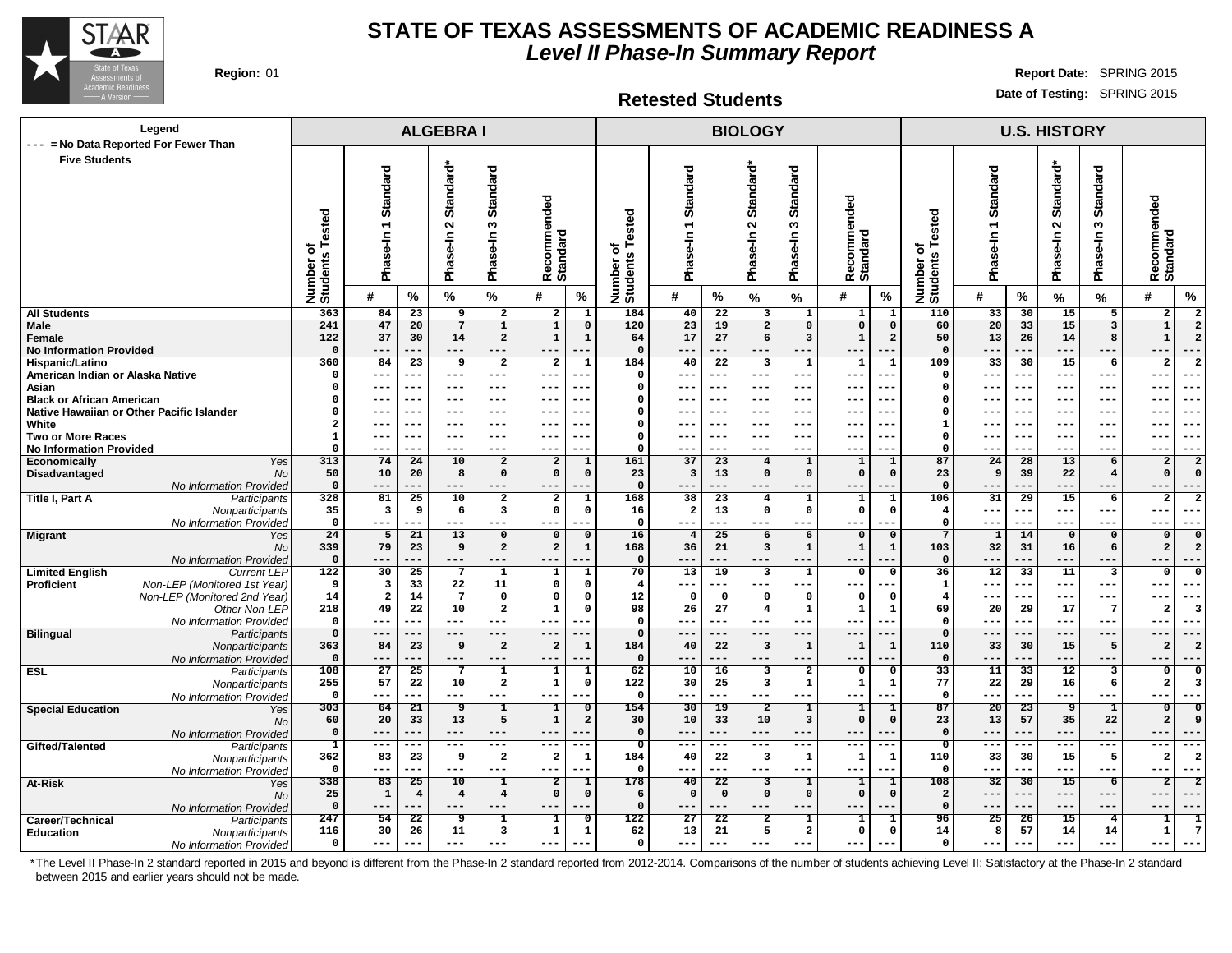

**Retested Students**

**Region:** 01 **Report Date:** SPRING 2015 **Date of Testing:** SPRING 2015

| Legend<br>--- = No Data Reported For Fewer Than                            |                      | <b>ALGEBRAI</b>                                    |                                   |                       |                                |                                        |                             | <b>BIOLOGY</b>          |                               |                                |                                        |                                |                               |                                           | <b>U.S. HISTORY</b>   |                          |                        |                              |                                                                  |  |  |
|----------------------------------------------------------------------------|----------------------|----------------------------------------------------|-----------------------------------|-----------------------|--------------------------------|----------------------------------------|-----------------------------|-------------------------|-------------------------------|--------------------------------|----------------------------------------|--------------------------------|-------------------------------|-------------------------------------------|-----------------------|--------------------------|------------------------|------------------------------|------------------------------------------------------------------|--|--|
| <b>Five Students</b>                                                       |                      |                                                    |                                   |                       |                                |                                        |                             |                         |                               |                                |                                        |                                |                               |                                           |                       |                          |                        |                              |                                                                  |  |  |
|                                                                            |                      |                                                    |                                   | Standard*             |                                |                                        |                             |                         |                               |                                | Standard*                              |                                |                               |                                           |                       |                          | Standard*              |                              |                                                                  |  |  |
|                                                                            |                      |                                                    |                                   |                       |                                |                                        |                             |                         |                               |                                |                                        |                                |                               |                                           |                       |                          |                        |                              |                                                                  |  |  |
|                                                                            |                      | <b>Standard</b>                                    |                                   |                       | Standard                       |                                        |                             |                         | Standard                      |                                |                                        | Standard                       | nded                          |                                           | Standard              |                          |                        | <b>Standard</b>              |                                                                  |  |  |
|                                                                            |                      | $\overline{ }$                                     |                                   | $\sim$                | w                              |                                        |                             | ested                   |                               |                                | $\sim$                                 | ω                              |                               |                                           |                       |                          | $\sim$                 | w                            |                                                                  |  |  |
|                                                                            | ested                |                                                    |                                   |                       |                                |                                        |                             |                         |                               |                                |                                        |                                | ecomme                        |                                           |                       |                          |                        |                              |                                                                  |  |  |
|                                                                            | ō                    |                                                    |                                   |                       |                                |                                        |                             | ৳                       | Ise-In                        |                                | ise-In                                 | Ise-In                         |                               |                                           |                       |                          |                        |                              |                                                                  |  |  |
|                                                                            |                      | Phase-In                                           |                                   | Phase-In              | Phase-In                       | Recommended<br><b>Standard</b>         |                             |                         | Pha                           |                                | Pha                                    | Pha                            | Recomme<br>Standard           |                                           | Phase-In 1            |                          | Phase-In               | Phase-In                     | Recommended<br>Standard                                          |  |  |
|                                                                            | Number o<br>Students |                                                    |                                   |                       |                                |                                        |                             | Number o<br>Students    |                               |                                |                                        |                                |                               | Number of<br>Students Tested              |                       |                          |                        |                              |                                                                  |  |  |
|                                                                            |                      | #                                                  | $\%$                              | %                     | $\%$                           | #                                      | %                           |                         | #                             | %                              | %                                      | %                              | #<br>$\%$                     |                                           | #                     | %                        | %                      | %                            | #<br>$\%$                                                        |  |  |
| <b>All Students</b>                                                        | 363                  | 84                                                 | $\overline{23}$                   | 9                     | $\overline{2}$                 | $\overline{2}$                         | $\mathbf{1}$                | 184                     | 40                            | $\overline{22}$                | 3                                      | 1                              | $\mathbf{1}$                  | 110                                       | 33                    | 30                       | 15                     | 5                            | $\overline{2}$<br>$\overline{\mathbf{2}}$                        |  |  |
| Male<br>Female                                                             | 241<br>122           | 47<br>37                                           | 20<br>30                          | $7\overline{ }$<br>14 | $\mathbf{1}$<br>$\overline{a}$ | $\overline{1}$<br>$\mathbf{1}$         | $\mathbf 0$<br>$\mathbf 1$  | 120<br>64               | 23<br>17                      | 19<br>27                       | $\overline{2}$<br>6                    | $\mathbf 0$<br>3               | $\overline{0}$<br>$\mathbf 1$ | 60<br>$\mathbf 0$<br>$\overline{a}$<br>50 | $\overline{20}$<br>13 | 33<br>26                 | 15<br>14               | $\overline{\mathbf{3}}$<br>8 | $\overline{2}$<br>$\mathbf{1}$<br>$\mathbf{1}$<br>$\overline{2}$ |  |  |
| <b>No Information Provided</b>                                             | $\Omega$             | $---$                                              |                                   | $---$                 |                                | ---                                    |                             | $\mathbf{0}$            | $---$                         |                                |                                        | ---                            |                               | $\mathbf 0$                               | ---                   |                          | $---$                  | ---                          | $---$<br>---                                                     |  |  |
| Hispanic/Latino                                                            | 360                  | 84                                                 | $\overline{23}$                   | 9                     | $\overline{a}$                 | $\overline{\mathbf{2}}$                | ${\bf 1}$                   | 184                     | 40                            | 22                             | $\overline{\mathbf{3}}$                | $\mathbf{1}$                   | $\mathbf{1}$                  | 109<br>$\mathbf{1}$                       | $\overline{33}$       | 30                       | 15                     | 6                            | $\overline{a}$<br>$\mathbf{2}$                                   |  |  |
| American Indian or Alaska Native                                           | $\Omega$             | $---$                                              | ---                               | $--$                  | $--$                           | $---$                                  |                             | $\mathbf 0$             | ---                           | ---                            | ---                                    | ---                            | ---                           | $\Omega$                                  | ---                   | $---$                    | ---                    | ---                          | $---$<br>---                                                     |  |  |
| Asian<br><b>Black or African American</b>                                  | 0<br>0               | $---$<br>---                                       | $---$<br>$---$                    | $--$<br>$--$          | $--$<br>$--$                   | $---$<br>$---$                         | .                           | $\Omega$<br>$\Omega$    | $---$<br>$---$                | $--$<br>$--$                   | $---$<br>---                           | $---$<br>---                   | ---<br>$- -$<br>$ -$<br>$- -$ | $\Omega$<br>$\Omega$                      | ---<br>---            | $--$<br>$-- -$           | ---<br>---             | $--$<br>$--$                 | $--$<br>$- - -$<br>$--$<br>$- - -$                               |  |  |
| Native Hawaiian or Other Pacific Islander                                  | 0                    | $---$                                              | $---$                             | $--$                  | $--$                           | $---$                                  | ---                         | $\Omega$                | $---$                         | $--$                           | $---$                                  | ---                            | $- -$<br>---                  | $\Omega$                                  | ---                   | $--$                     | ---                    | $--$                         | $- - -$<br>$- - -$                                               |  |  |
| White                                                                      | $\mathbf{2}$         | $---$                                              | $---$                             | $- - -$               | $- - -$                        | $---$                                  | ---                         | $\Omega$                | $---$                         | $- - -$                        | $- - -$                                | $--$                           | $- - -$<br>$- -$              | 1                                         | ---                   | $- - -$                  | ---                    | $---$                        | $- - -$<br>$- - -$                                               |  |  |
| <b>Two or More Races</b>                                                   | $\mathbf 1$          | ---                                                | ---                               | $- - -$               | $- - -$                        | ---                                    |                             | $\Omega$                | $---$                         | $- - -$                        | ---                                    | $---$                          | $- -$                         | $\mathbf 0$                               |                       | $- -$                    | ---                    | $- - -$                      | ---<br>$--$                                                      |  |  |
| <b>No Information Provided</b>                                             | $\Omega$             | $--$                                               | ---                               | $- -$                 | ---                            | ---                                    |                             | $\Omega$                | $- - -$                       |                                | ---                                    | ---                            | ---                           | $\Omega$                                  | ---                   | ---                      | ---                    | ---                          | $- -$<br>---<br>$\overline{2}$                                   |  |  |
| Economically<br>Yes<br>Disadvantaged<br>No                                 | 313<br>50            | 74<br>10                                           | 24<br>20                          | 10<br>8               | $\overline{a}$<br>$\mathbf 0$  | $\overline{\mathbf{2}}$<br>$\mathbf 0$ | $\mathbf 1$<br>$\mathbf 0$  | 161<br>23               | 37<br>$\overline{\mathbf{3}}$ | 23<br>13                       | $\overline{4}$<br>$\Omega$             | $\mathbf{1}$<br>$\Omega$       | $\mathbf 1$<br>$\mathbf 0$    | 87<br>1<br>23<br>$\Omega$                 | 24<br>9               | 28<br>39                 | 13<br>22               | 6<br>$\overline{4}$          | $\overline{a}$<br>$\Omega$<br>$\Omega$                           |  |  |
| No Information Provideo                                                    | $\mathbf 0$          | $---$                                              | ---                               | $- - -$               | $---$                          | $---$                                  | $ -$                        | $\Omega$                | $---$                         | ---                            | ---                                    | $---$                          | $- -$                         | $\mathbf 0$                               | ---                   | ---                      | ---                    | $---$                        | $- -$<br>$---$                                                   |  |  |
| Title I, Part A<br>Participants                                            | 328                  | 81                                                 | 25                                | 10                    | $\overline{a}$                 | $\overline{a}$                         | $\mathbf{1}$                | 168                     | 38                            | 23                             | $\overline{4}$                         | $\mathbf{1}$                   | 1                             | 106<br>1                                  | 31                    | 29                       | 15                     | 6                            | $\overline{2}$<br>2                                              |  |  |
| Nonparticipants                                                            | 35                   | $\overline{\mathbf{3}}$                            | 9                                 | 6                     | $\overline{\mathbf{3}}$        | $\mathbf 0$                            | $\mathbf 0$                 | 16                      | $\overline{a}$                | 13                             | $\mathbf 0$                            | $\mathbf{o}$                   | $\mathbf 0$                   | $\mathbf 0$<br>$\overline{\mathbf{4}}$    | ---                   | $---$                    | ---                    | $- - -$                      | $---$<br>---                                                     |  |  |
| No Information Provideo<br><b>Migrant</b><br>Yes                           | $\mathbf 0$<br>24    | $---$<br>$\overline{5}$                            | ---<br>21                         | $---$<br>13           | ---<br>$\mathbf 0$             | $---$<br>$\mathbf 0$                   | $-$<br>$\mathbf 0$          | $\mathbf 0$<br>16       | $---$<br>$\overline{4}$       | ---<br>25                      | $---$<br>6                             | $---$<br>6                     | $---$<br>$\Omega$             | $\mathbf 0$<br>$\mathbf 0$<br>7           | ---<br>$\mathbf{1}$   | $---$<br>14              | ---<br>$\mathbf 0$     | $- - -$<br>$\mathbf 0$       | $--$<br>---<br>$\Omega$<br>$\Omega$                              |  |  |
| No                                                                         | 339                  | 79                                                 | 23                                | 9                     | $\overline{a}$                 | $\overline{a}$                         | $\mathbf 1$                 | 168                     | 36                            | 21                             | $\overline{\mathbf{3}}$                | $\mathbf{1}$                   | $\mathbf{1}$                  | 103<br>$\mathbf{1}$                       | 32                    | 31                       | 16                     | 6                            | $\overline{2}$<br>2                                              |  |  |
| No Information Provideo                                                    | $\mathbf 0$          | $---$                                              | ---                               | $---$                 |                                | ---                                    |                             | $\Omega$                | $---$                         | ---                            | $---$                                  | ---                            | $- -$                         | $\mathbf 0$                               | --                    | ---                      | ---                    | $---$                        | $--$                                                             |  |  |
| <b>Limited English</b><br><b>Current LEP</b>                               | 122                  | 30                                                 | $\overline{25}$                   | $\overline{7}$        | $\overline{1}$                 | 1                                      | $\overline{\mathbf{1}}$     | 70                      | 13                            | $\overline{19}$                | $\overline{\mathbf{3}}$                | $\overline{\mathbf{1}}$        | $\overline{0}$                | 36<br>$\Omega$                            | 12                    | 33                       | 11                     | $\overline{\mathbf{3}}$      | 0<br>$\Omega$                                                    |  |  |
| Non-LEP (Monitored 1st Year)<br>Proficient<br>Non-LEP (Monitored 2nd Year) | 9<br>14              | $\overline{\mathbf{3}}$<br>$\overline{\mathbf{2}}$ | 33<br>14                          | 22<br>$7\phantom{.0}$ | 11<br>$\mathbf 0$              | $\mathbf 0$<br>$\mathbf 0$             | $\mathbf 0$<br>$\mathbf 0$  | $\overline{4}$<br>12    | $---$<br>$\mathbf 0$          | $\Omega$                       | $\Omega$                               | ---<br>$\mathbf 0$             | $\Omega$                      | 1<br>$\overline{\mathbf{4}}$<br>-0        | ---                   | ---<br>$---$             | ---<br>---             | $--$<br>$--$                 | $--$<br>$---$<br>---                                             |  |  |
| Other Non-LEP                                                              | 218                  | 49                                                 | 22                                | 10                    | $\overline{\mathbf{2}}$        | $\mathbf{1}$                           | $\mathsf{o}$                | 98                      | 26                            | 27                             | $\overline{4}$                         | 1                              | $\mathbf 1$                   | 69<br>$\mathbf{1}$                        | 20                    | 29                       | 17                     | $7\phantom{.0}$              | $\overline{2}$<br>$\overline{\mathbf{3}}$                        |  |  |
| No Information Provided                                                    | $\mathbf 0$          | $---$                                              |                                   | $---$                 | ---                            | ---                                    | ---                         | $\mathbf 0$             | $--$                          |                                |                                        | $---$                          | $---$<br>--                   | $\Omega$                                  | ---                   | $---$                    | $--$                   | $- - -$                      | ---<br>$---$                                                     |  |  |
| <b>Bilingual</b><br>Participants                                           | $\overline{0}$       | $---$                                              | ---                               | $---$                 | ---                            | $---$                                  |                             | $\overline{0}$          | $---$                         | ---                            | $---$                                  | $---$                          | $- -$                         | $\mathbf 0$                               | ---                   | ---                      | $---$                  | $---$                        | $---$<br>---                                                     |  |  |
| Nonparticipants                                                            | 363<br>$\Omega$      | 84<br>$---$                                        | 23<br>---                         | 9<br>$- - -$          | $\overline{a}$                 | $\overline{\mathbf{2}}$<br>---         | $\mathbf 1$                 | 184<br>$\mathbf 0$      | 40<br>$-- -$                  | 22<br>                         | $\mathbf{3}$<br>---                    | $\mathbf{1}$<br>$---$          | $\mathbf{1}$<br>$- -$         | 110<br>1<br>$\mathbf 0$                   | 33                    | 30<br>---                | 15<br>---              | 5<br>---                     | $\overline{2}$<br>$\overline{2}$<br>$- -$<br>---                 |  |  |
| No Information Provided<br><b>ESL</b><br>Participants                      | 108                  | 27                                                 | 25                                | $\overline{7}$        | $\mathbf{1}$                   | $\mathbf{1}$                           | $\mathbf{1}$                | 62                      | 10                            | 16                             | 3                                      | $\overline{\mathbf{2}}$        | $\mathbf{o}$                  | 33<br>$\mathbf 0$                         | 11                    | 33                       | 12                     | 3                            | $\mathbf 0$<br>$\Omega$                                          |  |  |
| Nonparticipants                                                            | 255                  | 57                                                 | 22                                | 10                    | $\overline{\mathbf{2}}$        | $\mathbf 1$                            | $\mathsf{o}$                | 122                     | 30                            | 25                             | 3                                      | 1                              | ${\bf 1}$                     | 77<br>1                                   | 22                    | 29                       | 16                     | 6                            | $\mathbf{2}$<br>3                                                |  |  |
| No Information Provided                                                    | $\mathbf 0$          | $---$                                              | ---                               | $---$                 | $---$                          | $---$                                  | ---                         | $\Omega$                | $---$                         | $---$                          | $---$                                  | ---                            | $---$<br>$--$                 | $\mathbf 0$                               | ---                   | ---                      | ---                    | $---$                        | $---$<br>$- - -$                                                 |  |  |
| <b>Special Education</b><br>Yes                                            | 303                  | 64                                                 | 21                                | ு<br>13               | I<br>5                         | I<br>$\mathbf{1}$                      | $\overline{\mathbf{0}}$     | 154<br>30               | 30                            | 19                             | $\overline{2}$                         | $\mathbf{1}$<br>3              | I<br>$\mathbf 0$              | 87<br>1<br>$\mathsf{o}\,$                 | 20                    | 23<br>57                 | -9<br>35               | $\mathbf{1}$                 | $\overline{\mathbf{o}}$<br>$\overline{0}$<br>$\overline{2}$<br>9 |  |  |
| No<br>No Information Provided                                              | 60<br>$\mathbf 0$    | 20<br>$---$                                        | 33                                | $- - -$               | $- - -$                        | $---$                                  | $\mathbf{2}$                | $\mathbf 0$             | 10<br>$---$                   | 33<br>---                      | 10<br>---                              | $--$                           | $- -$                         | 23<br>$\mathbf 0$                         | 13<br>---             | ---                      | $---$                  | 22<br>$---$                  | $- -$<br>--                                                      |  |  |
| Gifted/Talented<br>Participants                                            | T                    | $---$                                              | ---                               | $---$                 | $---$                          | $---$                                  | ---                         | $\overline{\mathbf{0}}$ | $---$                         | ---                            | $---$                                  | $---$                          | $---$<br>$- -$                | ত                                         | ---                   | $---$                    | ---                    | $---$                        | $---$<br>$- - -$                                                 |  |  |
| Nonparticipants                                                            | 362                  | 83                                                 | 23                                | 9                     | $\overline{\mathbf{2}}$        | $\overline{\mathbf{2}}$                | ${\bf 1}$                   | 184                     | 40                            | 22                             | 3                                      | $\mathbf{1}$                   | $\mathbf{1}$                  | 110<br>$\mathbf{1}$                       | 33                    | 30                       | 15                     | 5                            | $\overline{2}$<br>2                                              |  |  |
| No Information Provided                                                    | $\mathbf 0$          | $---$                                              | ---                               | $---$                 | $---$                          | $---$                                  | ---                         | $\Omega$                | $---$                         | ---                            | $---$                                  | $---$                          | $---$<br>---                  | $\mathbf 0$                               | ---                   | ---                      | ---                    | $---$                        | $---$<br>$- - -$                                                 |  |  |
| At-Risk<br>Yes                                                             | 338<br>25            | 83<br>1                                            | $\overline{25}$<br>$\overline{4}$ | 10<br>$\overline{4}$  | $\mathbf{1}$<br>$\overline{4}$ | $\overline{2}$<br>$\mathbf 0$          | $\mathbf{1}$<br>$\mathbf 0$ | 178<br>6                | 40<br>$\Omega$                | $\overline{22}$<br>$\mathbf 0$ | $\overline{\mathbf{3}}$<br>$\mathbf 0$ | $\overline{1}$<br>$\mathbf{o}$ | 1<br>$\mathbf 0$              | 108<br>1<br>$\mathbf 0$<br>$\overline{2}$ | 32<br>---             | $\overline{30}$<br>$---$ | $\overline{15}$<br>--- | $\overline{6}$<br>$---$      | $\overline{2}$<br>$\overline{2}$<br>$---$<br>---                 |  |  |
| No<br>No Information Provided                                              | $\mathbf{o}$         | $---$                                              | ---                               | $---$                 | ---                            | $---$                                  | $ -$                        | $\mathbf 0$             | ---                           | ---                            | ---                                    | $---$                          | $---$                         | $\mathbf 0$                               | ---                   | ---                      | ---                    | $--$                         | $--$<br>---                                                      |  |  |
| Career/Technical<br>Participants                                           | 247                  | 54                                                 | 22                                | 9                     | 1                              | 1                                      | $\Omega$                    | 122                     | 27                            | 22                             | $\overline{2}$                         | 1                              | 1                             | 96                                        | 25                    | 26                       | $\overline{15}$        | $\overline{4}$               | 1                                                                |  |  |
| <b>Education</b><br>Nonparticipants                                        | 116                  | 30                                                 | 26                                | 11                    | 3                              | $\mathbf{1}$                           | $\mathbf{1}$                | 62                      | 13                            | 21                             | 5                                      | $\overline{a}$                 | $\mathbf 0$                   | $\mathbf 0$<br>14                         | 8                     | 57                       | 14                     | 14                           | 7<br>1                                                           |  |  |
| No Information Provided                                                    | $\Omega$             | $---$                                              | ---                               | $---$                 |                                | ---                                    |                             | $\Omega$                | $---$                         |                                | ---                                    | $- - -$                        | $---$                         | $\Omega$                                  | ---                   | ---                      | $---$                  | ---                          | $--$                                                             |  |  |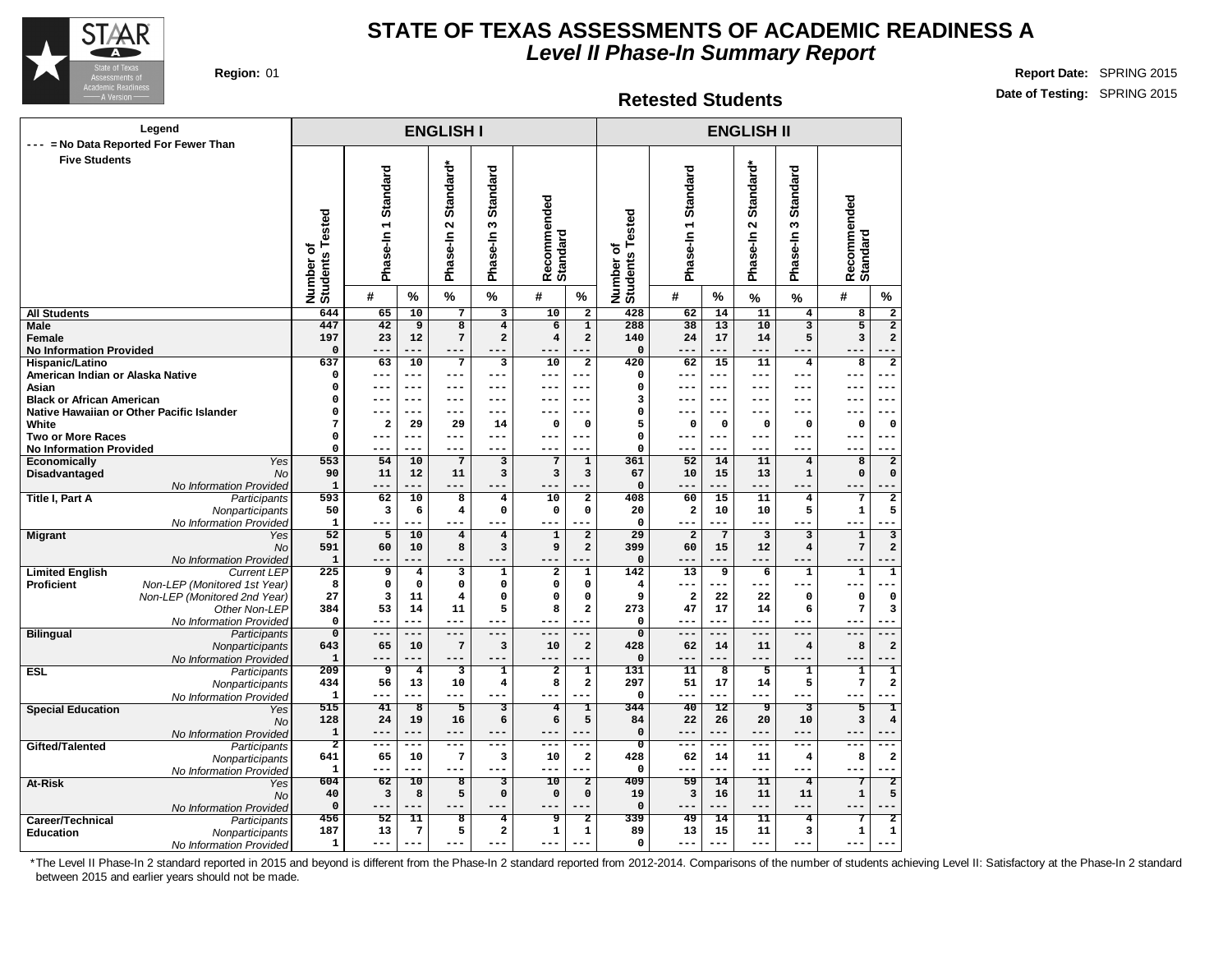

**Region:** 01 **Report Date:** SPRING 2015 **Date of Testing:** SPRING 2015

#### **Retested Students**

| Legend                                                                                     |                                       |                     |                         | <b>ENGLISH I</b>                           |                                    |                                        |                                | <b>ENGLISH II</b>                            |                         |                         |                                               |                                  |                         |                               |  |
|--------------------------------------------------------------------------------------------|---------------------------------------|---------------------|-------------------------|--------------------------------------------|------------------------------------|----------------------------------------|--------------------------------|----------------------------------------------|-------------------------|-------------------------|-----------------------------------------------|----------------------------------|-------------------------|-------------------------------|--|
| --- = No Data Reported For Fewer Than<br><b>Five Students</b>                              |                                       |                     |                         |                                            |                                    |                                        |                                |                                              |                         |                         |                                               |                                  |                         |                               |  |
|                                                                                            | <b>Students Tested</b><br>৳<br>Number | Phase-In 1 Standard |                         | Standard*<br>$\mathbf{\Omega}$<br>Phase-In | <b>Standard</b><br>ო<br>Phase-In   | Recommended<br>Standard                |                                | ested<br>۴<br>ō<br><b>Students</b><br>Number | Phase-In 1 Standard     |                         | Standard*<br>$\mathbf{\tilde{z}}$<br>Phase-In | <b>Standard</b><br>ო<br>Phase-In | Recommended<br>Standard |                               |  |
|                                                                                            |                                       | #                   | %                       | $\%$                                       | %                                  | #                                      | %                              |                                              | #                       | %                       | %                                             | %                                | #                       | %                             |  |
| <b>All Students</b>                                                                        | 644                                   | 65                  | $\overline{10}$         | $\overline{7}$                             | $\overline{\mathbf{3}}$            | $\overline{10}$                        | $\overline{2}$                 | 428                                          | 62                      | 14                      | $\overline{11}$                               | $\overline{4}$                   | $\overline{\mathbf{8}}$ | $\overline{\mathbf{2}}$       |  |
| Male                                                                                       | 447                                   | 42                  | 9                       | 8                                          | $\overline{\mathbf{4}}$            | 6                                      | $\mathbf{1}$                   | 288                                          | $\overline{38}$         | 13                      | 10                                            | $\overline{\mathbf{3}}$          | $\overline{5}$          | $\overline{2}$                |  |
| Female<br><b>No Information Provided</b>                                                   | 197<br>$\Omega$                       | 23                  | 12                      | 7                                          | $\mathbf{2}$                       | $\overline{4}$                         | $\mathbf{2}$                   | 140<br>$\Omega$                              | 24<br>---               | 17<br>$- - -$           | 14                                            | 5<br>$---$                       | 3<br>$- -$              | $\mathbf{2}$                  |  |
| Hispanic/Latino                                                                            | 637                                   | 63                  | 10                      | $7\phantom{.0}$                            | 3                                  | 10                                     | $\overline{a}$                 | 420                                          | 62                      | 15                      | 11                                            | 4                                | 8                       | $\overline{2}$                |  |
| American Indian or Alaska Native                                                           | $\Omega$                              | $---$               | $---$                   | $---$                                      | $---$                              | $---$                                  | ---                            | $\Omega$                                     | $---$                   | $- - -$                 | $- - -$                                       | $---$                            | $---$                   | ---                           |  |
| Asian                                                                                      | 0                                     | ---                 | $- - -$                 | $---$                                      | $---$                              | $---$                                  | ---                            | 0                                            | ---                     | $- - -$                 | $- - -$                                       | $- - -$                          | ---                     | --                            |  |
| <b>Black or African American</b>                                                           | $\mathbf 0$                           | ---                 | $---$                   | ---                                        | ---                                | $- - -$                                | ---                            | 3                                            | ---                     | $---$                   | ---                                           | $- - -$                          | ---                     | ---                           |  |
| Native Hawaiian or Other Pacific Islander                                                  | $\mathsf{o}\,$                        | ---                 | $--$                    | $---$                                      | ---                                | ---                                    | ---                            | 0                                            | ---                     | $---$                   | ---                                           | $- - -$                          | --                      | ---                           |  |
| White                                                                                      | 7                                     | $\overline{a}$      | 29                      | 29                                         | 14                                 | $\mathbf{o}$                           | $\mathbf 0$                    | 5                                            | 0                       | $\mathbf 0$             | $\mathbf 0$                                   | $\mathbf 0$                      | $\mathbf 0$             | 0                             |  |
| <b>Two or More Races</b>                                                                   | $\mathsf{o}\,$                        | $---$               | $---$                   | $---$                                      | $---$                              | $---$                                  | ---                            | $\mathbf 0$                                  | $---$                   | $---$                   | $---$                                         | $---$                            | ---                     | $---$                         |  |
| <b>No Information Provided</b><br>Yes<br>Economically                                      | $\Omega$<br>553                       | $---$<br>54         | $---$<br>10             | $---$<br>$\overline{7}$                    | $---$<br>3                         | $---$<br>$\overline{7}$                | ---<br>$\mathbf 1$             | $\mathbf 0$<br>361                           | ---<br>52               | $---$<br>14             | $---$<br>11                                   | $---$<br>$\overline{\bf 4}$      | $---$<br>8              | ---<br>$\overline{2}$         |  |
| Disadvantaged<br><b>No</b>                                                                 | 90                                    | 11                  | 12                      | 11                                         | 3                                  | $\overline{\mathbf{3}}$                | 3                              | 67                                           | 10                      | 15                      | 13                                            | $\mathbf{1}$                     | $\mathbf 0$             | $\mathbf 0$                   |  |
| No Information Provided                                                                    | $\mathbf{1}$                          | ---                 |                         | $---$                                      |                                    |                                        |                                | $\mathbf 0$                                  | ---                     |                         | ---                                           |                                  | --                      |                               |  |
| <b>Title I, Part A</b><br>Participants                                                     | 593                                   | 62                  | 10                      | $\overline{\mathbf{8}}$                    | 4                                  | 10                                     | 2                              | 408                                          | 60                      | 15                      | 11                                            | 4                                | 7                       | 2                             |  |
| Nonparticipants                                                                            | 50                                    | 3                   | 6                       | 4                                          | $\mathbf 0$                        | $\mathbf{o}$                           | 0                              | 20                                           | $\overline{\mathbf{2}}$ | 10                      | 10                                            | 5                                | $\mathbf 1$             | 5                             |  |
| No Information Provided                                                                    | $\mathbf{1}$                          | ---                 |                         | $- - -$                                    | ---                                | $---$                                  |                                | $\Omega$                                     | ---                     | $---$                   | $---$                                         | $---$                            | ---                     |                               |  |
| <b>Migrant</b><br>Yes                                                                      | 52                                    | 5                   | 10                      | $\bf{4}$                                   | $\overline{\mathbf{4}}$            | $\mathbf{1}$                           | $\overline{a}$                 | 29                                           | $\overline{a}$          | $\overline{7}$          | $\overline{\mathbf{3}}$                       | 3                                | $\mathbf{1}$            | $\overline{\mathbf{3}}$       |  |
| No                                                                                         | 591                                   | 60                  | 10                      | 8                                          | 3                                  | 9                                      | $\mathbf{2}$                   | 399                                          | 60                      | 15                      | 12                                            | $\bf{4}$                         | $\overline{7}$          | $\mathbf{2}$                  |  |
| No Information Provided                                                                    | $\mathbf 1$                           |                     |                         | ---                                        |                                    |                                        |                                | $\mathbf 0$                                  |                         |                         | ---                                           | $- - -$                          | $-$                     |                               |  |
| <b>Limited English</b><br><b>Current LEP</b><br>Proficient<br>Non-LEP (Monitored 1st Year) | 225<br>8                              | 9<br>$\mathbf 0$    | 4<br>$\mathsf{o}\,$     | 3<br>$\mathbf 0$                           | $\mathbf 1$<br>$\mathbf 0$         | $\overline{\mathbf{2}}$<br>$\mathbf 0$ | $\mathbf{1}$<br>$\mathsf{o}\,$ | 142<br>4                                     | 13<br>---               | 9<br>$---$              | 6<br>$---$                                    | $\mathbf 1$<br>$---$             | $\mathbf 1$<br>---      | $\overline{\mathbf{1}}$       |  |
| Non-LEP (Monitored 2nd Year)                                                               | 27                                    | 3                   | 11                      | 4                                          | $\mathbf 0$                        | $\mathbf 0$                            | $\mathbf 0$                    | 9                                            | $\overline{\mathbf{2}}$ | 22                      | 22                                            | 0                                | $\mathbf 0$             | 0                             |  |
| Other Non-LEP                                                                              | 384                                   | 53                  | 14                      | 11                                         | 5                                  | 8                                      | $\mathbf{2}$                   | 273                                          | 47                      | 17                      | 14                                            | 6                                | $\overline{7}$          | 3                             |  |
| No Information Provided                                                                    | $\mathbf 0$                           | ---                 | $---$                   | $---$                                      | ---                                | $- - -$                                | ---                            | $\mathbf 0$                                  | $---$                   | ---                     | $---$                                         | $---$                            | $---$                   |                               |  |
| <b>Bilingual</b><br><b>Participants</b>                                                    | $\overline{0}$                        | $---$               | $---$                   | $---$                                      | $---$                              | $---$                                  | ---                            | $\overline{0}$                               | $---$                   | $---$                   | $---$                                         | $---$                            | $---$                   |                               |  |
| Nonparticipants                                                                            | 643                                   | 65                  | 10                      | $\overline{7}$                             | 3                                  | 10                                     | $\mathbf{2}$                   | 428                                          | 62                      | 14                      | 11                                            | $\overline{\mathbf{4}}$          | 8                       | $\overline{\mathbf{2}}$       |  |
| No Information Provided                                                                    | $\mathbf 1$                           | ---                 | ---                     | $- - -$                                    | ---                                | $---$                                  | ---                            | $\mathbf 0$                                  | ---                     |                         | $- - -$                                       | $- - -$                          | $- -$                   |                               |  |
| <b>ESL</b><br><b>Participants</b>                                                          | 209                                   | 9                   | $\overline{4}$          | $\overline{\mathbf{3}}$                    | $\overline{\mathbf{1}}$            | $\overline{2}$                         | ī                              | 131                                          | $\overline{11}$         | $\overline{\mathbf{8}}$ | $\overline{5}$                                | 1                                | $\overline{\mathbf{1}}$ | $\overline{\mathbf{1}}$       |  |
| Nonparticipants                                                                            | 434<br>$\mathbf{1}$                   | 56<br>---           | 13<br>---               | 10<br>$- - -$                              | $\overline{\mathbf{4}}$<br>$- - -$ | 8<br>$- - -$                           | $\overline{\mathbf{2}}$        | 297<br>$\mathbf 0$                           | 51<br>---               | 17<br>---               | 14<br>$- - -$                                 | 5<br>$---$                       | $\bf 7$<br>$- - -$      | 2<br>÷                        |  |
| No Information Provided<br><b>Special Education</b><br>Yes                                 | 515                                   | 41                  | $\overline{\mathbf{8}}$ | 5                                          | 3                                  | 4                                      | T                              | 344                                          | 40                      | 12                      | ७                                             | 3                                | 5                       | T                             |  |
| <b>No</b>                                                                                  | 128                                   | 24                  | 19                      | 16                                         | 6                                  | 6                                      | 5                              | 84                                           | 22                      | 26                      | 20                                            | 10                               | 3                       | $\pmb{4}$                     |  |
| No Information Provided                                                                    | $\mathbf 1$                           | ---                 | --                      | $- - -$                                    | ---                                | $- -$                                  |                                | $\mathbf 0$                                  | ---                     | $- - -$                 | $- - -$                                       | $- - -$                          | ---                     |                               |  |
| Gifted/Talented<br>Participants                                                            | $\overline{2}$                        | $---$               | ---                     | $---$                                      | $---$                              | $- - -$                                | ---                            | $\overline{\mathfrak{o}}$                    | ---                     | $- - -$                 | $---$                                         | $---$                            | $- - -$                 |                               |  |
| Nonparticipants                                                                            | 641                                   | 65                  | 10                      | $\overline{7}$                             | 3                                  | 10                                     | $\mathbf 2$                    | 428                                          | 62                      | 14                      | 11                                            | $\overline{\mathbf{4}}$          | 8                       | 2                             |  |
| No Information Provided                                                                    | $\mathbf{1}$                          | ---                 | ---                     | $---$                                      | ---                                | $---$                                  |                                | $\mathbf 0$                                  | $---$                   | $---$                   | $---$                                         | $---$                            | ---                     | ÷                             |  |
| At-Risk<br>Yes                                                                             | 604                                   | 62                  | $\overline{10}$         | $\overline{\mathbf{8}}$                    | 3                                  | $\overline{10}$                        | $\overline{\mathbf{2}}$        | 409                                          | 59                      | $\overline{14}$         | $\overline{11}$                               | $\overline{4}$                   | 7                       | $\overline{2}$                |  |
| <b>No</b>                                                                                  | 40<br>$\mathbf 0$                     | 3                   | 8                       | 5                                          | $\mathbf 0$                        | $\mathbf 0$                            | $\mathbf 0$                    | 19                                           | 3                       | 16                      | 11                                            | 11                               | ${\bf 1}$               | 5                             |  |
| No Information Provided                                                                    |                                       | ---                 | ---                     | ---                                        |                                    |                                        |                                | $\mathbf 0$                                  |                         | $-- -$                  | ---                                           | $---$                            |                         | $\overline{\phantom{a}}$      |  |
|                                                                                            |                                       |                     |                         |                                            |                                    |                                        |                                |                                              |                         |                         |                                               |                                  |                         |                               |  |
| Career/Technical<br>Participants<br><b>Education</b><br>Nonparticipants                    | 456<br>187                            | 52<br>13            | 11<br>$7\phantom{.0}$   | $\overline{\mathbf{8}}$<br>5               | 4<br>$\mathbf{2}$                  | 9<br>$\mathbf 1$                       | 2<br>1                         | 339<br>89                                    | 49<br>13                | 14<br>15                | 11<br>11                                      | 4<br>3                           | $\mathbf 1$             | $\overline{2}$<br>$\mathbf 1$ |  |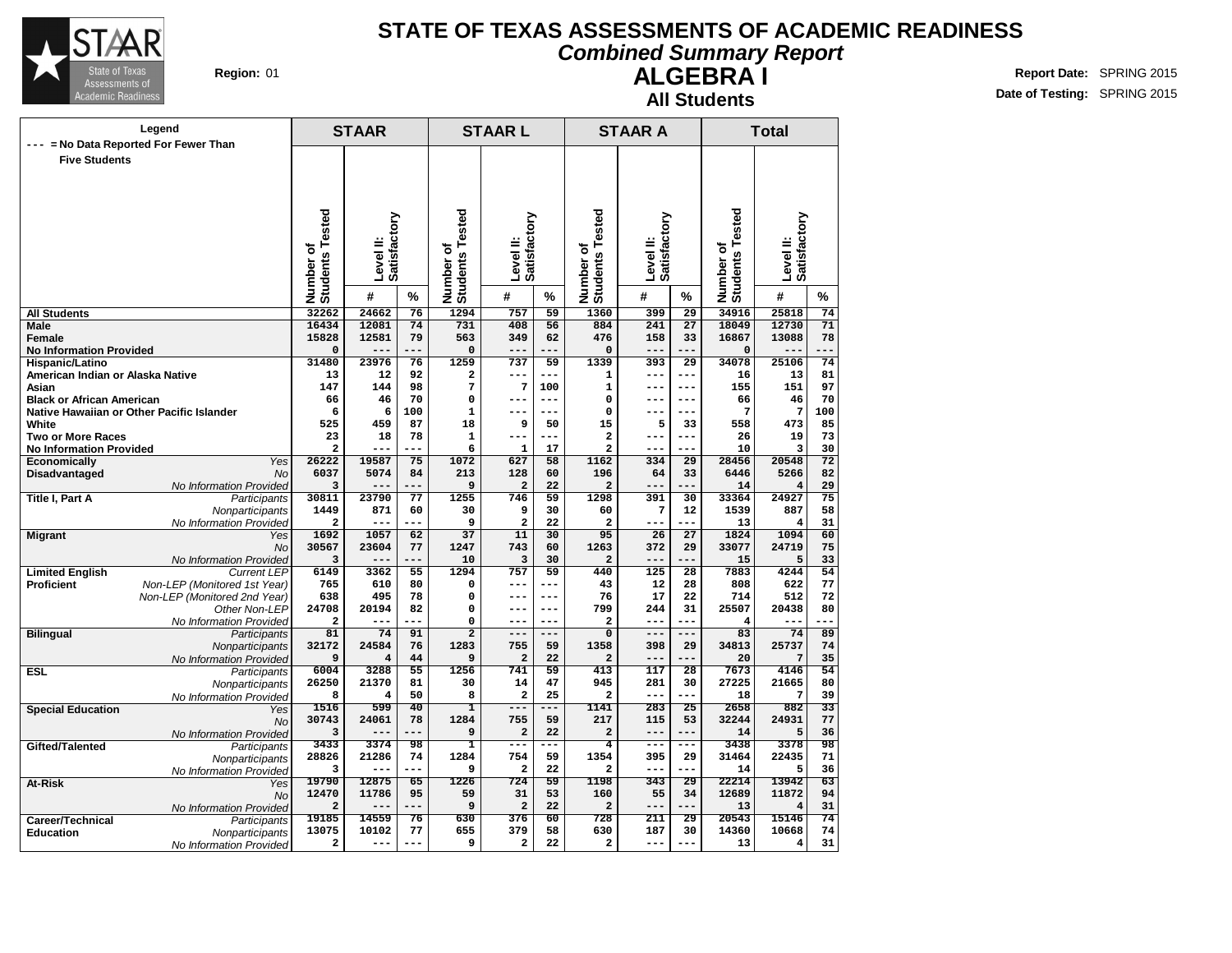

#### **Combined Summary Report**

**Region:** 01 **Report Date:** SPRING 2015 **Date of Testing:** SPRING 2015

| <b>ALGEBRAI</b>     |  |
|---------------------|--|
| <b>All Students</b> |  |

| Legend                                                     |                                                              |                              | <b>STAAR</b>              |           | <b>STAARL</b>                    |                                |           | <b>STAAR A</b>               |              | <b>Total</b>    |                              |                           |                 |
|------------------------------------------------------------|--------------------------------------------------------------|------------------------------|---------------------------|-----------|----------------------------------|--------------------------------|-----------|------------------------------|--------------|-----------------|------------------------------|---------------------------|-----------------|
|                                                            | --- = No Data Reported For Fewer Than                        |                              |                           |           |                                  |                                |           |                              |              |                 |                              |                           |                 |
| <b>Five Students</b>                                       |                                                              |                              |                           |           |                                  |                                |           |                              |              |                 |                              |                           |                 |
|                                                            |                                                              |                              |                           |           |                                  |                                |           |                              |              |                 |                              |                           |                 |
|                                                            |                                                              |                              |                           |           |                                  |                                |           |                              |              |                 |                              |                           |                 |
|                                                            |                                                              |                              |                           |           |                                  |                                |           |                              |              |                 |                              |                           |                 |
|                                                            |                                                              |                              |                           |           |                                  |                                |           |                              |              |                 |                              |                           |                 |
|                                                            |                                                              |                              | Level II:<br>Satisfactory |           |                                  | Satisfactory                   |           |                              | Satisfactory |                 |                              | Level II:<br>Satisfactory |                 |
|                                                            |                                                              |                              |                           |           |                                  |                                |           |                              |              |                 |                              |                           |                 |
|                                                            |                                                              |                              |                           |           | ৳                                |                                |           |                              |              |                 |                              |                           |                 |
|                                                            |                                                              |                              |                           |           |                                  | Level II:                      |           |                              | Level II:    |                 |                              |                           |                 |
|                                                            |                                                              |                              |                           |           |                                  |                                |           |                              |              |                 |                              |                           |                 |
|                                                            |                                                              | Number of<br>Students Tested | #                         | %         | <b>Students Tested</b><br>Number | #                              | %         | Number of<br>Students Tested | #            | %               | Number of<br>Students Tested | #                         | %               |
| <b>All Students</b>                                        |                                                              | 32262                        | 24662                     | 76        | 1294                             | 757                            | 59        | 1360                         | 399          | 29              | 34916                        | 25818                     | 74              |
| Male                                                       |                                                              | 16434                        | 12081                     | 74        | 731                              | 408                            | 56        | 884                          | 241          | $\overline{27}$ | 18049                        | 12730                     | 71              |
| <b>Female</b>                                              |                                                              | 15828                        | 12581                     | 79        | 563                              | 349                            | 62        | 476                          | 158          | 33              | 16867                        | 13088                     | 78              |
| <b>No Information Provided</b>                             |                                                              | $\mathbf 0$                  |                           |           | $\Omega$                         |                                |           | $\mathbf 0$                  |              |                 | $\mathbf 0$                  |                           |                 |
| Hispanic/Latino                                            |                                                              | 31480                        | 23976                     | 76        | 1259                             | 737                            | 59        | 1339                         | 393          | 29              | 34078                        | 25106                     | 74              |
| American Indian or Alaska Native                           |                                                              | 13                           | 12                        | 92        | 2                                | ---                            |           | 1                            | ---          | $---$           | 16                           | 13                        | 81              |
| Asian                                                      |                                                              | 147                          | 144                       | 98        | 7                                | 7                              | 100       | $\mathbf{1}$                 | $- -$        | ---             | 155                          | 151                       | 97              |
| <b>Black or African American</b>                           |                                                              | 66                           | 46                        | 70        | 0                                | ---                            | $- - -$   | 0                            | $---$        | $---$           | 66                           | 46                        | 70              |
|                                                            | Native Hawaiian or Other Pacific Islander                    | 6                            | 6                         | 100       | 1<br>18                          | 9                              | 50        | 0<br>15                      | 5            | $---$           | 7<br>558                     | 7<br>473                  | 100             |
| White                                                      |                                                              | 525<br>23                    | 459                       | 87<br>78  |                                  | ---                            | ---       |                              | $---$        | 33<br>$---$     |                              |                           | 85              |
| <b>Two or More Races</b><br><b>No Information Provided</b> |                                                              | $\overline{a}$               | 18<br>---                 | ---       | 1<br>6                           | $\mathbf{1}$                   | 17        | 2<br>2                       | $--$         | ---             | 26<br>10                     | 19<br>3                   | 73<br>30        |
| Economically                                               | Yes                                                          | 26222                        | 19587                     | 75        | 1072                             | 627                            | 58        | 1162                         | 334          | $\overline{29}$ | 28456                        | 20548                     | $\overline{72}$ |
| Disadvantaged                                              | <b>No</b>                                                    | 6037                         | 5074                      | 84        | 213                              | 128                            | 60        | 196                          | 64           | 33              | 6446                         | 5266                      | 82              |
|                                                            | No Information Provided                                      | 3                            | --                        |           | 9                                | $\overline{\mathbf{2}}$        | 22        | 2                            | ---          | ---             | 14                           | $\overline{4}$            | 29              |
| <b>Title I, Part A</b>                                     | Participants                                                 | 30811                        | 23790                     | 77        | 1255                             | 746                            | 59        | 1298                         | 391          | 30              | 33364                        | 24927                     | 75              |
|                                                            | Nonparticipants                                              | 1449                         | 871                       | 60        | 30                               | 9                              | 30        | 60                           | 7            | 12              | 1539                         | 887                       | 58              |
|                                                            | No Information Provided                                      | 2                            | ---                       | ---       | 9                                | 2                              | 22        | $\overline{\mathbf{2}}$      | $---$        | ---             | 13                           | 4                         | 31              |
| <b>Migrant</b>                                             | Yes                                                          | 1692                         | 1057                      | 62        | $\overline{37}$                  | 11                             | 30        | 95                           | 26           | $\overline{27}$ | 1824                         | 1094                      | 60              |
|                                                            | No                                                           | 30567                        | 23604                     | 77        | 1247                             | 743                            | 60        | 1263                         | 372          | 29              | 33077                        | 24719                     | 75              |
|                                                            | No Information Provided                                      | 3                            |                           |           | 10                               | 3                              | 30        | $\overline{\mathbf{2}}$      | ---          |                 | 15                           | 5                         | 33              |
| <b>Limited English</b><br>Proficient                       | <b>Current LEP</b>                                           | 6149<br>765                  | 3362<br>610               | 55<br>80  | 1294<br>0                        | 757<br>---                     | 59<br>--- | 440<br>43                    | 125<br>12    | 28<br>28        | 7883<br>808                  | 4244<br>622               | 54<br>77        |
|                                                            | Non-LEP (Monitored 1st Year)<br>Non-LEP (Monitored 2nd Year) | 638                          | 495                       | 78        | 0                                | $---$                          | $---$     | 76                           | 17           | 22              | 714                          | 512                       | 72              |
|                                                            | Other Non-LEP                                                | 24708                        | 20194                     | 82        | 0                                | ---                            | $- - -$   | 799                          | 244          | 31              | 25507                        | 20438                     | 80              |
|                                                            | No Information Provided                                      | $\overline{\mathbf{2}}$      | ---                       | ---       | 0                                | $---$                          | ---       | 2                            | $---$        | ---             | 4                            | ---                       |                 |
| <b>Bilingual</b>                                           | Participants                                                 | 81                           | 74                        | 91        | $\overline{2}$                   | $---$                          | ---       | $\overline{\mathbf{0}}$      | $---$        | ---             | 83                           | 74                        | 89              |
|                                                            | Nonparticipants                                              | 32172                        | 24584                     | 76        | 1283                             | 755                            | 59        | 1358                         | 398          | 29              | 34813                        | 25737                     | 74              |
|                                                            | No Information Provided                                      | 9                            | $\overline{4}$            | 44        | 9                                | $\overline{\mathbf{c}}$        | 22        | $\overline{\mathbf{2}}$      | $---$        |                 | 20                           | 7                         | 35              |
| <b>ESL</b>                                                 | Participants                                                 | 6004                         | 3288                      | 55        | 1256                             | 741                            | 59        | 413                          | 117          | 28              | 7673                         | 4146                      | 54              |
|                                                            | Nonparticipants                                              | 26250                        | 21370                     | 81        | 30                               | 14                             | 47        | 945                          | 281          | 30              | 27225                        | 21665                     | 80              |
|                                                            | No Information Provided                                      | 8                            | 4                         | 50        | 8                                | $\overline{\mathbf{2}}$        | 25        | $\overline{a}$               | ---          | ---             | 18                           | 7                         | 39              |
| <b>Special Education</b>                                   | Yes                                                          | 1516                         | 599                       | 40        | ı                                | ---                            | ---       | 1141                         | 283          | 25              | 2658                         | 882                       | 33              |
|                                                            | <b>No</b>                                                    | 30743<br>3                   | 24061<br>---              | 78<br>--- | 1284<br>9                        | 755<br>$\overline{\mathbf{c}}$ | 59<br>22  | 217<br>$\mathbf{2}$          | 115<br>$---$ | 53<br>---       | 32244<br>14                  | 24931<br>5                | 77<br>36        |
| Gifted/Talented                                            | No Information Provided                                      | 3433                         | 3374                      | 98        | 1                                | $---$                          | ---       | $\overline{\mathbf{4}}$      | $--$         | ---             | 3438                         | 3378                      | 98              |
|                                                            | Participants                                                 | 28826                        | 21286                     | 74        | 1284                             | 754                            | 59        | 1354                         | 395          | 29              | 31464                        | 22435                     | 71              |
|                                                            | Nonparticipants<br>No Information Provided                   | 3                            | --                        | ---       | 9                                | $\overline{a}$                 | 22        | $\overline{a}$               | ---          |                 | 14                           | 5                         | 36              |
| At-Risk                                                    | Yes                                                          | 19790                        | 12875                     | 65        | 1226                             | 724                            | 59        | 1198                         | 343          | $\overline{29}$ | 22214                        | 13942                     | 63              |
|                                                            | <b>No</b>                                                    | 12470                        | 11786                     | 95        | 59                               | 31                             | 53        | 160                          | 55           | 34              | 12689                        | 11872                     | 94              |
|                                                            | No Information Provided                                      | $\overline{a}$               | ---                       | ---       | 9                                | $\overline{a}$                 | 22        | $\overline{a}$               | ---          | ---             | 13                           | 4                         | 31              |
| Career/Technical                                           | Participants                                                 | 19185                        | 14559                     | 76        | 630                              | 376                            | 60        | 728                          | 211          | 29              | 20543                        | 15146                     | 74              |
| <b>Education</b>                                           | Nonparticipants                                              | 13075                        | 10102                     | 77        | 655                              | 379                            | 58        | 630                          | 187          | 30              | 14360                        | 10668                     | 74              |
|                                                            | No Information Provided                                      | $\mathbf{2}$                 | ---                       | ---       | 9                                | 2                              | 22        | 2                            | $---$        | ---             | 13                           | 4                         | 31              |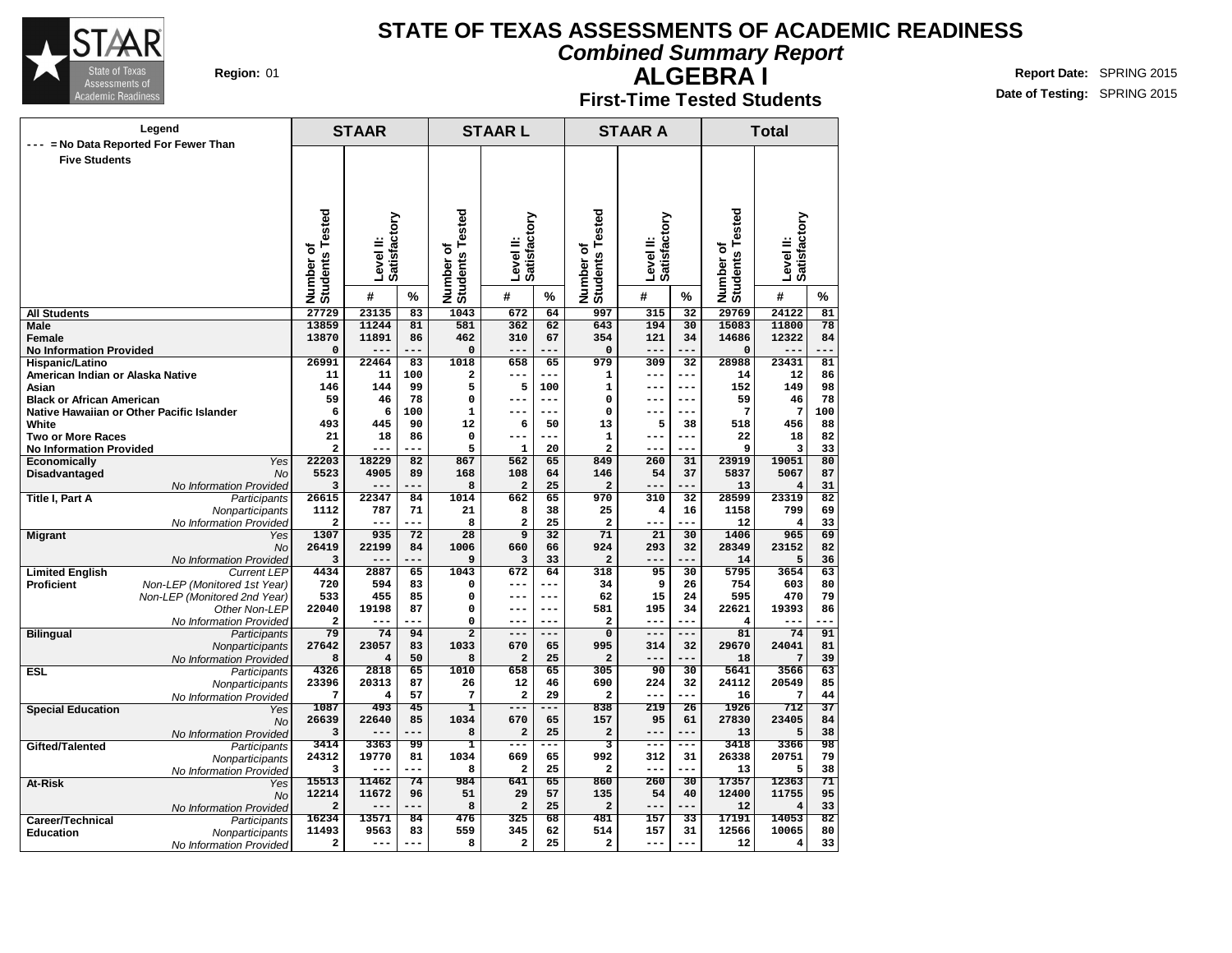

**Combined Summary Report**

#### **ALGEBRA I First-Time Tested Students**

**Region:** 01 **Report Date:** SPRING 2015 **Date of Testing:** SPRING 2015

| Legend                                                     |                                               |                              | <b>STAAR</b>              |                 |                              | <b>STAARL</b>                   |                          |                                         | <b>STAAR A</b>                |                 | <b>Total</b>                 |                           |                 |  |
|------------------------------------------------------------|-----------------------------------------------|------------------------------|---------------------------|-----------------|------------------------------|---------------------------------|--------------------------|-----------------------------------------|-------------------------------|-----------------|------------------------------|---------------------------|-----------------|--|
| $---$                                                      | = No Data Reported For Fewer Than             |                              |                           |                 |                              |                                 |                          |                                         |                               |                 |                              |                           |                 |  |
| <b>Five Students</b>                                       |                                               |                              |                           |                 |                              |                                 |                          |                                         |                               |                 |                              |                           |                 |  |
|                                                            |                                               |                              |                           |                 |                              |                                 |                          |                                         |                               |                 |                              |                           |                 |  |
|                                                            |                                               |                              |                           |                 |                              |                                 |                          |                                         |                               |                 |                              |                           |                 |  |
|                                                            |                                               |                              |                           |                 |                              |                                 |                          |                                         |                               |                 |                              |                           |                 |  |
|                                                            |                                               |                              |                           |                 |                              |                                 |                          |                                         |                               |                 |                              |                           |                 |  |
|                                                            |                                               |                              |                           |                 |                              |                                 |                          |                                         |                               |                 |                              |                           |                 |  |
|                                                            |                                               |                              |                           |                 |                              |                                 |                          |                                         |                               |                 |                              |                           |                 |  |
|                                                            |                                               | Number of<br>Students Tested | Satisfactory<br>Level II: |                 | Number of<br>Students Tested | Satisfactory<br><b>Level II</b> |                          | Number of<br>Students Tested            | Satisfactory<br><b>Levell</b> |                 | Number of<br>Students Tested | Satisfactory<br>Level II: |                 |  |
|                                                            |                                               |                              |                           |                 |                              |                                 |                          |                                         |                               |                 |                              |                           |                 |  |
|                                                            |                                               |                              | #                         | %               |                              | #                               | %                        |                                         | #                             | %               |                              | #                         | %               |  |
| <b>All Students</b>                                        |                                               | 27729                        | 23135                     | 83              | 1043                         | 672                             | 64                       | 997                                     | 315                           | $\overline{32}$ | 29769                        | 24122                     | 81              |  |
| <b>Male</b>                                                |                                               | 13859                        | 11244                     | 81              | 581                          | 362                             | 62                       | 643                                     | 194                           | 30              | 15083                        | 11800                     | 78              |  |
| Female                                                     |                                               | 13870                        | 11891                     | 86<br>$- - -$   | 462                          | 310<br>$- - -$                  | 67                       | 354                                     | 121<br>---                    | 34              | 14686                        | 12322                     | 84<br>$- - -$   |  |
| <b>No Information Provided</b><br>Hispanic/Latino          |                                               | $\pmb{0}$<br>26991           | 22464                     | 83              | 0<br>1018                    | 658                             | 65                       | $\pmb{0}$<br>979                        | 309                           | 32              | 0<br>28988                   | 23431                     | 81              |  |
| American Indian or Alaska Native                           |                                               | 11                           | 11                        | 100             | 2                            | $---$                           | ---                      | $\mathbf{1}$                            | ---                           | ---             | 14                           | 12                        | 86              |  |
| Asian                                                      |                                               | 146                          | 144                       | 99              | 5                            | 5                               | 100                      | $\mathbf{1}$                            | $---$                         | ---             | 152                          | 149                       | 98              |  |
| <b>Black or African American</b>                           |                                               | 59                           | 46                        | 78              | 0                            | $---$                           | $---$                    | 0                                       | ---                           | ---             | 59                           | 46                        | 78              |  |
|                                                            | Native Hawaiian or Other Pacific Islander     | 6                            | 6                         | 100             | $\mathbf 1$                  | $---$                           | ---                      | $\mathbf 0$                             | ---                           | ---             | 7                            | 7                         | 100             |  |
| White                                                      |                                               | 493                          | 445                       | 90              | 12                           | 6                               | 50<br>---                | 13                                      | 5                             | 38              | 518                          | 456                       | 88<br>82        |  |
| <b>Two or More Races</b><br><b>No Information Provided</b> |                                               | 21<br>$\overline{a}$         | 18<br>---                 | 86              | $\mathbf 0$<br>5             | $---$<br>$\mathbf 1$            | 20                       | $\mathbf{1}$<br>$\overline{\mathbf{2}}$ | ---<br>---                    | ---<br>---      | 22<br>9                      | 18<br>3                   | 33              |  |
| Economically                                               | Yes                                           | 22203                        | 18229                     | 82              | 867                          | 562                             | 65                       | 849                                     | 260                           | 31              | 23919                        | 19051                     | 80              |  |
| Disadvantaged                                              | No                                            | 5523                         | 4905                      | 89              | 168                          | 108                             | 64                       | 146                                     | 54                            | 37              | 5837                         | 5067                      | 87              |  |
|                                                            | No Information Provided                       | 3                            | ---                       | $-$             | 8                            | $\overline{\mathbf{2}}$         | 25                       | $\mathbf 2$                             | ---                           | ---             | 13                           | $\overline{4}$            | 31              |  |
| <b>Title I, Part A</b>                                     | Participants                                  | 26615                        | 22347                     | 84              | 1014                         | 662                             | 65                       | 970                                     | 310                           | $\overline{32}$ | 28599                        | 23319                     | $\overline{82}$ |  |
|                                                            | Nonparticipants                               | 1112<br>$\overline{a}$       | 787<br>---                | 71<br>---       | 21<br>8                      | 8<br>$\overline{\mathbf{2}}$    | 38<br>25                 | 25<br>$\mathbf 2$                       | 4<br>---                      | 16<br>---       | 1158<br>12                   | 799<br>$\overline{4}$     | 69<br>33        |  |
| <b>Migrant</b>                                             | No Information Provided<br>Yes                | 1307                         | 935                       | $\overline{72}$ | $\overline{28}$              | $\overline{9}$                  | $\overline{32}$          | $\overline{71}$                         | $\overline{21}$               | 30              | 1406                         | 965                       | 69              |  |
|                                                            | No.                                           | 26419                        | 22199                     | 84              | 1006                         | 660                             | 66                       | 924                                     | 293                           | 32              | 28349                        | 23152                     | 82              |  |
|                                                            | No Information Provided                       | 3                            | $--$                      |                 | 9                            | 3                               | 33                       | $\overline{a}$                          | ---                           |                 | 14                           | 5                         | 36              |  |
| <b>Limited English</b>                                     | <b>Current LEP</b>                            | 4434                         | 2887                      | 65              | 1043                         | 672                             | 64                       | 318                                     | 95                            | 30              | 5795                         | 3654                      | 63              |  |
| <b>Proficient</b>                                          | Non-LEP (Monitored 1st Year)                  | 720<br>533                   | 594                       | 83              | 0<br>0                       | ---                             | ---<br>$---$             | 34                                      | 9                             | 26              | 754<br>595                   | 603<br>470                | 80<br>79        |  |
|                                                            | Non-LEP (Monitored 2nd Year)<br>Other Non-LEP | 22040                        | 455<br>19198              | 85<br>87        | 0                            | $---$<br>$--$                   | $---$                    | 62<br>581                               | 15<br>195                     | 24<br>34        | 22621                        | 19393                     | 86              |  |
|                                                            | No Information Provided                       | $\overline{a}$               |                           |                 | 0                            | ---                             | $---$                    | $\overline{\mathbf{2}}$                 | ---                           | ---             | 4                            |                           |                 |  |
| <b>Bilingual</b>                                           | Participants                                  | 79                           | 74                        | 94              | $\overline{2}$               | $---$                           | $---$                    | $\overline{0}$                          | $---$                         | ---             | 81                           | 74                        | 91              |  |
|                                                            | Nonparticipants                               | 27642                        | 23057                     | 83              | 1033                         | 670                             | 65                       | 995                                     | 314                           | 32              | 29670                        | 24041                     | 81              |  |
|                                                            | No Information Provided                       | 8                            | 4                         | 50              | 8                            | $\overline{\mathbf{2}}$         | 25                       | $\overline{\mathbf{2}}$                 | <u>.</u>                      |                 | 18                           | 7                         | 39              |  |
| <b>ESL</b>                                                 | Participants                                  | 4326<br>23396                | 2818<br>20313             | 65<br>87        | 1010<br>26                   | 658<br>12                       | 65<br>46                 | 305<br>690                              | 90<br>224                     | 30<br>32        | 5641<br>24112                | 3566<br>20549             | 63<br>85        |  |
|                                                            | Nonparticipants<br>No Information Provided    | 7                            | 4                         | 57              | 7                            | $\overline{\mathbf{2}}$         | 29                       | $\overline{\mathbf{2}}$                 | ---                           | ---             | 16                           | 7                         | 44              |  |
| <b>Special Education</b>                                   | Yes                                           | 1087                         | 493                       | 45              | ı                            | $---$                           |                          | 838                                     | 219                           | 26              | 1926                         | 712                       | 37              |  |
|                                                            | <b>No</b>                                     | 26639                        | 22640                     | 85              | 1034                         | 670                             | 65                       | 157                                     | 95                            | 61              | 27830                        | 23405                     | 84              |  |
|                                                            | No Information Provided                       | 3                            |                           |                 | 8                            | $\overline{\mathbf{2}}$         | 25                       | $\overline{\mathbf{2}}$                 | $- -$                         |                 | 13                           | 5                         | 38              |  |
| Gifted/Talented                                            | Participants                                  | 3414                         | 3363                      | 99              | ī                            | ---                             | $\overline{\phantom{a}}$ | 3                                       | ===                           | ---             | 3418                         | 3366                      | 98              |  |
|                                                            | Nonparticipants                               | 24312<br>3                   | 19770<br>---              | 81<br>---       | 1034<br>8                    | 669<br>$\overline{\mathbf{2}}$  | 65<br>25                 | 992<br>$\mathbf{2}$                     | 312<br>---                    | 31<br>---       | 26338<br>13                  | 20751<br>5                | 79<br>38        |  |
| At-Risk                                                    | No Information Provided<br>Yes                | 15513                        | 11462                     | $\overline{74}$ | 984                          | 641                             | $\overline{65}$          | 860                                     | 260                           | $\overline{30}$ | 17357                        | 12363                     | 71              |  |
|                                                            | <b>No</b>                                     | 12214                        | 11672                     | 96              | 51                           | 29                              | 57                       | 135                                     | 54                            | 40              | 12400                        | 11755                     | 95              |  |
|                                                            | No Information Provided                       | $\overline{\mathbf{2}}$      | ---                       | ---             | 8                            | $\overline{\mathbf{2}}$         | 25                       | $\overline{\mathbf{2}}$                 | ---                           | ---             | 12                           | $\overline{4}$            | 33              |  |
| Career/Technical                                           | Participants                                  | 16234                        | 13571                     | 84              | 476                          | 325                             | 68                       | 481                                     | 157                           | 33              | 17191                        | 14053                     | 82              |  |
| <b>Education</b>                                           | Nonparticipants                               | 11493                        | 9563                      | 83              | 559                          | 345                             | 62                       | 514                                     | 157                           | 31              | 12566                        | 10065                     | 80              |  |
|                                                            | No Information Provided                       | $\overline{\mathbf{2}}$      | $---$                     | $---$           | 8                            | $\overline{\mathbf{2}}$         | 25                       | $\mathbf{2}$                            | $---$                         | ---             | 12                           | $\overline{4}$            | 33              |  |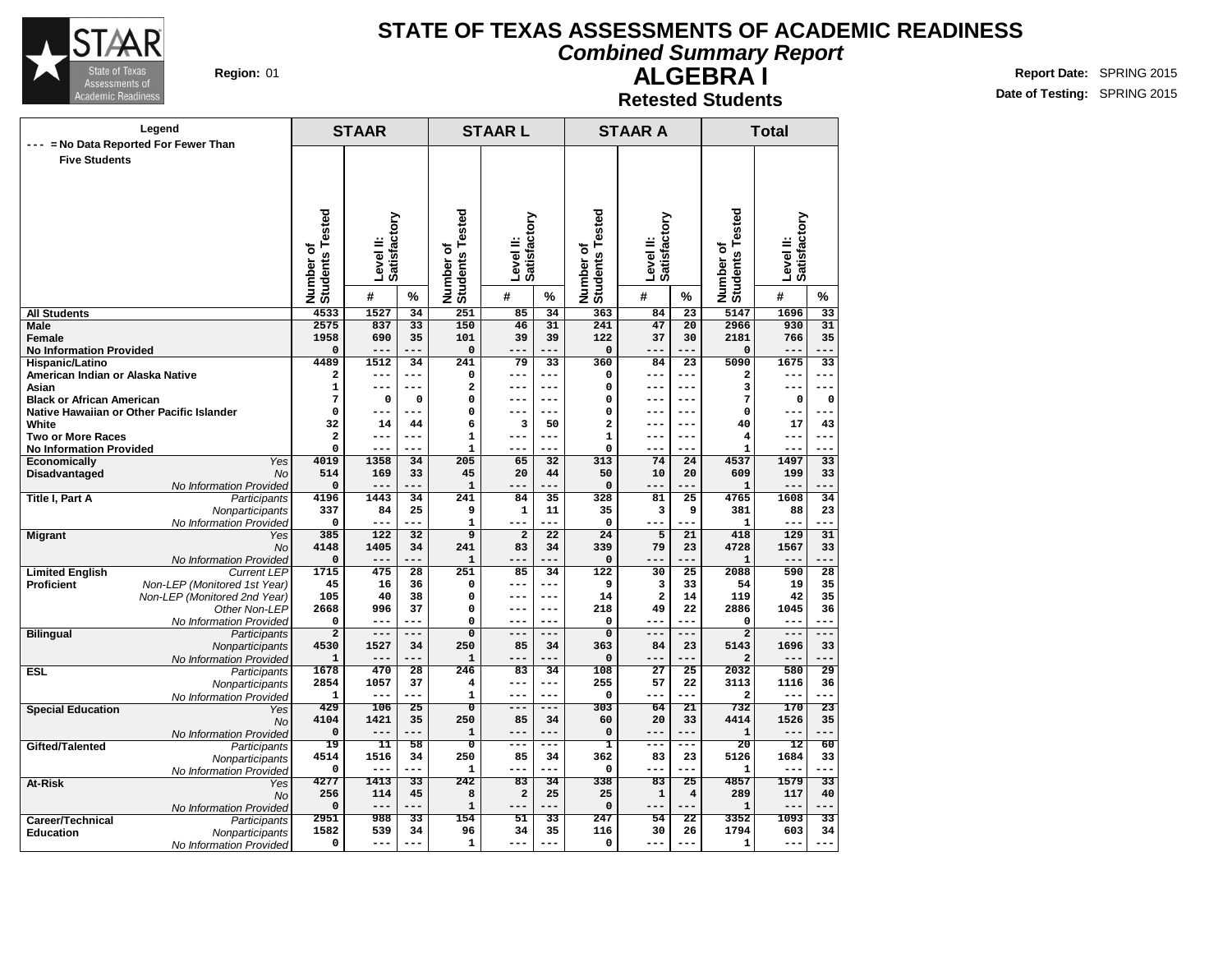

#### **Combined Summary Report**

**Region:** 01 **Report Date:** SPRING 2015 **Date of Testing:** SPRING 2015

#### **ALGEBRA I Retested Students**

| Legend                                             |                                            |                                  | <b>STAAR</b>     |                                    | <b>STAARL</b>                    |                         |                       | <b>STAAR A</b>                   |                 | <b>Total</b>                       |                              |                           |                       |  |
|----------------------------------------------------|--------------------------------------------|----------------------------------|------------------|------------------------------------|----------------------------------|-------------------------|-----------------------|----------------------------------|-----------------|------------------------------------|------------------------------|---------------------------|-----------------------|--|
| --- = No Data Reported For Fewer Than              |                                            |                                  |                  |                                    |                                  |                         |                       |                                  |                 |                                    |                              |                           |                       |  |
| <b>Five Students</b>                               |                                            |                                  |                  |                                    |                                  |                         |                       |                                  |                 |                                    |                              |                           |                       |  |
|                                                    |                                            |                                  |                  |                                    |                                  |                         |                       |                                  |                 |                                    |                              |                           |                       |  |
|                                                    |                                            |                                  |                  |                                    |                                  |                         |                       |                                  |                 |                                    |                              |                           |                       |  |
|                                                    |                                            |                                  |                  |                                    |                                  |                         |                       |                                  |                 |                                    |                              |                           |                       |  |
|                                                    |                                            |                                  |                  |                                    |                                  |                         |                       |                                  |                 |                                    |                              | Level II:<br>Satisfactory |                       |  |
|                                                    |                                            |                                  | Satisfactory     |                                    |                                  | Satisfactory            |                       |                                  | Satisfactory    |                                    |                              |                           |                       |  |
|                                                    |                                            | ৳                                |                  |                                    | ৳                                |                         |                       | ৳                                |                 |                                    |                              |                           |                       |  |
|                                                    |                                            |                                  |                  |                                    |                                  |                         |                       |                                  |                 |                                    |                              |                           |                       |  |
|                                                    |                                            |                                  | Level II:        |                                    |                                  | Level II:               |                       |                                  | Level II:       |                                    |                              |                           |                       |  |
|                                                    |                                            | <b>Students Tested</b><br>Number | #                | %                                  | <b>Students Tested</b><br>Number | #                       | %                     | <b>Students Tested</b><br>Number | #               | %                                  | Number of<br>Students Tested | #                         | %                     |  |
|                                                    |                                            |                                  |                  |                                    |                                  |                         |                       |                                  |                 |                                    |                              |                           |                       |  |
| <b>All Students</b><br>Male                        |                                            | 4533<br>2575                     | 1527<br>837      | $\overline{34}$<br>$\overline{33}$ | 251<br>150                       | 85<br>46                | $\overline{34}$<br>31 | 363<br>241                       | 84<br>47        | $\overline{23}$<br>$\overline{20}$ | 5147<br>2966                 | 1696<br>930               | $\overline{33}$<br>31 |  |
| <b>Female</b>                                      |                                            | 1958                             | 690              | 35                                 | 101                              | 39                      | 39                    | 122                              | 37              | 30                                 | 2181                         | 766                       | 35                    |  |
| <b>No Information Provided</b>                     |                                            | $\Omega$                         | $---$            | ---                                | 0                                | ---                     | ---                   | $\mathbf 0$                      |                 | ---                                | 0                            | $- -$                     |                       |  |
| Hispanic/Latino                                    |                                            | 4489                             | 1512             | 34                                 | 241                              | 79                      | 33                    | 360                              | 84              | 23                                 | 5090                         | 1675                      | 33                    |  |
| American Indian or Alaska Native                   |                                            | $\mathbf{2}$                     | ---              | $ -$                               | $\mathbf 0$                      | ---                     | ---                   | $\mathbf 0$                      | ---             | ---                                | $\mathbf{2}$                 | ---                       |                       |  |
| Asian                                              |                                            | $\mathbf{1}$                     | ---              | ۳                                  | 2                                | ---                     | $---$                 | $\mathbf 0$                      | ---             | ---                                | 3                            | --                        |                       |  |
| <b>Black or African American</b>                   |                                            | 7                                | $\mathbf 0$      | 0                                  | 0                                | ---                     | $---$                 | 0                                | ---             | ---                                | 7                            | O                         | $\mathbf 0$           |  |
| Native Hawaiian or Other Pacific Islander<br>White |                                            | $\Omega$<br>32                   | ---<br>14        | ۳<br>44                            | 0<br>6                           | 3                       | 50                    | $\Omega$<br>$\overline{a}$       | ---             | $---$<br>$---$                     | 0<br>40                      | --<br>17                  | 43                    |  |
| <b>Two or More Races</b>                           |                                            | 2                                | ---              | ---                                | $\mathbf 1$                      | ---                     | ---                   | $\mathbf 1$                      | ---             | ---                                | 4                            | ---                       | $--$                  |  |
| <b>No Information Provided</b>                     |                                            | 0                                | $---$            |                                    | $\mathbf{1}$                     | ---                     |                       | $\mathbf 0$                      | ---             | ---                                | $\mathbf 1$                  | ---                       | ---                   |  |
| <b>Economically</b>                                | Yes                                        | 4019                             | 1358             | 34                                 | 205                              | 65                      | 32                    | 313                              | 74              | 24                                 | 4537                         | 1497                      | 33                    |  |
| Disadvantaged                                      | <b>No</b>                                  | 514                              | 169              | 33                                 | 45                               | 20                      | 44                    | 50                               | 10              | 20                                 | 609                          | 199                       | 33                    |  |
|                                                    | No Information Provided                    | $\mathbf 0$                      | $---$            |                                    | ${\bf 1}$                        |                         |                       | 0                                | $- -$           |                                    | ${\bf 1}$                    | $- -$                     |                       |  |
| <b>Title I, Part A</b>                             | Participants                               | 4196                             | 1443             | 34                                 | 241                              | 84                      | 35                    | 328                              | 81              | 25                                 | 4765                         | 1608                      | 34                    |  |
|                                                    | Nonparticipants                            | 337<br>0                         | 84<br>$---$      | 25<br>$-$                          | 9<br>$\mathbf{1}$                | 1<br>---                | 11<br>---             | 35<br>$\mathbf 0$                | 3<br>---        | 9<br>---                           | 381<br>$\mathbf{1}$          | 88<br>---                 | 23<br>---             |  |
| <b>Migrant</b>                                     | No Information Provided<br>Yes             | 385                              | $\overline{122}$ | 32                                 | $\overline{9}$                   | $\overline{\mathbf{2}}$ | 22                    | 24                               | 5               | 21                                 | 418                          | 129                       | 31                    |  |
|                                                    | <b>No</b>                                  | 4148                             | 1405             | 34                                 | 241                              | 83                      | 34                    | 339                              | 79              | 23                                 | 4728                         | 1567                      | 33                    |  |
|                                                    | No Information Provided                    | $\mathbf 0$                      | $---$            |                                    | $\mathbf 1$                      | ---                     |                       | $\mathbf 0$                      | $- -$           | .                                  | ${\bf 1}$                    | $-$                       |                       |  |
| <b>Limited English</b>                             | <b>Current LEP</b>                         | 1715                             | 475              | 28                                 | 251                              | 85                      | 34                    | 122                              | 30              | $\overline{25}$                    | 2088                         | 590                       | 28                    |  |
| Proficient                                         | Non-LEP (Monitored 1st Year)               | 45                               | 16               | 36                                 | 0                                | ---                     | $---$                 | 9                                | 3               | 33                                 | 54                           | 19                        | 35                    |  |
|                                                    | Non-LEP (Monitored 2nd Year)               | 105                              | 40               | 38                                 | $\mathbf 0$                      | ---                     | $---$                 | 14                               | $\mathbf{2}$    | 14                                 | 119                          | 42                        | 35                    |  |
|                                                    | Other Non-LEP<br>No Information Provided   | 2668<br>$\Omega$                 | 996<br>$- - -$   | 37<br>---                          | 0<br>0                           | ---<br>---              | $---$<br>---          | 218<br>$\Omega$                  | 49<br>---       | 22<br>---                          | 2886<br>$\mathbf 0$          | 1045<br>---               | 36<br>---             |  |
| <b>Bilingual</b>                                   | Participants                               | $\overline{2}$                   | $---$            | ---                                | $\overline{\mathbf{0}}$          | $---$                   | ---                   | $\overline{0}$                   | ---             | ---                                | $\overline{2}$               | $-$                       | ---                   |  |
|                                                    | Nonparticipants                            | 4530                             | 1527             | 34                                 | 250                              | 85                      | 34                    | 363                              | 84              | 23                                 | 5143                         | 1696                      | 33                    |  |
|                                                    | No Information Provided                    | 1                                | $- - -$          |                                    | $\mathbf 1$                      |                         |                       | $\mathbf 0$                      | --              |                                    | 2                            | --                        |                       |  |
| <b>ESL</b>                                         | Participants                               | 1678                             | 470              | $\overline{28}$                    | 246                              | 83                      | 34                    | 108                              | $\overline{27}$ | $\overline{25}$                    | 2032                         | 580                       | 29                    |  |
|                                                    | Nonparticipants                            | 2854                             | 1057             | 37                                 | 4                                | ---                     | $---$                 | 255                              | 57              | 22                                 | 3113                         | 1116                      | 36                    |  |
|                                                    | No Information Provided                    | 1                                | $---$            | ---                                | $\mathbf{1}$                     | ---<br>---              | $---$<br>---          | $\mathbf 0$                      | ---             | ---                                | $\overline{\mathbf{2}}$      | ---                       | ---                   |  |
| <b>Special Education</b>                           | Yes                                        | 429<br>4104                      | 106<br>1421      | 25<br>35                           | $\overline{\mathfrak{o}}$<br>250 | 85                      | 34                    | 303<br>60                        | 64<br>20        | 21<br>33                           | 732<br>4414                  | 170<br>1526               | $\overline{23}$<br>35 |  |
|                                                    | <b>No</b><br>No Information Provided       | 0                                | ---              | ---                                | $\mathbf 1$                      | ---                     |                       | $\mathbf 0$                      | --              | ---                                | ${\bf 1}$                    |                           |                       |  |
| Gifted/Talented                                    | Participants                               | $\overline{19}$                  | 11               | 58                                 | $\overline{0}$                   | $---$                   | $---$                 | ı                                | ---             | ---                                | $\overline{20}$              | 12                        | 60                    |  |
|                                                    | Nonparticipants                            | 4514                             | 1516             | 34                                 | 250                              | 85                      | 34                    | 362                              | 83              | 23                                 | 5126                         | 1684                      | 33                    |  |
|                                                    | No Information Provided                    | $\Omega$                         | $- - -$          | ---                                | 1                                | ---                     | ---                   | $\mathbf 0$                      | ---             | ---                                | 1                            | ---                       | ---                   |  |
| At-Risk                                            | Yes                                        | 4277                             | 1413             | $\overline{33}$                    | 242                              | $\overline{83}$         | $\overline{34}$       | 338                              | $\overline{83}$ | $\overline{25}$                    | 4857                         | 1579                      | $\overline{33}$       |  |
|                                                    | <b>No</b>                                  | 256                              | 114              | 45                                 | 8                                | $\mathbf 2$             | 25                    | 25                               | $\mathbf 1$     | $\overline{4}$                     | 289                          | 117                       | 40                    |  |
|                                                    | No Information Provided                    | 0<br>2951                        | $---$<br>988     | $ -$<br>33                         | $\mathbf 1$<br>154               | ---<br>51               | ---<br>33             | $\mathbf 0$<br>247               | ---<br>54       | ---<br>22                          | $\mathbf 1$<br>3352          | $- -$<br>1093             | --<br>33              |  |
| Career/Technical<br><b>Education</b>               | Participants                               | 1582                             | 539              | 34                                 | 96                               | 34                      | 35                    | 116                              | 30              | 26                                 | 1794                         | 603                       | 34                    |  |
|                                                    | Nonparticipants<br>No Information Provided | 0                                | ---              | ---                                | $\mathbf{1}$                     | ---                     | ---                   | 0                                | ---             | ---                                | 1                            | ---                       | ---                   |  |
|                                                    |                                            |                                  |                  |                                    |                                  |                         |                       |                                  |                 |                                    |                              |                           |                       |  |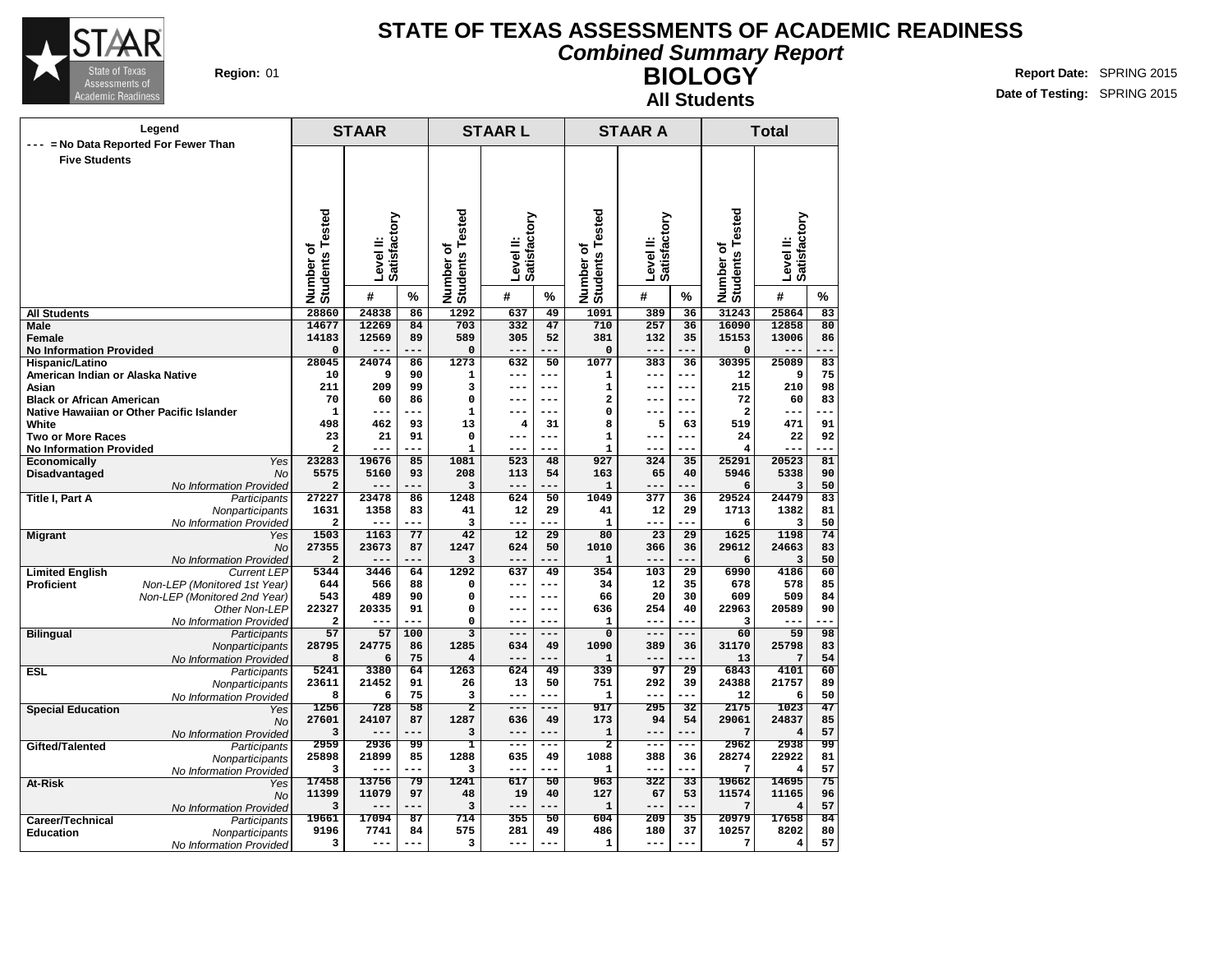

#### **Combined Summary Report**

**BIOLOGY All Students**

**Region:** 01 **RIGHT REPORT IN REPORT IN REPORT OF A REPORT OF REPORT OF REPORT OF REPORT OF REPORT OF REPORT OF REPORT OF REPORT OF REPORT OF REPORT OF REPORT OF REPORT OF REPORT OF REPORT OF REPORT OF REPORT OF REPORT OF Date of Testing:** SPRING 2015

| Legend                           |                                           |                                 | <b>STAAR</b>   |             | <b>STAARL</b>                |                         |                    | <b>STAAR A</b>                      |              | <b>Total</b>    |                              |                         |          |
|----------------------------------|-------------------------------------------|---------------------------------|----------------|-------------|------------------------------|-------------------------|--------------------|-------------------------------------|--------------|-----------------|------------------------------|-------------------------|----------|
| $\qquad \qquad - -$              | = No Data Reported For Fewer Than         |                                 |                |             |                              |                         |                    |                                     |              |                 |                              |                         |          |
| <b>Five Students</b>             |                                           |                                 |                |             |                              |                         |                    |                                     |              |                 |                              |                         |          |
|                                  |                                           |                                 |                |             |                              |                         |                    |                                     |              |                 |                              |                         |          |
|                                  |                                           |                                 |                |             |                              |                         |                    |                                     |              |                 |                              |                         |          |
|                                  |                                           |                                 |                |             |                              |                         |                    |                                     |              |                 |                              |                         |          |
|                                  |                                           |                                 |                |             |                              |                         |                    |                                     |              |                 |                              |                         |          |
|                                  |                                           |                                 | Satisfactory   |             |                              | Satisfactory            |                    | Tested                              | Satisfactory |                 |                              | Satisfactory            |          |
|                                  |                                           |                                 |                |             |                              |                         |                    |                                     |              |                 |                              |                         |          |
|                                  |                                           |                                 | Level II:      |             |                              | Level II:               |                    |                                     | Level II:    |                 |                              | Level II:               |          |
|                                  |                                           |                                 |                |             |                              |                         |                    |                                     |              |                 |                              |                         |          |
|                                  |                                           | Number of<br>Students Tested    | #              | %           | Number of<br>Students Tested | #                       | %                  | Number of<br>Students T             | #            | %               | Number of<br>Students Tested | #                       | %        |
| <b>All Students</b>              |                                           | 28860                           | 24838          | 86          | 1292                         | 637                     | 49                 | 1091                                | 389          | $\overline{36}$ | 31243                        | 25864                   | 83       |
| <b>Male</b>                      |                                           | 14677                           | 12269          | 84          | 703                          | 332                     | 47                 | 710                                 | 257          | $\overline{36}$ | 16090                        | 12858                   | 80       |
| Female                           |                                           | 14183                           | 12569          | 89          | 589                          | 305                     | 52                 | 381                                 | 132          | 35              | 15153                        | 13006                   | 86       |
| <b>No Information Provided</b>   |                                           | $\mathbf 0$                     |                |             | 0                            | $---$                   | ---                | $\mathbf 0$                         | ---          | ---             | $\mathbf 0$                  |                         |          |
| Hispanic/Latino                  |                                           | 28045                           | 24074          | 86          | 1273                         | 632                     | 50                 | 1077                                | 383          | 36              | 30395                        | 25089                   | 83       |
| American Indian or Alaska Native |                                           | 10                              | 9              | 90          | 1                            | $---$                   | $---$              | $\mathbf{1}$                        | ---          | ---             | 12                           | 9                       | 75       |
| Asian                            |                                           | 211                             | 209            | 99          | 3                            | $---$                   | $---$              | $\mathbf 1$                         | $---$        | $---$           | 215                          | 210                     | 98       |
| <b>Black or African American</b> |                                           | 70                              | 60<br>---      | 86          | $\mathbf 0$                  | $---$<br>$---$          | $---$<br>---       | $\overline{\mathbf{2}}$<br>$\Omega$ | ---<br>---   | $--$<br>---     | 72                           | 60<br>---               | 83       |
| White                            | Native Hawaiian or Other Pacific Islander | $\mathbf{1}$<br>498             | 462            | 93          | $\mathbf 1$<br>13            | $\overline{\mathbf{4}}$ | 31                 | 8                                   | 5            | 63              | $\mathbf{2}$<br>519          | 471                     | 91       |
| <b>Two or More Races</b>         |                                           | 23                              | 21             | 91          | 0                            | $---$                   | $---$              | $\mathbf{1}$                        | ---          | ---             | 24                           | 22                      | 92       |
| <b>No Information Provided</b>   |                                           | $\overline{a}$                  | ---            | ---         | $\mathbf 1$                  | $---$                   | ---                | $\mathbf{1}$                        | ---          | ---             | 4                            | ---                     | ---      |
| Economically                     | Yes                                       | 23283                           | 19676          | 85          | 1081                         | 523                     | 48                 | 927                                 | 324          | 35              | 25291                        | 20523                   | 81       |
| Disadvantaged                    | <b>No</b>                                 | 5575                            | 5160           | 93          | 208                          | 113                     | 54                 | 163                                 | 65           | 40              | 5946                         | 5338                    | 90       |
|                                  | No Information Provided                   | $\overline{\mathbf{2}}$         | $---$          | $ -$        | 3                            | $---$                   | ---                | $\mathbf{1}$                        | ---          | ---             | 6                            | 3                       | 50       |
| Title I, Part A                  | Participants                              | 27227                           | 23478          | 86          | 1248                         | 624                     | 50                 | 1049                                | 377          | 36              | 29524                        | 24479                   | 83       |
|                                  | Nonparticipants                           | 1631<br>$\overline{\mathbf{2}}$ | 1358<br>---    | 83<br>---   | 41<br>3                      | 12<br>---               | 29<br>--           | 41<br>$\mathbf{1}$                  | 12<br>---    | 29<br>$- -$     | 1713<br>6                    | 1382<br>з               | 81<br>50 |
| <b>Migrant</b>                   | No Information Provided<br>Yes            | 1503                            | 1163           | 77          | 42                           | 12                      | 29                 | 80                                  | 23           | 29              | 1625                         | 1198                    | 74       |
|                                  | <b>No</b>                                 | 27355                           | 23673          | 87          | 1247                         | 624                     | 50                 | 1010                                | 366          | 36              | 29612                        | 24663                   | 83       |
|                                  | No Information Provided                   | $\overline{a}$                  | $---$          | $ -$        | 3                            | $---$                   | ---                | $\mathbf{1}$                        | ---          | $- -$           | 6                            | 3                       | 50       |
| <b>Limited English</b>           | <b>Current LEP</b>                        | 5344                            | 3446           | 64          | 1292                         | 637                     | 49                 | 354                                 | 103          | 29              | 6990                         | 4186                    | 60       |
| <b>Proficient</b>                | Non-LEP (Monitored 1st Year)              | 644                             | 566            | 88          | 0                            | $---$                   | $---$              | 34                                  | 12           | 35              | 678                          | 578                     | 85       |
|                                  | Non-LEP (Monitored 2nd Year)              | 543                             | 489            | 90          | 0                            | $---$                   | $---$              | 66                                  | 20           | 30              | 609                          | 509                     | 84       |
|                                  | Other Non-LEP                             | 22327<br>$\overline{a}$         | 20335<br>---   | 91          | 0<br>0                       | $---$                   | $- - -$<br>$- - -$ | 636                                 | 254<br>---   | 40<br>---       | 22963                        | 20589                   | 90       |
| <b>Bilingual</b>                 | No Information Provided<br>Participants   | 57                              | 57             | 100         | $\overline{\mathbf{3}}$      | $---$                   | $---$              | $\mathbf{1}$<br>$\overline{0}$      | $---$        | $---$           | 3<br>60                      | 59                      | 98       |
|                                  | Nonparticipants                           | 28795                           | 24775          | 86          | 1285                         | 634                     | 49                 | 1090                                | 389          | 36              | 31170                        | 25798                   | 83       |
|                                  | No Information Provided                   | 8                               | 6              | 75          | $\overline{\mathbf{4}}$      |                         |                    | $\mathbf{1}$                        | --           |                 | 13                           | 7                       | 54       |
| <b>ESL</b>                       | Participants                              | 5241                            | 3380           | 64          | 1263                         | 624                     | 49                 | 339                                 | 97           | 29              | 6843                         | 4101                    | 60       |
|                                  | Nonparticipants                           | 23611                           | 21452          | 91          | 26                           | 13                      | 50                 | 751                                 | 292          | 39              | 24388                        | 21757                   | 89       |
|                                  | No Information Provided                   | 8                               | 6              | 75          | 3                            | ---                     |                    | $\mathbf{1}$                        | ---          |                 | 12                           | 6                       | 50       |
| <b>Special Education</b>         | Yes                                       | 1256<br>27601                   | 728            | 58          | 2                            | $---$                   | ---                | 917                                 | 295          | $\overline{32}$ | 2175                         | 1023                    | 47       |
|                                  | No                                        | 3                               | 24107<br>$- -$ | 87          | 1287<br>3                    | 636<br>$---$            | 49                 | 173<br>$\mathbf{1}$                 | 94<br>$- -$  | 54              | 29061<br>7                   | 24837<br>$\overline{4}$ | 85<br>57 |
| Gifted/Talented                  | No Information Provided<br>Participants   | 2959                            | 2936           | 99          | ī                            | ---                     | .<br>.<br>.        | $\overline{2}$                      | ---          | ---             | 2962                         | 2938                    | 99       |
|                                  | Nonparticipants                           | 25898                           | 21899          | 85          | 1288                         | 635                     | 49                 | 1088                                | 388          | 36              | 28274                        | 22922                   | 81       |
|                                  | No Information Provided                   | 3                               | $---$          | ---         | 3                            | $---$                   | $---$              | $\mathbf{1}$                        | ---          | ---             | 7                            | 4                       | 57       |
| At-Risk                          | Yes                                       | 17458                           | 13756          | 79          | 1241                         | 617                     | $\overline{50}$    | 963                                 | 322          | 33              | 19662                        | 14695                   | 75       |
|                                  | <b>No</b>                                 | 11399                           | 11079          | 97          | 48                           | 19                      | 40                 | 127                                 | 67           | 53              | 11574                        | 11165                   | 96       |
|                                  | No Information Provided                   | 3                               | ---            | ---         | 3                            | ---                     | ---                | $\mathbf{1}$                        | ---          | ---             | 7                            | $\overline{4}$          | 57       |
| Career/Technical                 | Participants                              | 19661                           | 17094          | 87          | 714                          | 355                     | 50                 | 604                                 | 209          | 35              | 20979                        | 17658                   | 84       |
| Education                        | Nonparticipants                           | 9196<br>3                       | 7741<br>$---$  | 84<br>$---$ | 575<br>3                     | 281<br>$---$            | 49<br>$---$        | 486<br>$\mathbf 1$                  | 180<br>---   | 37<br>---       | 10257<br>7                   | 8202<br>$\overline{4}$  | 80<br>57 |
|                                  | No Information Provided                   |                                 |                |             |                              |                         |                    |                                     |              |                 |                              |                         |          |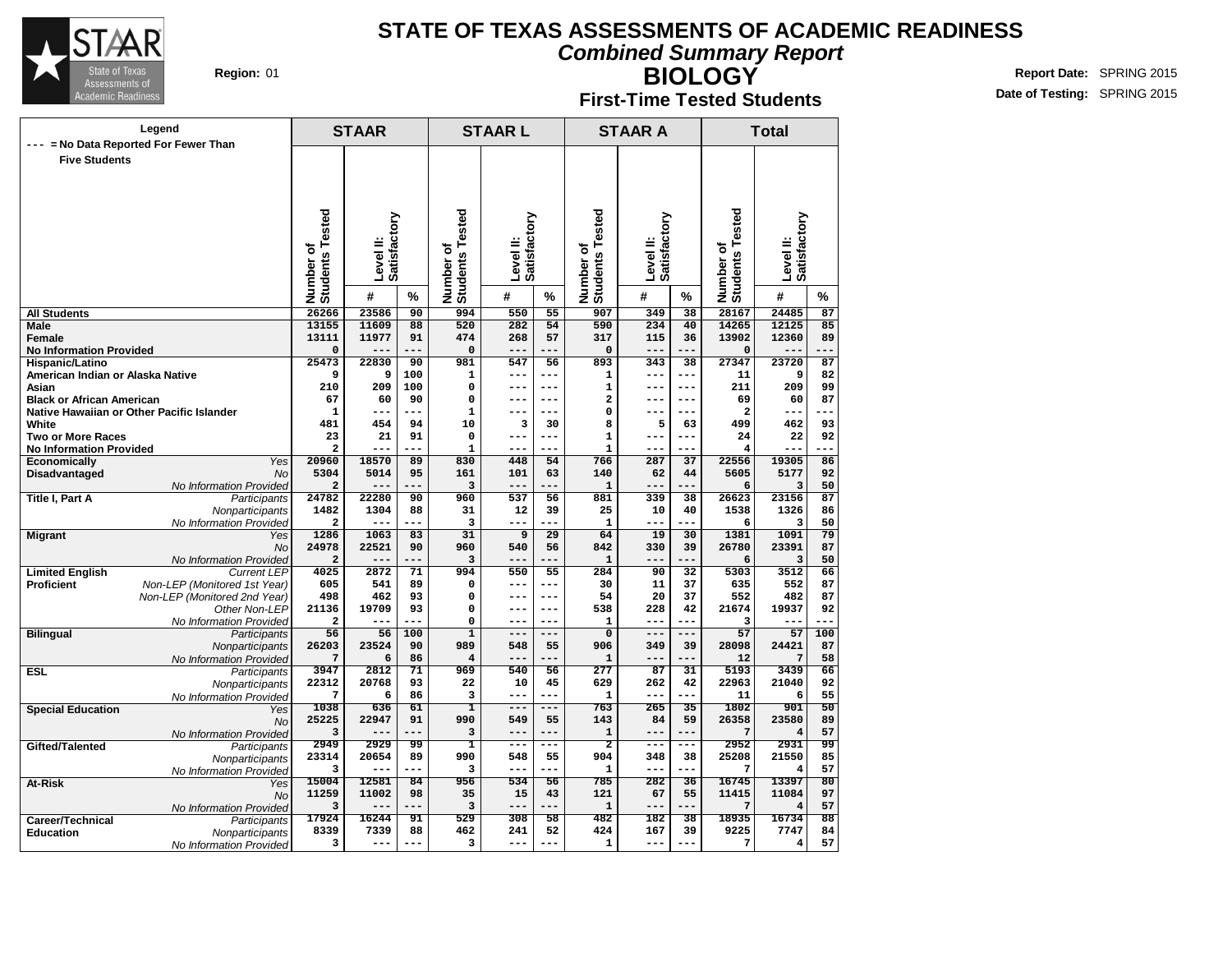

**BIOLOGY**

**Combined Summary Report**

**Region:** 01 **RIGHT REPORT IN REPORT IN REPORT OF A REPORT OF REPORT OF REPORT OF REPORT OF REPORT OF REPORT OF REPORT OF REPORT OF REPORT OF REPORT OF REPORT OF REPORT OF REPORT OF REPORT OF REPORT OF REPORT OF REPORT OF Date of Testing:** SPRING 2015

#### **First-Time Tested Students**

|                                           | Legend                                        |                              | <b>STAAR</b>              |                 |                              | <b>STAARL</b>             |                 |                              | <b>STAAR A</b>            |                 |                              | <b>Total</b>              |                       |
|-------------------------------------------|-----------------------------------------------|------------------------------|---------------------------|-----------------|------------------------------|---------------------------|-----------------|------------------------------|---------------------------|-----------------|------------------------------|---------------------------|-----------------------|
| --- = No Data Reported For Fewer Than     |                                               |                              |                           |                 |                              |                           |                 |                              |                           |                 |                              |                           |                       |
| <b>Five Students</b>                      |                                               |                              |                           |                 |                              |                           |                 |                              |                           |                 |                              |                           |                       |
|                                           |                                               |                              |                           |                 |                              |                           |                 |                              |                           |                 |                              |                           |                       |
|                                           |                                               |                              |                           |                 |                              |                           |                 |                              |                           |                 |                              |                           |                       |
|                                           |                                               |                              |                           |                 |                              |                           |                 |                              |                           |                 |                              |                           |                       |
|                                           |                                               | Number of<br>Students Tested | Level II:<br>Satisfactory |                 | Number of<br>Students Tested | Level II:<br>Satisfactory |                 | Number of<br>Students Tested | Level II:<br>Satisfactory |                 | Number of<br>Students Tested | Level II:<br>Satisfactory |                       |
|                                           |                                               |                              |                           |                 |                              |                           |                 |                              |                           |                 |                              |                           |                       |
|                                           |                                               |                              |                           |                 |                              |                           |                 |                              |                           |                 |                              |                           |                       |
|                                           |                                               |                              |                           |                 |                              |                           |                 |                              |                           |                 |                              |                           |                       |
|                                           |                                               |                              |                           |                 |                              |                           |                 |                              |                           |                 |                              |                           |                       |
|                                           |                                               |                              |                           |                 |                              |                           |                 |                              |                           |                 |                              |                           |                       |
|                                           |                                               |                              | #                         | %               |                              | #                         | %               |                              | #                         | %               |                              | #                         | %                     |
| <b>All Students</b>                       |                                               | 26266                        | 23586                     | 90              | 994                          | 550                       | 55              | 907                          | 349                       | 38              | 28167                        | 24485                     | 87                    |
| Male                                      |                                               | 13155                        | 11609                     | 88              | 520                          | 282                       | 54              | 590                          | 234                       | 40              | 14265                        | 12125                     | 85                    |
| <b>Female</b>                             |                                               | 13111                        | 11977                     | 91              | 474                          | 268                       | 57              | 317                          | 115                       | 36              | 13902                        | 12360                     | 89                    |
| <b>No Information Provided</b>            |                                               | 0                            |                           |                 | $\mathbf 0$                  |                           |                 | 0                            | ---                       | ---             | 0                            |                           |                       |
| Hispanic/Latino                           |                                               | 25473                        | 22830                     | 90              | 981                          | 547                       | 56              | 893                          | 343                       | 38              | 27347                        | 23720                     | 87                    |
| American Indian or Alaska Native          |                                               | 9                            | 9                         | 100             | 1                            | ---                       | $- - -$         | 1                            | ---                       | $- - -$         | 11                           | 9                         | 82                    |
| Asian                                     |                                               | 210                          | 209                       | 100             | 0                            | ---                       | $- - -$         | $\mathbf{1}$                 | ---                       | $---$           | 211                          | 209                       | 99                    |
| <b>Black or African American</b>          |                                               | 67                           | 60                        | 90              | 0                            | $---$                     | $---$           | $\mathbf{2}$                 | $---$                     | $---$           | 69                           | 60                        | 87                    |
| Native Hawaiian or Other Pacific Islander |                                               | 1                            | ---                       | ---             | $\mathbf{1}$                 | $---$                     | $- - -$         | $\mathbf 0$                  | ---                       | $- - -$         | $\overline{\mathbf{2}}$      | ---                       | ---                   |
| White                                     |                                               | 481                          | 454                       | 94              | 10                           | 3                         | 30              | 8                            | 5                         | 63              | 499                          | 462                       | 93                    |
| <b>Two or More Races</b>                  |                                               | 23                           | 21                        | 91              | 0                            | $---$                     | $---$           | 1                            | $---$                     | $---$           | 24                           | 22                        | 92                    |
| <b>No Information Provided</b>            |                                               | $\overline{a}$               | ---                       | ---             | 1                            | ---                       |                 | $\mathbf{1}$                 | ---                       | ---             | 4                            | ---                       | ---                   |
| Economically                              | Yes                                           | 20960                        | 18570                     | 89              | 830                          | 448                       | 54              | 766                          | 287                       | 37              | 22556                        | 19305                     | 86                    |
| Disadvantaged                             | <b>No</b>                                     | 5304                         | 5014                      | 95              | 161                          | 101                       | 63              | 140                          | 62                        | 44              | 5605                         | 5177                      | 92                    |
|                                           | No Information Provided                       | $\overline{\mathbf{2}}$      |                           |                 | 3                            |                           |                 | $\mathbf 1$                  |                           |                 | 6                            | 3                         | 50                    |
| Title I, Part A                           | Participants                                  | 24782                        | 22280                     | 90              | 960                          | 537                       | 56              | 881                          | 339                       | 38              | 26623                        | 23156                     | 87                    |
|                                           | Nonparticipants                               | 1482                         | 1304<br>$---$             | 88              | 31                           | 12<br>$---$               | 39              | 25                           | 10<br>$---$               | 40              | 1538                         | 1326                      | 86                    |
|                                           | No Information Provided                       | $\mathbf{2}$                 |                           | ---             | 3                            |                           | ---             | $\mathbf{1}$                 |                           | $- - -$         | 6                            | 3                         | 50                    |
| <b>Migrant</b>                            | Yes                                           | 1286                         | 1063                      | 83              | 31                           | $\overline{9}$            | 29              | 64                           | 19                        | 30              | 1381                         | 1091                      | 79                    |
|                                           | No                                            | 24978<br>$\overline{a}$      | 22521                     | 90              | 960<br>3                     | 540                       | 56              | 842<br>$\mathbf{1}$          | 330<br>---                | 39<br>---       | 26780                        | 23391<br>3                | 87<br>50              |
| <b>Limited English</b>                    | No Information Provided<br><b>Current LEP</b> | 4025                         | 2872                      | 71              | 994                          | 550                       | 55              | 284                          | 90                        | 32              | 6<br>5303                    | 3512                      | 66                    |
| <b>Proficient</b>                         | Non-LEP (Monitored 1st Year)                  | 605                          | 541                       | 89              | $\mathbf 0$                  | ---                       | ---             | 30                           | 11                        | 37              | 635                          | 552                       | 87                    |
|                                           | Non-LEP (Monitored 2nd Year)                  | 498                          | 462                       | 93              | $\mathbf 0$                  | ---                       | $---$           | 54                           | 20                        | 37              | 552                          | 482                       | 87                    |
|                                           | Other Non-LEP                                 | 21136                        | 19709                     | 93              | $\Omega$                     | ---                       | $---$           | 538                          | 228                       | 42              | 21674                        | 19937                     | 92                    |
|                                           | No Information Provided                       | 2                            |                           |                 | 0                            | --                        | ---             | 1                            | ---                       | ---             | 3                            |                           |                       |
| <b>Bilingual</b>                          | Participants                                  | 56                           | 56                        | 100             | $\overline{1}$               | $---$                     | ---             | $\overline{\mathbf{0}}$      | $- - -$                   | $- - -$         | 57                           | 57                        | 100                   |
|                                           | Nonparticipants                               | 26203                        | 23524                     | 90              | 989                          | 548                       | 55              | 906                          | 349                       | 39              | 28098                        | 24421                     | 87                    |
|                                           | No Information Provided                       | 7                            | 6                         | 86              | 4                            | $- - -$                   | ---             | 1                            | $---$                     | ---             | 12                           | 7                         | 58                    |
| ESL                                       | Participants                                  | 3947                         | 2812                      | 71              | 969                          | 540                       | 56              | $\overline{277}$             | 87                        | 31              | 5193                         | 3439                      | 66                    |
|                                           | Nonparticipants                               | 22312                        | 20768                     | 93              | 22                           | 10                        | 45              | 629                          | 262                       | 42              | 22963                        | 21040                     | 92                    |
|                                           | No Information Provided                       | 7                            | 6                         | 86              | 3                            | $---$                     | ---             | 1                            | ---                       | $---$           | 11                           | 6                         | 55                    |
| <b>Special Education</b>                  | Yes                                           | 1038                         | 636                       | 61              | ı                            | $---$                     | ---             | 763                          | 265                       | 35              | 1802                         | 901                       | 50                    |
|                                           | No                                            | 25225                        | 22947                     | 91              | 990                          | 549                       | 55              | 143                          | 84                        | 59              | 26358                        | 23580                     | 89                    |
|                                           | No Information Provided                       | 3                            | ---                       |                 | 3                            | ---                       |                 | 1                            | ---                       | ---             | 7                            | 4                         | 57                    |
| Gifted/Talented                           | Participants                                  | 2949                         | 2929                      | 99              | 1                            | ---                       | ---             | 2                            | ---                       | ---             | 2952                         | 2931                      | 99                    |
|                                           | Nonparticipants                               | 23314                        | 20654                     | 89              | 990                          | 548                       | 55              | 904                          | 348                       | 38              | 25208                        | 21550                     | 85                    |
|                                           | No Information Provided                       | 3                            | ---                       | ---             | 3                            | $---$                     | ---             | $\mathbf{1}$                 | $---$                     | ---             | 7                            | 4                         | 57                    |
| At-Risk                                   | Yes                                           | 15004                        | 12581                     | $\overline{84}$ | 956                          | 534                       | $\overline{56}$ | 785                          | 282                       | $\overline{36}$ | 16745                        | 13397                     | $\overline{80}$       |
|                                           | <b>No</b>                                     | 11259                        | 11002                     | 98              | 35                           | 15<br>---                 | 43<br>---       | 121                          | 67<br>---                 | 55<br>---       | 11415<br>7                   | 11084                     | 97                    |
|                                           | No Information Provided                       | 3<br>17924                   | ---<br>16244              | ---<br>91       | 3                            | 308                       | 58              | $\mathbf 1$<br>482           | 182                       | 38              | 18935                        | 4<br>16734                | 57<br>$\overline{88}$ |
| Career/Technical                          | Participants                                  | 8339                         | 7339                      | 88              | 529<br>462                   | 241                       | 52              | 424                          | 167                       | 39              | 9225                         | 7747                      | 84                    |
| <b>Education</b>                          | Nonparticipants                               | 3                            | ---                       |                 | 3                            | ---                       |                 | 1                            | ---                       | ---             | 7                            | 4                         | 57                    |
|                                           | No Information Provided                       |                              |                           |                 |                              |                           |                 |                              |                           |                 |                              |                           |                       |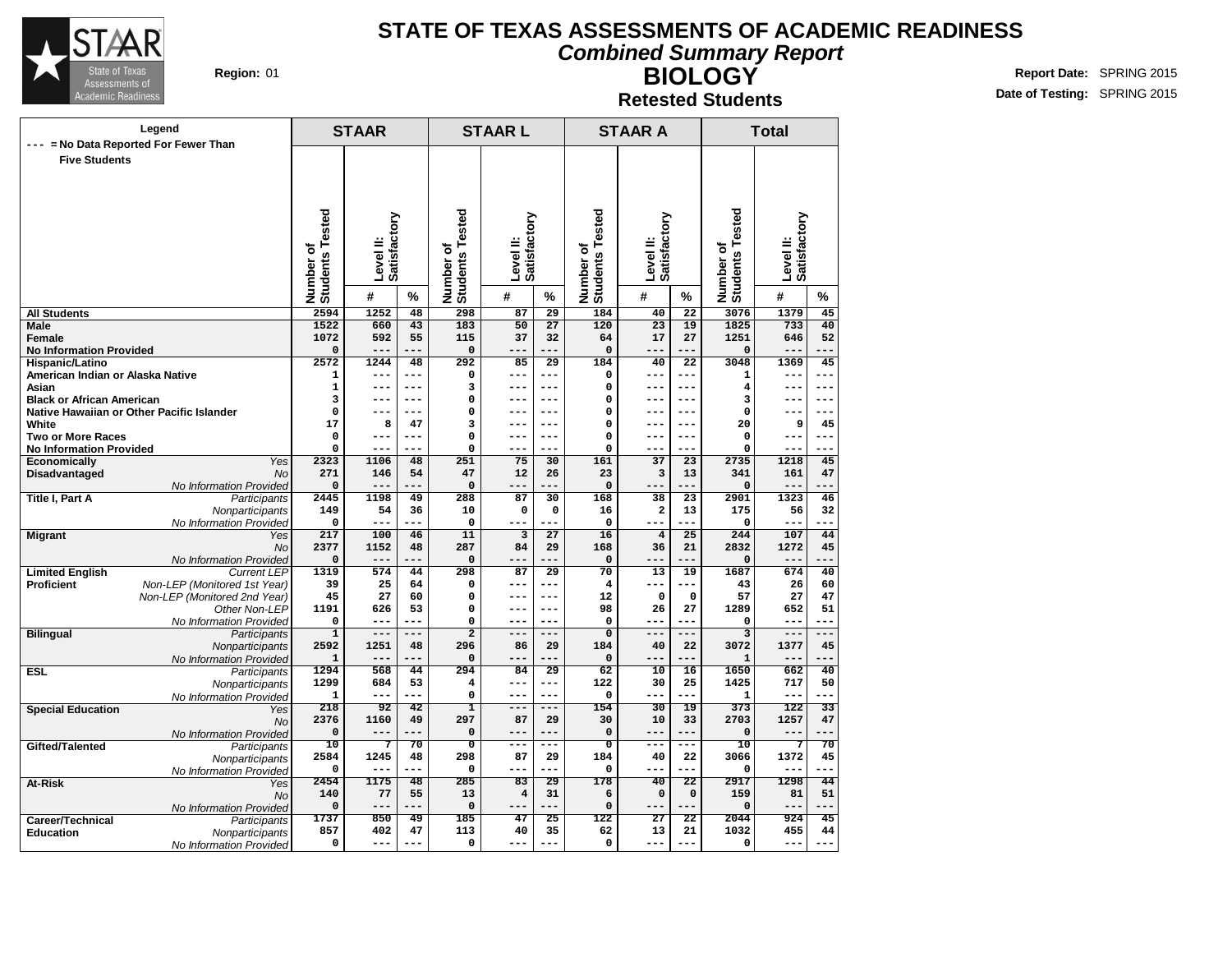

#### **Combined Summary Report**

**Region:** 01 **RIGHT REPORT IN REPORT IN REPORT OF A REPORT OF REPORT OF REPORT OF REPORT OF REPORT OF REPORT OF REPORT OF REPORT OF REPORT OF REPORT OF REPORT OF REPORT OF REPORT OF REPORT OF REPORT OF REPORT OF REPORT OF Date of Testing:** SPRING 2015

#### **Retested Students**

**BIOLOGY**

|                                                   | Legend                                        | <b>STAAR</b>                     |               |                        |                                  | <b>STAARL</b>          |              |                                  | <b>STAAR A</b>          |                        |                                 | <b>Total</b>              |                          |
|---------------------------------------------------|-----------------------------------------------|----------------------------------|---------------|------------------------|----------------------------------|------------------------|--------------|----------------------------------|-------------------------|------------------------|---------------------------------|---------------------------|--------------------------|
|                                                   | --- = No Data Reported For Fewer Than         |                                  |               |                        |                                  |                        |              |                                  |                         |                        |                                 |                           |                          |
| <b>Five Students</b>                              |                                               |                                  |               |                        |                                  |                        |              |                                  |                         |                        |                                 |                           |                          |
|                                                   |                                               |                                  |               |                        |                                  |                        |              |                                  |                         |                        |                                 |                           |                          |
|                                                   |                                               |                                  |               |                        |                                  |                        |              |                                  |                         |                        |                                 |                           |                          |
|                                                   |                                               |                                  |               |                        |                                  |                        |              |                                  |                         |                        |                                 |                           |                          |
|                                                   |                                               |                                  | Satisfactory  |                        |                                  | Satisfactory           |              |                                  | Satisfactory            |                        |                                 | Level II:<br>Satisfactory |                          |
|                                                   |                                               | ō                                | Level II:     |                        | ৳                                | Level II:              |              | ৳                                | Level II:               |                        |                                 |                           |                          |
|                                                   |                                               |                                  |               |                        |                                  |                        |              |                                  |                         |                        |                                 |                           |                          |
|                                                   |                                               |                                  |               |                        |                                  |                        |              |                                  |                         |                        |                                 |                           |                          |
|                                                   |                                               | <b>Students Tested</b><br>Number | #             | %                      | <b>Students Tested</b><br>Number | #                      | %            | <b>Students Tested</b><br>Number | #                       | %                      | Number of<br>Students Tested    | #                         | %                        |
| <b>All Students</b>                               |                                               | 2594                             | 1252          | 48                     | 298                              | 87                     | 29           | 184                              | 40                      | 22                     | 3076                            | 1379                      | 45                       |
| <b>Male</b>                                       |                                               | 1522                             | 660           | 43                     | 183                              | 50                     | 27           | 120                              | 23                      | 19                     | 1825                            | 733                       | 40                       |
| <b>Female</b>                                     |                                               | 1072                             | 592           | 55                     | 115                              | 37                     | 32           | 64                               | 17                      | 27                     | 1251                            | 646                       | 52                       |
| <b>No Information Provided</b><br>Hispanic/Latino |                                               | 0<br>2572                        | ---<br>1244   | ---<br>48              | $\pmb{0}$<br>292                 | ---<br>85              | 29           | $\mathbf 0$<br>184               | ---<br>40               | ---<br>$\overline{22}$ | 0<br>3048                       | ---<br>1369               | 45                       |
| American Indian or Alaska Native                  |                                               | 1                                | ---           | $---$                  | $\mathbf 0$                      | ---                    | ---          | 0                                | ---                     | ---                    | 1                               | ---                       | $---$                    |
| Asian                                             |                                               | $\mathbf{1}$                     | ---           | ---                    | 3                                | ---                    | ---          | $\mathbf 0$                      | $---$                   | $---$                  | 4                               | $---$                     | ---                      |
| <b>Black or African American</b>                  |                                               | 3                                | ---           | $- - -$                | 0                                | ---                    | ---          | $\mathbf 0$                      | $---$                   | $---$                  | 3                               | ---                       | ---                      |
|                                                   | Native Hawaiian or Other Pacific Islander     | 0                                | ---           | $- - -$                | $\mathbf 0$                      | ---                    | ---<br>---   | $\mathbf 0$                      | $- - -$<br>$- - -$      | ---                    | 0                               | ---                       | $- - -$                  |
| White<br><b>Two or More Races</b>                 |                                               | 17<br>0                          | 8<br>---      | 47<br>$- - -$          | 3<br>0                           | ---<br>---             | ---          | $\mathbf 0$<br>$\mathbf 0$       | ---                     | $---$<br>---           | 20<br>0                         | 9<br>---                  | 45<br>$- -$              |
| <b>No Information Provided</b>                    |                                               | 0                                | ---           | $- - -$                | 0                                | ---                    | ---          | 0                                | ---                     | ---                    | $\mathsf{o}\,$                  | ---                       | ---                      |
| Economically                                      | Yes                                           | 2323                             | 1106          | 48                     | 251                              | 75                     | 30           | 161                              | 37                      | 23                     | 2735                            | 1218                      | 45                       |
| Disadvantaged                                     | <b>No</b>                                     | 271                              | 146           | 54                     | 47                               | 12                     | 26           | 23                               | 3                       | 13                     | 341                             | 161                       | 47                       |
| <b>Title I, Part A</b>                            | No Information Provided<br>Participants       | $\mathbf 0$<br>2445              | $---$<br>1198 | ---<br>49              | $\mathbf 0$<br>288               | ---<br>87              | ---<br>30    | $\mathbf 0$<br>168               | ---<br>38               | ---<br>$\overline{23}$ | 0<br>2901                       | ---<br>1323               | ---<br>46                |
|                                                   | Nonparticipants                               | 149                              | 54            | 36                     | 10                               | 0                      | 0            | 16                               | 2                       | 13                     | 175                             | 56                        | 32                       |
|                                                   | No Information Provided                       | 0                                | $- - -$       | ---                    | $\mathbf 0$                      | ---                    | ---          | $\mathbf 0$                      | $- - -$                 | ---                    | $\mathbf 0$                     | ---                       | $- - -$                  |
| <b>Migrant</b>                                    | Yes                                           | 217                              | 100           | 46                     | 11                               | 3                      | 27           | 16                               | $\overline{\mathbf{4}}$ | 25                     | 244                             | 107                       | 44                       |
|                                                   | <b>No</b>                                     | 2377                             | 1152          | 48                     | 287                              | 84                     | 29           | 168                              | 36                      | 21                     | 2832                            | 1272                      | 45                       |
| <b>Limited English</b>                            | No Information Provided<br><b>Current LEP</b> | $\mathsf{o}\,$<br>1319           | $---$<br>574  | ---<br>44              | 0<br>298                         | ---<br>87              | ---<br>29    | $\mathbf 0$<br>70                | ---<br>13               | ---<br>19              | 0<br>1687                       | ---<br>674                | ---<br>40                |
| <b>Proficient</b>                                 | Non-LEP (Monitored 1st Year)                  | 39                               | 25            | 64                     | $\mathbf 0$                      | ---                    | ---          | $\overline{4}$                   | ---                     | ---                    | 43                              | 26                        | 60                       |
|                                                   | Non-LEP (Monitored 2nd Year)                  | 45                               | 27            | 60                     | $\mathbf 0$                      | ---                    | ---          | 12                               | 0                       | $\mathbf 0$            | 57                              | 27                        | 47                       |
|                                                   | Other Non-LEP                                 | 1191                             | 626           | 53                     | 0                                | ---                    | ---          | 98                               | 26                      | 27                     | 1289                            | 652                       | 51                       |
|                                                   | No Information Provided                       | 0                                | ---           | ---                    | 0                                | ---                    | ---          | $\mathbf 0$                      | ---                     |                        | $\mathbf 0$                     | ---                       | $- -$                    |
| <b>Bilingual</b>                                  | Participants<br>Nonparticipants               | $\overline{1}$<br>2592           | $---$<br>1251 | $- - -$<br>48          | $\overline{2}$<br>296            | $---$<br>86            | ---<br>29    | $\overline{0}$<br>184            | $---$<br>40             | ---<br>22              | $\overline{\mathbf{3}}$<br>3072 | $---$<br>1377             | $- - -$<br>45            |
|                                                   | No Information Provided                       | 1                                | $---$         |                        | 0                                | ---                    | ---          | 0                                | ---                     | ---                    | 1                               | --                        | --                       |
| <b>ESL</b>                                        | Participants                                  | 1294                             | 568           | 44                     | 294                              | 84                     | 29           | 62                               | 10                      | 16                     | 1650                            | 662                       | 40                       |
|                                                   | Nonparticipants                               | 1299                             | 684           | 53                     | 4                                | ---                    | ---          | 122                              | 30                      | 25                     | 1425                            | 717                       | 50                       |
|                                                   | No Information Provided                       | $\mathbf{1}$<br>218              | $---$<br>92   | $---$<br>42            | 0<br>I                           | ---<br>---             | $---$<br>--- | $\mathbf 0$<br>154               | ---<br>30               | ---<br>19              | 1<br>373                        | $---$<br>122              | $---$<br>$\overline{33}$ |
| <b>Special Education</b>                          | Yes<br><b>No</b>                              | 2376                             | 1160          | 49                     | 297                              | 87                     | 29           | 30                               | 10                      | 33                     | 2703                            | 1257                      | 47                       |
|                                                   | No Information Provided                       | $\mathbf 0$                      | $---$         | ---                    | $\mathbf 0$                      | ---                    | ---          | $\mathbf 0$                      | $---$                   | ---                    | $\mathbf 0$                     | ---                       | ---                      |
| Gifted/Talented                                   | Participants                                  | 10                               | 7             | 70                     | $\overline{\mathbf{0}}$          | ---                    | ---          | $\overline{\mathbf{0}}$          | ---                     | ---                    | 10                              | 7                         | 70                       |
|                                                   | Nonparticipants                               | 2584                             | 1245          | 48                     | 298                              | 87                     | 29           | 184                              | 40                      | 22                     | 3066                            | 1372                      | 45                       |
|                                                   | No Information Provided                       | $\mathbf 0$<br>2454              | ---<br>1175   | ---<br>$\overline{48}$ | $\mathbf 0$<br>285               | ---<br>$\overline{83}$ | 29           | $\mathbf 0$<br>178               | ---<br>40               | ---<br>$\overline{22}$ | $\mathbf 0$<br>2917             | 1298                      | 44                       |
| At-Risk                                           | Yes<br><b>No</b>                              | 140                              | 77            | 55                     | 13                               | 4                      | 31           | 6                                | 0                       | 0                      | 159                             | 81                        | 51                       |
|                                                   | No Information Provided                       | $\mathbf 0$                      | $---$         | ---                    | $\mathbf 0$                      | ---                    | ---          | $\mathbf 0$                      | $-- -$                  | ---                    | 0                               | ---                       | $- -$                    |
| Career/Technical                                  | Participants                                  | 1737                             | 850           | 49                     | 185                              | 47                     | 25           | 122                              | $\overline{27}$         | 22                     | 2044                            | 924                       | 45                       |
| <b>Education</b>                                  | Nonparticipants                               | 857                              | 402           | 47                     | 113                              | 40                     | 35           | 62                               | 13                      | 21                     | 1032                            | 455                       | 44                       |
|                                                   | No Information Provided                       | 0                                | ---           | $---$                  | 0                                |                        | ---          | $\mathbf 0$                      |                         |                        | 0                               | ---                       | ---                      |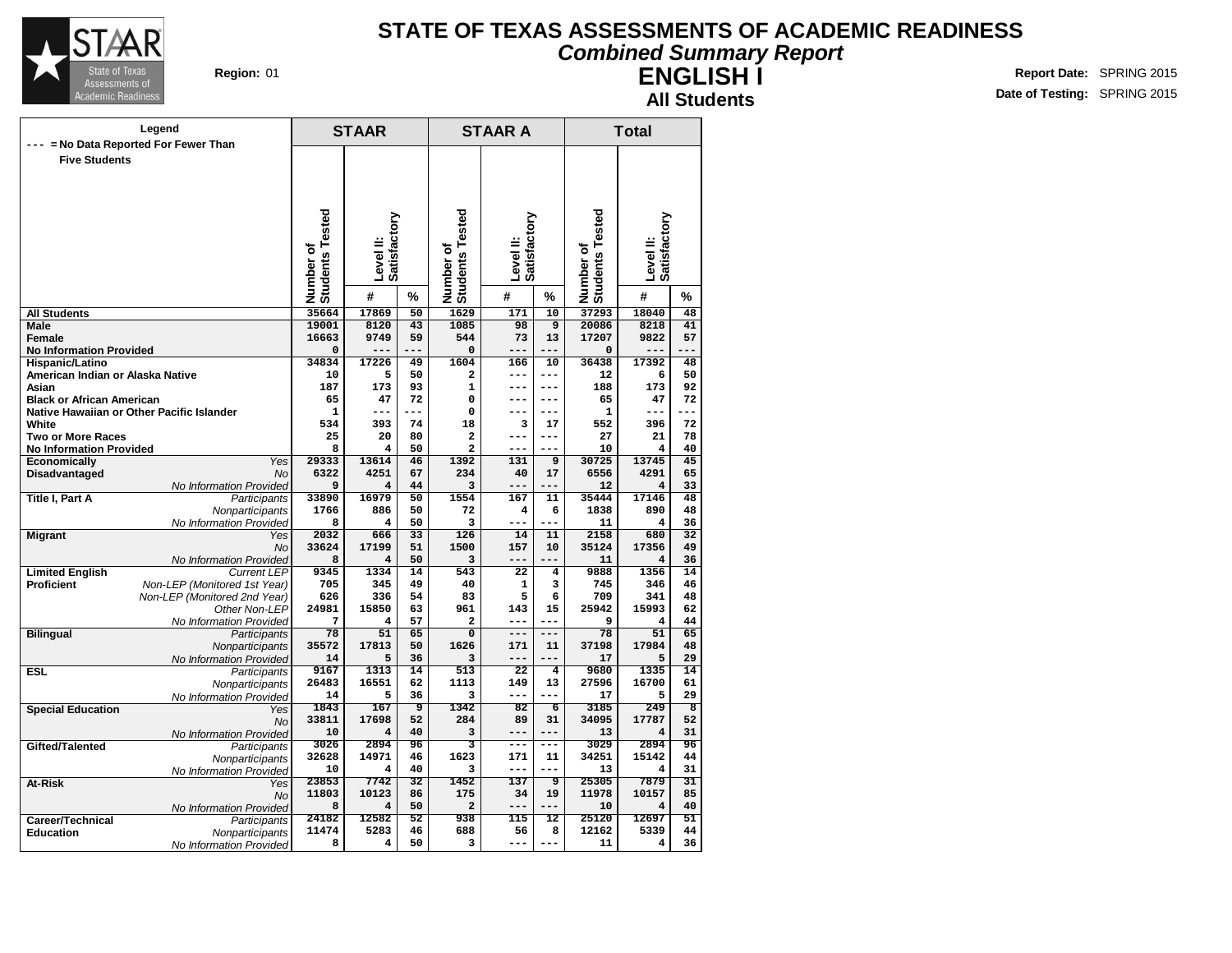

### **STATE OF TEXAS ASSESSMENTS OF ACADEMIC READINESS Combined Summary Report**

**ENGLISH I**

**All Students**

|                                                 | Legend                                        | <b>STAAR</b>                 |                             |                 |                              | <b>STAAR A</b> |                |                              | <b>Total</b>                   |            |
|-------------------------------------------------|-----------------------------------------------|------------------------------|-----------------------------|-----------------|------------------------------|----------------|----------------|------------------------------|--------------------------------|------------|
| $---$                                           | = No Data Reported For Fewer Than             |                              |                             |                 |                              |                |                |                              |                                |            |
| <b>Five Students</b>                            |                                               |                              |                             |                 |                              |                |                |                              |                                |            |
|                                                 |                                               |                              |                             |                 |                              |                |                |                              |                                |            |
|                                                 |                                               |                              |                             |                 |                              |                |                |                              |                                |            |
|                                                 |                                               |                              |                             |                 |                              |                |                |                              |                                |            |
|                                                 |                                               | Number of<br>Students Tested | Satisfactory                |                 | Number of<br>Students Tested | Satisfactory   |                | Number of<br>Students Tested | Satisfactory                   |            |
|                                                 |                                               |                              |                             |                 |                              |                |                |                              |                                |            |
|                                                 |                                               |                              |                             |                 |                              |                |                |                              |                                |            |
|                                                 |                                               |                              | Level II:                   |                 |                              | Level II:      |                |                              | Level II:                      |            |
|                                                 |                                               |                              |                             |                 |                              |                |                |                              |                                |            |
|                                                 |                                               |                              | #                           | %               |                              | #              | %              |                              | #                              | %          |
| <b>All Students</b>                             |                                               | 35664                        | 17869                       | $\overline{50}$ | 1629                         | 171            | 10             | 37293                        | 18040                          | 48         |
| Male                                            |                                               | 19001                        | 8120                        | 43              | 1085                         | 98             | $\overline{9}$ | 20086                        | 8218                           | 41         |
| <b>Female</b><br><b>No Information Provided</b> |                                               | 16663<br>0                   | 9749                        | 59<br>---       | 544<br>0                     | 73<br>---      | 13<br>---      | 17207<br>$\mathbf 0$         | 9822                           | 57<br>$ -$ |
| Hispanic/Latino                                 |                                               | 34834                        | 17226                       | 49              | 1604                         | 166            | 10             | 36438                        | 17392                          | 48         |
| American Indian or Alaska Native                |                                               | 10                           | 5                           | 50              | $\overline{a}$               | ---            | $---$          | 12                           | 6                              | 50         |
| Asian                                           |                                               | 187                          | 173                         | 93              | $\mathbf{1}$                 | ---            | $---$          | 188                          | 173                            | 92         |
| <b>Black or African American</b>                |                                               | 65                           | 47                          | 72              | $\Omega$                     | ---            | $---$          | 65                           | 47                             | 72         |
| Native Hawaiian or Other Pacific Islander       |                                               | 1                            | ---                         | ---             | 0                            | ---            | $---$          | 1                            | ---                            | $- -$      |
| White<br>Two or More Races                      |                                               | 534<br>25                    | 393<br>20                   | 74<br>80        | 18<br>$\mathbf{z}$           | 3<br>---       | 17<br>$---$    | 552<br>27                    | 396<br>21                      | 72<br>78   |
| <b>No Information Provided</b>                  |                                               | 8                            | 4                           | 50              | $\overline{a}$               | ---            | $---$          | 10                           | $\overline{\mathbf{4}}$        | 40         |
| Economically                                    | Yes                                           | 29333                        | 13614                       | 46              | 1392                         | 131            | 9              | 30725                        | 13745                          | 45         |
| Disadvantaged                                   | No                                            | 6322                         | 4251                        | 67              | 234                          | 40             | 17             | 6556                         | 4291                           | 65         |
|                                                 | No Information Provided                       | 9                            | $\overline{\mathbf{4}}$     | 44              | 3                            | ---            | ---            | 12                           | $\overline{\mathbf{4}}$        | 33         |
| <b>Title I, Part A</b>                          | Participants                                  | 33890                        | 16979                       | 50              | 1554                         | 167            | 11             | 35444                        | 17146                          | 48         |
|                                                 | Nonparticipants<br>No Information Provided    | 1766<br>8                    | 886<br>4                    | 50<br>50        | 72<br>3                      | 4<br>---       | 6<br>---       | 1838<br>11                   | 890<br>$\overline{\mathbf{4}}$ | 48<br>36   |
| <b>Migrant</b>                                  | Yes                                           | 2032                         | 666                         | $\overline{33}$ | 126                          | 14             | 11             | 2158                         | 680                            | 32         |
|                                                 | <b>No</b>                                     | 33624                        | 17199                       | 51              | 1500                         | 157            | 10             | 35124                        | 17356                          | 49         |
|                                                 | No Information Provided                       | 8                            | 4                           | 50              | 3                            | ---            |                | 11                           | 4                              | 36         |
| <b>Limited English</b>                          | <b>Current LEP</b>                            | 9345                         | 1334                        | 14              | 543                          | 22             | 4              | 9888                         | 1356                           | 14         |
| <b>Proficient</b>                               | Non-LEP (Monitored 1st Year)                  | 705                          | 345                         | 49              | 40                           | 1              | 3              | 745                          | 346                            | 46         |
|                                                 | Non-LEP (Monitored 2nd Year)<br>Other Non-LEP | 626<br>24981                 | 336<br>15850                | 54<br>63        | 83<br>961                    | 5<br>143       | 6<br>15        | 709<br>25942                 | 341<br>15993                   | 48<br>62   |
|                                                 | No Information Provided                       | 7                            | 4                           | 57              | $\overline{a}$               | ---            | ---            | 9                            | $\overline{\mathbf{4}}$        | 44         |
| <b>Bilingual</b>                                | Participants                                  | 78                           | $\overline{51}$             | 65              | $\overline{0}$               | ---            | $---$          | 78                           | 51                             | 65         |
|                                                 | Nonparticipants                               | 35572                        | 17813                       | 50              | 1626                         | 171            | 11             | 37198                        | 17984                          | 48         |
|                                                 | No Information Provided                       | 14                           | 5                           | 36              | 3                            | ---            | $---$          | 17                           | 5                              | 29         |
| <b>ESL</b>                                      | Participants                                  | 9167<br>26483                | 1313<br>16551               | 14<br>62        | 513<br>1113                  | 22<br>149      | 4<br>13        | 9680<br>27596                | 1335<br>16700                  | 14<br>61   |
|                                                 | Nonparticipants<br>No Information Provided    | 14                           | 5                           | 36              | 3                            | ---            | $---$          | 17                           | 5                              | 29         |
| <b>Special Education</b>                        | Yes                                           | 1843                         | 167                         | 9               | 1342                         | 82             | $\overline{6}$ | 3185                         | 249                            | 8          |
|                                                 | No                                            | 33811                        | 17698                       | 52              | 284                          | 89             | 31             | 34095                        | 17787                          | 52         |
|                                                 | No Information Provided                       | 10                           | $\overline{\mathbf{4}}$     | 40              | 3                            | ---            | ---            | 13                           | 4                              | 31         |
| Gifted/Talented                                 | Participants                                  | 3026                         | 2894                        | 96              | 3                            | ---            | ---            | 3029                         | 2894                           | 96         |
|                                                 | Nonparticipants                               | 32628<br>10                  | 14971<br>$\overline{\bf 4}$ | 46<br>40        | 1623<br>3                    | 171<br>---     | 11<br>$---$    | 34251<br>13                  | 15142<br>4                     | 44<br>31   |
| At-Risk                                         | No Information Provided<br>Yes                | 23853                        | 7742                        | 32              | 1452                         | 137            | $\overline{9}$ | 25305                        | 7879                           | 31         |
|                                                 | No                                            | 11803                        | 10123                       | 86              | 175                          | 34             | 19             | 11978                        | 10157                          | 85         |
|                                                 | No Information Provided                       | 8                            | 4                           | 50              | $\overline{a}$               | ---            | ---            | 10                           | 4                              | 40         |
| Career/Technical                                | Participants                                  | 24182                        | 12582                       | 52              | 938                          | 115            | 12             | 25120                        | 12697                          | 51         |
| <b>Education</b>                                | Nonparticipants                               | 11474                        | 5283                        | 46              | 688                          | 56             | 8              | 12162                        | 5339                           | 44         |
|                                                 | No Information Provided                       | 8                            | 4                           | 50              | 3                            | ---            | $---$          | 11                           | 4                              | 36         |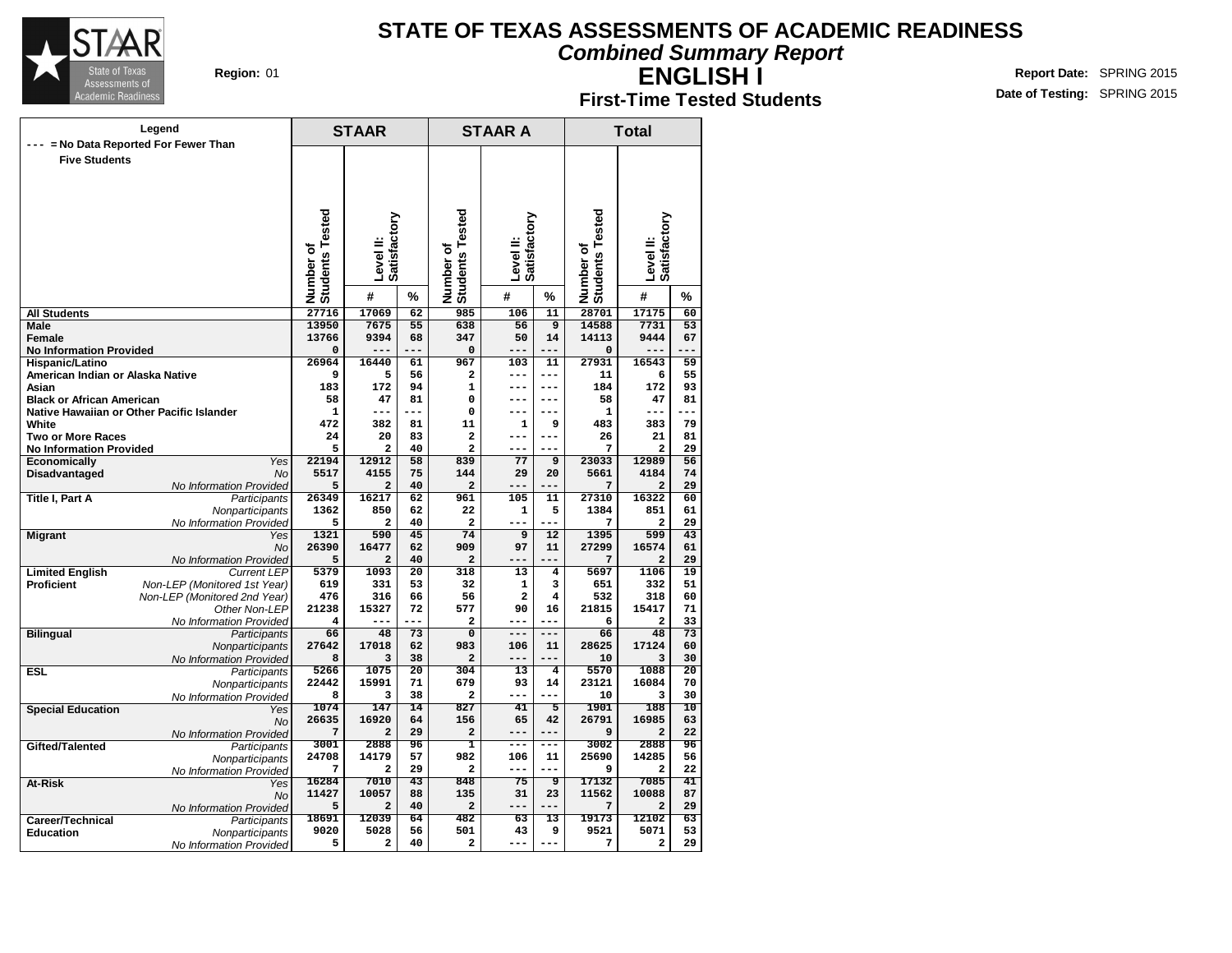

**Combined Summary Report**

**ENGLISH I**

| <b>First-Time Tested Students</b> |
|-----------------------------------|
|-----------------------------------|

|                                                    | Legend                                  |                              | <b>STAAR</b>            |                 |                                     | <b>STAAR A</b>            |                       |                              | <b>Total</b>              |                       |
|----------------------------------------------------|-----------------------------------------|------------------------------|-------------------------|-----------------|-------------------------------------|---------------------------|-----------------------|------------------------------|---------------------------|-----------------------|
| $- - -$                                            | = No Data Reported For Fewer Than       |                              |                         |                 |                                     |                           |                       |                              |                           |                       |
| <b>Five Students</b>                               |                                         |                              |                         |                 |                                     |                           |                       |                              |                           |                       |
|                                                    |                                         |                              |                         |                 |                                     |                           |                       |                              |                           |                       |
|                                                    |                                         |                              |                         |                 |                                     |                           |                       |                              |                           |                       |
|                                                    |                                         |                              |                         |                 |                                     |                           |                       |                              |                           |                       |
|                                                    |                                         |                              |                         |                 |                                     |                           |                       |                              |                           |                       |
|                                                    |                                         |                              | Satisfactory            |                 |                                     | Level II:<br>Satisfactory |                       |                              | Level II:<br>Satisfactory |                       |
|                                                    |                                         |                              | Level II:               |                 |                                     |                           |                       |                              |                           |                       |
|                                                    |                                         |                              |                         |                 |                                     |                           |                       |                              |                           |                       |
|                                                    |                                         |                              |                         |                 |                                     |                           |                       |                              |                           |                       |
|                                                    |                                         | Number of<br>Students Tested | #                       | %               | <b>Students Tested</b><br>Number of | #                         | %                     | Number of<br>Students Tested | #                         | %                     |
| <b>All Students</b>                                |                                         | 27716                        | 17069                   | $\overline{62}$ | 985                                 | 106                       | 11                    | 28701                        | 17175                     | 60                    |
| Male                                               |                                         | 13950                        | 7675                    | 55              | 638                                 | 56                        | $\overline{9}$        | 14588                        | 7731                      | 53                    |
| <b>Female</b>                                      |                                         | 13766                        | 9394                    | 68              | 347                                 | 50                        | 14                    | 14113                        | 9444                      | 67                    |
| <b>No Information Provided</b>                     |                                         | O                            | ---                     | ---             | $\mathbf 0$                         | ---                       | $---$                 | $\mathbf 0$                  | ---                       | ---                   |
| Hispanic/Latino                                    |                                         | 26964                        | 16440                   | 61              | 967                                 | 103                       | 11                    | 27931                        | 16543                     | 59                    |
| American Indian or Alaska Native                   |                                         | 9                            | 5                       | 56              | $\overline{\mathbf{2}}$             | ---                       | $- - -$               | 11                           | 6                         | 55                    |
| Asian                                              |                                         | 183                          | 172                     | 94              | $\mathbf{1}$                        | ---                       | $- - -$               | 184                          | 172                       | 93                    |
| <b>Black or African American</b>                   |                                         | 58                           | 47<br>---               | 81<br>---       | $\Omega$                            | ---<br>---                | ---<br>---            | 58                           | 47<br>---                 | 81<br>---             |
| Native Hawaiian or Other Pacific Islander<br>White |                                         | 1<br>472                     | 382                     | 81              | $\mathbf 0$<br>11                   | 1                         | 9                     | 1<br>483                     | 383                       | 79                    |
| <b>Two or More Races</b>                           |                                         | 24                           | 20                      | 83              | $\overline{a}$                      | ---                       | $---$                 | 26                           | 21                        | 81                    |
| <b>No Information Provided</b>                     |                                         | 5                            | 2                       | 40              | $\overline{a}$                      | ---                       | ---                   | 7                            | 2                         | 29                    |
| Economically                                       | Yes                                     | 22194                        | 12912                   | 58              | 839                                 | 77                        | 9                     | 23033                        | 12989                     | 56                    |
| Disadvantaged                                      | <b>No</b>                               | 5517                         | 4155                    | 75              | 144                                 | 29                        | 20                    | 5661                         | 4184                      | 74                    |
|                                                    | No Information Provided                 | 5                            | 2                       | 40              | $\overline{a}$                      |                           | ---                   | 7                            | $\overline{\mathbf{2}}$   | 29                    |
| <b>Title I, Part A</b>                             | Participants                            | 26349                        | 16217                   | 62              | 961                                 | 105                       | 11                    | 27310                        | 16322                     | 60                    |
|                                                    | Nonparticipants                         | 1362                         | 850                     | 62              | 22                                  | 1                         | 5                     | 1384                         | 851                       | 61                    |
|                                                    | No Information Provided                 | 5                            | 2                       | 40              | $\overline{a}$                      | ---                       | ---                   | 7                            | 2                         | 29                    |
| <b>Migrant</b>                                     | Yes<br><b>No</b>                        | 1321<br>26390                | 590<br>16477            | 45<br>62        | 74<br>909                           | 9<br>97                   | $\overline{12}$<br>11 | 1395<br>27299                | 599<br>16574              | $\overline{43}$<br>61 |
|                                                    | No Information Provided                 | 5                            | $\overline{a}$          | 40              | $\overline{a}$                      |                           |                       | 7                            | $\overline{a}$            | 29                    |
| <b>Limited English</b>                             | <b>Current LEP</b>                      | 5379                         | 1093                    | $\overline{20}$ | 318                                 | 13                        | 4                     | 5697                         | 1106                      | $\overline{19}$       |
| <b>Proficient</b>                                  | Non-LEP (Monitored 1st Year)            | 619                          | 331                     | 53              | 32                                  | $\mathbf{1}$              | 3                     | 651                          | 332                       | 51                    |
|                                                    | Non-LEP (Monitored 2nd Year)            | 476                          | 316                     | 66              | 56                                  | $\overline{a}$            | 4                     | 532                          | 318                       | 60                    |
|                                                    | Other Non-LEP                           | 21238                        | 15327                   | 72              | 577                                 | 90                        | 16                    | 21815                        | 15417                     | 71                    |
|                                                    | No Information Provided                 | 4                            | ---                     | ---             | $\mathbf{2}$                        | ---                       | ---                   | 6                            | $\mathbf{2}$              | 33                    |
| <b>Bilingual</b>                                   | Participants                            | 66                           | 48                      | $\overline{73}$ | $\mathbf 0$                         | ---                       | $---$                 | 66                           | 48                        | $\overline{73}$       |
|                                                    | Nonparticipants                         | 27642<br>8                   | 17018<br>3              | 62<br>38        | 983<br>$\overline{a}$               | 106<br>---                | 11<br>$---$           | 28625<br>10                  | 17124<br>3                | 60<br>30              |
| <b>ESL</b>                                         | No Information Provided<br>Participants | 5266                         | 1075                    | 20              | 304                                 | 13                        | 4                     | 5570                         | 1088                      | 20                    |
|                                                    | Nonparticipants                         | 22442                        | 15991                   | 71              | 679                                 | 93                        | 14                    | 23121                        | 16084                     | 70                    |
|                                                    | No Information Provided                 | 8                            | 3                       | 38              | $\overline{a}$                      | ---                       | $---$                 | 10                           | 3                         | 30                    |
| <b>Special Education</b>                           | Yes                                     | 1074                         | 147                     | 14              | 827                                 | 41                        | $\overline{5}$        | 1901                         | 188                       | 10                    |
|                                                    | No                                      | 26635                        | 16920                   | 64              | 156                                 | 65                        | 42                    | 26791                        | 16985                     | 63                    |
|                                                    | No Information Provided                 | 7                            | $\mathbf{z}$            | 29              | $\overline{a}$                      | ---                       | $---$                 | 9                            | $\mathbf{2}$              | 22                    |
| Gifted/Talented                                    | Participants                            | 3001                         | 2888                    | 96              | ı                                   | ---                       | ---                   | 3002                         | 2888                      | 96                    |
|                                                    | Nonparticipants                         | 24708<br>7                   | 14179<br>2              | 57<br>29        | 982<br>$\overline{\mathbf{2}}$      | 106<br>---                | 11<br>$- - -$         | 25690<br>9                   | 14285<br>2                | 56<br>22              |
| At-Risk                                            | No Information Provided<br>Yes          | 16284                        | 7010                    | $\overline{43}$ | 848                                 | $\overline{75}$           | ब्र                   | 17132                        | 7085                      | $\overline{41}$       |
|                                                    | No                                      | 11427                        | 10057                   | 88              | 135                                 | 31                        | 23                    | 11562                        | 10088                     | 87                    |
|                                                    | No Information Provided                 | 5                            | $\overline{\mathbf{2}}$ | 40              | $\overline{a}$                      | ---                       | ---                   | 7                            | $\overline{a}$            | 29                    |
| Career/Technical                                   | Participants                            | 18691                        | 12039                   | 64              | 482                                 | 63                        | 13                    | 19173                        | 12102                     | 63                    |
| <b>Education</b>                                   | Nonparticipants                         | 9020                         | 5028                    | 56              | 501                                 | 43                        | 9                     | 9521                         | 5071                      | 53                    |
|                                                    | No Information Provided                 | 5                            | 2                       | 40              | $\mathbf{2}$                        | ---                       | ---                   | 7                            | 2                         | 29                    |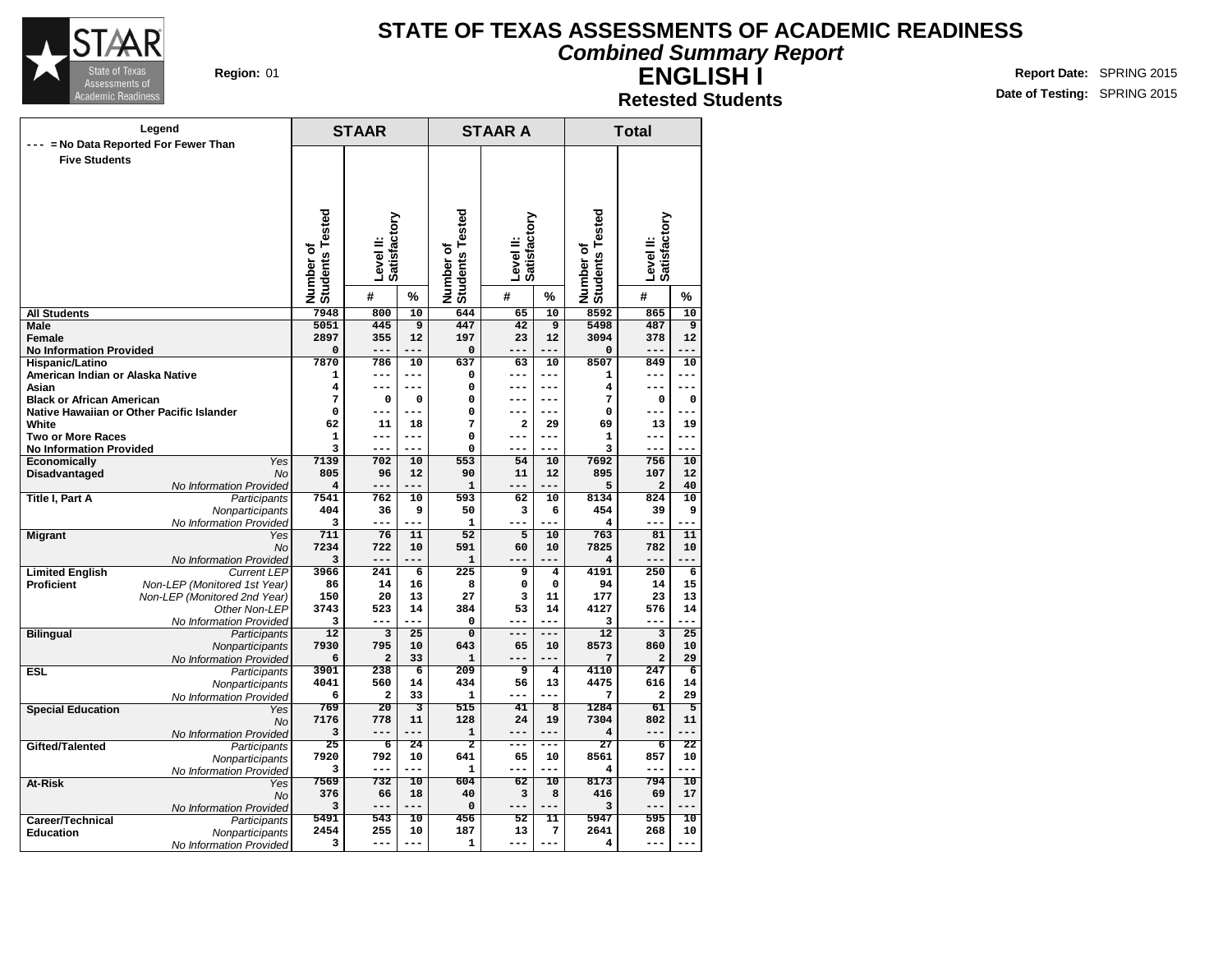

#### **Combined Summary Report**

**ENGLISH I Retested Students**

|                                                     | Legend                                        |                              | <b>STAAR</b>            |                 |                                         | <b>STAAR A</b>            |                         |                               | <b>Total</b>              |                 |
|-----------------------------------------------------|-----------------------------------------------|------------------------------|-------------------------|-----------------|-----------------------------------------|---------------------------|-------------------------|-------------------------------|---------------------------|-----------------|
|                                                     | --- = No Data Reported For Fewer Than         |                              |                         |                 |                                         |                           |                         |                               |                           |                 |
| <b>Five Students</b>                                |                                               |                              |                         |                 |                                         |                           |                         |                               |                           |                 |
|                                                     |                                               |                              |                         |                 |                                         |                           |                         |                               |                           |                 |
|                                                     |                                               |                              |                         |                 |                                         |                           |                         |                               |                           |                 |
|                                                     |                                               |                              |                         |                 |                                         |                           |                         |                               |                           |                 |
|                                                     |                                               |                              | Satisfactory            |                 |                                         | Level II:<br>Satisfactory |                         |                               | Level II:<br>Satisfactory |                 |
|                                                     |                                               |                              |                         |                 |                                         |                           |                         |                               |                           |                 |
|                                                     |                                               |                              |                         |                 |                                         |                           |                         |                               |                           |                 |
|                                                     |                                               |                              | Level II:               |                 |                                         |                           |                         |                               |                           |                 |
|                                                     |                                               |                              |                         |                 |                                         |                           |                         |                               |                           |                 |
|                                                     |                                               | Number of<br>Students Tested | #                       | %               | Number of<br>Students Tested            | #                         | %                       | Number of<br>Students Tested  | #                         | %               |
| <b>All Students</b>                                 |                                               | 7948                         | 800                     | 10              | 644                                     | 65                        | 10                      | 8592                          | 865                       | 10              |
| <b>Male</b>                                         |                                               | 5051                         | 445                     | 9               | 447                                     | 42                        | $\overline{9}$          | 5498                          | 487                       | 9               |
| <b>Female</b>                                       |                                               | 2897                         | 355                     | 12              | 197                                     | 23                        | 12                      | 3094                          | 378                       | 12              |
| <b>No Information Provided</b>                      |                                               | 0                            | $- - -$                 | ---             | 0                                       | $---$                     | ---                     | 0                             | ---                       |                 |
| Hispanic/Latino<br>American Indian or Alaska Native |                                               | 7870<br>1                    | 786<br>$---$            | 10<br>$---$     | 637<br>0                                | 63<br>---                 | 10<br>$---$             | 8507<br>1                     | 849<br>---                | 10<br>$---$     |
| Asian                                               |                                               | 4                            | $---$                   | $---$           | $\Omega$                                | $---$                     | $---$                   | 4                             | ---                       | $---$           |
| <b>Black or African American</b>                    |                                               | 7                            | 0                       | 0               | $\Omega$                                | ---                       | $---$                   | 7                             | $\mathbf 0$               | $\mathbf 0$     |
|                                                     | Native Hawaiian or Other Pacific Islander     | $\mathbf 0$                  | ---                     |                 | $\Omega$                                | ---                       | ---                     | 0                             | ---                       |                 |
| White                                               |                                               | 62                           | ${\bf 11}$              | 18              | 7                                       | $\mathbf{2}$              | 29                      | 69                            | 13                        | 19              |
| <b>Two or More Races</b>                            |                                               | $\mathbf 1$                  | ---                     | $- - -$         | 0                                       | $---$                     | $- - -$                 | 1                             | ---                       | $- - -$         |
| <b>No Information Provided</b>                      |                                               | 3                            | $- - -$                 | ---             | 0                                       | ---                       | ---                     | 3                             | ---                       | ---             |
| Economically                                        | Yes<br><b>No</b>                              | 7139<br>805                  | 702<br>96               | 10<br>12        | 553<br>90                               | 54<br>11                  | 10<br>12                | 7692<br>895                   | 756<br>107                | 10<br>12        |
| Disadvantaged                                       | No Information Provided                       | $\overline{\mathbf{4}}$      | $---$                   | ---             | $\mathbf{1}$                            | ---                       | ---                     | 5                             | $\mathbf{2}$              | 40              |
| <b>Title I, Part A</b>                              | Participants                                  | 7541                         | 762                     | 10              | 593                                     | 62                        | 10                      | 8134                          | 824                       | 10              |
|                                                     | Nonparticipants                               | 404                          | 36                      | 9               | 50                                      | 3                         | 6                       | 454                           | 39                        | 9               |
|                                                     | No Information Provided                       | 3                            | ---                     |                 | $\mathbf{1}$                            | ---                       | ---                     | 4                             | ---                       |                 |
| <b>Migrant</b>                                      | Yes                                           | 711                          | 76                      | 11              | 52                                      | 5                         | 10                      | 763                           | 81                        | 11              |
|                                                     | <b>No</b>                                     | 7234<br>3                    | 722<br>$---$            | 10<br>---       | 591<br>$\mathbf 1$                      | 60<br>$---$               | 10<br>---               | 7825<br>4                     | 782<br>$- - -$            | 10<br>---       |
| <b>Limited English</b>                              | No Information Provided<br><b>Current LEP</b> | 3966                         | 241                     | 6               | 225                                     | 9                         | $\bf{4}$                | 4191                          | 250                       | 6               |
| <b>Proficient</b>                                   | Non-LEP (Monitored 1st Year)                  | 86                           | 14                      | 16              | 8                                       | 0                         | $\mathbf 0$             | 94                            | 14                        | 15              |
|                                                     | Non-LEP (Monitored 2nd Year)                  | 150                          | 20                      | 13              | 27                                      | 3                         | 11                      | 177                           | 23                        | 13              |
|                                                     | Other Non-LEP                                 | 3743                         | 523                     | 14              | 384                                     | 53                        | 14                      | 4127                          | 576                       | 14              |
|                                                     | No Information Provided                       | 3                            | $- - -$                 | ---             | 0                                       | $- - -$                   | $---$                   | 3                             | ---                       |                 |
| <b>Bilingual</b>                                    | Participants                                  | 12                           | $\overline{\mathbf{3}}$ | $\overline{25}$ | $\overline{0}$                          | $---$                     | ---                     | 12                            | $\overline{\mathbf{3}}$   | $\overline{25}$ |
|                                                     | Nonparticipants                               | 7930<br>6                    | 795<br>$\overline{a}$   | 10<br>33        | 643<br>1                                | 65<br>$---$               | 10<br>$---$             | 8573<br>7                     | 860<br>$\overline{a}$     | 10<br>29        |
| <b>ESL</b>                                          | No Information Provided<br>Participants       | 3901                         | 238                     | 6               | $\frac{209}{ }$                         | 9                         | $\overline{\mathbf{4}}$ | 4110                          | $\overline{247}$          | 6               |
|                                                     | Nonparticipants                               | 4041                         | 560                     | 14              | 434                                     | 56                        | 13                      | 4475                          | 616                       | 14              |
|                                                     | No Information Provided                       | 6                            | 2                       | 33              | 1                                       | ---                       | ---                     | 7                             | 2                         | 29              |
| <b>Special Education</b>                            | Yes                                           | 769                          | 20                      | 3               | 515                                     | 41                        | $\overline{\mathbf{8}}$ | 1284                          | 61                        | $\overline{5}$  |
|                                                     | No                                            | 7176                         | 778                     | 11<br>---       | 128                                     | 24                        | 19                      | 7304                          | 802                       | 11              |
|                                                     | No Information Provided                       | 3<br>$\overline{25}$         | $---$<br>$\overline{6}$ | 24              | $\mathbf{1}$<br>$\overline{\mathbf{2}}$ | $---$<br>---              | $---$<br>---            | $\overline{\mathbf{4}}$<br>27 | $---$<br>$\overline{6}$   | $---$<br>22     |
| Gifted/Talented                                     | Participants<br>Nonparticipants               | 7920                         | 792                     | 10              | 641                                     | 65                        | 10                      | 8561                          | 857                       | 10              |
|                                                     | No Information Provided                       | 3                            | $---$                   | ---             | $\mathbf{1}$                            | $- - -$                   | $- - -$                 | 4                             | ---                       | $- - -$         |
| At-Risk                                             | Yes                                           | 7569                         | 732                     | 10              | 604                                     | $\overline{62}$           | $\overline{10}$         | 8173                          | 794                       | $\overline{10}$ |
|                                                     | No                                            | 376                          | 66                      | 18              | 40                                      | 3                         | 8                       | 416                           | 69                        | 17              |
|                                                     | No Information Provided                       | 3                            | $---$                   | ---             | $\mathbf 0$                             | $- - -$                   | $---$                   | 3                             | $-- -$                    | ---             |
| Career/Technical                                    | Participants                                  | 5491                         | 543                     | 10              | 456                                     | 52                        | 11                      | 5947                          | 595                       | 10              |
| <b>Education</b>                                    | Nonparticipants                               | 2454                         | 255<br>---              | 10<br>$---$     | 187                                     | 13<br>---                 | 7<br>$---$              | 2641                          | 268<br>---                | 10<br>$---$     |
|                                                     | No Information Provided                       | 3                            |                         |                 | $\mathbf{1}$                            |                           |                         | 4                             |                           |                 |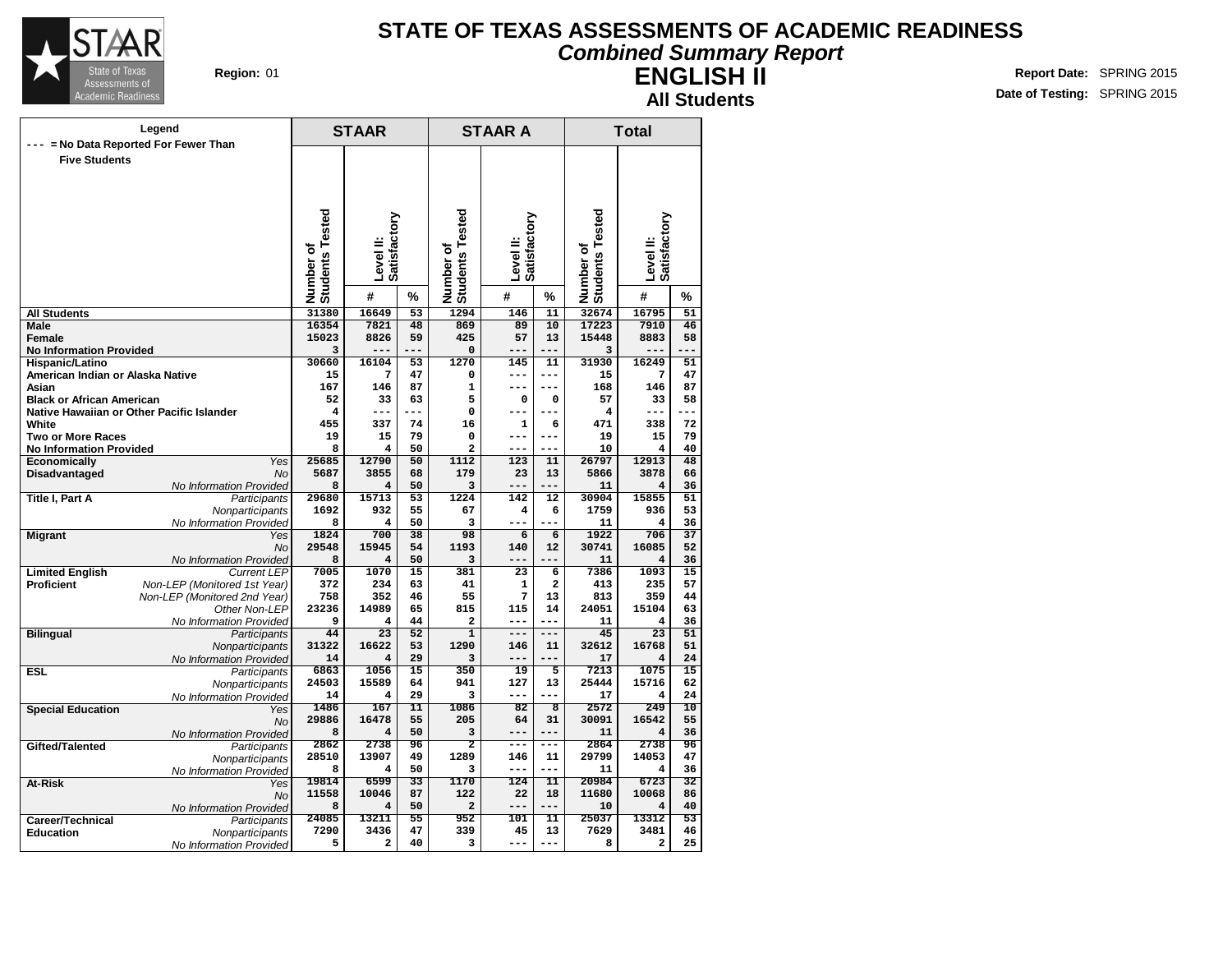

### **STATE OF TEXAS ASSESSMENTS OF ACADEMIC READINESS Combined Summary Report**

**ENGLISH II All Students**

| Legend                                                            |                              | <b>STAAR</b>    |                 |                              | <b>STAAR A</b> |                              |                              | <b>Total</b>                    |                       |
|-------------------------------------------------------------------|------------------------------|-----------------|-----------------|------------------------------|----------------|------------------------------|------------------------------|---------------------------------|-----------------------|
| --- = No Data Reported For Fewer Than                             |                              |                 |                 |                              |                |                              |                              |                                 |                       |
| <b>Five Students</b>                                              |                              |                 |                 |                              |                |                              |                              |                                 |                       |
|                                                                   |                              |                 |                 |                              |                |                              |                              |                                 |                       |
|                                                                   |                              |                 |                 |                              |                |                              |                              |                                 |                       |
|                                                                   |                              |                 |                 |                              |                |                              |                              |                                 |                       |
|                                                                   |                              |                 |                 |                              |                |                              |                              |                                 |                       |
|                                                                   |                              | Satisfactory    |                 |                              | Satisfactory   |                              |                              | Satisfactory                    |                       |
|                                                                   |                              | Level II:       |                 |                              | Level II:      |                              |                              | Level II:                       |                       |
|                                                                   |                              |                 |                 |                              |                |                              |                              |                                 |                       |
|                                                                   |                              |                 |                 |                              |                |                              |                              |                                 |                       |
|                                                                   | Number of<br>Students Tested | #               | %               | Number of<br>Students Tested | #              | %                            | Number of<br>Students Tested | #                               | %                     |
| <b>All Students</b>                                               | 31380                        | 16649           | $\overline{53}$ | 1294                         | 146            | $\overline{11}$              | 32674                        | 16795                           | $\overline{51}$       |
| Male                                                              | 16354                        | 7821            | 48              | 869                          | 89             | $\overline{10}$              | 17223                        | 7910                            | $\overline{46}$       |
| Female                                                            | 15023                        | 8826            | 59              | 425                          | 57             | 13                           | 15448                        | 8883                            | 58                    |
| <b>No Information Provided</b>                                    | 3                            |                 | ---             | $\Omega$                     | ---            | ---                          | 3                            | ---                             | $ -$                  |
| Hispanic/Latino                                                   | 30660                        | 16104           | 53              | 1270                         | 145            | 11                           | 31930                        | 16249                           | 51                    |
| American Indian or Alaska Native<br>Asian                         | 15<br>167                    | 7<br>146        | 47<br>87        | $\mathbf 0$<br>$\mathbf{1}$  | $---$<br>$---$ | $---$<br>$---$               | 15<br>168                    | 7<br>146                        | 47<br>87              |
| <b>Black or African American</b>                                  | 52                           | 33              | 63              | 5                            | 0              | $\mathbf 0$                  | 57                           | 33                              | 58                    |
| Native Hawaiian or Other Pacific Islander                         | $\overline{4}$               |                 |                 | 0                            | ---            |                              | 4                            | ---                             |                       |
| White                                                             | 455                          | 337             | 74              | 16                           | $\mathbf{1}$   | 6                            | 471                          | 338                             | 72                    |
| <b>Two or More Races</b>                                          | 19                           | 15              | 79              | 0                            | ---            | $---$                        | 19                           | 15                              | 79                    |
| <b>No Information Provided</b>                                    | 8                            | 4               | 50              | $\overline{a}$               | $---$          | ---                          | 10                           | 4                               | 40                    |
| Economically                                                      | 25685<br><b>Yes</b>          | 12790           | 50              | 1112                         | 123            | 11                           | 26797                        | 12913                           | 48                    |
| Disadvantaged                                                     | <b>No</b><br>5687<br>8       | 3855            | 68              | 179                          | 23<br>---      | 13<br>---                    | 5866                         | 3878                            | 66                    |
| No Information Provided<br>Title I, Part A<br>Participants        | 29680                        | 4<br>15713      | 50<br>53        | 3<br>1224                    | 142            | 12                           | 11<br>30904                  | 4<br>15855                      | 36<br>51              |
| Nonparticipants                                                   | 1692                         | 932             | 55              | 67                           | 4              | 6                            | 1759                         | 936                             | 53                    |
| No Information Provided                                           | 8                            | 4               | 50              | 3                            | ---            | $-$                          | 11                           | $\overline{\mathbf{4}}$         | 36                    |
| <b>Migrant</b>                                                    | 1824<br>Yes                  | 700             | 38              | 98                           | 6              | $\overline{6}$               | 1922                         | 706                             | $\overline{37}$       |
|                                                                   | 29548<br><b>No</b>           | 15945           | 54              | 1193                         | 140            | 12                           | 30741                        | 16085                           | 52                    |
| No Information Provided                                           | 8                            | 4               | 50              | 3                            | $---$          |                              | 11                           | $\overline{\mathbf{4}}$         | 36                    |
| <b>Limited English</b><br><b>Current LEP</b><br><b>Proficient</b> | 7005<br>372                  | 1070<br>234     | 15<br>63        | 381<br>41                    | 23             | 6<br>$\overline{\mathbf{2}}$ | 7386<br>413                  | 1093<br>235                     | 15<br>57              |
| Non-LEP (Monitored 1st Year)<br>Non-LEP (Monitored 2nd Year)      | 758                          | 352             | 46              | 55                           | 1<br>7         | 13                           | 813                          | 359                             | 44                    |
| Other Non-LEP                                                     | 23236                        | 14989           | 65              | 815                          | 115            | 14                           | 24051                        | 15104                           | 63                    |
| No Information Provided                                           | 9                            | 4               | 44              | $\mathbf{z}$                 | $---$          | ---                          | 11                           | 4                               | 36                    |
| <b>Bilingual</b><br>Participants                                  | 44                           | $\overline{23}$ | 52              | $\mathbf{1}$                 | $---$          | ---                          | 45                           | $\overline{23}$                 | 51                    |
| Nonparticipants                                                   | 31322                        | 16622           | 53              | 1290                         | 146            | 11                           | 32612                        | 16768                           | 51                    |
| No Information Provided                                           | 14                           | 4               | 29              | 3                            | $---$          | ---                          | 17                           | 4                               | 24                    |
| <b>ESL</b><br>Participants                                        | 6863<br>24503                | 1056<br>15589   | 15<br>64        | 350<br>941                   | 19<br>127      | 5<br>13                      | 7213<br>25444                | 1075<br>15716                   | 15<br>62              |
| Nonparticipants<br>No Information Provided                        | 14                           | 4               | 29              | 3                            | $---$          |                              | 17                           | 4                               | 24                    |
| <b>Special Education</b>                                          | 1486<br>Yes                  | 167             | 11              | 1086                         | 82             | $\overline{\mathbf{8}}$      | 2572                         | 249                             | 10                    |
|                                                                   | 29886<br>No                  | 16478           | 55              | 205                          | 64             | 31                           | 30091                        | 16542                           | 55                    |
| No Information Provided                                           | 8                            | 4               | 50              | 3                            | $---$          | $---$                        | 11                           | $\overline{\mathbf{4}}$         | 36                    |
| Gifted/Talented<br>Participants                                   | 2862                         | 2738            | 96              | $\overline{\mathbf{2}}$      | $---$          | $---$                        | 2864                         | 2738                            | 96                    |
| Nonparticipants                                                   | 28510                        | 13907           | 49              | 1289                         | 146            | 11                           | 29799                        | 14053                           | 47                    |
| No Information Provided                                           | 8<br>19814                   | 4<br>6599       | 50<br>33        | 3<br>1170                    | $---$<br>124   | $- - -$<br>$\overline{11}$   | 11<br>20984                  | $\overline{\mathbf{4}}$<br>6723 | 36<br>$\overline{32}$ |
| At-Risk                                                           | Yes<br>11558                 | 10046           | 87              | 122                          | 22             | 18                           | 11680                        | 10068                           | 86                    |
| No Information Provided                                           | No<br>8                      | 4               | 50              | $\overline{a}$               | $---$          | ---                          | 10                           | 4                               | 40                    |
| Career/Technical<br>Participants                                  | 24085                        | 13211           | 55              | 952                          | 101            | 11                           | 25037                        | 13312                           | 53                    |
| <b>Education</b><br>Nonparticipants                               | 7290                         | 3436            | 47              | 339                          | 45             | 13                           | 7629                         | 3481                            | 46                    |
| No Information Provided                                           | 5                            | 2               | 40              | з                            | ---            | $---$                        | 8                            | 2                               | 25                    |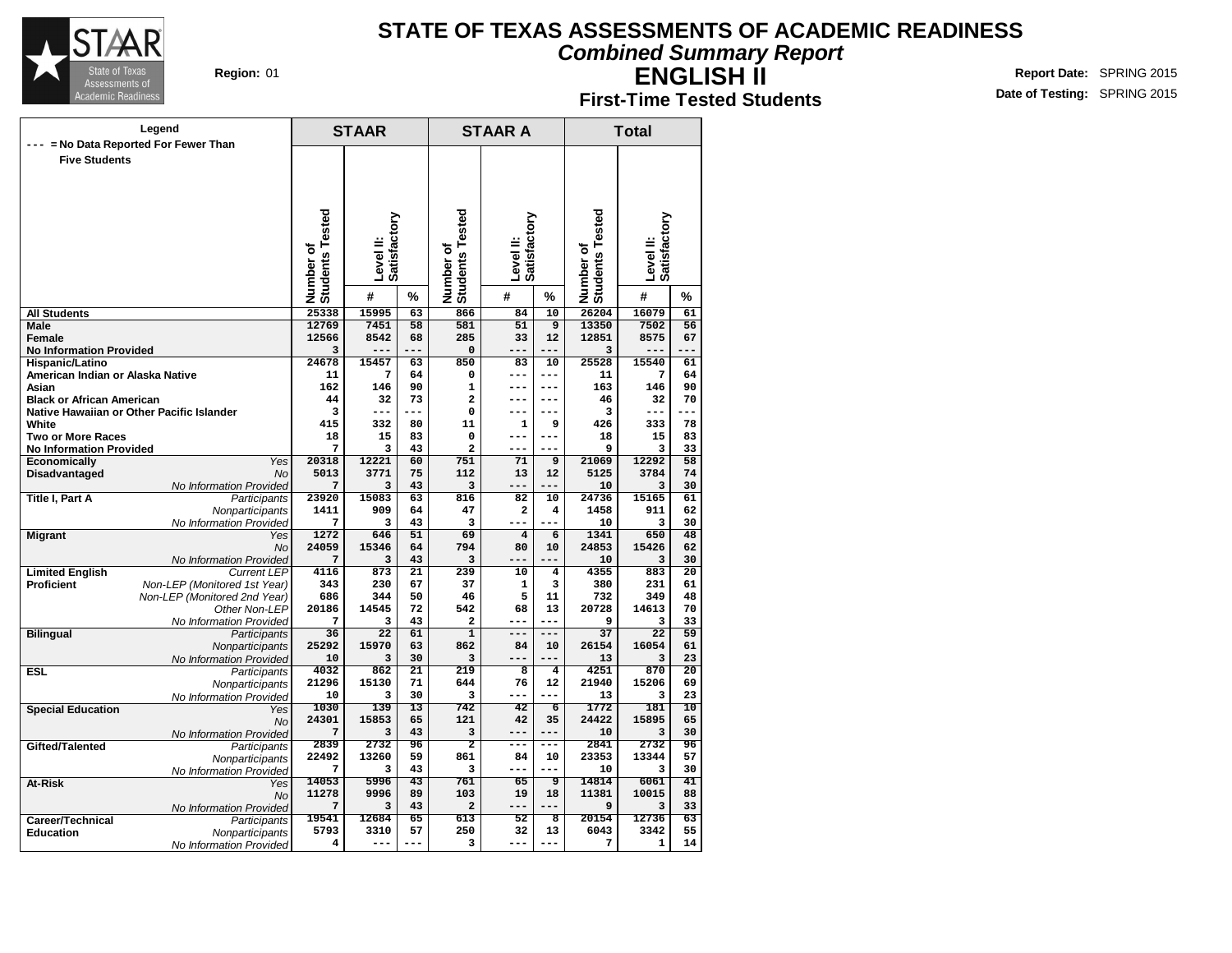

#### **Combined Summary Report**

**ENGLISH II**

**First-Time Tested Students**

|                                                            | Legend                                        |                              | <b>STAAR</b>    |                 |                              | <b>STAAR A</b>          |                         |                              | <b>Total</b>    |                 |
|------------------------------------------------------------|-----------------------------------------------|------------------------------|-----------------|-----------------|------------------------------|-------------------------|-------------------------|------------------------------|-----------------|-----------------|
|                                                            | --- = No Data Reported For Fewer Than         |                              |                 |                 |                              |                         |                         |                              |                 |                 |
| <b>Five Students</b>                                       |                                               |                              |                 |                 |                              |                         |                         |                              |                 |                 |
|                                                            |                                               |                              |                 |                 |                              |                         |                         |                              |                 |                 |
|                                                            |                                               |                              |                 |                 |                              |                         |                         |                              |                 |                 |
|                                                            |                                               |                              |                 |                 |                              |                         |                         |                              |                 |                 |
|                                                            |                                               |                              |                 |                 |                              |                         |                         |                              |                 |                 |
|                                                            |                                               |                              | Satisfactory    |                 |                              | Satisfactory            |                         |                              | Satisfactory    |                 |
|                                                            |                                               |                              |                 |                 |                              |                         |                         |                              |                 |                 |
|                                                            |                                               |                              | Level II:       |                 |                              | Level II:               |                         |                              | Level II:       |                 |
|                                                            |                                               |                              |                 |                 |                              |                         |                         |                              |                 |                 |
|                                                            |                                               | Number of<br>Students Tested | #               | %               | Number of<br>Students Tested | #                       | %                       | Number of<br>Students Tested | #               | %               |
| <b>All Students</b>                                        |                                               | 25338                        | 15995           | 63              | 866                          | 84                      | 10                      | 26204                        | 16079           | 61              |
| <b>Male</b>                                                |                                               | 12769                        | 7451            | 58              | 581                          | 51                      | $\overline{9}$          | 13350                        | 7502            | 56              |
| <b>Female</b>                                              |                                               | 12566<br>3                   | 8542            | 68<br>---       | 285<br>$\mathbf 0$           | 33<br>---               | 12                      | 12851                        | 8575<br>---     | 67<br>$- -$     |
| <b>No Information Provided</b><br>Hispanic/Latino          |                                               | 24678                        | 15457           | 63              | 850                          | 83                      | 10                      | 3<br>25528                   | 15540           | 61              |
| American Indian or Alaska Native                           |                                               | 11                           | 7               | 64              | $\mathbf 0$                  | ---                     | $---$                   | 11                           | 7               | 64              |
| Asian                                                      |                                               | 162                          | 146             | 90              | $\mathbf{1}$                 | $---$                   | $---$                   | 163                          | 146             | 90              |
| <b>Black or African American</b>                           |                                               | 44                           | 32              | 73              | $\overline{a}$               | ---                     | $---$                   | 46                           | 32              | 70              |
|                                                            | Native Hawaiian or Other Pacific Islander     | 3                            | ---             | ---             | $\Omega$                     | ---                     | $---$                   | з                            | ---             | ---             |
| White                                                      |                                               | 415<br>18                    | 332<br>15       | 80<br>83        | 11<br>0                      | 1<br>$---$              | 9<br>$---$              | 426<br>18                    | 333<br>15       | 78<br>83        |
| <b>Two or More Races</b><br><b>No Information Provided</b> |                                               | 7                            | 3               | 43              | $\overline{a}$               | ---                     | $---$                   | 9                            | 3               | 33              |
| Economically                                               | <b>Yes</b>                                    | 20318                        | 12221           | 60              | 751                          | 71                      | 9                       | 21069                        | 12292           | 58              |
| Disadvantaged                                              | <b>No</b>                                     | 5013                         | 3771            | 75              | 112                          | 13                      | 12                      | 5125                         | 3784            | 74              |
|                                                            | No Information Provided                       | 7                            | 3               | 43              | 3                            |                         | ---                     | 10                           | 3               | 30              |
| <b>Title I, Part A</b>                                     | Participants                                  | 23920                        | 15083           | 63              | 816                          | 82                      | 10                      | 24736                        | 15165           | 61              |
|                                                            | Nonparticipants<br>No Information Provided    | 1411<br>7                    | 909<br>3        | 64<br>43        | 47<br>3                      | 2<br>$---$              | 4<br>$-$                | 1458<br>10                   | 911<br>3        | 62<br>30        |
| <b>Migrant</b>                                             | Yes                                           | 1272                         | 646             | 51              | 69                           | $\overline{\mathbf{4}}$ | 6                       | 1341                         | 650             | 48              |
|                                                            | <b>No</b>                                     | 24059                        | 15346           | 64              | 794                          | 80                      | 10                      | 24853                        | 15426           | 62              |
|                                                            | No Information Provided                       | 7                            | 3               | 43              | 3                            |                         |                         | 10                           | 3               | 30              |
| <b>Limited English</b>                                     | <b>Current LEP</b>                            | 4116                         | 873             | 21              | 239                          | 10                      | 4                       | 4355                         | 883             | 20              |
| <b>Proficient</b>                                          | Non-LEP (Monitored 1st Year)                  | 343<br>686                   | 230<br>344      | 67<br>50        | 37<br>46                     | 1<br>5                  | 3<br>11                 | 380<br>732                   | 231<br>349      | 61<br>48        |
|                                                            | Non-LEP (Monitored 2nd Year)<br>Other Non-LEP | 20186                        | 14545           | 72              | 542                          | 68                      | 13                      | 20728                        | 14613           | 70              |
|                                                            | No Information Provided                       | 7                            | 3               | 43              | $\overline{a}$               | ---                     | ---                     | 9                            | 3               | 33              |
| <b>Bilingual</b>                                           | Participants                                  | 36                           | $\overline{22}$ | 61              | $\overline{1}$               | $---$                   | $---$                   | 37                           | $\overline{22}$ | $\overline{59}$ |
|                                                            | Nonparticipants                               | 25292                        | 15970           | 63              | 862                          | 84                      | 10                      | 26154                        | 16054           | 61              |
|                                                            | No Information Provided                       | 10                           | 3               | 30              | 3                            | ---                     | $---$                   | 13                           | 3               | 23              |
| <b>ESL</b>                                                 | Participants                                  | 4032<br>21296                | 862<br>15130    | 21<br>71        | 219<br>644                   | 8<br>76                 | 4<br>12                 | 4251<br>21940                | 870<br>15206    | 20<br>69        |
|                                                            | Nonparticipants<br>No Information Provided    | 10                           | 3               | 30              | 3                            | ---                     | ---                     | 13                           | 3               | 23              |
| <b>Special Education</b>                                   | Yes                                           | 1030                         | 139             | $\overline{13}$ | 742                          | 42                      | $\overline{6}$          | 1772                         | 181             | 10              |
|                                                            | No                                            | 24301                        | 15853           | 65              | 121                          | 42                      | 35                      | 24422                        | 15895           | 65              |
|                                                            | No Information Provided                       | 7                            | 3               | 43              | 3                            | $---$                   | $-- -$                  | 10                           | 3               | 30              |
| Gifted/Talented                                            | Participants                                  | 2839                         | 2732<br>13260   | 96<br>59        | $\overline{2}$<br>861        | ---                     | ---                     | 2841<br>23353                | 2732<br>13344   | 96<br>57        |
|                                                            | Nonparticipants<br>No Information Provided    | 22492<br>7                   | з               | 43              | 3                            | 84<br>---               | 10<br>$---$             | 10                           | 3               | 30              |
| At-Risk                                                    | Yes                                           | 14053                        | 5996            | $\overline{43}$ | 761                          | $\overline{65}$         | ॿ                       | 14814                        | 6061            | $\overline{41}$ |
|                                                            | No                                            | 11278                        | 9996            | 89              | 103                          | 19                      | 18                      | 11381                        | 10015           | 88              |
|                                                            | No Information Provided                       | 7                            | 3               | 43              | $\overline{a}$               | ---                     | ---                     | 9                            | 3               | 33              |
| Career/Technical                                           | Participants                                  | 19541                        | 12684           | 65              | 613                          | 52                      | $\overline{\mathbf{8}}$ | 20154                        | 12736           | 63              |
| <b>Education</b>                                           | Nonparticipants                               | 5793                         | 3310<br>---     | 57<br>$---$     | 250                          | 32<br>---               | 13<br>$---$             | 6043                         | 3342            | 55              |
|                                                            | No Information Provided                       | 4                            |                 |                 | з                            |                         |                         | 7                            | 1               | 14              |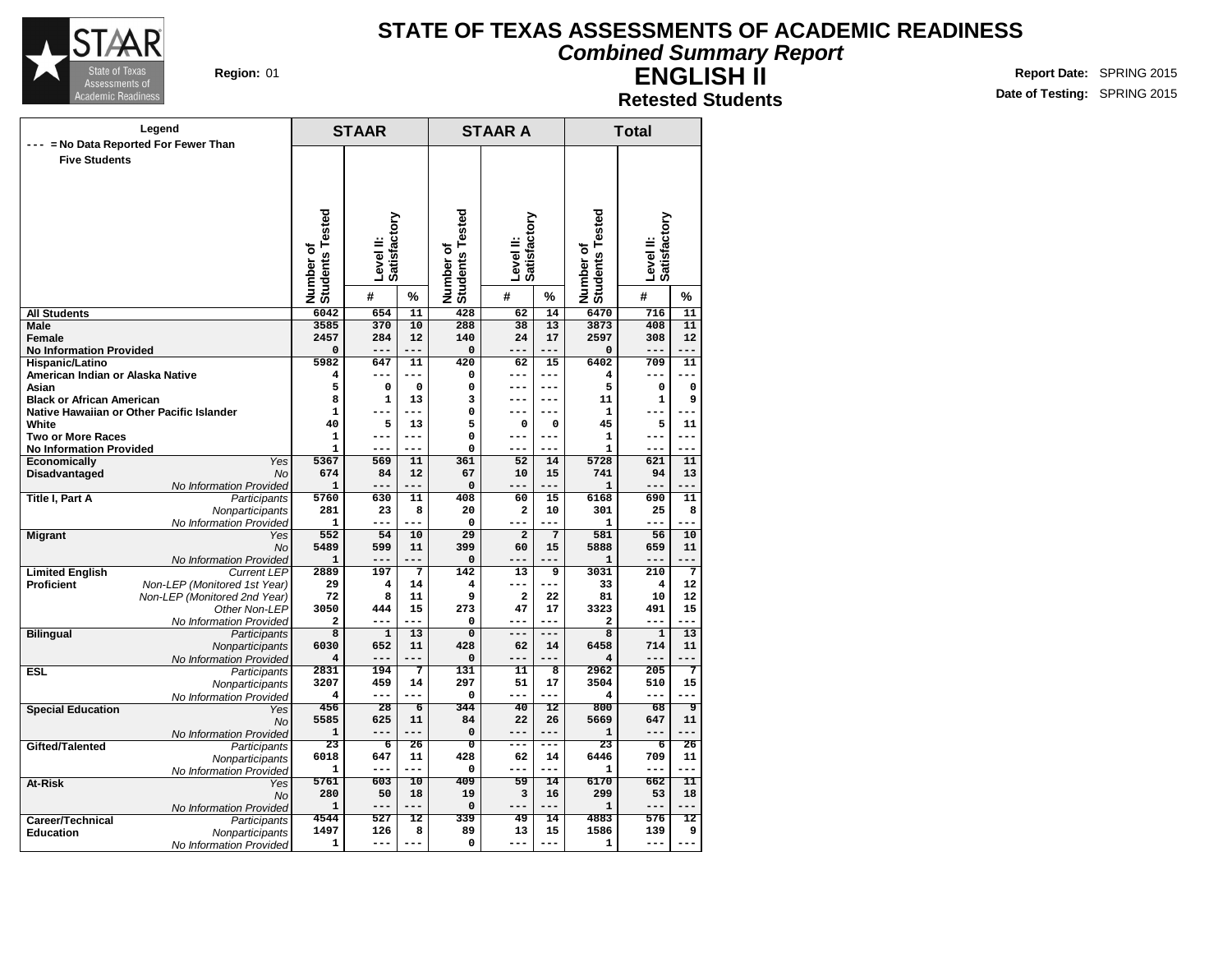

#### **Combined Summary Report**

**ENGLISH II Retested Students**

|                                          | Legend                                        |                              | <b>STAAR</b>   |                 |                              | <b>STAAR A</b>            |                      | <b>Total</b>                 |                           |                 |  |
|------------------------------------------|-----------------------------------------------|------------------------------|----------------|-----------------|------------------------------|---------------------------|----------------------|------------------------------|---------------------------|-----------------|--|
|                                          | --- = No Data Reported For Fewer Than         |                              |                |                 |                              |                           |                      |                              |                           |                 |  |
| <b>Five Students</b>                     |                                               |                              |                |                 |                              |                           |                      |                              |                           |                 |  |
|                                          |                                               |                              |                |                 |                              |                           |                      |                              |                           |                 |  |
|                                          |                                               |                              |                |                 |                              |                           |                      |                              |                           |                 |  |
|                                          |                                               |                              |                |                 |                              |                           |                      |                              |                           |                 |  |
|                                          |                                               |                              |                |                 |                              |                           |                      |                              |                           |                 |  |
|                                          |                                               | Number of<br>Students Tested | Satisfactory   |                 | Number of<br>Students Tested | Level II:<br>Satisfactory |                      | Number of<br>Students Tested | Level II:<br>Satisfactory |                 |  |
|                                          |                                               |                              | Level II:      |                 |                              |                           |                      |                              |                           |                 |  |
|                                          |                                               |                              |                |                 |                              |                           |                      |                              |                           |                 |  |
|                                          |                                               |                              |                |                 |                              |                           |                      |                              |                           |                 |  |
|                                          |                                               |                              | #              | %               |                              | #                         | %                    |                              | #                         | %               |  |
| <b>All Students</b>                      |                                               | 6042                         | 654            | $\overline{11}$ | 428                          | 62                        | 14                   | 6470                         | 716                       | 11              |  |
| <b>Male</b>                              |                                               | 3585                         | 370            | 10              | 288                          | 38                        | 13                   | 3873                         | 408                       | 11              |  |
| Female<br><b>No Information Provided</b> |                                               | 2457<br>0                    | 284            | 12              | 140<br>0                     | 24<br>---                 | 17                   | 2597<br>$\mathbf 0$          | 308<br>---                | 12              |  |
| Hispanic/Latino                          |                                               | 5982                         | 647            | 11              | 420                          | 62                        | 15                   | 6402                         | 709                       | 11              |  |
| American Indian or Alaska Native         |                                               | 4                            | ---            | ---             | 0                            | ---                       | $---$                | 4                            | ---                       | ---             |  |
| Asian                                    |                                               | 5                            | 0              | $\Omega$        | 0                            | $---$                     | $---$                | 5                            | $\mathbf 0$               | $\Omega$        |  |
| <b>Black or African American</b>         |                                               | 8                            | $\mathbf{1}$   | 13              | 3                            | ---                       | $---$                | 11                           | $\mathbf{1}$              | 9               |  |
|                                          | Native Hawaiian or Other Pacific Islander     | 1                            | ---            |                 | 0                            | ---                       | $- - -$              | 1                            | ---                       |                 |  |
| White<br><b>Two or More Races</b>        |                                               | 40<br>$\mathbf 1$            | 5<br>---       | 13<br>$---$     | 5<br>0                       | 0<br>---                  | $\mathbf 0$<br>$---$ | 45<br>1                      | 5<br>---                  | 11<br>$---$     |  |
| <b>No Information Provided</b>           |                                               | 1                            | ---            | ---             | 0                            | ---                       | ---                  | 1                            | ---                       | ---             |  |
| <b>Economically</b>                      | Yes                                           | 5367                         | 569            | 11              | 361                          | 52                        | 14                   | 5728                         | 621                       | 11              |  |
| Disadvantaged                            | <b>No</b>                                     | 674                          | 84             | 12              | 67                           | 10                        | 15                   | 741                          | 94                        | 13              |  |
|                                          | No Information Provided                       | $\mathbf{1}$                 | ---            | ---             | 0                            | ---                       | ---                  | 1                            | ---                       | ---             |  |
| <b>Title I, Part A</b>                   | Participants                                  | 5760                         | 630            | 11              | 408                          | 60                        | 15                   | 6168                         | 690                       | 11              |  |
|                                          | Nonparticipants<br>No Information Provided    | 281<br>$\mathbf{1}$          | 23<br>$---$    | 8<br>$- - -$    | 20<br>0                      | 2<br>$---$                | 10<br>$---$          | 301<br>1                     | 25<br>---                 | 8               |  |
| <b>Migrant</b>                           | Yes                                           | 552                          | 54             | 10              | 29                           | $\overline{2}$            | $\overline{7}$       | 581                          | 56                        | 10              |  |
|                                          | <b>No</b>                                     | 5489                         | 599            | 11              | 399                          | 60                        | 15                   | 5888                         | 659                       | 11              |  |
|                                          | No Information Provided                       | 1                            | ---            | ---             | 0                            | ---                       | $---$                | 1                            | ---                       | ---             |  |
| <b>Limited English</b>                   | <b>Current LEP</b>                            | 2889                         | 197            | $\overline{7}$  | 142                          | 13                        | 9                    | 3031                         | 210                       | 7               |  |
| <b>Proficient</b>                        | Non-LEP (Monitored 1st Year)                  | 29                           | 4              | 14              | 4                            | $- - -$                   | $- - -$              | 33                           | 4                         | 12              |  |
|                                          | Non-LEP (Monitored 2nd Year)<br>Other Non-LEP | 72<br>3050                   | 8<br>444       | 11<br>15        | 9<br>273                     | 2<br>47                   | 22<br>17             | 81<br>3323                   | 10<br>491                 | 12<br>15        |  |
|                                          | No Information Provided                       | 2                            |                | ---             | 0                            | ---                       | $- - -$              | 2                            | ---                       | ---             |  |
| <b>Bilingual</b>                         | Participants                                  | $\overline{\mathbf{8}}$      | $\overline{1}$ | 13              | $\overline{0}$               | ---                       | $---$                | $\overline{\mathbf{8}}$      | $\overline{1}$            | 13              |  |
|                                          | Nonparticipants                               | 6030                         | 652            | 11              | 428                          | 62                        | 14                   | 6458                         | 714                       | 11              |  |
|                                          | No Information Provided                       | $\overline{\mathbf{4}}$      | ---            | ---             | 0                            | ---                       | $---$                | 4                            | $---$                     | ---             |  |
| <b>ESL</b>                               | Participants                                  | 2831                         | 194            | 7               | 131<br>297                   | 11                        | 8                    | 2962                         | $\overline{205}$          | 7               |  |
|                                          | Nonparticipants                               | 3207<br>4                    | 459<br>---     | 14<br>---       | 0                            | 51<br>---                 | 17<br>$- - -$        | 3504<br>4                    | 510<br>---                | 15<br>---       |  |
| <b>Special Education</b>                 | No Information Provided<br>Yes                | 456                          | 28             | $\overline{6}$  | 344                          | 40                        | 12                   | 800                          | 68                        | ९               |  |
|                                          | <b>No</b>                                     | 5585                         | 625            | 11              | 84                           | 22                        | 26                   | 5669                         | 647                       | 11              |  |
|                                          | No Information Provided                       | $\mathbf{1}$                 | ---            | ---             | 0                            | $---$                     | $- - -$              | 1                            | ---                       | $---$           |  |
| Gifted/Talented                          | Participants                                  | $\overline{23}$              | 6              | 26              | $\Omega$                     | ---                       |                      | 23                           | 6                         | 26              |  |
|                                          | Nonparticipants                               | 6018                         | 647<br>---     | 11<br>$---$     | 428                          | 62<br>---                 | 14<br>$---$          | 6446                         | 709<br>---                | 11<br>$---$     |  |
| At-Risk                                  | No Information Provided                       | 1<br>5761                    | 603            | $\overline{10}$ | 0<br>409                     | 59                        | 14                   | 1<br>6170                    | 662                       | $\overline{11}$ |  |
|                                          | Yes<br><b>No</b>                              | 280                          | 50             | 18              | 19                           | з                         | 16                   | 299                          | 53                        | 18              |  |
|                                          | No Information Provided                       | $\mathbf{1}$                 | ---            | ---             | 0                            | ---                       | ---                  | $\mathbf{1}$                 | ---                       | ---             |  |
| Career/Technical                         | Participants                                  | 4544                         | 527            | 12              | 339                          | 49                        | 14                   | 4883                         | 576                       | 12              |  |
| <b>Education</b>                         | Nonparticipants                               | 1497                         | 126            | 8               | 89                           | 13                        | 15                   | 1586                         | 139                       | 9               |  |
|                                          | No Information Provided                       | 1                            | ---            | $---$           | 0                            | ---                       | $---$                | 1                            | ---                       |                 |  |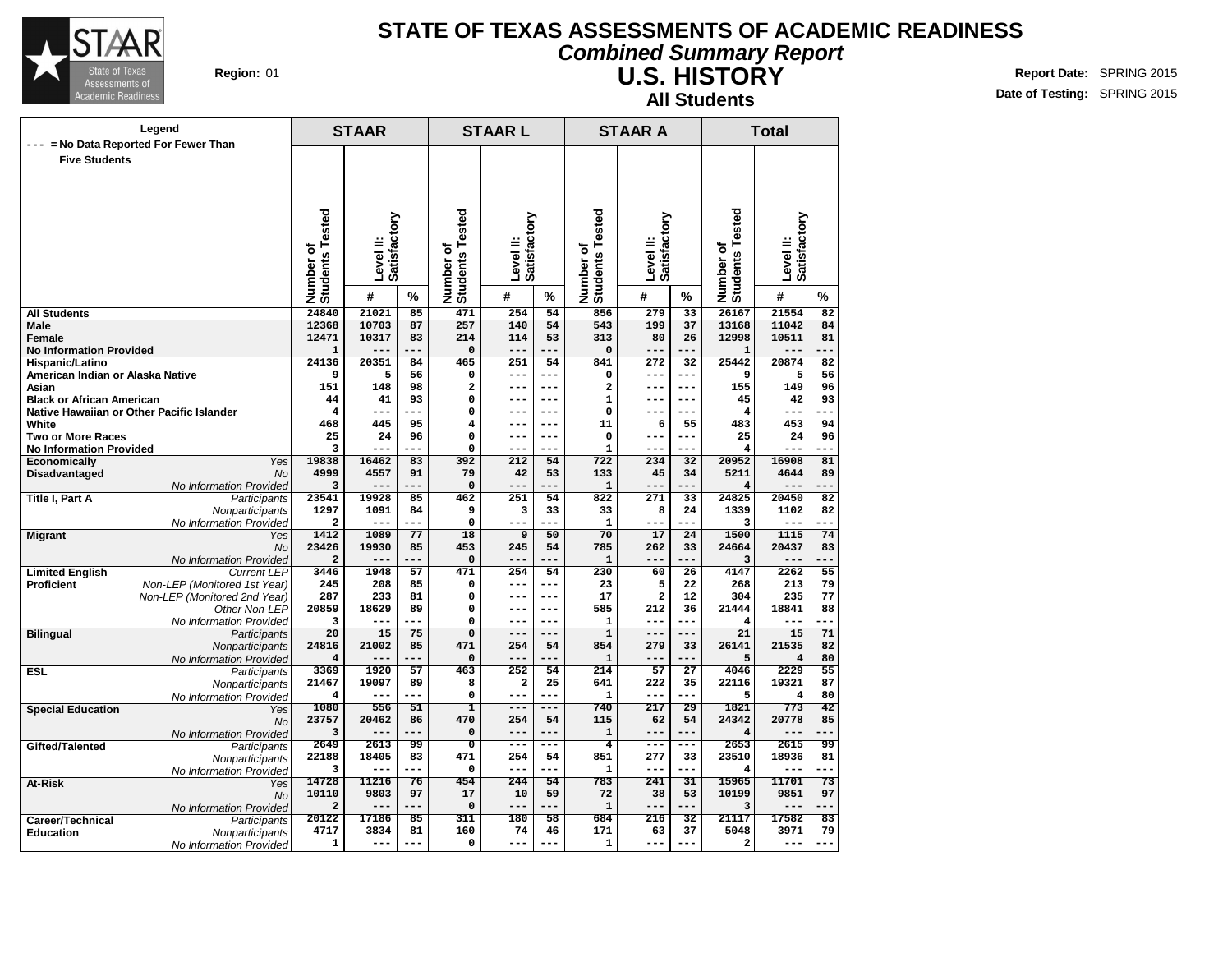

### **STATE OF TEXAS ASSESSMENTS OF ACADEMIC READINESS Combined Summary Report**

**U.S. HISTORY All Students**

|                                                     | Legend                                    | <b>STAAR</b>                        |                           |           |                                  | <b>STAARL</b>                   |                 |                              | <b>STAAR A</b>            |                 |                                  | <b>Total</b>              |                 |  |
|-----------------------------------------------------|-------------------------------------------|-------------------------------------|---------------------------|-----------|----------------------------------|---------------------------------|-----------------|------------------------------|---------------------------|-----------------|----------------------------------|---------------------------|-----------------|--|
|                                                     | --- = No Data Reported For Fewer Than     |                                     |                           |           |                                  |                                 |                 |                              |                           |                 |                                  |                           |                 |  |
| <b>Five Students</b>                                |                                           |                                     |                           |           |                                  |                                 |                 |                              |                           |                 |                                  |                           |                 |  |
|                                                     |                                           |                                     |                           |           |                                  |                                 |                 |                              |                           |                 |                                  |                           |                 |  |
|                                                     |                                           |                                     |                           |           |                                  |                                 |                 |                              |                           |                 |                                  |                           |                 |  |
|                                                     |                                           |                                     |                           |           |                                  |                                 |                 |                              |                           |                 |                                  |                           |                 |  |
|                                                     |                                           |                                     |                           |           |                                  |                                 |                 |                              |                           |                 |                                  |                           |                 |  |
|                                                     |                                           |                                     |                           |           |                                  |                                 |                 |                              |                           |                 |                                  |                           |                 |  |
|                                                     |                                           |                                     |                           |           | ৳                                |                                 |                 |                              |                           |                 |                                  |                           |                 |  |
|                                                     |                                           |                                     | Satisfactory<br>Level II. |           |                                  | Satisfactory<br><b>Level</b> II |                 |                              | Satisfactory<br>Level II: |                 |                                  | Satisfactory<br>Level II: |                 |  |
|                                                     |                                           |                                     |                           |           |                                  |                                 |                 |                              |                           |                 |                                  |                           |                 |  |
|                                                     |                                           | <b>Students Tested</b><br>Number of | #                         | %         | <b>Students Tested</b><br>Number | #                               | %               | Number of<br>Students Tested | #                         | %               | Number of<br>Students Tested     | #                         | ℅               |  |
| <b>All Students</b>                                 |                                           | 24840                               | 21021                     | 85        | 471                              | 254                             | 54              | 856                          | 279                       | 33              | 26167                            | 21554                     | 82              |  |
| <b>Male</b>                                         |                                           | 12368                               | 10703                     | 87        | 257                              | 140                             | 54              | 543                          | 199                       | 37              | 13168                            | 11042                     | 84              |  |
| Female                                              |                                           | 12471                               | 10317                     | 83        | 214                              | 114                             | 53              | 313                          | 80                        | 26              | 12998                            | 10511                     | 81              |  |
| <b>No Information Provided</b>                      |                                           | $\mathbf{1}$                        |                           |           | 0                                | ---                             | $- - -$         | $\mathbf 0$                  | ---                       |                 | ${\bf 1}$                        |                           |                 |  |
| Hispanic/Latino<br>American Indian or Alaska Native |                                           | 24136<br>9                          | 20351<br>5                | 84<br>56  | 465<br>0                         | 251<br>---                      | 54<br>---       | 841<br>0                     | 272<br>---                | 32<br>---       | 25442<br>9                       | 20874<br>5                | 82<br>56        |  |
| Asian                                               |                                           | 151                                 | 148                       | 98        | $\mathbf{2}$                     | ---                             | ---             | $\overline{\mathbf{2}}$      | ---                       | $---$           | 155                              | 149                       | 96              |  |
| <b>Black or African American</b>                    |                                           | 44                                  | 41                        | 93        | 0                                | ---                             | ---             | $\mathbf{1}$                 | ---                       | $---$           | 45                               | 42                        | 93              |  |
|                                                     | Native Hawaiian or Other Pacific Islander | 4                                   | ---                       |           | $\Omega$                         | ---                             | ---             | $\mathbf 0$                  | ---                       | ---             | 4                                | ---                       |                 |  |
| White                                               |                                           | 468                                 | 445                       | 95        | 4                                | ---                             | ---             | 11                           | 6                         | 55              | 483                              | 453                       | 94              |  |
| <b>Two or More Races</b>                            |                                           | 25                                  | 24                        | 96        | 0                                | ---                             | ---             | $\mathbf 0$                  | ---                       | $---$           | 25                               | 24                        | 96              |  |
| <b>No Information Provided</b>                      | Yes                                       | $\overline{3}$<br>19838             | 16462                     | 83        | 0<br>392                         |                                 | 54              | $\mathbf{1}$<br>722          |                           | ---             | $\overline{\mathbf{4}}$<br>20952 | 16908                     | 81              |  |
| Economically<br>Disadvantaged                       | No                                        | 4999                                | 4557                      | 91        | 79                               | 212<br>42                       | 53              | 133                          | 234<br>45                 | 32<br>34        | 5211                             | 4644                      | 89              |  |
|                                                     | No Information Provided                   | 3                                   | $---$                     |           | $\Omega$                         | ---                             | .               | $\mathbf{1}$                 | ---                       | ---             | 4                                |                           |                 |  |
| Title I, Part A                                     | Participants                              | 23541                               | 19928                     | 85        | 462                              | 251                             | 54              | 822                          | 271                       | 33              | 24825                            | 20450                     | $\overline{82}$ |  |
|                                                     | Nonparticipants                           | 1297                                | 1091                      | 84        | 9                                | з                               | 33              | 33                           | 8                         | 24              | 1339                             | 1102                      | 82              |  |
|                                                     | No Information Provided                   | 2                                   | $---$                     | ---       | $\mathbf 0$                      |                                 |                 | $\mathbf{1}$                 |                           |                 | 3                                | ---                       |                 |  |
| <b>Migrant</b>                                      | Yes<br><b>No</b>                          | 1412<br>23426                       | 1089<br>19930             | 77<br>85  | 18<br>453                        | 9<br>245                        | 50<br>54        | 70<br>785                    | 17<br>262                 | 24<br>33        | 1500<br>24664                    | 1115<br>20437             | 74<br>83        |  |
|                                                     | No Information Provided                   | $\overline{\mathbf{2}}$             | $---$                     |           | $\mathbf 0$                      | ---                             |                 | $\mathbf{1}$                 | $- -$                     | $ -$            | 3                                |                           |                 |  |
| <b>Limited English</b>                              | <b>Current LEP</b>                        | 3446                                | 1948                      | 57        | 471                              | 254                             | 54              | 230                          | 60                        | $\overline{26}$ | 4147                             | 2262                      | $\overline{55}$ |  |
| <b>Proficient</b>                                   | Non-LEP (Monitored 1st Year)              | 245                                 | 208                       | 85        | $\mathbf 0$                      | ---                             | ---             | 23                           | 5                         | 22              | 268                              | 213                       | 79              |  |
|                                                     | Non-LEP (Monitored 2nd Year)              | 287                                 | 233                       | 81        | $\Omega$                         | ---                             | ---             | 17                           | $\overline{\mathbf{2}}$   | 12              | 304                              | 235                       | 77              |  |
|                                                     | Other Non-LEP                             | 20859                               | 18629<br>---              | 89<br>$-$ | 0                                | ---                             | ---             | 585                          | 212<br>---                | 36<br>---       | 21444                            | 18841<br>---              | 88<br>---       |  |
| <b>Bilingual</b>                                    | No Information Provided<br>Participants   | 3<br>20                             | 15                        | 75        | 0<br>$\overline{0}$              | ---<br>---                      | ---<br>$---$    | $\mathbf{1}$<br>$\mathbf{1}$ | ---                       | ---             | 4<br>21                          | 15                        | 71              |  |
|                                                     | Nonparticipants                           | 24816                               | 21002                     | 85        | 471                              | 254                             | 54              | 854                          | 279                       | 33              | 26141                            | 21535                     | 82              |  |
|                                                     | No Information Provided                   | $\overline{\mathbf{4}}$             | $- - -$                   |           | $\mathbf 0$                      | ---                             |                 | $\mathbf 1$                  | ---                       |                 | 5                                | $\overline{4}$            | 80              |  |
| <b>ESL</b>                                          | Participants                              | 3369                                | 1920                      | 57        | 463                              | 252                             | 54              | 214                          | 57                        | $\overline{27}$ | 4046                             | 2229                      | 55              |  |
|                                                     | Nonparticipants                           | 21467                               | 19097                     | 89        | 8                                | $\mathbf{2}$                    | 25              | 641                          | 222                       | 35              | 22116                            | 19321                     | 87              |  |
|                                                     | No Information Provided                   | 4<br>1080                           | $---$                     | 51        | $\Omega$                         | $---$<br>---                    | ---             | $\mathbf{1}$<br>740          | ---<br>217                | 29              | 5<br>1821                        | 4<br>773                  | 80<br>42        |  |
| <b>Special Education</b>                            | Yes<br>No.                                | 23757                               | 556<br>20462              | 86        | ı<br>470                         | 254                             | 54              | 115                          | 62                        | 54              | 24342                            | 20778                     | 85              |  |
|                                                     | No Information Provided                   | 3                                   | $---$                     |           | 0                                | $- -$                           |                 | $\mathbf 1$                  | ---                       |                 | $\overline{\mathbf{4}}$          |                           |                 |  |
| Gifted/Talented                                     | Participants                              | 2649                                | 2613                      | 99        | ᠊ᢐ                               | $- - -$                         | ---             | 4                            | $---$                     | ---             | 2653                             | 2615                      | 99              |  |
|                                                     | Nonparticipants                           | 22188                               | 18405                     | 83        | 471                              | 254                             | 54              | 851                          | 277                       | 33              | 23510                            | 18936                     | 81              |  |
|                                                     | No Information Provided                   | 3                                   | $---$                     | ---       | $\mathbf 0$                      | ---                             | ---             | $\mathbf{1}$                 | ---                       | ---             | 4                                | ---                       | ---             |  |
| At-Risk                                             | Yes                                       | 14728                               | 11216                     | 76        | 454                              | 244                             | $\overline{54}$ | 783                          | 241                       | 31              | 15965                            | 11701                     | $\overline{73}$ |  |
|                                                     | <b>No</b>                                 | 10110<br>$\overline{2}$             | 9803<br>$---$             | 97<br>--- | 17<br>$\mathbf 0$                | 10<br>---                       | 59<br>---       | 72<br>$\mathbf{1}$           | 38<br>---                 | 53<br>---       | 10199<br>3                       | 9851<br>---               | 97<br>$---$     |  |
| Career/Technical                                    | No Information Provided<br>Participants   | 20122                               | 17186                     | 85        | 311                              | 180                             | 58              | 684                          | 216                       | 32              | 21117                            | 17582                     | 83              |  |
| <b>Education</b>                                    | <b>Nonparticipants</b>                    | 4717                                | 3834                      | 81        | 160                              | 74                              | 46              | 171                          | 63                        | 37              | 5048                             | 3971                      | 79              |  |
|                                                     | No Information Provided                   | 1                                   | $---$                     |           | $\Omega$                         | --                              |                 | 1                            | ---                       |                 | $\overline{\mathbf{2}}$          | ---                       |                 |  |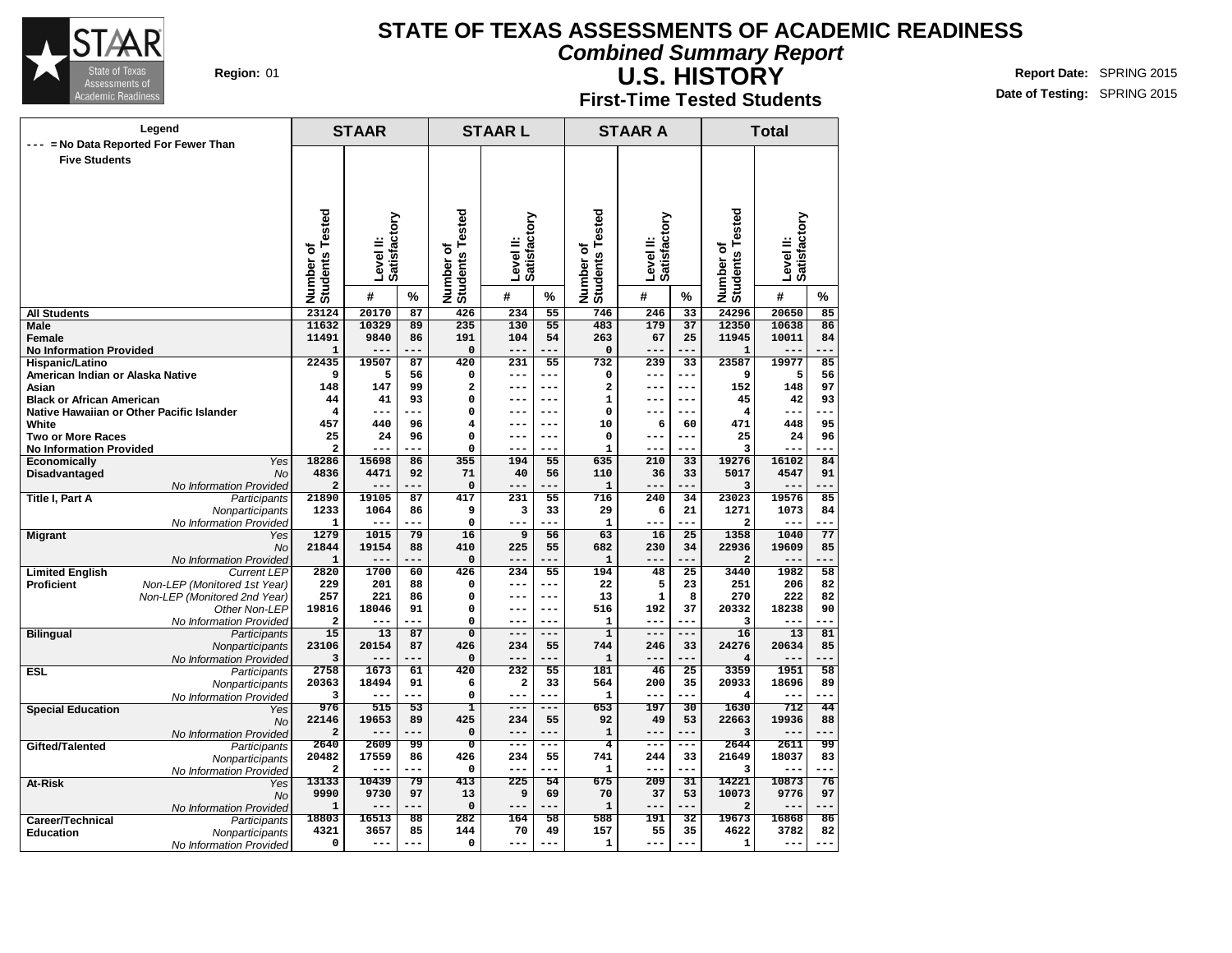

**U.S. HISTORY**

### **Combined Summary Report**

**First-Time Tested Students**

|                                          | Legend                                        |                              | <b>STAAR</b>                 |           |                                     | <b>STAARL</b>            |                       |                          | <b>STAAR A</b>               |                       |                              | <b>Total</b>              |                 |
|------------------------------------------|-----------------------------------------------|------------------------------|------------------------------|-----------|-------------------------------------|--------------------------|-----------------------|--------------------------|------------------------------|-----------------------|------------------------------|---------------------------|-----------------|
| <b>Five Students</b>                     | = No Data Reported For Fewer Than             |                              |                              |           |                                     |                          |                       |                          |                              |                       |                              |                           |                 |
|                                          |                                               |                              |                              |           |                                     |                          |                       |                          |                              |                       |                              |                           |                 |
|                                          |                                               |                              |                              |           |                                     |                          |                       |                          |                              |                       |                              |                           |                 |
|                                          |                                               |                              |                              |           |                                     |                          |                       |                          |                              |                       |                              |                           |                 |
|                                          |                                               |                              |                              |           |                                     |                          |                       | Tested                   |                              |                       |                              |                           |                 |
|                                          |                                               |                              |                              |           |                                     |                          |                       |                          |                              |                       |                              |                           |                 |
|                                          |                                               |                              | Satisfactory<br><b>Level</b> |           |                                     | Satisfactory<br>level ll |                       |                          | Satisfactory<br><b>Level</b> |                       |                              | Satisfactory<br>Level II: |                 |
|                                          |                                               | Number of<br>Students Tested | #                            | %         | <b>Students Tested</b><br>Number of | #                        | %                     | Number of<br>Students To | #                            | %                     | Number of<br>Students Tested | #                         | %               |
| <b>All Students</b>                      |                                               | 23124                        | 20170                        | 87        | 426                                 | 234                      | 55                    | 746                      | 246                          | $\overline{33}$       | 24296                        | 20650                     | 85              |
| <b>Male</b>                              |                                               | 11632                        | 10329                        | 89        | 235                                 | 130                      | 55                    | 483                      | 179                          | 37                    | 12350                        | 10638                     | 86              |
| Female<br><b>No Information Provided</b> |                                               | 11491<br>${\bf 1}$           | 9840                         | 86        | 191<br>$\mathbf 0$                  | 104<br>$- - -$           | 54<br>$- - -$         | 263<br>0                 | 67<br>$- - -$                | 25<br>---             | 11945<br>$\mathbf{1}$        | 10011                     | 84<br>$- - -$   |
| Hispanic/Latino                          |                                               | 22435                        | 19507                        | 87        | 420                                 | 231                      | 55                    | 732                      | 239                          | 33                    | 23587                        | 19977                     | 85              |
| American Indian or Alaska Native         |                                               | 9                            | 5                            | 56        | 0                                   | $---$                    | ---                   | 0                        | ---                          | $---$                 | 9                            | 5                         | 56              |
| Asian                                    |                                               | 148                          | 147                          | 99        | 2                                   | $- - -$                  | $- - -$               | 2                        | ---                          | $- - -$               | 152                          | 148                       | 97              |
| <b>Black or African American</b>         |                                               | 44                           | 41                           | 93        | 0                                   | $---$                    | $---$                 | $\mathbf 1$              | ---                          | $---$                 | 45                           | 42                        | 93              |
|                                          | Native Hawaiian or Other Pacific Islander     | 4<br>457                     | ---                          | ---<br>96 | 0<br>$\overline{4}$                 | $---$<br>$---$           | $---$<br>---          | 0<br>10                  | ---                          | $- - -$               | 4<br>471                     | ---<br>448                | 95              |
| White<br><b>Two or More Races</b>        |                                               | 25                           | 440<br>24                    | 96        | $\Omega$                            | $---$                    | $---$                 | 0                        | 6<br>---                     | 60<br>$---$           | 25                           | 24                        | 96              |
| <b>No Information Provided</b>           |                                               | $\overline{\mathbf{c}}$      |                              | ---       | $\mathbf 0$                         | $---$                    | $- - -$               | $\mathbf{1}$             | ---                          | $---$                 | 3                            | ---                       | ---             |
| <b>Economically</b>                      | Yes                                           | 18286                        | 15698                        | 86        | 355                                 | 194                      | 55                    | 635                      | 210                          | 33                    | 19276                        | 16102                     | 84              |
| Disadvantaged                            | <b>No</b>                                     | 4836                         | 4471                         | 92        | 71                                  | 40                       | 56                    | 110                      | 36                           | 33                    | 5017                         | 4547                      | 91              |
| <b>Title I, Part A</b>                   | No Information Provided<br>Participants       | 2<br>21890                   | $---$<br>19105               | ---<br>87 | $\mathbf 0$<br>417                  | $---$<br>231             | ---<br>55             | $\mathbf{1}$<br>716      | ---<br>240                   | ---<br>34             | 3<br>23023                   | $- -$<br>19576            | ---<br>85       |
|                                          | Nonparticipants                               | 1233                         | 1064                         | 86        | 9                                   | 3                        | 33                    | 29                       | 6                            | 21                    | 1271                         | 1073                      | 84              |
|                                          | No Information Provided                       | $\mathbf 1$                  | ---                          | ---       | 0                                   | $---$                    | ---                   | ${\bf 1}$                | ---                          | ---                   | $\overline{a}$               | ---                       | ---             |
| <b>Migrant</b>                           | Yes                                           | 1279                         | 1015                         | 79        | $\overline{16}$                     | 9                        | 56                    | 63                       | 16                           | $\overline{25}$       | 1358                         | 1040                      | $\overline{77}$ |
|                                          | <b>No</b>                                     | 21844                        | 19154                        | 88        | 410                                 | 225                      | 55                    | 682                      | 230                          | 34                    | 22936                        | 19609                     | 85              |
| <b>Limited English</b>                   | No Information Provided<br><b>Current LEP</b> | $\mathbf{1}$<br>2820         | ---<br>1700                  | 60        | $\mathbf 0$<br>426                  | $---$<br>234             | ---<br>55             | $\mathbf{1}$<br>194      | ---<br>48                    | .<br>$\overline{25}$  | $\mathbf{2}$<br>3440         | --<br>1982                | 58              |
| <b>Proficient</b>                        | Non-LEP (Monitored 1st Year)                  | 229                          | 201                          | 88        | 0                                   | ---                      | $---$                 | 22                       | 5                            | 23                    | 251                          | 206                       | 82              |
|                                          | Non-LEP (Monitored 2nd Year)                  | 257                          | 221                          | 86        | 0                                   | ---                      | $---$                 | 13                       | $\mathbf{1}$                 | 8                     | 270                          | 222                       | 82              |
|                                          | Other Non-LEP                                 | 19816                        | 18046                        | 91        | $\mathbf 0$                         | $--$                     | $---$                 | 516                      | 192                          | 37                    | 20332                        | 18238                     | 90              |
|                                          | No Information Provided                       | 2                            |                              | ---       | 0                                   | $- - -$                  | $- - -$               | 1                        | ---                          | ---                   | 3                            |                           |                 |
| <b>Bilingual</b>                         | Participants                                  | 15<br>23106                  | 13<br>20154                  | 87<br>87  | $\overline{0}$<br>426               | $---$<br>234             | $---$<br>55           | $\overline{1}$<br>744    | ---<br>246                   | $---$<br>33           | 16<br>24276                  | 13<br>20634               | 81<br>85        |
|                                          | Nonparticipants<br>No Information Provided    | 3                            |                              |           | $\Omega$                            |                          |                       | 1                        | --                           |                       | 4                            |                           |                 |
| <b>ESL</b>                               | Participants                                  | 2758                         | 1673                         | 61        | 420                                 | 232                      | 55                    | 181                      | 46                           | $\overline{25}$       | 3359                         | 1951                      | 58              |
|                                          | Nonparticipants                               | 20363                        | 18494                        | 91        | 6                                   | $\mathbf{2}$             | 33                    | 564                      | 200                          | 35                    | 20933                        | 18696                     | 89              |
|                                          | No Information Provided                       | 3                            | ---                          | ---       | 0                                   | $---$                    | ---                   | $\mathbf{1}$             | ---                          |                       | 4                            | ---                       | ---             |
| <b>Special Education</b>                 | Yes                                           | 976<br>22146                 | 515<br>19653                 | 53<br>89  | ı<br>425                            | $--$<br>234              | ---<br>55             | 653<br>92                | 197<br>49                    | 30<br>53              | 1630<br>22663                | 712<br>19936              | 44<br>88        |
|                                          | <b>No</b><br>No Information Provided          | $\overline{a}$               |                              |           | $\Omega$                            | $---$                    | ---                   | ${\bf 1}$                | ---                          | ---                   | 3                            | $- -$                     |                 |
| Gifted/Talented                          | Participants                                  | 2640                         | 2609                         | 99        | 0                                   | ---                      | .<br>.<br>.           | 4                        | ---                          | ---                   | 2644                         | 2611                      | 99              |
|                                          | Nonparticipants                               | 20482                        | 17559                        | 86        | 426                                 | 234                      | 55                    | 741                      | 244                          | 33                    | 21649                        | 18037                     | 83              |
|                                          | No Information Provided                       | $\mathbf{2}$                 | $---$                        | ---       | 0                                   | $\qquad \qquad - -$      | ---                   | $\mathbf{1}$             | $---$                        | $---$                 | 3                            | ---                       | $---$           |
| At-Risk                                  | Yes                                           | 13133<br>9990                | 10439<br>9730                | 79<br>97  | 413<br>13                           | 225<br>9                 | $\overline{54}$<br>69 | 675<br>70                | 209<br>37                    | $\overline{31}$<br>53 | 14221<br>10073               | 10873<br>9776             | 76<br>97        |
|                                          | <b>No</b><br>No Information Provided          | $\mathbf{1}$                 | ---                          | ---       | $\mathbf 0$                         | $---$                    | ---                   | $\mathbf{1}$             | ---                          | ---                   | $\overline{a}$               | $- -$                     |                 |
| Career/Technical                         | Participants                                  | 18803                        | 16513                        | 88        | 282                                 | 164                      | 58                    | 588                      | 191                          | $\overline{32}$       | 19673                        | 16868                     | 86              |
| <b>Education</b>                         | Nonparticipants                               | 4321                         | 3657                         | 85        | 144                                 | 70                       | 49                    | 157                      | 55                           | 35                    | 4622                         | 3782                      | 82              |
|                                          | No Information Provided                       | 0                            | ---                          | $---$     | $\Omega$                            | $---$                    | ---                   | $\mathbf 1$              | ---                          | $---$                 | $\mathbf{1}$                 | ---                       | $---$           |